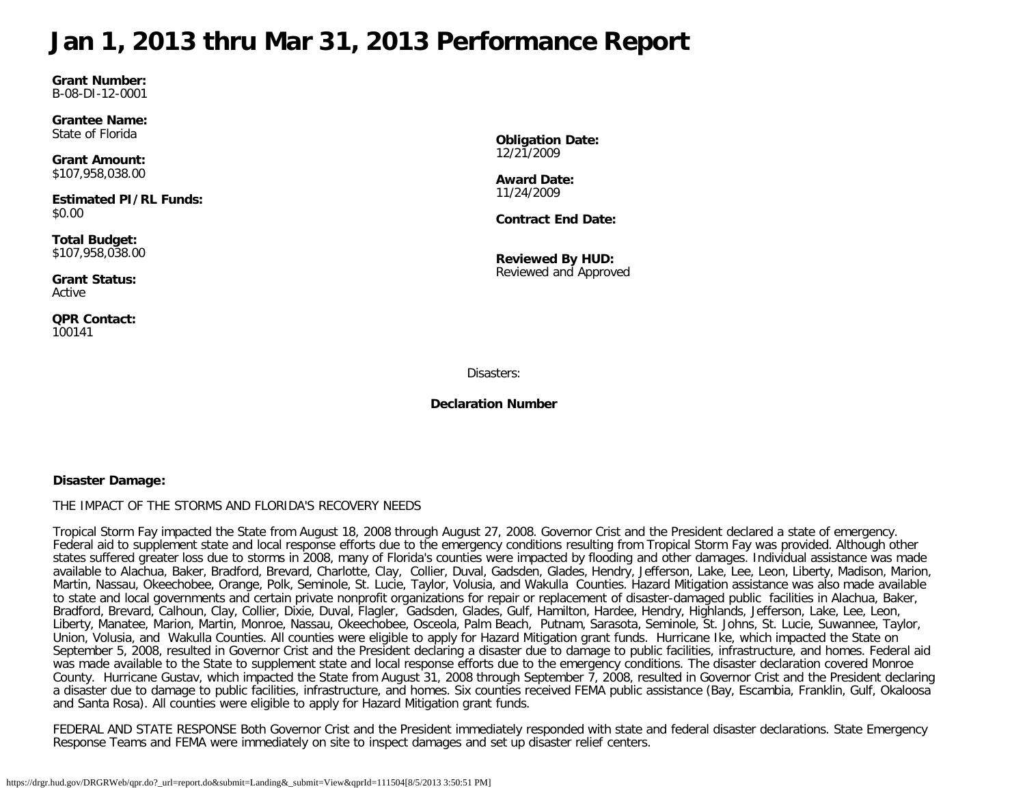## <span id="page-0-0"></span>**Jan 1, 2013 thru Mar 31, 2013 Performance Report**

**Grant Number:** B-08-DI-12-0001

**Grantee Name:** State of Florida

**Grant Amount:** \$107,958,038.00

**Estimated PI/RL Funds:** \$0.00

**Total Budget:** \$107,958,038.00

**Grant Status:** Active

**QPR Contact:** 100141

**Obligation Date:** 12/21/2009

**Award Date:** 11/24/2009

**Contract End Date:**

**Reviewed By HUD:** Reviewed and Approved

Disasters:

**Declaration Number**

#### **Disaster Damage:**

#### THE IMPACT OF THE STORMS AND FLORIDA'S RECOVERY NEEDS

Tropical Storm Fay impacted the State from August 18, 2008 through August 27, 2008. Governor Crist and the President declared a state of emergency. Federal aid to supplement state and local response efforts due to the emergency conditions resulting from Tropical Storm Fay was provided. Although other states suffered greater loss due to storms in 2008, many of Florida's counties were impacted by flooding and other damages. Individual assistance was made available to Alachua, Baker, Bradford, Brevard, Charlotte, Clay, Collier, Duval, Gadsden, Glades, Hendry, Jefferson, Lake, Lee, Leon, Liberty, Madison, Marion, Martin, Nassau, Okeechobee, Orange, Polk, Seminole, St. Lucie, Taylor, Volusia, and Wakulla Counties. Hazard Mitigation assistance was also made available to state and local governments and certain private nonprofit organizations for repair or replacement of disaster-damaged public facilities in Alachua, Baker, Bradford, Brevard, Calhoun, Clay, Collier, Dixie, Duval, Flagler, Gadsden, Glades, Gulf, Hamilton, Hardee, Hendry, Highlands, Jefferson, Lake, Lee, Leon, Liberty, Manatee, Marion, Martin, Monroe, Nassau, Okeechobee, Osceola, Palm Beach, Putnam, Sarasota, Seminole, St. Johns, St. Lucie, Suwannee, Taylor, Union, Volusia, and Wakulla Counties. All counties were eligible to apply for Hazard Mitigation grant funds. Hurricane Ike, which impacted the State on September 5, 2008, resulted in Governor Crist and the President declaring a disaster due to damage to public facilities, infrastructure, and homes. Federal aid was made available to the State to supplement state and local response efforts due to the emergency conditions. The disaster declaration covered Monroe County. Hurricane Gustav, which impacted the State from August 31, 2008 through September 7, 2008, resulted in Governor Crist and the President declaring a disaster due to damage to public facilities, infrastructure, and homes. Six counties received FEMA public assistance (Bay, Escambia, Franklin, Gulf, Okaloosa and Santa Rosa). All counties were eligible to apply for Hazard Mitigation grant funds.

FEDERAL AND STATE RESPONSE Both Governor Crist and the President immediately responded with state and federal disaster declarations. State Emergency Response Teams and FEMA were immediately on site to inspect damages and set up disaster relief centers.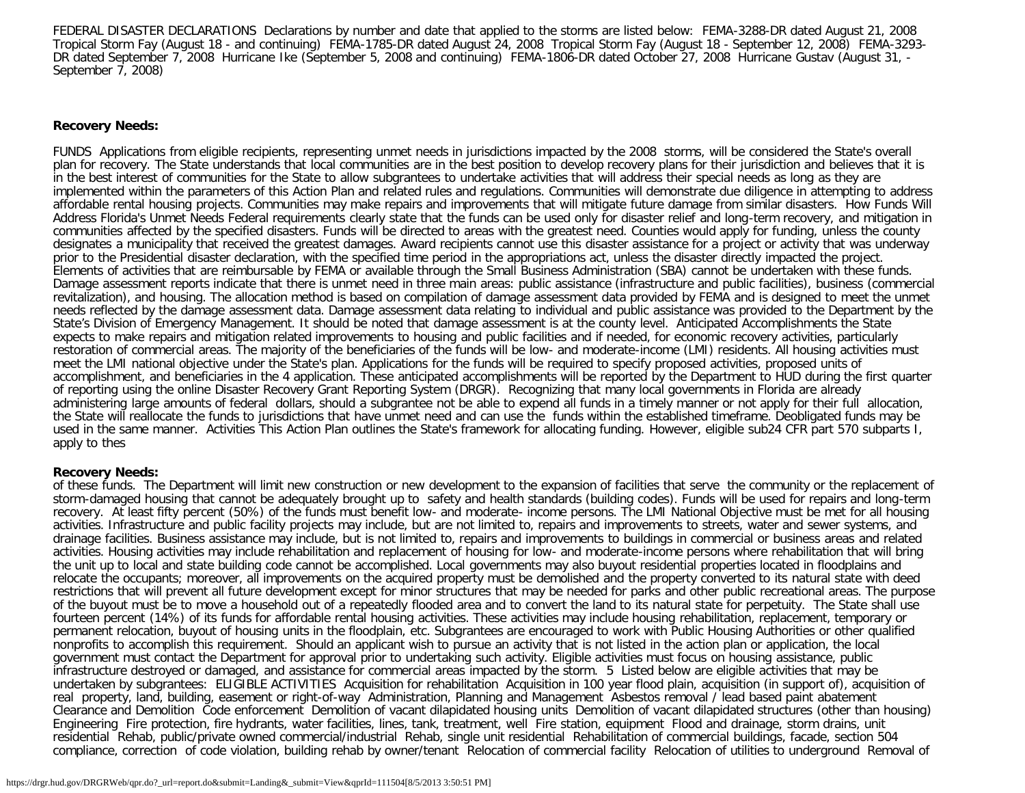FEDERAL DISASTER DECLARATIONS Declarations by number and date that applied to the storms are listed below: FEMA-3288-DR dated August 21, 2008 Tropical Storm Fay (August 18 - and continuing) FEMA-1785-DR dated August 24, 2008 Tropical Storm Fay (August 18 - September 12, 2008) FEMA-3293- DR dated September 7, 2008 Hurricane Ike (September 5, 2008 and continuing) FEMA-1806-DR dated October 27, 2008 Hurricane Gustav (August 31, - September 7, 2008)

#### **Recovery Needs:**

FUNDS Applications from eligible recipients, representing unmet needs in jurisdictions impacted by the 2008 storms, will be considered the State's overall plan for recovery. The State understands that local communities are in the best position to develop recovery plans for their jurisdiction and believes that it is in the best interest of communities for the State to allow subgrantees to undertake activities that will address their special needs as long as they are implemented within the parameters of this Action Plan and related rules and regulations. Communities will demonstrate due diligence in attempting to address affordable rental housing projects. Communities may make repairs and improvements that will mitigate future damage from similar disasters. How Funds Will Address Florida's Unmet Needs Federal requirements clearly state that the funds can be used only for disaster relief and long-term recovery, and mitigation in communities affected by the specified disasters. Funds will be directed to areas with the greatest need. Counties would apply for funding, unless the county designates a municipality that received the greatest damages. Award recipients cannot use this disaster assistance for a project or activity that was underway prior to the Presidential disaster declaration, with the specified time period in the appropriations act, unless the disaster directly impacted the project. Elements of activities that are reimbursable by FEMA or available through the Small Business Administration (SBA) cannot be undertaken with these funds. Damage assessment reports indicate that there is unmet need in three main areas: public assistance (infrastructure and public facilities), business (commercial revitalization), and housing. The allocation method is based on compilation of damage assessment data provided by FEMA and is designed to meet the unmet needs reflected by the damage assessment data. Damage assessment data relating to individual and public assistance was provided to the Department by the State's Division of Emergency Management. It should be noted that damage assessment is at the county level. Anticipated Accomplishments the State expects to make repairs and mitigation related improvements to housing and public facilities and if needed, for economic recovery activities, particularly restoration of commercial areas. The majority of the beneficiaries of the funds will be low- and moderate-income (LMI) residents. All housing activities must meet the LMI national objective under the State's plan. Applications for the funds will be required to specify proposed activities, proposed units of accomplishment, and beneficiaries in the 4 application. These anticipated accomplishments will be reported by the Department to HUD during the first quarter of reporting using the online Disaster Recovery Grant Reporting System (DRGR). Recognizing that many local governments in Florida are already administering large amounts of federal dollars, should a subgrantee not be able to expend all funds in a timely manner or not apply for their full allocation, the State will reallocate the funds to jurisdictions that have unmet need and can use the funds within the established timeframe. Deobligated funds may be used in the same manner. Activities This Action Plan outlines the State's framework for allocating funding. However, eligible sub24 CFR part 570 subparts I, apply to thes

#### **Recovery Needs:**

of these funds. The Department will limit new construction or new development to the expansion of facilities that serve the community or the replacement of storm-damaged housing that cannot be adequately brought up to safety and health standards (building codes). Funds will be used for repairs and long-term recovery. At least fifty percent (50%) of the funds must benefit low- and moderate- income persons. The LMI National Objective must be met for all housing activities. Infrastructure and public facility projects may include, but are not limited to, repairs and improvements to streets, water and sewer systems, and drainage facilities. Business assistance may include, but is not limited to, repairs and improvements to buildings in commercial or business areas and related activities. Housing activities may include rehabilitation and replacement of housing for low- and moderate-income persons where rehabilitation that will bring the unit up to local and state building code cannot be accomplished. Local governments may also buyout residential properties located in floodplains and relocate the occupants; moreover, all improvements on the acquired property must be demolished and the property converted to its natural state with deed restrictions that will prevent all future development except for minor structures that may be needed for parks and other public recreational areas. The purpose of the buyout must be to move a household out of a repeatedly flooded area and to convert the land to its natural state for perpetuity. The State shall use fourteen percent (14%) of its funds for affordable rental housing activities. These activities may include housing rehabilitation, replacement, temporary or permanent relocation, buyout of housing units in the floodplain, etc. Subgrantees are encouraged to work with Public Housing Authorities or other qualified nonprofits to accomplish this requirement. Should an applicant wish to pursue an activity that is not listed in the action plan or application, the local government must contact the Department for approval prior to undertaking such activity. Eligible activities must focus on housing assistance, public infrastructure destroyed or damaged, and assistance for commercial areas impacted by the storm. 5 Listed below are eligible activities that may be undertaken by subgrantees: ELIGIBLE ACTIVITIES Acquisition for rehabilitation Acquisition in 100 year flood plain, acquisition (in support of), acquisition of real property, land, building, easement or right-of-way Administration, Planning and Management Asbestos removal / lead based paint abatement Clearance and Demolition Code enforcement Demolition of vacant dilapidated housing units Demolition of vacant dilapidated structures (other than housing) Engineering Fire protection, fire hydrants, water facilities, lines, tank, treatment, well Fire station, equipment Flood and drainage, storm drains, unit residential Rehab, public/private owned commercial/industrial Rehab, single unit residential Rehabilitation of commercial buildings, facade, section 504 compliance, correction of code violation, building rehab by owner/tenant Relocation of commercial facility Relocation of utilities to underground Removal of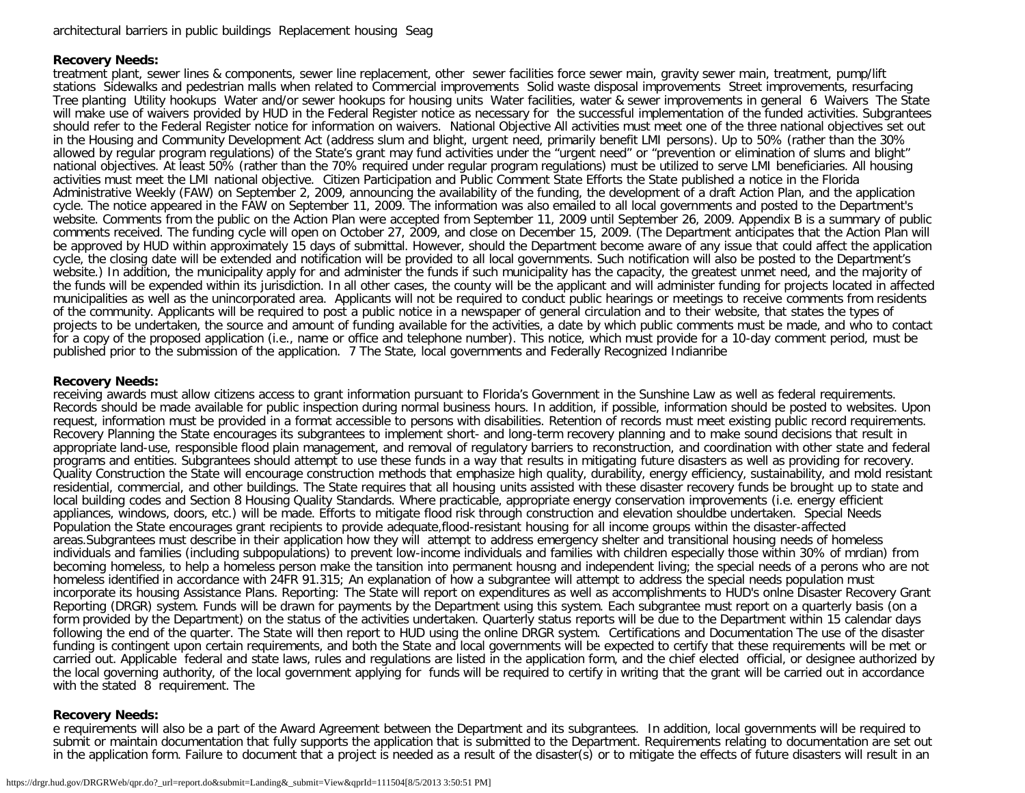#### **Recovery Needs:**

treatment plant, sewer lines & components, sewer line replacement, other sewer facilities force sewer main, gravity sewer main, treatment, pump/lift stations Sidewalks and pedestrian malls when related to Commercial improvements Solid waste disposal improvements Street improvements, resurfacing Tree planting Utility hookups Water and/or sewer hookups for housing units Water facilities, water & sewer improvements in general 6 Waivers The State will make use of waivers provided by HUD in the Federal Register notice as necessary for the successful implementation of the funded activities. Subgrantees should refer to the Federal Register notice for information on waivers. National Objective All activities must meet one of the three national objectives set out in the Housing and Community Development Act (address slum and blight, urgent need, primarily benefit LMI persons). Up to 50% (rather than the 30% allowed by regular program regulations) of the State's grant may fund activities under the "urgent need" or "prevention or elimination of slums and blight" national objectives. At least 50% (rather than the 70% required under regular program regulations) must be utilized to serve LMI beneficiaries. All housing activities must meet the LMI national objective. Citizen Participation and Public Comment State Efforts the State published a notice in the Florida Administrative Weekly (FAW) on September 2, 2009, announcing the availability of the funding, the development of a draft Action Plan, and the application cycle. The notice appeared in the FAW on September 11, 2009. The information was also emailed to all local governments and posted to the Department's website. Comments from the public on the Action Plan were accepted from September 11, 2009 until September 26, 2009. Appendix B is a summary of public comments received. The funding cycle will open on October 27, 2009, and close on December 15, 2009. (The Department anticipates that the Action Plan will be approved by HUD within approximately 15 days of submittal. However, should the Department become aware of any issue that could affect the application cycle, the closing date will be extended and notification will be provided to all local governments. Such notification will also be posted to the Department's website.) In addition, the municipality apply for and administer the funds if such municipality has the capacity, the greatest unmet need, and the majority of the funds will be expended within its jurisdiction. In all other cases, the county will be the applicant and will administer funding for projects located in affected municipalities as well as the unincorporated area. Applicants will not be required to conduct public hearings or meetings to receive comments from residents of the community. Applicants will be required to post a public notice in a newspaper of general circulation and to their website, that states the types of projects to be undertaken, the source and amount of funding available for the activities, a date by which public comments must be made, and who to contact for a copy of the proposed application (i.e., name or office and telephone number). This notice, which must provide for a 10-day comment period, must be published prior to the submission of the application. 7 The State, local governments and Federally Recognized Indianribe

#### **Recovery Needs:**

receiving awards must allow citizens access to grant information pursuant to Florida's Government in the Sunshine Law as well as federal requirements. Records should be made available for public inspection during normal business hours. In addition, if possible, information should be posted to websites. Upon request, information must be provided in a format accessible to persons with disabilities. Retention of records must meet existing public record requirements. Recovery Planning the State encourages its subgrantees to implement short- and long-term recovery planning and to make sound decisions that result in appropriate land-use, responsible flood plain management, and removal of regulatory barriers to reconstruction, and coordination with other state and federal programs and entities. Subgrantees should attempt to use these funds in a way that results in mitigating future disasters as well as providing for recovery. Quality Construction the State will encourage construction methods that emphasize high quality, durability, energy efficiency, sustainability, and mold resistant residential, commercial, and other buildings. The State requires that all housing units assisted with these disaster recovery funds be brought up to state and local building codes and Section 8 Housing Quality Standards. Where practicable, appropriate energy conservation improvements (i.e. energy efficient appliances, windows, doors, etc.) will be made. Efforts to mitigate flood risk through construction and elevation shouldbe undertaken. Special Needs Population the State encourages grant recipients to provide adequate,flood-resistant housing for all income groups within the disaster-affected areas.Subgrantees must describe in their application how they will attempt to address emergency shelter and transitional housing needs of homeless individuals and families (including subpopulations) to prevent low-income individuals and families with children especially those within 30% of mrdian) from becoming homeless, to help a homeless person make the tansition into permanent housng and independent living; the special needs of a perons who are not homeless identified in accordance with 24FR 91.315; An explanation of how a subgrantee will attempt to address the special needs population must incorporate its housing Assistance Plans. Reporting: The State will report on expenditures as well as accomplishments to HUD's onlne Disaster Recovery Grant Reporting (DRGR) system. Funds will be drawn for payments by the Department using this system. Each subgrantee must report on a quarterly basis (on a form provided by the Department) on the status of the activities undertaken. Quarterly status reports will be due to the Department within 15 calendar days following the end of the quarter. The State will then report to HUD using the online DRGR system. Certifications and Documentation The use of the disaster funding is contingent upon certain requirements, and both the State and local governments will be expected to certify that these requirements will be met or carried out. Applicable federal and state laws, rules and regulations are listed in the application form, and the chief elected official, or designee authorized by the local governing authority, of the local government applying for funds will be required to certify in writing that the grant will be carried out in accordance with the stated 8 requirement. The

#### **Recovery Needs:**

e requirements will also be a part of the Award Agreement between the Department and its subgrantees. In addition, local governments will be required to submit or maintain documentation that fully supports the application that is submitted to the Department. Requirements relating to documentation are set out in the application form. Failure to document that a project is needed as a result of the disaster(s) or to mitigate the effects of future disasters will result in an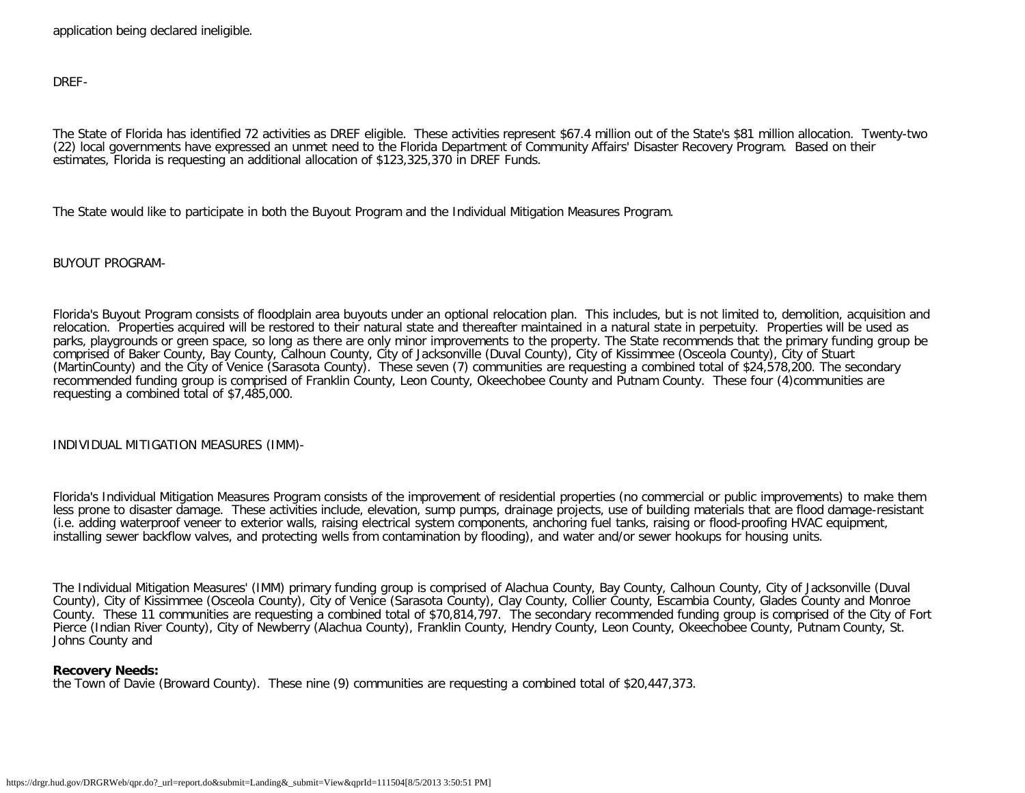application being declared ineligible.

DREF-

The State of Florida has identified 72 activities as DREF eligible. These activities represent \$67.4 million out of the State's \$81 million allocation. Twenty-two (22) local governments have expressed an unmet need to the Florida Department of Community Affairs' Disaster Recovery Program. Based on their estimates, Florida is requesting an additional allocation of \$123,325,370 in DREF Funds.

The State would like to participate in both the Buyout Program and the Individual Mitigation Measures Program.

BUYOUT PROGRAM-

Florida's Buyout Program consists of floodplain area buyouts under an optional relocation plan. This includes, but is not limited to, demolition, acquisition and relocation. Properties acquired will be restored to their natural state and thereafter maintained in a natural state in perpetuity. Properties will be used as parks, playgrounds or green space, so long as there are only minor improvements to the property. The State recommends that the primary funding group be comprised of Baker County, Bay County, Calhoun County, City of Jacksonville (Duval County), City of Kissimmee (Osceola County), City of Stuart (MartinCounty) and the City of Venice (Sarasota County). These seven (7) communities are requesting a combined total of \$24,578,200. The secondary recommended funding group is comprised of Franklin County, Leon County, Okeechobee County and Putnam County. These four (4)communities are requesting a combined total of \$7,485,000.

INDIVIDUAL MITIGATION MEASURES (IMM)-

Florida's Individual Mitigation Measures Program consists of the improvement of residential properties (no commercial or public improvements) to make them less prone to disaster damage. These activities include, elevation, sump pumps, drainage projects, use of building materials that are flood damage-resistant (i.e. adding waterproof veneer to exterior walls, raising electrical system components, anchoring fuel tanks, raising or flood-proofing HVAC equipment, installing sewer backflow valves, and protecting wells from contamination by flooding), and water and/or sewer hookups for housing units.

The Individual Mitigation Measures' (IMM) primary funding group is comprised of Alachua County, Bay County, Calhoun County, City of Jacksonville (Duval County), City of Kissimmee (Osceola County), City of Venice (Sarasota County), Clay County, Collier County, Escambia County, Glades County and Monroe County. These 11 communities are requesting a combined total of \$70,814,797. The secondary recommended funding group is comprised of the City of Fort Pierce (Indian River County), City of Newberry (Alachua County), Franklin County, Hendry County, Leon County, Okeechobee County, Putnam County, St. Johns County and

#### **Recovery Needs:**

the Town of Davie (Broward County). These nine (9) communities are requesting a combined total of \$20,447,373.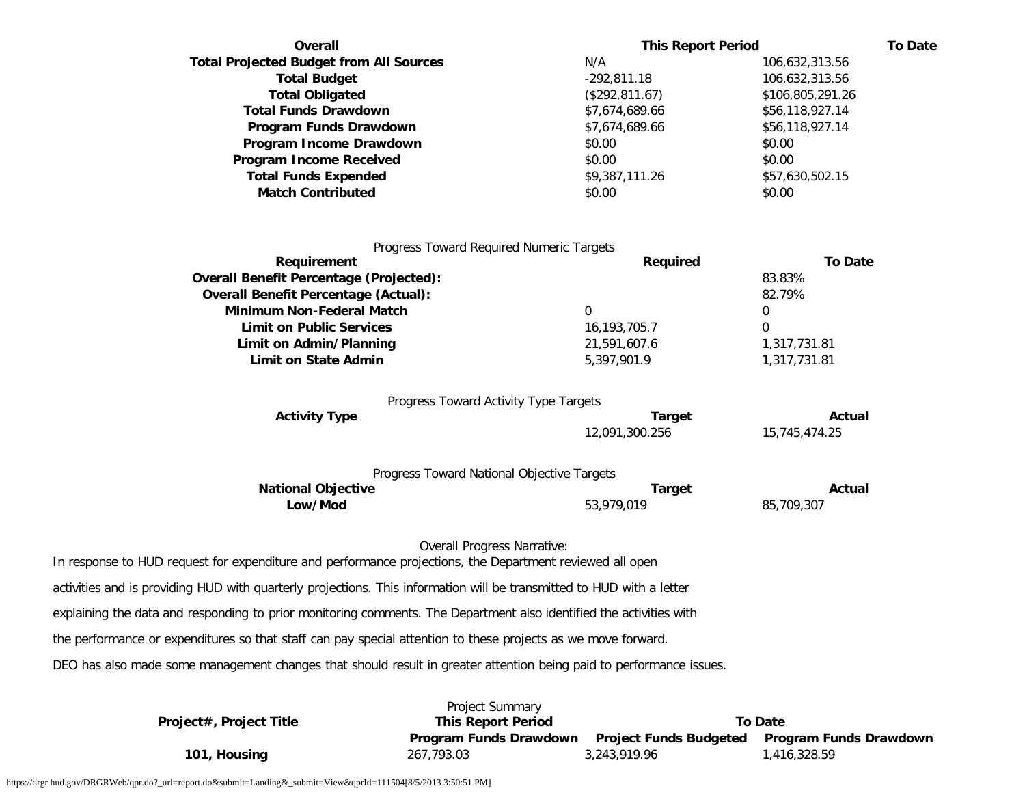| Overall                                                                                                               | <b>This Report Period</b>                    | <b>To Date</b>          |  |
|-----------------------------------------------------------------------------------------------------------------------|----------------------------------------------|-------------------------|--|
| <b>Total Projected Budget from All Sources</b>                                                                        | N/A                                          | 106,632,313.56          |  |
| <b>Total Budget</b>                                                                                                   | $-292,811.18$                                | 106,632,313.56          |  |
| <b>Total Obligated</b>                                                                                                | (\$292,811.67)                               | \$106,805,291.26        |  |
| <b>Total Funds Drawdown</b>                                                                                           | \$7,674,689.66                               | \$56,118,927.14         |  |
| Program Funds Drawdown                                                                                                | \$7,674,689.66                               | \$56,118,927.14         |  |
| Program Income Drawdown                                                                                               | \$0.00                                       | \$0.00                  |  |
| <b>Program Income Received</b>                                                                                        | \$0.00                                       | \$0.00                  |  |
| <b>Total Funds Expended</b>                                                                                           | \$9,387,111.26                               | \$57,630,502.15         |  |
| <b>Match Contributed</b>                                                                                              | \$0.00                                       | \$0.00                  |  |
|                                                                                                                       | Progress Toward Required Numeric Targets     |                         |  |
| Requirement                                                                                                           | Required                                     | <b>To Date</b>          |  |
| <b>Overall Benefit Percentage (Projected):</b>                                                                        |                                              | 83.83%                  |  |
| <b>Overall Benefit Percentage (Actual):</b><br><b>Minimum Non-Federal Match</b>                                       | $\mathbf 0$                                  | 82.79%<br>0             |  |
| <b>Limit on Public Services</b>                                                                                       | 16, 193, 705. 7                              | 0                       |  |
| Limit on Admin/Planning                                                                                               | 21,591,607.6                                 | 1,317,731.81            |  |
| <b>Limit on State Admin</b>                                                                                           | 5,397,901.9                                  | 1,317,731.81            |  |
|                                                                                                                       |                                              |                         |  |
|                                                                                                                       | Progress Toward Activity Type Targets        |                         |  |
| <b>Activity Type</b>                                                                                                  | <b>Target</b><br>12,091,300.256              | Actual<br>15,745,474.25 |  |
|                                                                                                                       | Progress Toward National Objective Targets   |                         |  |
| <b>National Objective</b>                                                                                             | <b>Target</b>                                | Actual                  |  |
| Low/Mod                                                                                                               | 53,979,019                                   | 85,709,307              |  |
| In response to HUD request for expenditure and performance projections, the Department reviewed all open              | <b>Overall Progress Narrative:</b>           |                         |  |
| activities and is providing HUD with quarterly projections. This information will be transmitted to HUD with a letter |                                              |                         |  |
| explaining the data and responding to prior monitoring comments. The Department also identified the activities with   |                                              |                         |  |
| the performance or expenditures so that staff can pay special attention to these projects as we move forward.         |                                              |                         |  |
| DEO has also made some management changes that should result in greater attention being paid to performance issues.   |                                              |                         |  |
| Project#, Project Title                                                                                               | Project Summary<br><b>This Report Period</b> | <b>To Date</b>          |  |

**101, Housing 267,793.03** 3,243,919.96 1,416,328.59

**Program Funds Drawdown Project Funds Budgeted Program Funds Drawdown**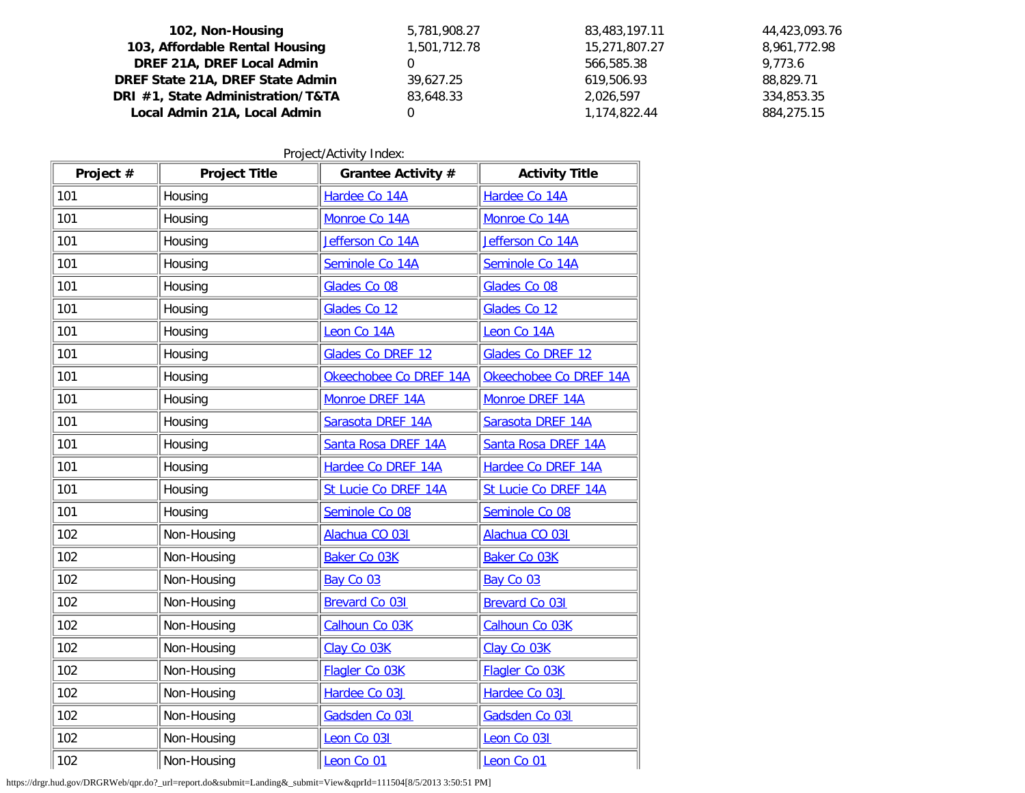| 102, Non-Housing                  | 5,781,908.27 | 83,483,197.11 | 44,423,093.76 |
|-----------------------------------|--------------|---------------|---------------|
| 103, Affordable Rental Housing    | 1,501,712.78 | 15,271,807.27 | 8,961,772.98  |
| DREF 21A, DREF Local Admin        |              | 566,585.38    | 9.773.6       |
| DREF State 21A, DREF State Admin  | 39,627.25    | 619,506.93    | 88.829.71     |
| DRI #1, State Administration/T&TA | 83,648.33    | 2.026.597     | 334,853.35    |
| Local Admin 21A, Local Admin      |              | 1,174,822.44  | 884,275.15    |

Project/Activity Index:

| Project # | <b>Project Title</b> | Grantee Activity #     | <b>Activity Title</b>  |  |
|-----------|----------------------|------------------------|------------------------|--|
| 101       | Housing              | Hardee Co 14A          | Hardee Co 14A          |  |
| 101       | Housing              | Monroe Co 14A          | Monroe Co 14A          |  |
| 101       | Housing              | Jefferson Co 14A       | Jefferson Co 14A       |  |
| 101       | Housing              | Seminole Co 14A        | Seminole Co 14A        |  |
| 101       | Housing              | Glades Co 08           | Glades Co 08           |  |
| 101       | Housing              | Glades Co 12           | Glades Co 12           |  |
| 101       | Housing              | Leon Co 14A            | Leon Co 14A            |  |
| 101       | Housing              | Glades Co DREF 12      | Glades Co DREF 12      |  |
| 101       | Housing              | Okeechobee Co DREF 14A | Okeechobee Co DREF 14A |  |
| 101       | Housing              | Monroe DREF 14A        | Monroe DREF 14A        |  |
| 101       | Housing              | Sarasota DREF 14A      | Sarasota DREF 14A      |  |
| 101       | Housing              | Santa Rosa DREF 14A    | Santa Rosa DREF 14A    |  |
| 101       | Housing              | Hardee Co DREF 14A     | Hardee Co DREF 14A     |  |
| 101       | Housing              | St Lucie Co DREF 14A   | St Lucie Co DREF 14A   |  |
| 101       | Housing              | Seminole Co 08         | Seminole Co 08         |  |
| 102       | Non-Housing          | Alachua CO 031         | Alachua CO 031         |  |
| 102       | Non-Housing          | <b>Baker Co 03K</b>    | <b>Baker Co 03K</b>    |  |
| 102       | Non-Housing          | Bay Co 03              | Bay Co 03              |  |
| 102       | Non-Housing          | <b>Brevard Co 031</b>  | <b>Brevard Co 031</b>  |  |
| 102       | Non-Housing          | Calhoun Co 03K         | Calhoun Co 03K         |  |
| 102       | Non-Housing          | Clay Co 03K            | Clay Co 03K            |  |
| 102       | Non-Housing          | Flagler Co 03K         | Flagler Co 03K         |  |
| 102       | Non-Housing          | Hardee Co 03J          | Hardee Co 03J          |  |
| 102       | Non-Housing          | Gadsden Co 031         | Gadsden Co 031         |  |
| 102       | Non-Housing          | Leon Co 031            | Leon Co 031            |  |
| 102       | Non-Housing          | Leon Co 01             | Leon Co 01             |  |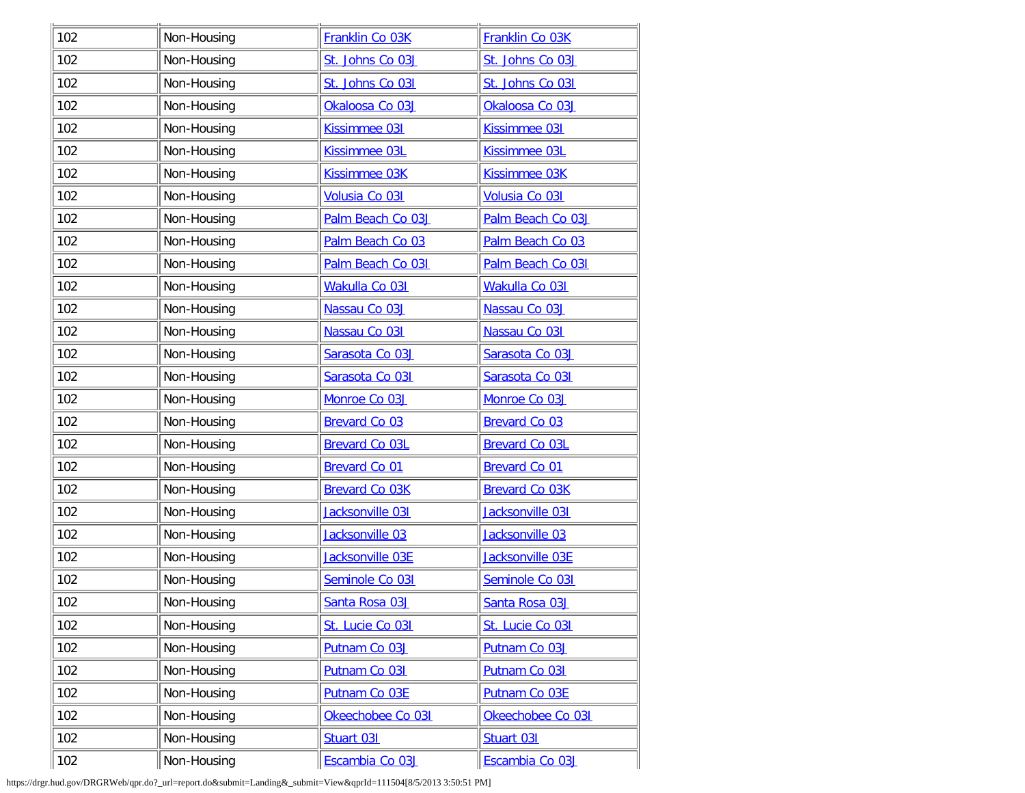| 102 | Non-Housing | Franklin Co 03K       | Franklin Co 03K       |
|-----|-------------|-----------------------|-----------------------|
| 102 | Non-Housing | St. Johns Co 03J      | St. Johns Co 03J      |
| 102 | Non-Housing | St. Johns Co 031      | St. Johns Co 031      |
| 102 | Non-Housing | Okaloosa Co 03J       | Okaloosa Co 03J       |
| 102 | Non-Housing | Kissimmee 031         | <b>Kissimmee 031</b>  |
| 102 | Non-Housing | Kissimmee 03L         | Kissimmee 03L         |
| 102 | Non-Housing | Kissimmee 03K         | Kissimmee 03K         |
| 102 | Non-Housing | Volusia Co 031        | Volusia Co 031        |
| 102 | Non-Housing | Palm Beach Co 03J     | Palm Beach Co 03J     |
| 102 | Non-Housing | Palm Beach Co 03      | Palm Beach Co 03      |
| 102 | Non-Housing | Palm Beach Co 031     | Palm Beach Co 031     |
| 102 | Non-Housing | Wakulla Co 031        | Wakulla Co 031        |
| 102 | Non-Housing | Nassau Co 03J         | Nassau Co 03J         |
| 102 | Non-Housing | Nassau Co 031         | Nassau Co 031         |
| 102 | Non-Housing | Sarasota Co 03J       | Sarasota Co 03J       |
| 102 | Non-Housing | Sarasota Co 031       | Sarasota Co 031       |
| 102 | Non-Housing | Monroe Co 03J         | Monroe Co 03J         |
| 102 | Non-Housing | <b>Brevard Co 03</b>  | <b>Brevard Co 03</b>  |
| 102 | Non-Housing | <b>Brevard Co 03L</b> | <b>Brevard Co 03L</b> |
| 102 | Non-Housing | <b>Brevard Co 01</b>  | <b>Brevard Co 01</b>  |
| 102 | Non-Housing | <b>Brevard Co 03K</b> | <b>Brevard Co 03K</b> |
| 102 | Non-Housing | Jacksonville 031      | Jacksonville 031      |
| 102 | Non-Housing | Jacksonville 03       | Jacksonville 03       |
| 102 | Non-Housing | Jacksonville 03E      | Jacksonville 03E      |
| 102 | Non-Housing | Seminole Co 031       | Seminole Co 031       |
| 102 | Non-Housing | Santa Rosa 03J        | Santa Rosa 03J        |
| 102 | Non-Housing | St. Lucie Co 031      | St. Lucie Co 031      |
| 102 | Non-Housing | Putnam Co 03J         | Putnam Co 03J         |
| 102 | Non-Housing | Putnam Co 031         | Putnam Co 031         |
| 102 | Non-Housing | Putnam Co 03E         | Putnam Co 03E         |
| 102 | Non-Housing | Okeechobee Co 031     | Okeechobee Co 031     |
| 102 | Non-Housing | Stuart 031            | Stuart 031            |
| 102 | Non-Housing | Escambia Co 03J       | Escambia Co 03J       |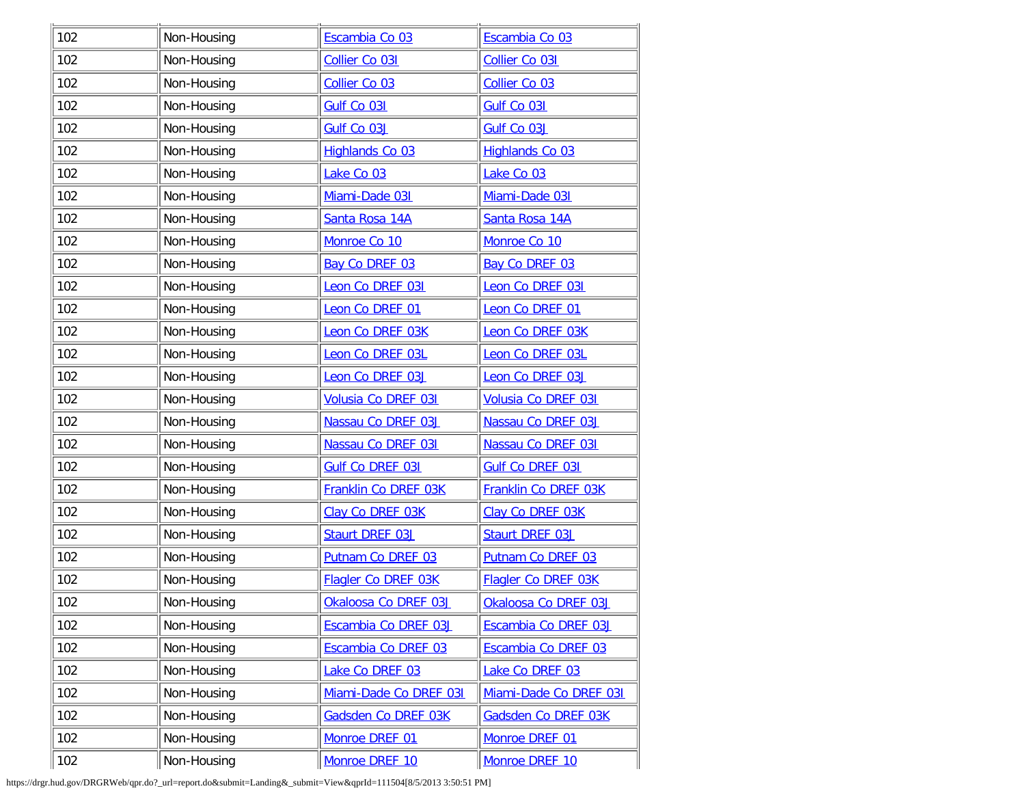| 102 | Non-Housing | Escambia Co 03          | Escambia Co 03          |  |  |
|-----|-------------|-------------------------|-------------------------|--|--|
| 102 | Non-Housing | Collier Co 031          | Collier Co 031          |  |  |
| 102 | Non-Housing | Collier Co 03           | Collier Co 03           |  |  |
| 102 | Non-Housing | Gulf Co 031             | Gulf Co 031             |  |  |
| 102 | Non-Housing | Gulf Co 03J             | Gulf Co 03J             |  |  |
| 102 | Non-Housing | <b>Highlands Co 03</b>  | <b>Highlands Co 03</b>  |  |  |
| 102 | Non-Housing | Lake Co 03              | Lake Co 03              |  |  |
| 102 | Non-Housing | Miami-Dade 031          | Miami-Dade 031          |  |  |
| 102 | Non-Housing | Santa Rosa 14A          | Santa Rosa 14A          |  |  |
| 102 | Non-Housing | Monroe Co 10            | Monroe Co 10            |  |  |
| 102 | Non-Housing | Bay Co DREF 03          | Bay Co DREF 03          |  |  |
| 102 | Non-Housing | Leon Co DREF 031        | Leon Co DREF 031        |  |  |
| 102 | Non-Housing | Leon Co DREF 01         | Leon Co DREF 01         |  |  |
| 102 | Non-Housing | Leon Co DREF 03K        | Leon Co DREF 03K        |  |  |
| 102 | Non-Housing | Leon Co DREF 03L        | Leon Co DREF 03L        |  |  |
| 102 | Non-Housing | Leon Co DREF 03J        | Leon Co DREF 03J        |  |  |
| 102 | Non-Housing | Volusia Co DREF 031     | Volusia Co DREF 031     |  |  |
| 102 | Non-Housing | Nassau Co DREF 03J      | Nassau Co DREF 03J      |  |  |
| 102 | Non-Housing | Nassau Co DREF 031      | Nassau Co DREF 031      |  |  |
| 102 | Non-Housing | <b>Gulf Co DREF 031</b> | <b>Gulf Co DREF 031</b> |  |  |
| 102 | Non-Housing | Franklin Co DREF 03K    | Franklin Co DREF 03K    |  |  |
| 102 | Non-Housing | Clay Co DREF 03K        | Clay Co DREF 03K        |  |  |
| 102 | Non-Housing | Staurt DREF 03J         | Staurt DREF 03J         |  |  |
| 102 | Non-Housing | Putnam Co DREF 03       | Putnam Co DREF 03       |  |  |
| 102 | Non-Housing | Flagler Co DREF 03K     | Flagler Co DREF 03K     |  |  |
| 102 | Non-Housing | Okaloosa Co DREF 03J    | Okaloosa Co DREF 03J    |  |  |
| 102 | Non-Housing | Escambia Co DREF 03J    | Escambia Co DREF 03J    |  |  |
| 102 | Non-Housing | Escambia Co DREF 03     | Escambia Co DREF 03     |  |  |
| 102 | Non-Housing | Lake Co DREF 03         | Lake Co DREF 03         |  |  |
| 102 | Non-Housing | Miami-Dade Co DREF 031  | Miami-Dade Co DREF 031  |  |  |
| 102 | Non-Housing | Gadsden Co DREF 03K     | Gadsden Co DREF 03K     |  |  |
| 102 | Non-Housing | Monroe DREF 01          | Monroe DREF 01          |  |  |
| 102 | Non-Housing | Monroe DREF 10          | Monroe DREF 10          |  |  |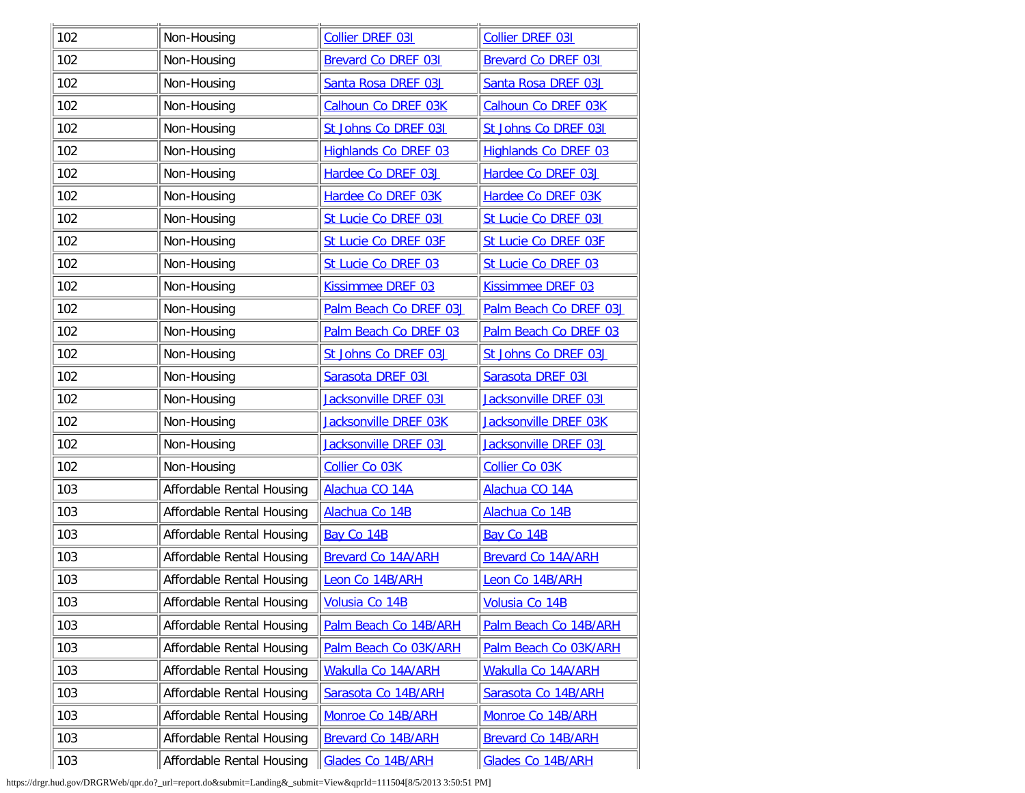| 102 | Non-Housing               | Collier DREF 031            | Collier DREF 031            |
|-----|---------------------------|-----------------------------|-----------------------------|
| 102 | Non-Housing               | <b>Brevard Co DREF 031</b>  | <b>Brevard Co DREF 031</b>  |
| 102 | Non-Housing               | Santa Rosa DREF 03J         | Santa Rosa DREF 03J         |
| 102 | Non-Housing               | Calhoun Co DREF 03K         | <b>Calhoun Co DREF 03K</b>  |
| 102 | Non-Housing               | St Johns Co DREF 031        | St Johns Co DREF 031        |
| 102 | Non-Housing               | <b>Highlands Co DREF 03</b> | <b>Highlands Co DREF 03</b> |
| 102 | Non-Housing               | Hardee Co DREF 03J          | Hardee Co DREF 03J          |
| 102 | Non-Housing               | Hardee Co DREF 03K          | Hardee Co DREF 03K          |
| 102 | Non-Housing               | St Lucie Co DREF 031        | St Lucie Co DREF 031        |
| 102 | Non-Housing               | St Lucie Co DREF 03F        | St Lucie Co DREF 03F        |
| 102 | Non-Housing               | St Lucie Co DREF 03         | St Lucie Co DREF 03         |
| 102 | Non-Housing               | Kissimmee DREF 03           | Kissimmee DREF 03           |
| 102 | Non-Housing               | Palm Beach Co DREF 03J      | Palm Beach Co DREF 03J      |
| 102 | Non-Housing               | Palm Beach Co DREF 03       | Palm Beach Co DREF 03       |
| 102 | Non-Housing               | St Johns Co DREF 03J        | St Johns Co DREF 03J        |
| 102 | Non-Housing               | Sarasota DREF 031           | Sarasota DREF 031           |
| 102 | Non-Housing               | Jacksonville DREF 031       | Jacksonville DREF 031       |
| 102 | Non-Housing               | Jacksonville DREF 03K       | Jacksonville DREF 03K       |
| 102 | Non-Housing               | Jacksonville DREF 03J       | Jacksonville DREF 03J       |
| 102 | Non-Housing               | Collier Co 03K              | Collier Co 03K              |
| 103 | Affordable Rental Housing | Alachua CO 14A              | Alachua CO 14A              |
| 103 | Affordable Rental Housing | Alachua Co 14B              | Alachua Co 14B              |
| 103 | Affordable Rental Housing | Bay Co 14B                  | Bay Co 14B                  |
| 103 | Affordable Rental Housing | <b>Brevard Co 14A/ARH</b>   | <b>Brevard Co 14A/ARH</b>   |
| 103 | Affordable Rental Housing | Leon Co 14B/ARH             | Leon Co 14B/ARH             |
| 103 | Affordable Rental Housing | Volusia Co 14B              | Volusia Co 14B              |
| 103 | Affordable Rental Housing | Palm Beach Co 14B/ARH       | Palm Beach Co 14B/ARH       |
| 103 | Affordable Rental Housing | Palm Beach Co 03K/ARH       | Palm Beach Co 03K/ARH       |
| 103 | Affordable Rental Housing | Wakulla Co 14A/ARH          | Wakulla Co 14A/ARH          |
| 103 | Affordable Rental Housing | Sarasota Co 14B/ARH         | Sarasota Co 14B/ARH         |
| 103 | Affordable Rental Housing | Monroe Co 14B/ARH           | Monroe Co 14B/ARH           |
| 103 | Affordable Rental Housing | <b>Brevard Co 14B/ARH</b>   | <b>Brevard Co 14B/ARH</b>   |
| 103 | Affordable Rental Housing | Glades Co 14B/ARH           | Glades Co 14B/ARH           |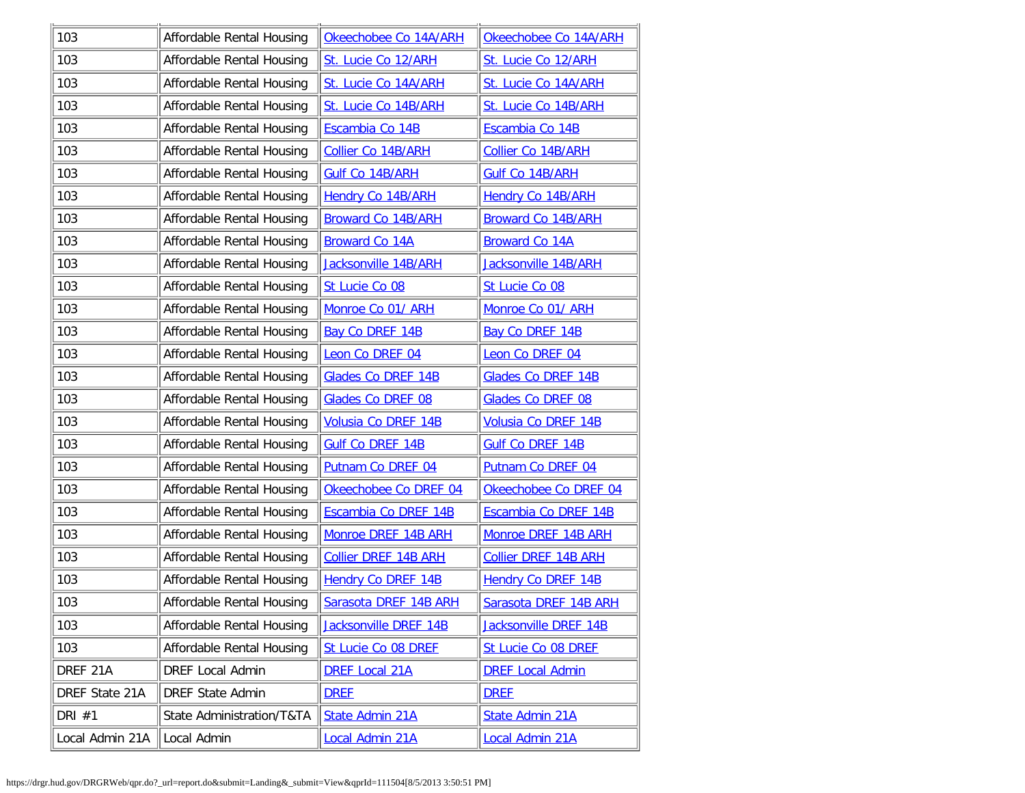| 103             | Affordable Rental Housing | Okeechobee Co 14A/ARH       | Okeechobee Co 14A/ARH       |
|-----------------|---------------------------|-----------------------------|-----------------------------|
| 103             | Affordable Rental Housing | St. Lucie Co 12/ARH         | St. Lucie Co 12/ARH         |
| 103             | Affordable Rental Housing | St. Lucie Co 14A/ARH        | St. Lucie Co 14A/ARH        |
| 103             | Affordable Rental Housing | St. Lucie Co 14B/ARH        | St. Lucie Co 14B/ARH        |
| 103             | Affordable Rental Housing | Escambia Co 14B             | Escambia Co 14B             |
| 103             | Affordable Rental Housing | <b>Collier Co 14B/ARH</b>   | <b>Collier Co 14B/ARH</b>   |
| 103             | Affordable Rental Housing | Gulf Co 14B/ARH             | Gulf Co 14B/ARH             |
| 103             | Affordable Rental Housing | <b>Hendry Co 14B/ARH</b>    | <b>Hendry Co 14B/ARH</b>    |
| 103             | Affordable Rental Housing | <b>Broward Co 14B/ARH</b>   | <b>Broward Co 14B/ARH</b>   |
| 103             | Affordable Rental Housing | <b>Broward Co 14A</b>       | <b>Broward Co 14A</b>       |
| 103             | Affordable Rental Housing | Jacksonville 14B/ARH        | Jacksonville 14B/ARH        |
| 103             | Affordable Rental Housing | St Lucie Co 08              | St Lucie Co 08              |
| 103             | Affordable Rental Housing | Monroe Co 01/ ARH           | Monroe Co 01/ ARH           |
| 103             | Affordable Rental Housing | <b>Bay Co DREF 14B</b>      | <b>Bay Co DREF 14B</b>      |
| 103             | Affordable Rental Housing | Leon Co DREF 04             | Leon Co DREF 04             |
| 103             | Affordable Rental Housing | <b>Glades Co DREF 14B</b>   | Glades Co DREF 14B          |
| 103             | Affordable Rental Housing | <b>Glades Co DREF 08</b>    | <b>Glades Co DREF 08</b>    |
| 103             | Affordable Rental Housing | Volusia Co DREF 14B         | Volusia Co DREF 14B         |
| 103             | Affordable Rental Housing | <b>Gulf Co DREF 14B</b>     | <b>Gulf Co DREF 14B</b>     |
| 103             | Affordable Rental Housing | Putnam Co DREF 04           | Putnam Co DREF 04           |
| 103             | Affordable Rental Housing | Okeechobee Co DREF 04       | Okeechobee Co DREF 04       |
| 103             | Affordable Rental Housing | Escambia Co DREF 14B        | Escambia Co DREF 14B        |
| 103             | Affordable Rental Housing | Monroe DREF 14B ARH         | Monroe DREF 14B ARH         |
| 103             | Affordable Rental Housing | <b>Collier DREF 14B ARH</b> | <b>Collier DREF 14B ARH</b> |
| 103             | Affordable Rental Housing | <b>Hendry Co DREF 14B</b>   | <b>Hendry Co DREF 14B</b>   |
| 103             | Affordable Rental Housing | Sarasota DREF 14B ARH       | Sarasota DREF 14B ARH       |
| 103             | Affordable Rental Housing | Jacksonville DREF 14B       | Jacksonville DREF 14B       |
| 103             | Affordable Rental Housing | St Lucie Co 08 DREF         | St Lucie Co 08 DREF         |
| DREF 21A        | <b>DREF Local Admin</b>   | <b>DREF Local 21A</b>       | <b>DREF Local Admin</b>     |
| DREF State 21A  | <b>DREF State Admin</b>   | <b>DREE</b>                 | <b>DREE</b>                 |
| DRI #1          | State Administration/T&TA | State Admin 21A             | State Admin 21A             |
| Local Admin 21A | Local Admin               | <b>Local Admin 21A</b>      | <b>Local Admin 21A</b>      |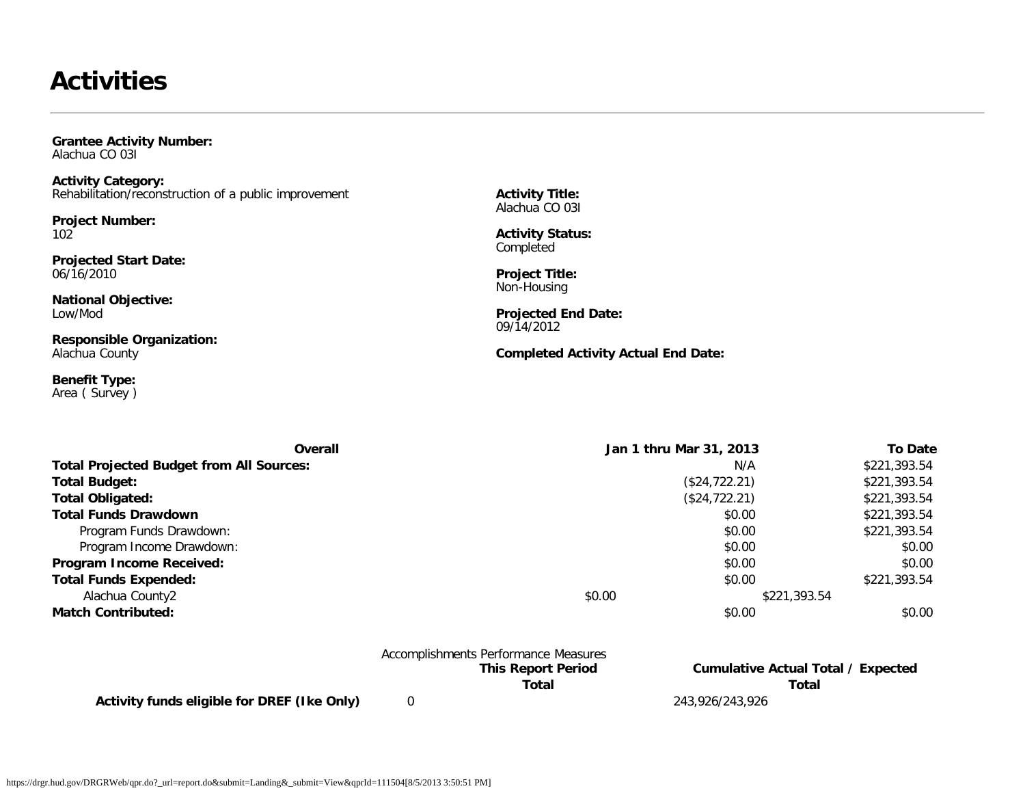### **Activities**

<span id="page-10-0"></span>**Grantee Activity Number:** Alachua CO 03I

**Activity Category:** Rehabilitation/reconstruction of a public improvement

**Project Number:** 102

**Projected Start Date:** 06/16/2010

**National Objective:** Low/Mod

**Responsible Organization:** Alachua County

**Benefit Type:** Area ( Survey ) **Activity Title:** Alachua CO 03I

**Activity Status:** Completed

**Project Title:** Non-Housing

**Projected End Date:** 09/14/2012

**Completed Activity Actual End Date:**

| Overall                                         | Jan 1 thru Mar 31, 2013 | <b>To Date</b> |
|-------------------------------------------------|-------------------------|----------------|
| <b>Total Projected Budget from All Sources:</b> | N/A                     | \$221,393.54   |
| <b>Total Budget:</b>                            | (\$24,722.21)           | \$221,393.54   |
| <b>Total Obligated:</b>                         | (\$24,722.21)           | \$221,393.54   |
| <b>Total Funds Drawdown</b>                     | \$0.00                  | \$221,393.54   |
| Program Funds Drawdown:                         | \$0.00                  | \$221,393.54   |
| Program Income Drawdown:                        | \$0.00                  | \$0.00         |
| Program Income Received:                        | \$0.00                  | \$0.00         |
| <b>Total Funds Expended:</b>                    | \$0.00                  | \$221,393.54   |
| Alachua County2                                 | \$0.00                  | \$221,393.54   |
| <b>Match Contributed:</b>                       | \$0.00                  | \$0.00         |

Accomplishments Performance Measures

**Activity funds eligible for DREF (Ike Only)** 0 243,926/243,926

**This Report Period Cumulative Actual Total / Expected Total Total**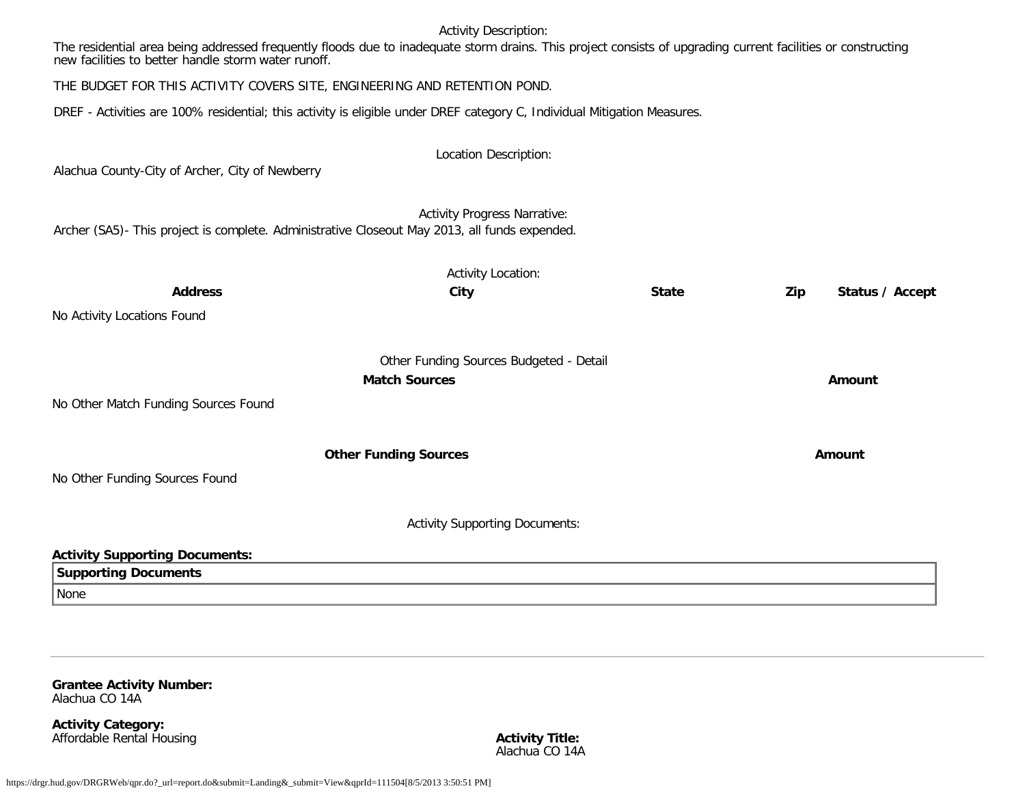#### Activity Description:

The residential area being addressed frequently floods due to inadequate storm drains. This project consists of upgrading current facilities or constructing new facilities to better handle storm water runoff.

THE BUDGET FOR THIS ACTIVITY COVERS SITE, ENGINEERING AND RETENTION POND.

DREF - Activities are 100% residential; this activity is eligible under DREF category C, Individual Mitigation Measures.

| Alachua County-City of Archer, City of Newberry                                               | Location Description:                   |              |                        |
|-----------------------------------------------------------------------------------------------|-----------------------------------------|--------------|------------------------|
| Archer (SA5)- This project is complete. Administrative Closeout May 2013, all funds expended. | <b>Activity Progress Narrative:</b>     |              |                        |
|                                                                                               | <b>Activity Location:</b>               |              |                        |
| <b>Address</b>                                                                                | City                                    | <b>State</b> | Zip<br>Status / Accept |
| No Activity Locations Found                                                                   |                                         |              |                        |
|                                                                                               | Other Funding Sources Budgeted - Detail |              |                        |
|                                                                                               |                                         | Amount       |                        |
| No Other Match Funding Sources Found                                                          |                                         |              |                        |
|                                                                                               | <b>Other Funding Sources</b>            |              | <b>Amount</b>          |
| No Other Funding Sources Found                                                                |                                         |              |                        |
|                                                                                               | <b>Activity Supporting Documents:</b>   |              |                        |
| <b>Activity Supporting Documents:</b>                                                         |                                         |              |                        |
| <b>Supporting Documents</b>                                                                   |                                         |              |                        |
| None                                                                                          |                                         |              |                        |

<span id="page-11-0"></span>**Grantee Activity Number:** Alachua CO 14A

**Activity Category:** Affordable Rental Housing **Activity Title:** Affordable Rental Housing

Alachua CO 14A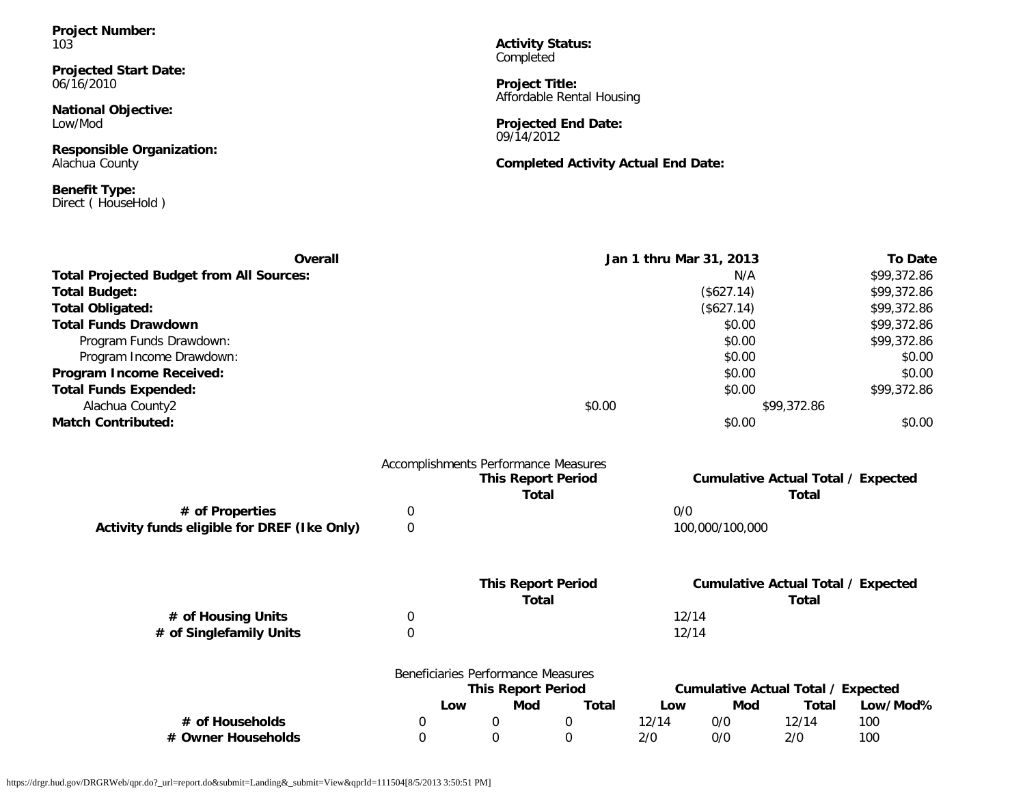**Project Number:** 103

**Projected Start Date:** 06/16/2010

**National Objective:** Low/Mod

**Responsible Organization:** Alachua County

**Benefit Type:** Direct ( HouseHold ) **Activity Status: Completed** 

**Project Title:** Affordable Rental Housing

**Projected End Date:** 09/14/2012

**Completed Activity Actual End Date:**

| Overall                                         |             |                                      | Jan 1 thru Mar 31, 2013 |       |                 |                                           | <b>To Date</b> |
|-------------------------------------------------|-------------|--------------------------------------|-------------------------|-------|-----------------|-------------------------------------------|----------------|
| <b>Total Projected Budget from All Sources:</b> |             |                                      |                         |       | N/A             |                                           | \$99,372.86    |
| <b>Total Budget:</b>                            |             |                                      |                         |       | (\$627.14)      |                                           | \$99,372.86    |
| <b>Total Obligated:</b>                         |             |                                      |                         |       | (\$627.14)      |                                           | \$99,372.86    |
| <b>Total Funds Drawdown</b>                     |             |                                      |                         |       | \$0.00          |                                           | \$99,372.86    |
| Program Funds Drawdown:                         |             |                                      |                         |       | \$0.00          |                                           | \$99,372.86    |
| Program Income Drawdown:                        |             |                                      |                         |       | \$0.00          |                                           | \$0.00         |
| Program Income Received:                        |             |                                      |                         |       | \$0.00          |                                           | \$0.00         |
| <b>Total Funds Expended:</b>                    |             |                                      |                         |       | \$0.00          |                                           | \$99,372.86    |
| Alachua County2                                 |             |                                      | \$0.00                  |       |                 | \$99,372.86                               |                |
| <b>Match Contributed:</b>                       |             |                                      |                         |       | \$0.00          |                                           | \$0.00         |
|                                                 |             | Accomplishments Performance Measures |                         |       |                 |                                           |                |
|                                                 |             | <b>This Report Period</b>            |                         |       |                 | <b>Cumulative Actual Total / Expected</b> |                |
|                                                 |             | <b>Total</b>                         |                         |       |                 | <b>Total</b>                              |                |
| # of Properties                                 | 0           |                                      |                         | 0/0   |                 |                                           |                |
| Activity funds eligible for DREF (Ike Only)     | $\mathbf 0$ |                                      |                         |       | 100,000/100,000 |                                           |                |
|                                                 |             | <b>This Report Period</b>            |                         |       |                 | <b>Cumulative Actual Total / Expected</b> |                |
|                                                 |             | <b>Total</b>                         |                         |       |                 | <b>Total</b>                              |                |
| # of Housing Units                              | 0           |                                      |                         | 12/14 |                 |                                           |                |
| # of Singlefamily Units                         | 0           |                                      |                         | 12/14 |                 |                                           |                |
|                                                 |             | Beneficiaries Performance Measures   |                         |       |                 |                                           |                |
|                                                 |             | <b>This Report Period</b>            |                         |       |                 | <b>Cumulative Actual Total / Expected</b> |                |
|                                                 |             | <b>Mod</b><br>Low                    | <b>Total</b>            | Low   | Mod             | <b>Total</b>                              | Low/Mod%       |
| # of Households                                 | 0           | 0                                    | $\mathbf 0$             | 12/14 | 0/0             | 12/14                                     | 100            |
| # Owner Households                              | $\mathbf 0$ | 0                                    | $\Omega$                | 2/0   | 0/0             | 2/0                                       | 100            |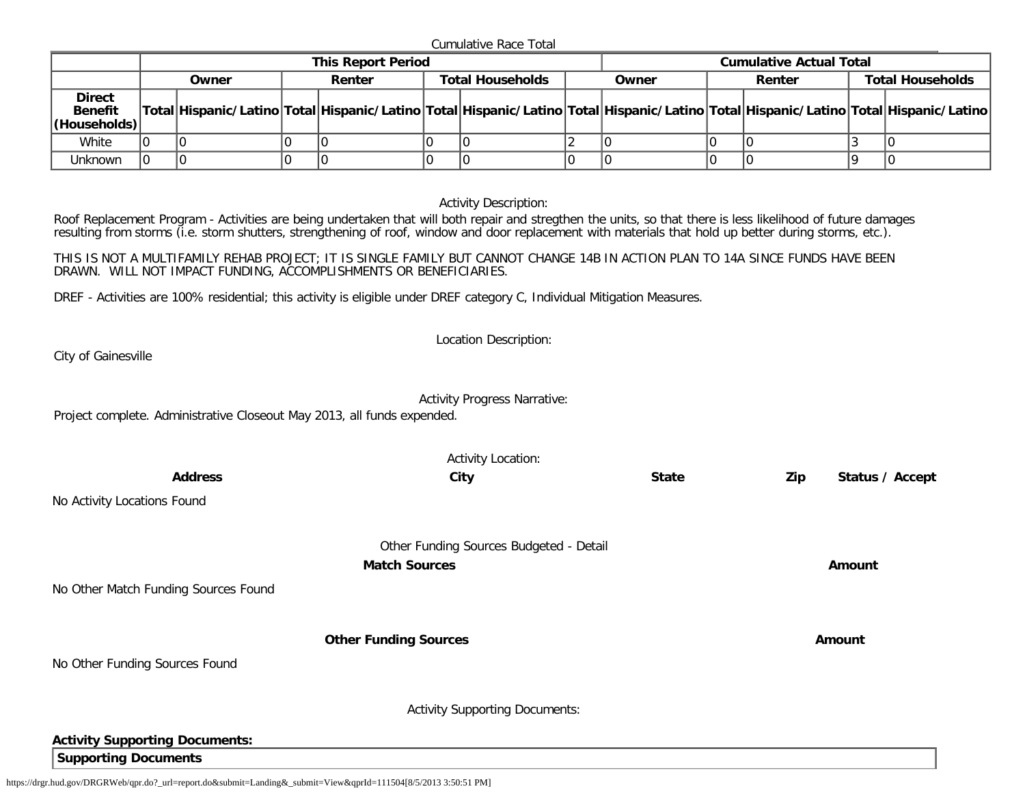Cumulative Race Total

|                                                 | <b>This Report Period</b> |       |  |        |  |                                            | <b>Cumulative Actual Total</b> |                                                                                                                                     |  |                         |  |  |
|-------------------------------------------------|---------------------------|-------|--|--------|--|--------------------------------------------|--------------------------------|-------------------------------------------------------------------------------------------------------------------------------------|--|-------------------------|--|--|
|                                                 |                           | Owner |  | Renter |  | <b>Total Households</b><br>Renter<br>Owner |                                |                                                                                                                                     |  | <b>Total Households</b> |  |  |
| <b>Direct</b><br><b>Benefit</b><br>(Households) |                           |       |  |        |  |                                            |                                | Total Hispanic/Latino Total Hispanic/Latino Total Hispanic/Latino Total Hispanic/Latino Total Hispanic/Latino Total Hispanic/Latino |  |                         |  |  |
| White                                           |                           |       |  |        |  |                                            |                                |                                                                                                                                     |  |                         |  |  |
| Unknown                                         |                           |       |  |        |  |                                            |                                |                                                                                                                                     |  |                         |  |  |

Activity Description:

Roof Replacement Program - Activities are being undertaken that will both repair and stregthen the units, so that there is less likelihood of future damages resulting from storms (i.e. storm shutters, strengthening of roof, window and door replacement with materials that hold up better during storms, etc.).

THIS IS NOT A MULTIFAMILY REHAB PROJECT; IT IS SINGLE FAMILY BUT CANNOT CHANGE 14B IN ACTION PLAN TO 14A SINCE FUNDS HAVE BEEN DRAWN. WILL NOT IMPACT FUNDING, ACCOMPLISHMENTS OR BENEFICIARIES.

DREF - Activities are 100% residential; this activity is eligible under DREF category C, Individual Mitigation Measures.

City of Gainesville

Activity Progress Narrative:

Location Description:

Project complete. Administrative Closeout May 2013, all funds expended.

|                                       | <b>Activity Location:</b>               |              |     |                 |
|---------------------------------------|-----------------------------------------|--------------|-----|-----------------|
| <b>Address</b>                        | City                                    | <b>State</b> | Zip | Status / Accept |
| No Activity Locations Found           |                                         |              |     |                 |
|                                       | Other Funding Sources Budgeted - Detail |              |     |                 |
|                                       | <b>Match Sources</b>                    |              |     | Amount          |
| No Other Match Funding Sources Found  |                                         |              |     |                 |
|                                       | <b>Other Funding Sources</b>            |              |     | Amount          |
| No Other Funding Sources Found        |                                         |              |     |                 |
|                                       | <b>Activity Supporting Documents:</b>   |              |     |                 |
| <b>Activity Supporting Documents:</b> |                                         |              |     |                 |
| <b>Supporting Documents</b>           |                                         |              |     |                 |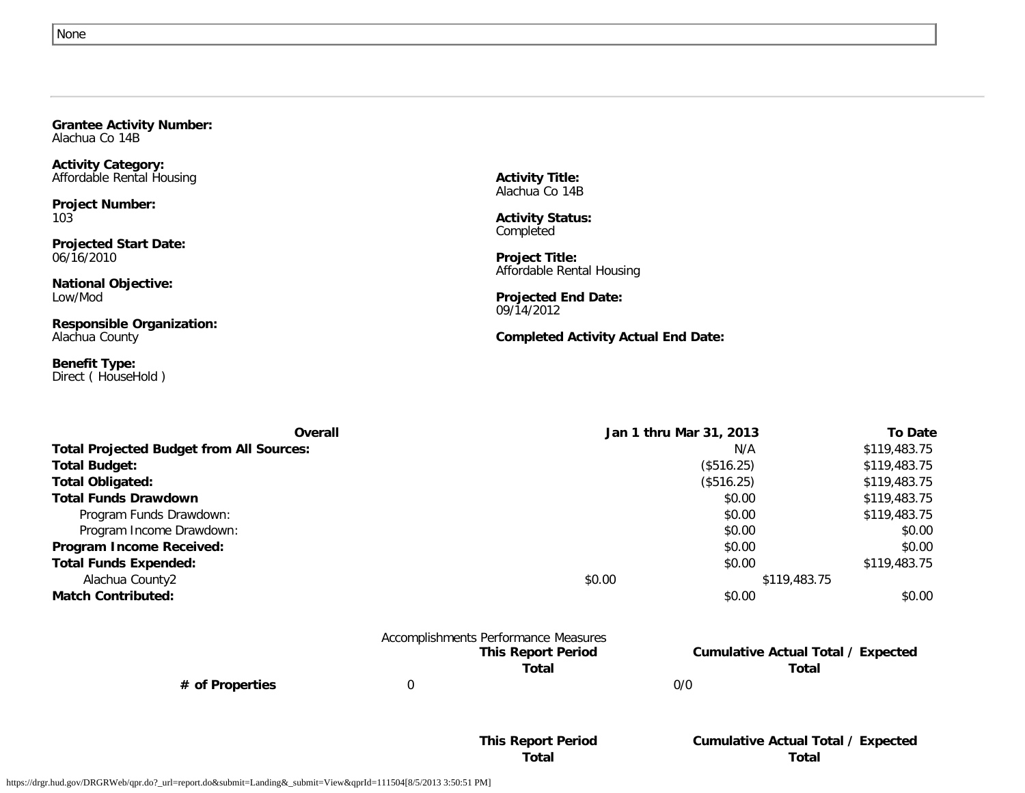<span id="page-14-0"></span>

| <b>Grantee Activity Number:</b> |  |
|---------------------------------|--|
| Alachua Co 14B                  |  |

**Activity Category:** Affordable Rental Housing

**Project Number:** 103

**Projected Start Date:** 06/16/2010

**National Objective:** Low/Mod

**Responsible Organization:** Alachua County

**Benefit Type:** Direct ( HouseHold ) **Activity Title:** Alachua Co 14B

**Activity Status:** Completed

**Project Title:** Affordable Rental Housing

**Projected End Date:** 09/14/2012

**Completed Activity Actual End Date:**

| Overall                                         | Jan 1 thru Mar 31, 2013 | <b>To Date</b> |
|-------------------------------------------------|-------------------------|----------------|
| <b>Total Projected Budget from All Sources:</b> | N/A                     | \$119,483.75   |
| <b>Total Budget:</b>                            | (\$516.25)              | \$119,483.75   |
| <b>Total Obligated:</b>                         | (\$516.25)              | \$119,483.75   |
| <b>Total Funds Drawdown</b>                     | \$0.00                  | \$119,483.75   |
| Program Funds Drawdown:                         | \$0.00                  | \$119,483.75   |
| Program Income Drawdown:                        | \$0.00                  | \$0.00         |
| Program Income Received:                        | \$0.00                  | \$0.00         |
| <b>Total Funds Expended:</b>                    | \$0.00                  | \$119,483.75   |
| Alachua County2                                 | \$0.00<br>\$119,483.75  |                |
| <b>Match Contributed:</b>                       | \$0.00                  | \$0.00         |

|                 | Accomplishments Performance Measures |     |                            |
|-----------------|--------------------------------------|-----|----------------------------|
|                 | <b>This Report Period</b>            |     | <b>Cumulative Actual T</b> |
|                 | Total                                |     | Total                      |
| # of Properties |                                      | 0/0 |                            |

# **Cumulative Actual Total / Expected**

**This Report Period Cumulative Actual Total / Expected Total Total**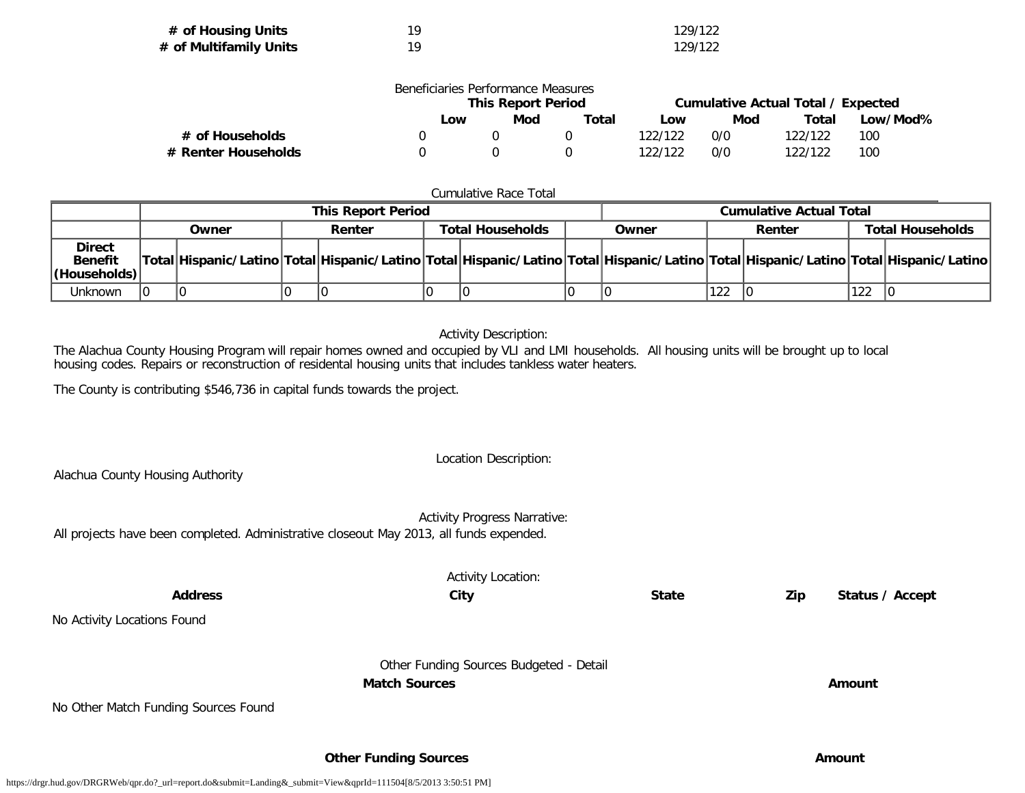| # of Housing Units     | 129/122 |
|------------------------|---------|
| # of Multifamily Units | 129/122 |

|                     | Beneficiaries Performance Measures |                           |       |         |     |                                    |          |
|---------------------|------------------------------------|---------------------------|-------|---------|-----|------------------------------------|----------|
|                     |                                    | <b>This Report Period</b> |       |         |     | Cumulative Actual Total / Expected |          |
|                     | Low                                | Mod                       | Total | Low     | Mod | Total                              | Low/Mod% |
| # of Households     |                                    |                           |       | 122/122 | 0/0 | 122/122                            | 100      |
| # Renter Households |                                    |                           |       | 122/122 | 0/0 | 122/122                            | 100      |

#### Cumulative Race Total

|                                                  | <b>This Report Period</b> |       |  |        |                         |  | <b>Cumulative Actual Total</b> |     |        |     |                                                                                                                                     |
|--------------------------------------------------|---------------------------|-------|--|--------|-------------------------|--|--------------------------------|-----|--------|-----|-------------------------------------------------------------------------------------------------------------------------------------|
|                                                  |                           | Owner |  | Renter | <b>Total Households</b> |  | Owner                          |     | Renter |     | <b>Total Households</b>                                                                                                             |
| <b>Direct</b><br><b>Benefit</b><br> (Households) |                           |       |  |        |                         |  |                                |     |        |     | Total Hispanic/Latino Total Hispanic/Latino Total Hispanic/Latino Total Hispanic/Latino Total Hispanic/Latino Total Hispanic/Latino |
| Unknown                                          |                           |       |  |        |                         |  |                                | 122 |        | 122 |                                                                                                                                     |

#### Activity Description:

The Alachua County Housing Program will repair homes owned and occupied by VLI and LMI households. All housing units will be brought up to local housing codes. Repairs or reconstruction of residental housing units that includes tankless water heaters.

The County is contributing \$546,736 in capital funds towards the project.

Location Description: Alachua County Housing Authority Activity Progress Narrative: All projects have been completed. Administrative closeout May 2013, all funds expended.

| <b>Address</b>                       | <b>Activity Location:</b><br>City                               | <b>State</b> | Zip | Status / Accept |
|--------------------------------------|-----------------------------------------------------------------|--------------|-----|-----------------|
| No Activity Locations Found          |                                                                 |              |     |                 |
|                                      | Other Funding Sources Budgeted - Detail<br><b>Match Sources</b> |              |     | Amount          |
| No Other Match Funding Sources Found |                                                                 |              |     |                 |
|                                      | <b>Other Funding Sources</b>                                    |              |     | Amount          |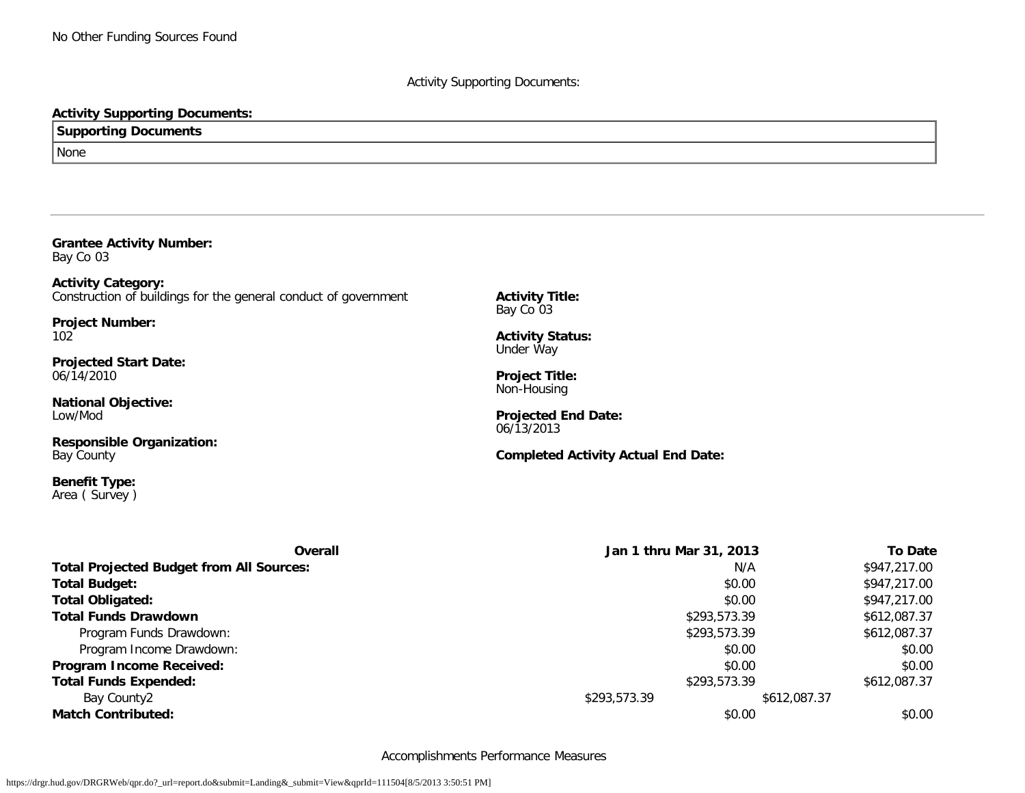#### Activity Supporting Documents:

#### **Activity Supporting Documents:**

#### **Supporting Documents**

None

<span id="page-16-0"></span>

| <b>Grantee Activity Number:</b><br>Bay Co 03                                                 |                                            |  |  |
|----------------------------------------------------------------------------------------------|--------------------------------------------|--|--|
| <b>Activity Category:</b><br>Construction of buildings for the general conduct of government | <b>Activity Title:</b><br>Bay Co 03        |  |  |
| <b>Project Number:</b><br>102                                                                | <b>Activity Status:</b><br>Under Way       |  |  |
| <b>Projected Start Date:</b><br>06/14/2010                                                   | <b>Project Title:</b><br>Non-Housing       |  |  |
| <b>National Objective:</b><br>Low/Mod                                                        | <b>Projected End Date:</b><br>06/13/2013   |  |  |
| <b>Responsible Organization:</b><br>Bay County                                               | <b>Completed Activity Actual End Date:</b> |  |  |
| <b>Benefit Type:</b><br>Area (Survey)                                                        |                                            |  |  |
| Overall                                                                                      | Jan 1 thru Mar 31,                         |  |  |
| <b>Total Projected Budget from All Sources:</b>                                              |                                            |  |  |
| <b>Total Budget:</b>                                                                         |                                            |  |  |
| <b>Total Obligated:</b>                                                                      |                                            |  |  |
| <b>Total Funds Drawdown</b>                                                                  | \$293,5                                    |  |  |

**Overall Jan 1 thru Mar 31, 2013 To Date Total Projected Budget from All Sources:** N/A \$947,217.00 **Total Budget:** \$0.00 \$947,217.00 **Total Obligated:** \$0.00 \$947,217.00 **Total Funds Drawdown** \$293,573.39 \$612,087.37 Program Funds Drawdown: \$612,087.37 \$612,087.37 Program Income Drawdown: \$0.00 \$0.00 \$0.00 \$0.00 \$0.00 \$0.00 \$0.00 \$0.00 \$0.00 \$1.00 \$1.00 \$1.00 \$1.00 \$1.00 \$1.00 \$1.00 \$1.00 \$1.00 \$1.00 \$1.00 \$1.00 \$1.00 \$1.00 \$1.00 \$1.00 \$1.00 \$1.00 \$1.00 \$1.00 \$1.00 \$1.00 \$1.00 \$1.00 **Program Income Received:**  $$0.00$  \$0.00  $$0.00$ **Total Funds Expended:**  $$612,087.37$ Bay County2 \$612,087.37 **Match Contributed:**  $$0.00$   $$0.00$ 

Accomplishments Performance Measures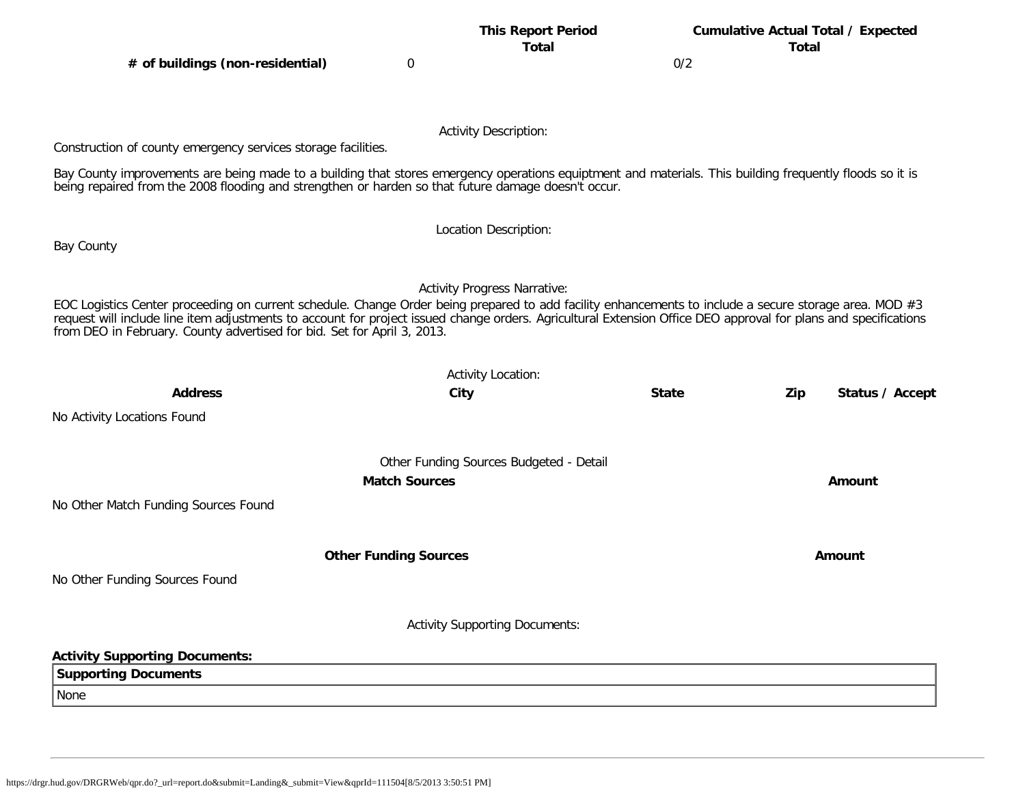# **This Report Period Cumulative Actual Total / Expected**

**Total Total**

**# of buildings (non-residential)** 0 0/2

Activity Description:

Construction of county emergency services storage facilities.

Bay County improvements are being made to a building that stores emergency operations equiptment and materials. This building frequently floods so it is being repaired from the 2008 flooding and strengthen or harden so that future damage doesn't occur.

Bay County

#### Activity Progress Narrative:

Location Description:

EOC Logistics Center proceeding on current schedule. Change Order being prepared to add facility enhancements to include a secure storage area. MOD #3 request will include line item adjustments to account for project issued change orders. Agricultural Extension Office DEO approval for plans and specifications from DEO in February. County advertised for bid. Set for April 3, 2013.

| <b>Address</b>                        | <b>Activity Location:</b><br>City       | <b>State</b> | Zip | Status / Accept |
|---------------------------------------|-----------------------------------------|--------------|-----|-----------------|
| No Activity Locations Found           |                                         |              |     |                 |
|                                       | Other Funding Sources Budgeted - Detail |              |     |                 |
|                                       | <b>Match Sources</b>                    |              |     | Amount          |
| No Other Match Funding Sources Found  |                                         |              |     |                 |
|                                       | <b>Other Funding Sources</b>            |              |     | Amount          |
| No Other Funding Sources Found        |                                         |              |     |                 |
|                                       | <b>Activity Supporting Documents:</b>   |              |     |                 |
| <b>Activity Supporting Documents:</b> |                                         |              |     |                 |
| <b>Supporting Documents</b>           |                                         |              |     |                 |
| None                                  |                                         |              |     |                 |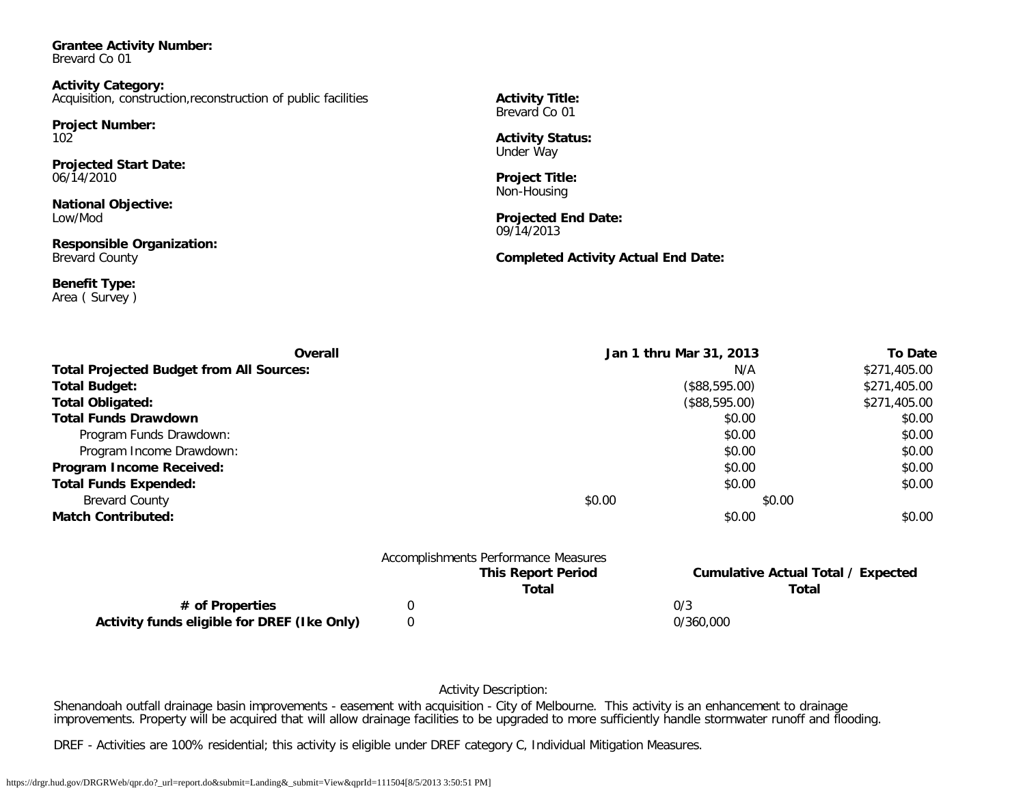<span id="page-18-0"></span>**Grantee Activity Number:** Brevard Co 01

**Activity Category:** Acquisition, construction,reconstruction of public facilities

**Project Number:** 102

**Projected Start Date:** 06/14/2010

**National Objective:** Low/Mod

**Responsible Organization:** Brevard County

**Benefit Type:** Area ( Survey ) **Activity Title:** Brevard Co 01

**Activity Status:** Under Way

**Project Title:** Non-Housing

**Projected End Date:** 09/14/2013

**Completed Activity Actual End Date:**

| Overall                                         | Jan 1 thru Mar 31, 2013              |                                           | <b>To Date</b> |
|-------------------------------------------------|--------------------------------------|-------------------------------------------|----------------|
| <b>Total Projected Budget from All Sources:</b> |                                      | N/A                                       | \$271,405.00   |
| <b>Total Budget:</b>                            |                                      | (\$88,595.00)                             | \$271,405.00   |
| <b>Total Obligated:</b>                         |                                      | (\$88,595.00)                             | \$271,405.00   |
| <b>Total Funds Drawdown</b>                     |                                      | \$0.00                                    | \$0.00         |
| Program Funds Drawdown:                         |                                      | \$0.00                                    | \$0.00         |
| Program Income Drawdown:                        |                                      | \$0.00                                    | \$0.00         |
| Program Income Received:                        |                                      | \$0.00                                    | \$0.00         |
| <b>Total Funds Expended:</b>                    |                                      | \$0.00                                    | \$0.00         |
| <b>Brevard County</b>                           | \$0.00                               | \$0.00                                    |                |
| <b>Match Contributed:</b>                       |                                      | \$0.00                                    | \$0.00         |
|                                                 | Accomplishments Performance Measures |                                           |                |
|                                                 | <b>This Report Period</b>            | <b>Cumulative Actual Total / Expected</b> |                |
|                                                 | Total                                | Total                                     |                |

**# of Properties** 0 0/3 **Activity funds eligible for DREF (Ike Only)** 0 0/360,000

Activity Description:

Shenandoah outfall drainage basin improvements - easement with acquisition - City of Melbourne. This activity is an enhancement to drainage improvements. Property will be acquired that will allow drainage facilities to be upgraded to more sufficiently handle stormwater runoff and flooding.

DREF - Activities are 100% residential; this activity is eligible under DREF category C, Individual Mitigation Measures.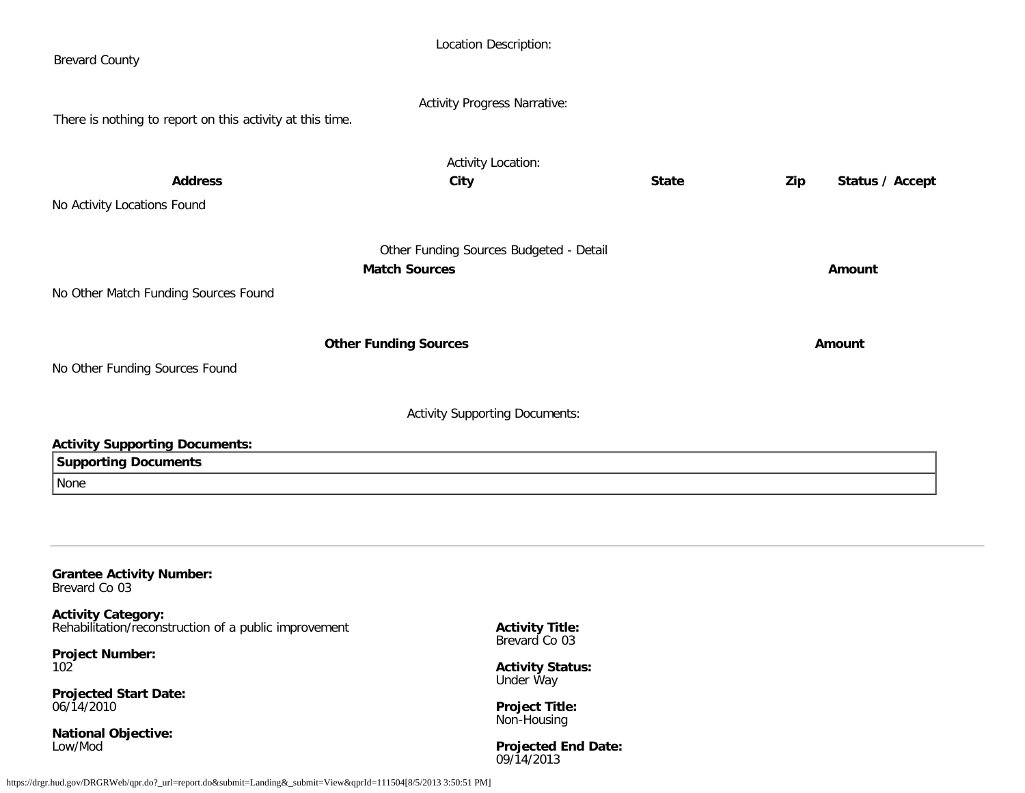| <b>Brevard County</b>                                                              | Location Description:                    |              |                        |
|------------------------------------------------------------------------------------|------------------------------------------|--------------|------------------------|
| There is nothing to report on this activity at this time.                          | <b>Activity Progress Narrative:</b>      |              |                        |
|                                                                                    |                                          |              |                        |
| <b>Address</b>                                                                     | <b>Activity Location:</b><br>City        | <b>State</b> | Status / Accept<br>Zip |
| No Activity Locations Found                                                        |                                          |              |                        |
|                                                                                    | Other Funding Sources Budgeted - Detail  |              |                        |
|                                                                                    | <b>Match Sources</b>                     |              | <b>Amount</b>          |
| No Other Match Funding Sources Found                                               |                                          |              |                        |
|                                                                                    |                                          |              |                        |
| <b>Other Funding Sources</b>                                                       | Amount                                   |              |                        |
| No Other Funding Sources Found                                                     |                                          |              |                        |
|                                                                                    | <b>Activity Supporting Documents:</b>    |              |                        |
| <b>Activity Supporting Documents:</b>                                              |                                          |              |                        |
| <b>Supporting Documents</b>                                                        |                                          |              |                        |
| None                                                                               |                                          |              |                        |
|                                                                                    |                                          |              |                        |
| <b>Grantee Activity Number:</b><br>Brevard Co 03                                   |                                          |              |                        |
| <b>Activity Category:</b><br>Rehabilitation/reconstruction of a public improvement | <b>Activity Title:</b>                   |              |                        |
| <b>Project Number:</b><br>102                                                      | Brevard Co 03<br><b>Activity Status:</b> |              |                        |

<span id="page-19-0"></span>**Projected Start Date:** 06/14/2010

**National Objective:** Low/Mod

**Activity Status:** Under Way

**Project Title:** Non-Housing

**Projected End Date:** 09/14/2013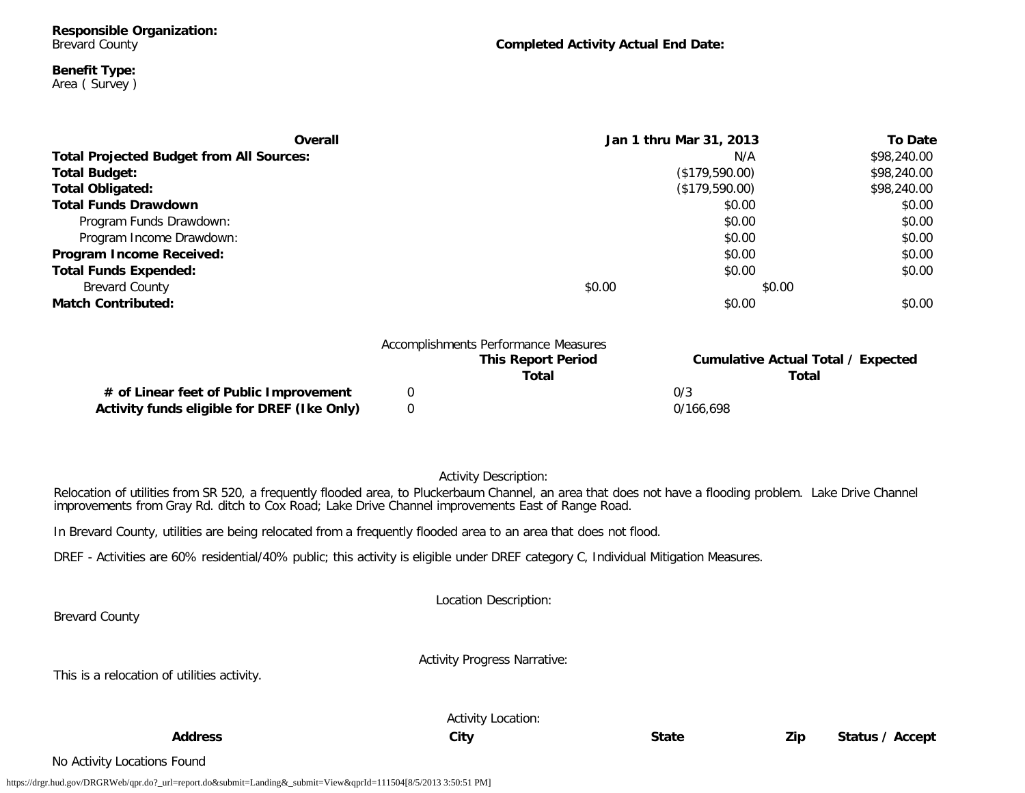#### **Benefit Type:** Area ( Survey )

| Overall                                         | Jan 1 thru Mar 31, 2013              |                | <b>To Date</b> |
|-------------------------------------------------|--------------------------------------|----------------|----------------|
| <b>Total Projected Budget from All Sources:</b> |                                      | N/A            | \$98,240.00    |
| <b>Total Budget:</b>                            |                                      | (\$179,590.00) | \$98,240.00    |
| <b>Total Obligated:</b>                         |                                      | (\$179,590.00) | \$98,240.00    |
| <b>Total Funds Drawdown</b>                     |                                      | \$0.00         | \$0.00         |
| Program Funds Drawdown:                         |                                      | \$0.00         | \$0.00         |
| Program Income Drawdown:                        |                                      | \$0.00         | \$0.00         |
| Program Income Received:                        |                                      | \$0.00         | \$0.00         |
| <b>Total Funds Expended:</b>                    |                                      | \$0.00         | \$0.00         |
| <b>Brevard County</b>                           | \$0.00                               | \$0.00         |                |
| <b>Match Contributed:</b>                       |                                      | \$0.00         | \$0.00         |
|                                                 |                                      |                |                |
|                                                 | Accomplishments Performance Measures |                |                |

|                                             | <b>This Report Period</b><br>Total | Cumulative Actual Total / Expected<br>Total |
|---------------------------------------------|------------------------------------|---------------------------------------------|
| # of Linear feet of Public Improvement      |                                    | 0/3                                         |
| Activity funds eligible for DREF (Ike Only) |                                    | 0/166.698                                   |

#### Activity Description:

Relocation of utilities from SR 520, a frequently flooded area, to Pluckerbaum Channel, an area that does not have a flooding problem. Lake Drive Channel improvements from Gray Rd. ditch to Cox Road; Lake Drive Channel improvements East of Range Road.

In Brevard County, utilities are being relocated from a frequently flooded area to an area that does not flood.

DREF - Activities are 60% residential/40% public; this activity is eligible under DREF category C, Individual Mitigation Measures.

Location Description:

Brevard County

This is a relocation of utilities activity.

Activity Progress Narrative:

**Address City State Zip Status / Accept**

Activity Location:

No Activity Locations Found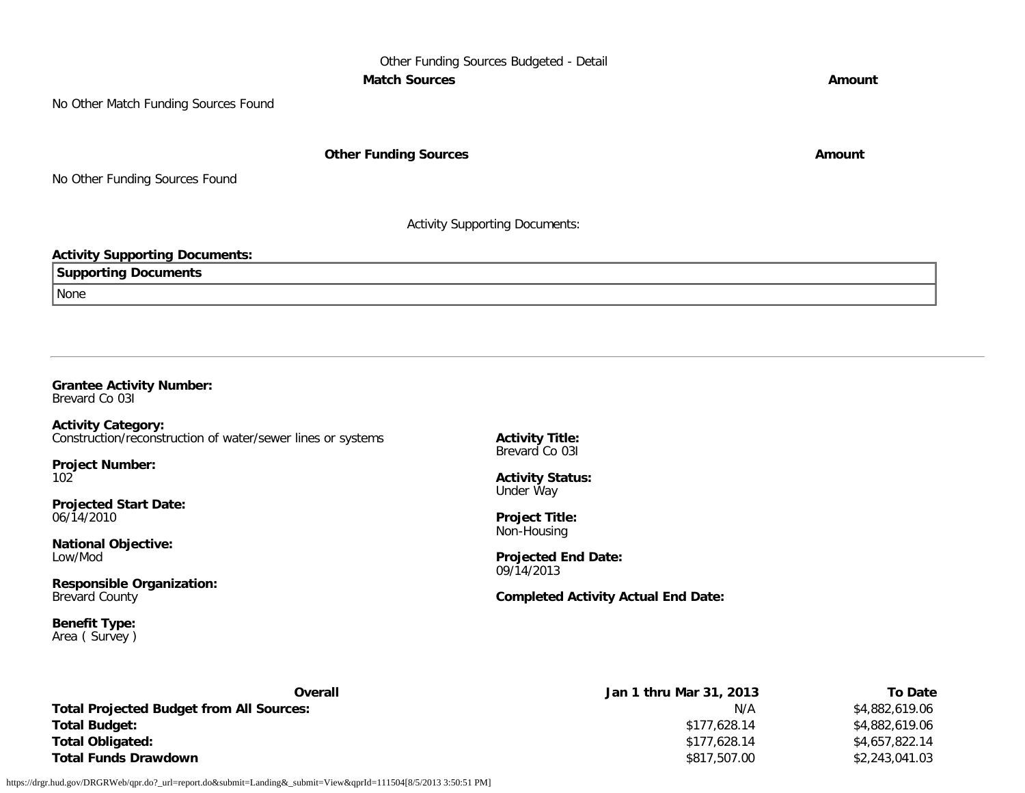Other Funding Sources Budgeted - Detail **Match Sources Amount** 

No Other Match Funding Sources Found

**Other Funding Sources Amount Amount Amount** 

No Other Funding Sources Found

Activity Supporting Documents:

#### **Activity Supporting Documents:**

| ' Sunnorting<br><b>Documents</b> <sup>.</sup><br>- |  |
|----------------------------------------------------|--|
| <i>None</i>                                        |  |

#### <span id="page-21-0"></span>**Grantee Activity Number:**

Brevard Co 03I

**Activity Category:** Construction/reconstruction of water/sewer lines or systems

**Project Number:** 102

**Projected Start Date:** 06/14/2010

**National Objective:** Low/Mod

**Responsible Organization:** Brevard County

**Benefit Type:** Area ( Survey ) **Activity Title:** Brevard Co 03I

**Activity Status:** Under Way

**Project Title:** Non-Housing

**Projected End Date:** 09/14/2013

**Completed Activity Actual End Date:**

| Overall                                         | Jan 1 thru Mar 31, 2013 | To Date        |
|-------------------------------------------------|-------------------------|----------------|
| <b>Total Projected Budget from All Sources:</b> | N/A                     | \$4.882.619.06 |
| <b>Total Budget:</b>                            | \$177,628.14            | \$4.882.619.06 |
| <b>Total Obligated:</b>                         | \$177,628.14            | \$4,657,822.14 |
| <b>Total Funds Drawdown</b>                     | \$817,507.00            | \$2,243,041.03 |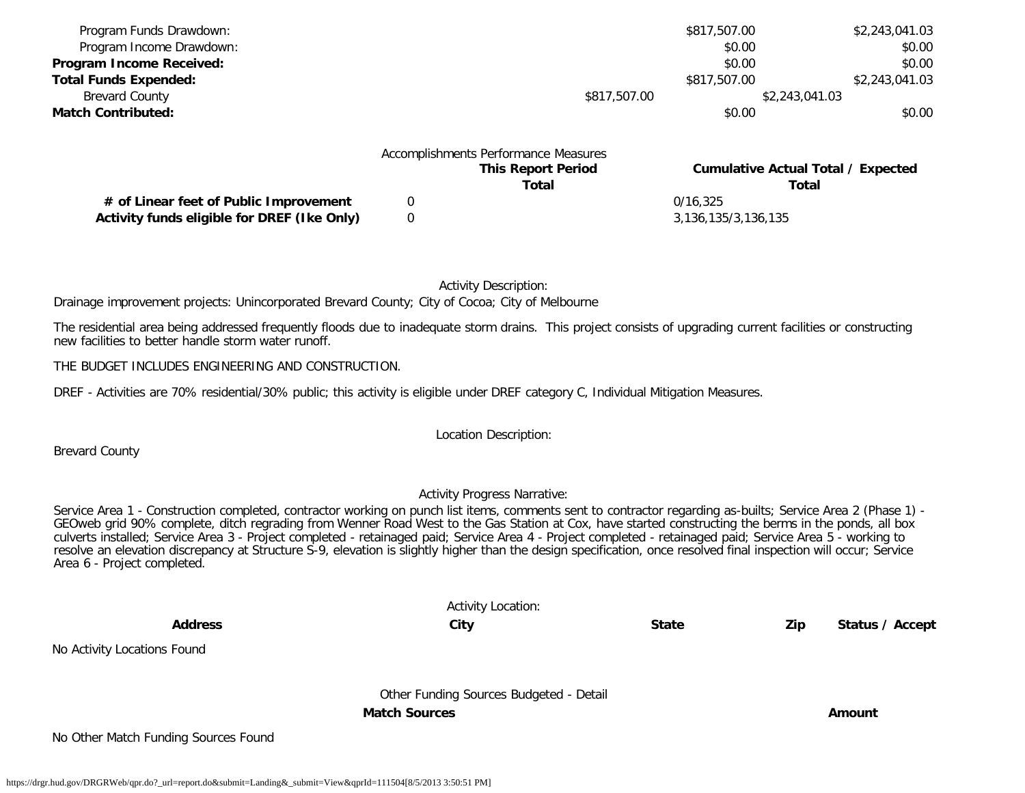| Program Funds Drawdown:                |   |                                      | \$817,507.00 | \$2,243,041.03                            |
|----------------------------------------|---|--------------------------------------|--------------|-------------------------------------------|
| Program Income Drawdown:               |   |                                      | \$0.00       | \$0.00                                    |
| Program Income Received:               |   |                                      | \$0.00       | \$0.00                                    |
| <b>Total Funds Expended:</b>           |   |                                      | \$817,507.00 | \$2,243,041.03                            |
| <b>Brevard County</b>                  |   | \$817,507.00                         |              | \$2,243,041.03                            |
| <b>Match Contributed:</b>              |   |                                      | \$0.00       | \$0.00                                    |
|                                        |   | Accomplishments Performance Measures |              |                                           |
|                                        |   | <b>This Report Period</b>            |              | <b>Cumulative Actual Total / Expected</b> |
|                                        |   | Total                                |              | Total                                     |
| # of Linear feet of Public Improvement | 0 |                                      | 0/16.325     |                                           |

Activity Description:

Drainage improvement projects: Unincorporated Brevard County; City of Cocoa; City of Melbourne

The residential area being addressed frequently floods due to inadequate storm drains. This project consists of upgrading current facilities or constructing new facilities to better handle storm water runoff.

**Activity funds eligible for DREF (Ike Only)** 0 3,136,135/3,136,135/3,136,135

THE BUDGET INCLUDES ENGINEERING AND CONSTRUCTION.

DREF - Activities are 70% residential/30% public; this activity is eligible under DREF category C, Individual Mitigation Measures.

Location Description:

Brevard County

#### Activity Progress Narrative:

Service Area 1 - Construction completed, contractor working on punch list items, comments sent to contractor regarding as-builts; Service Area 2 (Phase 1) - GEOweb grid 90% complete, ditch regrading from Wenner Road West to the Gas Station at Cox, have started constructing the berms in the ponds, all box culverts installed; Service Area 3 - Project completed - retainaged paid; Service Area 4 - Project completed - retainaged paid; Service Area 5 - working to resolve an elevation discrepancy at Structure S-9, elevation is slightly higher than the design specification, once resolved final inspection will occur; Service Area 6 - Project completed.

|                                      | <b>Activity Location:</b>               |              |                        |  |
|--------------------------------------|-----------------------------------------|--------------|------------------------|--|
| <b>Address</b>                       | City                                    | <b>State</b> | Zip<br>Status / Accept |  |
| No Activity Locations Found          |                                         |              |                        |  |
|                                      | Other Funding Sources Budgeted - Detail |              |                        |  |
|                                      | <b>Match Sources</b>                    |              | Amount                 |  |
| No Other Match Funding Sources Found |                                         |              |                        |  |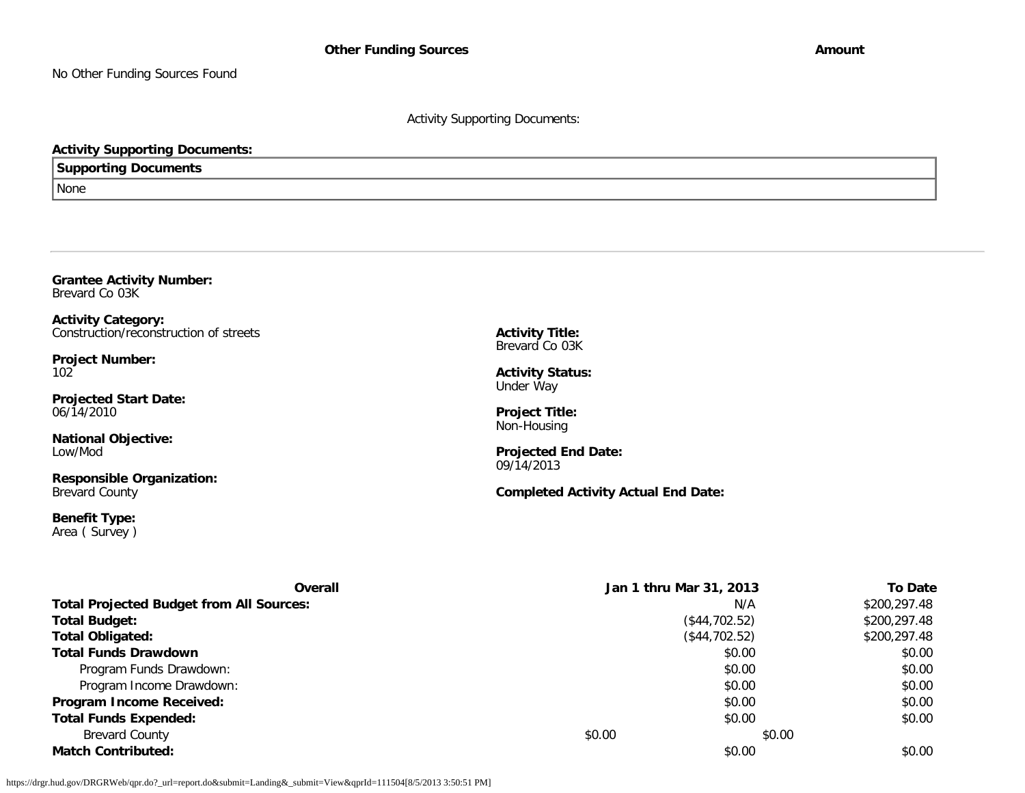No Other Funding Sources Found

Activity Supporting Documents:

#### **Activity Supporting Documents:**

**Supporting Documents**

<span id="page-23-0"></span>**Grantee Activity Number:**

None

| <b>Activity Title:</b>                                                                                                   |                                                                 |                                                                                                                            |  |  |
|--------------------------------------------------------------------------------------------------------------------------|-----------------------------------------------------------------|----------------------------------------------------------------------------------------------------------------------------|--|--|
| <b>Activity Status:</b><br>Under Way<br><b>Project Title:</b><br>Non-Housing<br><b>Projected End Date:</b><br>09/14/2013 |                                                                 |                                                                                                                            |  |  |
| \$0.00                                                                                                                   | N/A<br>\$0.00<br>\$0.00<br>\$0.00<br>\$0.00<br>\$0.00<br>\$0.00 | <b>To Date</b><br>\$200,297.48<br>\$200,297.48<br>\$200,297.48<br>\$0.00<br>\$0.00<br>\$0.00<br>\$0.00<br>\$0.00<br>\$0.00 |  |  |
|                                                                                                                          | Brevard Co 03K                                                  | <b>Completed Activity Actual End Date:</b><br>Jan 1 thru Mar 31, 2013<br>(\$44,702.52)<br>(\$44,702.52)<br>\$0.00          |  |  |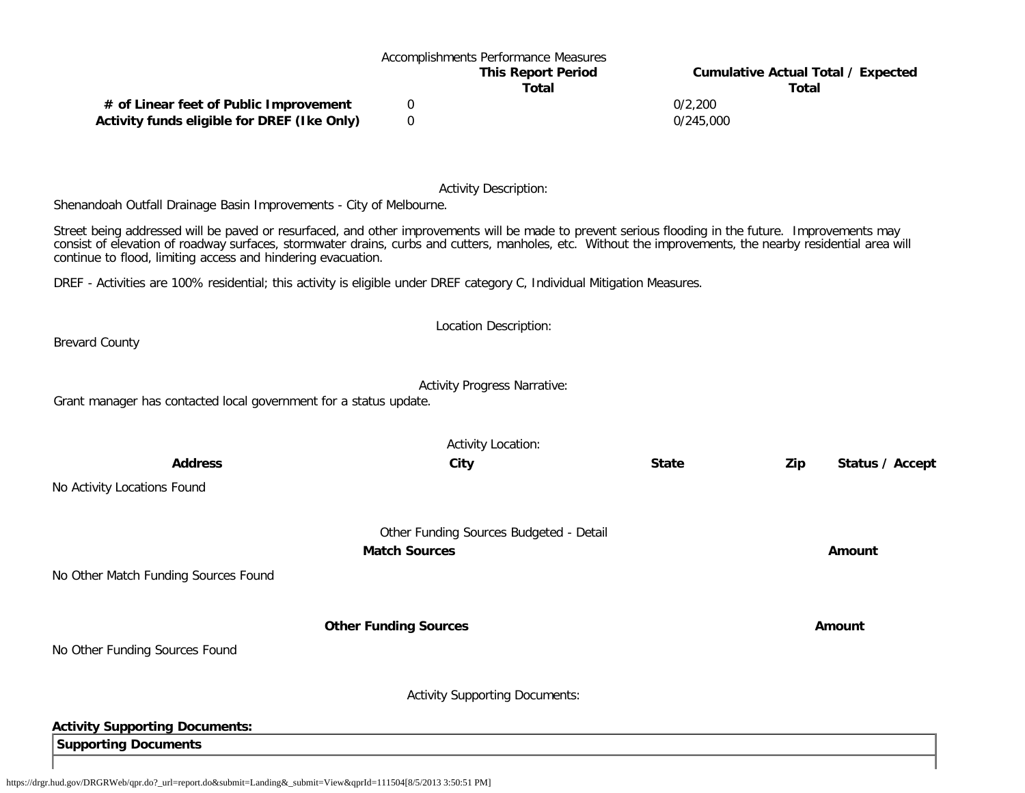# Accomplishments Performance Measures

**This Report Period Cumulative Actual Total / Expected Total Total**

**# of Linear feet of Public Improvement** 0 0/2,200 **Activity funds eligible for DREF (Ike Only)** 0 0/245,000

Activity Description:

Shenandoah Outfall Drainage Basin Improvements - City of Melbourne.

Street being addressed will be paved or resurfaced, and other improvements will be made to prevent serious flooding in the future. Improvements may consist of elevation of roadway surfaces, stormwater drains, curbs and cutters, manholes, etc. Without the improvements, the nearby residential area will continue to flood, limiting access and hindering evacuation.

DREF - Activities are 100% residential; this activity is eligible under DREF category C, Individual Mitigation Measures.

Brevard County

Activity Progress Narrative:

Location Description:

Grant manager has contacted local government for a status update.

|                                       | <b>Activity Location:</b>               |              |     |                 |
|---------------------------------------|-----------------------------------------|--------------|-----|-----------------|
| <b>Address</b>                        | City                                    | <b>State</b> | Zip | Status / Accept |
| No Activity Locations Found           |                                         |              |     |                 |
|                                       | Other Funding Sources Budgeted - Detail |              |     |                 |
|                                       | <b>Match Sources</b>                    |              |     | Amount          |
| No Other Match Funding Sources Found  |                                         |              |     |                 |
|                                       | <b>Other Funding Sources</b>            |              |     | <b>Amount</b>   |
| No Other Funding Sources Found        |                                         |              |     |                 |
|                                       | <b>Activity Supporting Documents:</b>   |              |     |                 |
| <b>Activity Supporting Documents:</b> |                                         |              |     |                 |
| <b>Supporting Documents</b>           |                                         |              |     |                 |
|                                       |                                         |              |     |                 |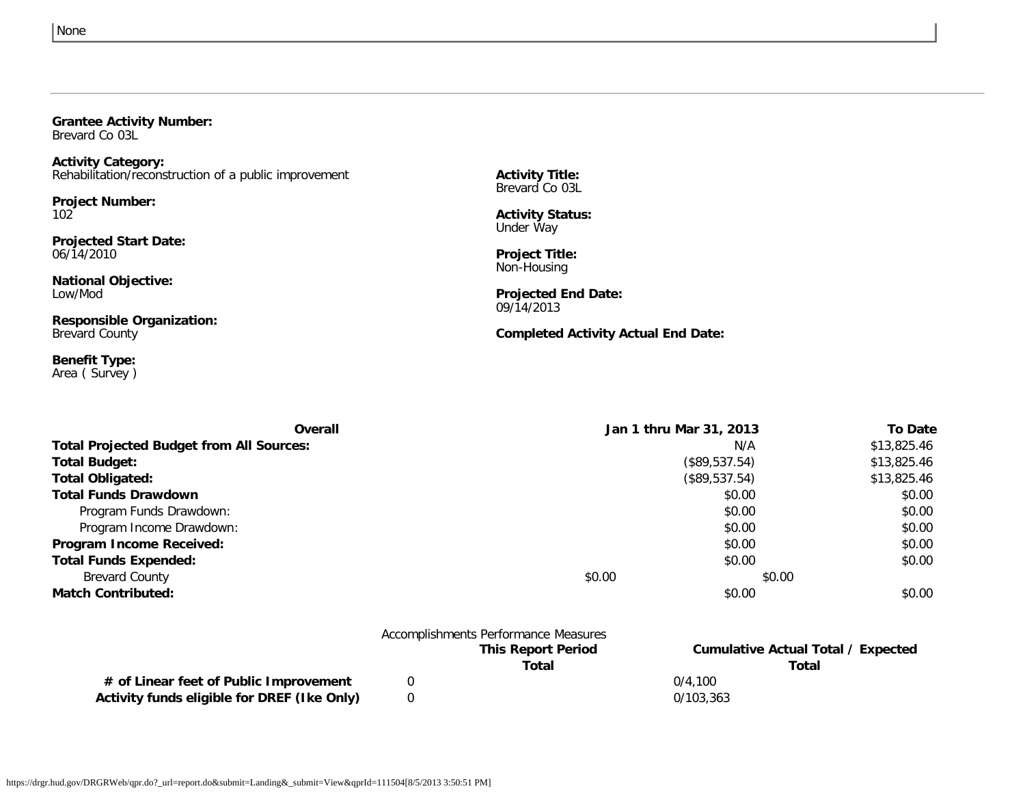#### <span id="page-25-0"></span>**Grantee Activity Number:**

Brevard Co 03L

**Activity Category:** Rehabilitation/reconstruction of a public improvement

**Project Number:** 102

**Projected Start Date:** 06/14/2010

**National Objective:** Low/Mod

**Responsible Organization:** Brevard County

**Benefit Type:** Area ( Survey ) **Activity Title:** Brevard Co 03L

**Activity Status:** Under Way

**Project Title:** Non-Housing

**Projected End Date:** 09/14/2013

**Completed Activity Actual End Date:**

| Overall                                         | Jan 1 thru Mar 31, 2013 | <b>To Date</b> |
|-------------------------------------------------|-------------------------|----------------|
| <b>Total Projected Budget from All Sources:</b> | N/A                     | \$13,825.46    |
| <b>Total Budget:</b>                            | (\$89,537.54)           | \$13,825.46    |
| <b>Total Obligated:</b>                         | (\$89,537.54)           | \$13,825.46    |
| <b>Total Funds Drawdown</b>                     | \$0.00                  | \$0.00         |
| Program Funds Drawdown:                         | \$0.00                  | \$0.00         |
| Program Income Drawdown:                        | \$0.00                  | \$0.00         |
| Program Income Received:                        | \$0.00                  | \$0.00         |
| <b>Total Funds Expended:</b>                    | \$0.00                  | \$0.00         |
| <b>Brevard County</b>                           | \$0.00                  | \$0.00         |
| <b>Match Contributed:</b>                       | \$0.00                  | \$0.00         |

|                                             | Accomplishments Performance Measures |                                    |
|---------------------------------------------|--------------------------------------|------------------------------------|
|                                             | <b>This Report Period</b>            | Cumulative Actual Total / Expected |
|                                             | Total                                | Total                              |
| # of Linear feet of Public Improvement      |                                      | 0/4.100                            |
| Activity funds eligible for DREF (Ike Only) |                                      | 0/103.363                          |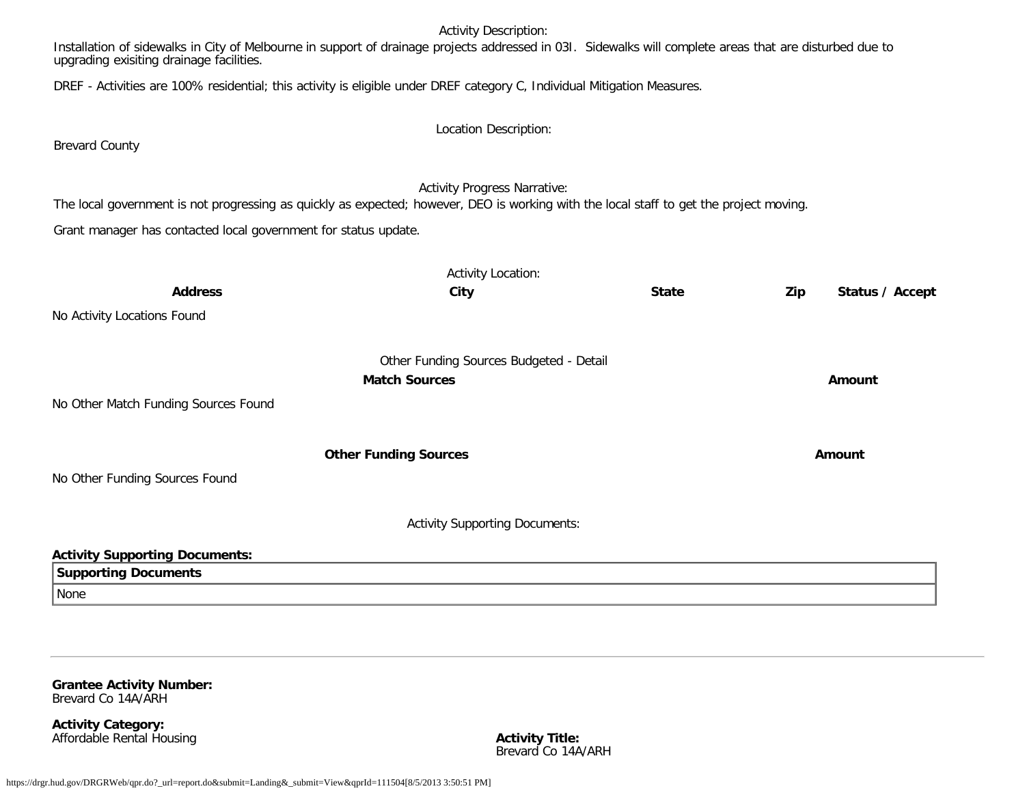#### Activity Description:

Installation of sidewalks in City of Melbourne in support of drainage projects addressed in 03I. Sidewalks will complete areas that are disturbed due to upgrading exisiting drainage facilities.

DREF - Activities are 100% residential; this activity is eligible under DREF category C, Individual Mitigation Measures.

Brevard County

#### Activity Progress Narrative:

The local government is not progressing as quickly as expected; however, DEO is working with the local staff to get the project moving.

Grant manager has contacted local government for status update.

|                                       | <b>Activity Location:</b>               |              |     |                 |
|---------------------------------------|-----------------------------------------|--------------|-----|-----------------|
| <b>Address</b>                        | City                                    | <b>State</b> | Zip | Status / Accept |
| No Activity Locations Found           |                                         |              |     |                 |
|                                       | Other Funding Sources Budgeted - Detail |              |     |                 |
|                                       | <b>Match Sources</b>                    |              |     | Amount          |
| No Other Match Funding Sources Found  |                                         |              |     |                 |
|                                       | <b>Other Funding Sources</b>            |              |     | Amount          |
| No Other Funding Sources Found        |                                         |              |     |                 |
|                                       | <b>Activity Supporting Documents:</b>   |              |     |                 |
| <b>Activity Supporting Documents:</b> |                                         |              |     |                 |
| <b>Supporting Documents</b>           |                                         |              |     |                 |
| None                                  |                                         |              |     |                 |

<span id="page-26-0"></span>**Grantee Activity Number:** Brevard Co 14A/ARH

**Activity Category: Affordable Rental Housing** 

**Activity Title:**<br>Brevard Co 14A/ARH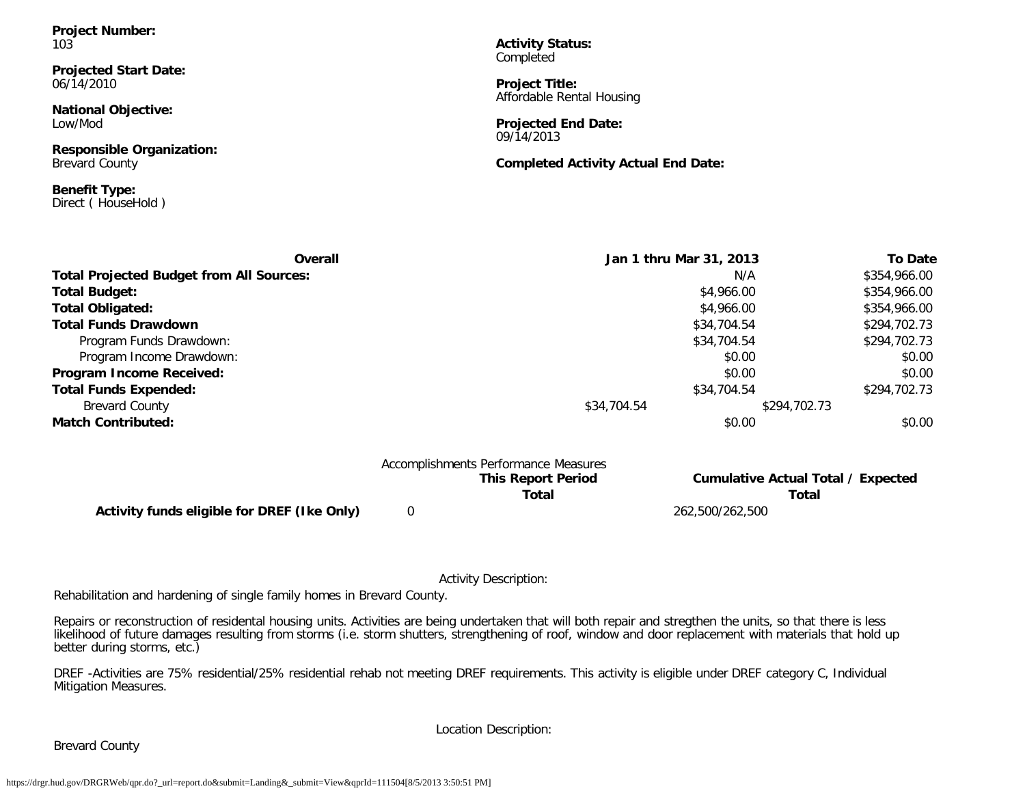**Project Number:** 103

**Projected Start Date:** 06/14/2010

**National Objective:** Low/Mod

**Responsible Organization:** Brevard County

**Benefit Type:** Direct ( HouseHold )

**Activity Status:** Completed

**Project Title:** Affordable Rental Housing

**Projected End Date:** 09/14/2013

**Completed Activity Actual End Date:**

| Overall                                         | Jan 1 thru Mar 31, 2013 |              | <b>To Date</b> |
|-------------------------------------------------|-------------------------|--------------|----------------|
| <b>Total Projected Budget from All Sources:</b> |                         | N/A          | \$354,966.00   |
| <b>Total Budget:</b>                            |                         | \$4,966.00   | \$354,966.00   |
| <b>Total Obligated:</b>                         |                         | \$4,966.00   | \$354,966.00   |
| <b>Total Funds Drawdown</b>                     |                         | \$34,704.54  | \$294,702.73   |
| Program Funds Drawdown:                         |                         | \$34,704.54  | \$294,702.73   |
| Program Income Drawdown:                        |                         | \$0.00       | \$0.00         |
| Program Income Received:                        |                         | \$0.00       | \$0.00         |
| <b>Total Funds Expended:</b>                    |                         | \$34,704.54  | \$294,702.73   |
| <b>Brevard County</b>                           | \$34,704.54             | \$294,702.73 |                |
| <b>Match Contributed:</b>                       |                         | \$0.00       | \$0.00         |

| Accomplishments Performance Measures        |  |                           |                 |                                    |  |  |
|---------------------------------------------|--|---------------------------|-----------------|------------------------------------|--|--|
|                                             |  | <b>This Report Period</b> |                 | Cumulative Actual Total / Expected |  |  |
|                                             |  | Total                     |                 | Total                              |  |  |
| Activity funds eligible for DREF (Ike Only) |  |                           | 262.500/262.500 |                                    |  |  |

Activity Description:

Rehabilitation and hardening of single family homes in Brevard County.

Repairs or reconstruction of residental housing units. Activities are being undertaken that will both repair and stregthen the units, so that there is less likelihood of future damages resulting from storms (i.e. storm shutters, strengthening of roof, window and door replacement with materials that hold up better during storms, etc.)

DREF -Activities are 75% residential/25% residential rehab not meeting DREF requirements. This activity is eligible under DREF category C, Individual Mitigation Measures.

Location Description:

Brevard County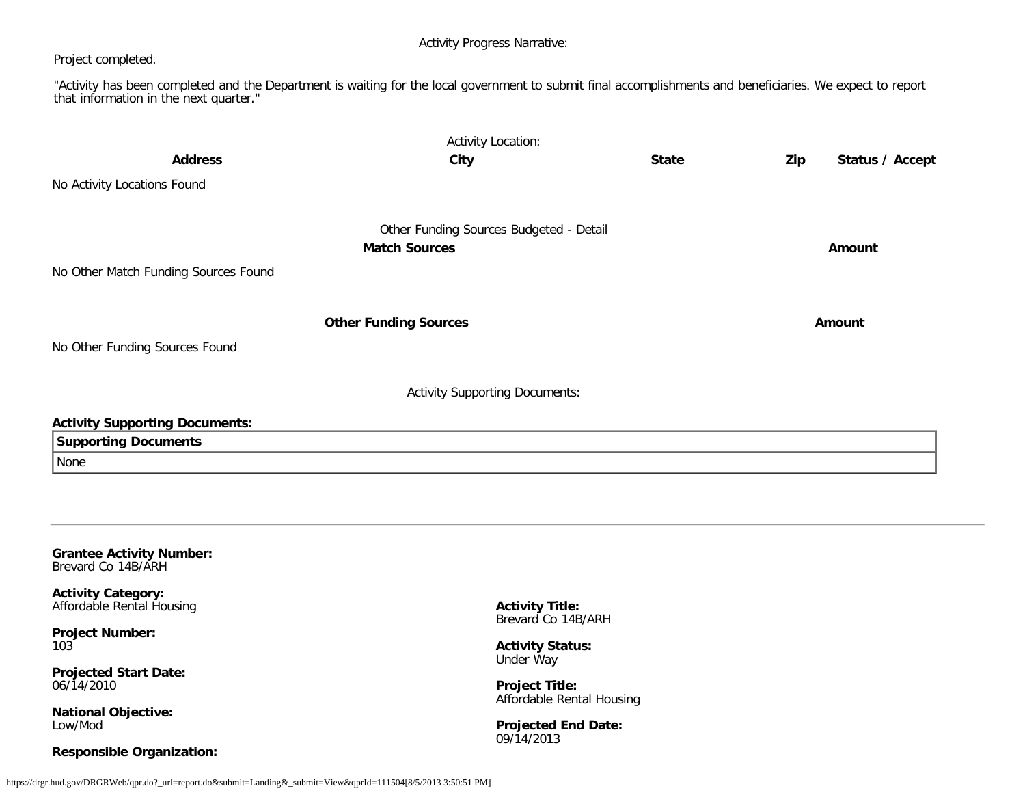Activity Progress Narrative:

#### Project completed.

"Activity has been completed and the Department is waiting for the local government to submit final accomplishments and beneficiaries. We expect to report that information in the next quarter."

| <b>Address</b>                                         | <b>Activity Location:</b><br>City                               | <b>State</b> | Zip | Status / Accept |
|--------------------------------------------------------|-----------------------------------------------------------------|--------------|-----|-----------------|
| No Activity Locations Found                            |                                                                 |              |     |                 |
| No Other Match Funding Sources Found                   | Other Funding Sources Budgeted - Detail<br><b>Match Sources</b> |              |     | <b>Amount</b>   |
|                                                        | <b>Other Funding Sources</b>                                    |              |     | Amount          |
| No Other Funding Sources Found                         |                                                                 |              |     |                 |
|                                                        | <b>Activity Supporting Documents:</b>                           |              |     |                 |
| <b>Activity Supporting Documents:</b>                  |                                                                 |              |     |                 |
| <b>Supporting Documents</b>                            |                                                                 |              |     |                 |
| None                                                   |                                                                 |              |     |                 |
|                                                        |                                                                 |              |     |                 |
| <b>Grantee Activity Number:</b><br>Brevard Co 14B/ARH  |                                                                 |              |     |                 |
| <b>Activity Category:</b><br>Affordable Rental Housing | <b>Activity Title:</b><br>Brevard Co 14B/ARH                    |              |     |                 |
| <b>Project Number:</b><br>103                          | <b>Activity Status:</b>                                         |              |     |                 |
| <b>Projected Start Date:</b>                           | Under Way                                                       |              |     |                 |

**Project Title:**

Affordable Rental Housing

<span id="page-28-0"></span>06/14/2010

**National Objective:** Low/Mod

#### **Responsible Organization:**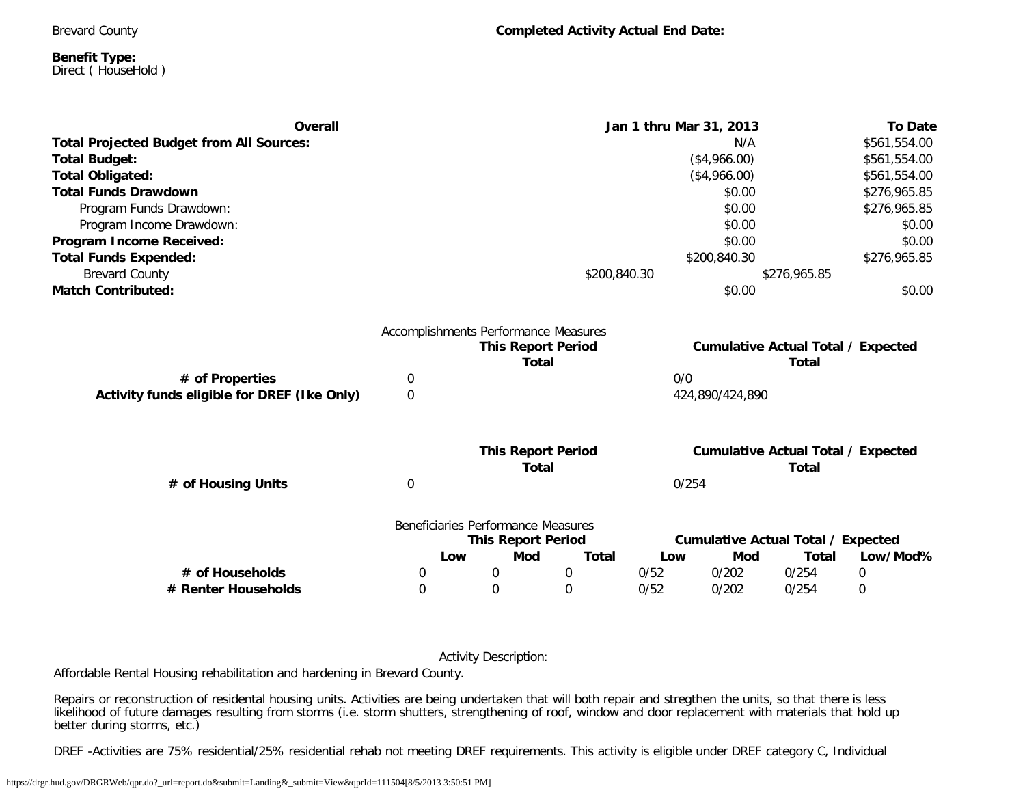Brevard County

#### **Benefit Type:** Direct ( HouseHold )

| <b>Overall</b>                                  |                           | Jan 1 thru Mar 31, 2013              |              |       |                                           | <b>To Date</b>                            |              |  |
|-------------------------------------------------|---------------------------|--------------------------------------|--------------|-------|-------------------------------------------|-------------------------------------------|--------------|--|
| <b>Total Projected Budget from All Sources:</b> | N/A                       |                                      |              |       | \$561,554.00                              |                                           |              |  |
| <b>Total Budget:</b>                            |                           |                                      |              |       | (\$4,966.00)                              |                                           | \$561,554.00 |  |
| <b>Total Obligated:</b>                         |                           | (\$4,966.00)                         |              |       |                                           | \$561,554.00                              |              |  |
| <b>Total Funds Drawdown</b>                     |                           |                                      |              |       | \$0.00                                    |                                           | \$276,965.85 |  |
| Program Funds Drawdown:                         |                           |                                      |              |       | \$0.00                                    |                                           | \$276,965.85 |  |
| Program Income Drawdown:                        |                           |                                      |              |       | \$0.00                                    |                                           | \$0.00       |  |
| Program Income Received:                        |                           |                                      |              |       | \$0.00                                    |                                           | \$0.00       |  |
| <b>Total Funds Expended:</b>                    |                           |                                      |              |       | \$200,840.30                              |                                           | \$276,965.85 |  |
| <b>Brevard County</b>                           |                           |                                      | \$200,840.30 |       |                                           | \$276,965.85                              |              |  |
| <b>Match Contributed:</b>                       |                           |                                      |              |       | \$0.00                                    |                                           | \$0.00       |  |
|                                                 |                           | Accomplishments Performance Measures |              |       |                                           |                                           |              |  |
|                                                 | <b>This Report Period</b> |                                      |              |       | <b>Cumulative Actual Total / Expected</b> |                                           |              |  |
|                                                 | <b>Total</b>              |                                      |              |       | <b>Total</b>                              |                                           |              |  |
| # of Properties                                 | $\boldsymbol{0}$          |                                      |              | 0/0   |                                           |                                           |              |  |
| Activity funds eligible for DREF (Ike Only)     | $\mathbf 0$               | 424,890/424,890                      |              |       |                                           |                                           |              |  |
|                                                 |                           |                                      |              |       |                                           |                                           |              |  |
|                                                 |                           | <b>This Report Period</b>            |              |       |                                           | <b>Cumulative Actual Total / Expected</b> |              |  |
|                                                 |                           | Total                                |              |       |                                           | <b>Total</b>                              |              |  |
| # of Housing Units                              | $\boldsymbol{0}$          |                                      |              | 0/254 |                                           |                                           |              |  |
|                                                 |                           | Beneficiaries Performance Measures   |              |       |                                           |                                           |              |  |
|                                                 |                           | <b>This Report Period</b>            |              |       |                                           | <b>Cumulative Actual Total / Expected</b> |              |  |
|                                                 | Low                       | <b>Mod</b>                           | <b>Total</b> | Low   | Mod                                       | <b>Total</b>                              | Low/Mod%     |  |
| # of Households                                 | 0                         | $\boldsymbol{0}$                     | $\mathbf 0$  | 0/52  | 0/202                                     | 0/254                                     | $\mathbf 0$  |  |
| # Renter Households                             | $\Omega$                  | 0                                    | $\Omega$     | 0/52  | 0/202                                     | 0/254                                     | $\mathbf 0$  |  |
|                                                 |                           |                                      |              |       |                                           |                                           |              |  |

Activity Description:

Affordable Rental Housing rehabilitation and hardening in Brevard County.

Repairs or reconstruction of residental housing units. Activities are being undertaken that will both repair and stregthen the units, so that there is less likelihood of future damages resulting from storms (i.e. storm shutters, strengthening of roof, window and door replacement with materials that hold up better during storms, etc.)

DREF -Activities are 75% residential/25% residential rehab not meeting DREF requirements. This activity is eligible under DREF category C, Individual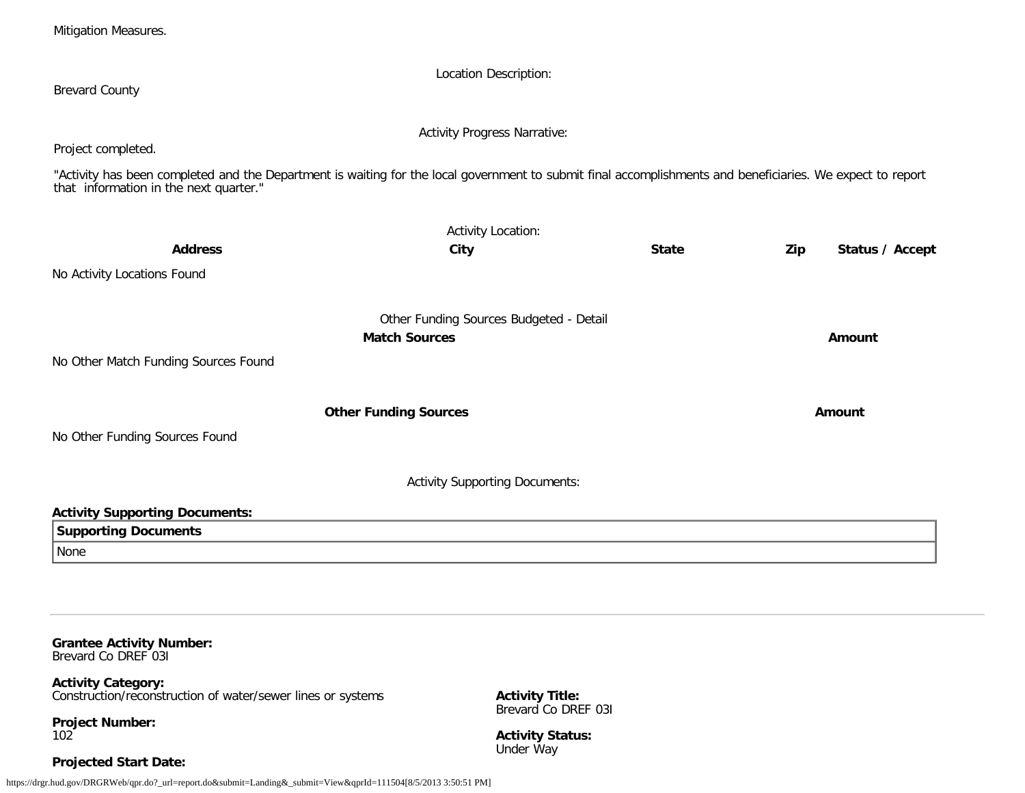<span id="page-30-0"></span>https://drgr.hud.gov/DRGRWeb/qpr.do?\_url=report.do&submit=Landing&\_submit=View&qprId=111504[8/5/2013 3:50:51 PM] **Grantee Activity Number:** Brevard Co DREF 03I **Activity Category:** Construction/reconstruction of water/sewer lines or systems **Project Number:** 102 **Projected Start Date: Activity Title:** Brevard Co DREF 03I **Activity Status:** Under Way

|                                                                                                                                                                                                      | <b>Activity Progress Narrative:</b>     |              |                        |
|------------------------------------------------------------------------------------------------------------------------------------------------------------------------------------------------------|-----------------------------------------|--------------|------------------------|
| Project completed.                                                                                                                                                                                   |                                         |              |                        |
| "Activity has been completed and the Department is waiting for the local government to submit final accomplishments and beneficiaries. We expect to report<br>that information in the next quarter." |                                         |              |                        |
|                                                                                                                                                                                                      | <b>Activity Location:</b>               |              |                        |
| <b>Address</b>                                                                                                                                                                                       | City                                    | <b>State</b> | Zip<br>Status / Accept |
| No Activity Locations Found                                                                                                                                                                          |                                         |              |                        |
|                                                                                                                                                                                                      | Other Funding Sources Budgeted - Detail |              |                        |
|                                                                                                                                                                                                      | <b>Match Sources</b>                    |              | Amount                 |
| No Other Match Funding Sources Found                                                                                                                                                                 |                                         |              |                        |
|                                                                                                                                                                                                      | <b>Other Funding Sources</b>            |              | Amount                 |
| No Other Funding Sources Found                                                                                                                                                                       |                                         |              |                        |
|                                                                                                                                                                                                      | <b>Activity Supporting Documents:</b>   |              |                        |
| <b>Activity Supporting Documents:</b>                                                                                                                                                                |                                         |              |                        |
| <b>Supporting Documents</b>                                                                                                                                                                          |                                         |              |                        |
| None                                                                                                                                                                                                 |                                         |              |                        |

Location Description:

Brevard County

Mitigation Measures.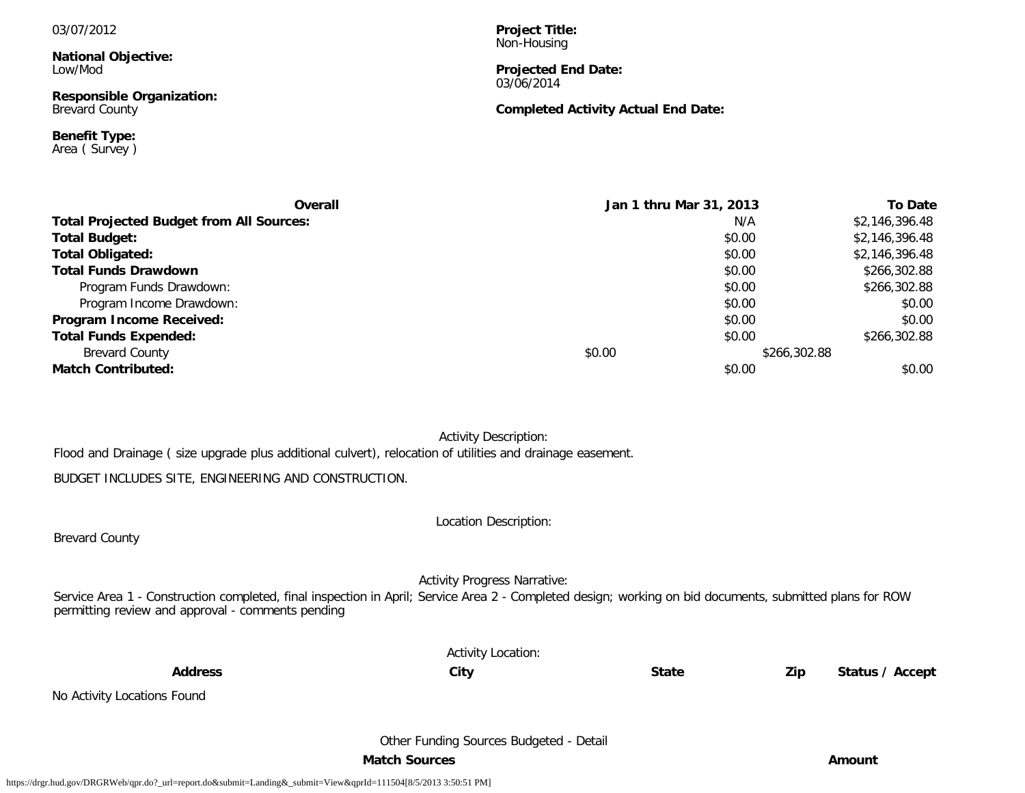#### 03/07/2012

**National Objective:** Low/Mod

**Responsible Organization:** Brevard County

**Benefit Type:** Area ( Survey ) **Project Title:** Non-Housing

#### **Projected End Date:** 03/06/2014

#### **Completed Activity Actual End Date:**

| <b>Overall</b>                                  |        | Jan 1 thru Mar 31, 2013 | <b>To Date</b> |
|-------------------------------------------------|--------|-------------------------|----------------|
| <b>Total Projected Budget from All Sources:</b> |        | N/A                     | \$2,146,396.48 |
| <b>Total Budget:</b>                            |        | \$0.00                  | \$2,146,396.48 |
| <b>Total Obligated:</b>                         |        | \$0.00                  | \$2,146,396.48 |
| <b>Total Funds Drawdown</b>                     |        | \$0.00                  | \$266,302.88   |
| Program Funds Drawdown:                         |        | \$0.00                  | \$266,302.88   |
| Program Income Drawdown:                        |        | \$0.00                  | \$0.00         |
| <b>Program Income Received:</b>                 |        | \$0.00                  | \$0.00         |
| <b>Total Funds Expended:</b>                    |        | \$0.00                  | \$266,302.88   |
| <b>Brevard County</b>                           | \$0.00 | \$266,302.88            |                |
| <b>Match Contributed:</b>                       |        | \$0.00                  | \$0.00         |

Activity Description:

Flood and Drainage ( size upgrade plus additional culvert), relocation of utilities and drainage easement.

BUDGET INCLUDES SITE, ENGINEERING AND CONSTRUCTION.

Brevard County

Location Description:

Activity Progress Narrative:

Service Area 1 - Construction completed, final inspection in April; Service Area 2 - Completed design; working on bid documents, submitted plans for ROW permitting review and approval - comments pending

Activity Location:

**Address City State Zip Status / Accept**

No Activity Locations Found

Other Funding Sources Budgeted - Detail

**Match Sources Amount**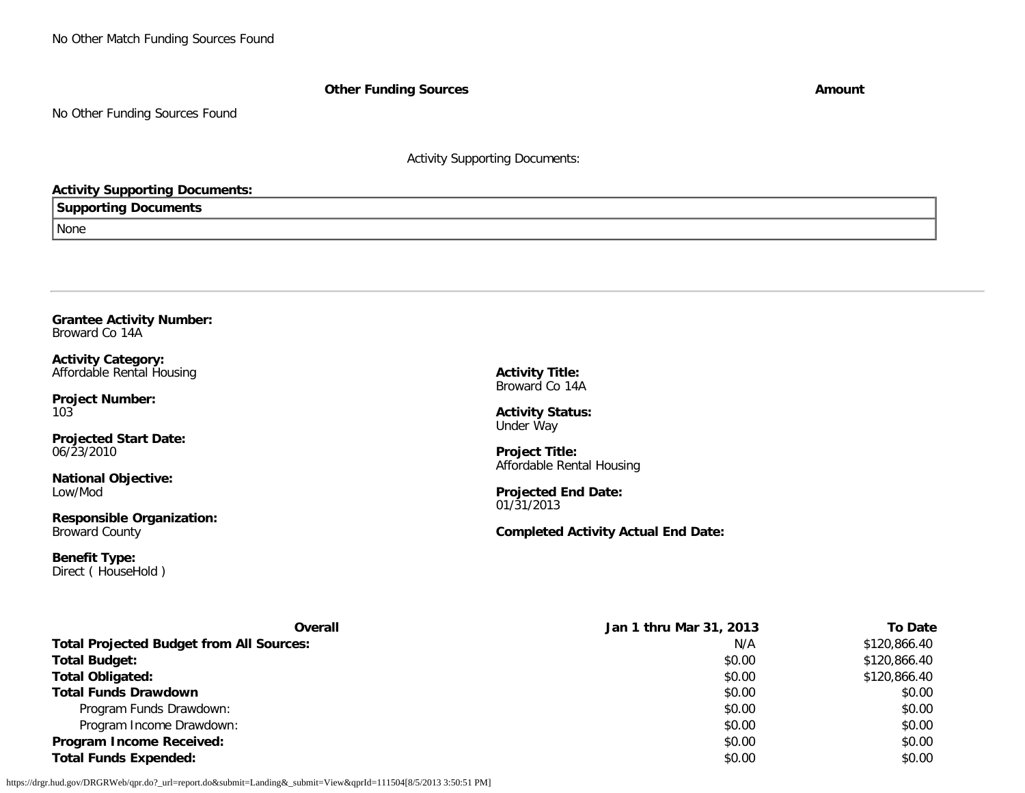No Other Match Funding Sources Found

**Other Funding Sources Amount** 

No Other Funding Sources Found

Activity Supporting Documents:

#### **Activity Supporting Documents:**

#### **Supporting Documents**

None

#### <span id="page-32-0"></span>**Grantee Activity Number:** Broward Co 14A

**Activity Category:** Affordable Rental Housing

**Project Number:** 103

**Projected Start Date:** 06/23/2010

**National Objective:** Low/Mod

**Responsible Organization:** Broward County

**Benefit Type:** Direct (HouseHold) **Activity Title:** Broward Co 14A

**Activity Status:** Under Way

**Project Title:** Affordable Rental Housing

**Projected End Date:** 01/31/2013

**Completed Activity Actual End Date:**

| <b>Overall</b>                                  | Jan 1 thru Mar 31, 2013 | To Date      |  |
|-------------------------------------------------|-------------------------|--------------|--|
| <b>Total Projected Budget from All Sources:</b> | N/A                     | \$120,866.40 |  |
| <b>Total Budget:</b>                            | \$0.00                  | \$120,866.40 |  |
| <b>Total Obligated:</b>                         | \$0.00                  | \$120,866.40 |  |
| <b>Total Funds Drawdown</b>                     | \$0.00                  | \$0.00       |  |
| Program Funds Drawdown:                         | \$0.00                  | \$0.00       |  |
| Program Income Drawdown:                        | \$0.00                  | \$0.00       |  |
| <b>Program Income Received:</b>                 | \$0.00                  | \$0.00       |  |
| <b>Total Funds Expended:</b>                    | \$0.00                  | \$0.00       |  |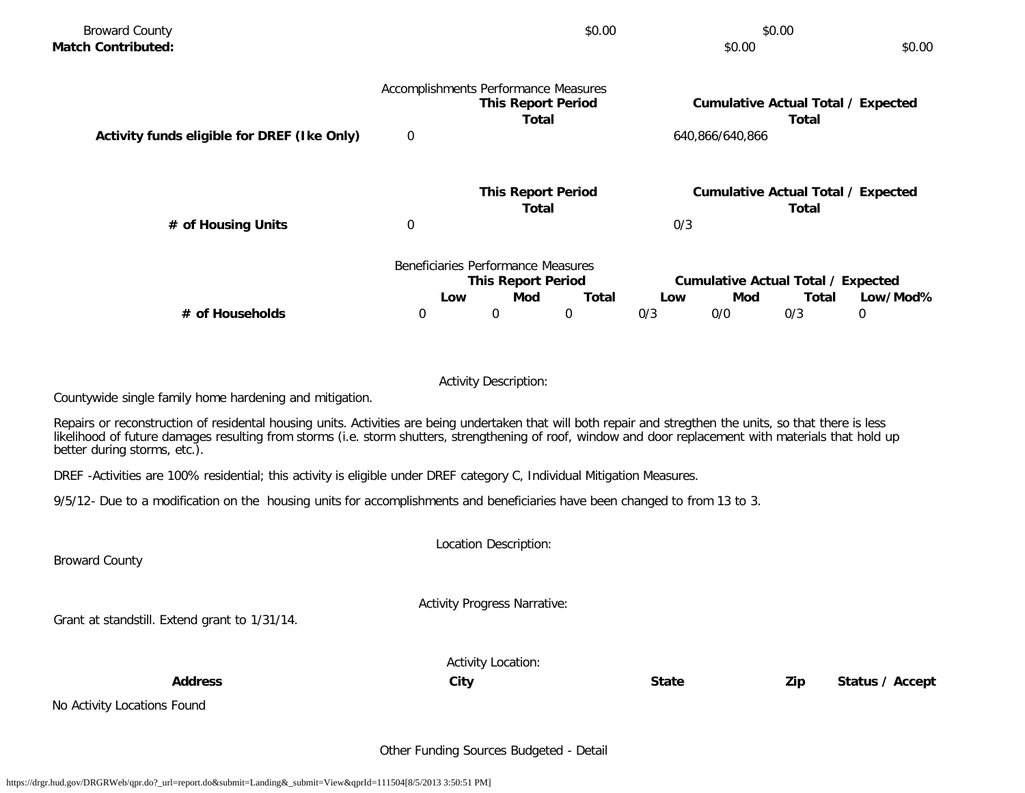|                                                                 |   |     | \$0.00   |                                                                                                                                  | \$0.00 |       | \$0.00                                                                                                                                                                    |
|-----------------------------------------------------------------|---|-----|----------|----------------------------------------------------------------------------------------------------------------------------------|--------|-------|---------------------------------------------------------------------------------------------------------------------------------------------------------------------------|
|                                                                 |   |     |          |                                                                                                                                  |        | Total |                                                                                                                                                                           |
| $\overline{0}$                                                  |   |     |          |                                                                                                                                  |        |       |                                                                                                                                                                           |
| $\mathbf 0$                                                     |   |     |          | 0/3                                                                                                                              |        | Total |                                                                                                                                                                           |
| Beneficiaries Performance Measures<br><b>This Report Period</b> |   |     |          | Low/Mod%                                                                                                                         |        |       |                                                                                                                                                                           |
| 0                                                               | 0 |     | $\Omega$ | 0/3                                                                                                                              | 0/0    | 0/3   | $\mathbf 0$                                                                                                                                                               |
|                                                                 |   |     |          |                                                                                                                                  |        |       |                                                                                                                                                                           |
|                                                                 |   | Low | Mod      | Accomplishments Performance Measures<br><b>This Report Period</b><br>Total<br><b>This Report Period</b><br>Total<br><b>Total</b> | Low    | Mod   | \$0.00<br><b>Cumulative Actual Total / Expected</b><br>640,866/640,866<br><b>Cumulative Actual Total / Expected</b><br><b>Cumulative Actual Total / Expected</b><br>Total |

Activity Description:

Countywide single family home hardening and mitigation.

Repairs or reconstruction of residental housing units. Activities are being undertaken that will both repair and stregthen the units, so that there is less likelihood of future damages resulting from storms (i.e. storm shutters, strengthening of roof, window and door replacement with materials that hold up better during storms, etc.).

DREF -Activities are 100% residential; this activity is eligible under DREF category C, Individual Mitigation Measures.

9/5/12- Due to a modification on the housing units for accomplishments and beneficiaries have been changed to from 13 to 3.

Location Description: Broward County Activity Progress Narrative: Grant at standstill. Extend grant to 1/31/14. Activity Location: **Address City State Zip Status / Accept**

No Activity Locations Found

Other Funding Sources Budgeted - Detail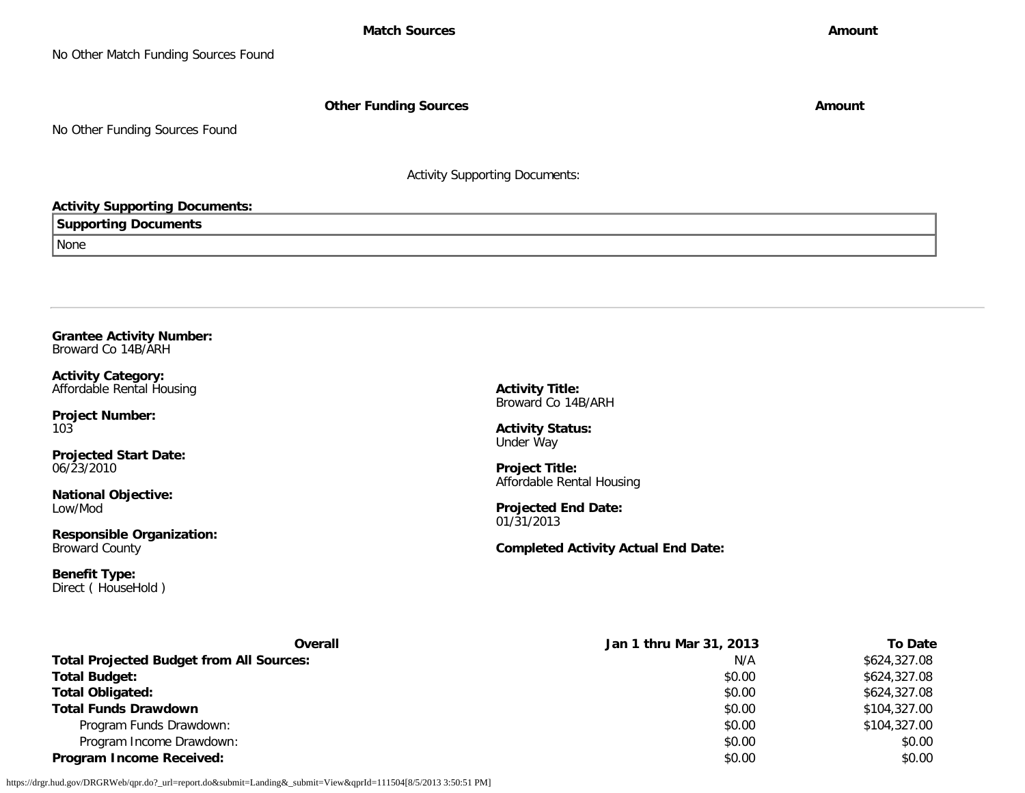**Other Funding Sources Amount Amount Amount** 

No Other Funding Sources Found

Activity Supporting Documents:

#### **Activity Supporting Documents:**

**Supporting Documents**

None

<span id="page-34-0"></span>**Grantee Activity Number:** Broward Co 14B/ARH

**Activity Category:** Affordable Rental Housing

**Project Number:** 103

**Projected Start Date:** 06/23/2010

**National Objective:** Low/Mod

**Responsible Organization:** Broward County

**Benefit Type:** Direct ( HouseHold ) **Activity Title:** Broward Co 14B/ARH

**Activity Status:** Under Way

**Project Title:** Affordable Rental Housing

**Projected End Date:** 01/31/2013

**Completed Activity Actual End Date:**

| <b>Overall</b>                                  | Jan 1 thru Mar 31, 2013 | <b>To Date</b> |
|-------------------------------------------------|-------------------------|----------------|
| <b>Total Projected Budget from All Sources:</b> | N/A                     | \$624,327.08   |
| <b>Total Budget:</b>                            | \$0.00                  | \$624,327.08   |
| <b>Total Obligated:</b>                         | \$0.00                  | \$624,327.08   |
| <b>Total Funds Drawdown</b>                     | \$0.00                  | \$104,327.00   |
| Program Funds Drawdown:                         | \$0.00                  | \$104,327.00   |
| Program Income Drawdown:                        | \$0.00                  | \$0.00         |
| <b>Program Income Received:</b>                 | \$0.00                  | \$0.00         |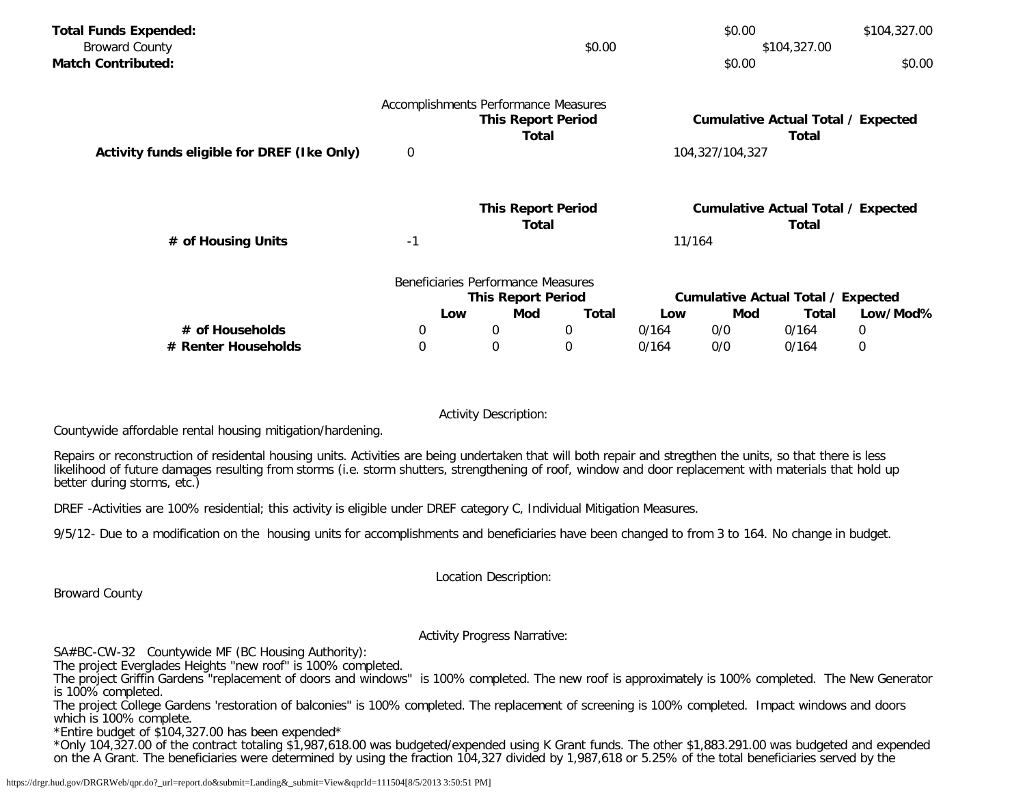| <b>Total Funds Expended:</b>                |          |                                    |                                      |       | \$0.00          |                                           | \$104,327.00 |
|---------------------------------------------|----------|------------------------------------|--------------------------------------|-------|-----------------|-------------------------------------------|--------------|
| <b>Broward County</b>                       |          | \$0.00<br>\$104,327.00             |                                      |       |                 |                                           |              |
| <b>Match Contributed:</b>                   |          |                                    |                                      |       | \$0.00          |                                           | \$0.00       |
|                                             |          |                                    | Accomplishments Performance Measures |       |                 |                                           |              |
|                                             |          |                                    | <b>This Report Period</b>            |       |                 | <b>Cumulative Actual Total / Expected</b> |              |
|                                             |          |                                    | Total                                |       |                 | Total                                     |              |
| Activity funds eligible for DREF (Ike Only) | 0        |                                    |                                      |       | 104,327/104,327 |                                           |              |
|                                             |          |                                    | <b>This Report Period</b>            |       |                 | <b>Cumulative Actual Total / Expected</b> |              |
|                                             |          |                                    | Total                                |       |                 | Total                                     |              |
| # of Housing Units                          | -1       |                                    |                                      |       | 11/164          |                                           |              |
|                                             |          | Beneficiaries Performance Measures |                                      |       |                 |                                           |              |
|                                             |          | <b>This Report Period</b>          |                                      |       |                 | <b>Cumulative Actual Total / Expected</b> |              |
|                                             | Low      | Mod                                | <b>Total</b>                         | Low   | Mod             | Total                                     | Low/Mod%     |
| # of Households                             | 0        | 0                                  | 0                                    | 0/164 | 0/0             | 0/164                                     | 0            |
| # Renter Households                         | $\Omega$ | $\Omega$                           | 0                                    | 0/164 | 0/0             | 0/164                                     | 0            |

Activity Description:

Countywide affordable rental housing mitigation/hardening.

Repairs or reconstruction of residental housing units. Activities are being undertaken that will both repair and stregthen the units, so that there is less likelihood of future damages resulting from storms (i.e. storm shutters, strengthening of roof, window and door replacement with materials that hold up better during storms, etc.)

DREF -Activities are 100% residential; this activity is eligible under DREF category C, Individual Mitigation Measures.

9/5/12- Due to a modification on the housing units for accomplishments and beneficiaries have been changed to from 3 to 164. No change in budget.

Location Description:

Broward County

Activity Progress Narrative:

SA#BC-CW-32 Countywide MF (BC Housing Authority):

The project Everglades Heights "new roof" is 100% completed.

The project Griffin Gardens "replacement of doors and windows" is 100% completed. The new roof is approximately is 100% completed. The New Generator is 100% completed.

The project College Gardens 'restoration of balconies" is 100% completed. The replacement of screening is 100% completed. Impact windows and doors which is 100% complete.

\*Entire budget of \$104,327.00 has been expended\*

\*Only 104,327.00 of the contract totaling \$1,987,618.00 was budgeted/expended using K Grant funds. The other \$1,883.291.00 was budgeted and expended on the A Grant. The beneficiaries were determined by using the fraction 104,327 divided by 1,987,618 or 5.25% of the total beneficiaries served by the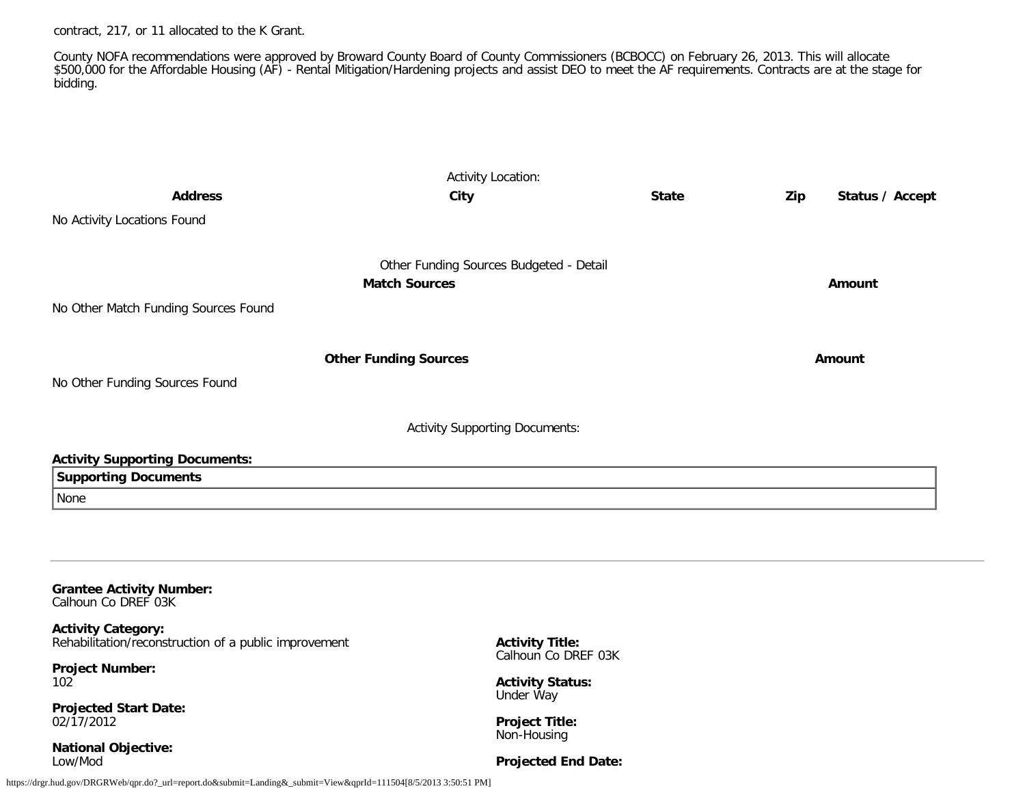contract, 217, or 11 allocated to the K Grant.

County NOFA recommendations were approved by Broward County Board of County Commissioners (BCBOCC) on February 26, 2013. This will allocate \$500,000 for the Affordable Housing (AF) - Rental Mitigation/Hardening projects and assist DEO to meet the AF requirements. Contracts are at the stage for bidding.

| <b>Address</b>                                                                                                                               | <b>Activity Location:</b><br><b>City</b>                        | <b>State</b> | Zip<br>Status / Accept |
|----------------------------------------------------------------------------------------------------------------------------------------------|-----------------------------------------------------------------|--------------|------------------------|
| No Activity Locations Found                                                                                                                  |                                                                 |              |                        |
| No Other Match Funding Sources Found                                                                                                         | Other Funding Sources Budgeted - Detail<br><b>Match Sources</b> |              | Amount                 |
|                                                                                                                                              | <b>Other Funding Sources</b>                                    |              | Amount                 |
| No Other Funding Sources Found                                                                                                               |                                                                 |              |                        |
|                                                                                                                                              | <b>Activity Supporting Documents:</b>                           |              |                        |
| <b>Activity Supporting Documents:</b><br><b>Supporting Documents</b><br>None                                                                 |                                                                 |              |                        |
| <b>Grantee Activity Number:</b><br>Calhoun Co DREF 03K<br><b>Activity Category:</b><br>Rehabilitation/reconstruction of a public improvement | <b>Activity Title:</b>                                          |              |                        |
| <b>Project Number:</b><br>102                                                                                                                | Calhoun Co DREF 03K<br><b>Activity Status:</b>                  |              |                        |
| <b>Projected Start Date:</b><br>02/17/2012                                                                                                   | Under Way<br><b>Project Title:</b><br>Non-Housing               |              |                        |
| <b>National Objective:</b><br>Low/Mod                                                                                                        | <b>Projected End Date:</b>                                      |              |                        |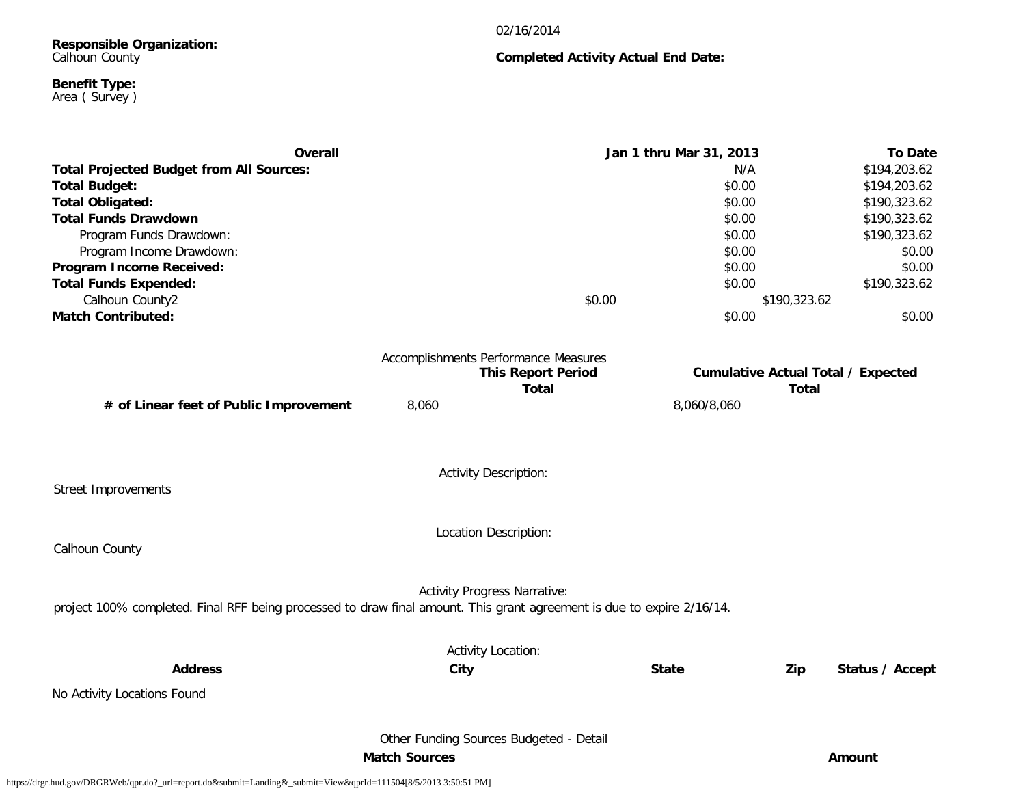#### 02/16/2014

**Completed Activity Actual End Date:**

## **Responsible Organization:** Calhoun County

#### **Benefit Type:** Area ( Survey )

**Overall Jan 1 thru Mar 31, 2013 To Date Total Projected Budget from All Sources:** N/A \$194,203.62 **Total Budget:** \$0.00 \$194,203.62 **Total Obligated:**  $$190,323.62$ **Total Funds Drawdown** \$190,323.62 Program Funds Drawdown: \$190,323.62 \$190,323.62 \$190,323.62 \$190,323.62 \$190,323.62 \$190,323.62 \$190,323.62 \$1 Program Income Drawdown: \$0.00 \$0.00 \$0.00 \$0.00 \$0.00 \$0.00 \$0.00 \$0.00 \$0.00 \$0.00 \$0.00 \$0.00 \$0.00 \$0.00 \$0.00 \$0.00 \$0.00 \$0.00 \$0.00 \$0.00 \$0.00 \$0.00 \$0.00 \$0.00 \$0.00 \$0.00 \$0.00 \$0.00 \$0.00 \$0.00 \$0.00 \$0.00 \$0.00 **Program Income Received:**  $$0.00$   $$0.00$ **Total Funds Expended:** \$190,323.62  $\text{Calhoun County2}$  \$190,323.62 **Match Contributed:**  $$0.00$   $$0.00$ Accomplishments Performance Measures **This Report Period Cumulative Actual Total / Expected Total Total**

**# of Linear feet of Public Improvement** 8,060 8,060/8,060

Street Improvements

Activity Description:

Location Description:

Calhoun County

Activity Progress Narrative:

project 100% completed. Final RFF being processed to draw final amount. This grant agreement is due to expire 2/16/14.

Activity Location: **Address City State Zip Status / Accept** No Activity Locations Found Other Funding Sources Budgeted - Detail **Match Sources Amount**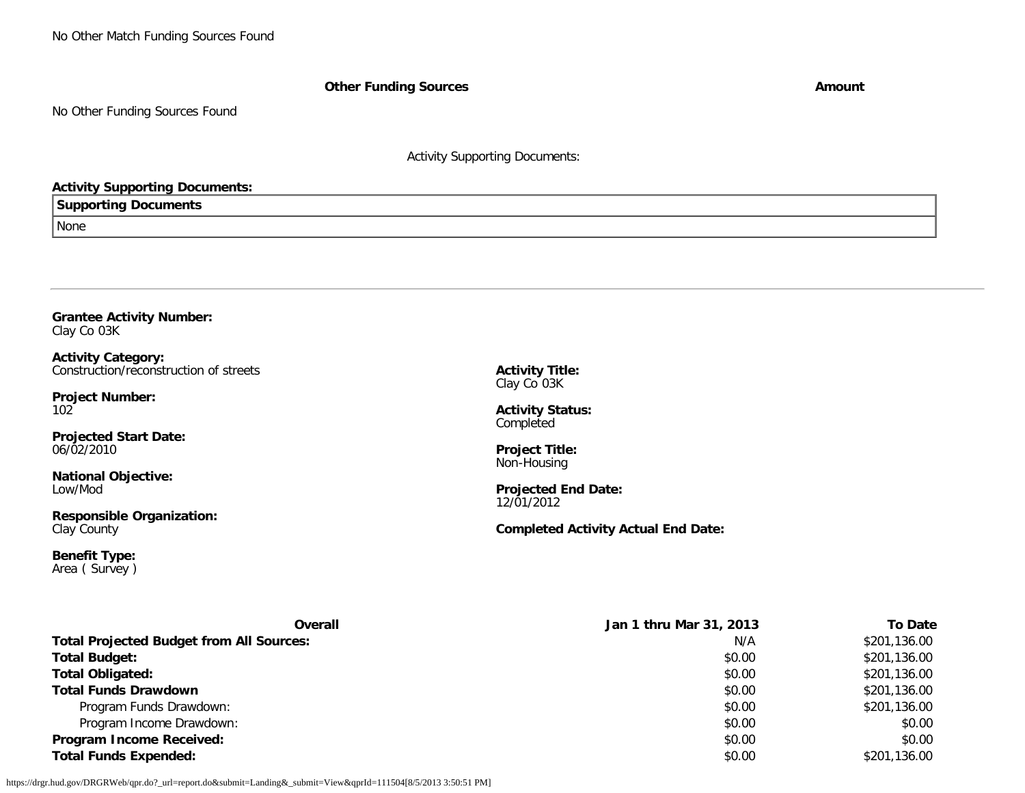No Other Match Funding Sources Found

**Other Funding Sources Amount** 

No Other Funding Sources Found

Activity Supporting Documents:

# **Activity Supporting Documents:**

## **Supporting Documents**

None

## **Grantee Activity Number:** Clay Co 03K

**Activity Category:** Construction/reconstruction of streets

**Project Number:** 102

**Projected Start Date:** 06/02/2010

**National Objective:** Low/Mod

**Responsible Organization:** Clay County

**Benefit Type:** Area ( Survey ) **Activity Title:** Clay Co 03K

**Activity Status: Completed** 

**Project Title:** Non-Housing

**Projected End Date:** 12/01/2012

**Completed Activity Actual End Date:**

| Overall                                         | Jan 1 thru Mar 31, 2013 | To Date      |
|-------------------------------------------------|-------------------------|--------------|
| <b>Total Projected Budget from All Sources:</b> | N/A                     | \$201,136.00 |
| <b>Total Budget:</b>                            | \$0.00                  | \$201,136.00 |
| <b>Total Obligated:</b>                         | \$0.00                  | \$201,136.00 |
| <b>Total Funds Drawdown</b>                     | \$0.00                  | \$201,136.00 |
| Program Funds Drawdown:                         | \$0.00                  | \$201,136.00 |
| Program Income Drawdown:                        | \$0.00                  | \$0.00       |
| <b>Program Income Received:</b>                 | \$0.00                  | \$0.00       |
| <b>Total Funds Expended:</b>                    | \$0.00                  | \$201,136.00 |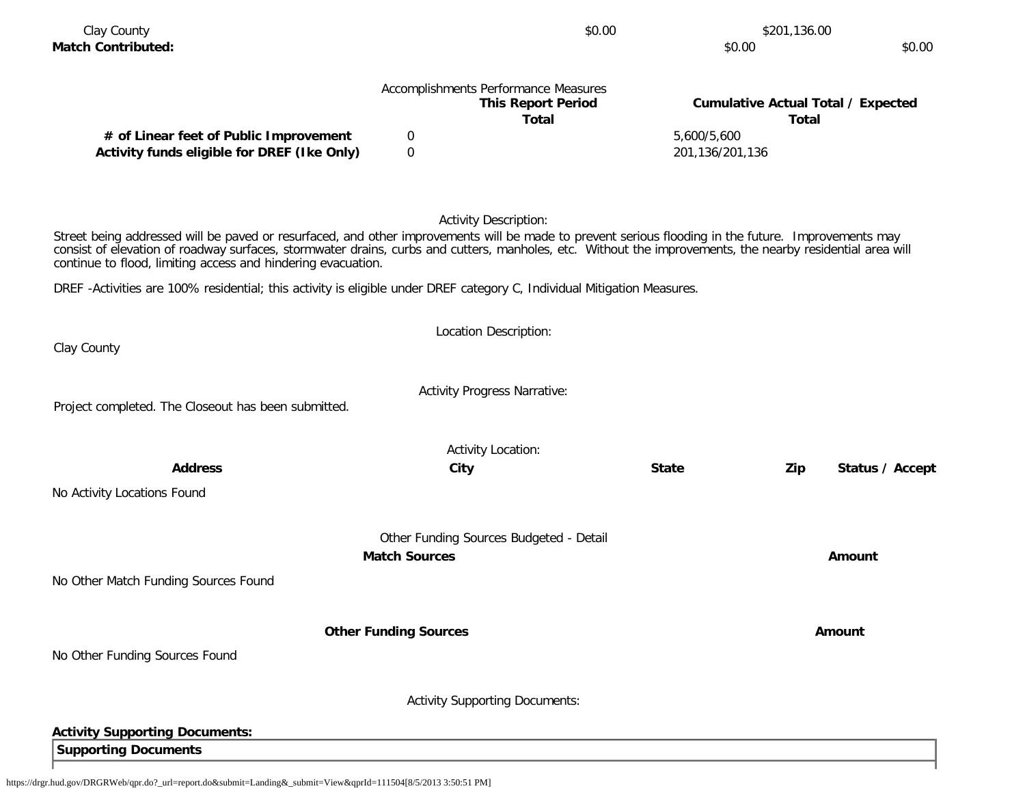|                                                                                                                                                                                                                                                                                                                                                                                  |                              | Accomplishments Performance Measures<br><b>This Report Period</b><br><b>Total</b> |                                | <b>Cumulative Actual Total / Expected</b><br><b>Total</b> |
|----------------------------------------------------------------------------------------------------------------------------------------------------------------------------------------------------------------------------------------------------------------------------------------------------------------------------------------------------------------------------------|------------------------------|-----------------------------------------------------------------------------------|--------------------------------|-----------------------------------------------------------|
| # of Linear feet of Public Improvement<br>Activity funds eligible for DREF (Ike Only)                                                                                                                                                                                                                                                                                            | 0<br>$\mathbf 0$             |                                                                                   | 5,600/5,600<br>201,136/201,136 |                                                           |
|                                                                                                                                                                                                                                                                                                                                                                                  |                              |                                                                                   |                                |                                                           |
|                                                                                                                                                                                                                                                                                                                                                                                  |                              | <b>Activity Description:</b>                                                      |                                |                                                           |
| Street being addressed will be paved or resurfaced, and other improvements will be made to prevent serious flooding in the future. Improvements may<br>consist of elevation of roadway surfaces, stormwater drains, curbs and cutters, manholes, etc. Without the improvements, the nearby residential area will<br>continue to flood, limiting access and hindering evacuation. |                              |                                                                                   |                                |                                                           |
| DREF-Activities are 100% residential; this activity is eligible under DREF category C, Individual Mitigation Measures.                                                                                                                                                                                                                                                           |                              |                                                                                   |                                |                                                           |
|                                                                                                                                                                                                                                                                                                                                                                                  |                              | Location Description:                                                             |                                |                                                           |
| Clay County                                                                                                                                                                                                                                                                                                                                                                      |                              |                                                                                   |                                |                                                           |
| Project completed. The Closeout has been submitted.                                                                                                                                                                                                                                                                                                                              |                              | <b>Activity Progress Narrative:</b>                                               |                                |                                                           |
|                                                                                                                                                                                                                                                                                                                                                                                  |                              | <b>Activity Location:</b>                                                         |                                |                                                           |
| <b>Address</b>                                                                                                                                                                                                                                                                                                                                                                   |                              | City                                                                              | <b>State</b>                   | Zip<br>Status / Accept                                    |
| No Activity Locations Found                                                                                                                                                                                                                                                                                                                                                      |                              |                                                                                   |                                |                                                           |
|                                                                                                                                                                                                                                                                                                                                                                                  |                              | Other Funding Sources Budgeted - Detail                                           |                                |                                                           |
|                                                                                                                                                                                                                                                                                                                                                                                  | <b>Match Sources</b>         |                                                                                   |                                | Amount                                                    |
| No Other Match Funding Sources Found                                                                                                                                                                                                                                                                                                                                             |                              |                                                                                   |                                |                                                           |
|                                                                                                                                                                                                                                                                                                                                                                                  | <b>Other Funding Sources</b> |                                                                                   |                                | <b>Amount</b>                                             |
| No Other Funding Sources Found                                                                                                                                                                                                                                                                                                                                                   |                              |                                                                                   |                                |                                                           |
|                                                                                                                                                                                                                                                                                                                                                                                  |                              |                                                                                   |                                |                                                           |
|                                                                                                                                                                                                                                                                                                                                                                                  |                              | <b>Activity Supporting Documents:</b>                                             |                                |                                                           |
| <b>Activity Supporting Documents:</b>                                                                                                                                                                                                                                                                                                                                            |                              |                                                                                   |                                |                                                           |

Clay County \$201,136.00 \$201,136.00

**Match Contributed:** \$0.00 \$0.00

**Supporting Documents**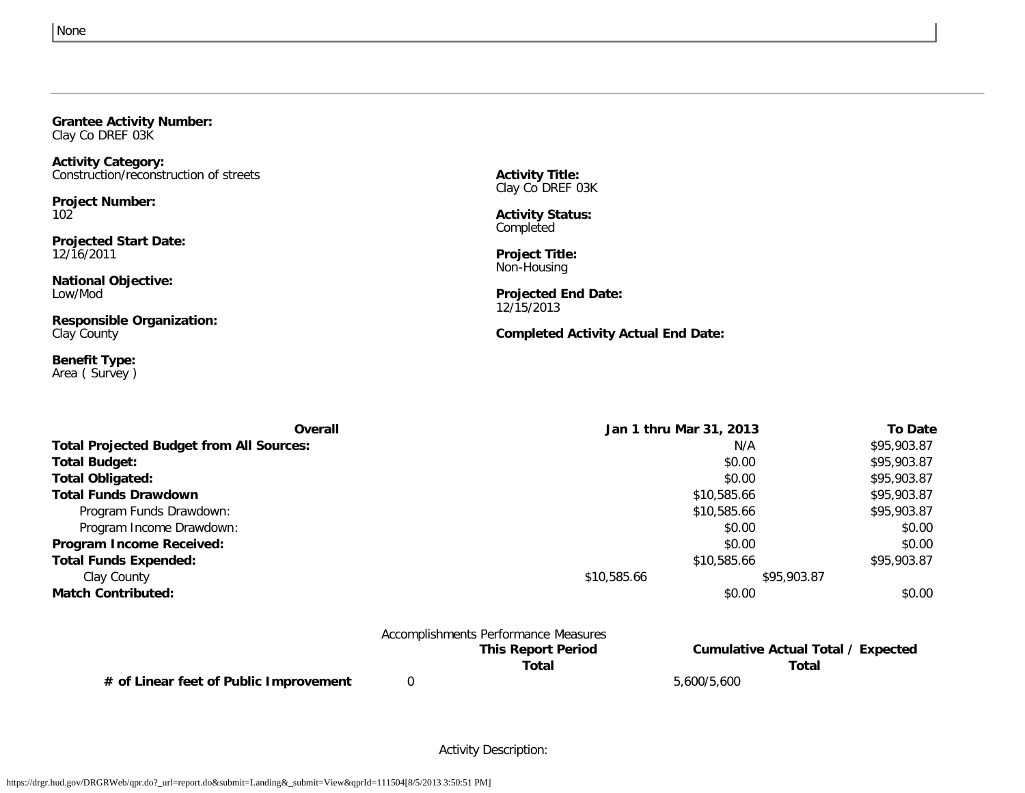### **Grantee Activity Number:** Clay Co DREF 03K

**Activity Category:**

Construction/reconstruction of streets

**Project Number:**

102

**Projected Start Date:** 12/16/2011

**National Objective:** Low/Mod

**Responsible Organization:** Clay County

**Benefit Type:** Area ( Survey ) **Activity Title:** Clay Co DREF 03K

**Activity Status:** Completed

**Project Title:** Non-Housing

**Projected End Date:** 12/15/2013

**Completed Activity Actual End Date:**

| Overall                                         | Jan 1 thru Mar 31, 2013 |             | <b>To Date</b> |
|-------------------------------------------------|-------------------------|-------------|----------------|
| <b>Total Projected Budget from All Sources:</b> |                         | N/A         | \$95,903.87    |
| Total Budget:                                   |                         | \$0.00      | \$95,903.87    |
| <b>Total Obligated:</b>                         |                         | \$0.00      | \$95,903.87    |
| <b>Total Funds Drawdown</b>                     | \$10,585.66             |             | \$95,903.87    |
| Program Funds Drawdown:                         | \$10,585.66             |             | \$95,903.87    |
| Program Income Drawdown:                        |                         | \$0.00      | \$0.00         |
| Program Income Received:                        |                         | \$0.00      | \$0.00         |
| <b>Total Funds Expended:</b>                    | \$10,585.66             |             | \$95,903.87    |
| Clay County                                     | \$10,585.66             | \$95,903.87 |                |
| <b>Match Contributed:</b>                       |                         | \$0.00      | \$0.00         |

| Accomplishments Performance Measures |                           |  |
|--------------------------------------|---------------------------|--|
|                                      | <b>This Report Period</b> |  |
|                                      | Total                     |  |

**# of Linear feet of Public Improvement** 0 5,600/5,600

**Cumulative Actual Total / Expected Total Total**

Activity Description: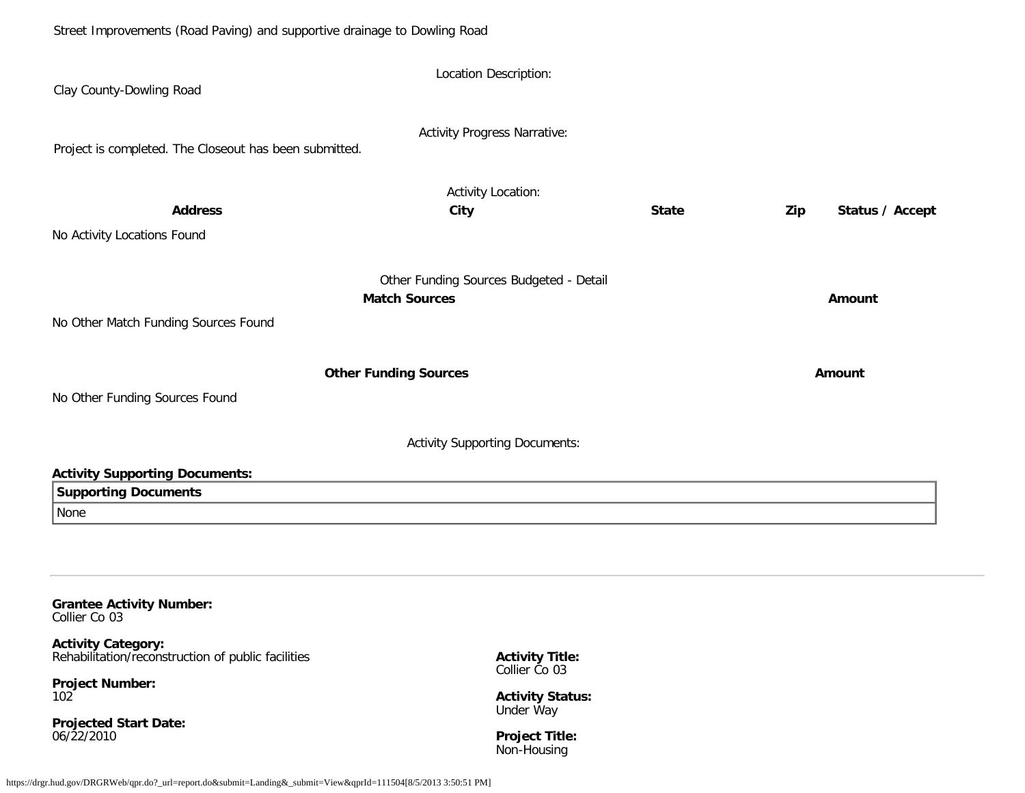| Clay County-Dowling Road                                                     | Location Description:                                           |              |                        |  |
|------------------------------------------------------------------------------|-----------------------------------------------------------------|--------------|------------------------|--|
| Project is completed. The Closeout has been submitted.                       | <b>Activity Progress Narrative:</b>                             |              |                        |  |
| <b>Address</b><br>No Activity Locations Found                                | <b>Activity Location:</b><br>City                               | <b>State</b> | Status / Accept<br>Zip |  |
|                                                                              | Other Funding Sources Budgeted - Detail<br><b>Match Sources</b> |              | Amount                 |  |
| No Other Match Funding Sources Found                                         |                                                                 |              |                        |  |
| No Other Funding Sources Found                                               | <b>Other Funding Sources</b>                                    |              | Amount                 |  |
|                                                                              | <b>Activity Supporting Documents:</b>                           |              |                        |  |
| <b>Activity Supporting Documents:</b><br><b>Supporting Documents</b><br>None |                                                                 |              |                        |  |
|                                                                              |                                                                 |              |                        |  |
| <b>Grantee Activity Number:</b><br>Collier Co 03                             |                                                                 |              |                        |  |

**Activity Category:** Rehabilitation/reconstruction of public facilities

**Project Number:** 102

**Projected Start Date:** 06/22/2010

**Activity Title:** Collier Co 03

**Activity Status:** Under Way

**Project Title:** Non-Housing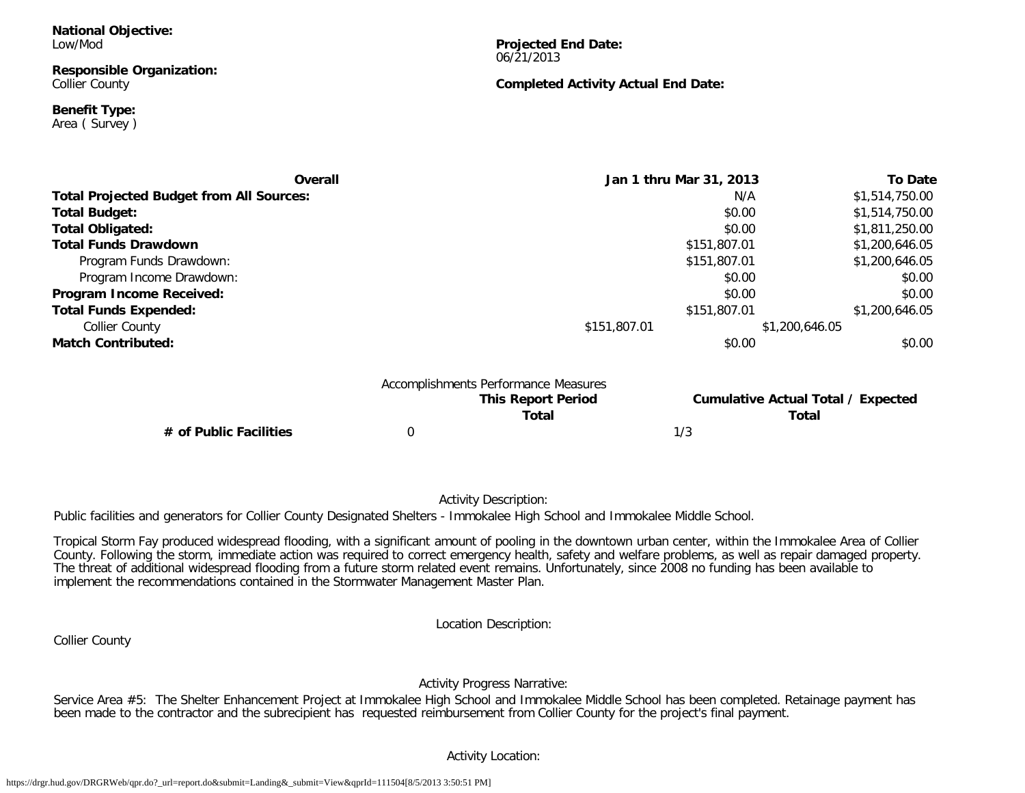#### **Responsible Organization:** Collier County

**Benefit Type:**

Area ( Survey )

**Projected End Date:** 06/21/2013

## **Completed Activity Actual End Date:**

| Overall                                         |                                      | Jan 1 thru Mar 31, 2013                   | <b>To Date</b> |
|-------------------------------------------------|--------------------------------------|-------------------------------------------|----------------|
| <b>Total Projected Budget from All Sources:</b> |                                      | N/A                                       | \$1,514,750.00 |
| Total Budget:                                   |                                      | \$0.00                                    | \$1,514,750.00 |
| Total Obligated:                                |                                      | \$0.00                                    | \$1,811,250.00 |
| <b>Total Funds Drawdown</b>                     |                                      | \$151,807.01                              | \$1,200,646.05 |
| Program Funds Drawdown:                         |                                      | \$151,807.01                              | \$1,200,646.05 |
| Program Income Drawdown:                        |                                      | \$0.00                                    | \$0.00         |
| Program Income Received:                        |                                      | \$0.00                                    | \$0.00         |
| <b>Total Funds Expended:</b>                    |                                      | \$151,807.01                              | \$1,200,646.05 |
| <b>Collier County</b>                           | \$151,807.01                         | \$1,200,646.05                            |                |
| <b>Match Contributed:</b>                       |                                      | \$0.00                                    | \$0.00         |
|                                                 | Accomplishments Performance Measures |                                           |                |
|                                                 | <b>This Report Period</b>            | <b>Cumulative Actual Total / Expected</b> |                |
|                                                 | <b>Total</b>                         | Total                                     |                |

**# of Public Facilities** 0 1/3

Activity Description:

Public facilities and generators for Collier County Designated Shelters - Immokalee High School and Immokalee Middle School.

Tropical Storm Fay produced widespread flooding, with a significant amount of pooling in the downtown urban center, within the Immokalee Area of Collier County. Following the storm, immediate action was required to correct emergency health, safety and welfare problems, as well as repair damaged property. The threat of additional widespread flooding from a future storm related event remains. Unfortunately, since 2008 no funding has been available to implement the recommendations contained in the Stormwater Management Master Plan.

Location Description:

Collier County

Activity Progress Narrative:

Service Area #5: The Shelter Enhancement Project at Immokalee High School and Immokalee Middle School has been completed. Retainage payment has been made to the contractor and the subrecipient has requested reimbursement from Collier County for the project's final payment.

# Activity Location: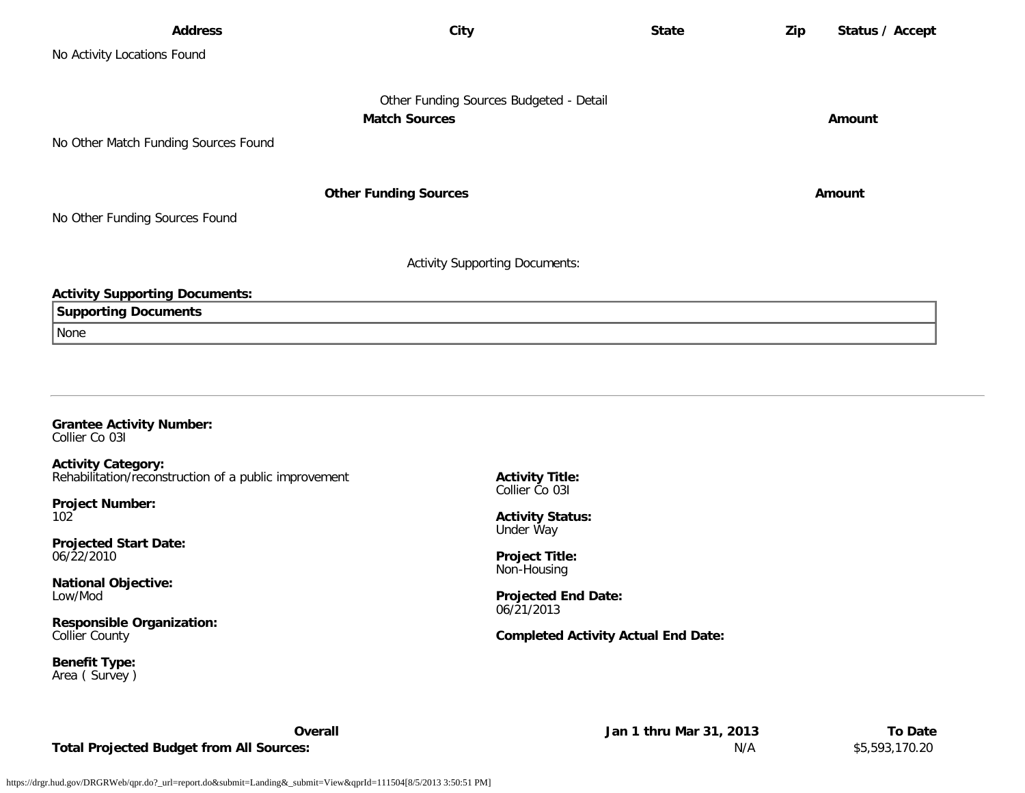| <b>Address</b>                        | City                                    | <b>State</b> | Zip | Status / Accept |
|---------------------------------------|-----------------------------------------|--------------|-----|-----------------|
| No Activity Locations Found           |                                         |              |     |                 |
|                                       |                                         |              |     |                 |
|                                       | Other Funding Sources Budgeted - Detail |              |     |                 |
|                                       | <b>Match Sources</b>                    |              |     | Amount          |
| No Other Match Funding Sources Found  |                                         |              |     |                 |
|                                       |                                         |              |     |                 |
|                                       | <b>Other Funding Sources</b>            |              |     | Amount          |
| No Other Funding Sources Found        |                                         |              |     |                 |
|                                       | <b>Activity Supporting Documents:</b>   |              |     |                 |
| <b>Activity Supporting Documents:</b> |                                         |              |     |                 |
| <b>Supporting Documents</b>           |                                         |              |     |                 |
| None                                  |                                         |              |     |                 |
|                                       |                                         |              |     |                 |
|                                       |                                         |              |     |                 |
|                                       |                                         |              |     |                 |

#### **Grantee Activity Number:** Collier Co 03I

**Activity Category:** Rehabilitation/reconstruction of a public improvement

**Project Number:** 102

**Projected Start Date:** 06/22/2010

**National Objective:** Low/Mod

**Responsible Organization:** Collier County

**Benefit Type:** Area ( Survey ) **Activity Title:** Collier Co 03I

**Activity Status:** Under Way

**Project Title:** Non-Housing

**Projected End Date:** 06/21/2013

## **Completed Activity Actual End Date:**

**Total Projected Budget from All Sources:** N/A \$5,593,170.20

**Overall Jan 1 thru Mar 31, 2013 To Date**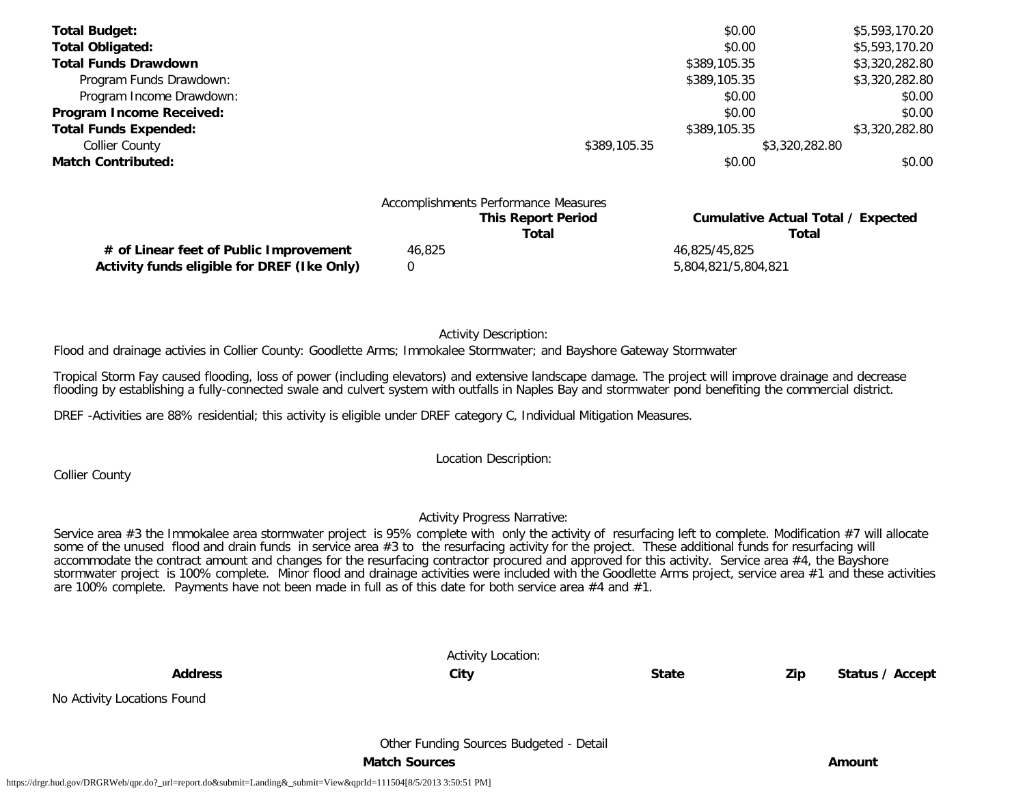| <b>Total Budget:</b>         |                                                                   | \$0.00       | \$5,593,170.20                            |
|------------------------------|-------------------------------------------------------------------|--------------|-------------------------------------------|
| <b>Total Obligated:</b>      |                                                                   | \$0.00       | \$5,593,170.20                            |
| <b>Total Funds Drawdown</b>  |                                                                   | \$389,105.35 | \$3,320,282.80                            |
| Program Funds Drawdown:      |                                                                   | \$389,105.35 | \$3,320,282.80                            |
| Program Income Drawdown:     |                                                                   | \$0.00       | \$0.00                                    |
| Program Income Received:     |                                                                   | \$0.00       | \$0.00                                    |
| <b>Total Funds Expended:</b> |                                                                   | \$389,105.35 | \$3,320,282.80                            |
| <b>Collier County</b>        | \$389,105.35                                                      |              | \$3,320,282.80                            |
| <b>Match Contributed:</b>    |                                                                   | \$0.00       | \$0.00                                    |
|                              | Accomplishments Performance Measures<br><b>This Report Period</b> |              | <b>Cumulative Actual Total / Expected</b> |

|        | This Report Period | Cumulative Actual Total / Expected |
|--------|--------------------|------------------------------------|
|        | Total              | Total                              |
| 46.825 |                    | 46.825/45.825                      |
|        |                    | 5.804.821/5.804.821                |
|        |                    |                                    |

Activity Description:

Flood and drainage activies in Collier County: Goodlette Arms; Immokalee Stormwater; and Bayshore Gateway Stormwater

Tropical Storm Fay caused flooding, loss of power (including elevators) and extensive landscape damage. The project will improve drainage and decrease flooding by establishing a fully-connected swale and culvert system with outfalls in Naples Bay and stormwater pond benefiting the commercial district.

DREF -Activities are 88% residential; this activity is eligible under DREF category C, Individual Mitigation Measures.

Location Description:

Collier County

No Activity Locations Found

## Activity Progress Narrative:

Service area #3 the Immokalee area stormwater project is 95% complete with only the activity of resurfacing left to complete. Modification #7 will allocate some of the unused flood and drain funds in service area #3 to the resurfacing activity for the project. These additional funds for resurfacing will accommodate the contract amount and changes for the resurfacing contractor procured and approved for this activity. Service area #4, the Bayshore stormwater project is 100% complete. Minor flood and drainage activities were included with the Goodlette Arms project, service area #1 and these activities are 100% complete. Payments have not been made in full as of this date for both service area #4 and #1.

|                | <b>Activity Location:</b> |              |     |                 |
|----------------|---------------------------|--------------|-----|-----------------|
| <b>Address</b> | City                      | <b>State</b> | Zip | Status / Accept |
| Found.         |                           |              |     |                 |

Other Funding Sources Budgeted - Detail

**Match Sources Amount**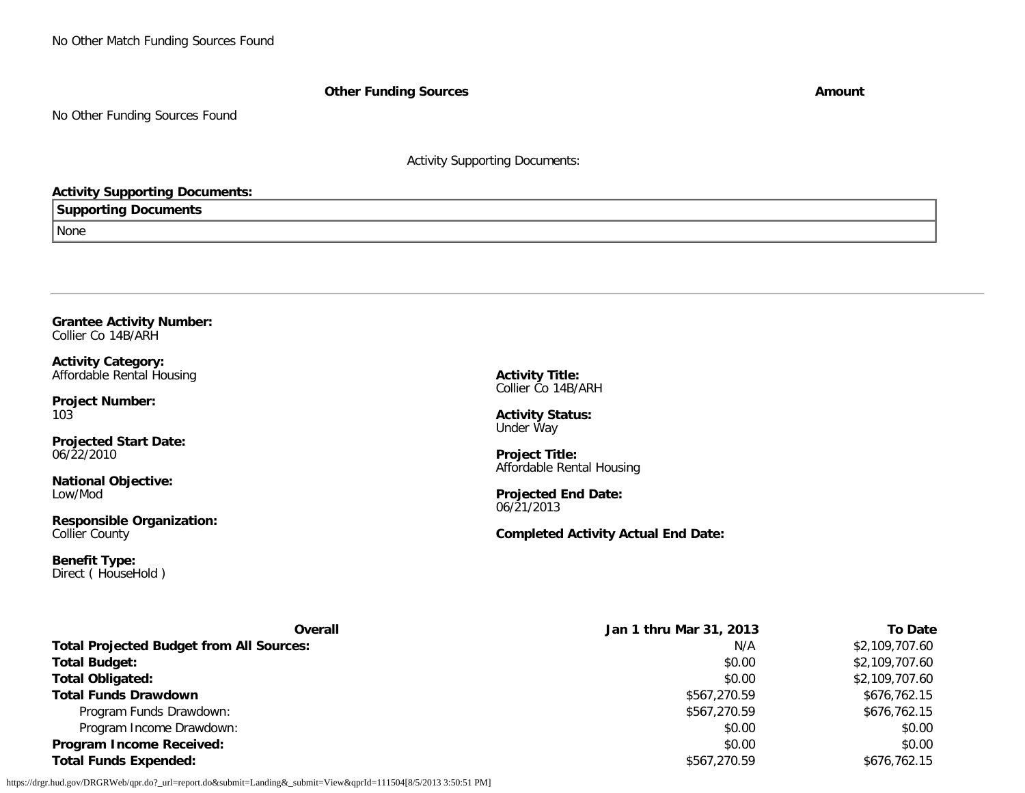## **Other Funding Sources Amount**

No Other Funding Sources Found

Activity Supporting Documents:

## **Activity Supporting Documents:**

# **Supporting Documents**

None

#### **Grantee Activity Number:** Collier Co 14B/ARH

**Activity Category:** Affordable Rental Housing

**Project Number:** 103

**Projected Start Date:** 06/22/2010

**National Objective:** Low/Mod

**Responsible Organization:** Collier County

**Benefit Type:** Direct ( HouseHold ) **Activity Title:** Collier Co 14B/ARH

**Activity Status:** Under Way

**Project Title:** Affordable Rental Housing

**Projected End Date:** 06/21/2013

**Completed Activity Actual End Date:**

| <b>Overall</b>                                  | Jan 1 thru Mar 31, 2013 | To Date        |
|-------------------------------------------------|-------------------------|----------------|
| <b>Total Projected Budget from All Sources:</b> | N/A                     | \$2,109,707.60 |
| <b>Total Budget:</b>                            | \$0.00                  | \$2,109,707.60 |
| <b>Total Obligated:</b>                         | \$0.00                  | \$2,109,707.60 |
| <b>Total Funds Drawdown</b>                     | \$567,270.59            | \$676,762.15   |
| Program Funds Drawdown:                         | \$567,270.59            | \$676,762.15   |
| Program Income Drawdown:                        | \$0.00                  | \$0.00         |
| <b>Program Income Received:</b>                 | \$0.00                  | \$0.00         |
| <b>Total Funds Expended:</b>                    | \$567,270.59            | \$676,762.15   |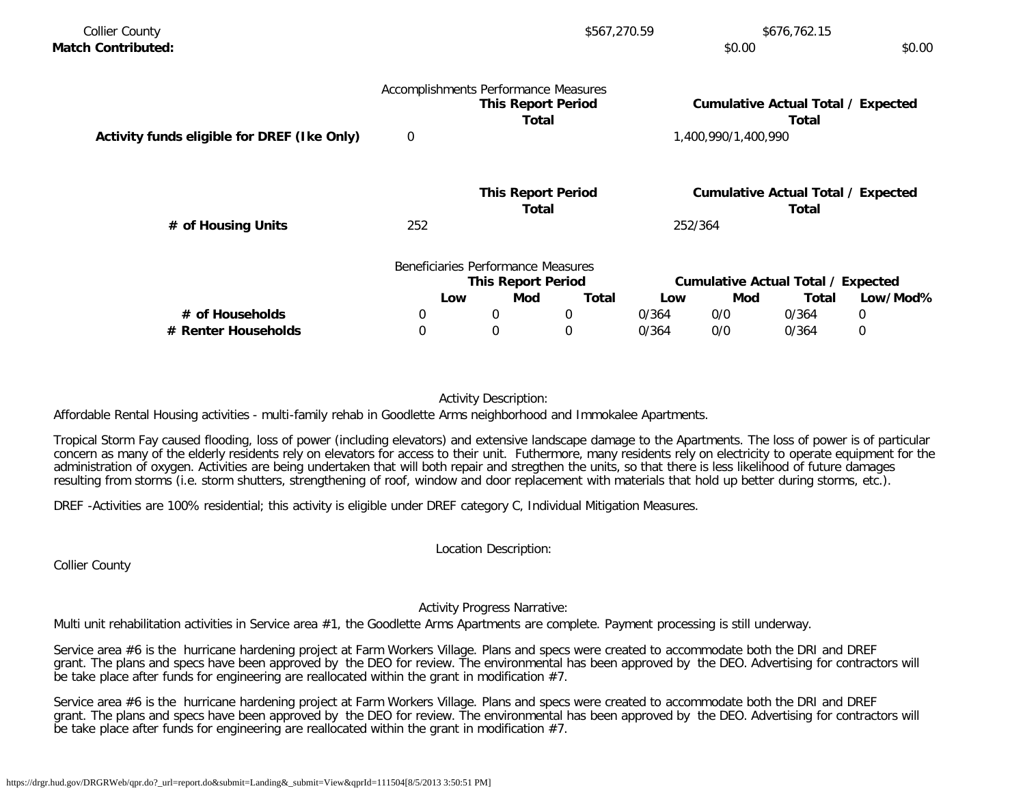| <b>Collier County</b>                       |                                      |                                    | \$567,270.59 |       |                     | \$676,762.15                                |          |
|---------------------------------------------|--------------------------------------|------------------------------------|--------------|-------|---------------------|---------------------------------------------|----------|
| <b>Match Contributed:</b>                   |                                      |                                    |              |       | \$0.00              |                                             | \$0.00   |
|                                             | Accomplishments Performance Measures |                                    |              |       |                     |                                             |          |
|                                             |                                      | <b>This Report Period</b><br>Total |              |       |                     | Cumulative Actual Total / Expected<br>Total |          |
| Activity funds eligible for DREF (Ike Only) | $\overline{0}$                       |                                    |              |       | 1,400,990/1,400,990 |                                             |          |
|                                             |                                      | <b>This Report Period</b>          |              |       |                     | Cumulative Actual Total / Expected          |          |
|                                             |                                      | Total                              |              |       |                     | Total                                       |          |
| # of Housing Units                          | 252                                  |                                    |              |       | 252/364             |                                             |          |
|                                             |                                      | Beneficiaries Performance Measures |              |       |                     |                                             |          |
|                                             |                                      | <b>This Report Period</b>          |              |       |                     | Cumulative Actual Total / Expected          |          |
|                                             | Low                                  | Mod                                | <b>Total</b> | Low   | Mod                 | Total                                       | Low/Mod% |
| # of Households                             | $\mathbf 0$                          | 0                                  | 0            | 0/364 | 0/0                 | 0/364                                       | 0        |
| # Renter Households                         | $\mathbf 0$                          | 0                                  | 0            | 0/364 | 0/0                 | 0/364                                       | 0        |

## Activity Description:

Affordable Rental Housing activities - multi-family rehab in Goodlette Arms neighborhood and Immokalee Apartments.

Tropical Storm Fay caused flooding, loss of power (including elevators) and extensive landscape damage to the Apartments. The loss of power is of particular concern as many of the elderly residents rely on elevators for access to their unit. Futhermore, many residents rely on electricity to operate equipment for the administration of oxygen. Activities are being undertaken that will both repair and stregthen the units, so that there is less likelihood of future damages resulting from storms (i.e. storm shutters, strengthening of roof, window and door replacement with materials that hold up better during storms, etc.).

DREF -Activities are 100% residential; this activity is eligible under DREF category C, Individual Mitigation Measures.

Location Description:

Collier County

## Activity Progress Narrative:

Multi unit rehabilitation activities in Service area #1, the Goodlette Arms Apartments are complete. Payment processing is still underway.

Service area #6 is the hurricane hardening project at Farm Workers Village. Plans and specs were created to accommodate both the DRI and DREF grant. The plans and specs have been approved by the DEO for review. The environmental has been approved by the DEO. Advertising for contractors will be take place after funds for engineering are reallocated within the grant in modification #7.

Service area #6 is the hurricane hardening project at Farm Workers Village. Plans and specs were created to accommodate both the DRI and DREF grant. The plans and specs have been approved by the DEO for review. The environmental has been approved by the DEO. Advertising for contractors will be take place after funds for engineering are reallocated within the grant in modification #7.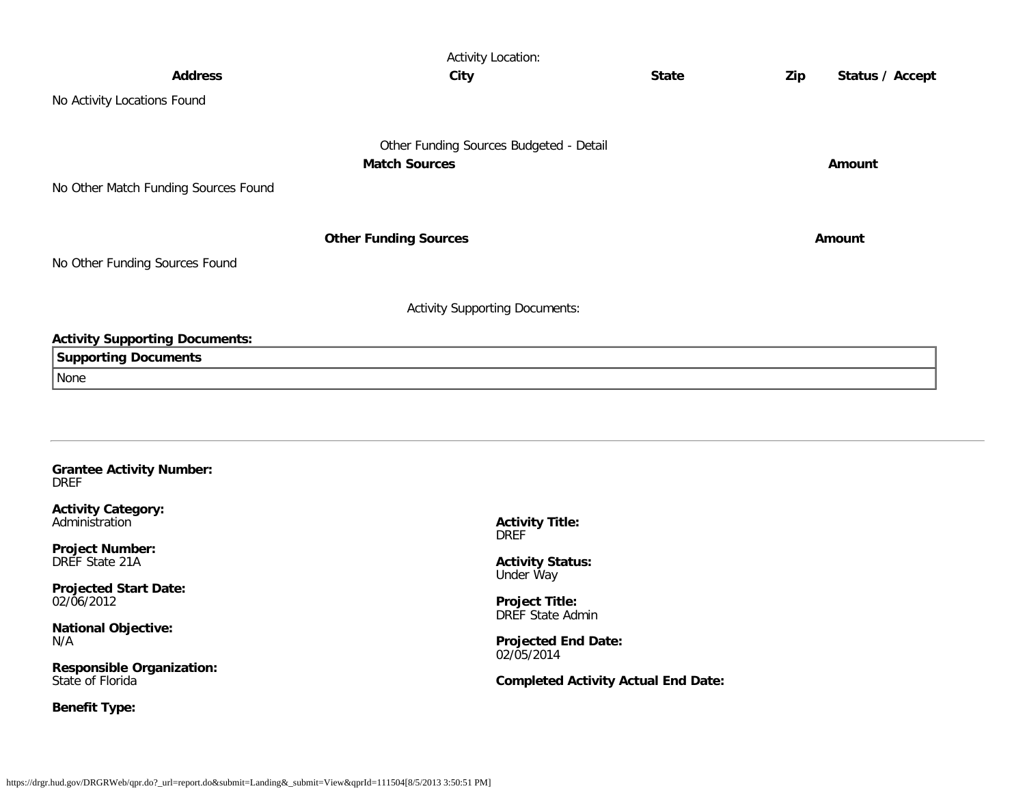|                                                | <b>Activity Location:</b>               |              |                        |
|------------------------------------------------|-----------------------------------------|--------------|------------------------|
| <b>Address</b>                                 | <b>City</b>                             | <b>State</b> | Status / Accept<br>Zip |
| No Activity Locations Found                    |                                         |              |                        |
|                                                | Other Funding Sources Budgeted - Detail |              |                        |
|                                                | <b>Match Sources</b>                    |              | Amount                 |
| No Other Match Funding Sources Found           |                                         |              |                        |
|                                                |                                         |              |                        |
|                                                | <b>Other Funding Sources</b>            |              | Amount                 |
| No Other Funding Sources Found                 |                                         |              |                        |
|                                                |                                         |              |                        |
|                                                | <b>Activity Supporting Documents:</b>   |              |                        |
| <b>Activity Supporting Documents:</b>          |                                         |              |                        |
| <b>Supporting Documents</b>                    |                                         |              |                        |
| None                                           |                                         |              |                        |
|                                                |                                         |              |                        |
|                                                |                                         |              |                        |
|                                                |                                         |              |                        |
| <b>Grantee Activity Number:</b><br><b>DREF</b> |                                         |              |                        |
| <b>Activity Category:</b>                      |                                         |              |                        |
| Administration                                 | <b>Activity Title:</b><br><b>DREF</b>   |              |                        |
| <b>Project Number:</b><br>DREF State 21A       |                                         |              |                        |
|                                                | <b>Activity Status:</b><br>Under Way    |              |                        |

**Projected Start Date:** 02/06/2012

**National Objective:** N/A

**Responsible Organization:** State of Florida

**Benefit Type:**

**Project Title:** DREF State Admin

**Projected End Date:** 02/05/2014

**Completed Activity Actual End Date:**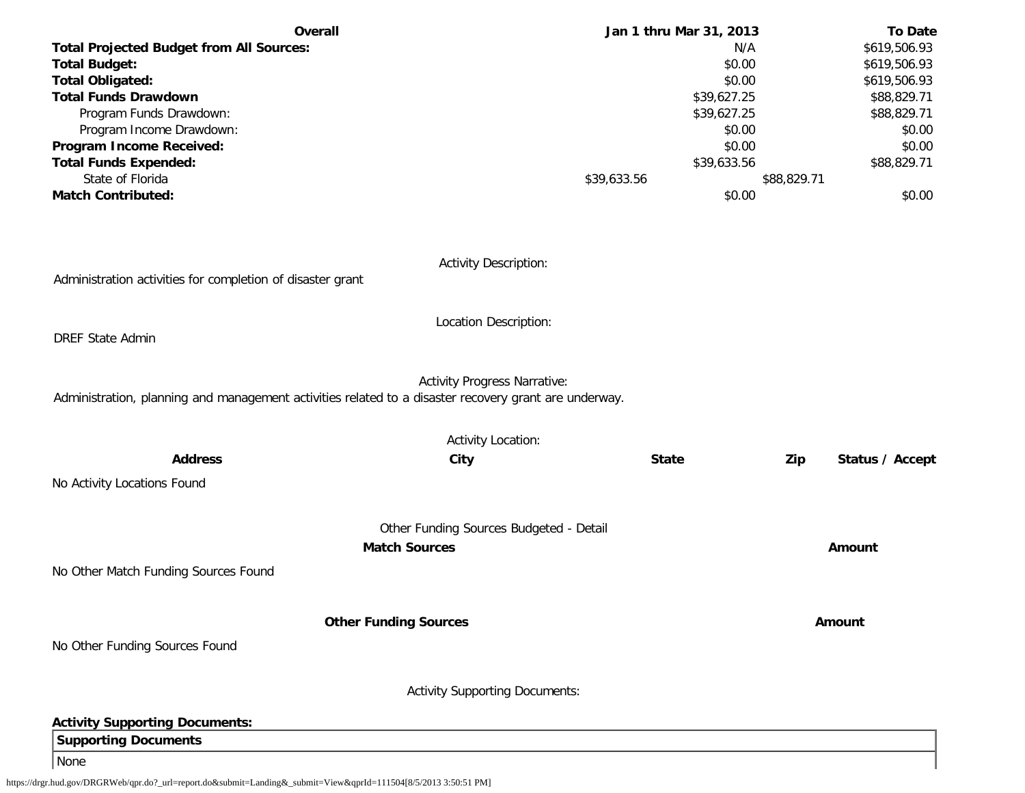| <b>Overall</b>                                                                                                                               | Jan 1 thru Mar 31, 2013 |             | <b>To Date</b>         |
|----------------------------------------------------------------------------------------------------------------------------------------------|-------------------------|-------------|------------------------|
| <b>Total Projected Budget from All Sources:</b>                                                                                              |                         | N/A         | \$619,506.93           |
| <b>Total Budget:</b>                                                                                                                         |                         | \$0.00      | \$619,506.93           |
| <b>Total Obligated:</b>                                                                                                                      |                         | \$0.00      | \$619,506.93           |
| <b>Total Funds Drawdown</b>                                                                                                                  |                         | \$39,627.25 | \$88,829.71            |
| Program Funds Drawdown:                                                                                                                      |                         | \$39,627.25 | \$88,829.71            |
| Program Income Drawdown:                                                                                                                     |                         | \$0.00      | \$0.00                 |
| Program Income Received:                                                                                                                     |                         | \$0.00      | \$0.00                 |
| <b>Total Funds Expended:</b>                                                                                                                 |                         | \$39,633.56 | \$88,829.71            |
| State of Florida                                                                                                                             | \$39,633.56             | \$88,829.71 |                        |
| <b>Match Contributed:</b>                                                                                                                    |                         | \$0.00      | \$0.00                 |
|                                                                                                                                              |                         |             |                        |
| <b>Activity Description:</b><br>Administration activities for completion of disaster grant                                                   |                         |             |                        |
| Location Description:                                                                                                                        |                         |             |                        |
| <b>DREF State Admin</b>                                                                                                                      |                         |             |                        |
| <b>Activity Progress Narrative:</b><br>Administration, planning and management activities related to a disaster recovery grant are underway. |                         |             |                        |
| <b>Activity Location:</b>                                                                                                                    |                         |             |                        |
| <b>Address</b><br>City                                                                                                                       | <b>State</b>            |             | Zip<br>Status / Accept |
| No Activity Locations Found                                                                                                                  |                         |             |                        |
| Other Funding Sources Budgeted - Detail                                                                                                      |                         |             |                        |
| <b>Match Sources</b>                                                                                                                         |                         |             | Amount                 |
|                                                                                                                                              |                         |             |                        |
| No Other Match Funding Sources Found                                                                                                         |                         |             |                        |
| <b>Other Funding Sources</b>                                                                                                                 |                         |             | Amount                 |
| No Other Funding Sources Found                                                                                                               |                         |             |                        |
|                                                                                                                                              |                         |             |                        |
| <b>Activity Supporting Documents:</b>                                                                                                        |                         |             |                        |
| <b>Activity Supporting Documents:</b>                                                                                                        |                         |             |                        |
| <b>Supporting Documents</b>                                                                                                                  |                         |             |                        |
| None                                                                                                                                         |                         |             |                        |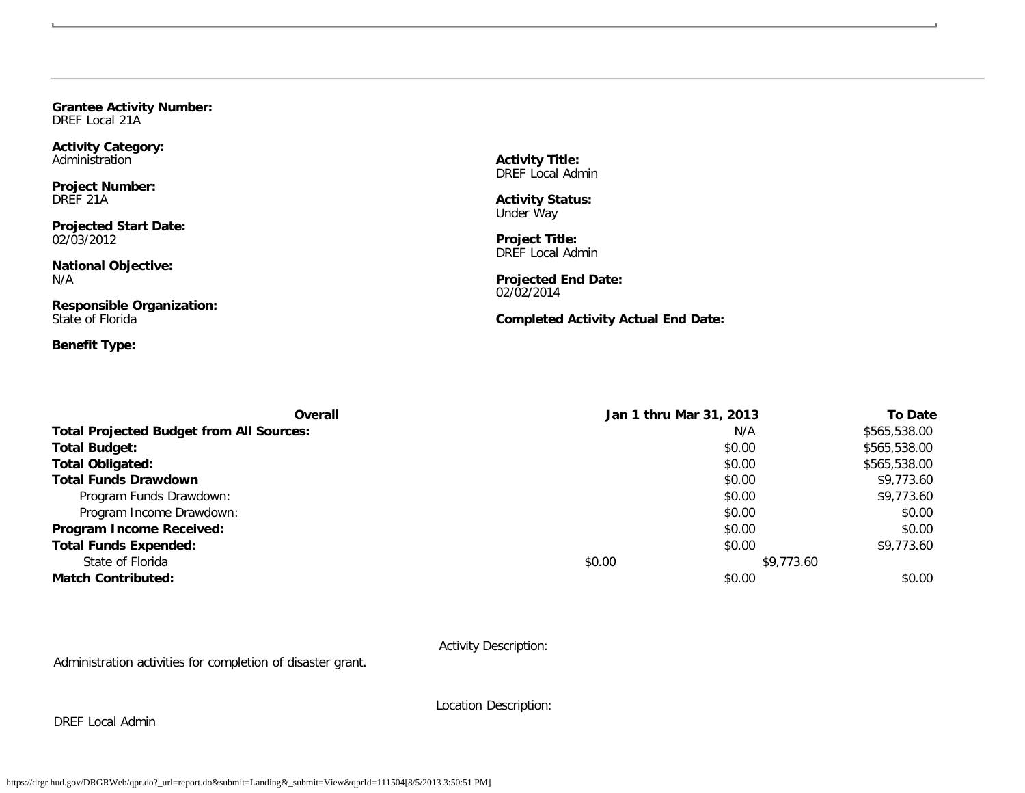**Grantee Activity Number:** DREF Local 21A

**Activity Category:** Administration

**Project Number:** DREF 21A

**Projected Start Date:** 02/03/2012

**National Objective:** N/A

**Responsible Organization:** State of Florida

**Benefit Type:**

**Activity Title:** DREF Local Admin

**Activity Status:** Under Way

**Project Title:** DREF Local Admin

**Projected End Date:** 02/02/2014

**Completed Activity Actual End Date:**

| Overall                                         | Jan 1 thru Mar 31, 2013 | <b>To Date</b> |
|-------------------------------------------------|-------------------------|----------------|
| <b>Total Projected Budget from All Sources:</b> | N/A                     | \$565,538.00   |
| <b>Total Budget:</b>                            | \$0.00                  | \$565,538.00   |
| <b>Total Obligated:</b>                         | \$0.00                  | \$565,538.00   |
| <b>Total Funds Drawdown</b>                     | \$0.00                  | \$9,773.60     |
| Program Funds Drawdown:                         | \$0.00                  | \$9,773.60     |
| Program Income Drawdown:                        | \$0.00                  | \$0.00         |
| Program Income Received:                        | \$0.00                  | \$0.00         |
| <b>Total Funds Expended:</b>                    | \$0.00                  | \$9,773.60     |
| State of Florida                                | \$0.00                  | \$9,773.60     |
| <b>Match Contributed:</b>                       | \$0.00                  | \$0.00         |

Activity Description:

Administration activities for completion of disaster grant.

DREF Local Admin

Location Description: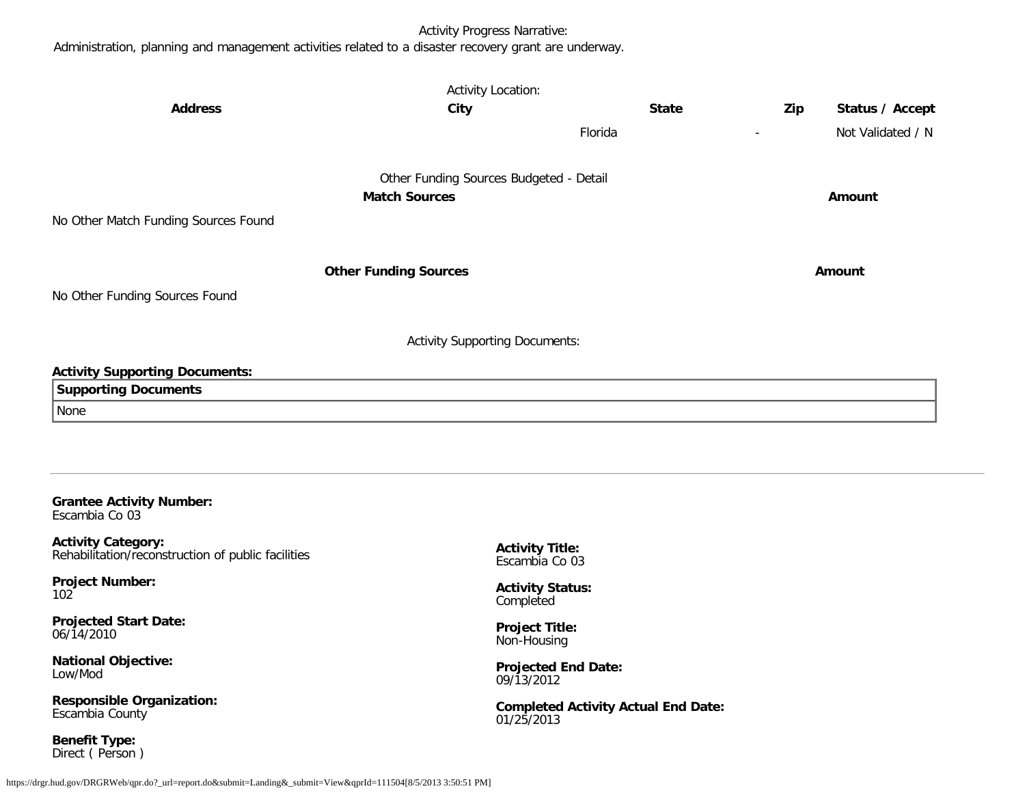## Activity Progress Narrative:

Administration, planning and management activities related to a disaster recovery grant are underway.

| <b>Address</b>                                                                                                                | <b>Activity Location:</b><br>City                               | <b>State</b> | Zip | Status / Accept   |
|-------------------------------------------------------------------------------------------------------------------------------|-----------------------------------------------------------------|--------------|-----|-------------------|
|                                                                                                                               |                                                                 | Florida      |     | Not Validated / N |
| No Other Match Funding Sources Found                                                                                          | Other Funding Sources Budgeted - Detail<br><b>Match Sources</b> |              |     | Amount            |
| No Other Funding Sources Found                                                                                                | <b>Other Funding Sources</b>                                    |              |     | Amount            |
|                                                                                                                               | <b>Activity Supporting Documents:</b>                           |              |     |                   |
| <b>Activity Supporting Documents:</b><br><b>Supporting Documents</b><br>None                                                  |                                                                 |              |     |                   |
| <b>Grantee Activity Number:</b><br>Escambia Co 03<br>Activity Category:<br>Rehabilitation/reconstruction of public facilities | <b>Activity Title:</b><br>Escambia Co 03                        |              |     |                   |

**Project Number:** 102

**Projected Start Date:** 06/14/2010

**National Objective:** Low/Mod

**Responsible Organization:** Escambia County

**Benefit Type:** Direct ( Person ) **Activity Status:** Completed

**Project Title:** Non-Housing

**Projected End Date:** 09/13/2012

**Completed Activity Actual End Date:** 01/25/2013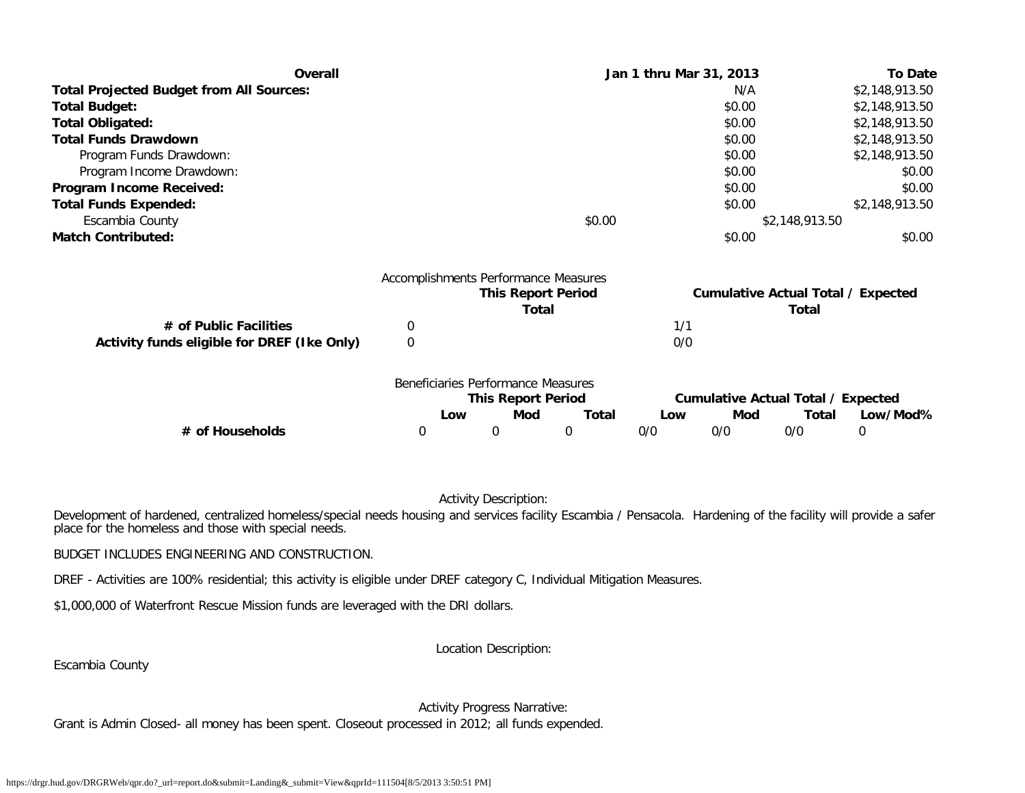| Overall                                         |             |                                      |                           |              |     | Jan 1 thru Mar 31, 2013 |                                           | <b>To Date</b> |
|-------------------------------------------------|-------------|--------------------------------------|---------------------------|--------------|-----|-------------------------|-------------------------------------------|----------------|
| <b>Total Projected Budget from All Sources:</b> |             |                                      |                           |              |     | N/A                     |                                           | \$2,148,913.50 |
| <b>Total Budget:</b>                            |             |                                      |                           |              |     | \$0.00                  |                                           | \$2,148,913.50 |
| <b>Total Obligated:</b>                         |             |                                      |                           |              |     | \$0.00                  |                                           | \$2,148,913.50 |
| <b>Total Funds Drawdown</b>                     |             |                                      |                           |              |     | \$0.00                  |                                           | \$2,148,913.50 |
| Program Funds Drawdown:                         |             |                                      |                           |              |     | \$0.00                  |                                           | \$2,148,913.50 |
| Program Income Drawdown:                        |             |                                      |                           |              |     | \$0.00                  |                                           | \$0.00         |
| Program Income Received:                        |             |                                      |                           |              |     | \$0.00                  |                                           | \$0.00         |
| <b>Total Funds Expended:</b>                    |             |                                      |                           |              |     | \$0.00                  |                                           | \$2,148,913.50 |
| Escambia County                                 |             |                                      |                           | \$0.00       |     |                         | \$2,148,913.50                            |                |
| <b>Match Contributed:</b>                       |             |                                      |                           |              |     | \$0.00                  |                                           | \$0.00         |
|                                                 |             | Accomplishments Performance Measures | <b>This Report Period</b> |              |     |                         | <b>Cumulative Actual Total / Expected</b> |                |
|                                                 |             |                                      | <b>Total</b>              |              |     |                         | Total                                     |                |
| # of Public Facilities                          | 0           |                                      |                           |              | 1/1 |                         |                                           |                |
| Activity funds eligible for DREF (Ike Only)     | $\mathbf 0$ |                                      |                           |              | 0/0 |                         |                                           |                |
|                                                 |             | Beneficiaries Performance Measures   |                           |              |     |                         |                                           |                |
|                                                 |             | <b>This Report Period</b>            |                           |              |     |                         | <b>Cumulative Actual Total / Expected</b> |                |
|                                                 |             | Mod<br>Low                           |                           | <b>Total</b> | Low | Mod                     | Total                                     | Low/Mod%       |
| # of Households                                 | 0           | 0                                    | 0                         |              | 0/0 | 0/0                     | 0/0                                       | 0              |

# Activity Description:

Development of hardened, centralized homeless/special needs housing and services facility Escambia / Pensacola. Hardening of the facility will provide a safer place for the homeless and those with special needs.

BUDGET INCLUDES ENGINEERING AND CONSTRUCTION.

DREF - Activities are 100% residential; this activity is eligible under DREF category C, Individual Mitigation Measures.

\$1,000,000 of Waterfront Rescue Mission funds are leveraged with the DRI dollars.

Location Description:

Escambia County

Activity Progress Narrative:

Grant is Admin Closed- all money has been spent. Closeout processed in 2012; all funds expended.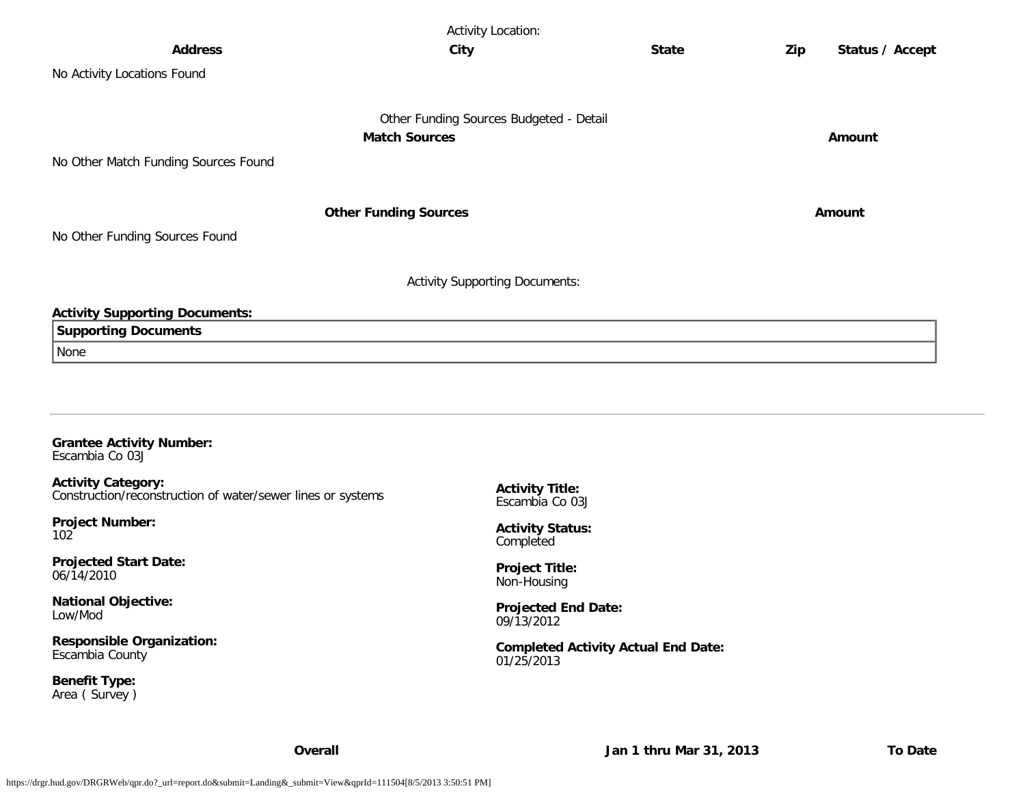|                                       | <b>Activity Location:</b>               |              |     |                 |
|---------------------------------------|-----------------------------------------|--------------|-----|-----------------|
| <b>Address</b>                        | City                                    | <b>State</b> | Zip | Status / Accept |
| No Activity Locations Found           |                                         |              |     |                 |
|                                       | Other Funding Sources Budgeted - Detail |              |     |                 |
|                                       | <b>Match Sources</b>                    |              |     | Amount          |
| No Other Match Funding Sources Found  |                                         |              |     |                 |
|                                       | <b>Other Funding Sources</b>            |              |     | Amount          |
| No Other Funding Sources Found        |                                         |              |     |                 |
|                                       | <b>Activity Supporting Documents:</b>   |              |     |                 |
| <b>Activity Supporting Documents:</b> |                                         |              |     |                 |
| <b>Supporting Documents</b>           |                                         |              |     |                 |
| None                                  |                                         |              |     |                 |
|                                       |                                         |              |     |                 |
|                                       |                                         |              |     |                 |
|                                       |                                         |              |     |                 |
| <b>Grantee Activity Number:</b>       |                                         |              |     |                 |

Escambia Co 03J

**Activity Category:** Construction/reconstruction of water/sewer lines or systems

**Project Number:** 102

**Projected Start Date:** 06/14/2010

**National Objective:** Low/Mod

**Responsible Organization:** Escambia County

**Benefit Type:** Area ( Survey ) **Activity Title:** Escambia Co 03J

**Activity Status:** Completed

**Project Title:** Non-Housing

**Projected End Date:** 09/13/2012

**Completed Activity Actual End Date:** 01/25/2013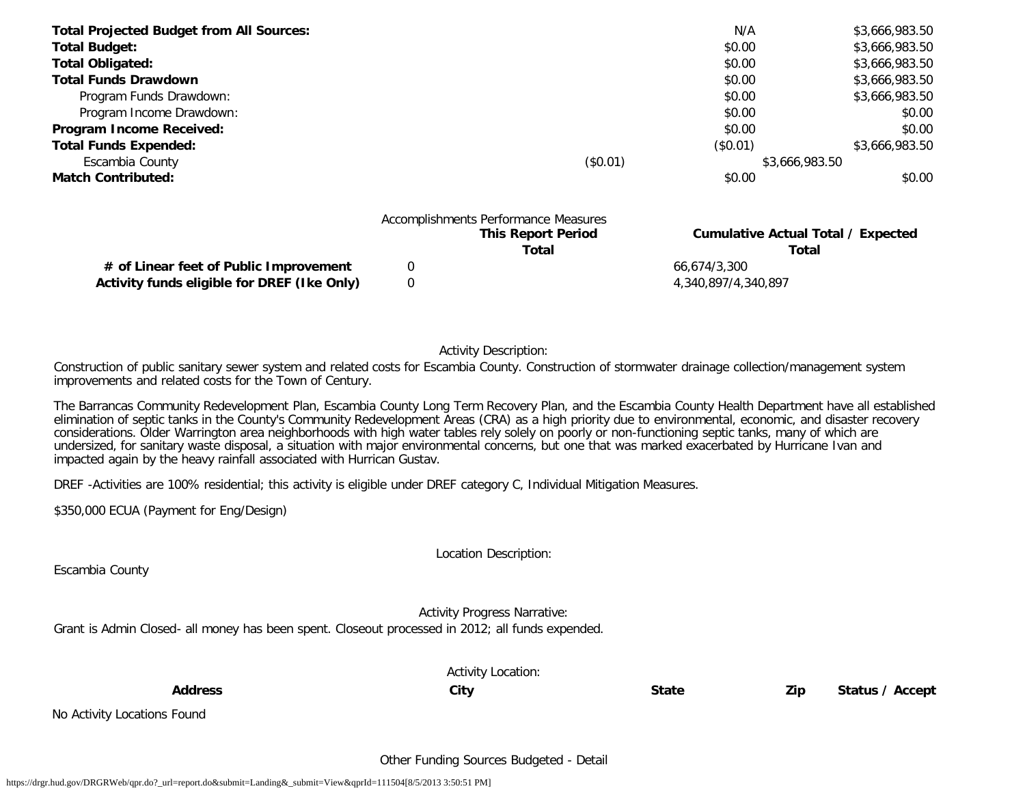| <b>Total Projected Budget from All Sources:</b> |                                                            | N/A      | \$3,666,983.50                        |
|-------------------------------------------------|------------------------------------------------------------|----------|---------------------------------------|
| <b>Total Budget:</b>                            |                                                            | \$0.00   | \$3,666,983.50                        |
| <b>Total Obligated:</b>                         |                                                            | \$0.00   | \$3,666,983.50                        |
| <b>Total Funds Drawdown</b>                     |                                                            | \$0.00   | \$3,666,983.50                        |
| Program Funds Drawdown:                         |                                                            | \$0.00   | \$3,666,983.50                        |
| Program Income Drawdown:                        |                                                            | \$0.00   | \$0.00                                |
| Program Income Received:                        |                                                            | \$0.00   | \$0.00                                |
| <b>Total Funds Expended:</b>                    |                                                            | (\$0.01) | \$3,666,983.50                        |
| Escambia County                                 | (\$0.01)                                                   |          | \$3,666,983.50                        |
| <b>Match Contributed:</b>                       |                                                            | \$0.00   | \$0.00                                |
|                                                 | Accomplishments Performance Measures<br>This Depart Depley |          | Conseilative Astrol Tatal / Foresated |

|                                             | <b>This Report Period</b> | Cumulative Actual Total / Expected |
|---------------------------------------------|---------------------------|------------------------------------|
|                                             | Total                     | Total                              |
| # of Linear feet of Public Improvement      |                           | 66.674/3.300                       |
| Activity funds eligible for DREF (Ike Only) |                           | 4,340,897/4,340,897                |

Activity Description:

Construction of public sanitary sewer system and related costs for Escambia County. Construction of stormwater drainage collection/management system improvements and related costs for the Town of Century.

The Barrancas Community Redevelopment Plan, Escambia County Long Term Recovery Plan, and the Escambia County Health Department have all established elimination of septic tanks in the County's Community Redevelopment Areas (CRA) as a high priority due to environmental, economic, and disaster recovery considerations. Older Warrington area neighborhoods with high water tables rely solely on poorly or non-functioning septic tanks, many of which are undersized, for sanitary waste disposal, a situation with major environmental concerns, but one that was marked exacerbated by Hurricane Ivan and impacted again by the heavy rainfall associated with Hurrican Gustav.

DREF -Activities are 100% residential; this activity is eligible under DREF category C, Individual Mitigation Measures.

\$350,000 ECUA (Payment for Eng/Design)

Location Description:

Escambia County

Activity Progress Narrative:

Grant is Admin Closed- all money has been spent. Closeout processed in 2012; all funds expended.

|                             | <b>Activity Location:</b> |              |     |                 |
|-----------------------------|---------------------------|--------------|-----|-----------------|
| <b>Address</b>              | City                      | <b>State</b> | Zip | Status / Accept |
| No Activity Locations Found |                           |              |     |                 |

# Other Funding Sources Budgeted - Detail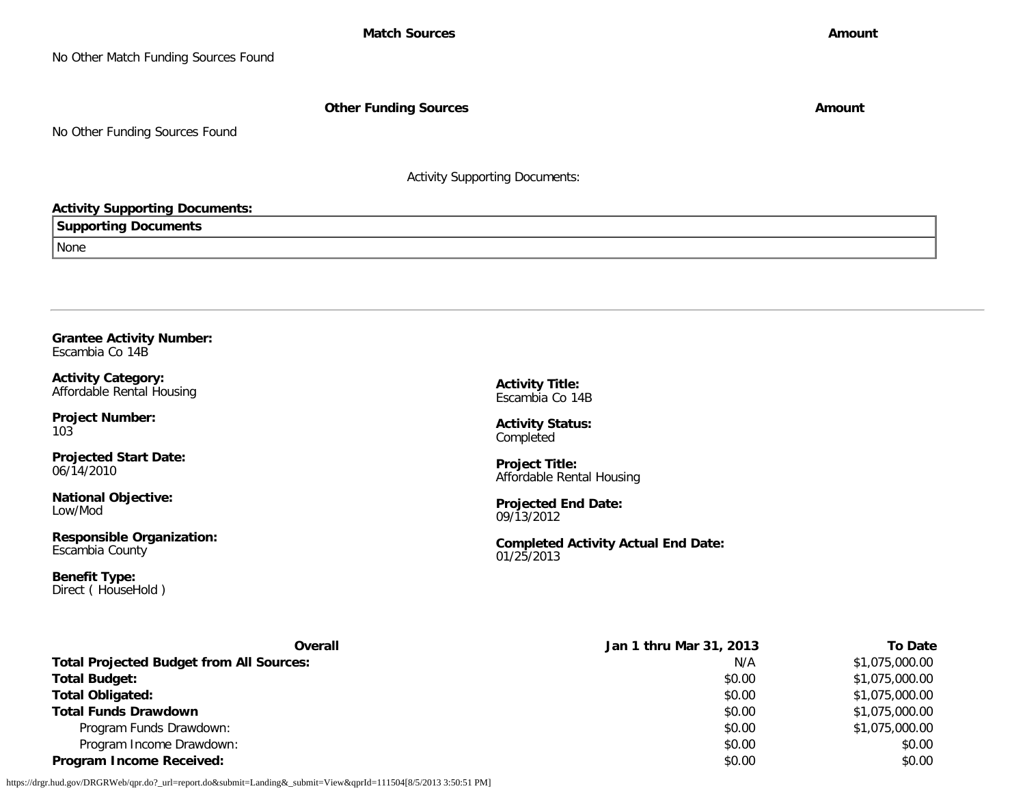No Other Match Funding Sources Found

**Other Funding Sources Amount** 

No Other Funding Sources Found

Activity Supporting Documents:

## **Activity Supporting Documents:**

**Supporting Documents** None

**Grantee Activity Number:** Escambia Co 14B

**Activity Category:** Affordable Rental Housing

**Project Number:** 103

**Projected Start Date:** 06/14/2010

**National Objective:** Low/Mod

**Responsible Organization:** Escambia County

**Benefit Type:** Direct ( HouseHold ) **Activity Title:** Escambia Co 14B

**Activity Status:** Completed

**Project Title:** Affordable Rental Housing

**Projected End Date:** 09/13/2012

**Completed Activity Actual End Date:** 01/25/2013

| Overall                                         | Jan 1 thru Mar 31, 2013 | To Date        |
|-------------------------------------------------|-------------------------|----------------|
| <b>Total Projected Budget from All Sources:</b> | N/A                     | \$1,075,000.00 |
| <b>Total Budget:</b>                            | \$0.00                  | \$1,075,000.00 |
| <b>Total Obligated:</b>                         | \$0.00                  | \$1,075,000.00 |
| <b>Total Funds Drawdown</b>                     | \$0.00                  | \$1,075,000.00 |
| Program Funds Drawdown:                         | \$0.00                  | \$1,075,000.00 |
| Program Income Drawdown:                        | \$0.00                  | \$0.00         |
| <b>Program Income Received:</b>                 | \$0.00                  | \$0.00         |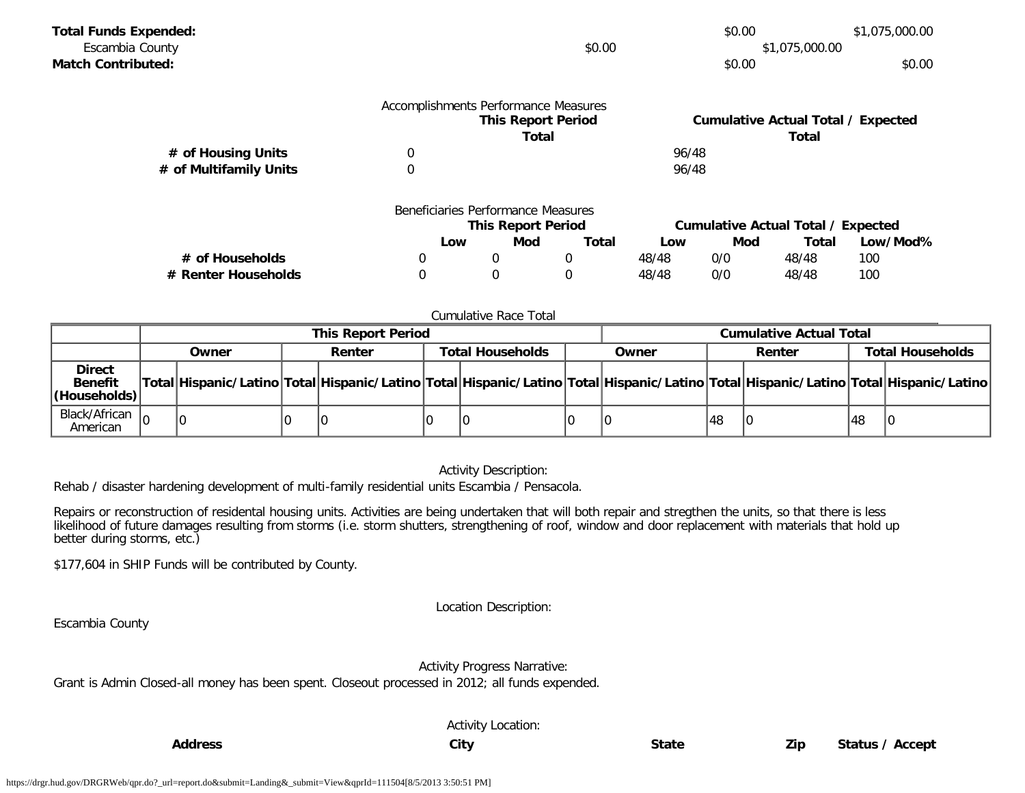| <b>Total Funds Expended:</b> |                                    |                                      |             |       |                                           | \$1,075,000.00 |          |  |
|------------------------------|------------------------------------|--------------------------------------|-------------|-------|-------------------------------------------|----------------|----------|--|
| Escambia County              |                                    | \$0.00                               |             |       | \$1,075,000.00                            |                |          |  |
| <b>Match Contributed:</b>    |                                    |                                      |             |       | \$0.00                                    |                | \$0.00   |  |
|                              |                                    | Accomplishments Performance Measures |             |       | <b>Cumulative Actual Total / Expected</b> |                |          |  |
|                              | <b>This Report Period</b><br>Total |                                      |             |       | <b>Total</b>                              |                |          |  |
| # of Housing Units           | 0                                  | 96/48                                |             |       |                                           |                |          |  |
| # of Multifamily Units       | 0                                  |                                      |             | 96/48 |                                           |                |          |  |
|                              |                                    | Beneficiaries Performance Measures   |             |       |                                           |                |          |  |
|                              | <b>This Report Period</b>          |                                      |             |       | <b>Cumulative Actual Total / Expected</b> |                |          |  |
|                              | Low                                | Mod                                  | Total       | Low   | Mod                                       | Total          | Low/Mod% |  |
| # of Households              | 0                                  | 0                                    | 0           | 48/48 | 0/0                                       | 48/48          | 100      |  |
| # Renter Households          | 0                                  | 0                                    | $\mathbf 0$ | 48/48 | 0/0                                       | 48/48          | 100      |  |

#### Cumulative Race Total

|                                                  | <b>This Report Period</b> |       |  |        |                         |  | <b>Cumulative Actual Total</b> |                                                                                                                                     |        |  |                         |  |
|--------------------------------------------------|---------------------------|-------|--|--------|-------------------------|--|--------------------------------|-------------------------------------------------------------------------------------------------------------------------------------|--------|--|-------------------------|--|
|                                                  |                           | Owner |  | Renter | <b>Total Households</b> |  | Owner                          |                                                                                                                                     | Renter |  | <b>Total Households</b> |  |
| <b>Direct</b><br><b>Benefit</b><br> (Households) |                           |       |  |        |                         |  |                                | Total Hispanic/Latino Total Hispanic/Latino Total Hispanic/Latino Total Hispanic/Latino Total Hispanic/Latino Total Hispanic/Latino |        |  |                         |  |
| Black/African $\vert_{\Omega}$<br>American       |                           | -le   |  |        |                         |  |                                |                                                                                                                                     | 48     |  | 48                      |  |

## Activity Description:

Rehab / disaster hardening development of multi-family residential units Escambia / Pensacola.

Repairs or reconstruction of residental housing units. Activities are being undertaken that will both repair and stregthen the units, so that there is less likelihood of future damages resulting from storms (i.e. storm shutters, strengthening of roof, window and door replacement with materials that hold up better during storms, etc.)

\$177,604 in SHIP Funds will be contributed by County.

Location Description:

Escambia County

Activity Progress Narrative:

Grant is Admin Closed-all money has been spent. Closeout processed in 2012; all funds expended.

Activity Location: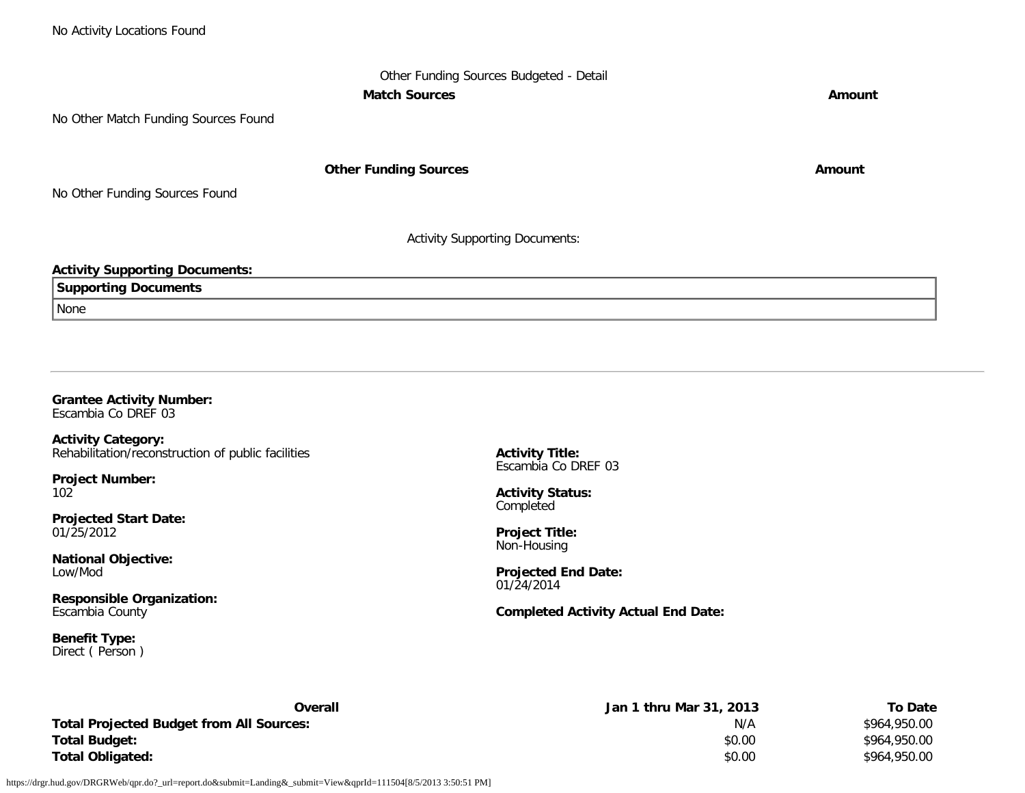# Other Funding Sources Budgeted - Detail **Match Sources Amount**

No Other Match Funding Sources Found

**Other Funding Sources Amount Amount Amount** 

No Other Funding Sources Found

Activity Supporting Documents:

## **Activity Supporting Documents:**

**Supporting Documents**

None

## **Grantee Activity Number:** Escambia Co DREF 03

**Activity Category:** Rehabilitation/reconstruction of public facilities

**Project Number:** 102

**Projected Start Date:** 01/25/2012

**National Objective:** Low/Mod

**Responsible Organization:** Escambia County

**Benefit Type:** Direct ( Person ) **Activity Title:** Escambia Co DREF 03

**Activity Status:** Completed

**Project Title:** Non-Housing

**Projected End Date:** 01/24/2014

**Completed Activity Actual End Date:**

| Overall                                         | Jan 1 thru Mar 31, 2013 | <b>To Date</b> |
|-------------------------------------------------|-------------------------|----------------|
| <b>Total Projected Budget from All Sources:</b> | N/A                     | \$964,950.00   |
| Total Budget:                                   | \$0.00                  | \$964,950.00   |
| Total Obligated:                                | \$0.00                  | \$964,950.00   |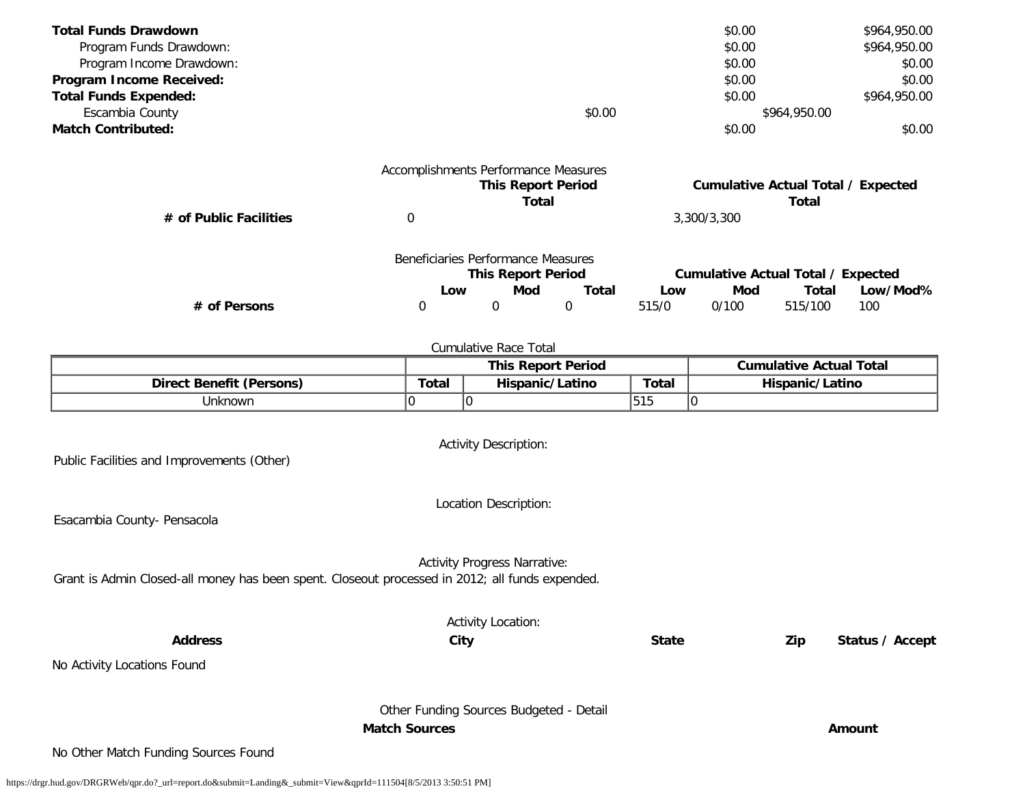| <b>Total Funds Drawdown</b>  |                                      |                           |        |       | \$0.00      |                                           | \$964,950.00 |
|------------------------------|--------------------------------------|---------------------------|--------|-------|-------------|-------------------------------------------|--------------|
| Program Funds Drawdown:      |                                      |                           |        |       | \$0.00      |                                           | \$964,950.00 |
| Program Income Drawdown:     |                                      |                           |        |       | \$0.00      |                                           | \$0.00       |
| Program Income Received:     |                                      |                           |        |       | \$0.00      |                                           | \$0.00       |
| <b>Total Funds Expended:</b> |                                      |                           |        |       | \$0.00      |                                           | \$964,950.00 |
| Escambia County              |                                      |                           | \$0.00 |       |             | \$964,950.00                              |              |
| <b>Match Contributed:</b>    |                                      |                           |        |       | \$0.00      |                                           | \$0.00       |
|                              | Accomplishments Performance Measures | <b>This Report Period</b> |        |       |             | <b>Cumulative Actual Total / Expected</b> |              |
|                              |                                      | Total                     |        |       |             | Total                                     |              |
| # of Public Facilities       | 0                                    |                           |        |       | 3,300/3,300 |                                           |              |
|                              | Beneficiaries Performance Measures   | <b>This Report Period</b> |        |       |             | <b>Cumulative Actual Total / Expected</b> |              |
|                              | Low                                  | Mod                       | Total  | Low   | Mod         | Total                                     | Low/Mod%     |
| # of Persons                 | 0                                    | 0                         | 0      | 515/0 | 0/100       | 515/100                                   | 100          |
|                              |                                      |                           |        |       |             |                                           |              |

|                                 |       | <b>This Report Period</b> | <b>Cumulative Actual Total</b> |                 |
|---------------------------------|-------|---------------------------|--------------------------------|-----------------|
| <b>Direct Benefit (Persons)</b> | Total | Hispanic/Latino           | Total                          | Hispanic/Latino |
| Jnknown                         |       |                           | <b>FAF</b><br>כו כו            | שו              |

Activity Description:

Public Facilities and Improvements (Other)

Location Description:

Esacambia County- Pensacola

Activity Progress Narrative:

Grant is Admin Closed-all money has been spent. Closeout processed in 2012; all funds expended.

Activity Location: **Address City State Zip Status / Accept** No Activity Locations Found Other Funding Sources Budgeted - Detail **Match Sources Amount** No Other Match Funding Sources Found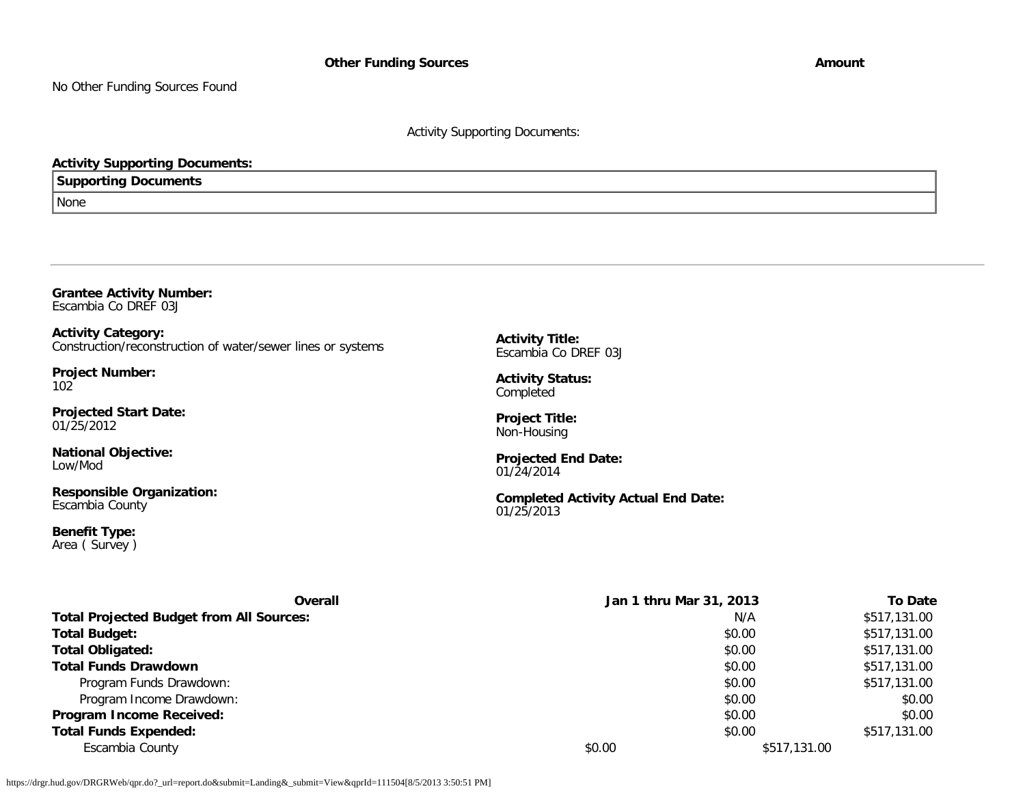No Other Funding Sources Found

## Activity Supporting Documents:

## **Activity Supporting Documents:**

**Supporting Documents**

None

|                      | <b>Grantee Activity Number:</b> |
|----------------------|---------------------------------|
| Escambia Co DREF 03J |                                 |

**Activity Category:** Construction/reconstruction of water/sewer lines or systems

**Project Number:** 102

**Projected Start Date:** 01/25/2012

**National Objective:** Low/Mod

**Responsible Organization:** Escambia County

**Benefit Type:** Area ( Survey ) **Activity Title:** Escambia Co DREF 03J

**Activity Status:** Completed

**Project Title:** Non-Housing

**Projected End Date:** 01/24/2014

**Completed Activity Actual End Date:** 01/25/2013

| <b>Overall</b>                                  |        | Jan 1 thru Mar 31, 2013 | <b>To Date</b> |
|-------------------------------------------------|--------|-------------------------|----------------|
| <b>Total Projected Budget from All Sources:</b> |        | N/A                     | \$517,131.00   |
| <b>Total Budget:</b>                            |        | \$0.00                  | \$517,131.00   |
| <b>Total Obligated:</b>                         |        | \$0.00                  | \$517,131.00   |
| <b>Total Funds Drawdown</b>                     |        | \$0.00                  | \$517,131.00   |
| Program Funds Drawdown:                         |        | \$0.00                  | \$517,131.00   |
| Program Income Drawdown:                        |        | \$0.00                  | \$0.00         |
| Program Income Received:                        |        | \$0.00                  | \$0.00         |
| <b>Total Funds Expended:</b>                    |        | \$0.00                  | \$517,131.00   |
| Escambia County                                 | \$0.00 | \$517,131.00            |                |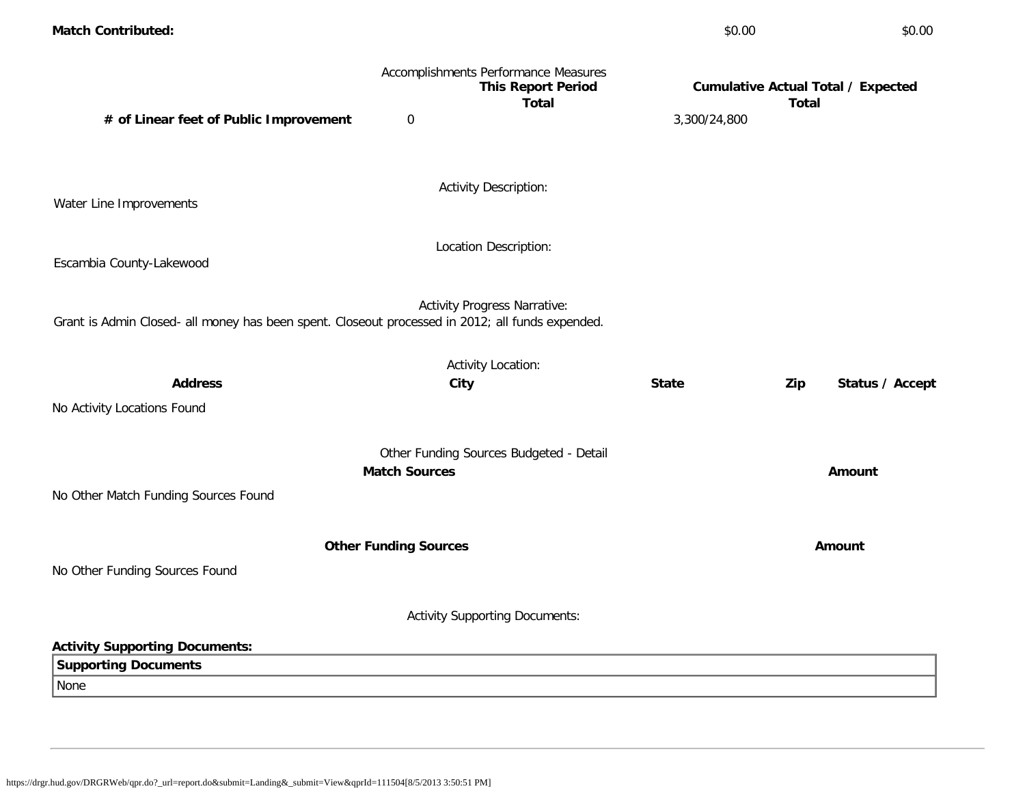| <b>Match Contributed:</b>                                                                        |                              |                                                                                   | \$0.00       | \$0.00                                                    |
|--------------------------------------------------------------------------------------------------|------------------------------|-----------------------------------------------------------------------------------|--------------|-----------------------------------------------------------|
|                                                                                                  |                              | Accomplishments Performance Measures<br><b>This Report Period</b><br><b>Total</b> |              | <b>Cumulative Actual Total / Expected</b><br><b>Total</b> |
| # of Linear feet of Public Improvement                                                           | $\boldsymbol{0}$             |                                                                                   | 3,300/24,800 |                                                           |
|                                                                                                  |                              |                                                                                   |              |                                                           |
| Water Line Improvements                                                                          |                              | <b>Activity Description:</b>                                                      |              |                                                           |
|                                                                                                  |                              |                                                                                   |              |                                                           |
| Escambia County-Lakewood                                                                         |                              | Location Description:                                                             |              |                                                           |
|                                                                                                  |                              |                                                                                   |              |                                                           |
| Grant is Admin Closed- all money has been spent. Closeout processed in 2012; all funds expended. |                              | <b>Activity Progress Narrative:</b>                                               |              |                                                           |
|                                                                                                  |                              |                                                                                   |              |                                                           |
| <b>Address</b>                                                                                   |                              | <b>Activity Location:</b>                                                         | <b>State</b> | Status / Accept                                           |
| No Activity Locations Found                                                                      |                              | City                                                                              |              | Zip                                                       |
|                                                                                                  |                              |                                                                                   |              |                                                           |
|                                                                                                  |                              | Other Funding Sources Budgeted - Detail                                           |              |                                                           |
|                                                                                                  | <b>Match Sources</b>         |                                                                                   |              | Amount                                                    |
| No Other Match Funding Sources Found                                                             |                              |                                                                                   |              |                                                           |
|                                                                                                  | <b>Other Funding Sources</b> |                                                                                   |              | Amount                                                    |
| No Other Funding Sources Found                                                                   |                              |                                                                                   |              |                                                           |
|                                                                                                  |                              |                                                                                   |              |                                                           |
|                                                                                                  |                              | <b>Activity Supporting Documents:</b>                                             |              |                                                           |
| <b>Activity Supporting Documents:</b>                                                            |                              |                                                                                   |              |                                                           |
| <b>Supporting Documents</b>                                                                      |                              |                                                                                   |              |                                                           |
| None                                                                                             |                              |                                                                                   |              |                                                           |
|                                                                                                  |                              |                                                                                   |              |                                                           |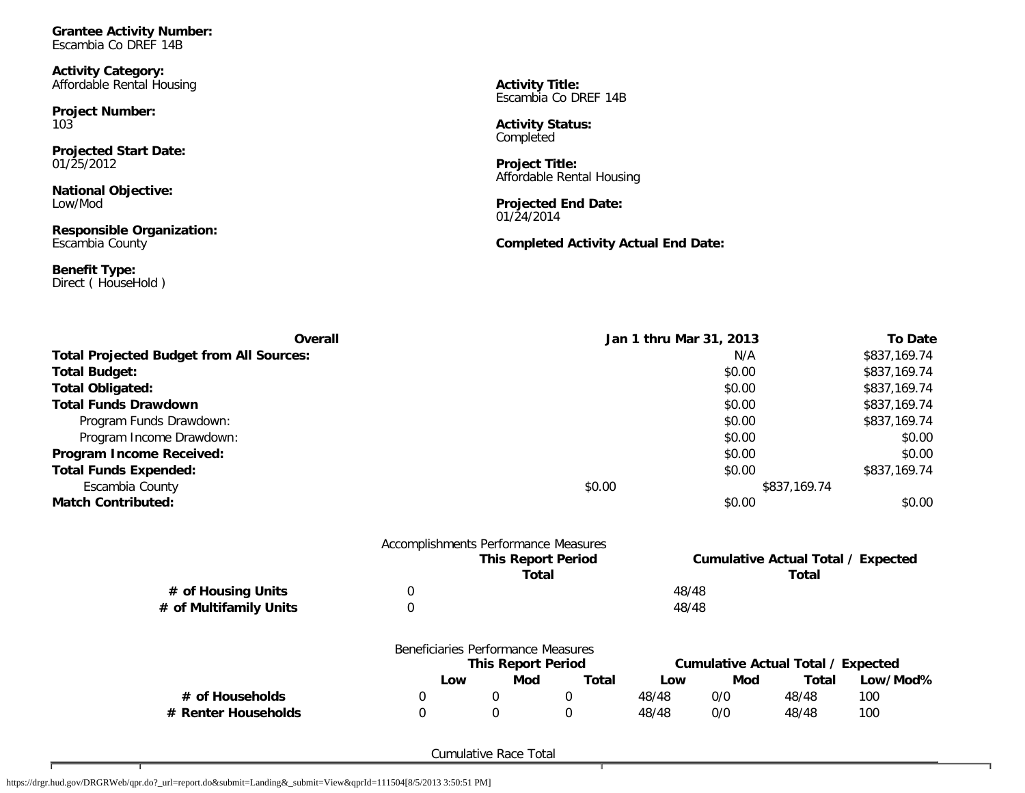**Grantee Activity Number:** Escambia Co DREF 14B

**Activity Category:** Affordable Rental Housing

**Project Number:** 103

**Projected Start Date:** 01/25/2012

**National Objective:** Low/Mod

**Responsible Organization:** Escambia County

**Benefit Type:** Direct ( HouseHold ) **Activity Title:** Escambia Co DREF 14B

**Activity Status:** Completed

**Project Title:** Affordable Rental Housing

**Projected End Date:** 01/24/2014

**Completed Activity Actual End Date:**

| Overall                                         |                                      |                                    |                           |              | Jan 1 thru Mar 31, 2013 |              |                                           |              |
|-------------------------------------------------|--------------------------------------|------------------------------------|---------------------------|--------------|-------------------------|--------------|-------------------------------------------|--------------|
| <b>Total Projected Budget from All Sources:</b> |                                      |                                    |                           | N/A          |                         | \$837,169.74 |                                           |              |
| <b>Total Budget:</b>                            |                                      |                                    |                           | \$0.00       |                         | \$837,169.74 |                                           |              |
| <b>Total Obligated:</b>                         |                                      |                                    |                           | \$0.00       |                         | \$837,169.74 |                                           |              |
| <b>Total Funds Drawdown</b>                     |                                      |                                    |                           |              |                         | \$0.00       |                                           | \$837,169.74 |
| Program Funds Drawdown:                         |                                      |                                    |                           |              |                         | \$0.00       |                                           | \$837,169.74 |
| Program Income Drawdown:                        |                                      |                                    |                           |              |                         | \$0.00       |                                           | \$0.00       |
| Program Income Received:                        |                                      |                                    |                           |              |                         | \$0.00       |                                           | \$0.00       |
| <b>Total Funds Expended:</b>                    |                                      |                                    |                           |              |                         | \$0.00       |                                           | \$837,169.74 |
| Escambia County                                 |                                      |                                    |                           | \$0.00       |                         |              | \$837,169.74                              |              |
| <b>Match Contributed:</b>                       |                                      |                                    |                           |              |                         | \$0.00       |                                           | \$0.00       |
|                                                 | Accomplishments Performance Measures |                                    | <b>This Report Period</b> |              |                         |              | <b>Cumulative Actual Total / Expected</b> |              |
|                                                 |                                      |                                    | <b>Total</b>              |              |                         |              | Total                                     |              |
| # of Housing Units                              | $\mathbf 0$                          |                                    |                           |              | 48/48                   |              |                                           |              |
| # of Multifamily Units                          | $\mathbf 0$                          |                                    |                           |              | 48/48                   |              |                                           |              |
|                                                 |                                      | Beneficiaries Performance Measures |                           |              |                         |              |                                           |              |
|                                                 |                                      | <b>This Report Period</b>          |                           |              |                         |              | <b>Cumulative Actual Total / Expected</b> |              |
|                                                 | Low                                  | Mod                                |                           | <b>Total</b> | Low                     | Mod          | <b>Total</b>                              | Low/Mod%     |
| # of Households                                 | 0                                    | 0                                  | 0                         |              | 48/48                   | 0/0          | 48/48                                     | 100          |
| # Renter Households                             | $\boldsymbol{0}$                     | 0                                  | 0                         |              | 48/48                   | 0/0          | 48/48                                     | 100          |

Cumulative Race Total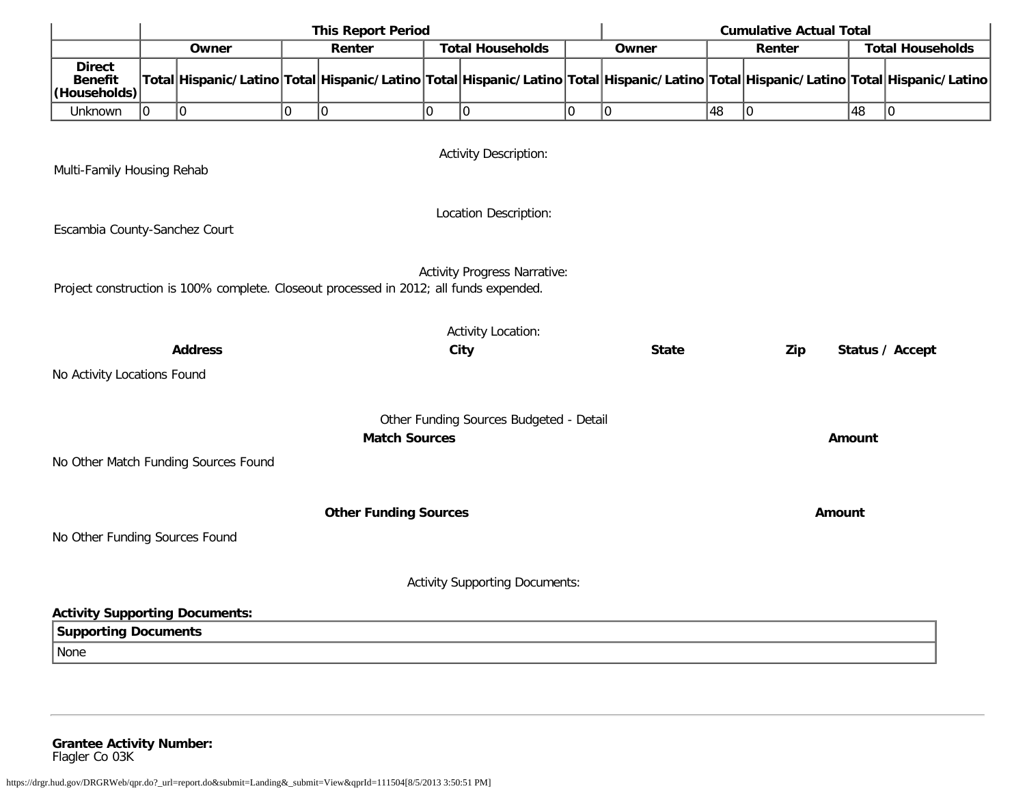|                                                                                                                               | <b>This Report Period</b><br><b>Cumulative Actual Total</b> |                                      |   |                                                                                                                                     |             |                                         |    |              |               |             |        |                         |
|-------------------------------------------------------------------------------------------------------------------------------|-------------------------------------------------------------|--------------------------------------|---|-------------------------------------------------------------------------------------------------------------------------------------|-------------|-----------------------------------------|----|--------------|---------------|-------------|--------|-------------------------|
|                                                                                                                               |                                                             | Owner                                |   | Renter                                                                                                                              |             | <b>Total Households</b>                 |    | Owner        |               | Renter      |        | <b>Total Households</b> |
| <b>Direct</b><br><b>Benefit</b><br>(Households)                                                                               |                                                             |                                      |   | Total Hispanic/Latino Total Hispanic/Latino Total Hispanic/Latino Total Hispanic/Latino Total Hispanic/Latino Total Hispanic/Latino |             |                                         |    |              |               |             |        |                         |
| Unknown                                                                                                                       | 10                                                          | 0                                    | O | 0                                                                                                                                   | $ 0\rangle$ | 10                                      | lo | 10           | 48            | $ 0\rangle$ | 48     | 0                       |
| <b>Activity Description:</b><br>Multi-Family Housing Rehab                                                                    |                                                             |                                      |   |                                                                                                                                     |             |                                         |    |              |               |             |        |                         |
| Location Description:<br>Escambia County-Sanchez Court                                                                        |                                                             |                                      |   |                                                                                                                                     |             |                                         |    |              |               |             |        |                         |
| <b>Activity Progress Narrative:</b><br>Project construction is 100% complete. Closeout processed in 2012; all funds expended. |                                                             |                                      |   |                                                                                                                                     |             |                                         |    |              |               |             |        |                         |
|                                                                                                                               |                                                             | <b>Address</b>                       |   |                                                                                                                                     |             | <b>Activity Location:</b><br>City       |    | <b>State</b> |               | Zip         |        | Status / Accept         |
| No Activity Locations Found                                                                                                   |                                                             |                                      |   |                                                                                                                                     |             |                                         |    |              |               |             |        |                         |
|                                                                                                                               |                                                             |                                      |   | <b>Match Sources</b>                                                                                                                |             | Other Funding Sources Budgeted - Detail |    |              |               |             | Amount |                         |
|                                                                                                                               |                                                             | No Other Match Funding Sources Found |   |                                                                                                                                     |             |                                         |    |              |               |             |        |                         |
| <b>Other Funding Sources</b>                                                                                                  |                                                             |                                      |   |                                                                                                                                     |             |                                         |    |              | <b>Amount</b> |             |        |                         |
| No Other Funding Sources Found                                                                                                |                                                             |                                      |   |                                                                                                                                     |             |                                         |    |              |               |             |        |                         |
|                                                                                                                               |                                                             |                                      |   |                                                                                                                                     |             | <b>Activity Supporting Documents:</b>   |    |              |               |             |        |                         |
| <b>Activity Supporting Documents:</b>                                                                                         |                                                             |                                      |   |                                                                                                                                     |             |                                         |    |              |               |             |        |                         |
| <b>Supporting Documents</b>                                                                                                   |                                                             |                                      |   |                                                                                                                                     |             |                                         |    |              |               |             |        |                         |
| None                                                                                                                          |                                                             |                                      |   |                                                                                                                                     |             |                                         |    |              |               |             |        |                         |
|                                                                                                                               |                                                             |                                      |   |                                                                                                                                     |             |                                         |    |              |               |             |        |                         |

**Grantee Activity Number:** Flagler Co 03K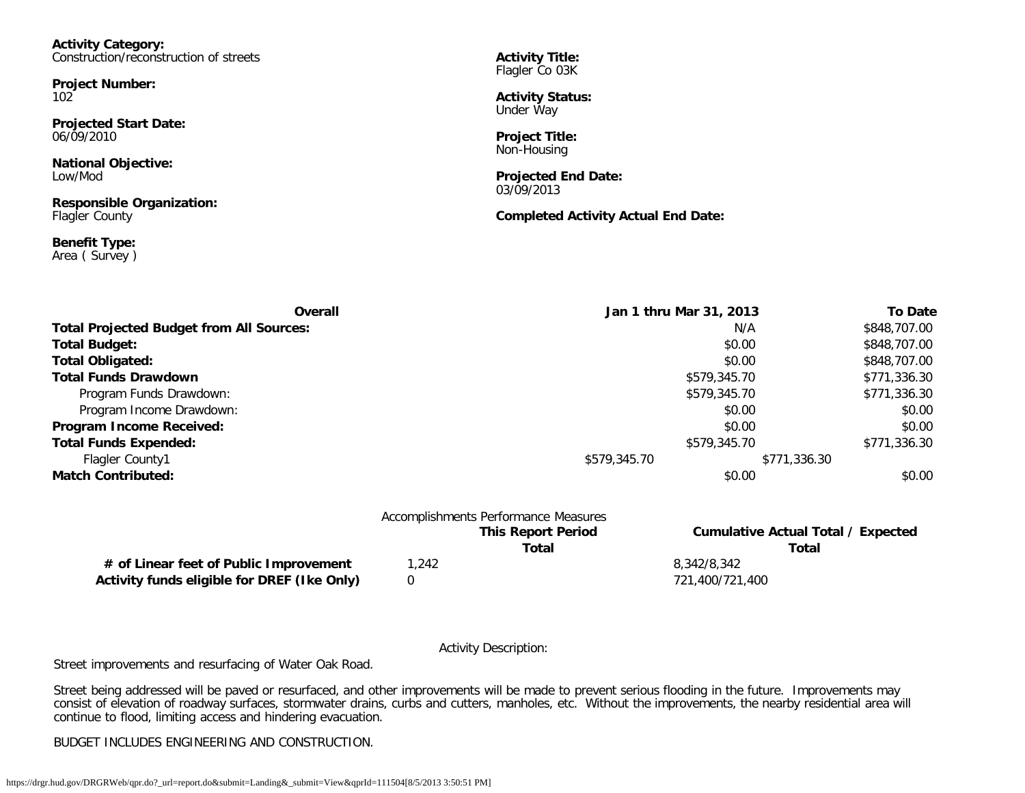**Activity Category:** Construction/reconstruction of streets

**Project Number:** 102

**Projected Start Date:** 06/09/2010

**National Objective:** Low/Mod

**Responsible Organization:** Flagler County

**Benefit Type:** Area ( Survey ) **Activity Title:** Flagler Co 03K

**Activity Status:** Under Way

**Project Title:** Non-Housing

**Projected End Date:** 03/09/2013

**Completed Activity Actual End Date:**

| Overall                                         | Jan 1 thru Mar 31, 2013 |              | <b>To Date</b> |
|-------------------------------------------------|-------------------------|--------------|----------------|
| <b>Total Projected Budget from All Sources:</b> |                         | N/A          | \$848,707.00   |
| <b>Total Budget:</b>                            |                         | \$0.00       | \$848,707.00   |
| <b>Total Obligated:</b>                         |                         | \$0.00       | \$848,707.00   |
| <b>Total Funds Drawdown</b>                     | \$579,345.70            |              | \$771,336.30   |
| Program Funds Drawdown:                         |                         | \$579,345.70 | \$771,336.30   |
| Program Income Drawdown:                        |                         | \$0.00       | \$0.00         |
| Program Income Received:                        |                         | \$0.00       | \$0.00         |
| <b>Total Funds Expended:</b>                    |                         | \$579,345.70 | \$771,336.30   |
| Flagler County1                                 | \$579,345.70            | \$771,336.30 |                |
| <b>Match Contributed:</b>                       |                         | \$0.00       | \$0.00         |

|                                             |      | Accomplishments Performance Measures |                                    |
|---------------------------------------------|------|--------------------------------------|------------------------------------|
|                                             |      | <b>This Report Period</b>            | Cumulative Actual Total / Expected |
|                                             |      | Total                                | Total                              |
| # of Linear feet of Public Improvement      | .242 |                                      | 8,342/8,342                        |
| Activity funds eligible for DREF (Ike Only) |      |                                      | 721.400/721.400                    |

Activity Description:

Street improvements and resurfacing of Water Oak Road.

Street being addressed will be paved or resurfaced, and other improvements will be made to prevent serious flooding in the future. Improvements may consist of elevation of roadway surfaces, stormwater drains, curbs and cutters, manholes, etc. Without the improvements, the nearby residential area will continue to flood, limiting access and hindering evacuation.

BUDGET INCLUDES ENGINEERING AND CONSTRUCTION.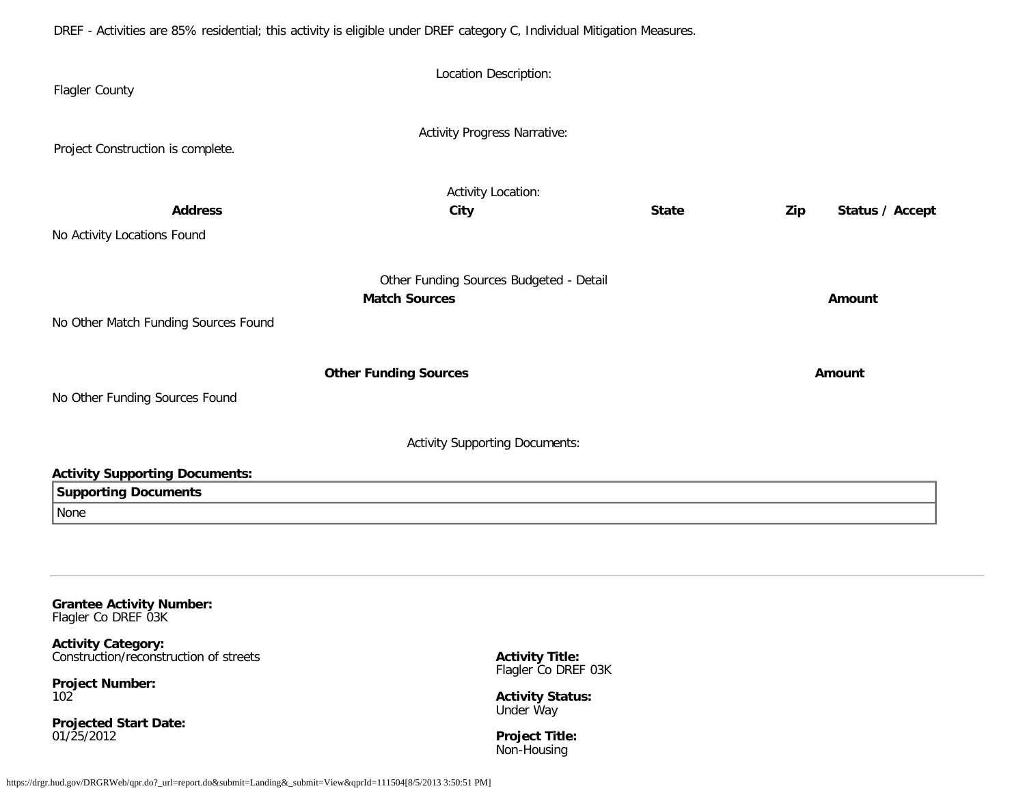DREF - Activities are 85% residential; this activity is eligible under DREF category C, Individual Mitigation Measures.

| Flagler County                                                       | Location Description:                   |              |     |                 |
|----------------------------------------------------------------------|-----------------------------------------|--------------|-----|-----------------|
| Project Construction is complete.                                    | <b>Activity Progress Narrative:</b>     |              |     |                 |
|                                                                      | <b>Activity Location:</b>               |              |     |                 |
| <b>Address</b>                                                       | City                                    | <b>State</b> | Zip | Status / Accept |
| No Activity Locations Found                                          |                                         |              |     |                 |
|                                                                      | Other Funding Sources Budgeted - Detail |              |     |                 |
| No Other Match Funding Sources Found                                 | <b>Match Sources</b>                    |              |     | Amount          |
|                                                                      | <b>Other Funding Sources</b>            |              |     | Amount          |
| No Other Funding Sources Found                                       |                                         |              |     |                 |
|                                                                      | <b>Activity Supporting Documents:</b>   |              |     |                 |
| <b>Activity Supporting Documents:</b><br><b>Supporting Documents</b> |                                         |              |     |                 |
| None                                                                 |                                         |              |     |                 |
|                                                                      |                                         |              |     |                 |
| <b>Grantee Activity Number:</b>                                      |                                         |              |     |                 |

Flagler Co DREF 03K

**Activity Category:** Construction/reconstruction of streets

**Project Number:** 102

**Projected Start Date:** 01/25/2012

**Activity Title:** Flagler Co DREF 03K

**Activity Status:** Under Way

**Project Title:** Non-Housing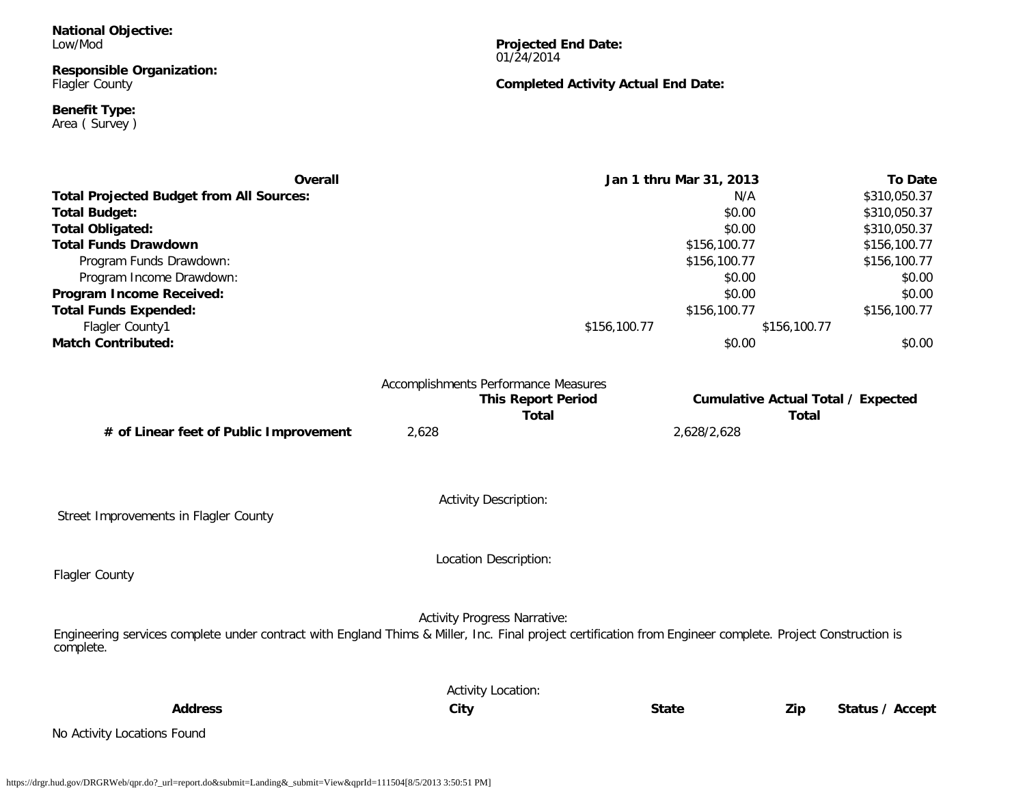**National Objective:** Low/Mod

**Responsible Organization:** Flagler County

**Benefit Type:** Area ( Survey ) **Projected End Date:** 01/24/2014

**Completed Activity Actual End Date:**

| <b>Overall</b>                                                                                                                                                          |                                      | Jan 1 thru Mar 31, 2013 | <b>To Date</b>                            |
|-------------------------------------------------------------------------------------------------------------------------------------------------------------------------|--------------------------------------|-------------------------|-------------------------------------------|
| <b>Total Projected Budget from All Sources:</b>                                                                                                                         |                                      | N/A                     | \$310,050.37                              |
| <b>Total Budget:</b>                                                                                                                                                    |                                      | \$0.00                  | \$310,050.37                              |
| <b>Total Obligated:</b>                                                                                                                                                 |                                      | \$0.00                  | \$310,050.37                              |
| <b>Total Funds Drawdown</b>                                                                                                                                             |                                      | \$156,100.77            | \$156,100.77                              |
| Program Funds Drawdown:                                                                                                                                                 |                                      | \$156,100.77            | \$156,100.77                              |
| Program Income Drawdown:                                                                                                                                                |                                      | \$0.00                  | \$0.00                                    |
| Program Income Received:                                                                                                                                                |                                      | \$0.00                  | \$0.00                                    |
| <b>Total Funds Expended:</b>                                                                                                                                            |                                      | \$156,100.77            | \$156,100.77                              |
| Flagler County1                                                                                                                                                         |                                      | \$156,100.77            | \$156,100.77                              |
| <b>Match Contributed:</b>                                                                                                                                               |                                      | \$0.00                  | \$0.00                                    |
|                                                                                                                                                                         | Accomplishments Performance Measures |                         |                                           |
|                                                                                                                                                                         | <b>This Report Period</b>            |                         | <b>Cumulative Actual Total / Expected</b> |
|                                                                                                                                                                         | <b>Total</b>                         |                         | <b>Total</b>                              |
| # of Linear feet of Public Improvement                                                                                                                                  | 2,628                                | 2,628/2,628             |                                           |
|                                                                                                                                                                         |                                      |                         |                                           |
| Street Improvements in Flagler County                                                                                                                                   | <b>Activity Description:</b>         |                         |                                           |
|                                                                                                                                                                         |                                      |                         |                                           |
|                                                                                                                                                                         | Location Description:                |                         |                                           |
| Flagler County                                                                                                                                                          |                                      |                         |                                           |
|                                                                                                                                                                         |                                      |                         |                                           |
| Engineering services complete under contract with England Thims & Miller, Inc. Final project certification from Engineer complete. Project Construction is<br>complete. | <b>Activity Progress Narrative:</b>  |                         |                                           |
|                                                                                                                                                                         | <b>Activity Location:</b>            |                         |                                           |
| <b>Address</b>                                                                                                                                                          | City                                 | <b>State</b>            | Zip<br>Status / Accept                    |
| No Activity Locations Found                                                                                                                                             |                                      |                         |                                           |
|                                                                                                                                                                         |                                      |                         |                                           |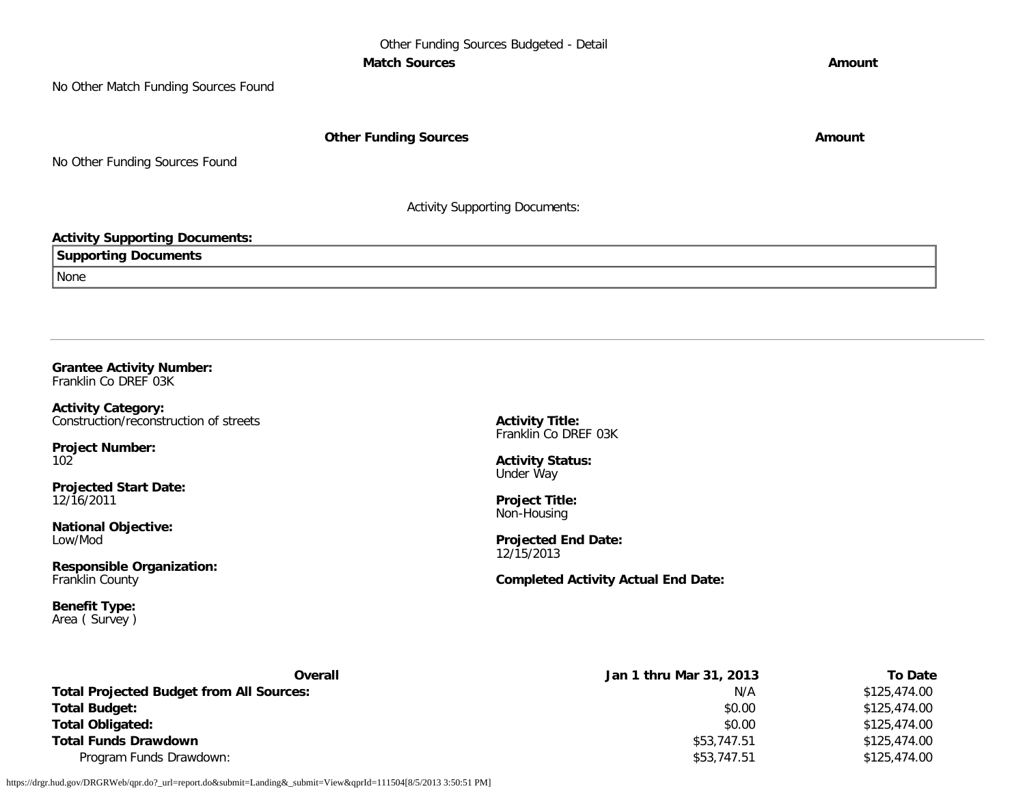No Other Match Funding Sources Found

**Other Funding Sources Amount Amount Amount** 

No Other Funding Sources Found

Activity Supporting Documents:

#### **Activity Supporting Documents:**

**Supporting Documents**

None

**Grantee Activity Number:** Franklin Co DREF 03K

**Activity Category:** Construction/reconstruction of streets

**Project Number:** 102

**Projected Start Date:** 12/16/2011

**National Objective:** Low/Mod

**Responsible Organization:** Franklin County

**Benefit Type:** Area ( Survey ) **Activity Title:** Franklin Co DREF 03K

**Activity Status:** Under Way

**Project Title:** Non-Housing

**Projected End Date:** 12/15/2013

**Completed Activity Actual End Date:**

| Overall                                         | Jan 1 thru Mar 31, 2013 | <b>To Date</b> |
|-------------------------------------------------|-------------------------|----------------|
| <b>Total Projected Budget from All Sources:</b> | N/A                     | \$125,474.00   |
| <b>Total Budget:</b>                            | \$0.00                  | \$125,474.00   |
| <b>Total Obligated:</b>                         | \$0.00                  | \$125,474.00   |
| <b>Total Funds Drawdown</b>                     | \$53,747.51             | \$125,474.00   |
| Program Funds Drawdown:                         | \$53,747.51             | \$125,474.00   |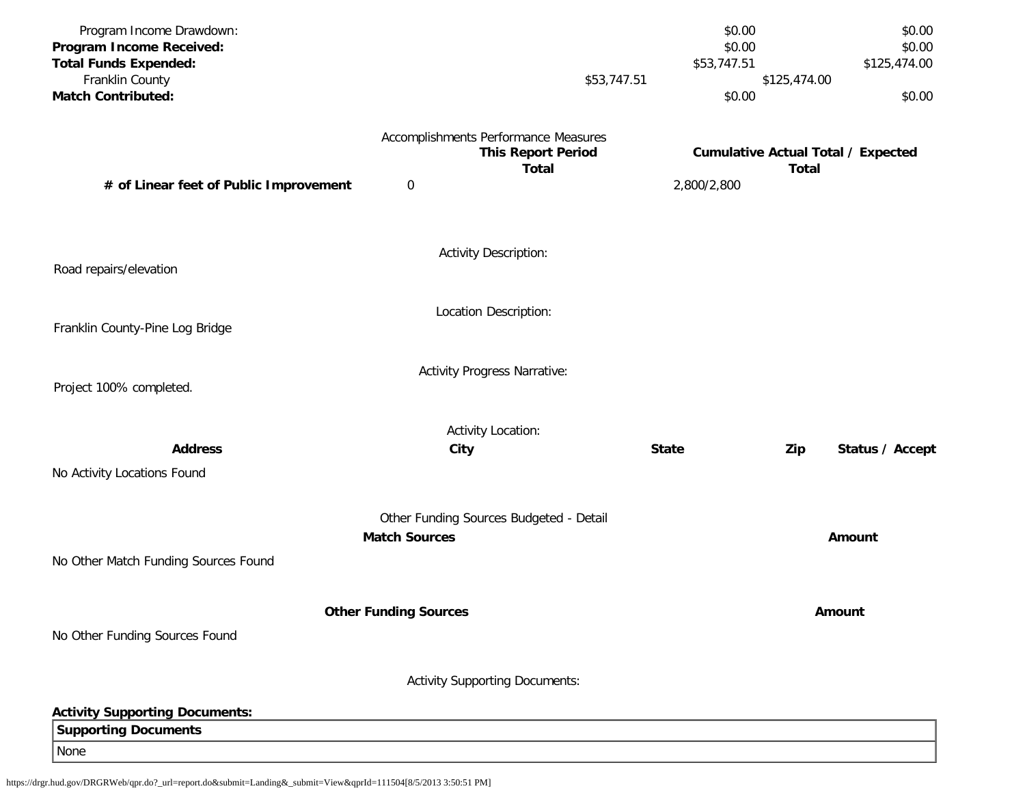| Program Income Drawdown:               |                              |                                         | \$0.00       |              | \$0.00                                    |
|----------------------------------------|------------------------------|-----------------------------------------|--------------|--------------|-------------------------------------------|
| Program Income Received:               |                              |                                         | \$0.00       |              | \$0.00                                    |
| <b>Total Funds Expended:</b>           |                              |                                         | \$53,747.51  |              | \$125,474.00                              |
| Franklin County                        |                              | \$53,747.51                             |              | \$125,474.00 |                                           |
| <b>Match Contributed:</b>              |                              |                                         | \$0.00       |              | \$0.00                                    |
|                                        |                              | Accomplishments Performance Measures    |              |              |                                           |
|                                        |                              | <b>This Report Period</b>               |              |              | <b>Cumulative Actual Total / Expected</b> |
|                                        |                              | <b>Total</b>                            |              | <b>Total</b> |                                           |
| # of Linear feet of Public Improvement | $\pmb{0}$                    |                                         | 2,800/2,800  |              |                                           |
|                                        |                              |                                         |              |              |                                           |
|                                        |                              | <b>Activity Description:</b>            |              |              |                                           |
| Road repairs/elevation                 |                              |                                         |              |              |                                           |
|                                        |                              | Location Description:                   |              |              |                                           |
| Franklin County-Pine Log Bridge        |                              |                                         |              |              |                                           |
|                                        |                              | <b>Activity Progress Narrative:</b>     |              |              |                                           |
| Project 100% completed.                |                              |                                         |              |              |                                           |
|                                        |                              | <b>Activity Location:</b>               |              |              |                                           |
| <b>Address</b>                         | City                         |                                         | <b>State</b> |              | Status / Accept                           |
|                                        |                              |                                         |              | Zip          |                                           |
| No Activity Locations Found            |                              |                                         |              |              |                                           |
|                                        |                              | Other Funding Sources Budgeted - Detail |              |              |                                           |
|                                        | <b>Match Sources</b>         |                                         |              |              | Amount                                    |
| No Other Match Funding Sources Found   |                              |                                         |              |              |                                           |
|                                        |                              |                                         |              |              |                                           |
|                                        | <b>Other Funding Sources</b> |                                         |              |              | Amount                                    |
| No Other Funding Sources Found         |                              |                                         |              |              |                                           |
|                                        |                              |                                         |              |              |                                           |
|                                        |                              | <b>Activity Supporting Documents:</b>   |              |              |                                           |
| <b>Activity Supporting Documents:</b>  |                              |                                         |              |              |                                           |
| <b>Supporting Documents</b>            |                              |                                         |              |              |                                           |
| None                                   |                              |                                         |              |              |                                           |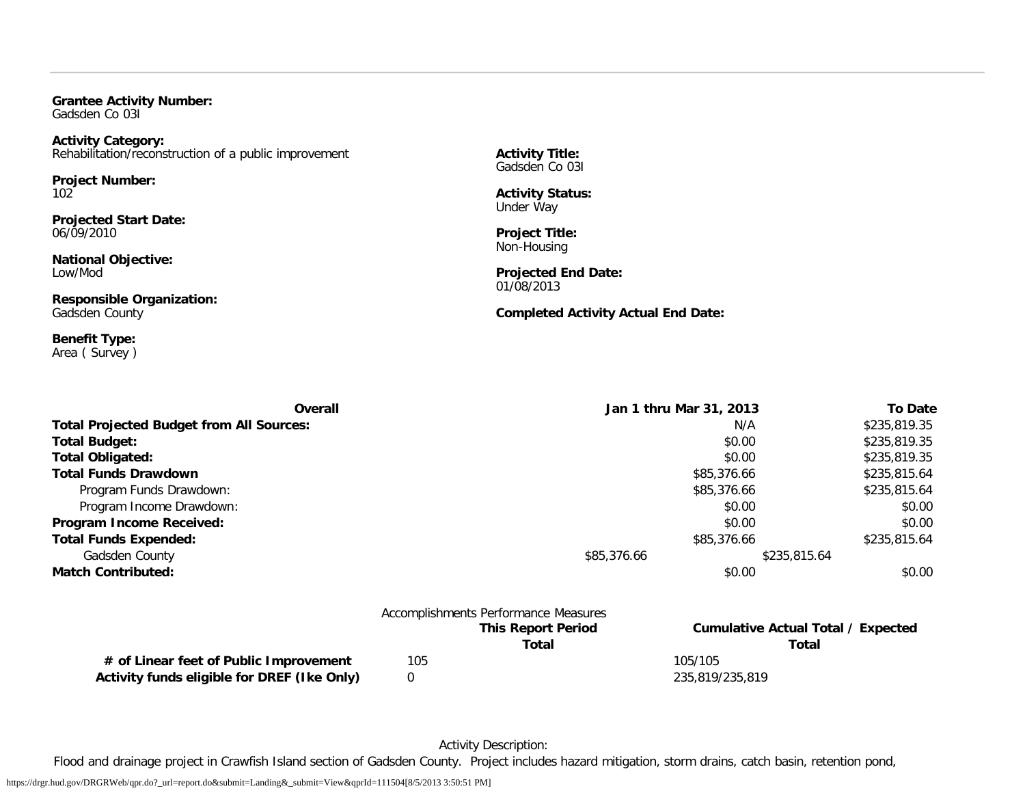**Grantee Activity Number:** Gadsden Co 03I

### **Activity Category:** Rehabilitation/reconstruction of a public improvement

**Project Number:** 102

**Projected Start Date:** 06/09/2010

**National Objective:** Low/Mod

**Responsible Organization:** Gadsden County

**Benefit Type:** Area ( Survey ) **Activity Title:** Gadsden Co 03I

**Activity Status:** Under Way

**Project Title:** Non-Housing

**Projected End Date:** 01/08/2013

**Completed Activity Actual End Date:**

| Overall                                         |     |                                      | Jan 1 thru Mar 31, 2013                   | <b>To Date</b> |
|-------------------------------------------------|-----|--------------------------------------|-------------------------------------------|----------------|
| <b>Total Projected Budget from All Sources:</b> |     |                                      | N/A                                       | \$235,819.35   |
| <b>Total Budget:</b>                            |     |                                      | \$0.00                                    | \$235,819.35   |
| <b>Total Obligated:</b>                         |     |                                      | \$0.00                                    | \$235,819.35   |
| <b>Total Funds Drawdown</b>                     |     |                                      | \$85,376.66                               | \$235,815.64   |
| Program Funds Drawdown:                         |     |                                      | \$85,376.66                               | \$235,815.64   |
| Program Income Drawdown:                        |     |                                      | \$0.00                                    | \$0.00         |
| Program Income Received:                        |     |                                      | \$0.00                                    | \$0.00         |
| <b>Total Funds Expended:</b>                    |     |                                      | \$85,376.66                               | \$235,815.64   |
| Gadsden County                                  |     | \$85,376.66                          | \$235,815.64                              |                |
| <b>Match Contributed:</b>                       |     |                                      | \$0.00                                    | \$0.00         |
|                                                 |     | Accomplishments Performance Measures |                                           |                |
|                                                 |     | <b>This Report Period</b>            | <b>Cumulative Actual Total / Expected</b> |                |
|                                                 |     | Total                                | <b>Total</b>                              |                |
| # of Linear feet of Public Improvement          | 105 |                                      | 105/105                                   |                |

Activity funds eligible for DREF (Ike Only) 0 235,819/235,819

Activity Description:

Flood and drainage project in Crawfish Island section of Gadsden County. Project includes hazard mitigation, storm drains, catch basin, retention pond,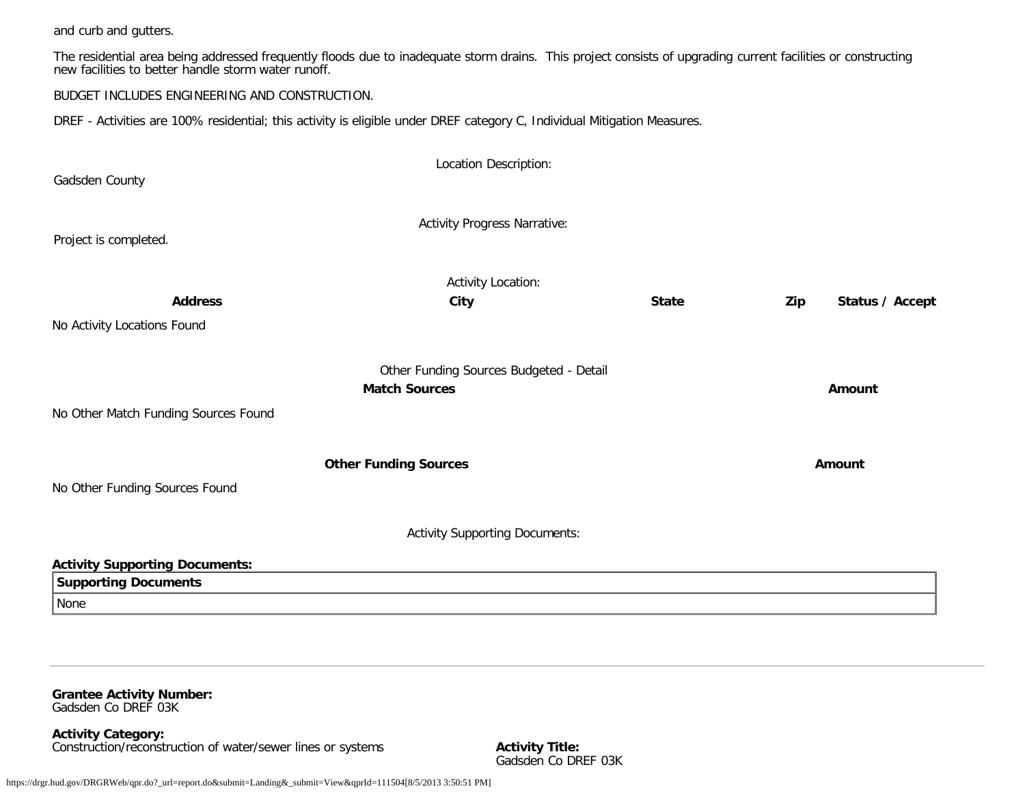and curb and gutters.

The residential area being addressed frequently floods due to inadequate storm drains. This project consists of upgrading current facilities or constructing new facilities to better handle storm water runoff.

BUDGET INCLUDES ENGINEERING AND CONSTRUCTION.

DREF - Activities are 100% residential; this activity is eligible under DREF category C, Individual Mitigation Measures.

| Gadsden County                                                       | Location Description:                                           |              |                        |
|----------------------------------------------------------------------|-----------------------------------------------------------------|--------------|------------------------|
| Project is completed.                                                | <b>Activity Progress Narrative:</b>                             |              |                        |
| <b>Address</b>                                                       | <b>Activity Location:</b><br>City                               | <b>State</b> | Zip<br>Status / Accept |
| No Activity Locations Found                                          |                                                                 |              |                        |
|                                                                      | Other Funding Sources Budgeted - Detail<br><b>Match Sources</b> |              | Amount                 |
| No Other Match Funding Sources Found                                 |                                                                 |              |                        |
|                                                                      | <b>Other Funding Sources</b>                                    |              | Amount                 |
| No Other Funding Sources Found                                       |                                                                 |              |                        |
|                                                                      | <b>Activity Supporting Documents:</b>                           |              |                        |
| <b>Activity Supporting Documents:</b><br><b>Supporting Documents</b> |                                                                 |              |                        |
| None                                                                 |                                                                 |              |                        |

**Grantee Activity Number:** Gadsden Co DREF 03K

**Activity Category:** Construction/reconstruction of water/sewer lines or systems **Activity Title:**

Gadsden Co DREF 03K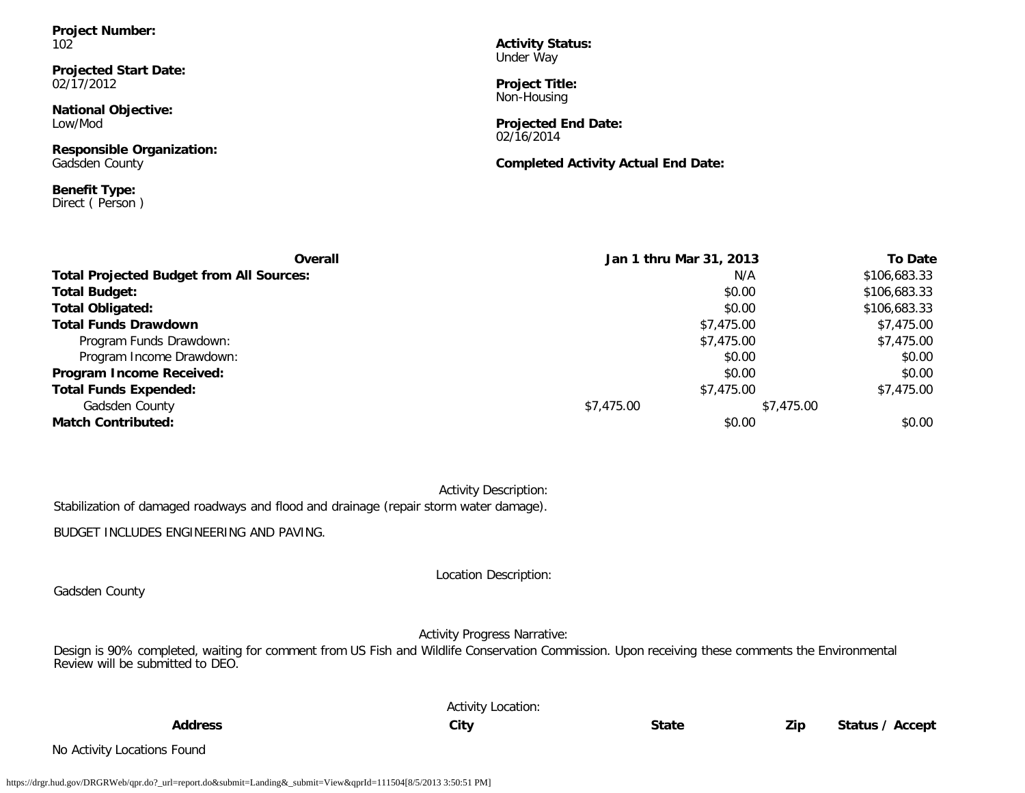**Project Number:** 102

**Projected Start Date:** 02/17/2012

**National Objective:** Low/Mod

**Responsible Organization:** Gadsden County

**Benefit Type:** Direct ( Person ) **Activity Status:** Under Way

**Project Title:** Non-Housing

**Projected End Date:** 02/16/2014

**Completed Activity Actual End Date:**

| Overall                                         | Jan 1 thru Mar 31, 2013 | <b>To Date</b> |
|-------------------------------------------------|-------------------------|----------------|
| <b>Total Projected Budget from All Sources:</b> | N/A                     | \$106,683.33   |
| Total Budget:                                   | \$0.00                  | \$106,683.33   |
| <b>Total Obligated:</b>                         | \$0.00                  | \$106,683.33   |
| <b>Total Funds Drawdown</b>                     | \$7,475.00              | \$7,475.00     |
| Program Funds Drawdown:                         | \$7,475.00              | \$7,475.00     |
| Program Income Drawdown:                        | \$0.00                  | \$0.00         |
| Program Income Received:                        | \$0.00                  | \$0.00         |
| <b>Total Funds Expended:</b>                    | \$7,475.00              | \$7,475.00     |
| Gadsden County                                  | \$7,475.00              | \$7,475.00     |
| <b>Match Contributed:</b>                       | \$0.00                  | \$0.00         |

|                                                                                       |  |  |  | <b>Activity Description:</b> |  |
|---------------------------------------------------------------------------------------|--|--|--|------------------------------|--|
| Stabilization of damaged roadways and flood and drainage (repair storm water damage). |  |  |  |                              |  |

BUDGET INCLUDES ENGINEERING AND PAVING.

Gadsden County

Location Description:

Activity Progress Narrative:

Design is 90% completed, waiting for comment from US Fish and Wildlife Conservation Commission. Upon receiving these comments the Environmental Review will be submitted to DEO.

|                | <b>Activity Location:</b> |              |     |                 |
|----------------|---------------------------|--------------|-----|-----------------|
| <b>Address</b> | City                      | <b>State</b> | Zip | Status / Accept |

No Activity Locations Found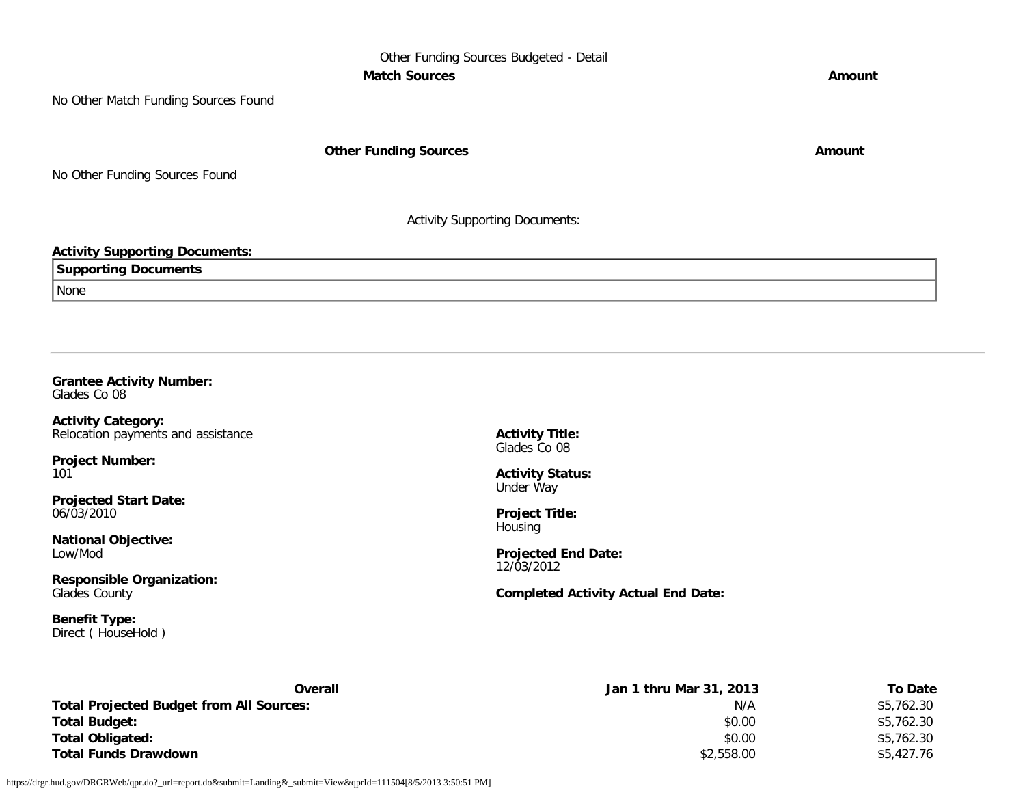## Other Funding Sources Budgeted - Detail **Match Sources Amount**

No Other Match Funding Sources Found

**Other Funding Sources Amount** 

No Other Funding Sources Found

Activity Supporting Documents:

## **Activity Supporting Documents:**

| $\sum_{n=1}^{\infty}$<br><b>Documents</b><br>ortino |
|-----------------------------------------------------|
| None                                                |

#### **Grantee Activity Number:** Glades Co 08

**Activity Category:** Relocation payments and assistance

**Project Number:** 101

**Projected Start Date:** 06/03/2010

**National Objective:** Low/Mod

**Responsible Organization:** Glades County

**Benefit Type:** Direct ( HouseHold ) **Activity Title:** Glades Co 08

**Activity Status:** Under Way

**Project Title: Housing** 

**Projected End Date:** 12/03/2012

**Completed Activity Actual End Date:**

| Overall                                         | Jan 1 thru Mar 31, 2013 | To Date    |
|-------------------------------------------------|-------------------------|------------|
| <b>Total Projected Budget from All Sources:</b> | N/A                     | \$5,762.30 |
| <b>Total Budget:</b>                            | \$0.00                  | \$5,762.30 |
| <b>Total Obligated:</b>                         | \$0.00                  | \$5,762.30 |
| <b>Total Funds Drawdown</b>                     | \$2,558.00              | \$5.427.76 |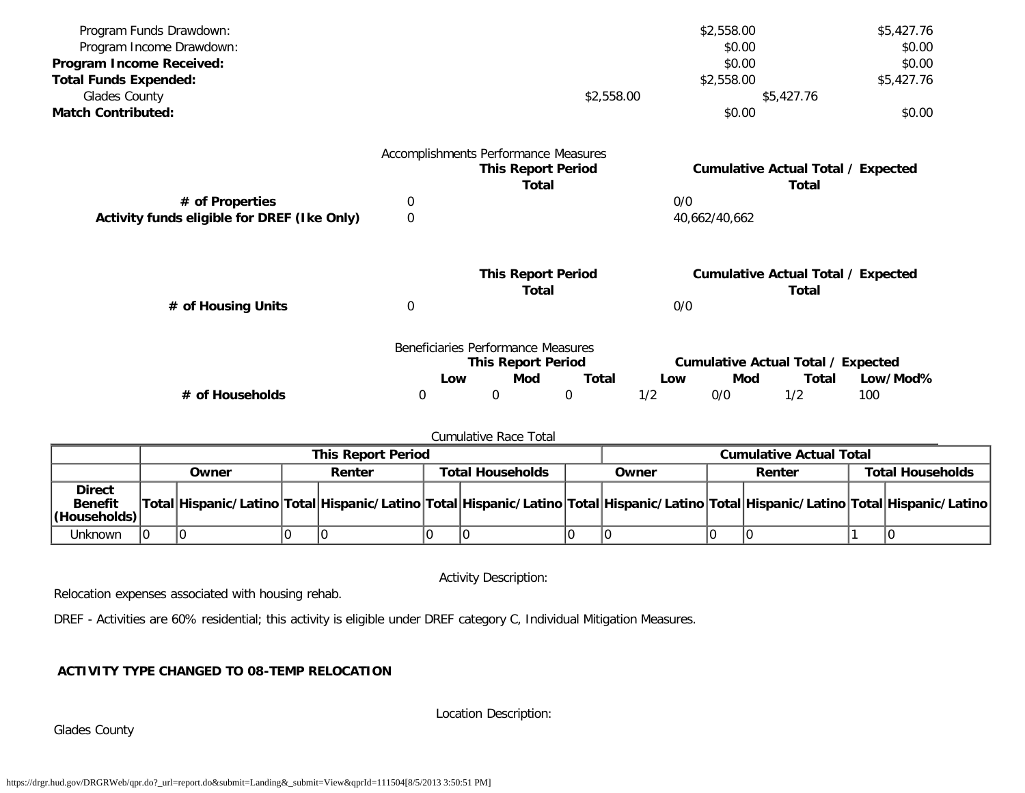| Program Funds Drawdown:                     |                  |                                      |                           |              |     | \$2,558.00    |                                           | \$5,427.76 |
|---------------------------------------------|------------------|--------------------------------------|---------------------------|--------------|-----|---------------|-------------------------------------------|------------|
| Program Income Drawdown:                    |                  |                                      |                           |              |     | \$0.00        |                                           | \$0.00     |
| Program Income Received:                    |                  |                                      |                           |              |     | \$0.00        |                                           | \$0.00     |
| <b>Total Funds Expended:</b>                |                  |                                      |                           |              |     | \$2,558.00    |                                           | \$5,427.76 |
| Glades County                               |                  |                                      |                           | \$2,558.00   |     |               | \$5,427.76                                |            |
| <b>Match Contributed:</b>                   |                  |                                      |                           |              |     | \$0.00        |                                           | \$0.00     |
|                                             |                  | Accomplishments Performance Measures |                           |              |     |               |                                           |            |
|                                             |                  |                                      | <b>This Report Period</b> |              |     |               | <b>Cumulative Actual Total / Expected</b> |            |
|                                             |                  |                                      | Total                     |              |     |               | Total                                     |            |
| # of Properties                             | 0                |                                      |                           |              | 0/0 |               |                                           |            |
| Activity funds eligible for DREF (Ike Only) | $\boldsymbol{0}$ |                                      |                           |              |     | 40,662/40,662 |                                           |            |
|                                             |                  |                                      | <b>This Report Period</b> |              |     |               | <b>Cumulative Actual Total / Expected</b> |            |
|                                             |                  |                                      | <b>Total</b>              |              |     |               | Total                                     |            |
| # of Housing Units                          | 0                |                                      |                           |              | 0/0 |               |                                           |            |
|                                             |                  | Beneficiaries Performance Measures   |                           |              |     |               |                                           |            |
|                                             |                  |                                      | <b>This Report Period</b> |              |     |               | <b>Cumulative Actual Total / Expected</b> |            |
|                                             |                  | Low                                  | Mod                       | <b>Total</b> | Low | Mod           | Total                                     | Low/Mod%   |
| # of Households                             | 0                | 0                                    |                           | $\mathbf 0$  | 1/2 | 0/0           | 1/2                                       | 100        |

## Cumulative Race Total

|                                                         | <b>This Report Period</b> |  |               |  |                         |  |       | <b>Cumulative Actual Total</b>                                                                                                      |        |  |                         |  |
|---------------------------------------------------------|---------------------------|--|---------------|--|-------------------------|--|-------|-------------------------------------------------------------------------------------------------------------------------------------|--------|--|-------------------------|--|
|                                                         | Owner                     |  | <b>Renter</b> |  | <b>Total Households</b> |  | Owner |                                                                                                                                     | Renter |  | <b>Total Households</b> |  |
| <b>Direct</b><br><b>Benefit</b><br>$ $ (Households) $ $ |                           |  |               |  |                         |  |       | Total Hispanic/Latino Total Hispanic/Latino Total Hispanic/Latino Total Hispanic/Latino Total Hispanic/Latino Total Hispanic/Latino |        |  |                         |  |
| Unknown                                                 |                           |  |               |  |                         |  |       |                                                                                                                                     |        |  |                         |  |

Activity Description:

Relocation expenses associated with housing rehab.

DREF - Activities are 60% residential; this activity is eligible under DREF category C, Individual Mitigation Measures.

# **ACTIVITY TYPE CHANGED TO 08-TEMP RELOCATION**

Location Description:

Glades County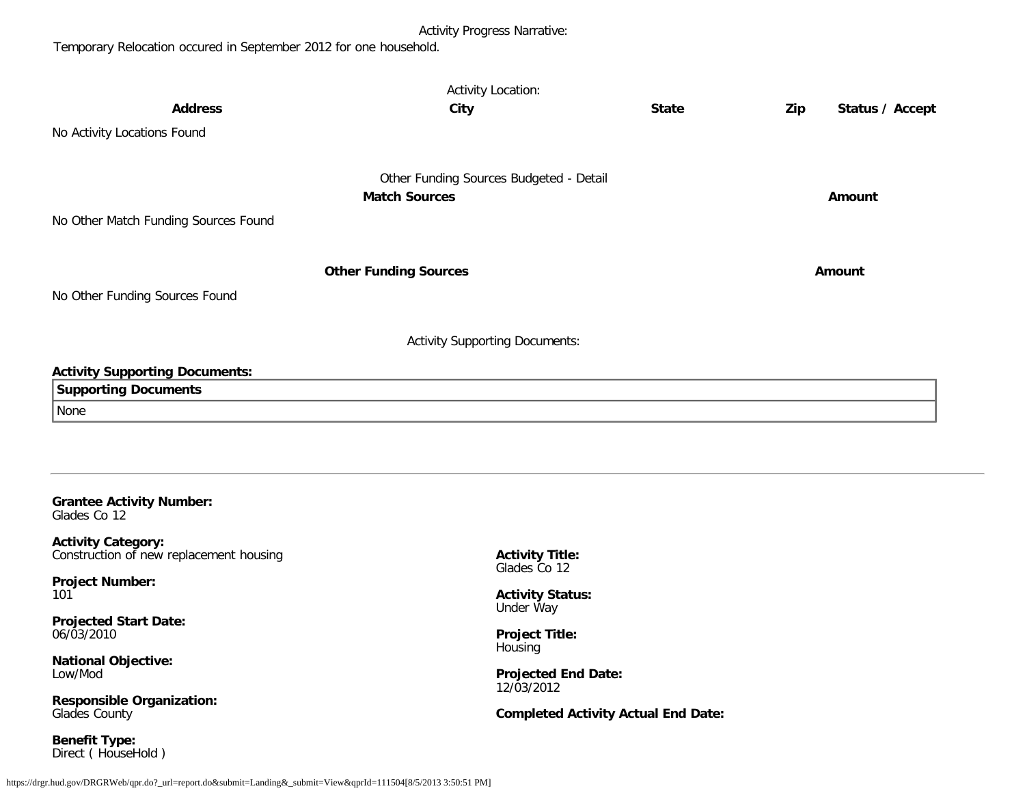# Activity Progress Narrative:

Temporary Relocation occured in September 2012 for one household.

|                                                                      | <b>Activity Location:</b>               |              |                        |
|----------------------------------------------------------------------|-----------------------------------------|--------------|------------------------|
| <b>Address</b>                                                       | City                                    | <b>State</b> | Zip<br>Status / Accept |
| No Activity Locations Found                                          |                                         |              |                        |
|                                                                      | Other Funding Sources Budgeted - Detail |              |                        |
|                                                                      | <b>Match Sources</b>                    |              | Amount                 |
| No Other Match Funding Sources Found                                 |                                         |              |                        |
|                                                                      | <b>Other Funding Sources</b>            |              | Amount                 |
| No Other Funding Sources Found                                       |                                         |              |                        |
|                                                                      | <b>Activity Supporting Documents:</b>   |              |                        |
| <b>Activity Supporting Documents:</b>                                |                                         |              |                        |
| <b>Supporting Documents</b>                                          |                                         |              |                        |
| None                                                                 |                                         |              |                        |
|                                                                      |                                         |              |                        |
|                                                                      |                                         |              |                        |
| <b>Grantee Activity Number:</b><br>Glades Co 12                      |                                         |              |                        |
| <b>Activity Category:</b><br>Construction of new replacement housing | <b>Activity Title:</b><br>Glades Co 12  |              |                        |
| <b>Project Number:</b><br>101                                        | <b>Activity Status:</b>                 |              |                        |

**Projected Start Date:** 06/03/2010

**National Objective:** Low/Mod

**Responsible Organization:** Glades County

**Benefit Type:** Direct ( HouseHold ) Under Way

**Project Title:** Housing

**Projected End Date:** 12/03/2012

**Completed Activity Actual End Date:**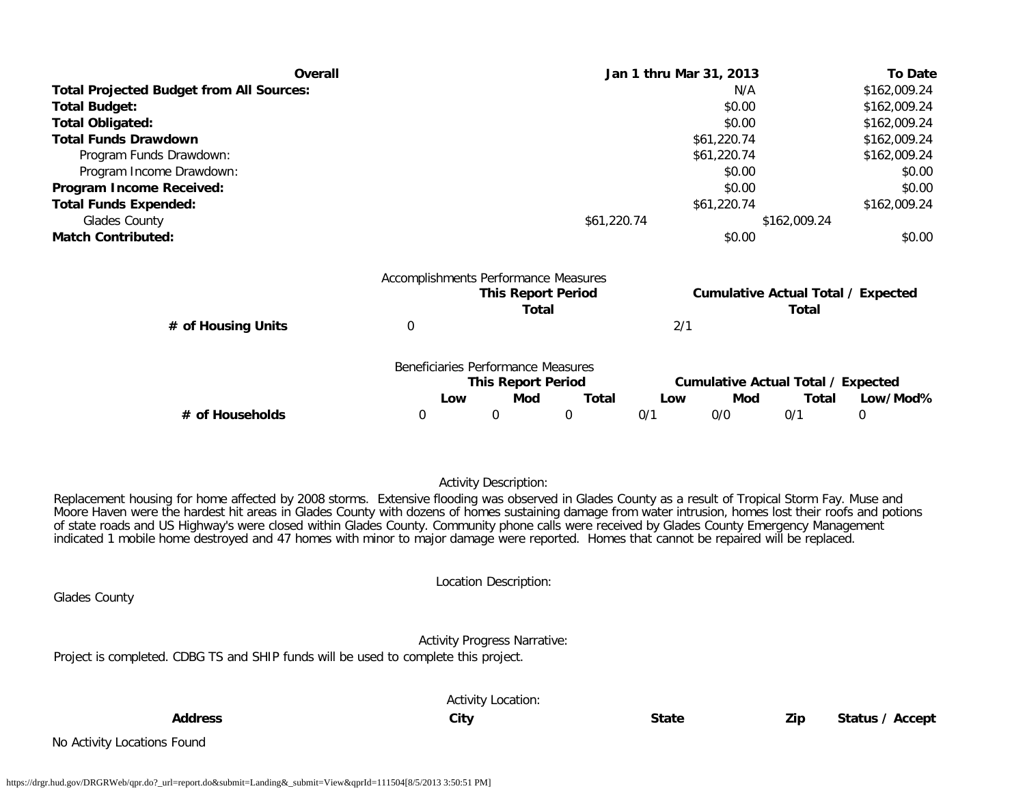| Overall                                                                                                                                            |                                      |                                    | Jan 1 thru Mar 31, 2013 |     |             |                                                    | <b>To Date</b> |  |
|----------------------------------------------------------------------------------------------------------------------------------------------------|--------------------------------------|------------------------------------|-------------------------|-----|-------------|----------------------------------------------------|----------------|--|
| <b>Total Projected Budget from All Sources:</b>                                                                                                    |                                      |                                    |                         |     | N/A         |                                                    | \$162,009.24   |  |
| <b>Total Budget:</b>                                                                                                                               |                                      |                                    |                         |     | \$0.00      |                                                    | \$162,009.24   |  |
| <b>Total Obligated:</b>                                                                                                                            |                                      |                                    |                         |     | \$0.00      |                                                    | \$162,009.24   |  |
| <b>Total Funds Drawdown</b>                                                                                                                        |                                      |                                    |                         |     | \$61,220.74 |                                                    | \$162,009.24   |  |
| Program Funds Drawdown:                                                                                                                            |                                      |                                    |                         |     | \$61,220.74 |                                                    | \$162,009.24   |  |
| Program Income Drawdown:                                                                                                                           |                                      |                                    |                         |     | \$0.00      |                                                    | \$0.00         |  |
| Program Income Received:                                                                                                                           |                                      |                                    |                         |     | \$0.00      |                                                    | \$0.00         |  |
| <b>Total Funds Expended:</b>                                                                                                                       |                                      |                                    |                         |     | \$61,220.74 |                                                    | \$162,009.24   |  |
| Glades County                                                                                                                                      |                                      |                                    | \$61,220.74             |     |             | \$162,009.24                                       |                |  |
| <b>Match Contributed:</b>                                                                                                                          |                                      |                                    |                         |     | \$0.00      |                                                    | \$0.00         |  |
|                                                                                                                                                    | Accomplishments Performance Measures | <b>This Report Period</b><br>Total |                         |     |             | <b>Cumulative Actual Total / Expected</b><br>Total |                |  |
| # of Housing Units                                                                                                                                 | $\boldsymbol{0}$                     |                                    |                         | 2/1 |             |                                                    |                |  |
|                                                                                                                                                    | Beneficiaries Performance Measures   | <b>This Report Period</b>          |                         |     |             | <b>Cumulative Actual Total / Expected</b>          |                |  |
|                                                                                                                                                    | Low                                  | Mod                                | <b>Total</b>            | Low | Mod         | Total                                              | Low/Mod%       |  |
| # of Households                                                                                                                                    | 0                                    | 0                                  | $\mathbf{0}$            | 0/1 | 0/0         | 0/1                                                | $\mathbf 0$    |  |
|                                                                                                                                                    |                                      |                                    |                         |     |             |                                                    |                |  |
|                                                                                                                                                    |                                      | <b>Activity Description:</b>       |                         |     |             |                                                    |                |  |
| Replacement bousing for home afforted by 2008 storms. Extensive flooding was observed in Clades County as a result of Tropical Storm Eay. Muse and |                                      |                                    |                         |     |             |                                                    |                |  |

Replacement housing for home affected by 2008 storms. Extensive flooding was observed in Glades County as a result of Tropical Storm Fay. Muse and Moore Haven were the hardest hit areas in Glades County with dozens of homes sustaining damage from water intrusion, homes lost their roofs and potions of state roads and US Highway's were closed within Glades County. Community phone calls were received by Glades County Emergency Management indicated 1 mobile home destroyed and 47 homes with minor to major damage were reported. Homes that cannot be repaired will be replaced.

|                                                                                     | Location Description:               |              |     |                 |
|-------------------------------------------------------------------------------------|-------------------------------------|--------------|-----|-----------------|
| <b>Glades County</b>                                                                |                                     |              |     |                 |
|                                                                                     | <b>Activity Progress Narrative:</b> |              |     |                 |
| Project is completed. CDBG TS and SHIP funds will be used to complete this project. |                                     |              |     |                 |
|                                                                                     | <b>Activity Location:</b>           |              |     |                 |
| <b>Address</b>                                                                      | City                                | <b>State</b> | Zip | Status / Accept |

No Activity Locations Found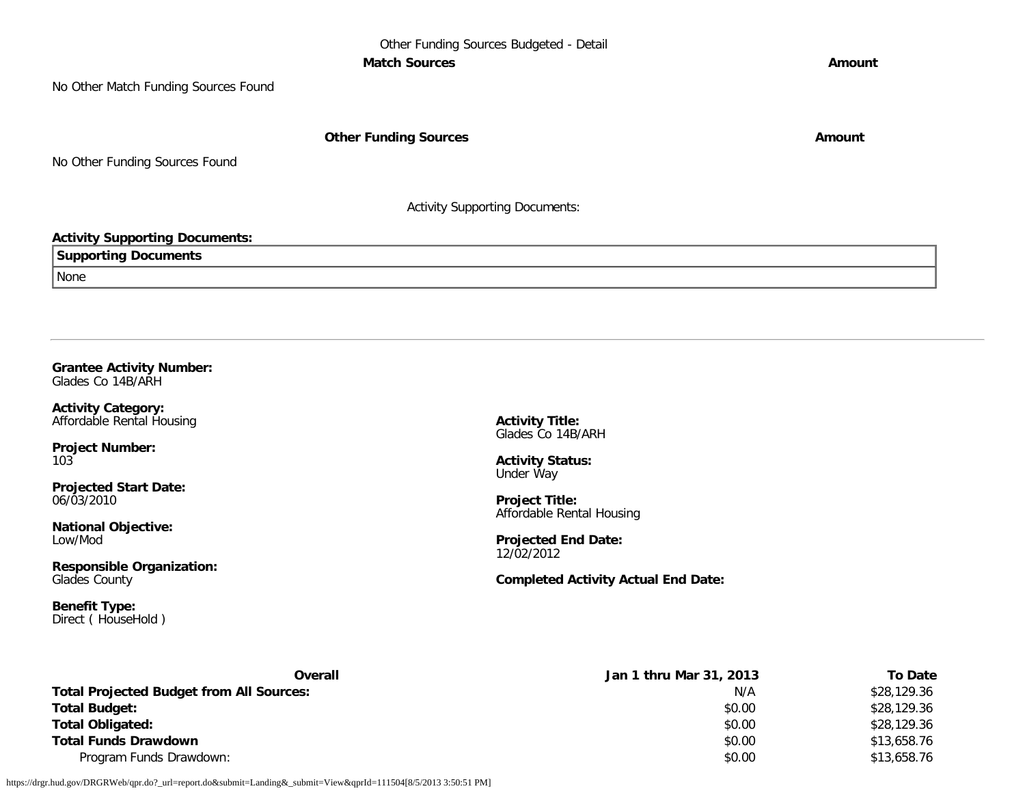No Other Match Funding Sources Found

**Other Funding Sources Amount Amount Amount** 

No Other Funding Sources Found

Activity Supporting Documents:

#### **Activity Supporting Documents:**

**Supporting Documents**

None

**Grantee Activity Number:** Glades Co 14B/ARH

**Activity Category:** Affordable Rental Housing

**Project Number:** 103

**Projected Start Date:** 06/03/2010

**National Objective:** Low/Mod

**Responsible Organization:** Glades County

**Benefit Type:** Direct ( HouseHold ) **Activity Title:** Glades Co 14B/ARH

**Activity Status:** Under Way

**Project Title:** Affordable Rental Housing

**Projected End Date:** 12/02/2012

**Completed Activity Actual End Date:**

| Overall                                         | Jan 1 thru Mar 31, 2013 | <b>To Date</b> |
|-------------------------------------------------|-------------------------|----------------|
| <b>Total Projected Budget from All Sources:</b> | N/A                     | \$28,129.36    |
| <b>Total Budget:</b>                            | \$0.00                  | \$28,129.36    |
| <b>Total Obligated:</b>                         | \$0.00                  | \$28,129.36    |
| <b>Total Funds Drawdown</b>                     | \$0.00                  | \$13,658.76    |
| Program Funds Drawdown:                         | \$0.00                  | \$13,658.76    |

https://drgr.hud.gov/DRGRWeb/qpr.do?\_url=report.do&submit=Landing&\_submit=View&qprId=111504[8/5/2013 3:50:51 PM]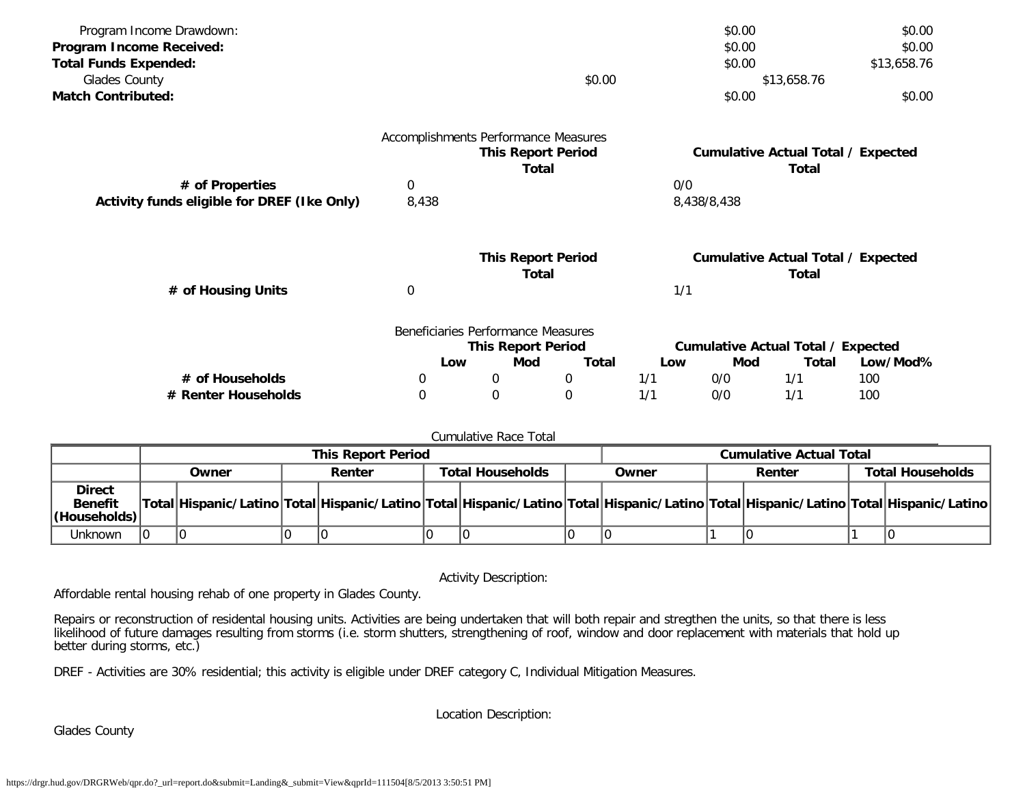| Program Income Drawdown:                    |       |   |                                      |     | \$0.00      |                                           | \$0.00      |
|---------------------------------------------|-------|---|--------------------------------------|-----|-------------|-------------------------------------------|-------------|
| Program Income Received:                    |       |   |                                      |     | \$0.00      |                                           | \$0.00      |
| <b>Total Funds Expended:</b>                |       |   |                                      |     | \$0.00      |                                           | \$13,658.76 |
| Glades County                               |       |   | \$0.00                               |     |             | \$13,658.76                               |             |
| <b>Match Contributed:</b>                   |       |   |                                      |     | \$0.00      |                                           | \$0.00      |
|                                             |       |   | Accomplishments Performance Measures |     |             |                                           |             |
|                                             |       |   | <b>This Report Period</b>            |     |             | <b>Cumulative Actual Total / Expected</b> |             |
|                                             |       |   | <b>Total</b>                         |     |             | Total                                     |             |
| # of Properties                             | 0     |   |                                      | 0/0 |             |                                           |             |
| Activity funds eligible for DREF (Ike Only) | 8,438 |   |                                      |     | 8,438/8,438 |                                           |             |
|                                             |       |   | <b>This Report Period</b>            |     |             | <b>Cumulative Actual Total / Expected</b> |             |
|                                             |       |   | <b>Total</b>                         |     |             | Total                                     |             |
| # of Housing Units                          | 0     |   |                                      | 1/1 |             |                                           |             |
|                                             |       |   | Beneficiaries Performance Measures   |     |             |                                           |             |
|                                             |       |   | <b>This Report Period</b>            |     |             | <b>Cumulative Actual Total / Expected</b> |             |
|                                             | Low   |   | <b>Total</b><br>Mod                  | Low | Mod         | Total                                     | Low/Mod%    |
| # of Households                             | 0     | 0 | 0                                    | 1/1 | 0/0         | 1/1                                       | 100         |
| # Renter Households                         | 0     | 0 | $\mathbf 0$                          | 1/1 | 0/0         | 1/1                                       | 100         |

#### Cumulative Race Total

|                                                         | <b>This Report Period</b> |       |        |                                                                                                                                     | <b>Cumulative Actual Total</b> |  |       |  |  |  |  |        |  |                         |
|---------------------------------------------------------|---------------------------|-------|--------|-------------------------------------------------------------------------------------------------------------------------------------|--------------------------------|--|-------|--|--|--|--|--------|--|-------------------------|
|                                                         |                           | Owner | Renter |                                                                                                                                     | <b>Total Households</b>        |  | Owner |  |  |  |  | Renter |  | <b>Total Households</b> |
| <b>Direct</b><br><b>Benefit</b><br>$ $ (Households) $ $ |                           |       |        | Total Hispanic/Latino Total Hispanic/Latino Total Hispanic/Latino Total Hispanic/Latino Total Hispanic/Latino Total Hispanic/Latino |                                |  |       |  |  |  |  |        |  |                         |
| Unknown                                                 |                           |       |        |                                                                                                                                     |                                |  |       |  |  |  |  |        |  |                         |

Activity Description:

Affordable rental housing rehab of one property in Glades County.

Repairs or reconstruction of residental housing units. Activities are being undertaken that will both repair and stregthen the units, so that there is less likelihood of future damages resulting from storms (i.e. storm shutters, strengthening of roof, window and door replacement with materials that hold up better during storms, etc.)

DREF - Activities are 30% residential; this activity is eligible under DREF category C, Individual Mitigation Measures.

Glades County

Location Description: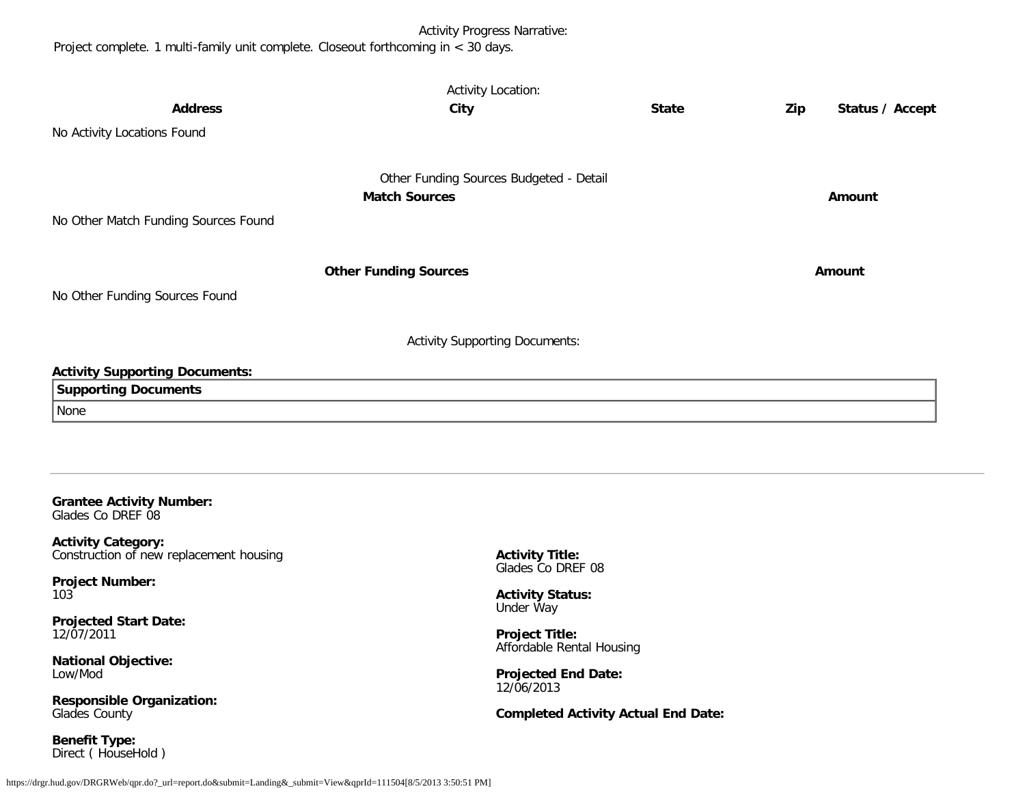# Activity Progress Narrative:

Project complete. 1 multi-family unit complete. Closeout forthcoming in < 30 days.

|                                                      | <b>Activity Location:</b>               |              |     |                 |
|------------------------------------------------------|-----------------------------------------|--------------|-----|-----------------|
| <b>Address</b>                                       | City                                    | <b>State</b> | Zip | Status / Accept |
| No Activity Locations Found                          |                                         |              |     |                 |
|                                                      |                                         |              |     |                 |
|                                                      | Other Funding Sources Budgeted - Detail |              |     |                 |
|                                                      | <b>Match Sources</b>                    |              |     | Amount          |
| No Other Match Funding Sources Found                 |                                         |              |     |                 |
|                                                      |                                         |              |     |                 |
|                                                      | <b>Other Funding Sources</b>            |              |     | Amount          |
| No Other Funding Sources Found                       |                                         |              |     |                 |
|                                                      | <b>Activity Supporting Documents:</b>   |              |     |                 |
| <b>Activity Supporting Documents:</b>                |                                         |              |     |                 |
| <b>Supporting Documents</b>                          |                                         |              |     |                 |
| None                                                 |                                         |              |     |                 |
|                                                      |                                         |              |     |                 |
|                                                      |                                         |              |     |                 |
|                                                      |                                         |              |     |                 |
| <b>Grantee Activity Number:</b><br>Glades Co DREF 08 |                                         |              |     |                 |
|                                                      |                                         |              |     |                 |

**Activity Category:** Construction of new replacement housing

**Project Number:** 103

**Projected Start Date:** 12/07/2011

**National Objective:** Low/Mod

**Responsible Organization:** Glades County

**Benefit Type:** Direct ( HouseHold ) **Activity Title:** Glades Co DREF 08

**Activity Status:** Under Way

**Project Title:** Affordable Rental Housing

**Projected End Date:** 12/06/2013

**Completed Activity Actual End Date:**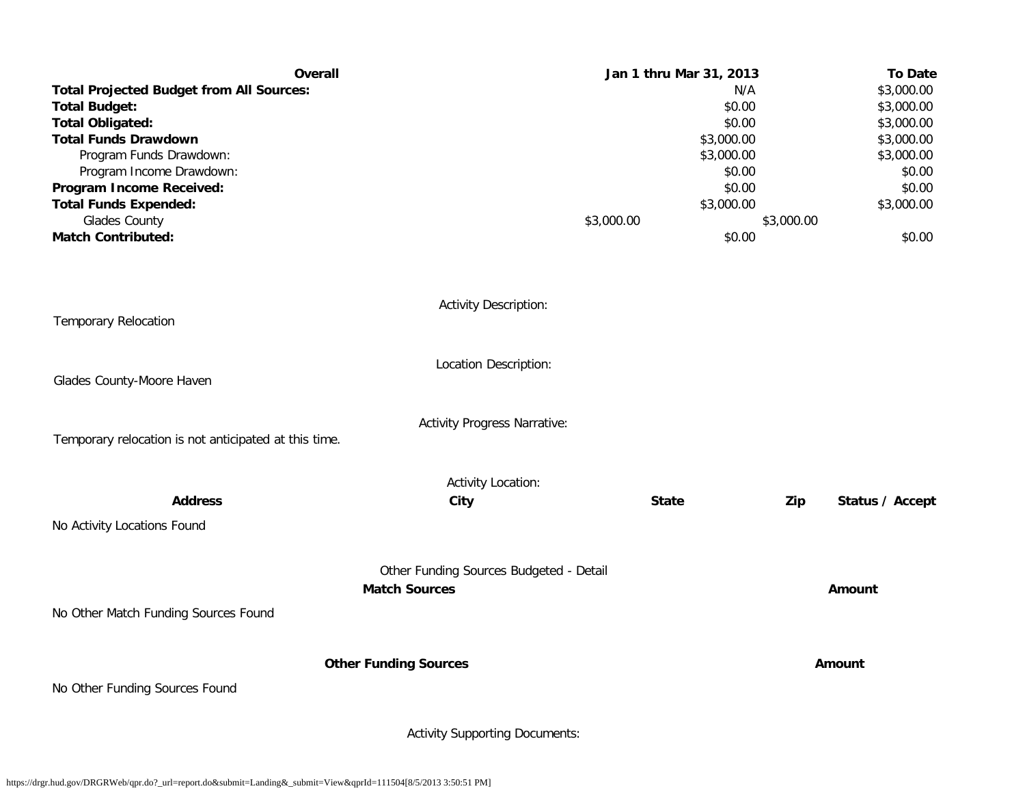| <b>Overall</b><br><b>Total Projected Budget from All Sources:</b><br><b>Total Budget:</b><br><b>Total Obligated:</b><br><b>Total Funds Drawdown</b><br>Program Funds Drawdown:<br>Program Income Drawdown:<br>Program Income Received:<br><b>Total Funds Expended:</b><br>Glades County<br><b>Match Contributed:</b> |                                                                 | Jan 1 thru Mar 31, 2013<br>\$3,000.00 | N/A<br>\$0.00<br>\$0.00<br>\$3,000.00<br>\$3,000.00<br>\$0.00<br>\$0.00<br>\$3,000.00<br>\$0.00 | \$3,000.00 | <b>To Date</b><br>\$3,000.00<br>\$3,000.00<br>\$3,000.00<br>\$3,000.00<br>\$3,000.00<br>\$0.00<br>\$0.00<br>\$3,000.00<br>\$0.00 |
|----------------------------------------------------------------------------------------------------------------------------------------------------------------------------------------------------------------------------------------------------------------------------------------------------------------------|-----------------------------------------------------------------|---------------------------------------|-------------------------------------------------------------------------------------------------|------------|----------------------------------------------------------------------------------------------------------------------------------|
| <b>Temporary Relocation</b>                                                                                                                                                                                                                                                                                          | <b>Activity Description:</b>                                    |                                       |                                                                                                 |            |                                                                                                                                  |
| Glades County-Moore Haven                                                                                                                                                                                                                                                                                            | Location Description:                                           |                                       |                                                                                                 |            |                                                                                                                                  |
| Temporary relocation is not anticipated at this time.                                                                                                                                                                                                                                                                | <b>Activity Progress Narrative:</b>                             |                                       |                                                                                                 |            |                                                                                                                                  |
| <b>Address</b><br>No Activity Locations Found                                                                                                                                                                                                                                                                        | <b>Activity Location:</b><br>City                               | <b>State</b>                          |                                                                                                 | Zip        | Status / Accept                                                                                                                  |
|                                                                                                                                                                                                                                                                                                                      | Other Funding Sources Budgeted - Detail<br><b>Match Sources</b> |                                       |                                                                                                 |            | Amount                                                                                                                           |
| No Other Match Funding Sources Found                                                                                                                                                                                                                                                                                 | <b>Other Funding Sources</b>                                    |                                       |                                                                                                 |            | Amount                                                                                                                           |
| No Other Funding Sources Found                                                                                                                                                                                                                                                                                       | <b>Activity Supporting Documents:</b>                           |                                       |                                                                                                 |            |                                                                                                                                  |

https://drgr.hud.gov/DRGRWeb/qpr.do?\_url=report.do&submit=Landing&\_submit=View&qprId=111504[8/5/2013 3:50:51 PM]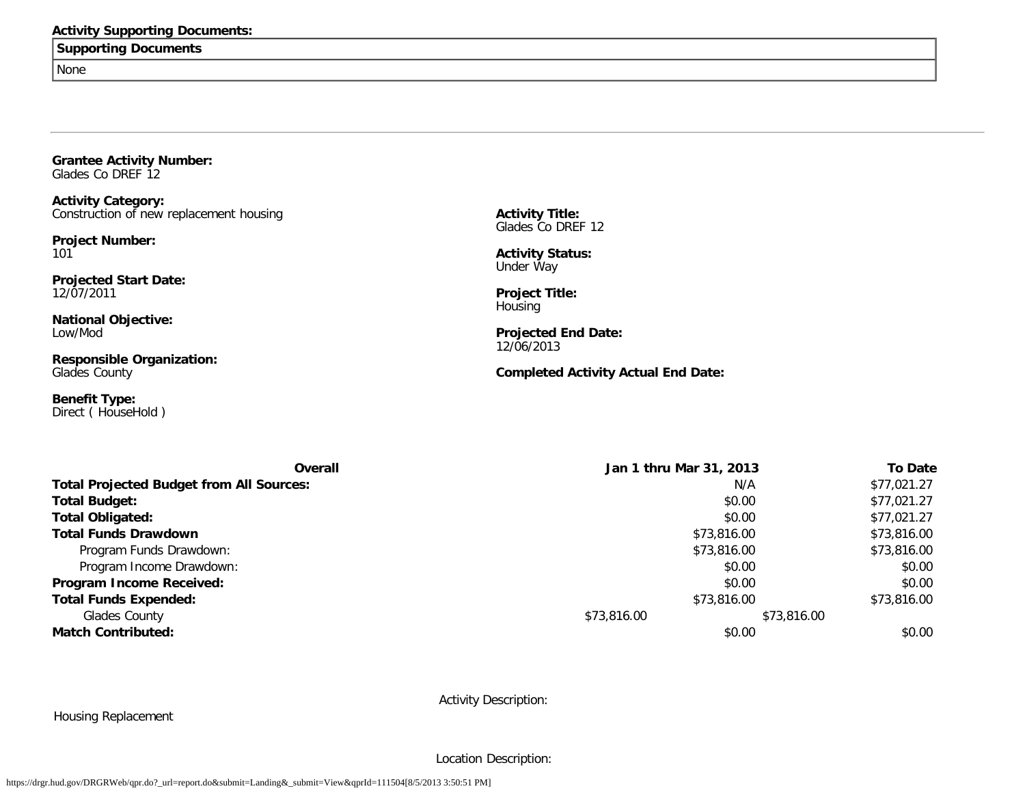### **Activity Supporting Documents:**

**Supporting Documents**

None

**Grantee Activity Number:** Glades Co DREF 12

**Activity Category:** Construction of new replacement housing

**Project Number:** 101

**Projected Start Date:** 12/07/2011

**National Objective:** Low/Mod

**Responsible Organization:** Glades County

**Benefit Type:** Direct ( HouseHold ) **Activity Title:** Glades Co DREF 12

**Activity Status:** Under Way

**Project Title:** Housing

**Projected End Date:** 12/06/2013

# **Completed Activity Actual End Date:**

| <b>Overall</b>                                  | Jan 1 thru Mar 31, 2013 |             | <b>To Date</b> |
|-------------------------------------------------|-------------------------|-------------|----------------|
| <b>Total Projected Budget from All Sources:</b> | N/A                     |             | \$77,021.27    |
| <b>Total Budget:</b>                            | \$0.00                  |             | \$77,021.27    |
| <b>Total Obligated:</b>                         | \$0.00                  |             | \$77,021.27    |
| <b>Total Funds Drawdown</b>                     | \$73,816.00             |             | \$73,816.00    |
| Program Funds Drawdown:                         | \$73,816.00             |             | \$73,816.00    |
| Program Income Drawdown:                        | \$0.00                  |             | \$0.00         |
| <b>Program Income Received:</b>                 | \$0.00                  |             | \$0.00         |
| <b>Total Funds Expended:</b>                    | \$73,816.00             |             | \$73,816.00    |
| Glades County                                   | \$73,816.00             | \$73,816.00 |                |
| <b>Match Contributed:</b>                       | \$0.00                  |             | \$0.00         |

Activity Description:

Housing Replacement

Location Description: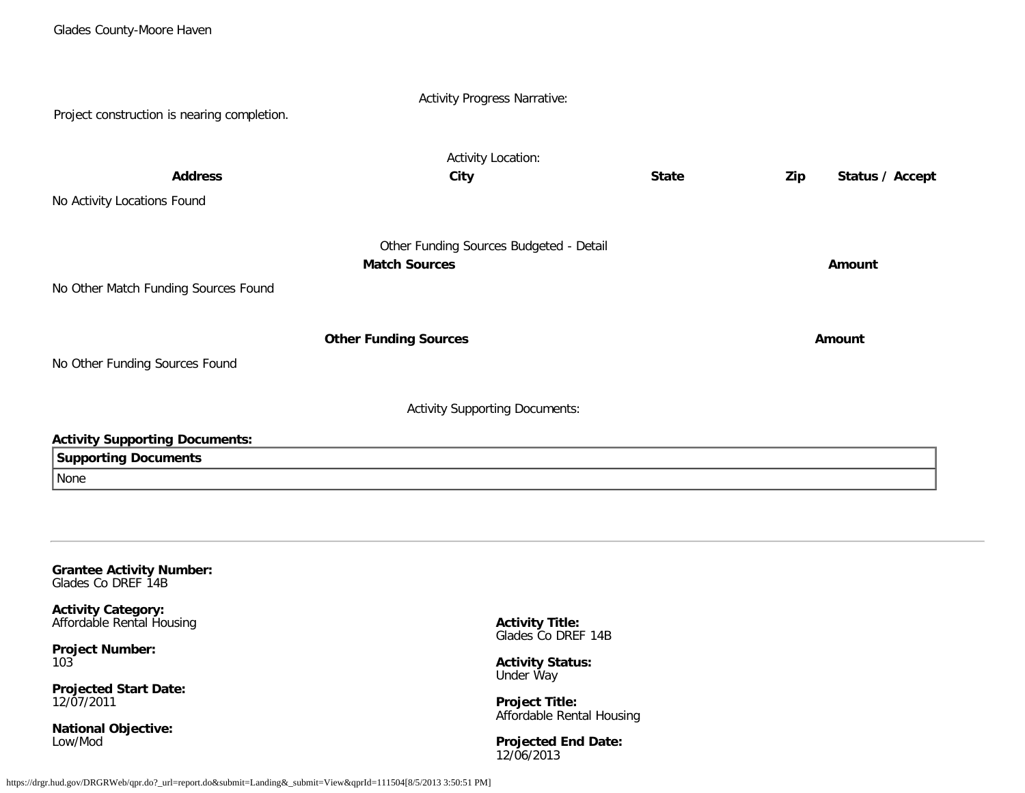| Project construction is nearing completion. | <b>Activity Progress Narrative:</b>     |              |                        |  |  |  |  |
|---------------------------------------------|-----------------------------------------|--------------|------------------------|--|--|--|--|
|                                             |                                         |              |                        |  |  |  |  |
|                                             | <b>Activity Location:</b>               |              |                        |  |  |  |  |
| <b>Address</b>                              | City                                    | <b>State</b> | Status / Accept<br>Zip |  |  |  |  |
| No Activity Locations Found                 |                                         |              |                        |  |  |  |  |
|                                             | Other Funding Sources Budgeted - Detail |              |                        |  |  |  |  |
|                                             | <b>Match Sources</b>                    |              | Amount                 |  |  |  |  |
| No Other Match Funding Sources Found        |                                         |              |                        |  |  |  |  |
|                                             | <b>Other Funding Sources</b>            |              | Amount                 |  |  |  |  |
| No Other Funding Sources Found              |                                         |              |                        |  |  |  |  |
| <b>Activity Supporting Documents:</b>       |                                         |              |                        |  |  |  |  |
| <b>Activity Supporting Documents:</b>       |                                         |              |                        |  |  |  |  |
| <b>Supporting Documents</b>                 |                                         |              |                        |  |  |  |  |
| None                                        |                                         |              |                        |  |  |  |  |
|                                             |                                         |              |                        |  |  |  |  |
|                                             |                                         |              |                        |  |  |  |  |
|                                             |                                         |              |                        |  |  |  |  |

#### **Grantee Activity Number:** Glades Co DREF 14B

**Activity Category:**

Affordable Rental Housing

**Project Number:** 103

**Projected Start Date:** 12/07/2011

**National Objective:** Low/Mod

**Activity Title:** Glades Co DREF 14B

**Activity Status:** Under Way

**Project Title:** Affordable Rental Housing

**Projected End Date:** 12/06/2013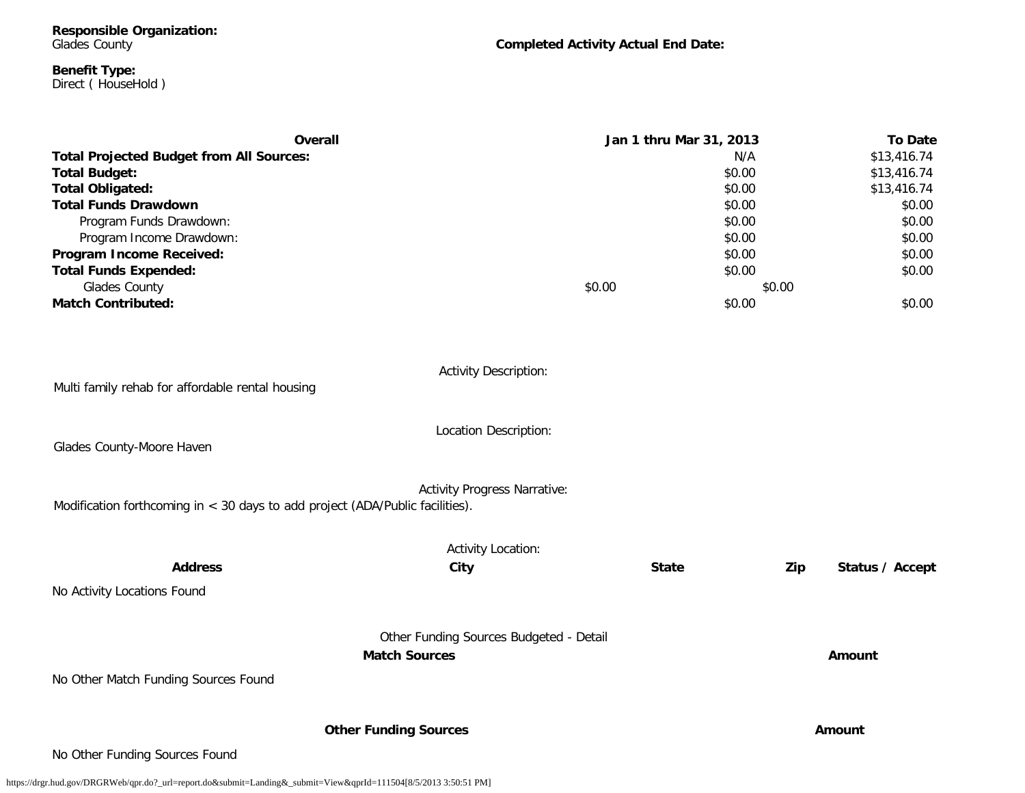**Responsible Organization:** Glades County

**Completed Activity Actual End Date:**

#### **Benefit Type:** Direct ( HouseHold )

| Overall                                         |        | Jan 1 thru Mar 31, 2013 | <b>To Date</b> |
|-------------------------------------------------|--------|-------------------------|----------------|
| <b>Total Projected Budget from All Sources:</b> |        | N/A                     | \$13,416.74    |
| <b>Total Budget:</b>                            |        | \$0.00                  | \$13,416.74    |
| <b>Total Obligated:</b>                         |        | \$0.00                  | \$13,416.74    |
| <b>Total Funds Drawdown</b>                     |        | \$0.00                  | \$0.00         |
| Program Funds Drawdown:                         |        | \$0.00                  | \$0.00         |
| Program Income Drawdown:                        |        | \$0.00                  | \$0.00         |
| Program Income Received:                        |        | \$0.00                  | \$0.00         |
| <b>Total Funds Expended:</b>                    |        | \$0.00                  | \$0.00         |
| Glades County                                   | \$0.00 | \$0.00                  |                |
| <b>Match Contributed:</b>                       |        | \$0.00                  | \$0.00         |

| Multi family rehab for affordable rental housing                              | <b>Activity Description:</b>            |              |                        |
|-------------------------------------------------------------------------------|-----------------------------------------|--------------|------------------------|
| Glades County-Moore Haven                                                     | Location Description:                   |              |                        |
| Modification forthcoming in < 30 days to add project (ADA/Public facilities). | <b>Activity Progress Narrative:</b>     |              |                        |
|                                                                               | <b>Activity Location:</b>               |              |                        |
| <b>Address</b>                                                                | City                                    | <b>State</b> | Zip<br>Status / Accept |
| No Activity Locations Found                                                   |                                         |              |                        |
|                                                                               | Other Funding Sources Budgeted - Detail |              |                        |
|                                                                               | <b>Match Sources</b>                    |              | Amount                 |
| No Other Match Funding Sources Found                                          |                                         |              |                        |
|                                                                               | <b>Other Funding Sources</b>            |              | Amount                 |
| No Other Funding Sources Found                                                |                                         |              |                        |

https://drgr.hud.gov/DRGRWeb/qpr.do?\_url=report.do&submit=Landing&\_submit=View&qprId=111504[8/5/2013 3:50:51 PM]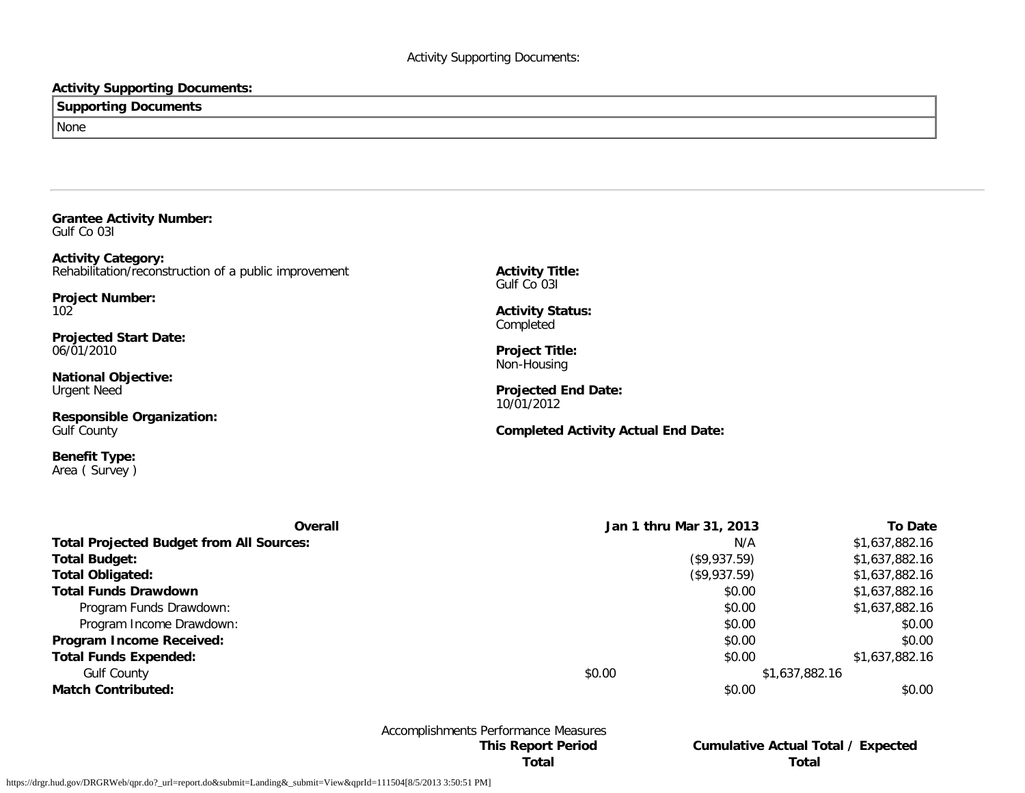# **Activity Supporting Documents:**

| <b>Supporting Documents</b> |  |
|-----------------------------|--|
| None                        |  |

**Grantee Activity Number:** Gulf Co 03I

**Activity Category:** Rehabilitation/reconstruction of a public improvement

**Project Number:** 102

**Projected Start Date:** 06/01/2010

**National Objective:** Urgent Need

**Responsible Organization:** Gulf County

**Benefit Type:** Area ( Survey ) **Activity Title:** Gulf Co 03I

**Activity Status: Completed** 

**Project Title:** Non-Housing

**Projected End Date:** 10/01/2012

**Completed Activity Actual End Date:**

| Overall                                         | Jan 1 thru Mar 31, 2013 | To Date        |
|-------------------------------------------------|-------------------------|----------------|
| <b>Total Projected Budget from All Sources:</b> | N/A                     | \$1,637,882.16 |
| <b>Total Budget:</b>                            | (\$9,937.59)            | \$1,637,882.16 |
| <b>Total Obligated:</b>                         | (\$9,937.59)            | \$1,637,882.16 |
| <b>Total Funds Drawdown</b>                     | \$0.00                  | \$1,637,882.16 |
| Program Funds Drawdown:                         | \$0.00                  | \$1,637,882.16 |
| Program Income Drawdown:                        | \$0.00                  | \$0.00         |
| Program Income Received:                        | \$0.00                  | \$0.00         |
| <b>Total Funds Expended:</b>                    | \$0.00                  | \$1,637,882.16 |
| <b>Gulf County</b>                              | \$0.00                  | \$1,637,882.16 |
| <b>Match Contributed:</b>                       | \$0.00                  | \$0.00         |

Accomplishments Performance Measures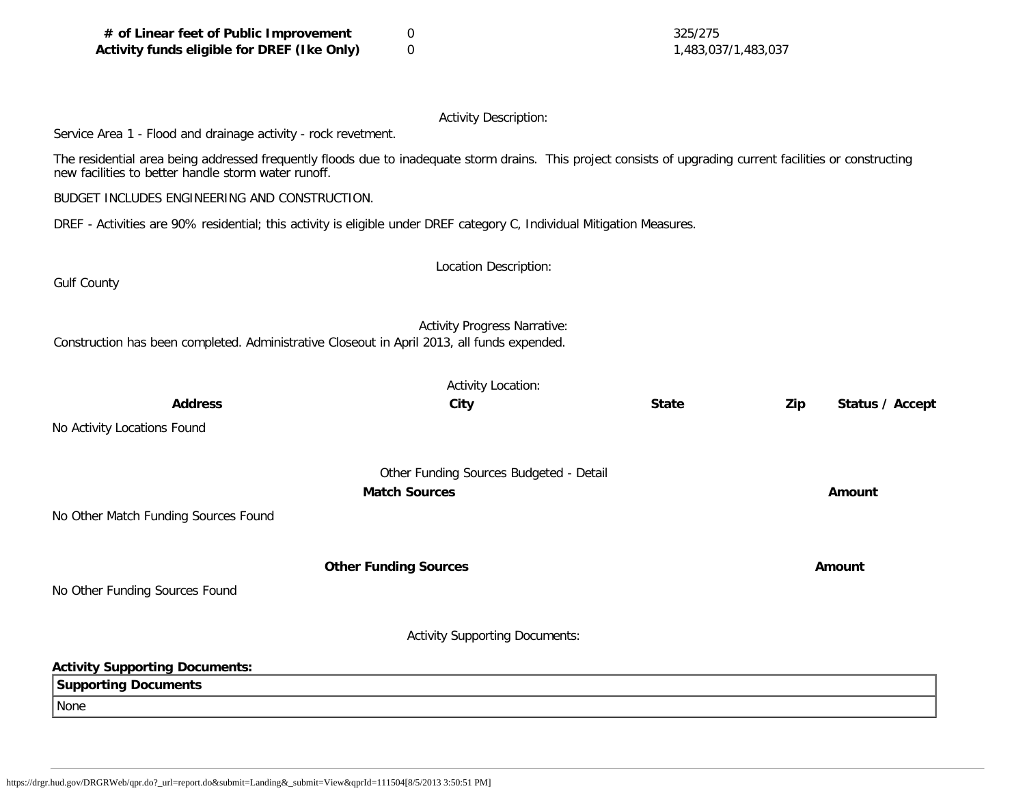| # of Linear feet of Public Improvement<br>Activity funds eligible for DREF (Ike Only)                                                                                                                               | 325/275<br>0<br>$\mathbf 0$<br>1,483,037/1,483,037              |              |                        |  |  |  |
|---------------------------------------------------------------------------------------------------------------------------------------------------------------------------------------------------------------------|-----------------------------------------------------------------|--------------|------------------------|--|--|--|
|                                                                                                                                                                                                                     | <b>Activity Description:</b>                                    |              |                        |  |  |  |
| Service Area 1 - Flood and drainage activity - rock revetment.                                                                                                                                                      |                                                                 |              |                        |  |  |  |
| The residential area being addressed frequently floods due to inadequate storm drains. This project consists of upgrading current facilities or constructing<br>new facilities to better handle storm water runoff. |                                                                 |              |                        |  |  |  |
| BUDGET INCLUDES ENGINEERING AND CONSTRUCTION.                                                                                                                                                                       |                                                                 |              |                        |  |  |  |
| DREF - Activities are 90% residential; this activity is eligible under DREF category C, Individual Mitigation Measures.                                                                                             |                                                                 |              |                        |  |  |  |
|                                                                                                                                                                                                                     |                                                                 |              |                        |  |  |  |
| <b>Gulf County</b>                                                                                                                                                                                                  | Location Description:                                           |              |                        |  |  |  |
|                                                                                                                                                                                                                     |                                                                 |              |                        |  |  |  |
| Construction has been completed. Administrative Closeout in April 2013, all funds expended.                                                                                                                         | <b>Activity Progress Narrative:</b>                             |              |                        |  |  |  |
|                                                                                                                                                                                                                     | <b>Activity Location:</b>                                       |              |                        |  |  |  |
| <b>Address</b>                                                                                                                                                                                                      | City                                                            | <b>State</b> | Zip<br>Status / Accept |  |  |  |
| No Activity Locations Found                                                                                                                                                                                         |                                                                 |              |                        |  |  |  |
|                                                                                                                                                                                                                     |                                                                 |              |                        |  |  |  |
|                                                                                                                                                                                                                     | Other Funding Sources Budgeted - Detail<br><b>Match Sources</b> |              | Amount                 |  |  |  |
| No Other Match Funding Sources Found                                                                                                                                                                                |                                                                 |              |                        |  |  |  |
|                                                                                                                                                                                                                     |                                                                 |              |                        |  |  |  |
|                                                                                                                                                                                                                     | <b>Other Funding Sources</b>                                    |              | Amount                 |  |  |  |
| No Other Funding Sources Found                                                                                                                                                                                      |                                                                 |              |                        |  |  |  |
|                                                                                                                                                                                                                     | <b>Activity Supporting Documents:</b>                           |              |                        |  |  |  |
| <b>Activity Supporting Documents:</b>                                                                                                                                                                               |                                                                 |              |                        |  |  |  |
| <b>Supporting Documents</b>                                                                                                                                                                                         |                                                                 |              |                        |  |  |  |
| None                                                                                                                                                                                                                |                                                                 |              |                        |  |  |  |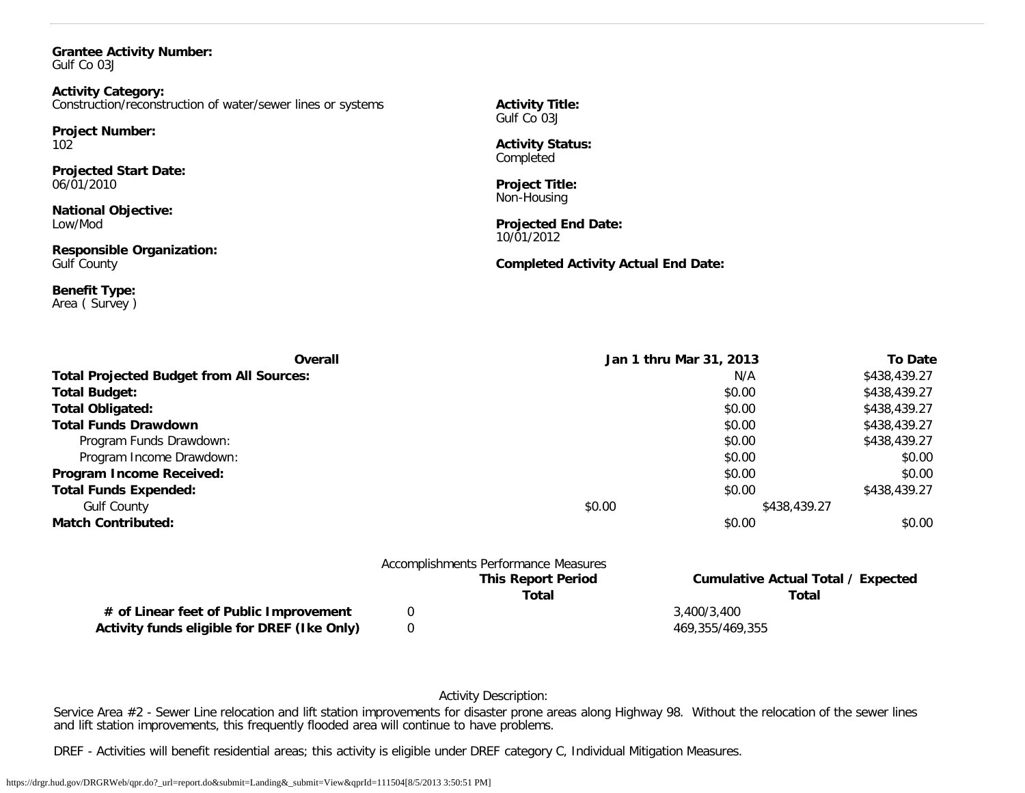#### **Grantee Activity Number:** Gulf Co 03J

**Activity Category:** Construction/reconstruction of water/sewer lines or systems

**Project Number:** 102

**Projected Start Date:** 06/01/2010

**National Objective:** Low/Mod

**Responsible Organization:** Gulf County

**Benefit Type:** Area ( Survey ) **Activity Title:** Gulf Co 03J

**Activity Status:** Completed

**Project Title:** Non-Housing

**Projected End Date:** 10/01/2012

**Completed Activity Actual End Date:**

| Overall                                         |                                      | Jan 1 thru Mar 31, 2013                   | <b>To Date</b> |
|-------------------------------------------------|--------------------------------------|-------------------------------------------|----------------|
| <b>Total Projected Budget from All Sources:</b> |                                      | N/A                                       | \$438,439.27   |
| <b>Total Budget:</b>                            |                                      | \$0.00                                    | \$438,439.27   |
| <b>Total Obligated:</b>                         |                                      | \$0.00                                    | \$438,439.27   |
| <b>Total Funds Drawdown</b>                     |                                      | \$0.00                                    | \$438,439.27   |
| Program Funds Drawdown:                         |                                      | \$0.00                                    | \$438,439.27   |
| Program Income Drawdown:                        |                                      | \$0.00                                    | \$0.00         |
| Program Income Received:                        |                                      | \$0.00                                    | \$0.00         |
| <b>Total Funds Expended:</b>                    |                                      | \$0.00                                    | \$438,439.27   |
| <b>Gulf County</b>                              | \$0.00                               | \$438,439.27                              |                |
| <b>Match Contributed:</b>                       |                                      | \$0.00                                    | \$0.00         |
|                                                 | Accomplishments Performance Measures |                                           |                |
|                                                 | <b>This Report Period</b>            | <b>Cumulative Actual Total / Expected</b> |                |

**# of Linear feet of Public Improvement** 0 3,400/3,400 **Activity funds eligible for DREF (Ike Only)** 0 469,355/469,355

**Total Total**

Activity Description:

Service Area #2 - Sewer Line relocation and lift station improvements for disaster prone areas along Highway 98. Without the relocation of the sewer lines and lift station improvements, this frequently flooded area will continue to have problems.

DREF - Activities will benefit residential areas; this activity is eligible under DREF category C, Individual Mitigation Measures.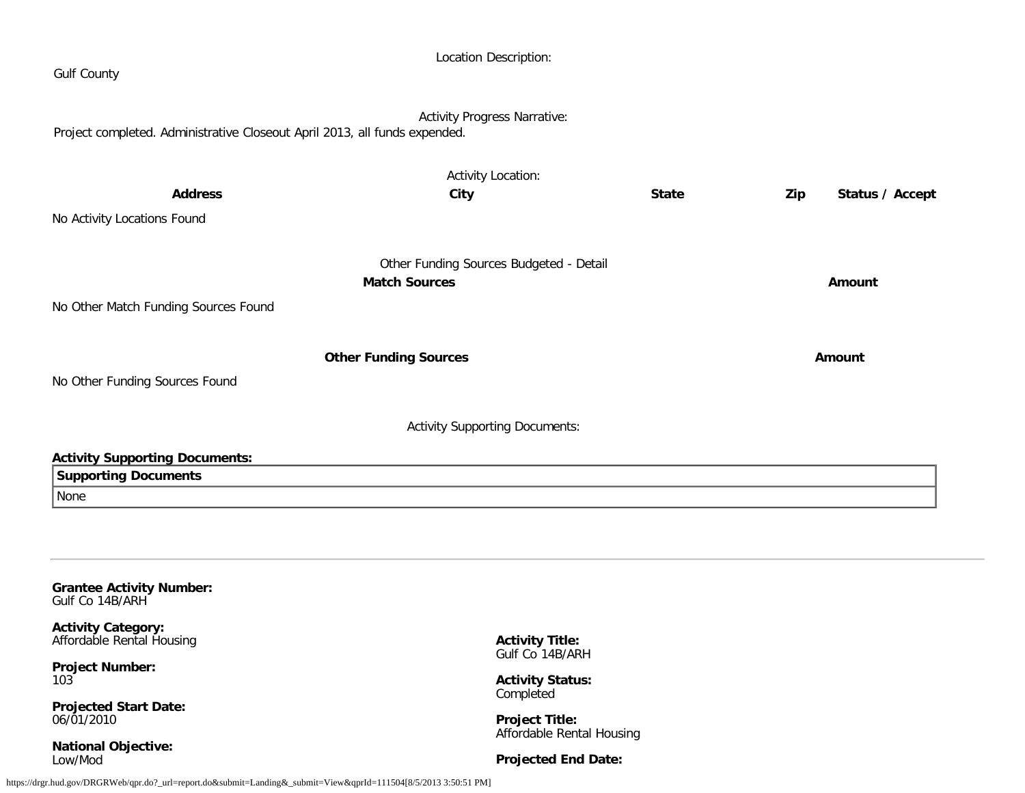| <b>Gulf County</b>                                                         | Location Description:                                           |              |                        |
|----------------------------------------------------------------------------|-----------------------------------------------------------------|--------------|------------------------|
| Project completed. Administrative Closeout April 2013, all funds expended. | <b>Activity Progress Narrative:</b>                             |              |                        |
|                                                                            | <b>Activity Location:</b>                                       |              |                        |
| <b>Address</b>                                                             | City                                                            | <b>State</b> | Zip<br>Status / Accept |
| No Activity Locations Found                                                |                                                                 |              |                        |
|                                                                            |                                                                 |              |                        |
|                                                                            | Other Funding Sources Budgeted - Detail<br><b>Match Sources</b> |              | <b>Amount</b>          |
| No Other Match Funding Sources Found                                       |                                                                 |              |                        |
|                                                                            |                                                                 |              |                        |
|                                                                            | <b>Other Funding Sources</b>                                    |              | Amount                 |
| No Other Funding Sources Found                                             |                                                                 |              |                        |
|                                                                            | <b>Activity Supporting Documents:</b>                           |              |                        |
| <b>Activity Supporting Documents:</b>                                      |                                                                 |              |                        |
| <b>Supporting Documents</b>                                                |                                                                 |              |                        |
| None                                                                       |                                                                 |              |                        |
|                                                                            |                                                                 |              |                        |
|                                                                            |                                                                 |              |                        |
| <b>Grantee Activity Number:</b><br>Gulf Co 14B/ARH                         |                                                                 |              |                        |
| <b>Activity Category:</b><br>Affordable Rental Housing                     | <b>Activity Title:</b>                                          |              |                        |
| <b>Project Number:</b><br>103                                              | Gulf Co 14B/ARH<br><b>Activity Status:</b>                      |              |                        |
| <b>Projected Start Date:</b><br>06/01/2010                                 | Completed<br><b>Project Title:</b>                              |              |                        |
| <b>National Objective:</b>                                                 | Affordable Rental Housing                                       |              |                        |
| Low/Mod                                                                    | <b>Projected End Date:</b>                                      |              |                        |

https://drgr.hud.gov/DRGRWeb/qpr.do?\_url=report.do&submit=Landing&\_submit=View&qprId=111504[8/5/2013 3:50:51 PM]

**Projected End Date:**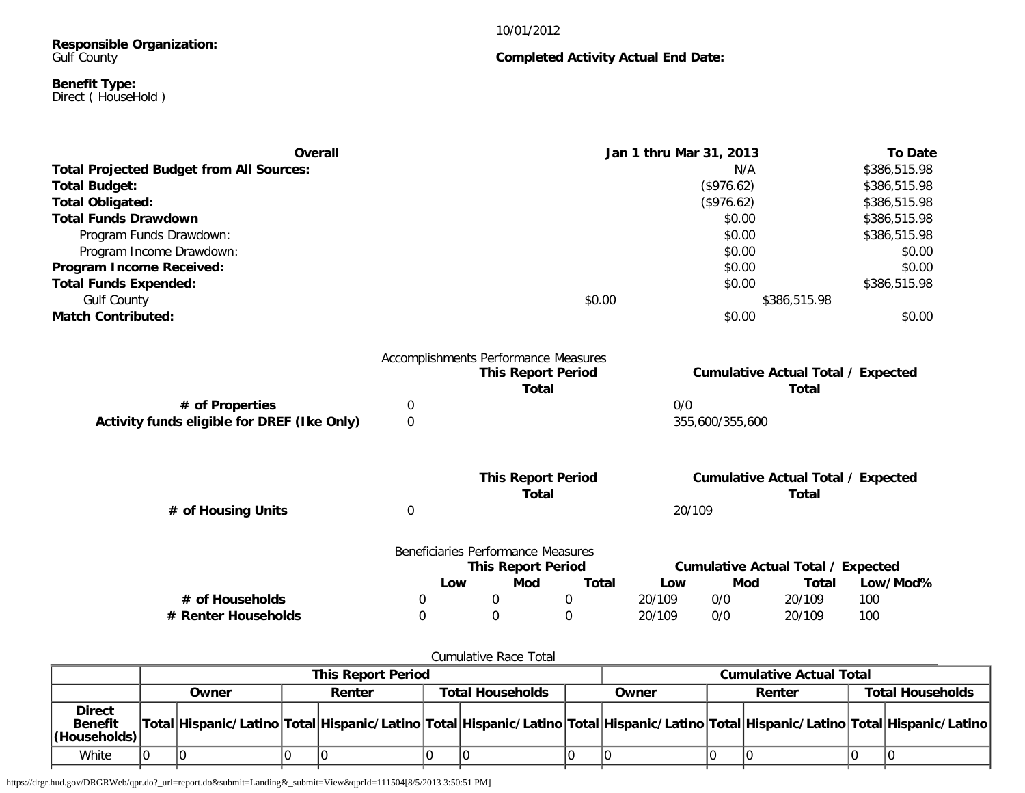# 10/01/2012

# **Responsible Organization:** Gulf County

#### **Benefit Type:** Direct ( HouseHold )

| Overall                                         | Jan 1 thru Mar 31, 2013 | <b>To Date</b> |
|-------------------------------------------------|-------------------------|----------------|
| <b>Total Projected Budget from All Sources:</b> | N/A                     | \$386,515.98   |
| <b>Total Budget:</b>                            | (\$976.62)              | \$386,515.98   |
| <b>Total Obligated:</b>                         | (\$976.62)              | \$386,515.98   |
| <b>Total Funds Drawdown</b>                     | \$0.00                  | \$386,515.98   |
| Program Funds Drawdown:                         | \$0.00                  | \$386,515.98   |
| Program Income Drawdown:                        | \$0.00                  | \$0.00         |
| Program Income Received:                        | \$0.00                  | \$0.00         |
| <b>Total Funds Expended:</b>                    | \$0.00                  | \$386,515.98   |
| <b>Gulf County</b>                              | \$0.00                  | \$386,515.98   |
| <b>Match Contributed:</b>                       | \$0.00                  | \$0.00         |

| Accomplishments Performance Measures        |  |                           |                                           |  |  |  |  |
|---------------------------------------------|--|---------------------------|-------------------------------------------|--|--|--|--|
|                                             |  | <b>This Report Period</b> | <b>Cumulative Actual Total / Expected</b> |  |  |  |  |
|                                             |  | Total                     | Total                                     |  |  |  |  |
| # of Properties                             |  |                           | 0/0                                       |  |  |  |  |
| Activity funds eligible for DREF (Ike Only) |  |                           | 355,600/355,600                           |  |  |  |  |
|                                             |  |                           |                                           |  |  |  |  |
|                                             |  |                           |                                           |  |  |  |  |

|                    |     | <b>This Report Period</b><br>Total                              |       |        | <b>Cumulative Actual Total / Expected</b> | Total |          |
|--------------------|-----|-----------------------------------------------------------------|-------|--------|-------------------------------------------|-------|----------|
| # of Housing Units |     |                                                                 |       | 20/109 |                                           |       |          |
|                    |     | Beneficiaries Performance Measures<br><b>This Report Period</b> |       |        | <b>Cumulative Actual Total / Expected</b> |       |          |
|                    | Low | Mod                                                             | Total | Low    | Mod                                       | Total | Low/Mod% |

**# of Households** 0 0 0 20/109 0/0 20/109 100 **# Renter Households** 0 0 0 20/109 0/0 20/109 100

| Cumulative Race Total                           |                           |       |  |        |  |                                            |  |                         |  |  |  |                                                                                                                                     |
|-------------------------------------------------|---------------------------|-------|--|--------|--|--------------------------------------------|--|-------------------------|--|--|--|-------------------------------------------------------------------------------------------------------------------------------------|
|                                                 | <b>This Report Period</b> |       |  |        |  | <b>Cumulative Actual Total</b>             |  |                         |  |  |  |                                                                                                                                     |
|                                                 |                           | Owner |  | Renter |  | <b>Total Households</b><br>Renter<br>Owner |  | <b>Total Households</b> |  |  |  |                                                                                                                                     |
| <b>Direct</b><br><b>Benefit</b><br>(Households) |                           |       |  |        |  |                                            |  |                         |  |  |  | Total Hispanic/Latino Total Hispanic/Latino Total Hispanic/Latino Total Hispanic/Latino Total Hispanic/Latino Total Hispanic/Latino |
| White                                           |                           |       |  |        |  |                                            |  |                         |  |  |  |                                                                                                                                     |

https://drgr.hud.gov/DRGRWeb/qpr.do?\_url=report.do&submit=Landing&\_submit=View&qprId=111504[8/5/2013 3:50:51 PM]

# **Completed Activity Actual End Date:**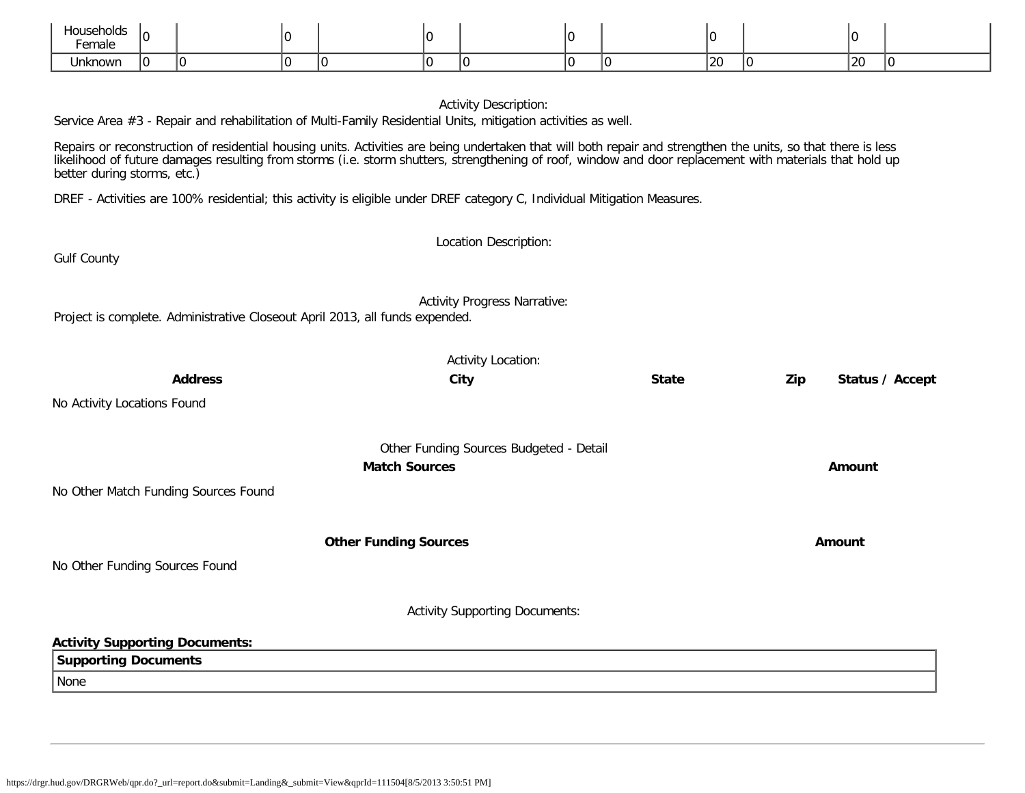| Househ<br>אוחי<br>נטושו<br>Female |  |  |  |  |    |    |  |
|-----------------------------------|--|--|--|--|----|----|--|
| ∣Inkn∩wn                          |  |  |  |  | 20 | 20 |  |

|                                                                                                                                                                                                                                                                                                                                                         | <b>Activity Description:</b>            |              |                        |
|---------------------------------------------------------------------------------------------------------------------------------------------------------------------------------------------------------------------------------------------------------------------------------------------------------------------------------------------------------|-----------------------------------------|--------------|------------------------|
| Service Area #3 - Repair and rehabilitation of Multi-Family Residential Units, mitigation activities as well.                                                                                                                                                                                                                                           |                                         |              |                        |
| Repairs or reconstruction of residential housing units. Activities are being undertaken that will both repair and strengthen the units, so that there is less<br>likelihood of future damages resulting from storms (i.e. storm shutters, strengthening of roof, window and door replacement with materials that hold up<br>better during storms, etc.) |                                         |              |                        |
| DREF - Activities are 100% residential; this activity is eligible under DREF category C, Individual Mitigation Measures.                                                                                                                                                                                                                                |                                         |              |                        |
|                                                                                                                                                                                                                                                                                                                                                         | Location Description:                   |              |                        |
| <b>Gulf County</b>                                                                                                                                                                                                                                                                                                                                      |                                         |              |                        |
| Project is complete. Administrative Closeout April 2013, all funds expended.                                                                                                                                                                                                                                                                            | <b>Activity Progress Narrative:</b>     |              |                        |
|                                                                                                                                                                                                                                                                                                                                                         | <b>Activity Location:</b>               |              |                        |
| <b>Address</b>                                                                                                                                                                                                                                                                                                                                          | City                                    | <b>State</b> | Zip<br>Status / Accept |
| No Activity Locations Found                                                                                                                                                                                                                                                                                                                             |                                         |              |                        |
|                                                                                                                                                                                                                                                                                                                                                         | Other Funding Sources Budgeted - Detail |              |                        |
|                                                                                                                                                                                                                                                                                                                                                         | <b>Match Sources</b>                    |              | Amount                 |
| No Other Match Funding Sources Found                                                                                                                                                                                                                                                                                                                    |                                         |              |                        |
|                                                                                                                                                                                                                                                                                                                                                         | <b>Other Funding Sources</b>            |              | Amount                 |
| No Other Funding Sources Found                                                                                                                                                                                                                                                                                                                          |                                         |              |                        |
|                                                                                                                                                                                                                                                                                                                                                         | <b>Activity Supporting Documents:</b>   |              |                        |
| <b>Activity Supporting Documents:</b>                                                                                                                                                                                                                                                                                                                   |                                         |              |                        |
| <b>Supporting Documents</b>                                                                                                                                                                                                                                                                                                                             |                                         |              |                        |
| None                                                                                                                                                                                                                                                                                                                                                    |                                         |              |                        |
|                                                                                                                                                                                                                                                                                                                                                         |                                         |              |                        |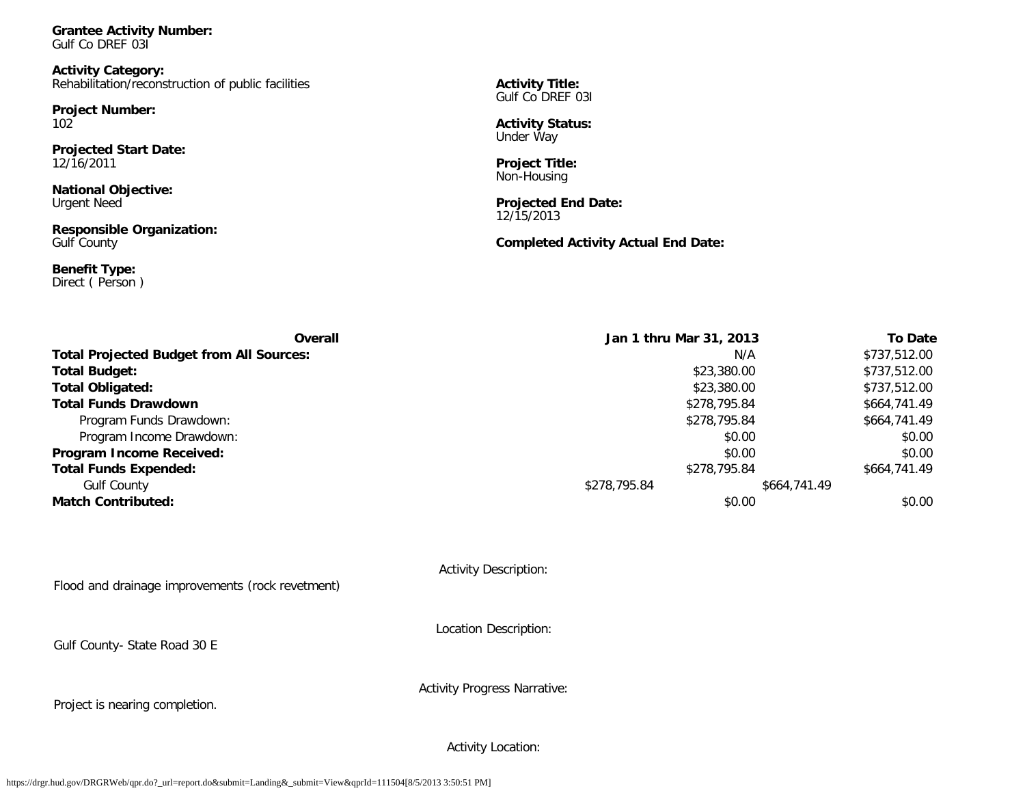**Grantee Activity Number:** Gulf Co DREF 03I

**Activity Category:** Rehabilitation/reconstruction of public facilities

**Project Number:** 102

**Projected Start Date:** 12/16/2011

**National Objective:** Urgent Need

**Responsible Organization:** Gulf County

**Benefit Type:** Direct ( Person ) **Activity Title:** Gulf Co DREF 03I

**Activity Status:** Under Way

**Project Title:** Non-Housing

**Projected End Date:** 12/15/2013

# **Completed Activity Actual End Date:**

| Overall                                         | Jan 1 thru Mar 31, 2013 | <b>To Date</b> |
|-------------------------------------------------|-------------------------|----------------|
| <b>Total Projected Budget from All Sources:</b> | N/A                     | \$737,512.00   |
| <b>Total Budget:</b>                            | \$23,380.00             | \$737,512.00   |
| <b>Total Obligated:</b>                         | \$23,380.00             | \$737,512.00   |
| <b>Total Funds Drawdown</b>                     | \$278,795.84            | \$664,741.49   |
| Program Funds Drawdown:                         | \$278,795.84            | \$664,741.49   |
| Program Income Drawdown:                        | \$0.00                  | \$0.00         |
| Program Income Received:                        | \$0.00                  | \$0.00         |
| <b>Total Funds Expended:</b>                    | \$278,795.84            | \$664,741.49   |
| <b>Gulf County</b>                              | \$278,795.84            | \$664,741.49   |
| <b>Match Contributed:</b>                       | \$0.00                  | \$0.00         |

Activity Description:

Flood and drainage improvements (rock revetment)

Location Description:

Gulf County- State Road 30 E

Activity Progress Narrative:

Project is nearing completion.

Activity Location: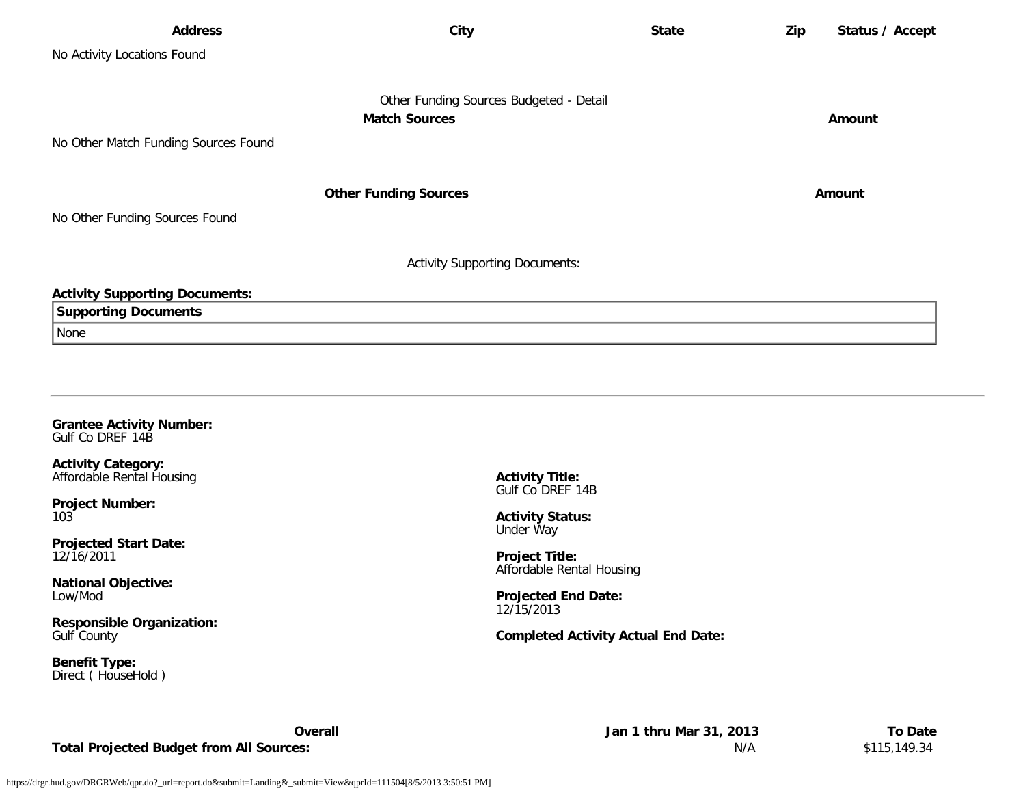| <b>Address</b>                        | City                                    | <b>State</b> | Zip<br>Status / Accept |
|---------------------------------------|-----------------------------------------|--------------|------------------------|
| No Activity Locations Found           |                                         |              |                        |
|                                       |                                         |              |                        |
|                                       | Other Funding Sources Budgeted - Detail |              |                        |
|                                       | <b>Match Sources</b>                    |              | Amount                 |
| No Other Match Funding Sources Found  |                                         |              |                        |
|                                       |                                         |              |                        |
|                                       | <b>Other Funding Sources</b>            |              | Amount                 |
| No Other Funding Sources Found        |                                         |              |                        |
|                                       |                                         |              |                        |
|                                       | <b>Activity Supporting Documents:</b>   |              |                        |
| <b>Activity Supporting Documents:</b> |                                         |              |                        |
| <b>Supporting Documents</b>           |                                         |              |                        |
| None                                  |                                         |              |                        |
|                                       |                                         |              |                        |
|                                       |                                         |              |                        |

#### **Grantee Activity Number:** Gulf Co DREF 14B

**Activity Category:** Affordable Rental Housing

**Project Number:** 103

**Projected Start Date:** 12/16/2011

**National Objective:** Low/Mod

**Responsible Organization:** Gulf County

**Benefit Type:** Direct ( HouseHold ) **Activity Title:** Gulf Co DREF 14B

**Activity Status:** Under Way

**Project Title:** Affordable Rental Housing

**Projected End Date:** 12/15/2013

# **Completed Activity Actual End Date:**

**Total Projected Budget from All Sources:** N/A \$115,149.34

**Overall Jan 1 thru Mar 31, 2013 To Date**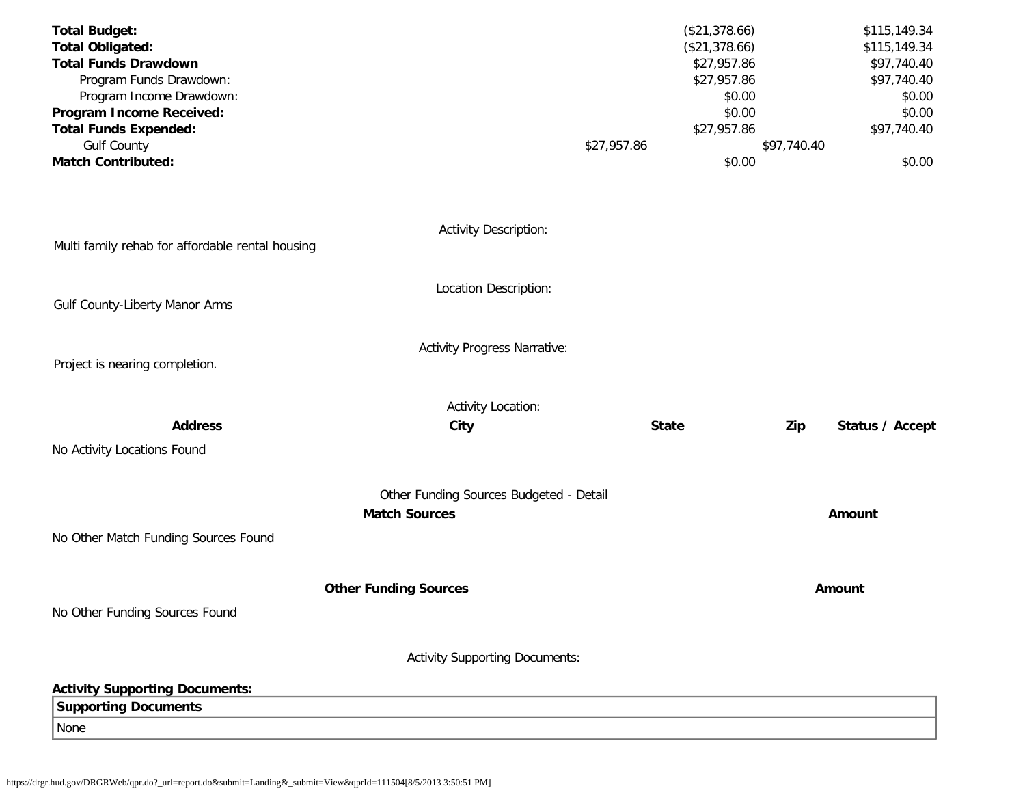| <b>Total Budget:</b>                                   |                                         |             | (\$21,378.66)                |             | \$115,149.34                |
|--------------------------------------------------------|-----------------------------------------|-------------|------------------------------|-------------|-----------------------------|
| <b>Total Obligated:</b><br><b>Total Funds Drawdown</b> |                                         |             | (\$21,378.66)<br>\$27,957.86 |             | \$115,149.34<br>\$97,740.40 |
| Program Funds Drawdown:                                |                                         |             | \$27,957.86                  |             | \$97,740.40                 |
| Program Income Drawdown:                               |                                         |             | \$0.00                       |             | \$0.00                      |
| Program Income Received:                               |                                         |             | \$0.00                       |             | \$0.00                      |
| <b>Total Funds Expended:</b>                           |                                         |             | \$27,957.86                  |             | \$97,740.40                 |
| <b>Gulf County</b>                                     |                                         | \$27,957.86 |                              | \$97,740.40 |                             |
| <b>Match Contributed:</b>                              |                                         |             | \$0.00                       |             | \$0.00                      |
|                                                        | <b>Activity Description:</b>            |             |                              |             |                             |
| Multi family rehab for affordable rental housing       |                                         |             |                              |             |                             |
| Gulf County-Liberty Manor Arms                         | Location Description:                   |             |                              |             |                             |
|                                                        |                                         |             |                              |             |                             |
|                                                        | <b>Activity Progress Narrative:</b>     |             |                              |             |                             |
| Project is nearing completion.                         |                                         |             |                              |             |                             |
|                                                        |                                         |             |                              |             |                             |
| <b>Address</b>                                         | <b>Activity Location:</b><br>City       |             | <b>State</b>                 | Zip         | Status / Accept             |
|                                                        |                                         |             |                              |             |                             |
| No Activity Locations Found                            |                                         |             |                              |             |                             |
|                                                        | Other Funding Sources Budgeted - Detail |             |                              |             |                             |
|                                                        | <b>Match Sources</b>                    |             |                              |             | Amount                      |
| No Other Match Funding Sources Found                   |                                         |             |                              |             |                             |
|                                                        | <b>Other Funding Sources</b>            |             |                              |             | Amount                      |
| No Other Funding Sources Found                         |                                         |             |                              |             |                             |
|                                                        |                                         |             |                              |             |                             |
|                                                        | <b>Activity Supporting Documents:</b>   |             |                              |             |                             |
| <b>Activity Supporting Documents:</b>                  |                                         |             |                              |             |                             |
| <b>Supporting Documents</b>                            |                                         |             |                              |             |                             |
| None                                                   |                                         |             |                              |             |                             |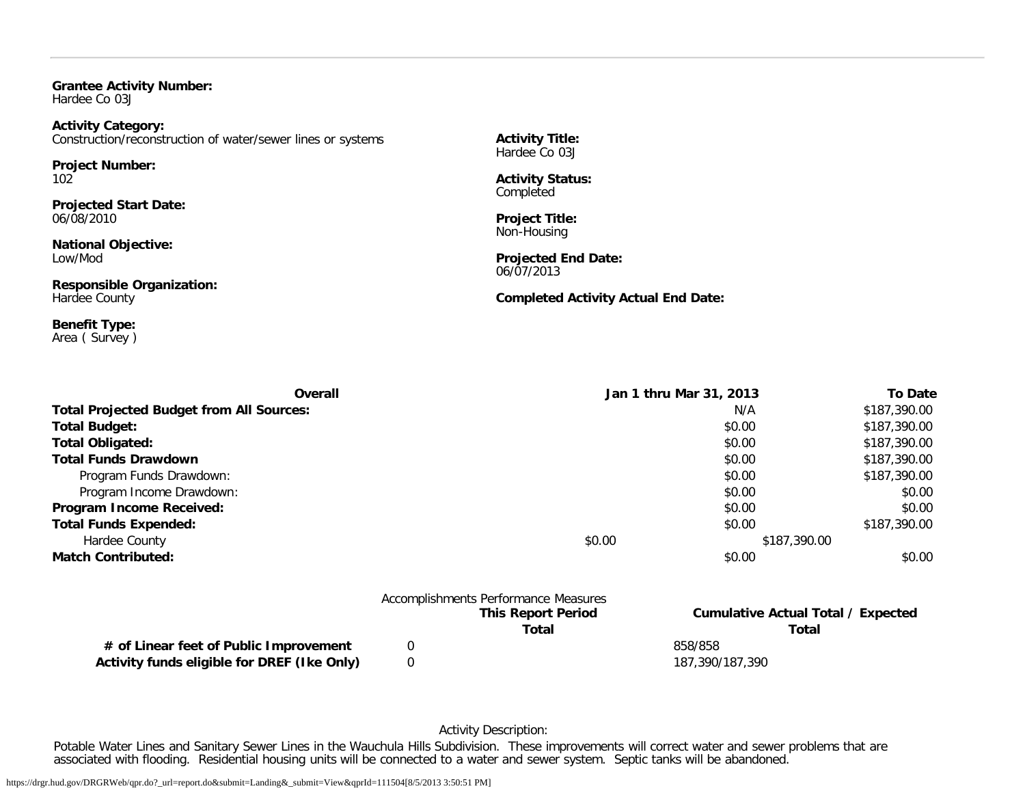**Grantee Activity Number:** Hardee Co 03J

**Activity Category:** Construction/reconstruction of water/sewer lines or systems

**Project Number:** 102

**Projected Start Date:** 06/08/2010

**National Objective:** Low/Mod

**Responsible Organization:** Hardee County

**Benefit Type:** Area ( Survey ) **Activity Title:** Hardee Co 03J

**Activity Status:** Completed

**Project Title:** Non-Housing

**Projected End Date:** 06/07/2013

**Completed Activity Actual End Date:**

| <b>Overall</b>                                  | Jan 1 thru Mar 31, 2013 |              | To Date      |
|-------------------------------------------------|-------------------------|--------------|--------------|
| <b>Total Projected Budget from All Sources:</b> |                         | N/A          | \$187,390.00 |
| <b>Total Budget:</b>                            |                         | \$0.00       | \$187,390.00 |
| <b>Total Obligated:</b>                         |                         | \$0.00       | \$187,390.00 |
| <b>Total Funds Drawdown</b>                     |                         | \$0.00       | \$187,390.00 |
| Program Funds Drawdown:                         |                         | \$0.00       | \$187,390.00 |
| Program Income Drawdown:                        |                         | \$0.00       | \$0.00       |
| Program Income Received:                        |                         | \$0.00       | \$0.00       |
| <b>Total Funds Expended:</b>                    |                         | \$0.00       | \$187,390.00 |
| Hardee County                                   | \$0.00                  | \$187,390.00 |              |
| <b>Match Contributed:</b>                       |                         | \$0.00       | \$0.00       |
|                                                 |                         |              |              |
|                                                 |                         |              |              |

|                                             | Accomplishments Performance Measures |                                    |
|---------------------------------------------|--------------------------------------|------------------------------------|
|                                             | <b>This Report Period</b>            | Cumulative Actual Total / Expected |
|                                             | Total                                | Total                              |
| # of Linear feet of Public Improvement      |                                      | 858/858                            |
| Activity funds eligible for DREF (Ike Only) |                                      | 187.390/187.390                    |

Activity Description:

Potable Water Lines and Sanitary Sewer Lines in the Wauchula Hills Subdivision. These improvements will correct water and sewer problems that are associated with flooding. Residential housing units will be connected to a water and sewer system. Septic tanks will be abandoned.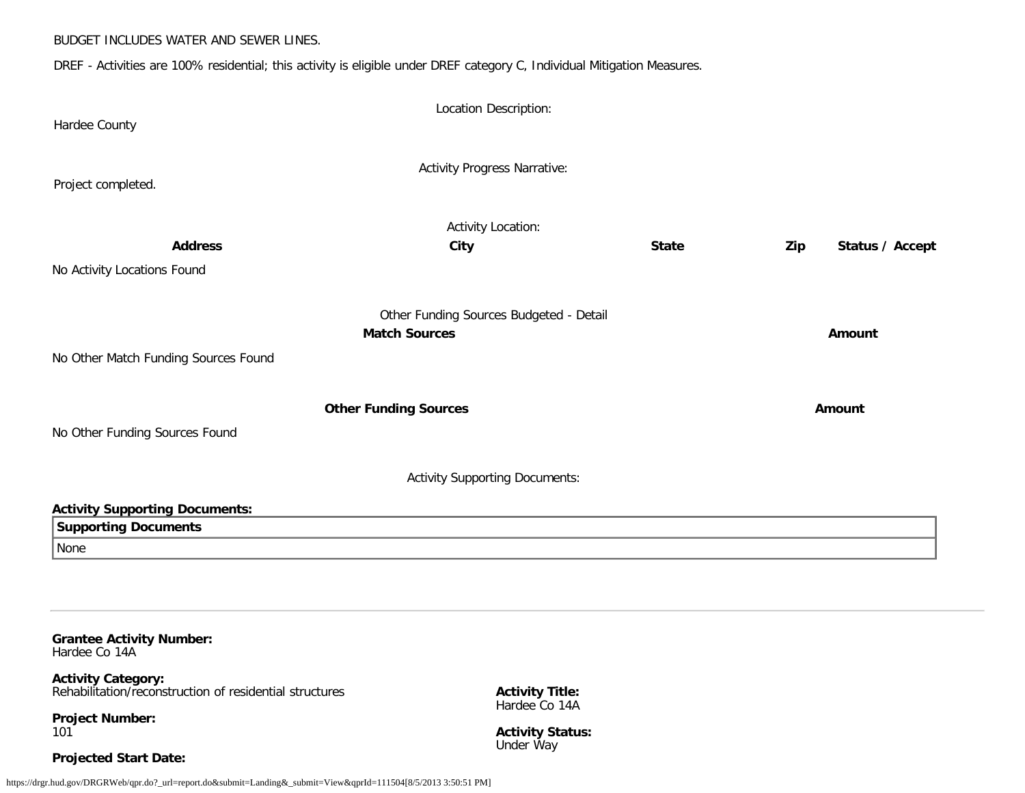#### BUDGET INCLUDES WATER AND SEWER LINES.

DREF - Activities are 100% residential; this activity is eligible under DREF category C, Individual Mitigation Measures.

| Hardee County                         | Location Description:                                           |              |     |                 |
|---------------------------------------|-----------------------------------------------------------------|--------------|-----|-----------------|
| Project completed.                    | <b>Activity Progress Narrative:</b>                             |              |     |                 |
| <b>Address</b>                        | <b>Activity Location:</b><br>City                               | <b>State</b> | Zip | Status / Accept |
| No Activity Locations Found           |                                                                 |              |     |                 |
|                                       | Other Funding Sources Budgeted - Detail<br><b>Match Sources</b> |              |     | Amount          |
| No Other Match Funding Sources Found  |                                                                 |              |     |                 |
| No Other Funding Sources Found        | <b>Other Funding Sources</b>                                    |              |     | Amount          |
|                                       | <b>Activity Supporting Documents:</b>                           |              |     |                 |
| <b>Activity Supporting Documents:</b> |                                                                 |              |     |                 |
| <b>Supporting Documents</b>           |                                                                 |              |     |                 |
| None                                  |                                                                 |              |     |                 |

**Grantee Activity Number:**

Hardee Co 14A

**Activity Category:** Rehabilitation/reconstruction of residential structures

**Project Number:** 101

**Activity Title:** Hardee Co 14A

**Activity Status:** Under Way

# **Projected Start Date:**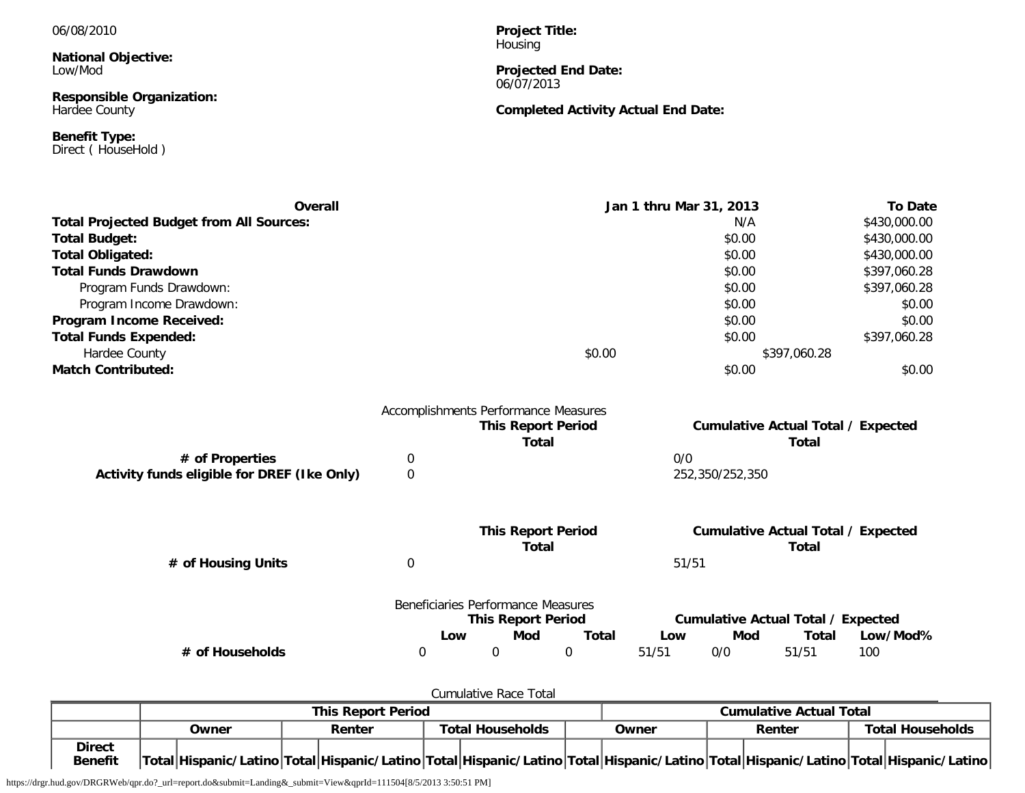06/08/2010

**National Objective:** Low/Mod

**Responsible Organization:** Hardee County

**Benefit Type:** Direct ( HouseHold ) **Project Title:** Housing

**Projected End Date:** 06/07/2013

# **Completed Activity Actual End Date:**

| Overall                                         |                                      |                                    |                                           |              | Jan 1 thru Mar 31, 2013 |                 |                                                           | <b>To Date</b> |
|-------------------------------------------------|--------------------------------------|------------------------------------|-------------------------------------------|--------------|-------------------------|-----------------|-----------------------------------------------------------|----------------|
| <b>Total Projected Budget from All Sources:</b> |                                      |                                    |                                           |              |                         | N/A             |                                                           | \$430,000.00   |
| <b>Total Budget:</b>                            |                                      |                                    |                                           |              |                         | \$0.00          |                                                           | \$430,000.00   |
| <b>Total Obligated:</b>                         |                                      |                                    |                                           |              |                         | \$0.00          |                                                           | \$430,000.00   |
| <b>Total Funds Drawdown</b>                     |                                      |                                    |                                           |              |                         | \$0.00          |                                                           | \$397,060.28   |
| Program Funds Drawdown:                         |                                      |                                    |                                           |              |                         | \$0.00          |                                                           | \$397,060.28   |
| Program Income Drawdown:                        |                                      |                                    |                                           |              |                         | \$0.00          |                                                           | \$0.00         |
| Program Income Received:                        |                                      |                                    |                                           |              |                         | \$0.00          |                                                           | \$0.00         |
| <b>Total Funds Expended:</b>                    |                                      |                                    |                                           |              |                         | \$0.00          |                                                           | \$397,060.28   |
| Hardee County                                   |                                      |                                    |                                           | \$0.00       |                         |                 | \$397,060.28                                              |                |
| <b>Match Contributed:</b>                       |                                      |                                    |                                           |              |                         | \$0.00          |                                                           | \$0.00         |
|                                                 | Accomplishments Performance Measures |                                    | <b>This Report Period</b>                 |              |                         |                 | <b>Cumulative Actual Total / Expected</b>                 |                |
|                                                 |                                      |                                    | <b>Total</b>                              |              |                         |                 | <b>Total</b>                                              |                |
| # of Properties                                 | 0                                    |                                    |                                           |              | 0/0                     |                 |                                                           |                |
| Activity funds eligible for DREF (Ike Only)     | 0                                    |                                    |                                           |              |                         | 252,350/252,350 |                                                           |                |
|                                                 |                                      |                                    |                                           |              |                         |                 |                                                           |                |
|                                                 |                                      |                                    | <b>This Report Period</b><br><b>Total</b> |              |                         |                 | <b>Cumulative Actual Total / Expected</b><br><b>Total</b> |                |
| # of Housing Units                              | 0                                    |                                    |                                           |              | 51/51                   |                 |                                                           |                |
|                                                 |                                      | Beneficiaries Performance Measures |                                           |              |                         |                 |                                                           |                |
|                                                 |                                      |                                    | <b>This Report Period</b>                 |              |                         |                 | <b>Cumulative Actual Total / Expected</b>                 |                |
|                                                 |                                      | Low                                | Mod                                       | <b>Total</b> | Low                     | Mod             | <b>Total</b>                                              | Low/Mod%       |
| # of Households                                 | 0                                    | 0                                  |                                           | 0            | 51/51                   | 0/0             | 51/51                                                     | 100            |

Cumulative Race Total

|                                 | <b>This Report Period</b> |                                                                                                                                     |                         |  | <b>Cumulative Actual Total</b> |  |       |  |  |  |        |  |                         |
|---------------------------------|---------------------------|-------------------------------------------------------------------------------------------------------------------------------------|-------------------------|--|--------------------------------|--|-------|--|--|--|--------|--|-------------------------|
|                                 | <b>Dwner</b>              | Renter                                                                                                                              | <b>Total Households</b> |  |                                |  | Owner |  |  |  | Renter |  | <b>Total Households</b> |
| <b>Direct</b><br><b>Benefit</b> |                           | Total Hispanic/Latino Total Hispanic/Latino Total Hispanic/Latino Total Hispanic/Latino Total Hispanic/Latino Total Hispanic/Latino |                         |  |                                |  |       |  |  |  |        |  |                         |

https://drgr.hud.gov/DRGRWeb/qpr.do?\_url=report.do&submit=Landing&\_submit=View&qprId=111504[8/5/2013 3:50:51 PM]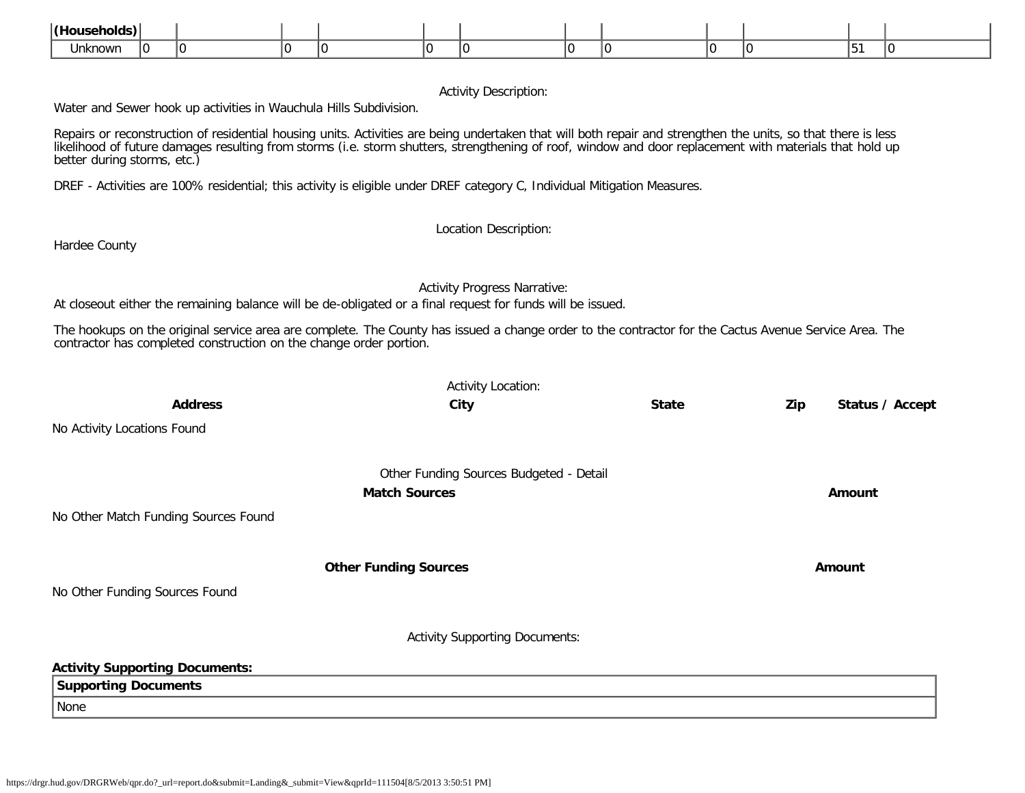| $\mathsf{l}/\mathsf{H}$ ou |    |  |  |  |  |  |   |
|----------------------------|----|--|--|--|--|--|---|
| <b>Unknown</b>             | ТU |  |  |  |  |  | ш |

# Activity Description:

Water and Sewer hook up activities in Wauchula Hills Subdivision.

Repairs or reconstruction of residential housing units. Activities are being undertaken that will both repair and strengthen the units, so that there is less likelihood of future damages resulting from storms (i.e. storm shutters, strengthening of roof, window and door replacement with materials that hold up better during storms, etc.)

DREF - Activities are 100% residential; this activity is eligible under DREF category C, Individual Mitigation Measures.

Location Description:

Hardee County

Activity Progress Narrative:

At closeout either the remaining balance will be de-obligated or a final request for funds will be issued.

The hookups on the original service area are complete. The County has issued a change order to the contractor for the Cactus Avenue Service Area. The contractor has completed construction on the change order portion.

|                                       | <b>Activity Location:</b>               |              |     |                 |
|---------------------------------------|-----------------------------------------|--------------|-----|-----------------|
| <b>Address</b>                        | City                                    | <b>State</b> | Zip | Status / Accept |
| No Activity Locations Found           |                                         |              |     |                 |
|                                       | Other Funding Sources Budgeted - Detail |              |     |                 |
|                                       | <b>Match Sources</b>                    |              |     | Amount          |
| No Other Match Funding Sources Found  |                                         |              |     |                 |
|                                       | <b>Other Funding Sources</b>            |              |     | Amount          |
| No Other Funding Sources Found        |                                         |              |     |                 |
|                                       | <b>Activity Supporting Documents:</b>   |              |     |                 |
| <b>Activity Supporting Documents:</b> |                                         |              |     |                 |
| <b>Supporting Documents</b>           |                                         |              |     |                 |
| None                                  |                                         |              |     |                 |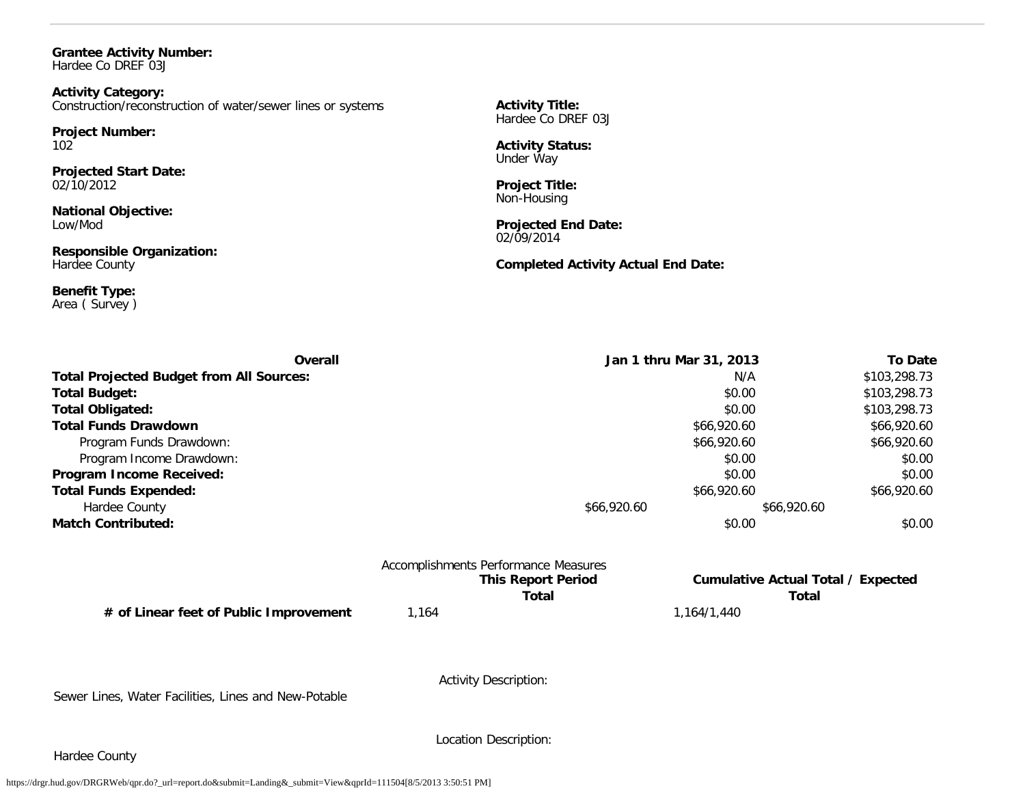#### **Grantee Activity Number:** Hardee Co DREF 03J

**Activity Category:** Construction/reconstruction of water/sewer lines or systems

**Project Number:** 102

**Projected Start Date:** 02/10/2012

**National Objective:** Low/Mod

**Responsible Organization:** Hardee County

**Benefit Type:** Area ( Survey ) **Activity Title:** Hardee Co DREF 03J

**Activity Status:** Under Way

**Project Title:** Non-Housing

**Projected End Date:** 02/09/2014

**Completed Activity Actual End Date:**

| Overall                                         | Jan 1 thru Mar 31, 2013 |             | <b>To Date</b> |
|-------------------------------------------------|-------------------------|-------------|----------------|
| <b>Total Projected Budget from All Sources:</b> |                         | N/A         | \$103,298.73   |
| <b>Total Budget:</b>                            |                         | \$0.00      | \$103,298.73   |
| <b>Total Obligated:</b>                         |                         | \$0.00      | \$103,298.73   |
| <b>Total Funds Drawdown</b>                     |                         | \$66,920.60 | \$66,920.60    |
| Program Funds Drawdown:                         |                         | \$66,920.60 | \$66,920.60    |
| Program Income Drawdown:                        |                         | \$0.00      | \$0.00         |
| Program Income Received:                        |                         | \$0.00      | \$0.00         |
| <b>Total Funds Expended:</b>                    |                         | \$66,920.60 | \$66,920.60    |
| Hardee County                                   | \$66,920.60             | \$66,920.60 |                |
| <b>Match Contributed:</b>                       |                         | \$0.00      | \$0.00         |

|             | <b>Accomplishments Performance Measures</b> |
|-------------|---------------------------------------------|
|             | <b>This Report Period</b>                   |
|             | Total                                       |
| <b>11/1</b> |                                             |

**# of Linear feet of Public Improvement** 1,164 1,164/1,440

**Cumulative Actual Total / Expected Total Total**

Sewer Lines, Water Facilities, Lines and New-Potable

Activity Description:

Hardee County

Location Description: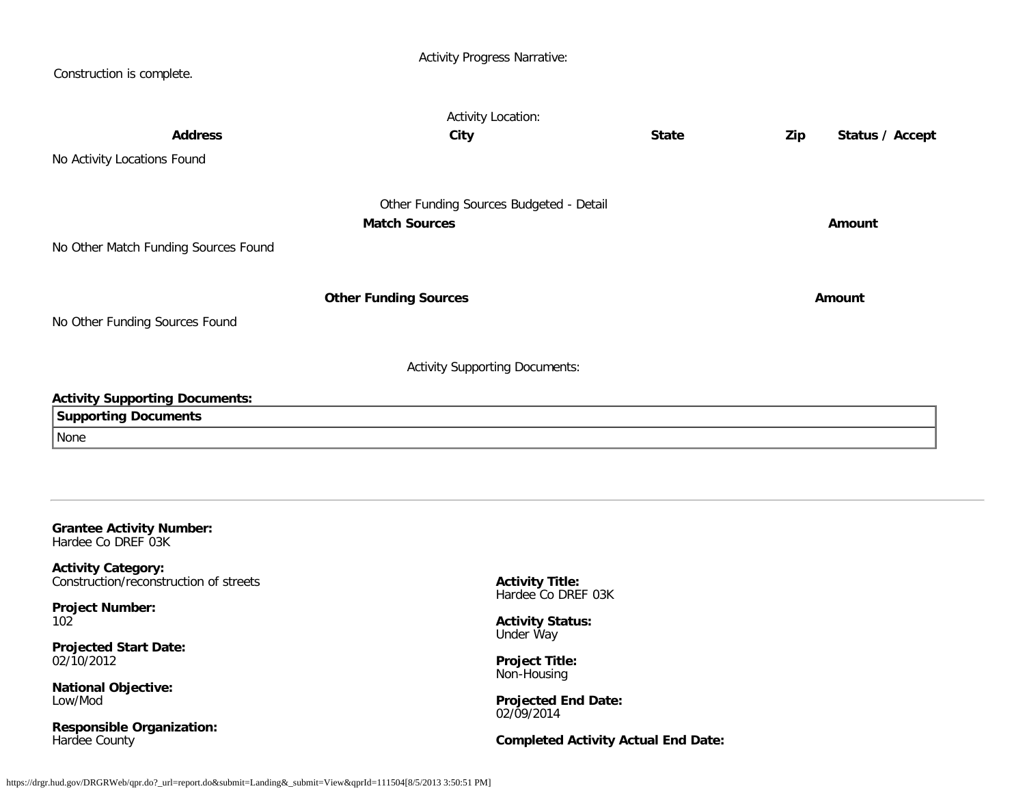| Construction is complete.                                                                                                                                                                                                                                                                                 | <b>Activity Progress Narrative:</b>                                                                                                                                      |                                            |                        |
|-----------------------------------------------------------------------------------------------------------------------------------------------------------------------------------------------------------------------------------------------------------------------------------------------------------|--------------------------------------------------------------------------------------------------------------------------------------------------------------------------|--------------------------------------------|------------------------|
| <b>Address</b><br>No Activity Locations Found                                                                                                                                                                                                                                                             | <b>Activity Location:</b><br>City                                                                                                                                        | <b>State</b>                               | Zip<br>Status / Accept |
| No Other Match Funding Sources Found                                                                                                                                                                                                                                                                      | Other Funding Sources Budgeted - Detail<br><b>Match Sources</b>                                                                                                          |                                            | Amount                 |
| No Other Funding Sources Found                                                                                                                                                                                                                                                                            | <b>Other Funding Sources</b>                                                                                                                                             |                                            | Amount                 |
| <b>Activity Supporting Documents:</b><br><b>Supporting Documents</b><br>None                                                                                                                                                                                                                              | <b>Activity Supporting Documents:</b>                                                                                                                                    |                                            |                        |
| <b>Grantee Activity Number:</b><br>Hardee Co DREF 03K<br><b>Activity Category:</b><br>Construction/reconstruction of streets<br><b>Project Number:</b><br>102<br><b>Projected Start Date:</b><br>02/10/2012<br><b>National Objective:</b><br>Low/Mod<br><b>Responsible Organization:</b><br>Hardee County | <b>Activity Title:</b><br>Hardee Co DREF 03K<br><b>Activity Status:</b><br>Under Way<br><b>Project Title:</b><br>Non-Housing<br><b>Projected End Date:</b><br>02/09/2014 | <b>Completed Activity Actual End Date:</b> |                        |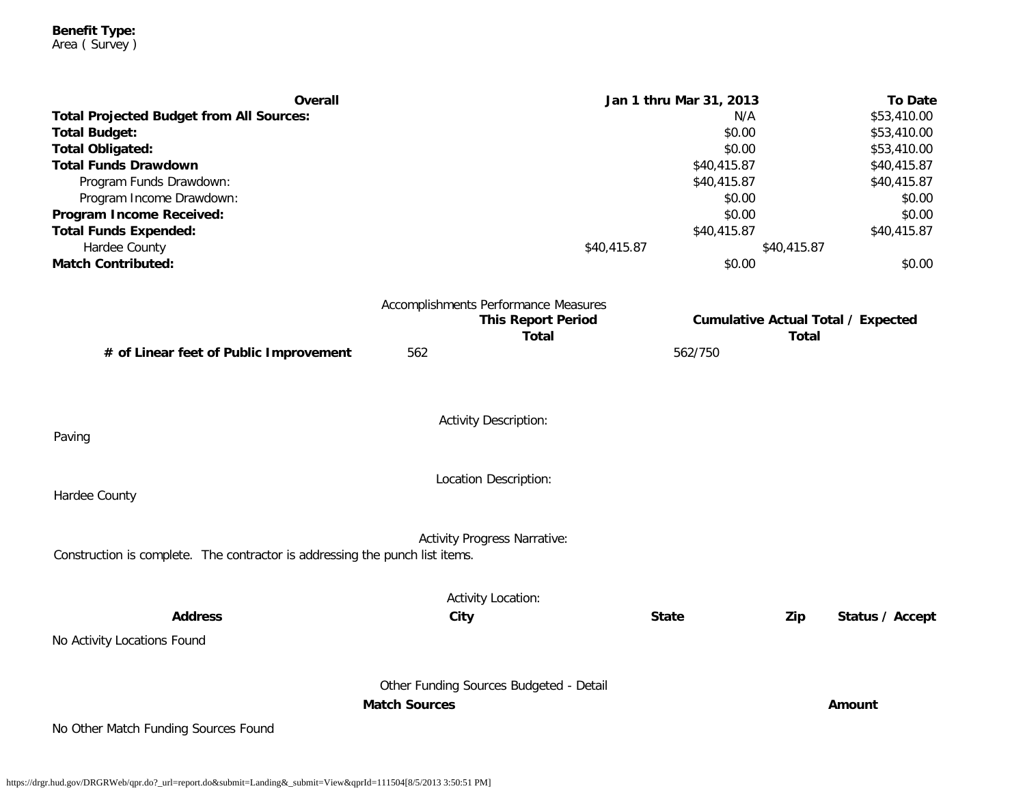**Benefit Type:** Area ( Survey )

| Overall                                                                      |                                           | Jan 1 thru Mar 31, 2013 |              | <b>To Date</b>                            |
|------------------------------------------------------------------------------|-------------------------------------------|-------------------------|--------------|-------------------------------------------|
| <b>Total Projected Budget from All Sources:</b>                              |                                           | N/A                     |              | \$53,410.00                               |
| <b>Total Budget:</b>                                                         |                                           | \$0.00                  |              | \$53,410.00                               |
| <b>Total Obligated:</b>                                                      |                                           | \$0.00                  |              | \$53,410.00                               |
| <b>Total Funds Drawdown</b>                                                  |                                           | \$40,415.87             |              | \$40,415.87                               |
| Program Funds Drawdown:                                                      |                                           | \$40,415.87             |              | \$40,415.87                               |
| Program Income Drawdown:                                                     |                                           | \$0.00<br>\$0.00        |              | \$0.00<br>\$0.00                          |
| Program Income Received:<br><b>Total Funds Expended:</b>                     |                                           | \$40,415.87             |              | \$40,415.87                               |
| Hardee County                                                                | \$40,415.87                               |                         | \$40,415.87  |                                           |
| <b>Match Contributed:</b>                                                    |                                           | \$0.00                  |              | \$0.00                                    |
|                                                                              |                                           |                         |              |                                           |
|                                                                              | Accomplishments Performance Measures      |                         |              |                                           |
|                                                                              | <b>This Report Period</b><br><b>Total</b> |                         | <b>Total</b> | <b>Cumulative Actual Total / Expected</b> |
| # of Linear feet of Public Improvement                                       | 562                                       | 562/750                 |              |                                           |
|                                                                              |                                           |                         |              |                                           |
|                                                                              |                                           |                         |              |                                           |
|                                                                              | <b>Activity Description:</b>              |                         |              |                                           |
| Paving                                                                       |                                           |                         |              |                                           |
|                                                                              | Location Description:                     |                         |              |                                           |
| Hardee County                                                                |                                           |                         |              |                                           |
|                                                                              |                                           |                         |              |                                           |
|                                                                              | <b>Activity Progress Narrative:</b>       |                         |              |                                           |
| Construction is complete. The contractor is addressing the punch list items. |                                           |                         |              |                                           |
|                                                                              | <b>Activity Location:</b>                 |                         |              |                                           |
| <b>Address</b>                                                               | City                                      | <b>State</b>            | Zip          | Status / Accept                           |
| No Activity Locations Found                                                  |                                           |                         |              |                                           |
|                                                                              |                                           |                         |              |                                           |
|                                                                              | Other Funding Sources Budgeted - Detail   |                         |              |                                           |
|                                                                              | <b>Match Sources</b>                      |                         |              | Amount                                    |
| No Other Match Funding Sources Found                                         |                                           |                         |              |                                           |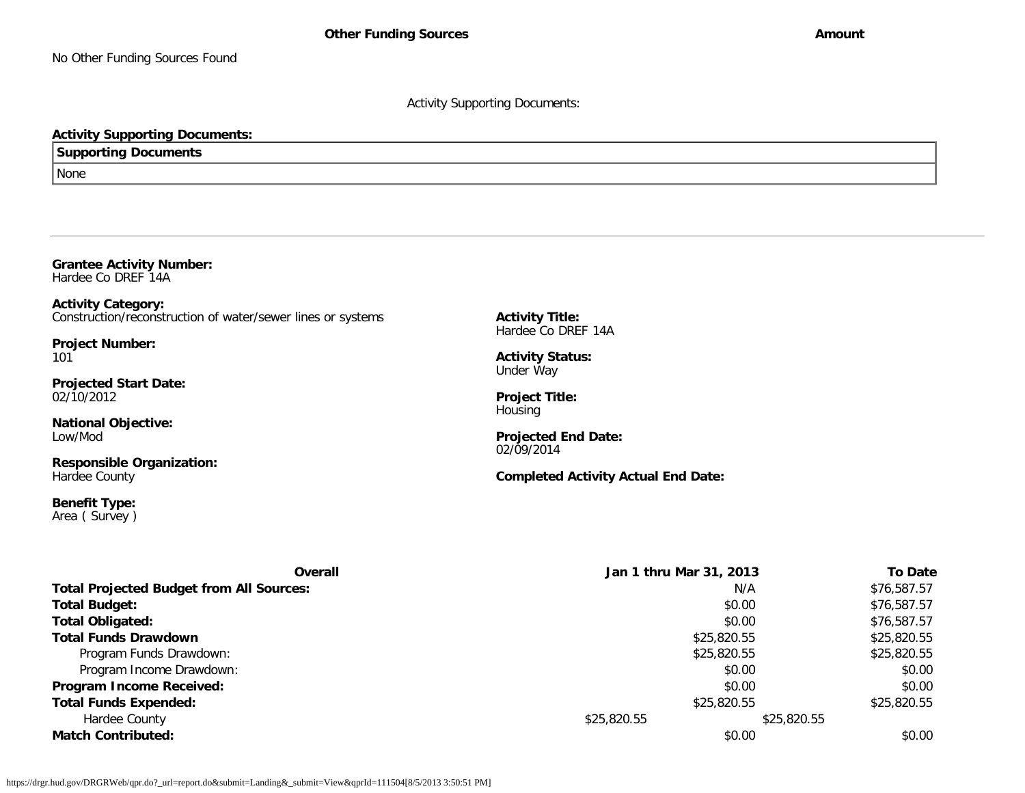Activity Supporting Documents:

# **Activity Supporting Documents:**

**Supporting Documents**

None

**Grantee Activity Number:** Hardee Co DREF 14A

**Activity Category:** Construction/reconstruction of water/sewer lines or systems

**Project Number:** 101

**Projected Start Date:** 02/10/2012

**National Objective:** Low/Mod

**Responsible Organization:** Hardee County

**Benefit Type:** Area ( Survey ) **Activity Title:** Hardee Co DREF 14A

**Activity Status:** Under Way

**Project Title: Housing** 

**Projected End Date:** 02/09/2014

**Completed Activity Actual End Date:**

| Overall                                         | Jan 1 thru Mar 31, 2013 |             | <b>To Date</b> |
|-------------------------------------------------|-------------------------|-------------|----------------|
| <b>Total Projected Budget from All Sources:</b> |                         | N/A         | \$76,587.57    |
| <b>Total Budget:</b>                            |                         | \$0.00      | \$76,587.57    |
| <b>Total Obligated:</b>                         |                         | \$0.00      | \$76,587.57    |
| <b>Total Funds Drawdown</b>                     |                         | \$25,820.55 | \$25,820.55    |
| Program Funds Drawdown:                         |                         | \$25,820.55 | \$25,820.55    |
| Program Income Drawdown:                        |                         | \$0.00      | \$0.00         |
| <b>Program Income Received:</b>                 |                         | \$0.00      | \$0.00         |
| <b>Total Funds Expended:</b>                    |                         | \$25,820.55 | \$25,820.55    |
| Hardee County                                   | \$25,820.55             | \$25,820.55 |                |
| <b>Match Contributed:</b>                       |                         | \$0.00      | \$0.00         |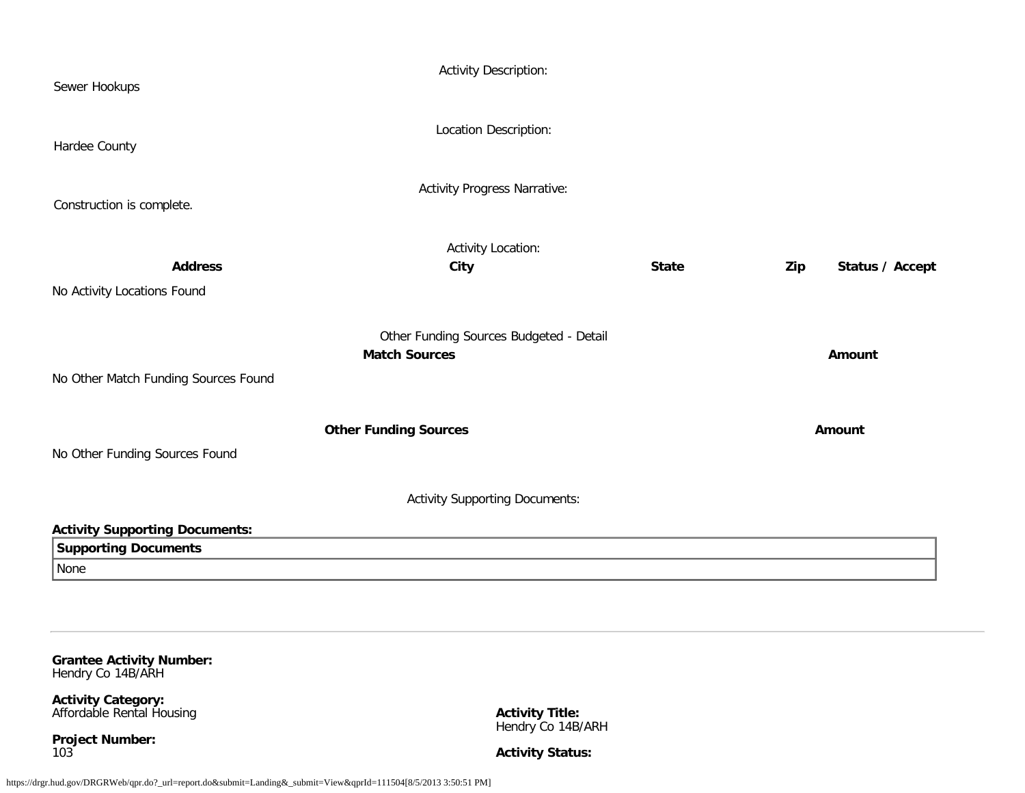| Sewer Hookups                                        | <b>Activity Description:</b>                                    |              |     |                 |
|------------------------------------------------------|-----------------------------------------------------------------|--------------|-----|-----------------|
| Hardee County                                        | Location Description:                                           |              |     |                 |
| Construction is complete.                            | <b>Activity Progress Narrative:</b>                             |              |     |                 |
|                                                      | <b>Activity Location:</b>                                       |              |     |                 |
| <b>Address</b>                                       | <b>City</b>                                                     | <b>State</b> | Zip | Status / Accept |
| No Activity Locations Found                          |                                                                 |              |     |                 |
|                                                      |                                                                 |              |     |                 |
|                                                      | Other Funding Sources Budgeted - Detail<br><b>Match Sources</b> |              |     | <b>Amount</b>   |
| No Other Match Funding Sources Found                 |                                                                 |              |     |                 |
| No Other Funding Sources Found                       | <b>Other Funding Sources</b>                                    |              |     | Amount          |
|                                                      |                                                                 |              |     |                 |
|                                                      | <b>Activity Supporting Documents:</b>                           |              |     |                 |
| <b>Activity Supporting Documents:</b>                |                                                                 |              |     |                 |
| <b>Supporting Documents</b>                          |                                                                 |              |     |                 |
| None                                                 |                                                                 |              |     |                 |
|                                                      |                                                                 |              |     |                 |
| <b>Grantee Activity Number:</b><br>Hendry Co 14B/ARH |                                                                 |              |     |                 |
| <b>Activity Category:</b>                            |                                                                 |              |     |                 |

Affordable Rental Housing

**Project Number:** 103

**Activity Title:** Hendry Co 14B/ARH

**Activity Status:**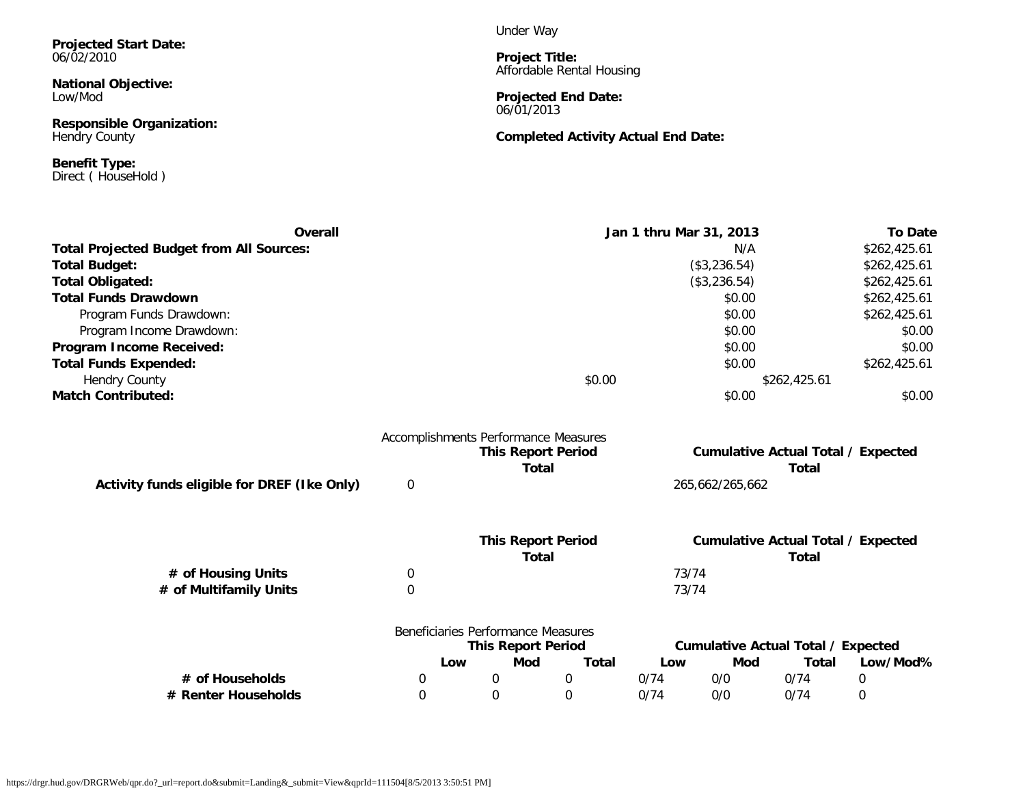**Projected Start Date:** 06/02/2010

**National Objective:** Low/Mod

**Responsible Organization:** Hendry County

**Benefit Type:** Direct ( HouseHold ) Under Way

**Project Title:** Affordable Rental Housing

**Projected End Date:** 06/01/2013

**Completed Activity Actual End Date:**

| <b>Overall</b>                                  |   |                                      | Jan 1 thru Mar 31, 2013   |       |                 | <b>To Date</b>                            |              |
|-------------------------------------------------|---|--------------------------------------|---------------------------|-------|-----------------|-------------------------------------------|--------------|
| <b>Total Projected Budget from All Sources:</b> |   |                                      |                           |       | N/A             |                                           | \$262,425.61 |
| <b>Total Budget:</b>                            |   |                                      |                           |       | (\$3,236.54)    |                                           | \$262,425.61 |
| <b>Total Obligated:</b>                         |   |                                      |                           |       | (\$3,236.54)    |                                           | \$262,425.61 |
| <b>Total Funds Drawdown</b>                     |   |                                      |                           |       | \$0.00          |                                           | \$262,425.61 |
| Program Funds Drawdown:                         |   |                                      |                           |       | \$0.00          |                                           | \$262,425.61 |
| Program Income Drawdown:                        |   |                                      |                           |       | \$0.00          |                                           | \$0.00       |
| Program Income Received:                        |   |                                      |                           |       | \$0.00          |                                           | \$0.00       |
| <b>Total Funds Expended:</b>                    |   |                                      |                           |       | \$0.00          |                                           | \$262,425.61 |
| <b>Hendry County</b>                            |   |                                      | \$0.00                    |       |                 | \$262,425.61                              |              |
| <b>Match Contributed:</b>                       |   |                                      |                           |       | \$0.00          |                                           | \$0.00       |
|                                                 |   | Accomplishments Performance Measures | <b>This Report Period</b> |       |                 | <b>Cumulative Actual Total / Expected</b> |              |
|                                                 |   |                                      | <b>Total</b>              |       |                 | <b>Total</b>                              |              |
| Activity funds eligible for DREF (Ike Only)     | 0 |                                      |                           |       | 265,662/265,662 |                                           |              |
|                                                 |   |                                      | <b>This Report Period</b> |       |                 | <b>Cumulative Actual Total / Expected</b> |              |
|                                                 |   |                                      | <b>Total</b>              |       |                 | <b>Total</b>                              |              |
| # of Housing Units                              | 0 |                                      |                           | 73/74 |                 |                                           |              |
| # of Multifamily Units                          | 0 |                                      |                           | 73/74 |                 |                                           |              |
|                                                 |   | Beneficiaries Performance Measures   |                           |       |                 |                                           |              |
|                                                 |   | <b>This Report Period</b>            |                           |       |                 | <b>Cumulative Actual Total / Expected</b> |              |
|                                                 |   | <b>Mod</b><br>Low                    | <b>Total</b>              | Low   | Mod             | <b>Total</b>                              | Low/Mod%     |
| # of Households                                 | 0 | $\mathbf 0$                          | $\mathbf 0$               | 0/74  | 0/0             | 0/74                                      | $\mathbf 0$  |
| # Renter Households                             | 0 | $\Omega$                             | $\Omega$                  | 0/74  | 0/0             | 0/74                                      | 0            |
|                                                 |   |                                      |                           |       |                 |                                           |              |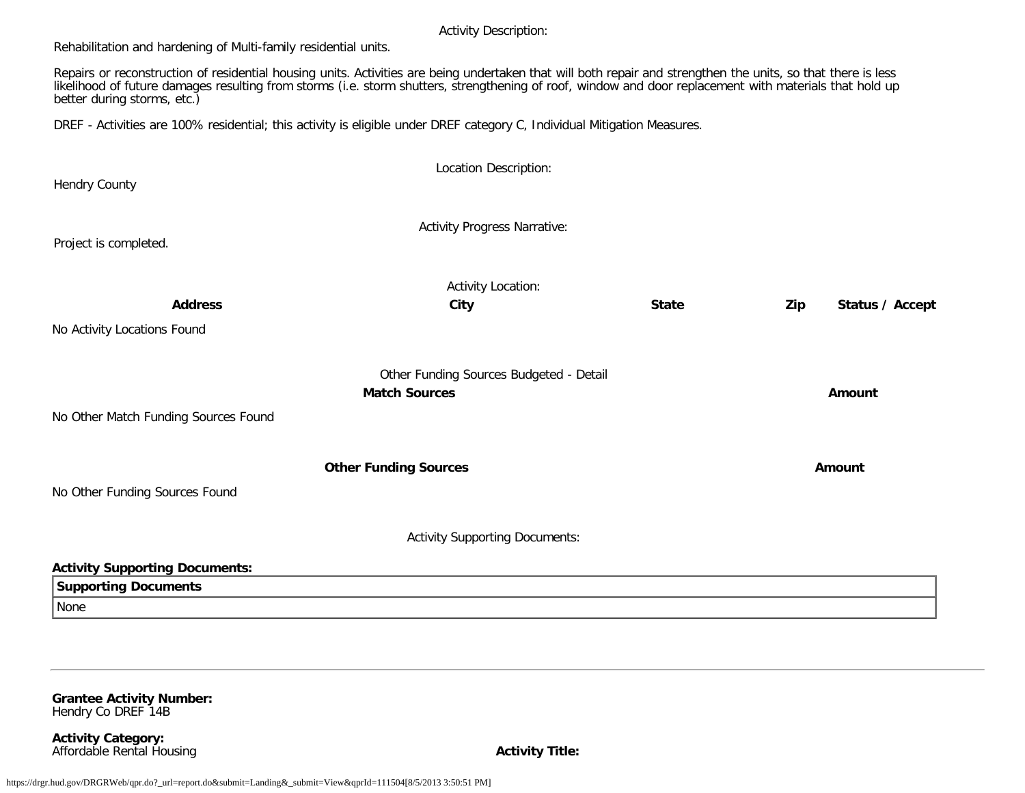#### Activity Description:

Rehabilitation and hardening of Multi-family residential units.

Repairs or reconstruction of residential housing units. Activities are being undertaken that will both repair and strengthen the units, so that there is less likelihood of future damages resulting from storms (i.e. storm shutters, strengthening of roof, window and door replacement with materials that hold up better during storms, etc.)

DREF - Activities are 100% residential; this activity is eligible under DREF category C, Individual Mitigation Measures.

| Hendry County                                                                | Location Description:                                           |              |                        |
|------------------------------------------------------------------------------|-----------------------------------------------------------------|--------------|------------------------|
| Project is completed.                                                        | <b>Activity Progress Narrative:</b>                             |              |                        |
| <b>Address</b><br>No Activity Locations Found                                | <b>Activity Location:</b><br>City                               | <b>State</b> | Zip<br>Status / Accept |
| No Other Match Funding Sources Found                                         | Other Funding Sources Budgeted - Detail<br><b>Match Sources</b> |              | Amount                 |
| No Other Funding Sources Found                                               | <b>Other Funding Sources</b>                                    |              | Amount                 |
|                                                                              | <b>Activity Supporting Documents:</b>                           |              |                        |
| <b>Activity Supporting Documents:</b><br><b>Supporting Documents</b><br>None |                                                                 |              |                        |

**Grantee Activity Number:** Hendry Co DREF 14B

**Activity Category:** Affordable Rental Housing **Activity Title:**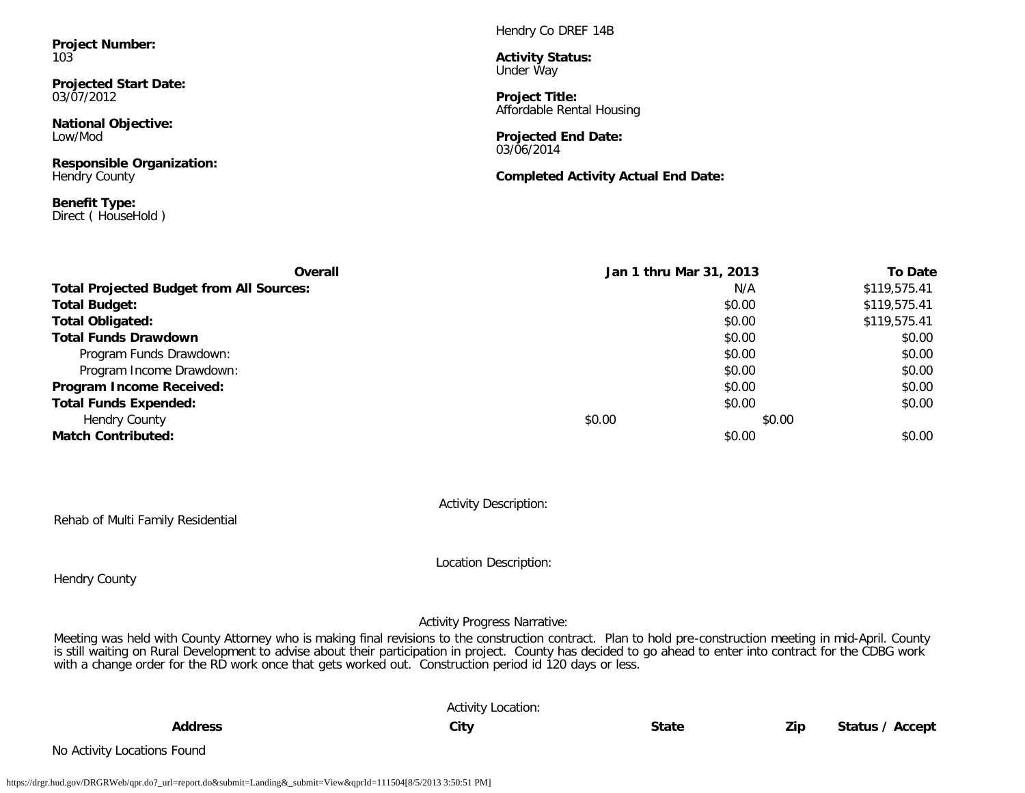**Project Number:** 103

**Projected Start Date:** 03/07/2012

**National Objective:** Low/Mod

**Responsible Organization:** Hendry County

**Benefit Type:** Direct ( HouseHold ) Hendry Co DREF 14B

**Activity Status:** Under Way

**Project Title:** Affordable Rental Housing

**Projected End Date:** 03/06/2014

**Completed Activity Actual End Date:**

| Overall                                         |        | Jan 1 thru Mar 31, 2013 | <b>To Date</b> |
|-------------------------------------------------|--------|-------------------------|----------------|
| <b>Total Projected Budget from All Sources:</b> |        | N/A                     | \$119,575.41   |
| <b>Total Budget:</b>                            |        | \$0.00                  | \$119,575.41   |
| <b>Total Obligated:</b>                         |        | \$0.00                  | \$119,575.41   |
| <b>Total Funds Drawdown</b>                     |        | \$0.00                  | \$0.00         |
| Program Funds Drawdown:                         |        | \$0.00                  | \$0.00         |
| Program Income Drawdown:                        |        | \$0.00                  | \$0.00         |
| Program Income Received:                        |        | \$0.00                  | \$0.00         |
| <b>Total Funds Expended:</b>                    |        | \$0.00                  | \$0.00         |
| <b>Hendry County</b>                            | \$0.00 | \$0.00                  |                |
| <b>Match Contributed:</b>                       |        | \$0.00                  | \$0.00         |

Activity Description:

Rehab of Multi Family Residential

Location Description:

Hendry County

Activity Progress Narrative:

Meeting was held with County Attorney who is making final revisions to the construction contract. Plan to hold pre-construction meeting in mid-April. County is still waiting on Rural Development to advise about their participation in project. County has decided to go ahead to enter into contract for the CDBG work with a change order for the RD work once that gets worked out. Construction period id 120 days or less.

|                             | <b>Activity Location:</b> |              |     |                 |
|-----------------------------|---------------------------|--------------|-----|-----------------|
| <b>Address</b>              | City                      | <b>State</b> | Zip | Status / Accept |
| No Activity Locations Found |                           |              |     |                 |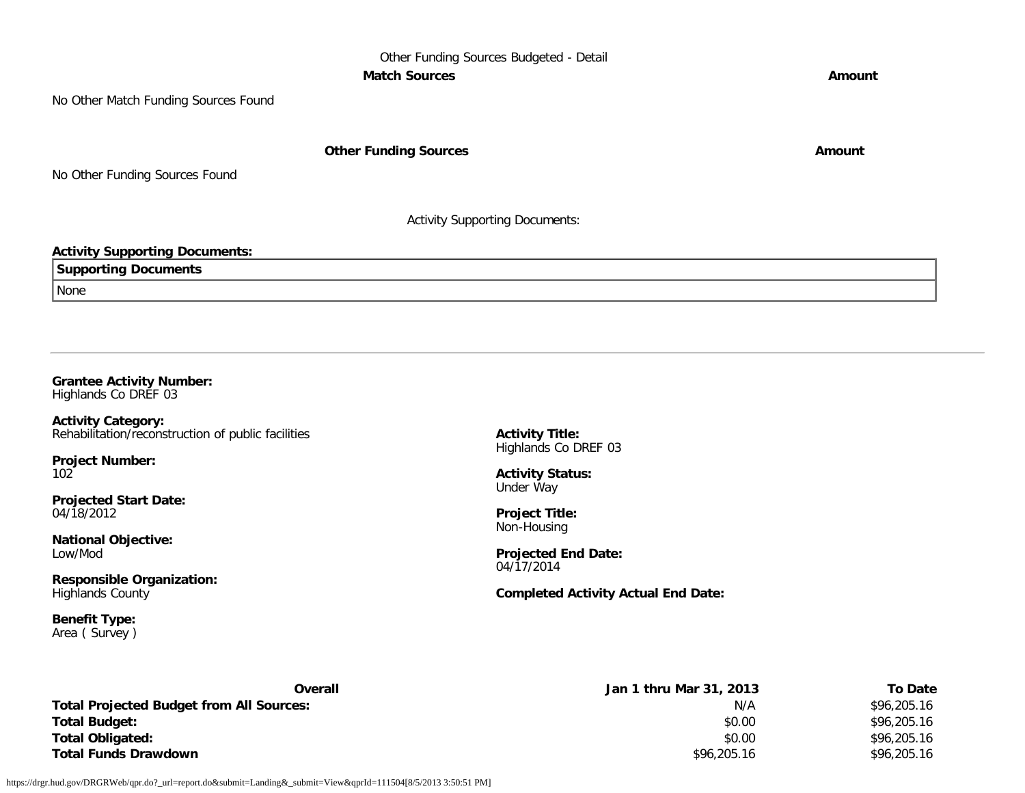# Other Funding Sources Budgeted - Detail **Match Sources Amount**

No Other Match Funding Sources Found

**Other Funding Sources Amount** 

No Other Funding Sources Found

Activity Supporting Documents:

# **Activity Supporting Documents:**

| ៲ ព<br>.                |  |
|-------------------------|--|
| <b>I</b> None<br>$\sim$ |  |

#### **Grantee Activity Number:** Highlands Co DREF 03

**Activity Category:** Rehabilitation/reconstruction of public facilities

**Project Number:** 102

**Projected Start Date:** 04/18/2012

**National Objective:** Low/Mod

**Responsible Organization:** Highlands County

**Benefit Type:** Area ( Survey ) **Activity Title:** Highlands Co DREF 03

**Activity Status:** Under Way

**Project Title:** Non-Housing

**Projected End Date:** 04/17/2014

**Completed Activity Actual End Date:**

| Overall                                         | Jan 1 thru Mar 31, 2013 | To Date     |
|-------------------------------------------------|-------------------------|-------------|
| <b>Total Projected Budget from All Sources:</b> | N/A                     | \$96,205.16 |
| <b>Total Budget:</b>                            | \$0.00                  | \$96,205.16 |
| <b>Total Obligated:</b>                         | \$0.00                  | \$96,205.16 |
| <b>Total Funds Drawdown</b>                     | \$96,205.16             | \$96,205.16 |

https://drgr.hud.gov/DRGRWeb/qpr.do?\_url=report.do&submit=Landing&\_submit=View&qprId=111504[8/5/2013 3:50:51 PM]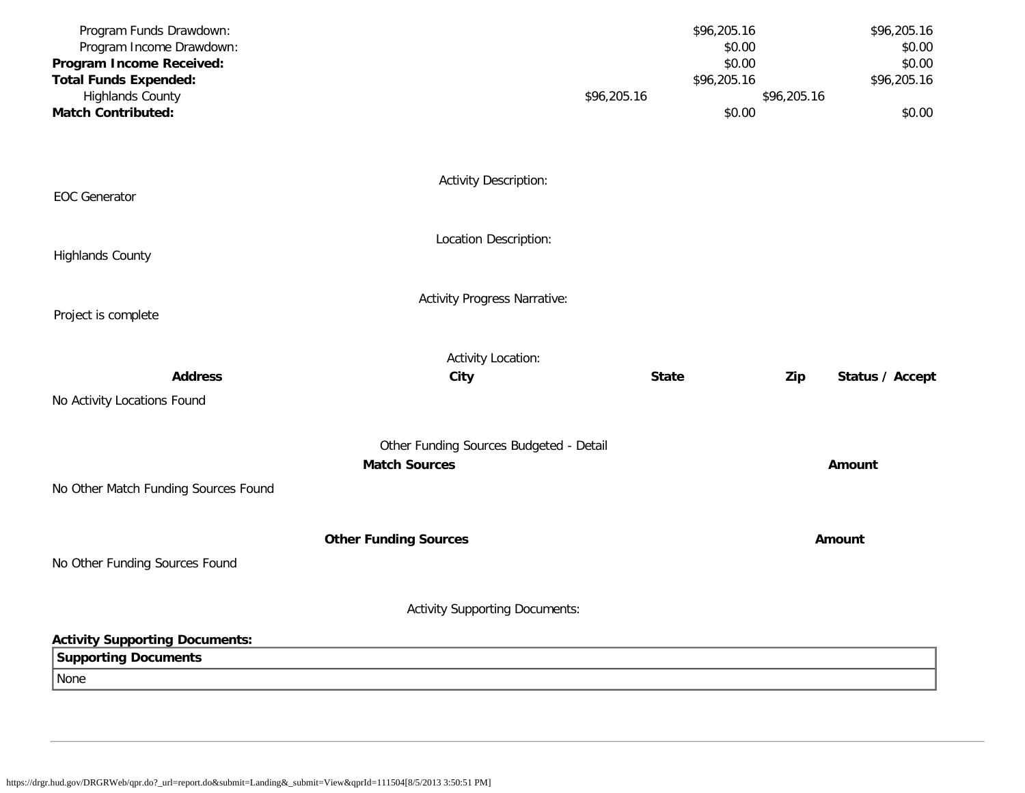| Program Funds Drawdown:                              |                                         |              | \$96,205.16           | \$96,205.16     |
|------------------------------------------------------|-----------------------------------------|--------------|-----------------------|-----------------|
| Program Income Drawdown:                             |                                         |              | \$0.00                | \$0.00          |
| Program Income Received:                             |                                         |              | \$0.00                | \$0.00          |
| <b>Total Funds Expended:</b>                         |                                         |              | \$96,205.16           | \$96,205.16     |
| <b>Highlands County</b><br><b>Match Contributed:</b> |                                         | \$96,205.16  | \$96,205.16<br>\$0.00 | \$0.00          |
|                                                      |                                         |              |                       |                 |
|                                                      |                                         |              |                       |                 |
|                                                      |                                         |              |                       |                 |
| <b>EOC</b> Generator                                 | <b>Activity Description:</b>            |              |                       |                 |
|                                                      |                                         |              |                       |                 |
|                                                      | Location Description:                   |              |                       |                 |
| <b>Highlands County</b>                              |                                         |              |                       |                 |
|                                                      |                                         |              |                       |                 |
|                                                      | <b>Activity Progress Narrative:</b>     |              |                       |                 |
| Project is complete                                  |                                         |              |                       |                 |
|                                                      |                                         |              |                       |                 |
|                                                      | <b>Activity Location:</b>               |              |                       |                 |
| <b>Address</b>                                       | City                                    | <b>State</b> | Zip                   | Status / Accept |
| No Activity Locations Found                          |                                         |              |                       |                 |
|                                                      |                                         |              |                       |                 |
|                                                      | Other Funding Sources Budgeted - Detail |              |                       |                 |
|                                                      | <b>Match Sources</b>                    |              |                       | <b>Amount</b>   |
| No Other Match Funding Sources Found                 |                                         |              |                       |                 |
|                                                      |                                         |              |                       |                 |
|                                                      | <b>Other Funding Sources</b>            |              |                       | Amount          |
| No Other Funding Sources Found                       |                                         |              |                       |                 |
|                                                      |                                         |              |                       |                 |
|                                                      | <b>Activity Supporting Documents:</b>   |              |                       |                 |
|                                                      |                                         |              |                       |                 |
| <b>Activity Supporting Documents:</b>                |                                         |              |                       |                 |
| <b>Supporting Documents</b>                          |                                         |              |                       |                 |
| None                                                 |                                         |              |                       |                 |
|                                                      |                                         |              |                       |                 |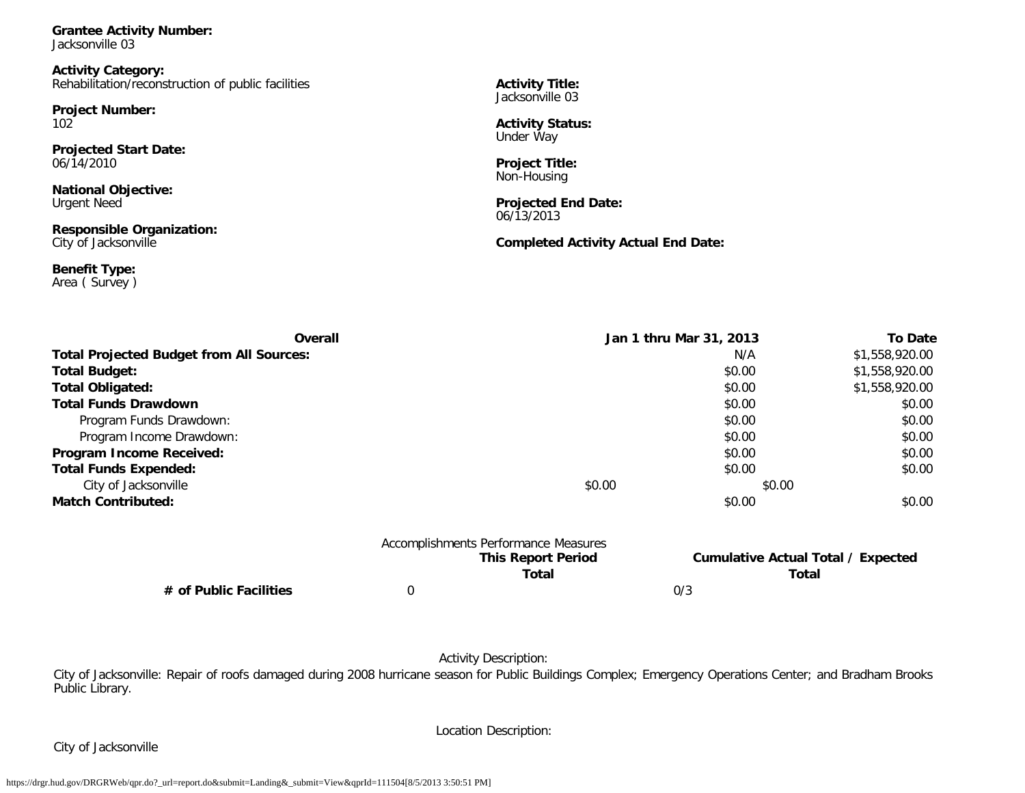**Grantee Activity Number:** Jacksonville 03

**Activity Category:** Rehabilitation/reconstruction of public facilities

**Project Number:** 102

**Projected Start Date:** 06/14/2010

**National Objective:** Urgent Need

**Responsible Organization:** City of Jacksonville

**Benefit Type:** Area ( Survey ) **Activity Title:** Jacksonville 03

**Activity Status:** Under Way

**Project Title:** Non-Housing

**Projected End Date:** 06/13/2013

**Completed Activity Actual End Date:**

| Overall                                         |                                      | Jan 1 thru Mar 31, 2013                            | <b>To Date</b> |
|-------------------------------------------------|--------------------------------------|----------------------------------------------------|----------------|
| <b>Total Projected Budget from All Sources:</b> |                                      | N/A                                                | \$1,558,920.00 |
| <b>Total Budget:</b>                            |                                      | \$0.00                                             | \$1,558,920.00 |
| <b>Total Obligated:</b>                         |                                      | \$0.00                                             | \$1,558,920.00 |
| <b>Total Funds Drawdown</b>                     |                                      | \$0.00                                             | \$0.00         |
| Program Funds Drawdown:                         |                                      | \$0.00                                             | \$0.00         |
| Program Income Drawdown:                        |                                      | \$0.00                                             | \$0.00         |
| Program Income Received:                        |                                      | \$0.00                                             | \$0.00         |
| <b>Total Funds Expended:</b>                    |                                      | \$0.00                                             | \$0.00         |
| City of Jacksonville                            | \$0.00                               | \$0.00                                             |                |
| <b>Match Contributed:</b>                       |                                      | \$0.00                                             | \$0.00         |
|                                                 | Accomplishments Performance Measures |                                                    |                |
|                                                 | <b>This Report Period</b><br>Total   | <b>Cumulative Actual Total / Expected</b><br>Total |                |

**# of Public Facilities** 0 0/3

Activity Description:

City of Jacksonville: Repair of roofs damaged during 2008 hurricane season for Public Buildings Complex; Emergency Operations Center; and Bradham Brooks Public Library.

City of Jacksonville

Location Description: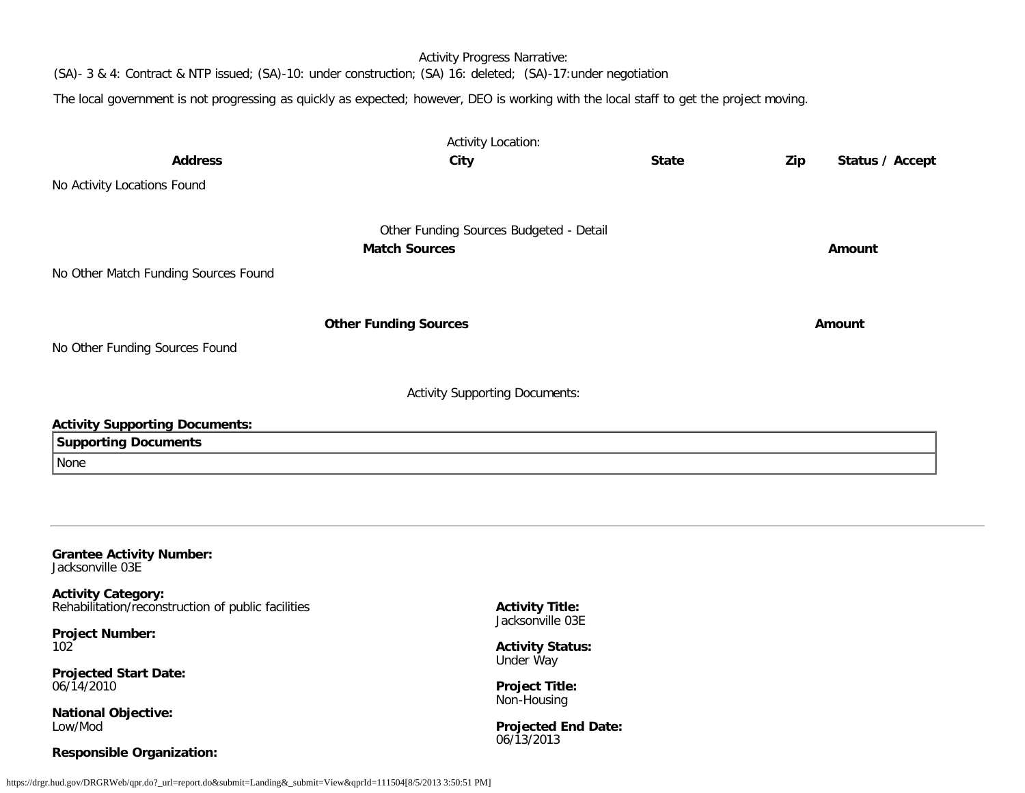Activity Progress Narrative: (SA)- 3 & 4: Contract & NTP issued; (SA)-10: under construction; (SA) 16: deleted; (SA)-17:under negotiation

The local government is not progressing as quickly as expected; however, DEO is working with the local staff to get the project moving.

|                                                                                 | <b>Activity Location:</b>                                       |              |     |                 |
|---------------------------------------------------------------------------------|-----------------------------------------------------------------|--------------|-----|-----------------|
| <b>Address</b>                                                                  | City                                                            | <b>State</b> | Zip | Status / Accept |
| No Activity Locations Found                                                     |                                                                 |              |     |                 |
|                                                                                 |                                                                 |              |     |                 |
|                                                                                 | Other Funding Sources Budgeted - Detail<br><b>Match Sources</b> |              |     |                 |
|                                                                                 |                                                                 |              |     | Amount          |
| No Other Match Funding Sources Found                                            |                                                                 |              |     |                 |
|                                                                                 |                                                                 |              |     |                 |
|                                                                                 | <b>Other Funding Sources</b>                                    |              |     | Amount          |
| No Other Funding Sources Found                                                  |                                                                 |              |     |                 |
|                                                                                 |                                                                 |              |     |                 |
|                                                                                 | <b>Activity Supporting Documents:</b>                           |              |     |                 |
| <b>Activity Supporting Documents:</b>                                           |                                                                 |              |     |                 |
| <b>Supporting Documents</b>                                                     |                                                                 |              |     |                 |
| None                                                                            |                                                                 |              |     |                 |
|                                                                                 |                                                                 |              |     |                 |
|                                                                                 |                                                                 |              |     |                 |
| <b>Grantee Activity Number:</b><br>Jacksonville 03E                             |                                                                 |              |     |                 |
| <b>Activity Category:</b><br>Rehabilitation/reconstruction of public facilities | <b>Activity Title:</b><br>Jacksonville 03E                      |              |     |                 |
| <b>Project Number:</b>                                                          |                                                                 |              |     |                 |
| 102                                                                             | <b>Activity Status:</b><br>Under Way                            |              |     |                 |
| <b>Projected Start Date:</b>                                                    |                                                                 |              |     |                 |

**Projected End Date:** 06/13/2013

**Project Title:** Non-Housing

06/14/2010

Low/Mod

**National Objective:**

**Responsible Organization:**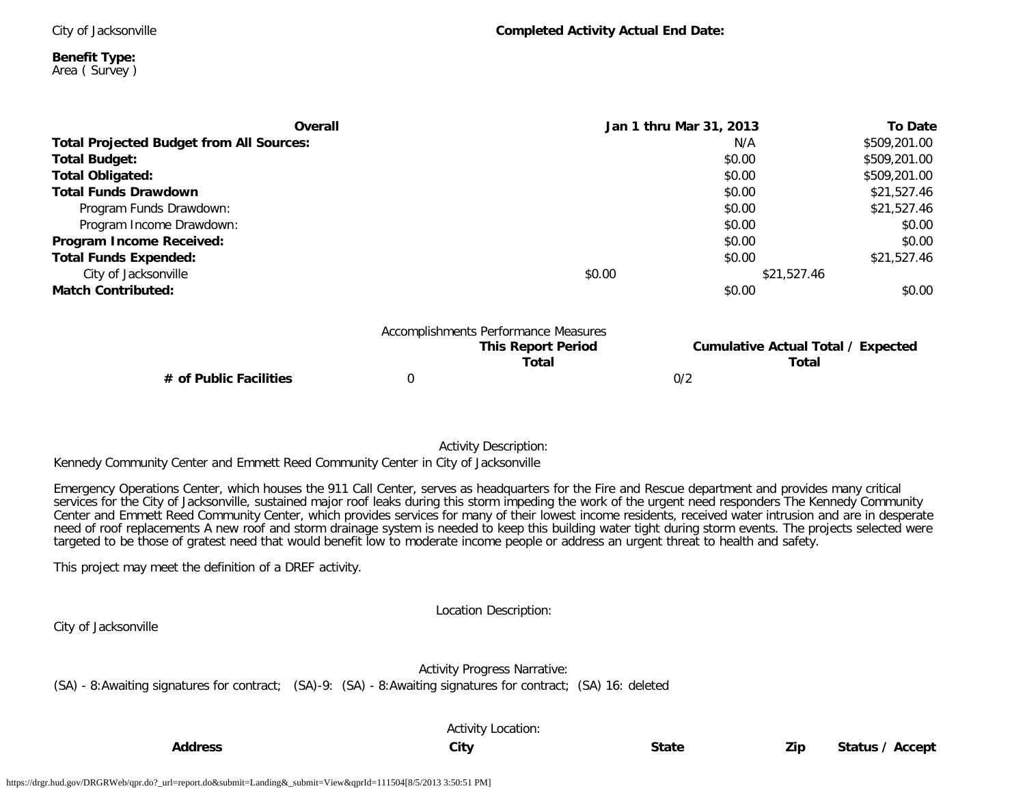City of Jacksonville

**Benefit Type:** Area ( Survey )

| Overall                                         |   |                                                                                                                                  | Jan 1 thru Mar 31, 2013 | To Date      |
|-------------------------------------------------|---|----------------------------------------------------------------------------------------------------------------------------------|-------------------------|--------------|
| <b>Total Projected Budget from All Sources:</b> |   |                                                                                                                                  | N/A                     | \$509,201.00 |
| <b>Total Budget:</b>                            |   |                                                                                                                                  | \$0.00                  | \$509,201.00 |
| <b>Total Obligated:</b>                         |   |                                                                                                                                  | \$0.00                  | \$509,201.00 |
| <b>Total Funds Drawdown</b>                     |   |                                                                                                                                  | \$0.00                  | \$21,527.46  |
| Program Funds Drawdown:                         |   |                                                                                                                                  | \$0.00                  | \$21,527.46  |
| Program Income Drawdown:                        |   |                                                                                                                                  | \$0.00                  | \$0.00       |
| Program Income Received:                        |   |                                                                                                                                  | \$0.00                  | \$0.00       |
| <b>Total Funds Expended:</b>                    |   |                                                                                                                                  | \$0.00                  | \$21,527.46  |
| City of Jacksonville                            |   | \$0.00                                                                                                                           | \$21,527.46             |              |
| <b>Match Contributed:</b>                       |   |                                                                                                                                  | \$0.00                  | \$0.00       |
|                                                 |   | Accomplishments Performance Measures<br><b>Cumulative Actual Total / Expected</b><br><b>This Report Period</b><br>Total<br>Total |                         |              |
| # of Public Facilities                          | 0 |                                                                                                                                  | 0/2                     |              |

Activity Description:

Kennedy Community Center and Emmett Reed Community Center in City of Jacksonville

Emergency Operations Center, which houses the 911 Call Center, serves as headquarters for the Fire and Rescue department and provides many critical services for the City of Jacksonville, sustained major roof leaks during this storm impeding the work of the urgent need responders The Kennedy Community Center and Emmett Reed Community Center, which provides services for many of their lowest income residents, received water intrusion and are in desperate need of roof replacements A new roof and storm drainage system is needed to keep this building water tight during storm events. The projects selected were targeted to be those of gratest need that would benefit low to moderate income people or address an urgent threat to health and safety.

This project may meet the definition of a DREF activity.

Location Description:

City of Jacksonville

Activity Progress Narrative: (SA) - 8:Awaiting signatures for contract; (SA)-9: (SA) - 8:Awaiting signatures for contract; (SA) 16: deleted

Activity Location: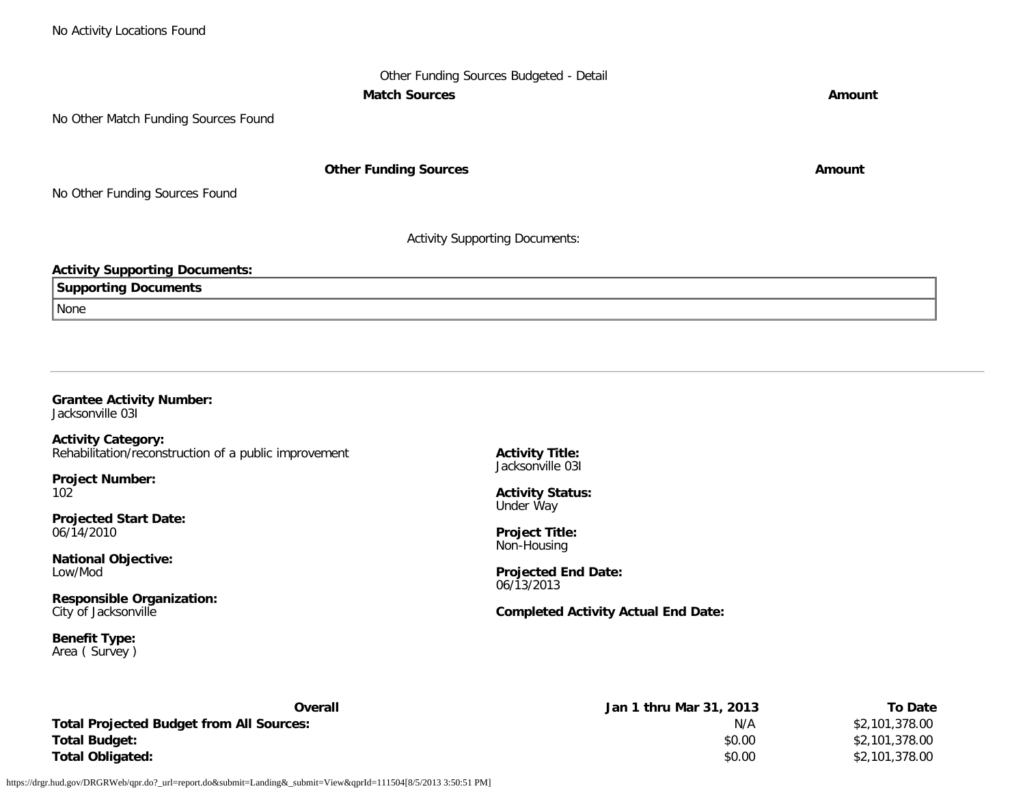# Other Funding Sources Budgeted - Detail **Match Sources Amount**

No Other Match Funding Sources Found

**Other Funding Sources Amount Amount Amount** 

No Other Funding Sources Found

Activity Supporting Documents:

# **Activity Supporting Documents:**

**Supporting Documents** None

**Grantee Activity Number:** Jacksonville 03I

**Activity Category:** Rehabilitation/reconstruction of a public improvement

**Project Number:** 102

**Projected Start Date:** 06/14/2010

**National Objective:** Low/Mod

**Responsible Organization:** City of Jacksonville

**Benefit Type:** Area ( Survey ) **Activity Title:** Jacksonville 03I

**Activity Status:** Under Way

**Project Title:** Non-Housing

**Projected End Date:** 06/13/2013

**Completed Activity Actual End Date:**

| Overall                                  | Jan 1 thru Mar 31, 2013 | <b>To Date</b> |
|------------------------------------------|-------------------------|----------------|
| Total Projected Budget from All Sources: | N/A                     | \$2,101,378.00 |
| Total Budget:                            | \$0.00                  | \$2,101,378.00 |
| Total Obligated:                         | \$0.00                  | \$2,101,378.00 |

https://drgr.hud.gov/DRGRWeb/qpr.do?\_url=report.do&submit=Landing&\_submit=View&qprId=111504[8/5/2013 3:50:51 PM]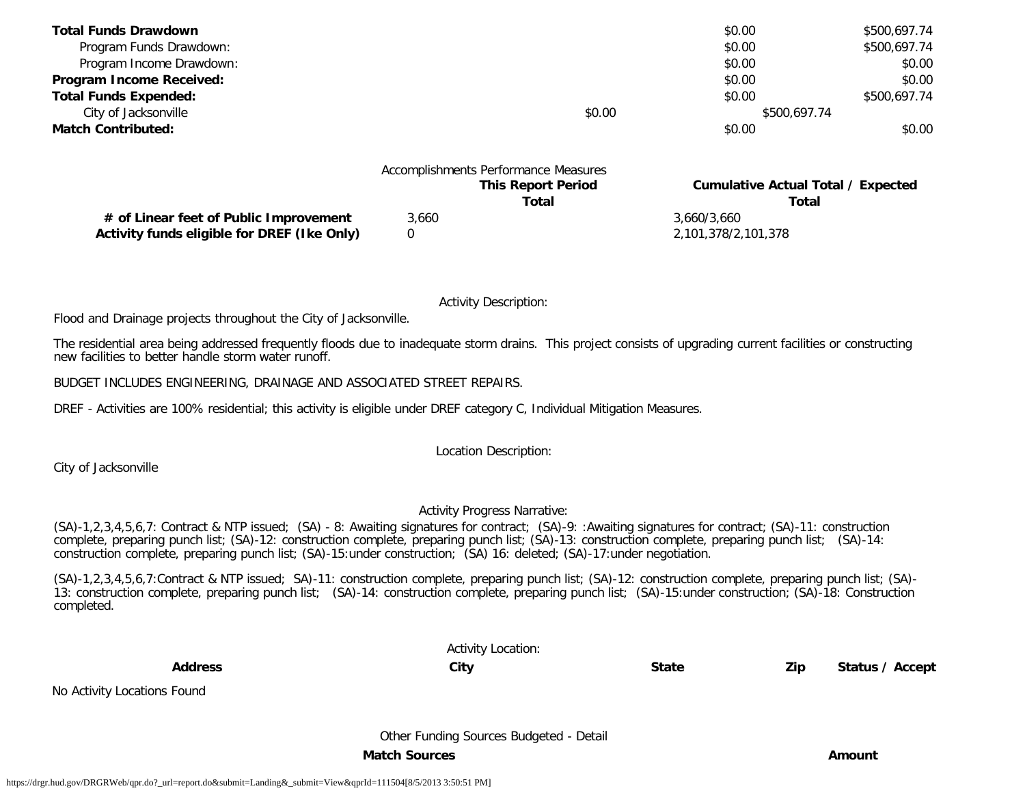| <b>Total Funds Drawdown</b>  |                                      | \$0.00       | \$500,697.74 |
|------------------------------|--------------------------------------|--------------|--------------|
| Program Funds Drawdown:      |                                      | \$0.00       | \$500,697.74 |
| Program Income Drawdown:     |                                      | \$0.00       | \$0.00       |
| Program Income Received:     |                                      | \$0.00       | \$0.00       |
| <b>Total Funds Expended:</b> |                                      | \$0.00       | \$500,697.74 |
| City of Jacksonville         | \$0.00                               | \$500,697.74 |              |
| <b>Match Contributed:</b>    |                                      | \$0.00       | \$0.00       |
|                              |                                      |              |              |
|                              | Accomplishments Performance Measures |              |              |

|  | <b>This Report Per</b> |  |
|--|------------------------|--|

**# of Linear feet of Public Improvement** 3,660 3,660/3,660 **Activity funds eligible for DREF (Ike Only)** 0 2,101,378/2,101,378

**This Equilibris Cumulative Actual Total / Expected Total Total**

Activity Description:

Flood and Drainage projects throughout the City of Jacksonville.

The residential area being addressed frequently floods due to inadequate storm drains. This project consists of upgrading current facilities or constructing new facilities to better handle storm water runoff.

BUDGET INCLUDES ENGINEERING, DRAINAGE AND ASSOCIATED STREET REPAIRS.

DREF - Activities are 100% residential; this activity is eligible under DREF category C, Individual Mitigation Measures.

Location Description:

City of Jacksonville

No Activity Locations Found

## Activity Progress Narrative:

(SA)-1,2,3,4,5,6,7: Contract & NTP issued; (SA) - 8: Awaiting signatures for contract; (SA)-9: :Awaiting signatures for contract; (SA)-11: construction complete, preparing punch list; (SA)-12: construction complete, preparing punch list; (SA)-13: construction complete, preparing punch list; (SA)-14: construction complete, preparing punch list; (SA)-15:under construction; (SA) 16: deleted; (SA)-17:under negotiation.

(SA)-1,2,3,4,5,6,7:Contract & NTP issued; SA)-11: construction complete, preparing punch list; (SA)-12: construction complete, preparing punch list; (SA)- 13: construction complete, preparing punch list; (SA)-14: construction complete, preparing punch list; (SA)-15:under construction; (SA)-18: Construction completed.

Activity Location:

Other Funding Sources Budgeted - Detail

**Match Sources Amount**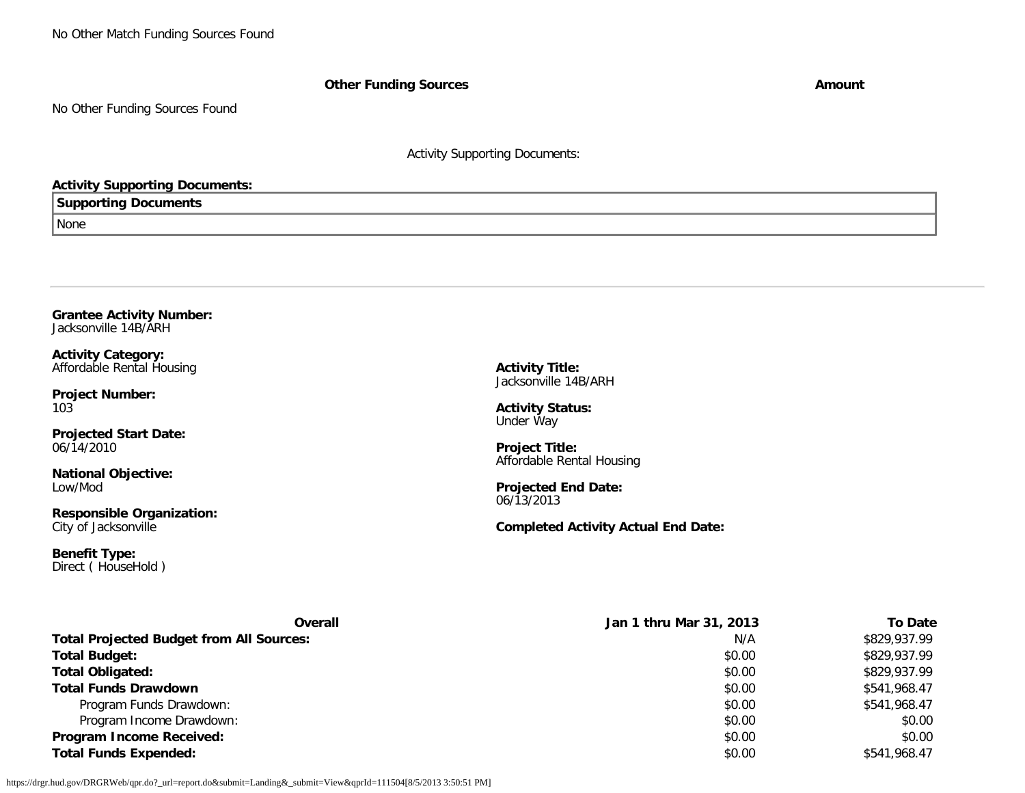No Other Match Funding Sources Found

**Other Funding Sources Amount** 

No Other Funding Sources Found

Activity Supporting Documents:

### **Activity Supporting Documents:**

### **Supporting Documents**

None

#### **Grantee Activity Number:** Jacksonville 14B/ARH

**Activity Category:** Affordable Rental Housing

**Project Number:** 103

**Projected Start Date:** 06/14/2010

**National Objective:** Low/Mod

**Responsible Organization:** City of Jacksonville

**Benefit Type:** Direct ( HouseHold ) **Activity Title:** Jacksonville 14B/ARH

**Activity Status:** Under Way

**Project Title:** Affordable Rental Housing

**Projected End Date:** 06/13/2013

**Completed Activity Actual End Date:**

| <b>Overall</b>                                  | Jan 1 thru Mar 31, 2013 | <b>To Date</b> |
|-------------------------------------------------|-------------------------|----------------|
| <b>Total Projected Budget from All Sources:</b> | N/A                     | \$829,937.99   |
| <b>Total Budget:</b>                            | \$0.00                  | \$829,937.99   |
| <b>Total Obligated:</b>                         | \$0.00                  | \$829,937.99   |
| <b>Total Funds Drawdown</b>                     | \$0.00                  | \$541,968.47   |
| Program Funds Drawdown:                         | \$0.00                  | \$541,968.47   |
| Program Income Drawdown:                        | \$0.00                  | \$0.00         |
| Program Income Received:                        | \$0.00                  | \$0.00         |
| <b>Total Funds Expended:</b>                    | \$0.00                  | \$541,968.47   |

https://drgr.hud.gov/DRGRWeb/qpr.do?\_url=report.do&submit=Landing&\_submit=View&qprId=111504[8/5/2013 3:50:51 PM]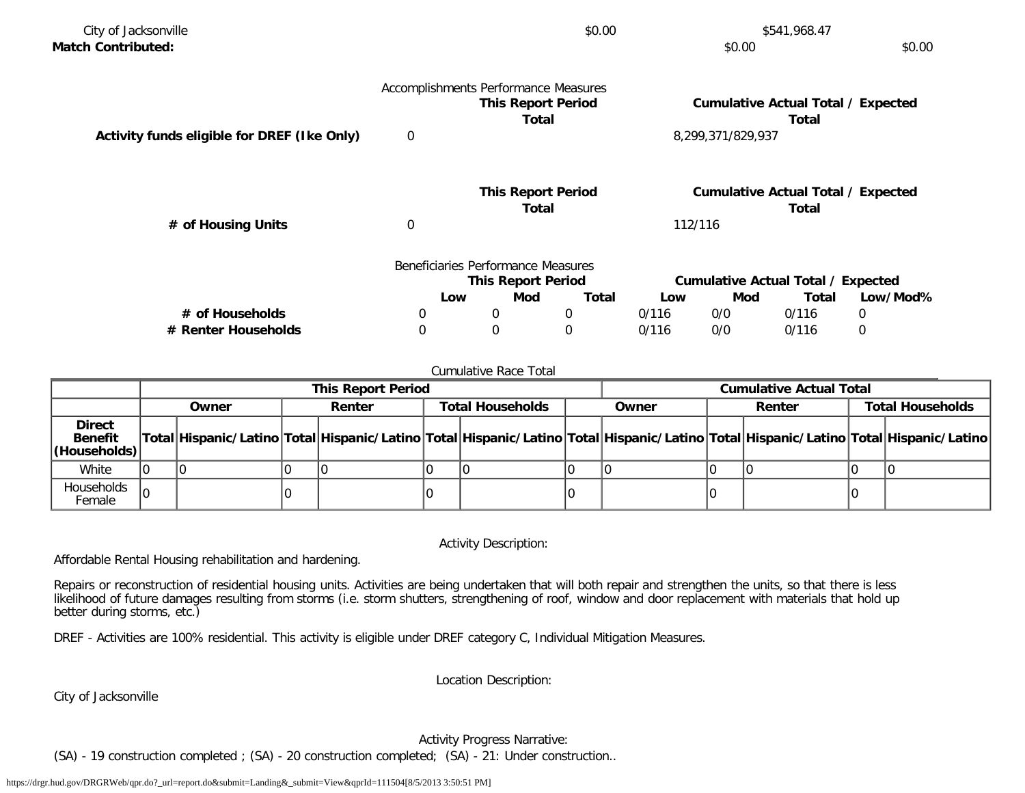| City of Jacksonville                        | \$0.00<br>\$541,968.47 |                                      |       |         |                   |                                           |          |
|---------------------------------------------|------------------------|--------------------------------------|-------|---------|-------------------|-------------------------------------------|----------|
| <b>Match Contributed:</b>                   |                        |                                      |       |         | \$0.00            |                                           | \$0.00   |
|                                             |                        | Accomplishments Performance Measures |       |         |                   |                                           |          |
|                                             |                        | <b>This Report Period</b>            |       |         |                   | <b>Cumulative Actual Total / Expected</b> |          |
|                                             |                        | Total                                |       |         |                   | Total                                     |          |
| Activity funds eligible for DREF (Ike Only) | $\mathbf 0$            |                                      |       |         | 8,299,371/829,937 |                                           |          |
|                                             |                        | <b>This Report Period</b>            |       |         |                   | <b>Cumulative Actual Total / Expected</b> |          |
|                                             |                        | Total                                |       |         |                   | Total                                     |          |
| # of Housing Units                          | $\boldsymbol{0}$       |                                      |       | 112/116 |                   |                                           |          |
|                                             |                        | Beneficiaries Performance Measures   |       |         |                   |                                           |          |
|                                             |                        | <b>This Report Period</b>            |       |         |                   | Cumulative Actual Total / Expected        |          |
|                                             | Low                    | Mod                                  | Total | Low     | Mod               | Total                                     | Low/Mod% |
| # of Households                             | 0                      | 0                                    | 0     | 0/116   | 0/0               | 0/116                                     | 0        |
| # Renter Households                         | $\mathbf 0$            | $\boldsymbol{0}$                     | 0     | 0/116   | 0/0               | 0/116                                     | 0        |

#### Cumulative Race Total

|                                                 | <b>This Report Period</b> |       |  |                                                                                                                                     | <b>Cumulative Actual Total</b> |  |       |  |        |                         |
|-------------------------------------------------|---------------------------|-------|--|-------------------------------------------------------------------------------------------------------------------------------------|--------------------------------|--|-------|--|--------|-------------------------|
|                                                 |                           | Owner |  | Renter                                                                                                                              | <b>Total Households</b>        |  | Owner |  | Renter | <b>Total Households</b> |
| <b>Direct</b><br><b>Benefit</b><br>(Households) |                           |       |  | Total Hispanic/Latino Total Hispanic/Latino Total Hispanic/Latino Total Hispanic/Latino Total Hispanic/Latino Total Hispanic/Latino |                                |  |       |  |        |                         |
| White                                           |                           |       |  |                                                                                                                                     |                                |  |       |  |        |                         |
| Households<br>Female                            | I٥                        |       |  |                                                                                                                                     |                                |  |       |  |        |                         |

Activity Description:

Affordable Rental Housing rehabilitation and hardening.

Repairs or reconstruction of residential housing units. Activities are being undertaken that will both repair and strengthen the units, so that there is less likelihood of future damages resulting from storms (i.e. storm shutters, strengthening of roof, window and door replacement with materials that hold up better during storms, etc.)

DREF - Activities are 100% residential. This activity is eligible under DREF category C, Individual Mitigation Measures.

Location Description:

City of Jacksonville

Activity Progress Narrative:

(SA) - 19 construction completed ; (SA) - 20 construction completed; (SA) - 21: Under construction..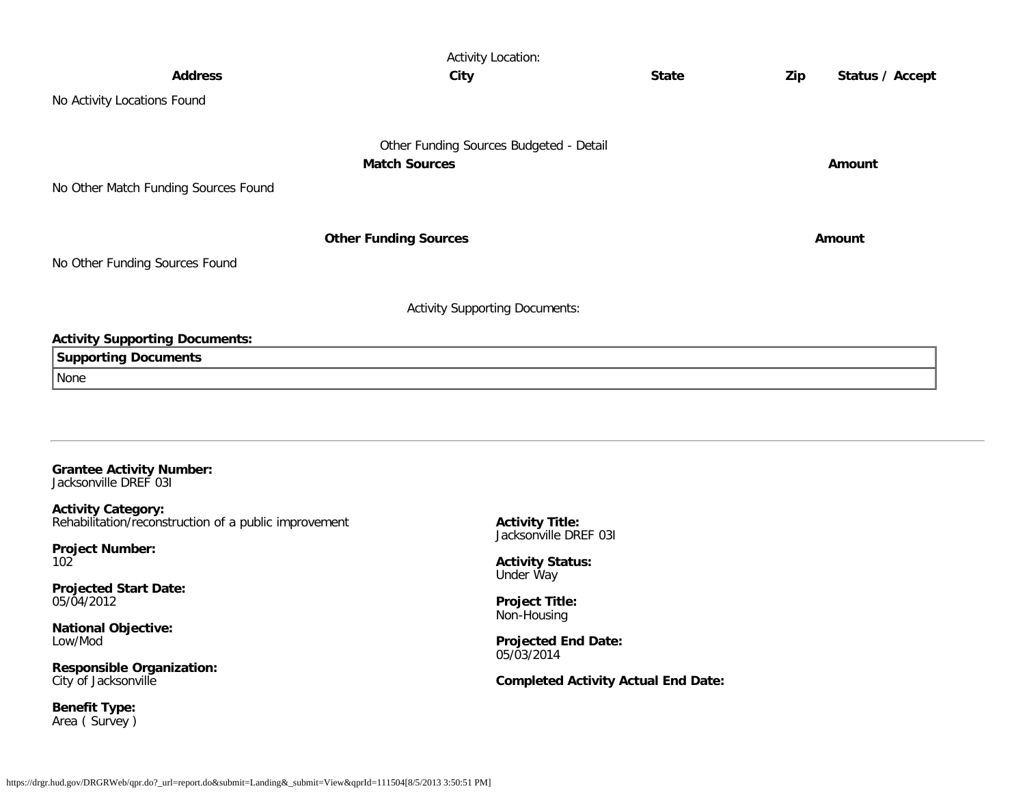|                                       | <b>Activity Location:</b>               |              |     |                 |
|---------------------------------------|-----------------------------------------|--------------|-----|-----------------|
| <b>Address</b>                        | City                                    | <b>State</b> | Zip | Status / Accept |
| No Activity Locations Found           |                                         |              |     |                 |
|                                       |                                         |              |     |                 |
|                                       | Other Funding Sources Budgeted - Detail |              |     |                 |
|                                       | <b>Match Sources</b>                    |              |     | Amount          |
| No Other Match Funding Sources Found  |                                         |              |     |                 |
|                                       |                                         |              |     |                 |
|                                       | <b>Other Funding Sources</b>            |              |     | Amount          |
| No Other Funding Sources Found        |                                         |              |     |                 |
|                                       |                                         |              |     |                 |
|                                       | <b>Activity Supporting Documents:</b>   |              |     |                 |
| <b>Activity Supporting Documents:</b> |                                         |              |     |                 |
| <b>Supporting Documents</b>           |                                         |              |     |                 |
| None                                  |                                         |              |     |                 |
|                                       |                                         |              |     |                 |
|                                       |                                         |              |     |                 |
|                                       |                                         |              |     |                 |
| <b>Grantee Activity Number:</b>       |                                         |              |     |                 |
| Jacksonville DREF 031                 |                                         |              |     |                 |

**Activity Category:** Rehabilitation/reconstruction of a public improvement

**Project Number:** 102

**Projected Start Date:** 05/04/2012

**National Objective:** Low/Mod

**Responsible Organization:** City of Jacksonville

**Benefit Type:** Area ( Survey ) **Activity Title:** Jacksonville DREF 03I

**Activity Status:** Under Way

**Project Title:** Non-Housing

**Projected End Date:** 05/03/2014

**Completed Activity Actual End Date:**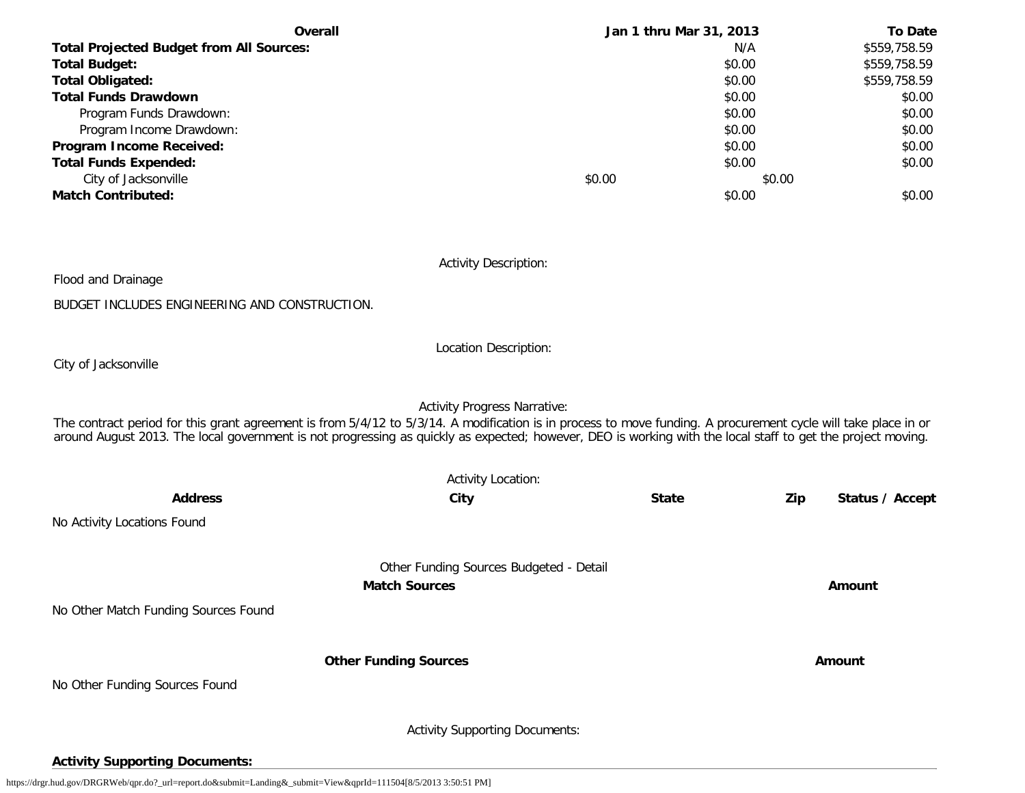| <b>Overall</b>                                  | Jan 1 thru Mar 31, 2013 |        | <b>To Date</b> |
|-------------------------------------------------|-------------------------|--------|----------------|
| <b>Total Projected Budget from All Sources:</b> |                         | N/A    | \$559,758.59   |
| <b>Total Budget:</b>                            |                         | \$0.00 | \$559,758.59   |
| <b>Total Obligated:</b>                         |                         | \$0.00 | \$559,758.59   |
| <b>Total Funds Drawdown</b>                     |                         | \$0.00 | \$0.00         |
| Program Funds Drawdown:                         |                         | \$0.00 | \$0.00         |
| Program Income Drawdown:                        |                         | \$0.00 | \$0.00         |
| Program Income Received:                        |                         | \$0.00 | \$0.00         |
| <b>Total Funds Expended:</b>                    |                         | \$0.00 | \$0.00         |
| City of Jacksonville                            | \$0.00                  | \$0.00 |                |
| <b>Match Contributed:</b>                       |                         | \$0.00 | \$0.00         |

Activity Description:

Flood and Drainage

BUDGET INCLUDES ENGINEERING AND CONSTRUCTION.

Location Description:

City of Jacksonville

Activity Progress Narrative:

The contract period for this grant agreement is from 5/4/12 to 5/3/14. A modification is in process to move funding. A procurement cycle will take place in or around August 2013. The local government is not progressing as quickly as expected; however, DEO is working with the local staff to get the project moving.

| <b>Activity Location:</b>            |                                                                 |              |     |                 |  |
|--------------------------------------|-----------------------------------------------------------------|--------------|-----|-----------------|--|
| <b>Address</b>                       | City                                                            | <b>State</b> | Zip | Status / Accept |  |
| No Activity Locations Found          |                                                                 |              |     |                 |  |
|                                      | Other Funding Sources Budgeted - Detail<br><b>Match Sources</b> |              |     | Amount          |  |
| No Other Match Funding Sources Found |                                                                 |              |     |                 |  |
| No Other Funding Sources Found       | <b>Other Funding Sources</b>                                    |              |     | Amount          |  |
|                                      | <b>Activity Supporting Documents:</b>                           |              |     |                 |  |

# **Activity Supporting Documents:**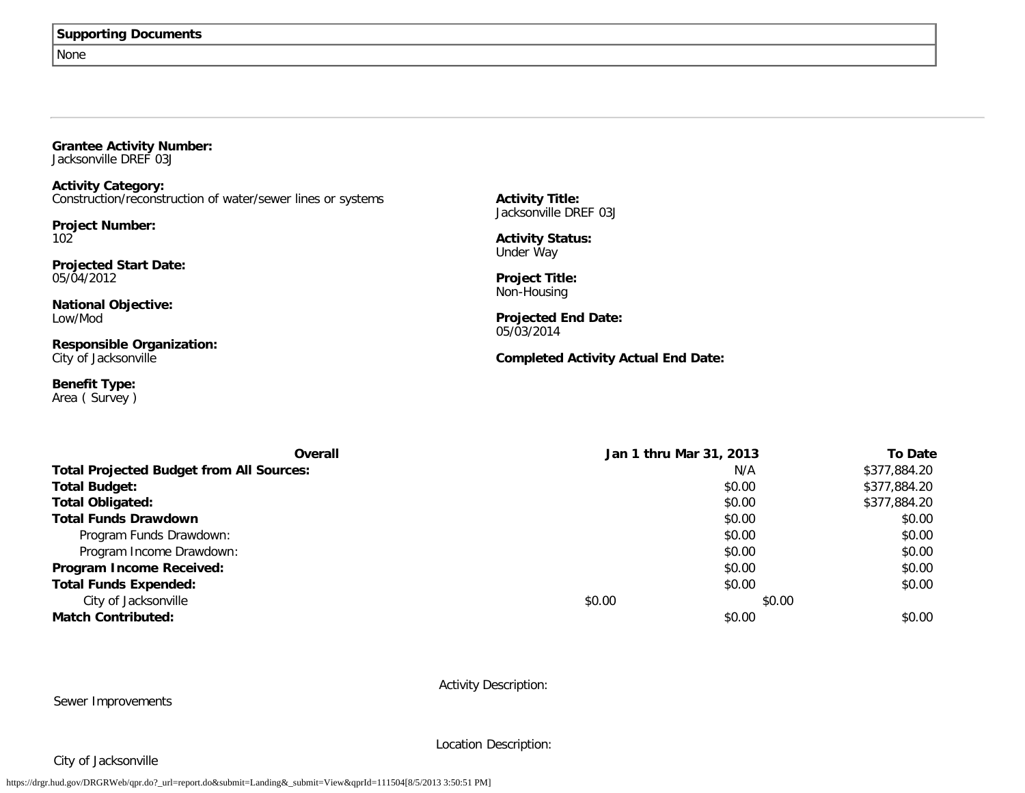#### None

| <b>Grantee Activity Number:</b> |  |
|---------------------------------|--|
| Jacksonville DREF 03J           |  |

**Activity Category:** Construction/reconstruction of water/sewer lines or systems

**Project Number:** 102

**Projected Start Date:** 05/04/2012

**National Objective:** Low/Mod

**Responsible Organization:** City of Jacksonville

**Benefit Type:** Area ( Survey ) **Activity Title:** Jacksonville DREF 03J

**Activity Status:** Under Way

**Project Title:** Non-Housing

**Projected End Date:** 05/03/2014

**Completed Activity Actual End Date:**

| <b>Overall</b>                                  | Jan 1 thru Mar 31, 2013 |        | <b>To Date</b> |
|-------------------------------------------------|-------------------------|--------|----------------|
| <b>Total Projected Budget from All Sources:</b> |                         | N/A    | \$377,884.20   |
| <b>Total Budget:</b>                            |                         | \$0.00 | \$377,884.20   |
| <b>Total Obligated:</b>                         |                         | \$0.00 | \$377,884.20   |
| <b>Total Funds Drawdown</b>                     |                         | \$0.00 | \$0.00         |
| Program Funds Drawdown:                         |                         | \$0.00 | \$0.00         |
| Program Income Drawdown:                        |                         | \$0.00 | \$0.00         |
| Program Income Received:                        |                         | \$0.00 | \$0.00         |
| <b>Total Funds Expended:</b>                    |                         | \$0.00 | \$0.00         |
| City of Jacksonville                            | \$0.00                  | \$0.00 |                |
| <b>Match Contributed:</b>                       |                         | \$0.00 | \$0.00         |

Activity Description:

Sewer Improvements

Location Description:

City of Jacksonville

https://drgr.hud.gov/DRGRWeb/qpr.do?\_url=report.do&submit=Landing&\_submit=View&qprId=111504[8/5/2013 3:50:51 PM]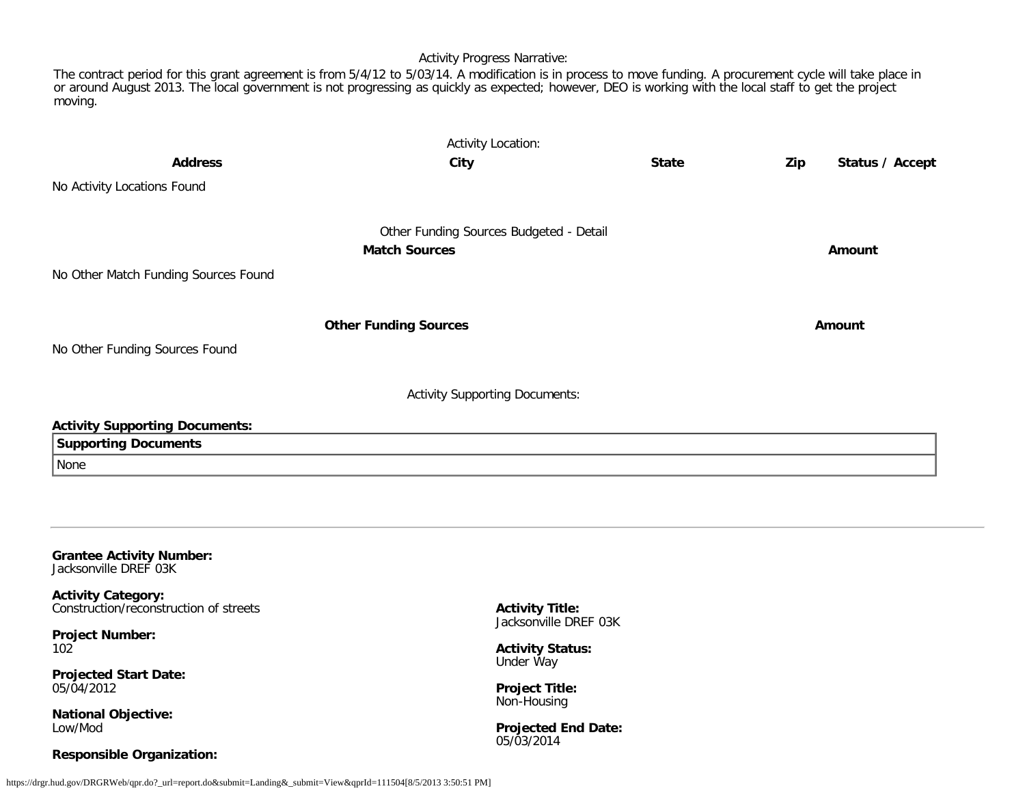#### Activity Progress Narrative:

The contract period for this grant agreement is from 5/4/12 to 5/03/14. A modification is in process to move funding. A procurement cycle will take place in or around August 2013. The local government is not progressing as quickly as expected; however, DEO is working with the local staff to get the project moving.

| <b>Activity Location:</b>             |                                         |              |     |                 |  |  |
|---------------------------------------|-----------------------------------------|--------------|-----|-----------------|--|--|
| <b>Address</b>                        | City                                    | <b>State</b> | Zip | Status / Accept |  |  |
| No Activity Locations Found           |                                         |              |     |                 |  |  |
|                                       | Other Funding Sources Budgeted - Detail |              |     |                 |  |  |
|                                       | <b>Match Sources</b>                    |              |     | Amount          |  |  |
| No Other Match Funding Sources Found  |                                         |              |     |                 |  |  |
|                                       | <b>Other Funding Sources</b>            |              |     | Amount          |  |  |
| No Other Funding Sources Found        |                                         |              |     |                 |  |  |
|                                       | <b>Activity Supporting Documents:</b>   |              |     |                 |  |  |
| <b>Activity Supporting Documents:</b> |                                         |              |     |                 |  |  |
| <b>Supporting Documents</b>           |                                         |              |     |                 |  |  |
| None                                  |                                         |              |     |                 |  |  |
|                                       |                                         |              |     |                 |  |  |
|                                       |                                         |              |     |                 |  |  |
|                                       |                                         |              |     |                 |  |  |

**Grantee Activity Number:** Jacksonville DREF 03K

**Activity Category:** Construction/reconstruction of streets

**Project Number:** 102

**Projected Start Date:** 05/04/2012

**National Objective:** Low/Mod

### **Responsible Organization:**

**Activity Title:** Jacksonville DREF 03K

**Activity Status:** Under Way

**Project Title:** Non-Housing

**Projected End Date:** 05/03/2014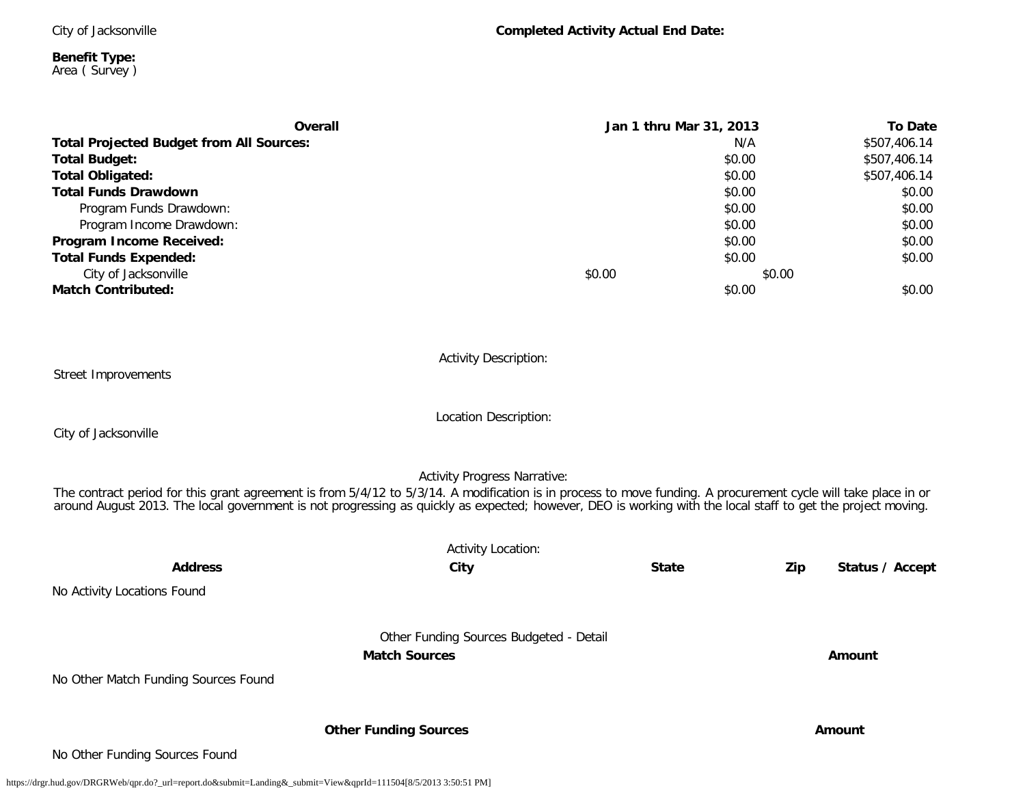City of Jacksonville

**Benefit Type:** Area ( Survey )

|        | <b>To Date</b> |                         |
|--------|----------------|-------------------------|
| N/A    |                | \$507,406.14            |
|        | \$0.00         | \$507,406.14            |
|        | \$0.00         | \$507,406.14            |
|        | \$0.00         | \$0.00                  |
|        | \$0.00         | \$0.00                  |
|        | \$0.00         | \$0.00                  |
|        | \$0.00         | \$0.00                  |
|        | \$0.00         | \$0.00                  |
| \$0.00 | \$0.00         |                         |
|        | \$0.00         | \$0.00                  |
|        |                |                         |
|        |                |                         |
|        |                | Jan 1 thru Mar 31, 2013 |

Activity Description:

Street Improvements

Location Description:

City of Jacksonville

Activity Progress Narrative:

The contract period for this grant agreement is from 5/4/12 to 5/3/14. A modification is in process to move funding. A procurement cycle will take place in or around August 2013. The local government is not progressing as quickly as expected; however, DEO is working with the local staff to get the project moving.

|                                      | <b>Activity Location:</b>                                       |              |     |                 |
|--------------------------------------|-----------------------------------------------------------------|--------------|-----|-----------------|
| <b>Address</b>                       | City                                                            | <b>State</b> | Zip | Status / Accept |
| No Activity Locations Found          |                                                                 |              |     |                 |
|                                      | Other Funding Sources Budgeted - Detail<br><b>Match Sources</b> |              |     | Amount          |
| No Other Match Funding Sources Found |                                                                 |              |     |                 |
|                                      | <b>Other Funding Sources</b>                                    |              |     | Amount          |
| No Other Funding Sources Found       |                                                                 |              |     |                 |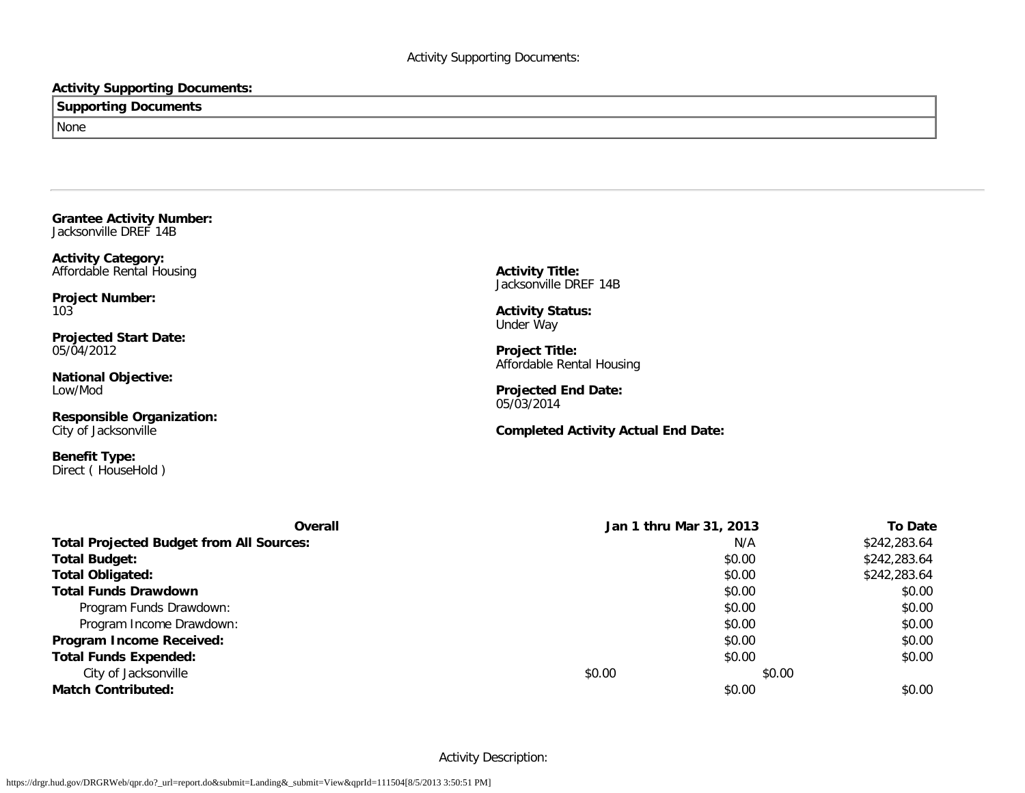### **Activity Supporting Documents:**

# **Supporting Documents** None

**Grantee Activity Number:** Jacksonville DREF 14B

**Activity Category:** Affordable Rental Housing

**Project Number:** 103

**Projected Start Date:** 05/04/2012

**National Objective:** Low/Mod

**Responsible Organization:** City of Jacksonville

**Benefit Type:** Direct ( HouseHold ) **Activity Title:** Jacksonville DREF 14B

**Activity Status:** Under Way

**Project Title:** Affordable Rental Housing

**Projected End Date:** 05/03/2014

**Completed Activity Actual End Date:**

| Overall                                         |        | Jan 1 thru Mar 31, 2013 | <b>To Date</b> |
|-------------------------------------------------|--------|-------------------------|----------------|
| <b>Total Projected Budget from All Sources:</b> |        | N/A                     | \$242,283.64   |
| <b>Total Budget:</b>                            |        | \$0.00                  | \$242,283.64   |
| <b>Total Obligated:</b>                         |        | \$0.00                  | \$242,283.64   |
| <b>Total Funds Drawdown</b>                     |        | \$0.00                  | \$0.00         |
| Program Funds Drawdown:                         |        | \$0.00                  | \$0.00         |
| Program Income Drawdown:                        |        | \$0.00                  | \$0.00         |
| Program Income Received:                        |        | \$0.00                  | \$0.00         |
| <b>Total Funds Expended:</b>                    |        | \$0.00                  | \$0.00         |
| City of Jacksonville                            | \$0.00 | \$0.00                  |                |
| <b>Match Contributed:</b>                       |        | \$0.00                  | \$0.00         |

Activity Description: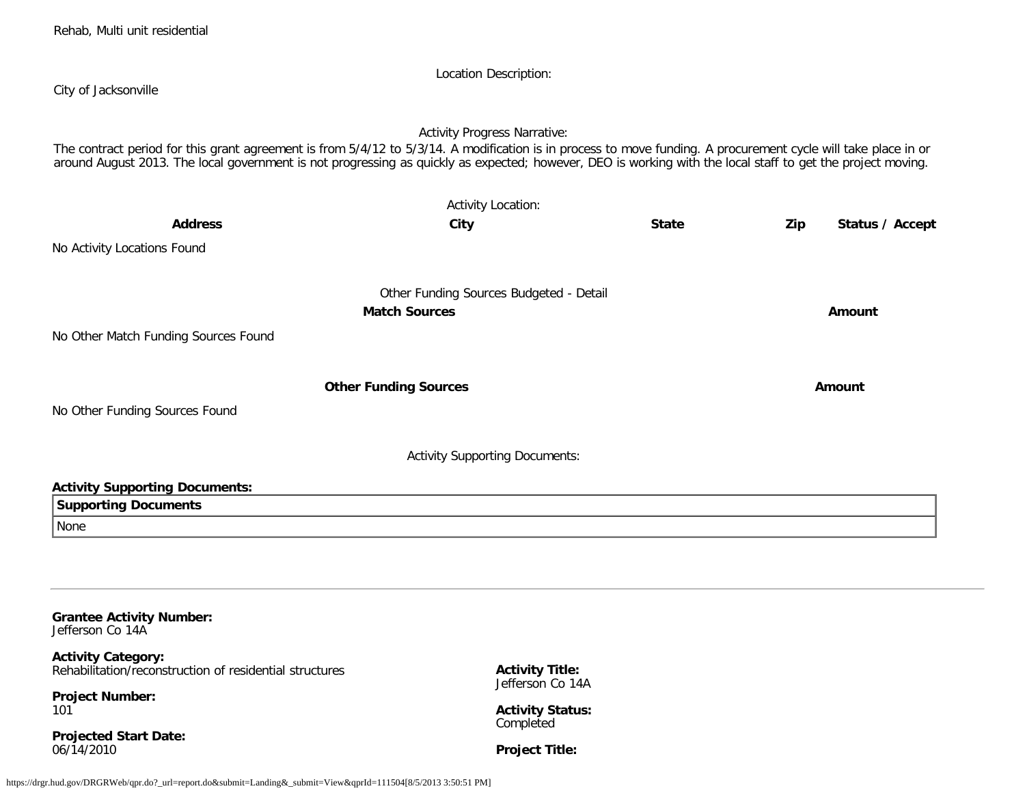| City of Jacksonville                                                                                                                                                                                                                                                                                                          | Location Description:                      |              |                        |
|-------------------------------------------------------------------------------------------------------------------------------------------------------------------------------------------------------------------------------------------------------------------------------------------------------------------------------|--------------------------------------------|--------------|------------------------|
| The contract period for this grant agreement is from 5/4/12 to 5/3/14. A modification is in process to move funding. A procurement cycle will take place in or<br>around August 2013. The local government is not progressing as quickly as expected; however, DEO is working with the local staff to get the project moving. | <b>Activity Progress Narrative:</b>        |              |                        |
|                                                                                                                                                                                                                                                                                                                               | <b>Activity Location:</b>                  |              |                        |
| <b>Address</b>                                                                                                                                                                                                                                                                                                                | City                                       | <b>State</b> | Status / Accept<br>Zip |
| No Activity Locations Found                                                                                                                                                                                                                                                                                                   |                                            |              |                        |
|                                                                                                                                                                                                                                                                                                                               | Other Funding Sources Budgeted - Detail    |              |                        |
|                                                                                                                                                                                                                                                                                                                               | <b>Match Sources</b>                       |              | Amount                 |
| No Other Match Funding Sources Found                                                                                                                                                                                                                                                                                          |                                            |              |                        |
|                                                                                                                                                                                                                                                                                                                               | <b>Other Funding Sources</b>               |              | Amount                 |
| No Other Funding Sources Found                                                                                                                                                                                                                                                                                                |                                            |              |                        |
|                                                                                                                                                                                                                                                                                                                               | <b>Activity Supporting Documents:</b>      |              |                        |
| <b>Activity Supporting Documents:</b>                                                                                                                                                                                                                                                                                         |                                            |              |                        |
| <b>Supporting Documents</b>                                                                                                                                                                                                                                                                                                   |                                            |              |                        |
| None                                                                                                                                                                                                                                                                                                                          |                                            |              |                        |
|                                                                                                                                                                                                                                                                                                                               |                                            |              |                        |
|                                                                                                                                                                                                                                                                                                                               |                                            |              |                        |
| <b>Grantee Activity Number:</b><br>Jefferson Co 14A                                                                                                                                                                                                                                                                           |                                            |              |                        |
| <b>Activity Category:</b><br>Rehabilitation/reconstruction of residential structures                                                                                                                                                                                                                                          | <b>Activity Title:</b><br>Jefferson Co 14A |              |                        |

**Project Number:** 101

**Projected Start Date:** 06/14/2010

Rehab, Multi unit residential

**Project Title:**

**Activity Status:** Completed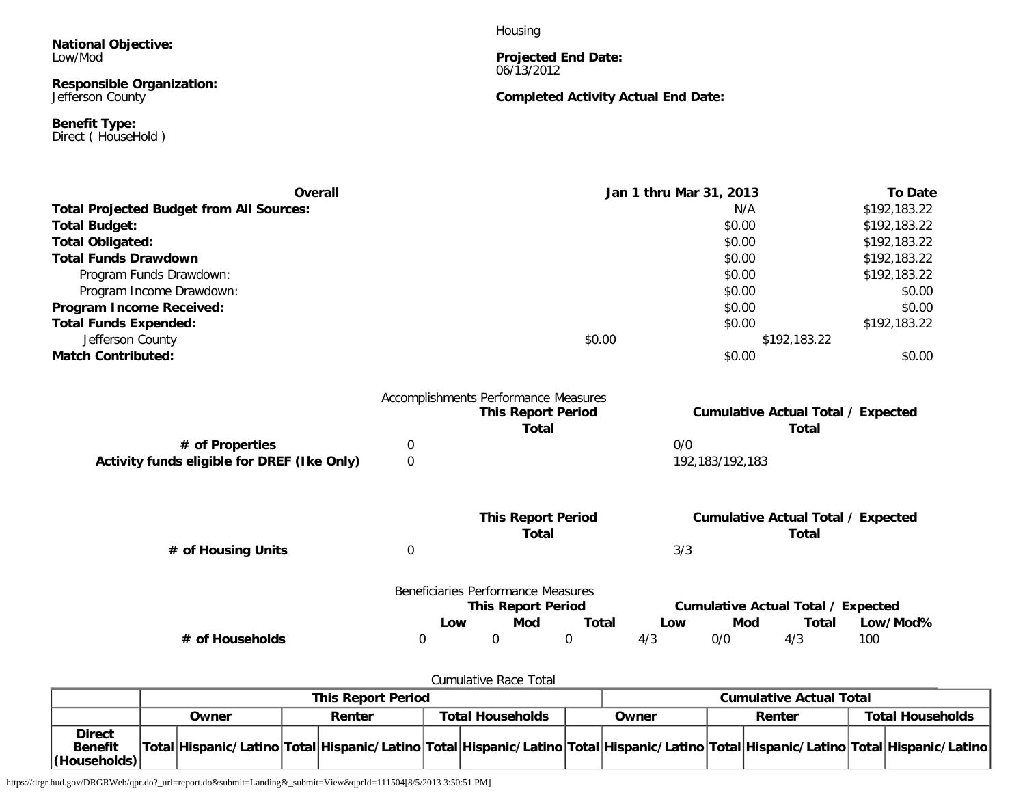**National Objective:** Low/Mod

#### **Responsible Organization:** Jefferson County

**Benefit Type:** Direct ( HouseHold ) Housing

#### **Projected End Date:** 06/13/2012

# **Completed Activity Actual End Date:**

| Overall                                         |                                      |                                    |              |              | Jan 1 thru Mar 31, 2013 |                 |                                                    | <b>To Date</b> |
|-------------------------------------------------|--------------------------------------|------------------------------------|--------------|--------------|-------------------------|-----------------|----------------------------------------------------|----------------|
| <b>Total Projected Budget from All Sources:</b> |                                      |                                    |              |              |                         | N/A             |                                                    | \$192,183.22   |
| <b>Total Budget:</b>                            |                                      |                                    |              |              |                         | \$0.00          |                                                    | \$192,183.22   |
| Total Obligated:                                |                                      |                                    |              |              |                         | \$0.00          |                                                    | \$192,183.22   |
| <b>Total Funds Drawdown</b>                     |                                      |                                    |              |              |                         | \$0.00          |                                                    | \$192,183.22   |
| Program Funds Drawdown:                         |                                      |                                    |              |              |                         | \$0.00          |                                                    | \$192,183.22   |
| Program Income Drawdown:                        |                                      |                                    |              |              |                         | \$0.00          |                                                    | \$0.00         |
| Program Income Received:                        |                                      |                                    |              |              |                         | \$0.00          |                                                    | \$0.00         |
| <b>Total Funds Expended:</b>                    |                                      |                                    |              |              |                         | \$0.00          |                                                    | \$192,183.22   |
| Jefferson County                                |                                      |                                    |              | \$0.00       |                         |                 | \$192,183.22                                       |                |
| <b>Match Contributed:</b>                       |                                      |                                    |              |              |                         | \$0.00          |                                                    | \$0.00         |
|                                                 | Accomplishments Performance Measures |                                    |              |              |                         |                 |                                                    |                |
|                                                 |                                      | <b>This Report Period</b>          | <b>Total</b> |              |                         |                 | <b>Cumulative Actual Total / Expected</b><br>Total |                |
| # of Properties                                 | 0                                    |                                    |              |              | 0/0                     |                 |                                                    |                |
| Activity funds eligible for DREF (Ike Only)     | $\Omega$                             |                                    |              |              |                         | 192,183/192,183 |                                                    |                |
|                                                 |                                      |                                    |              |              |                         |                 |                                                    |                |
|                                                 |                                      | <b>This Report Period</b>          | <b>Total</b> |              |                         |                 | <b>Cumulative Actual Total / Expected</b><br>Total |                |
| # of Housing Units                              | $\boldsymbol{0}$                     |                                    |              |              | 3/3                     |                 |                                                    |                |
|                                                 |                                      | Beneficiaries Performance Measures |              |              |                         |                 |                                                    |                |
|                                                 |                                      | <b>This Report Period</b>          |              |              |                         |                 | <b>Cumulative Actual Total / Expected</b>          | Low/Mod%       |
| # of Households                                 | Low<br>0                             | Mod<br>$\mathbf 0$                 | 0            | <b>Total</b> | Low<br>4/3              | Mod<br>0/0      | Total<br>4/3                                       | 100            |

Cumulative Race Total

|                                                 | <b>This Report Period</b> |                                                                                                                                     |  |        |  |                                  | <b>Cumulative Actual Total</b> |        |  |  |  |                         |
|-------------------------------------------------|---------------------------|-------------------------------------------------------------------------------------------------------------------------------------|--|--------|--|----------------------------------|--------------------------------|--------|--|--|--|-------------------------|
|                                                 |                           | Owner                                                                                                                               |  | Renter |  | <b>Total Households</b><br>Owner |                                | Renter |  |  |  | <b>Total Households</b> |
| <b>Direct</b><br><b>Benefit</b><br>(Households) |                           | Total Hispanic/Latino Total Hispanic/Latino Total Hispanic/Latino Total Hispanic/Latino Total Hispanic/Latino Total Hispanic/Latino |  |        |  |                                  |                                |        |  |  |  |                         |

https://drgr.hud.gov/DRGRWeb/qpr.do?\_url=report.do&submit=Landing&\_submit=View&qprId=111504[8/5/2013 3:50:51 PM]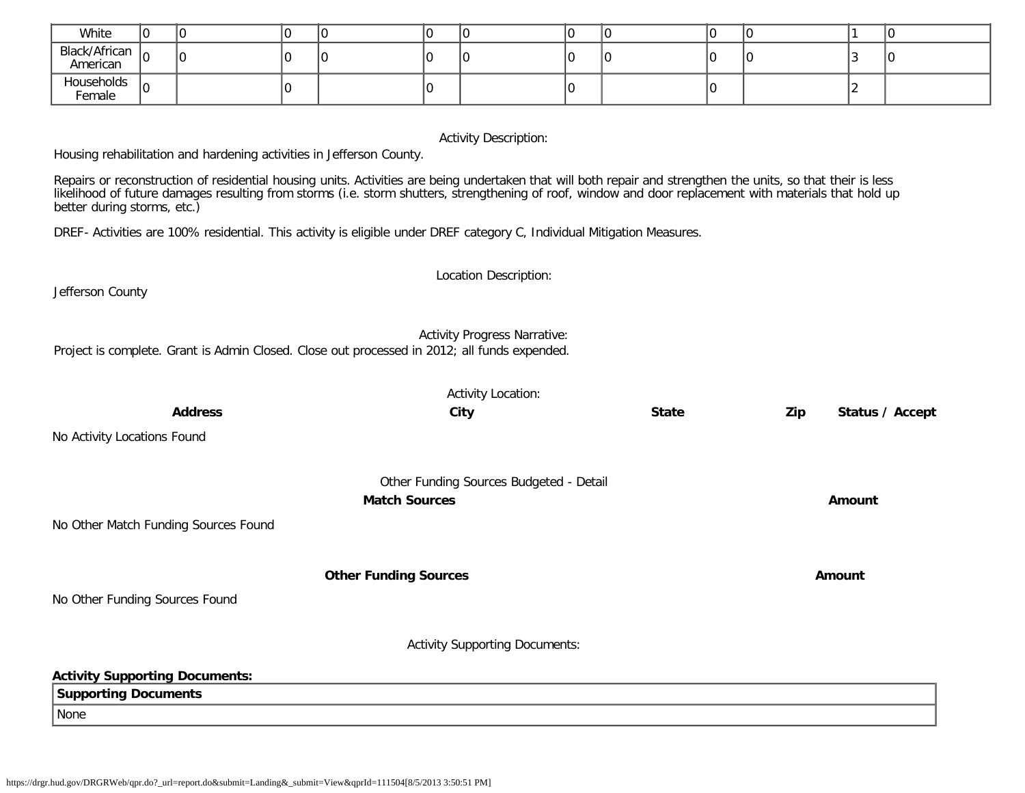| White                                                                                                                                                                                                                                                                                                                                                                                                                                                                                                                                                                                                                                                                                                                                                                         | l0                                                                       | 0                                    | $\mathbf{0}$ | 10                   | 0  | 10                                      | 0 | 10           | $\mathbf 0$ | 0   |                | 0               |
|-------------------------------------------------------------------------------------------------------------------------------------------------------------------------------------------------------------------------------------------------------------------------------------------------------------------------------------------------------------------------------------------------------------------------------------------------------------------------------------------------------------------------------------------------------------------------------------------------------------------------------------------------------------------------------------------------------------------------------------------------------------------------------|--------------------------------------------------------------------------|--------------------------------------|--------------|----------------------|----|-----------------------------------------|---|--------------|-------------|-----|----------------|-----------------|
| Black/African<br>American                                                                                                                                                                                                                                                                                                                                                                                                                                                                                                                                                                                                                                                                                                                                                     | l٥                                                                       | 0                                    | $\Omega$     | l٥                   | l0 | I٥                                      | 0 | 0            | 0           | 0   | 3              | 0               |
| Households<br>Female                                                                                                                                                                                                                                                                                                                                                                                                                                                                                                                                                                                                                                                                                                                                                          | lo                                                                       |                                      | 10           |                      | I٥ |                                         | 0 |              | 0           |     | $\overline{2}$ |                 |
| <b>Activity Description:</b><br>Housing rehabilitation and hardening activities in Jefferson County.<br>Repairs or reconstruction of residential housing units. Activities are being undertaken that will both repair and strengthen the units, so that their is less<br>likelihood of future damages resulting from storms (i.e. storm shutters, strengthening of roof, window and door replacement with materials that hold up<br>better during storms, etc.)<br>DREF-Activities are 100% residential. This activity is eligible under DREF category C, Individual Mitigation Measures.<br>Location Description:<br>Jefferson County<br><b>Activity Progress Narrative:</b><br>Project is complete. Grant is Admin Closed. Close out processed in 2012; all funds expended. |                                                                          |                                      |              |                      |    |                                         |   |              |             |     |                |                 |
|                                                                                                                                                                                                                                                                                                                                                                                                                                                                                                                                                                                                                                                                                                                                                                               |                                                                          |                                      |              |                      |    |                                         |   |              |             |     |                |                 |
|                                                                                                                                                                                                                                                                                                                                                                                                                                                                                                                                                                                                                                                                                                                                                                               |                                                                          | <b>Address</b>                       |              |                      |    | <b>Activity Location:</b><br>City       |   | <b>State</b> |             | Zip |                | Status / Accept |
|                                                                                                                                                                                                                                                                                                                                                                                                                                                                                                                                                                                                                                                                                                                                                                               |                                                                          |                                      |              |                      |    |                                         |   |              |             |     |                |                 |
| No Activity Locations Found                                                                                                                                                                                                                                                                                                                                                                                                                                                                                                                                                                                                                                                                                                                                                   |                                                                          |                                      |              |                      |    |                                         |   |              |             |     |                |                 |
|                                                                                                                                                                                                                                                                                                                                                                                                                                                                                                                                                                                                                                                                                                                                                                               |                                                                          |                                      |              | <b>Match Sources</b> |    | Other Funding Sources Budgeted - Detail |   |              |             |     | <b>Amount</b>  |                 |
|                                                                                                                                                                                                                                                                                                                                                                                                                                                                                                                                                                                                                                                                                                                                                                               |                                                                          | No Other Match Funding Sources Found |              |                      |    |                                         |   |              |             |     |                |                 |
|                                                                                                                                                                                                                                                                                                                                                                                                                                                                                                                                                                                                                                                                                                                                                                               |                                                                          |                                      |              |                      |    |                                         |   |              |             |     |                |                 |
|                                                                                                                                                                                                                                                                                                                                                                                                                                                                                                                                                                                                                                                                                                                                                                               | <b>Other Funding Sources</b><br>Amount<br>No Other Funding Sources Found |                                      |              |                      |    |                                         |   |              |             |     |                |                 |
| <b>Activity Supporting Documents:</b>                                                                                                                                                                                                                                                                                                                                                                                                                                                                                                                                                                                                                                                                                                                                         |                                                                          |                                      |              |                      |    |                                         |   |              |             |     |                |                 |

| <b>Activity Supporting Documents:</b> |
|---------------------------------------|
| Supporting Documents                  |
| None                                  |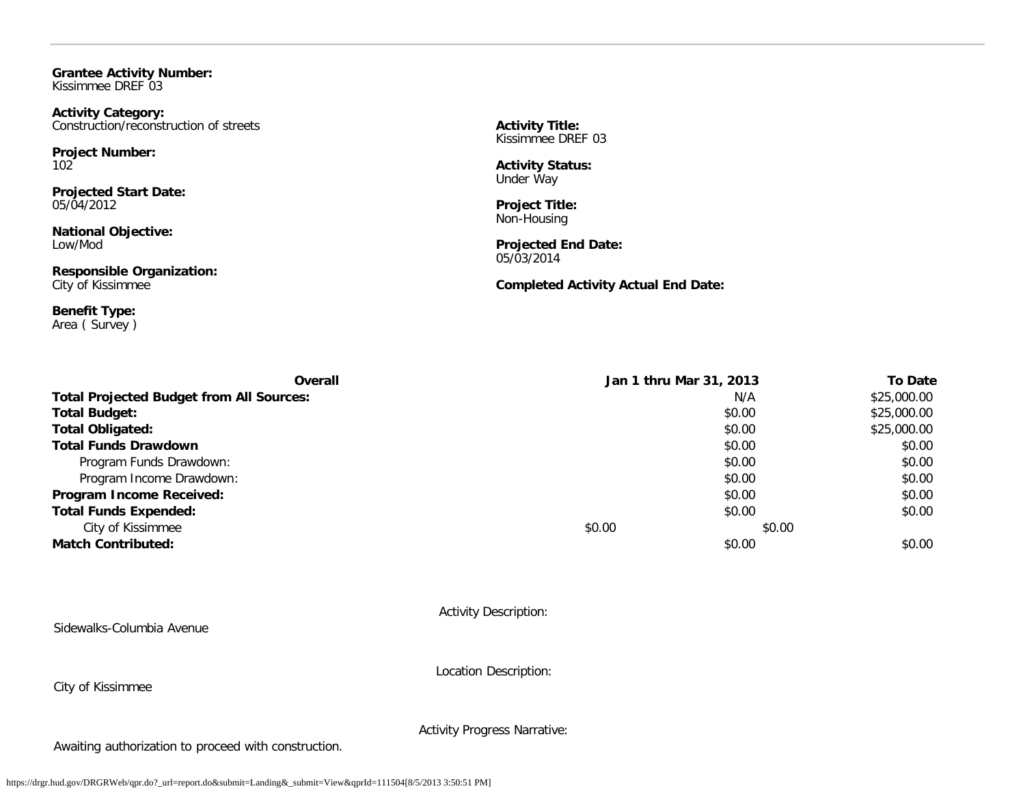**Grantee Activity Number:** Kissimmee DREF 03

**Activity Category:** Construction/reconstruction of streets

**Project Number:** 102

**Projected Start Date:** 05/04/2012

**National Objective:** Low/Mod

**Responsible Organization:** City of Kissimmee

**Benefit Type:** Area ( Survey ) **Activity Title:** Kissimmee DREF 03

**Activity Status:** Under Way

**Project Title:** Non-Housing

**Projected End Date:** 05/03/2014

**Completed Activity Actual End Date:**

| <b>Overall</b>                                  |        | Jan 1 thru Mar 31, 2013 | <b>To Date</b> |
|-------------------------------------------------|--------|-------------------------|----------------|
| <b>Total Projected Budget from All Sources:</b> |        | N/A                     | \$25,000.00    |
| <b>Total Budget:</b>                            |        | \$0.00                  | \$25,000.00    |
| <b>Total Obligated:</b>                         |        | \$0.00                  | \$25,000.00    |
| <b>Total Funds Drawdown</b>                     |        | \$0.00                  | \$0.00         |
| Program Funds Drawdown:                         |        | \$0.00                  | \$0.00         |
| Program Income Drawdown:                        |        | \$0.00                  | \$0.00         |
| Program Income Received:                        |        | \$0.00                  | \$0.00         |
| <b>Total Funds Expended:</b>                    |        | \$0.00                  | \$0.00         |
| City of Kissimmee                               | \$0.00 | \$0.00                  |                |
| <b>Match Contributed:</b>                       |        | \$0.00                  | \$0.00         |

Activity Description:

Sidewalks-Columbia Avenue

City of Kissimmee

Location Description:

Activity Progress Narrative:

Awaiting authorization to proceed with construction.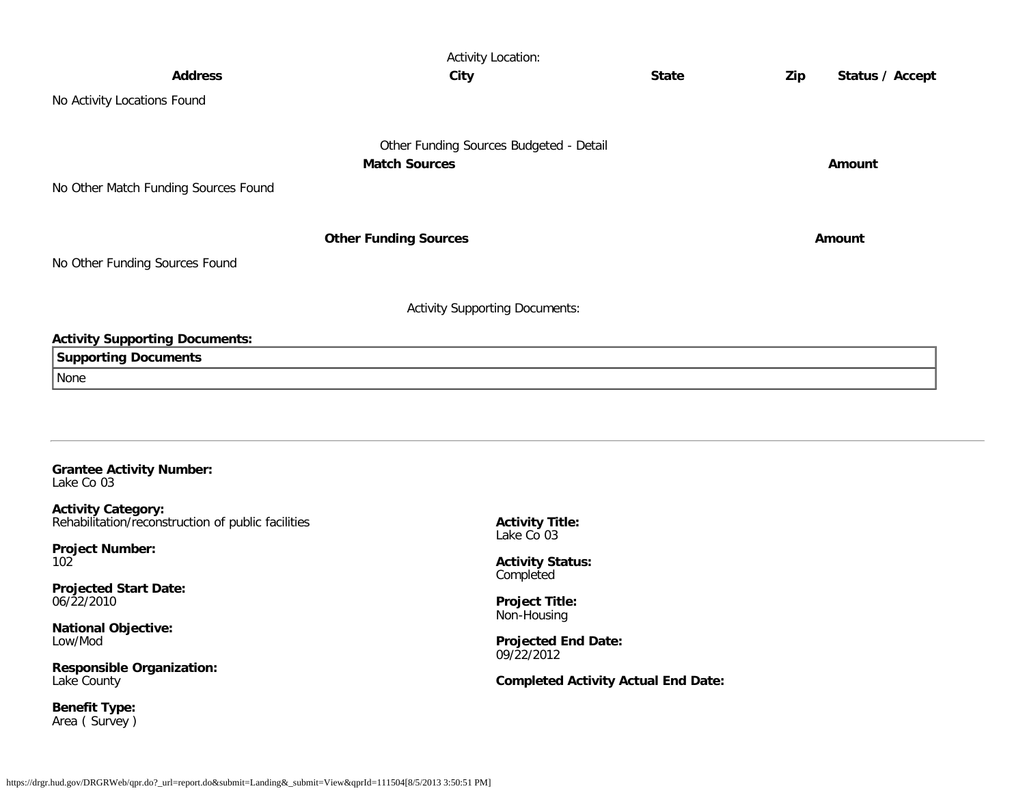|                                               | <b>Activity Location:</b>               |              |     |                 |
|-----------------------------------------------|-----------------------------------------|--------------|-----|-----------------|
| <b>Address</b>                                | City                                    | <b>State</b> | Zip | Status / Accept |
| No Activity Locations Found                   |                                         |              |     |                 |
|                                               |                                         |              |     |                 |
|                                               | Other Funding Sources Budgeted - Detail |              |     |                 |
|                                               | <b>Match Sources</b>                    |              |     | Amount          |
| No Other Match Funding Sources Found          |                                         |              |     |                 |
|                                               |                                         |              |     |                 |
|                                               | <b>Other Funding Sources</b>            |              |     | Amount          |
| No Other Funding Sources Found                |                                         |              |     |                 |
|                                               |                                         |              |     |                 |
|                                               | <b>Activity Supporting Documents:</b>   |              |     |                 |
| <b>Activity Supporting Documents:</b>         |                                         |              |     |                 |
| <b>Supporting Documents</b>                   |                                         |              |     |                 |
| None                                          |                                         |              |     |                 |
|                                               |                                         |              |     |                 |
|                                               |                                         |              |     |                 |
|                                               |                                         |              |     |                 |
| <b>Grantee Activity Number:</b><br>Lake Co 03 |                                         |              |     |                 |

**Activity Category:** Rehabilitation/reconstruction of public facilities

**Project Number:** 102

**Projected Start Date:** 06/22/2010

**National Objective:** Low/Mod

**Responsible Organization:** Lake County

**Benefit Type:** Area ( Survey ) **Activity Title:** Lake Co 03

**Activity Status:** Completed

**Project Title:** Non-Housing

**Projected End Date:** 09/22/2012

**Completed Activity Actual End Date:**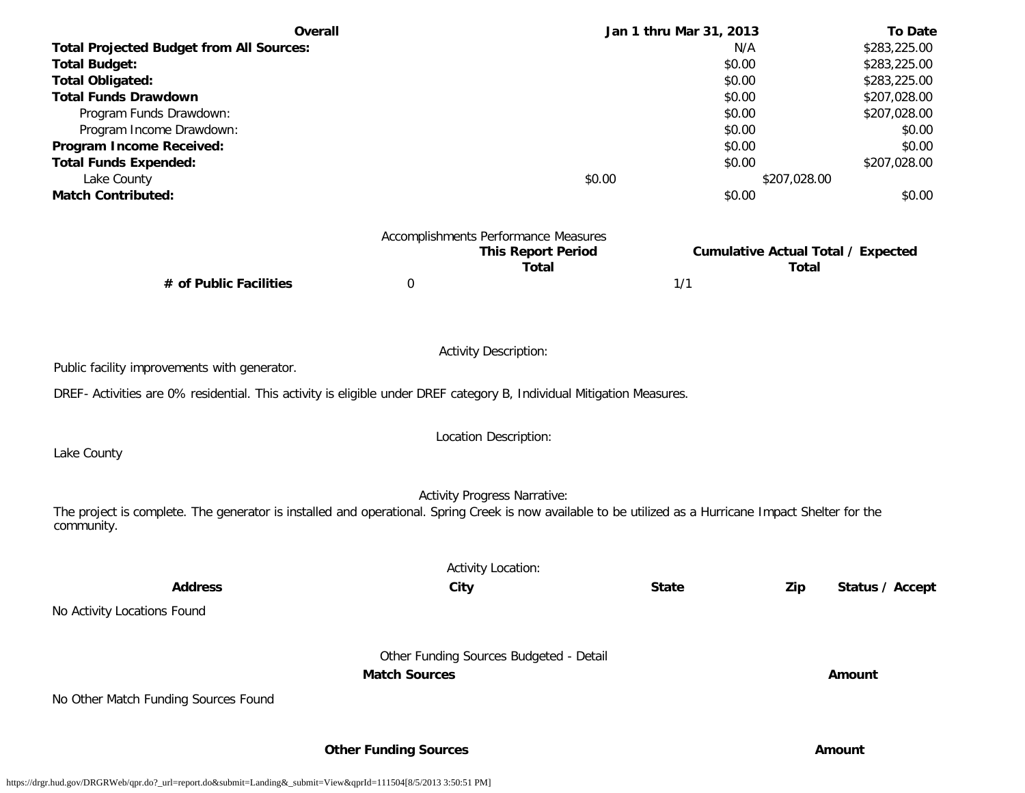| Overall                                                                                                                                                 |                                         |                           | Jan 1 thru Mar 31, 2013 | <b>To Date</b>                                            |
|---------------------------------------------------------------------------------------------------------------------------------------------------------|-----------------------------------------|---------------------------|-------------------------|-----------------------------------------------------------|
| <b>Total Projected Budget from All Sources:</b>                                                                                                         |                                         |                           | N/A                     | \$283,225.00                                              |
| <b>Total Budget:</b>                                                                                                                                    |                                         |                           | \$0.00                  | \$283,225.00                                              |
| <b>Total Obligated:</b>                                                                                                                                 |                                         |                           | \$0.00                  | \$283,225.00                                              |
| <b>Total Funds Drawdown</b>                                                                                                                             |                                         |                           | \$0.00                  | \$207,028.00                                              |
| Program Funds Drawdown:                                                                                                                                 |                                         |                           | \$0.00                  | \$207,028.00                                              |
| Program Income Drawdown:                                                                                                                                |                                         |                           | \$0.00                  | \$0.00                                                    |
| Program Income Received:                                                                                                                                |                                         |                           | \$0.00                  | \$0.00                                                    |
| <b>Total Funds Expended:</b>                                                                                                                            |                                         |                           | \$0.00                  | \$207,028.00                                              |
| Lake County                                                                                                                                             |                                         | \$0.00                    |                         | \$207,028.00                                              |
| <b>Match Contributed:</b>                                                                                                                               |                                         |                           | \$0.00                  | \$0.00                                                    |
|                                                                                                                                                         |                                         |                           |                         |                                                           |
|                                                                                                                                                         | Accomplishments Performance Measures    | <b>This Report Period</b> |                         |                                                           |
|                                                                                                                                                         |                                         | <b>Total</b>              |                         | <b>Cumulative Actual Total / Expected</b><br><b>Total</b> |
| # of Public Facilities                                                                                                                                  | $\boldsymbol{0}$                        |                           | 1/1                     |                                                           |
|                                                                                                                                                         |                                         |                           |                         |                                                           |
|                                                                                                                                                         |                                         |                           |                         |                                                           |
|                                                                                                                                                         | <b>Activity Description:</b>            |                           |                         |                                                           |
| Public facility improvements with generator.                                                                                                            |                                         |                           |                         |                                                           |
|                                                                                                                                                         |                                         |                           |                         |                                                           |
| DREF- Activities are 0% residential. This activity is eligible under DREF category B, Individual Mitigation Measures.                                   |                                         |                           |                         |                                                           |
|                                                                                                                                                         | Location Description:                   |                           |                         |                                                           |
| Lake County                                                                                                                                             |                                         |                           |                         |                                                           |
|                                                                                                                                                         |                                         |                           |                         |                                                           |
|                                                                                                                                                         | <b>Activity Progress Narrative:</b>     |                           |                         |                                                           |
| The project is complete. The generator is installed and operational. Spring Creek is now available to be utilized as a Hurricane Impact Shelter for the |                                         |                           |                         |                                                           |
| community.                                                                                                                                              |                                         |                           |                         |                                                           |
|                                                                                                                                                         |                                         |                           |                         |                                                           |
|                                                                                                                                                         | <b>Activity Location:</b>               |                           |                         |                                                           |
| <b>Address</b>                                                                                                                                          | City                                    |                           | <b>State</b>            | Zip<br>Status / Accept                                    |
| No Activity Locations Found                                                                                                                             |                                         |                           |                         |                                                           |
|                                                                                                                                                         |                                         |                           |                         |                                                           |
|                                                                                                                                                         | Other Funding Sources Budgeted - Detail |                           |                         |                                                           |
|                                                                                                                                                         | <b>Match Sources</b>                    |                           |                         | Amount                                                    |
| No Other Match Funding Sources Found                                                                                                                    |                                         |                           |                         |                                                           |
|                                                                                                                                                         |                                         |                           |                         |                                                           |
|                                                                                                                                                         |                                         |                           |                         |                                                           |

**Other Funding Sources Amount**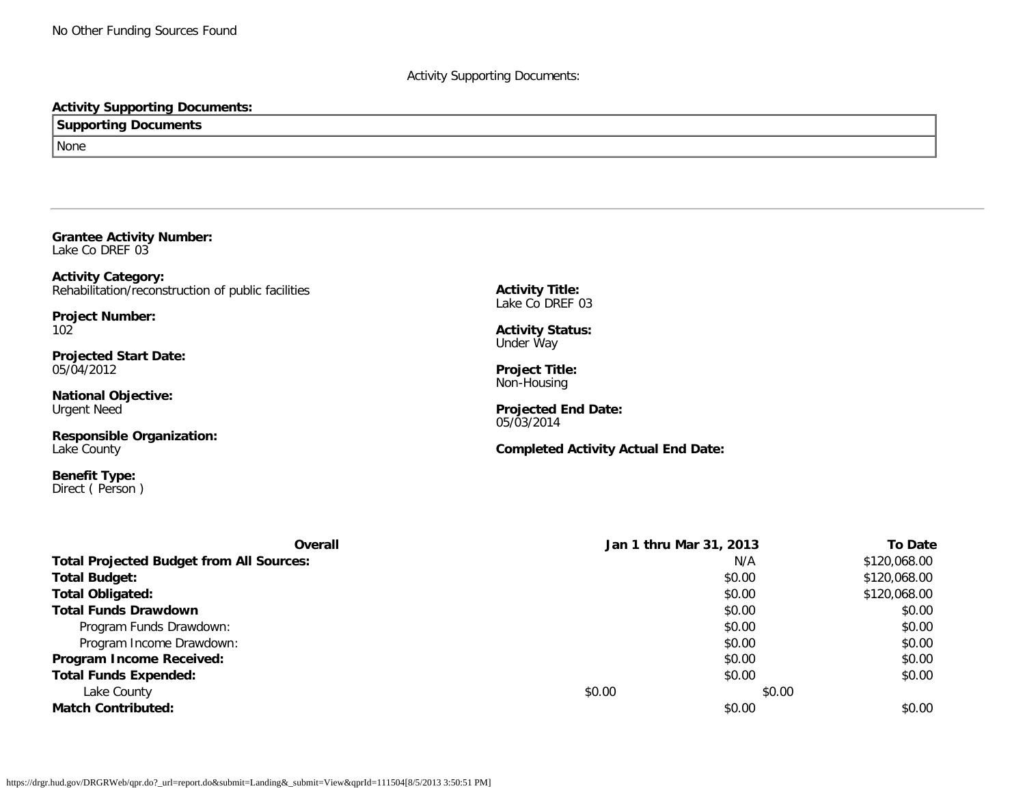### Activity Supporting Documents:

### **Activity Supporting Documents:**

**Supporting Documents** None

**Grantee Activity Number:** Lake Co DREF 03

**Activity Category:** Rehabilitation/reconstruction of public facilities

**Project Number:** 102

**Projected Start Date:** 05/04/2012

**National Objective:** Urgent Need

**Responsible Organization:** Lake County

**Benefit Type:** Direct ( Person ) **Activity Title:** Lake Co DREF 03

**Activity Status:** Under Way

**Project Title:** Non-Housing

**Projected End Date:** 05/03/2014

**Completed Activity Actual End Date:**

| Overall                                         |        | Jan 1 thru Mar 31, 2013 | <b>To Date</b> |
|-------------------------------------------------|--------|-------------------------|----------------|
| <b>Total Projected Budget from All Sources:</b> |        | N/A                     | \$120,068.00   |
| <b>Total Budget:</b>                            |        | \$0.00                  | \$120,068.00   |
| <b>Total Obligated:</b>                         |        | \$0.00                  | \$120,068.00   |
| <b>Total Funds Drawdown</b>                     |        | \$0.00                  | \$0.00         |
| Program Funds Drawdown:                         |        | \$0.00                  | \$0.00         |
| Program Income Drawdown:                        |        | \$0.00                  | \$0.00         |
| Program Income Received:                        |        | \$0.00                  | \$0.00         |
| <b>Total Funds Expended:</b>                    |        | \$0.00                  | \$0.00         |
| Lake County                                     | \$0.00 | \$0.00                  |                |
| <b>Match Contributed:</b>                       |        | \$0.00                  | \$0.00         |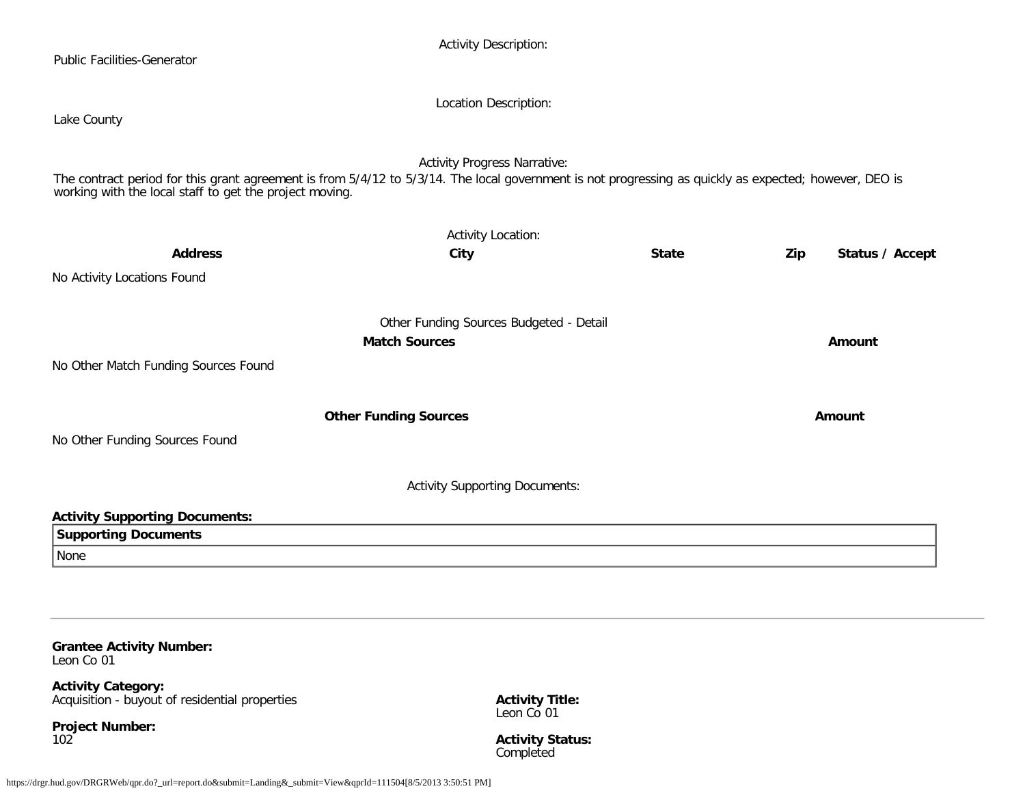| <b>Public Facilities-Generator</b>                                                                                                                                                                                | <b>Activity Description:</b>            |              |     |                 |
|-------------------------------------------------------------------------------------------------------------------------------------------------------------------------------------------------------------------|-----------------------------------------|--------------|-----|-----------------|
|                                                                                                                                                                                                                   | Location Description:                   |              |     |                 |
| Lake County                                                                                                                                                                                                       |                                         |              |     |                 |
|                                                                                                                                                                                                                   | <b>Activity Progress Narrative:</b>     |              |     |                 |
| The contract period for this grant agreement is from 5/4/12 to 5/3/14. The local government is not progressing as quickly as expected; however, DEO is<br>working with the local staff to get the project moving. |                                         |              |     |                 |
|                                                                                                                                                                                                                   | <b>Activity Location:</b>               |              |     |                 |
| <b>Address</b>                                                                                                                                                                                                    | City                                    | <b>State</b> | Zip | Status / Accept |
| No Activity Locations Found                                                                                                                                                                                       |                                         |              |     |                 |
|                                                                                                                                                                                                                   | Other Funding Sources Budgeted - Detail |              |     |                 |
|                                                                                                                                                                                                                   | <b>Match Sources</b>                    |              |     | Amount          |
| No Other Match Funding Sources Found                                                                                                                                                                              |                                         |              |     |                 |
|                                                                                                                                                                                                                   | <b>Other Funding Sources</b>            |              |     | Amount          |
| No Other Funding Sources Found                                                                                                                                                                                    |                                         |              |     |                 |
|                                                                                                                                                                                                                   | <b>Activity Supporting Documents:</b>   |              |     |                 |
| <b>Activity Supporting Documents:</b>                                                                                                                                                                             |                                         |              |     |                 |
| <b>Supporting Documents</b>                                                                                                                                                                                       |                                         |              |     |                 |
| None                                                                                                                                                                                                              |                                         |              |     |                 |
|                                                                                                                                                                                                                   |                                         |              |     |                 |

**Grantee Activity Number:** Leon Co 01

**Activity Category:** Acquisition - buyout of residential properties

**Project Number:** 102

**Activity Title:** Leon Co 01

**Activity Status:** Completed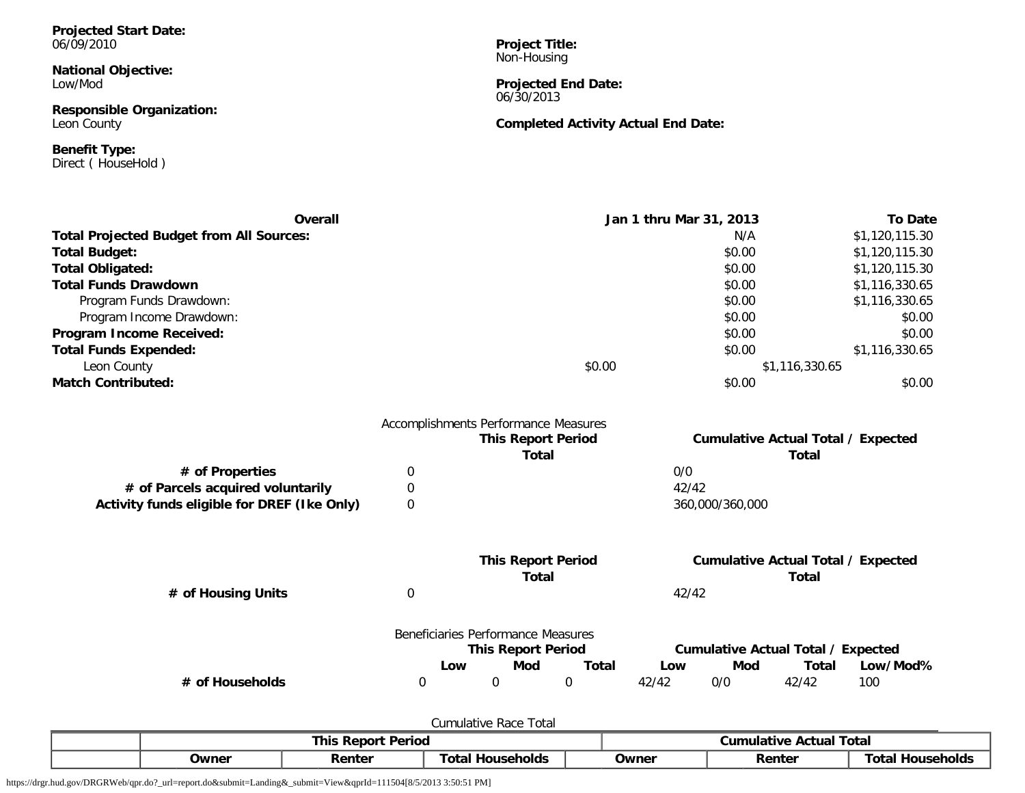#### **Projected Start Date:** 06/09/2010

**National Objective:** Low/Mod

**Responsible Organization:** Leon County

**Benefit Type:** Direct ( HouseHold )

**Project Title:** Non-Housing

**Projected End Date:** 06/30/2013

## **Completed Activity Actual End Date:**

| Overall                                         |             |                                      |              | Jan 1 thru Mar 31, 2013 |                 |                                           | <b>To Date</b> |
|-------------------------------------------------|-------------|--------------------------------------|--------------|-------------------------|-----------------|-------------------------------------------|----------------|
| <b>Total Projected Budget from All Sources:</b> |             |                                      |              |                         | N/A             |                                           | \$1,120,115.30 |
| <b>Total Budget:</b>                            |             |                                      |              |                         | \$0.00          |                                           | \$1,120,115.30 |
| <b>Total Obligated:</b>                         |             |                                      |              |                         | \$0.00          |                                           | \$1,120,115.30 |
| <b>Total Funds Drawdown</b>                     |             |                                      |              |                         | \$0.00          |                                           | \$1,116,330.65 |
| Program Funds Drawdown:                         |             |                                      |              |                         | \$0.00          |                                           | \$1,116,330.65 |
| Program Income Drawdown:                        |             |                                      |              |                         | \$0.00          |                                           | \$0.00         |
| Program Income Received:                        |             |                                      |              |                         | \$0.00          |                                           | \$0.00         |
| <b>Total Funds Expended:</b>                    |             |                                      |              |                         | \$0.00          |                                           | \$1,116,330.65 |
| Leon County                                     |             |                                      | \$0.00       |                         |                 | \$1,116,330.65                            |                |
| <b>Match Contributed:</b>                       |             |                                      |              |                         | \$0.00          |                                           | \$0.00         |
|                                                 |             | Accomplishments Performance Measures |              |                         |                 |                                           |                |
|                                                 |             | <b>This Report Period</b>            |              |                         |                 | <b>Cumulative Actual Total / Expected</b> |                |
|                                                 |             |                                      | <b>Total</b> |                         |                 | <b>Total</b>                              |                |
| # of Properties                                 | 0           |                                      |              | 0/0                     |                 |                                           |                |
| # of Parcels acquired voluntarily               | 0           |                                      |              | 42/42                   |                 |                                           |                |
| Activity funds eligible for DREF (Ike Only)     | $\Omega$    |                                      |              |                         | 360,000/360,000 |                                           |                |
|                                                 |             | <b>This Report Period</b>            |              |                         |                 | <b>Cumulative Actual Total / Expected</b> |                |
|                                                 |             |                                      | <b>Total</b> |                         |                 | Total                                     |                |
| # of Housing Units                              | 0           |                                      |              | 42/42                   |                 |                                           |                |
|                                                 |             | Beneficiaries Performance Measures   |              |                         |                 |                                           |                |
|                                                 |             | <b>This Report Period</b>            |              |                         |                 | <b>Cumulative Actual Total / Expected</b> |                |
|                                                 |             | Mod<br>Low                           | <b>Total</b> | Low                     | Mod             | <b>Total</b>                              | Low/Mod%       |
| # of Households                                 | $\mathbf 0$ | 0                                    | 0            | 42/42                   | 0/0             | 42/42                                     | 100            |
|                                                 |             |                                      |              |                         |                 |                                           |                |

| Tota<br>Race<br>Cumulative |                           |        |                            |       |                                   |                       |  |  |  |  |  |
|----------------------------|---------------------------|--------|----------------------------|-------|-----------------------------------|-----------------------|--|--|--|--|--|
|                            | <b>This Report Period</b> |        |                            |       | <b>Actual Total</b><br>Cumulative |                       |  |  |  |  |  |
|                            | Owner                     | Renter | Гоtаl<br><b>Households</b> | Owner | Renter                            | Гоtаl<br>, Households |  |  |  |  |  |

https://drgr.hud.gov/DRGRWeb/qpr.do?\_url=report.do&submit=Landing&\_submit=View&qprId=111504[8/5/2013 3:50:51 PM]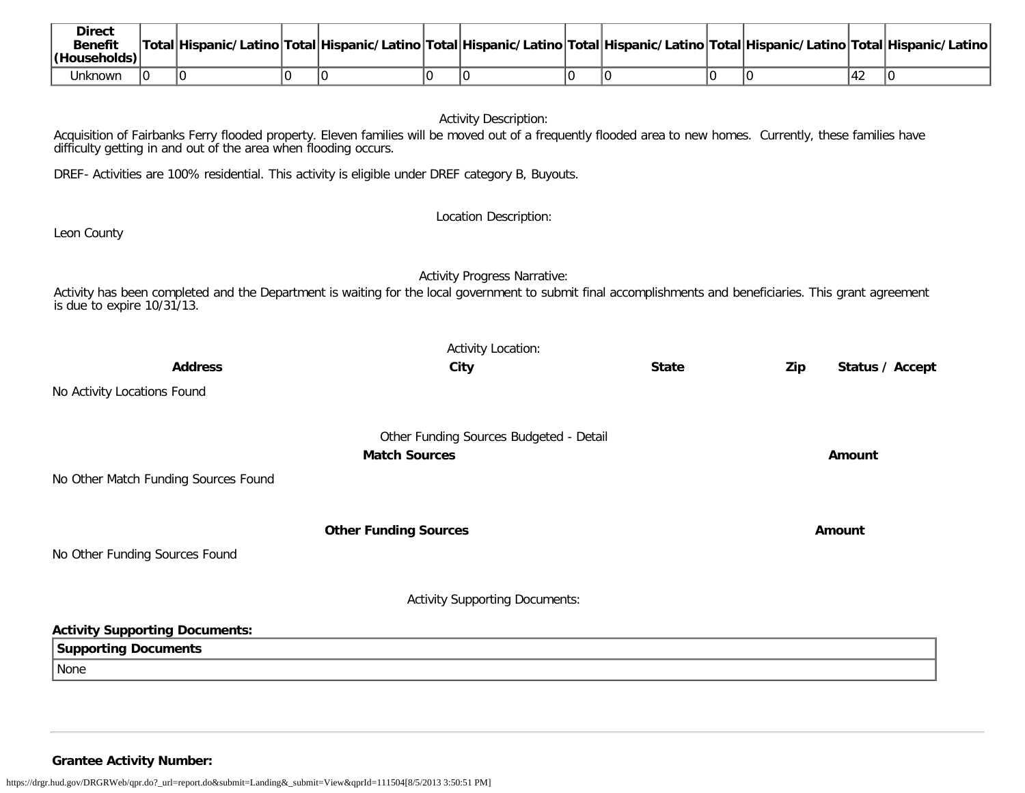| <b>Direct</b><br><b>Benefit</b><br>(Households) |  |  |  | Total Hispanic/Latino Total Hispanic/Latino Total Hispanic/Latino Total Hispanic/Latino Total Hispanic/Latino Total Hispanic/Latino |  |      |  |
|-------------------------------------------------|--|--|--|-------------------------------------------------------------------------------------------------------------------------------------|--|------|--|
| Unknown                                         |  |  |  |                                                                                                                                     |  | 44 Z |  |

Activity Description:

Acquisition of Fairbanks Ferry flooded property. Eleven families will be moved out of a frequently flooded area to new homes. Currently, these families have difficulty getting in and out of the area when flooding occurs.

DREF- Activities are 100% residential. This activity is eligible under DREF category B, Buyouts.

Location Description:

Leon County

Activity Progress Narrative:

Activity has been completed and the Department is waiting for the local government to submit final accomplishments and beneficiaries. This grant agreement is due to expire 10/31/13.

|                                       | <b>Activity Location:</b>               |              |     |                 |
|---------------------------------------|-----------------------------------------|--------------|-----|-----------------|
| <b>Address</b>                        | City                                    | <b>State</b> | Zip | Status / Accept |
| No Activity Locations Found           |                                         |              |     |                 |
|                                       | Other Funding Sources Budgeted - Detail |              |     |                 |
|                                       | <b>Match Sources</b>                    |              |     | Amount          |
| No Other Match Funding Sources Found  |                                         |              |     |                 |
|                                       | <b>Other Funding Sources</b>            |              |     | Amount          |
| No Other Funding Sources Found        |                                         |              |     |                 |
|                                       | <b>Activity Supporting Documents:</b>   |              |     |                 |
| <b>Activity Supporting Documents:</b> |                                         |              |     |                 |
| <b>Supporting Documents</b>           |                                         |              |     |                 |
| None                                  |                                         |              |     |                 |

**Grantee Activity Number:**

https://drgr.hud.gov/DRGRWeb/qpr.do?\_url=report.do&submit=Landing&\_submit=View&qprId=111504[8/5/2013 3:50:51 PM]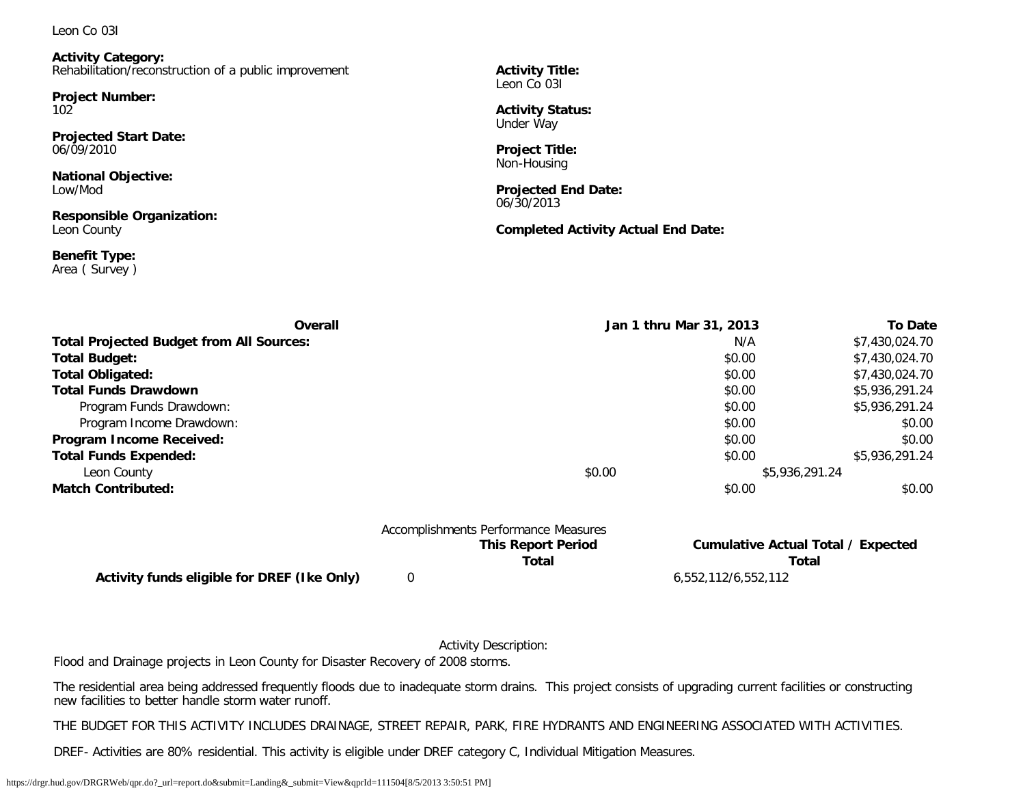#### Leon Co 03I

**Activity Category:** Rehabilitation/reconstruction of a public improvement

**Project Number:** 102

**Projected Start Date:** 06/09/2010

**National Objective:** Low/Mod

**Responsible Organization:** Leon County

**Benefit Type:** Area ( Survey ) **Activity Title:** Leon Co 031

**Activity Status:** Under Way

**Project Title:** Non-Housing

**Projected End Date:** 06/30/2013

**Completed Activity Actual End Date:**

| <b>Overall</b>                                  |        | Jan 1 thru Mar 31, 2013 | <b>To Date</b> |
|-------------------------------------------------|--------|-------------------------|----------------|
| <b>Total Projected Budget from All Sources:</b> |        | N/A                     | \$7,430,024.70 |
| <b>Total Budget:</b>                            |        | \$0.00                  | \$7,430,024.70 |
| <b>Total Obligated:</b>                         |        | \$0.00                  | \$7,430,024.70 |
| <b>Total Funds Drawdown</b>                     |        | \$0.00                  | \$5,936,291.24 |
| Program Funds Drawdown:                         |        | \$0.00                  | \$5,936,291.24 |
| Program Income Drawdown:                        |        | \$0.00                  | \$0.00         |
| Program Income Received:                        |        | \$0.00                  | \$0.00         |
| <b>Total Funds Expended:</b>                    |        | \$0.00                  | \$5,936,291.24 |
| Leon County                                     | \$0.00 | \$5,936,291.24          |                |
| <b>Match Contributed:</b>                       |        | \$0.00                  | \$0.00         |
|                                                 |        |                         |                |

|                                             | Accomplishments Performance Measures |                                    |
|---------------------------------------------|--------------------------------------|------------------------------------|
|                                             | <b>This Report Period</b>            | Cumulative Actual Total / Expected |
|                                             | Total                                | Total                              |
| Activity funds eligible for DREF (Ike Only) |                                      | 6,552,112/6,552,112                |

Activity Description:

Flood and Drainage projects in Leon County for Disaster Recovery of 2008 storms.

The residential area being addressed frequently floods due to inadequate storm drains. This project consists of upgrading current facilities or constructing new facilities to better handle storm water runoff.

THE BUDGET FOR THIS ACTIVITY INCLUDES DRAINAGE, STREET REPAIR, PARK, FIRE HYDRANTS AND ENGINEERING ASSOCIATED WITH ACTIVITIES.

DREF- Activities are 80% residential. This activity is eligible under DREF category C, Individual Mitigation Measures.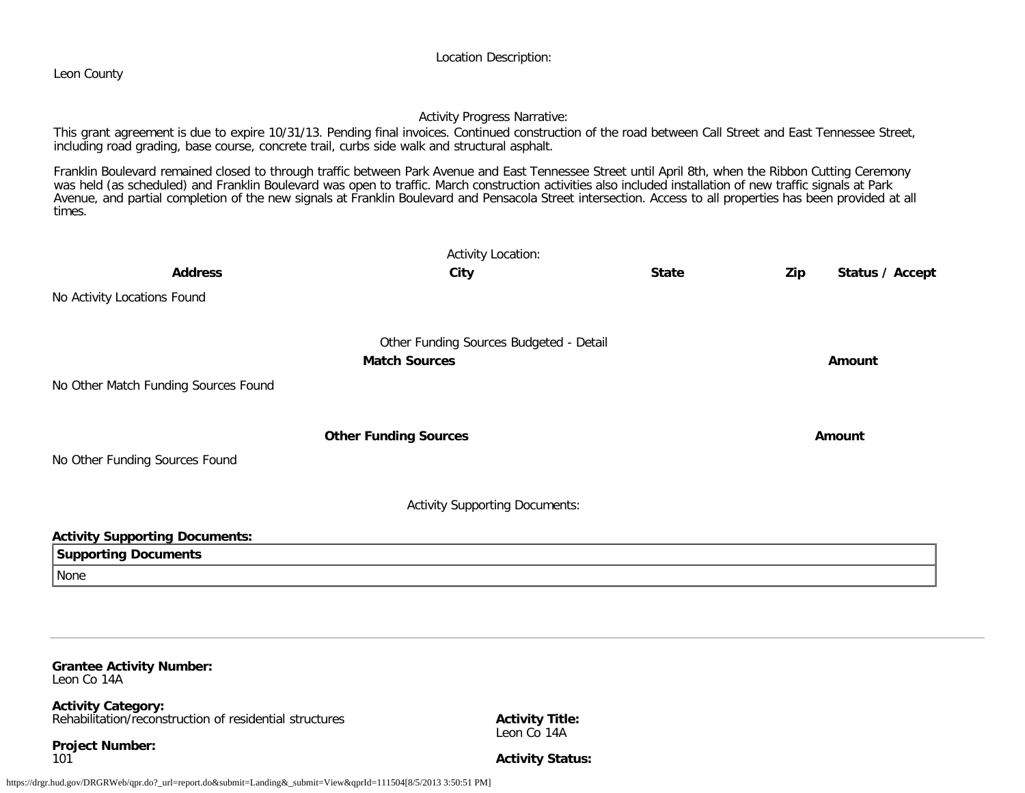#### Location Description:

Leon County

#### Activity Progress Narrative:

This grant agreement is due to expire 10/31/13. Pending final invoices. Continued construction of the road between Call Street and East Tennessee Street, including road grading, base course, concrete trail, curbs side walk and structural asphalt.

Franklin Boulevard remained closed to through traffic between Park Avenue and East Tennessee Street until April 8th, when the Ribbon Cutting Ceremony was held (as scheduled) and Franklin Boulevard was open to traffic. March construction activities also included installation of new traffic signals at Park Avenue, and partial completion of the new signals at Franklin Boulevard and Pensacola Street intersection. Access to all properties has been provided at all times.

|                                       | <b>Activity Location:</b>               |              |     |                 |
|---------------------------------------|-----------------------------------------|--------------|-----|-----------------|
| <b>Address</b>                        | City                                    | <b>State</b> | Zip | Status / Accept |
| No Activity Locations Found           |                                         |              |     |                 |
|                                       | Other Funding Sources Budgeted - Detail |              |     |                 |
|                                       | <b>Match Sources</b>                    |              |     | Amount          |
| No Other Match Funding Sources Found  |                                         |              |     |                 |
|                                       | <b>Other Funding Sources</b>            |              |     | Amount          |
| No Other Funding Sources Found        |                                         |              |     |                 |
|                                       | <b>Activity Supporting Documents:</b>   |              |     |                 |
| <b>Activity Supporting Documents:</b> |                                         |              |     |                 |
| <b>Supporting Documents</b>           |                                         |              |     |                 |
| None                                  |                                         |              |     |                 |

#### **Grantee Activity Number:** Leon Co 14A

**Activity Category:** Rehabilitation/reconstruction of residential structures

**Project Number:** 101

**Activity Title:** Leon Co 14A

**Activity Status:**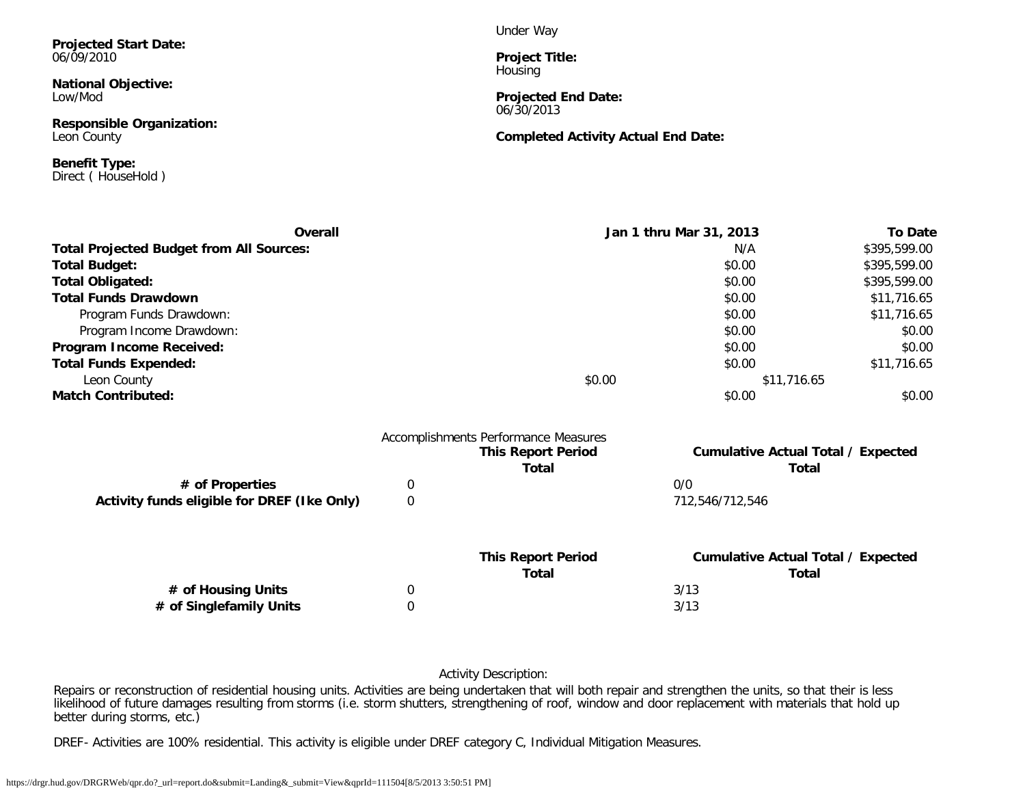**Projected Start Date:** 06/09/2010

**National Objective:** Low/Mod

**Responsible Organization:** Leon County

**Benefit Type:** Direct ( HouseHold ) Under Way

**Project Title: Housing** 

**Projected End Date:** 06/30/2013

**Completed Activity Actual End Date:**

| <b>Overall</b>                                  |        | Jan 1 thru Mar 31, 2013 | <b>To Date</b> |
|-------------------------------------------------|--------|-------------------------|----------------|
| <b>Total Projected Budget from All Sources:</b> |        | N/A                     | \$395,599.00   |
| <b>Total Budget:</b>                            |        | \$0.00                  | \$395,599.00   |
| <b>Total Obligated:</b>                         |        | \$0.00                  | \$395,599.00   |
| <b>Total Funds Drawdown</b>                     |        | \$0.00                  | \$11,716.65    |
| Program Funds Drawdown:                         |        | \$0.00                  | \$11,716.65    |
| Program Income Drawdown:                        |        | \$0.00                  | \$0.00         |
| Program Income Received:                        |        | \$0.00                  | \$0.00         |
| <b>Total Funds Expended:</b>                    |        | \$0.00                  | \$11,716.65    |
| Leon County                                     | \$0.00 | \$11,716.65             |                |
| <b>Match Contributed:</b>                       |        | \$0.00                  | \$0.00         |

|                                             |   | <b>This Report Period</b><br><b>Total</b> | <b>Cumulative Actual Total / Expected</b><br>Total |
|---------------------------------------------|---|-------------------------------------------|----------------------------------------------------|
| # of Properties                             | 0 |                                           | 0/0                                                |
| Activity funds eligible for DREF (Ike Only) | 0 |                                           | 712.546/712.546                                    |
|                                             |   | <b>This Report Period</b>                 | <b>Cumulative Actual Total / Expected</b>          |
|                                             |   | Total                                     | Total                                              |
| # of Housing Units                          | 0 |                                           | 3/13                                               |
|                                             |   |                                           | 3/13                                               |

Activity Description:

Repairs or reconstruction of residential housing units. Activities are being undertaken that will both repair and strengthen the units, so that their is less likelihood of future damages resulting from storms (i.e. storm shutters, strengthening of roof, window and door replacement with materials that hold up better during storms, etc.)

DREF- Activities are 100% residential. This activity is eligible under DREF category C, Individual Mitigation Measures.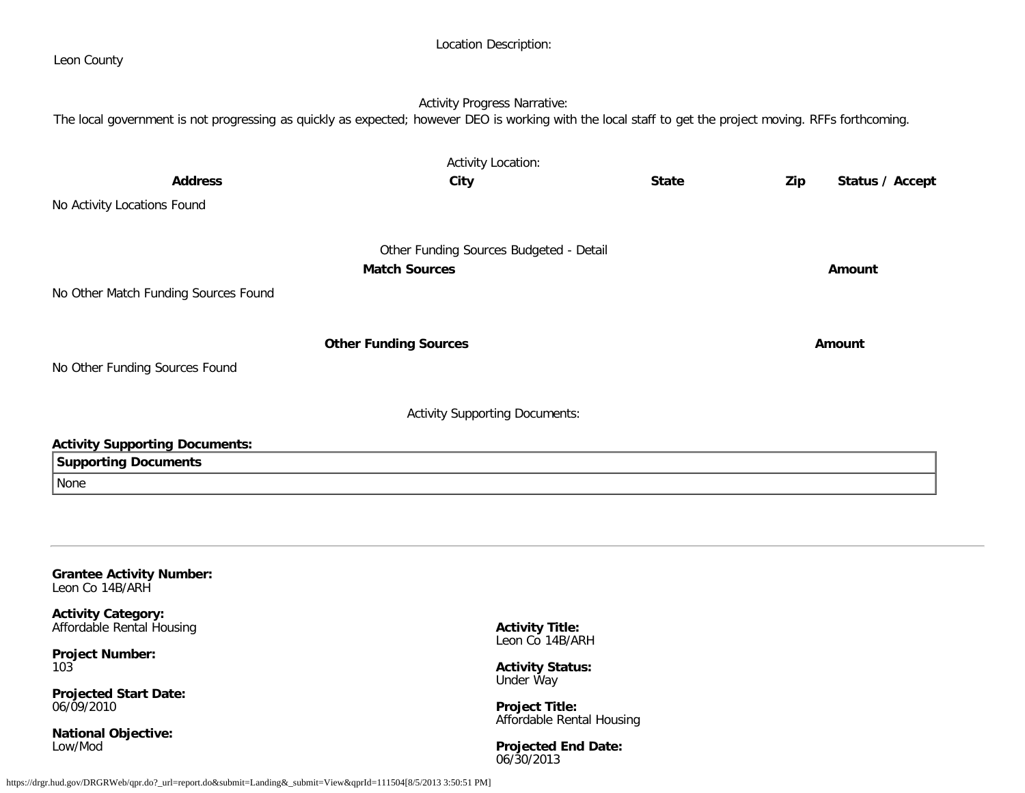| Leon County                                                                                                                                              |                                         |              |                        |
|----------------------------------------------------------------------------------------------------------------------------------------------------------|-----------------------------------------|--------------|------------------------|
| The local government is not progressing as quickly as expected; however DEO is working with the local staff to get the project moving. RFFs forthcoming. | <b>Activity Progress Narrative:</b>     |              |                        |
|                                                                                                                                                          |                                         |              |                        |
|                                                                                                                                                          | <b>Activity Location:</b>               |              |                        |
| <b>Address</b>                                                                                                                                           | City                                    | <b>State</b> | Status / Accept<br>Zip |
| No Activity Locations Found                                                                                                                              |                                         |              |                        |
|                                                                                                                                                          | Other Funding Sources Budgeted - Detail |              |                        |
|                                                                                                                                                          | <b>Match Sources</b>                    |              | Amount                 |
| No Other Match Funding Sources Found                                                                                                                     |                                         |              |                        |
|                                                                                                                                                          | <b>Other Funding Sources</b>            |              | Amount                 |
| No Other Funding Sources Found                                                                                                                           |                                         |              |                        |
|                                                                                                                                                          | <b>Activity Supporting Documents:</b>   |              |                        |
| <b>Activity Supporting Documents:</b>                                                                                                                    |                                         |              |                        |
| <b>Supporting Documents</b>                                                                                                                              |                                         |              |                        |
| None                                                                                                                                                     |                                         |              |                        |
|                                                                                                                                                          |                                         |              |                        |
|                                                                                                                                                          |                                         |              |                        |
|                                                                                                                                                          |                                         |              |                        |
| <b>Grantee Activity Number:</b>                                                                                                                          |                                         |              |                        |

Location Description:

**Activity Category:** Affordable Rental Housing

**Project Number:** 103

**Projected Start Date:** 06/09/2010

**National Objective:** Low/Mod

**Activity Title:** Leon Co 14B/ARH

**Activity Status:** Under Way

**Project Title:** Affordable Rental Housing

**Projected End Date:** 06/30/2013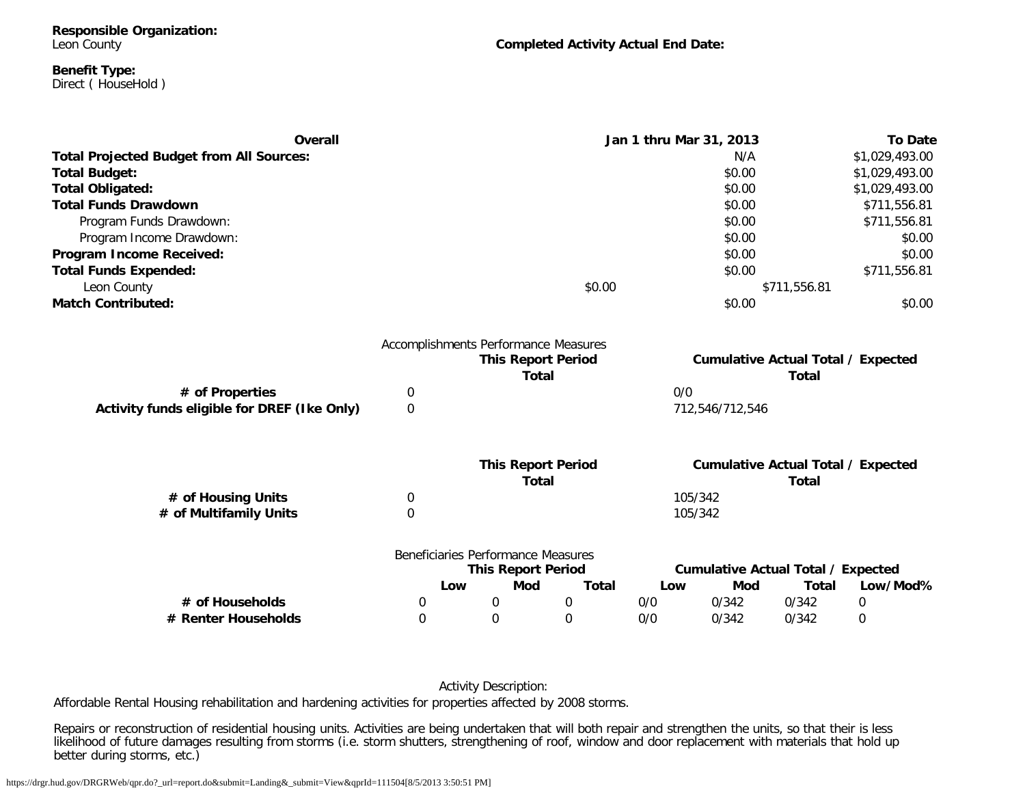**Responsible Organization:** Leon County

**Completed Activity Actual End Date:**

#### **Benefit Type:** Direct ( HouseHold )

| Overall                                         |             |                                      |              | Jan 1 thru Mar 31, 2013 |                 |                                           | <b>To Date</b> |
|-------------------------------------------------|-------------|--------------------------------------|--------------|-------------------------|-----------------|-------------------------------------------|----------------|
| <b>Total Projected Budget from All Sources:</b> |             |                                      |              |                         | N/A             |                                           | \$1,029,493.00 |
| <b>Total Budget:</b>                            |             |                                      |              |                         | \$0.00          |                                           | \$1,029,493.00 |
| <b>Total Obligated:</b>                         |             |                                      |              |                         | \$0.00          |                                           | \$1,029,493.00 |
| <b>Total Funds Drawdown</b>                     |             |                                      |              | \$0.00                  |                 | \$711,556.81                              |                |
| Program Funds Drawdown:                         |             |                                      |              |                         | \$0.00          |                                           | \$711,556.81   |
| Program Income Drawdown:                        |             |                                      |              |                         | \$0.00          |                                           | \$0.00         |
| Program Income Received:                        |             |                                      |              |                         | \$0.00          |                                           | \$0.00         |
| <b>Total Funds Expended:</b>                    |             |                                      |              |                         | \$0.00          |                                           | \$711,556.81   |
| Leon County                                     |             |                                      | \$0.00       |                         |                 | \$711,556.81                              |                |
| <b>Match Contributed:</b>                       |             |                                      |              |                         | \$0.00          |                                           | \$0.00         |
|                                                 |             | Accomplishments Performance Measures |              |                         |                 |                                           |                |
|                                                 |             | <b>This Report Period</b>            |              |                         |                 | <b>Cumulative Actual Total / Expected</b> |                |
|                                                 |             | <b>Total</b>                         |              |                         |                 | <b>Total</b>                              |                |
| # of Properties                                 | $\mathbf 0$ |                                      |              | 0/0                     |                 |                                           |                |
| Activity funds eligible for DREF (Ike Only)     | 0           |                                      |              |                         | 712,546/712,546 |                                           |                |
|                                                 |             | <b>This Report Period</b>            |              |                         |                 | <b>Cumulative Actual Total / Expected</b> |                |
|                                                 |             | <b>Total</b>                         |              |                         |                 | <b>Total</b>                              |                |
| # of Housing Units                              | 0           |                                      |              |                         | 105/342         |                                           |                |
| # of Multifamily Units                          | 0           |                                      |              |                         | 105/342         |                                           |                |
|                                                 |             | Beneficiaries Performance Measures   |              |                         |                 |                                           |                |
|                                                 |             | <b>This Report Period</b>            |              |                         |                 | <b>Cumulative Actual Total / Expected</b> |                |
|                                                 | Low         | Mod                                  | <b>Total</b> | Low                     | Mod             | <b>Total</b>                              | Low/Mod%       |
| # of Households                                 | 0           | $\mathbf 0$                          | $\mathbf 0$  | 0/0                     | 0/342           | 0/342                                     | 0              |
| # Renter Households                             | $\Omega$    | $\Omega$                             | 0            | 0/0                     | 0/342           | 0/342                                     | 0              |
|                                                 |             |                                      |              |                         |                 |                                           |                |

#### Activity Description:

Affordable Rental Housing rehabilitation and hardening activities for properties affected by 2008 storms.

Repairs or reconstruction of residential housing units. Activities are being undertaken that will both repair and strengthen the units, so that their is less likelihood of future damages resulting from storms (i.e. storm shutters, strengthening of roof, window and door replacement with materials that hold up better during storms, etc.)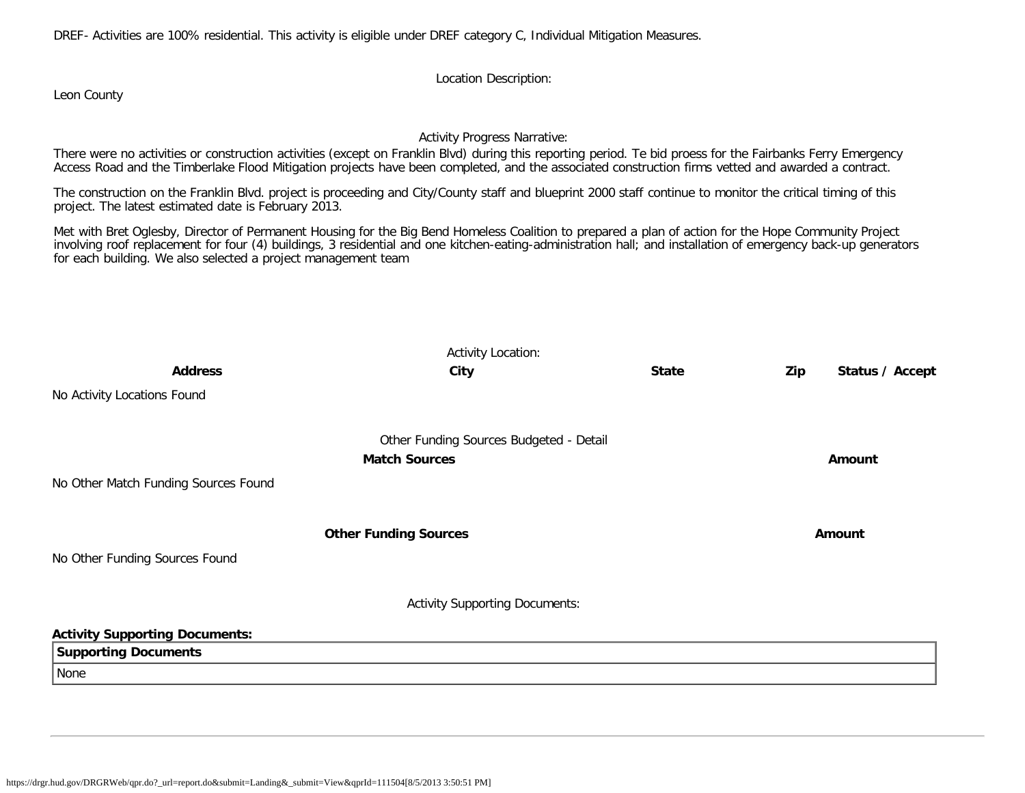DREF- Activities are 100% residential. This activity is eligible under DREF category C, Individual Mitigation Measures.

Location Description:

Leon County

### Activity Progress Narrative:

There were no activities or construction activities (except on Franklin Blvd) during this reporting period. Te bid proess for the Fairbanks Ferry Emergency Access Road and the Timberlake Flood Mitigation projects have been completed, and the associated construction firms vetted and awarded a contract.

The construction on the Franklin Blvd. project is proceeding and City/County staff and blueprint 2000 staff continue to monitor the critical timing of this project. The latest estimated date is February 2013.

Met with Bret Oglesby, Director of Permanent Housing for the Big Bend Homeless Coalition to prepared a plan of action for the Hope Community Project involving roof replacement for four (4) buildings, 3 residential and one kitchen-eating-administration hall; and installation of emergency back-up generators for each building. We also selected a project management team

| <b>Address</b>                        | City                                    | <b>State</b> | Zip | Status / Accept |
|---------------------------------------|-----------------------------------------|--------------|-----|-----------------|
| No Activity Locations Found           |                                         |              |     |                 |
|                                       | Other Funding Sources Budgeted - Detail |              |     |                 |
|                                       | <b>Match Sources</b>                    |              |     | Amount          |
| No Other Match Funding Sources Found  |                                         |              |     |                 |
|                                       | <b>Other Funding Sources</b>            |              |     | Amount          |
| No Other Funding Sources Found        |                                         |              |     |                 |
|                                       | <b>Activity Supporting Documents:</b>   |              |     |                 |
| <b>Activity Supporting Documents:</b> |                                         |              |     |                 |
| <b>Supporting Documents</b>           |                                         |              |     |                 |
| None                                  |                                         |              |     |                 |
|                                       |                                         |              |     |                 |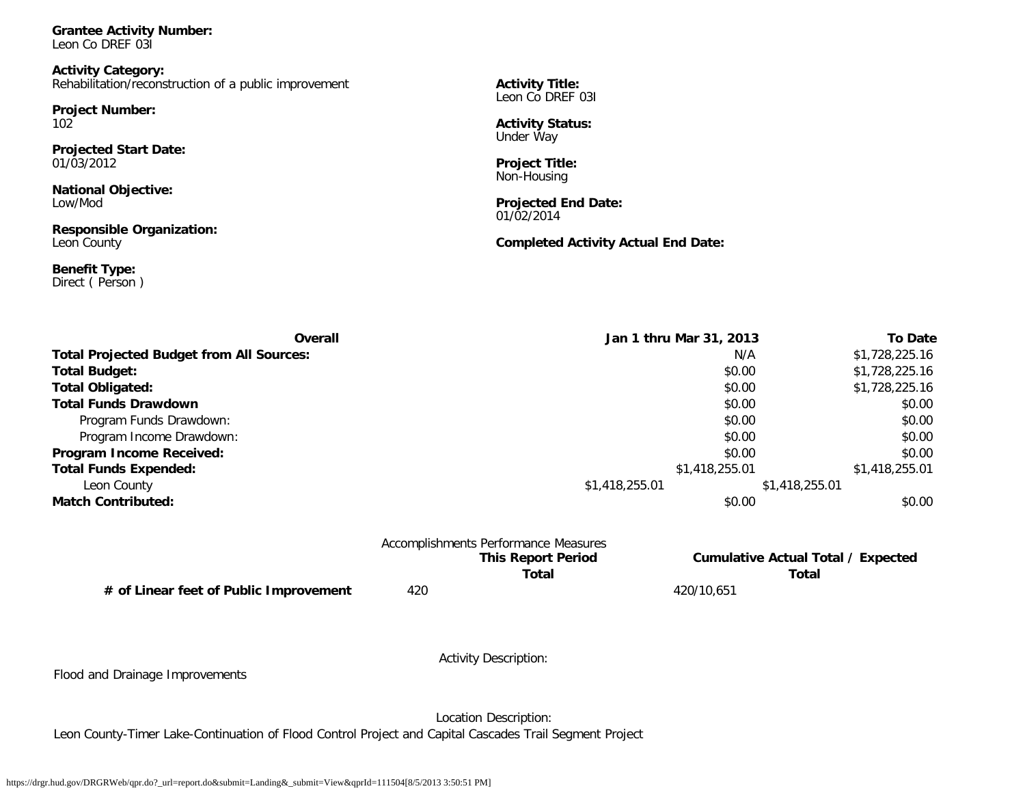**Grantee Activity Number:** Leon Co DREF 03I

**Activity Category:** Rehabilitation/reconstruction of a public improvement

**Project Number:** 102

**Projected Start Date:** 01/03/2012

**National Objective:** Low/Mod

**Responsible Organization:** Leon County

**Benefit Type:** Direct ( Person ) **Activity Title:** Leon Co DREF 031

**Activity Status:** Under Way

**Project Title:** Non-Housing

**Projected End Date:** 01/02/2014

**Completed Activity Actual End Date:**

| Overall                                         | Jan 1 thru Mar 31, 2013 |                | <b>To Date</b> |
|-------------------------------------------------|-------------------------|----------------|----------------|
| <b>Total Projected Budget from All Sources:</b> |                         | N/A            | \$1,728,225.16 |
| <b>Total Budget:</b>                            |                         | \$0.00         | \$1,728,225.16 |
| <b>Total Obligated:</b>                         |                         | \$0.00         | \$1,728,225.16 |
| <b>Total Funds Drawdown</b>                     |                         | \$0.00         | \$0.00         |
| Program Funds Drawdown:                         |                         | \$0.00         | \$0.00         |
| Program Income Drawdown:                        |                         | \$0.00         | \$0.00         |
| Program Income Received:                        |                         | \$0.00         | \$0.00         |
| <b>Total Funds Expended:</b>                    |                         | \$1,418,255.01 | \$1,418,255.01 |
| Leon County                                     | \$1,418,255.01          | \$1,418,255.01 |                |
| <b>Match Contributed:</b>                       |                         | \$0.00         | \$0.00         |

|                                        |     | Accomplishments Performance Measures |            |                                    |
|----------------------------------------|-----|--------------------------------------|------------|------------------------------------|
|                                        |     | <b>This Report Period</b>            |            | Cumulative Actual Total / Expected |
|                                        |     | Total                                |            | Total                              |
| # of Linear feet of Public Improvement | 420 |                                      | 420/10.651 |                                    |

Flood and Drainage Improvements

Activity Description:

Location Description:

Leon County-Timer Lake-Continuation of Flood Control Project and Capital Cascades Trail Segment Project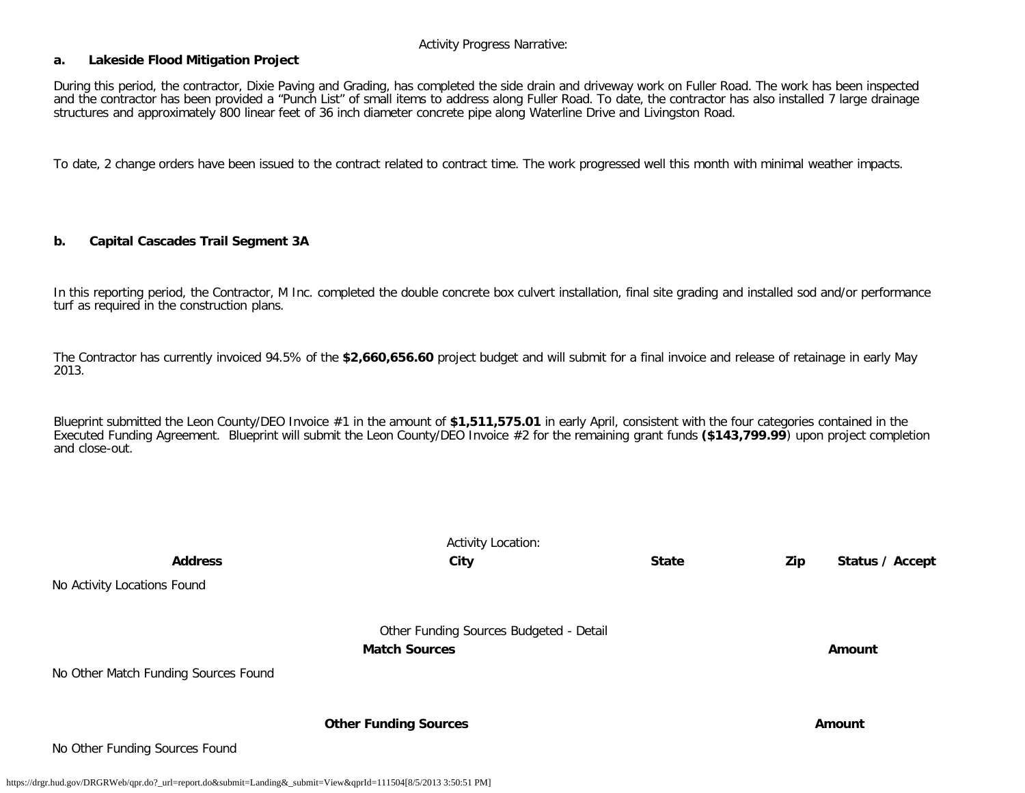Activity Progress Narrative:

#### **a. Lakeside Flood Mitigation Project**

During this period, the contractor, Dixie Paving and Grading, has completed the side drain and driveway work on Fuller Road. The work has been inspected and the contractor has been provided a "Punch List" of small items to address along Fuller Road. To date, the contractor has also installed 7 large drainage structures and approximately 800 linear feet of 36 inch diameter concrete pipe along Waterline Drive and Livingston Road.

To date, 2 change orders have been issued to the contract related to contract time. The work progressed well this month with minimal weather impacts.

#### **b. Capital Cascades Trail Segment 3A**

In this reporting period, the Contractor, M Inc. completed the double concrete box culvert installation, final site grading and installed sod and/or performance turf as required in the construction plans.

The Contractor has currently invoiced 94.5% of the **\$2,660,656.60** project budget and will submit for a final invoice and release of retainage in early May 2013.

Blueprint submitted the Leon County/DEO Invoice #1 in the amount of **\$1,511,575.01** in early April, consistent with the four categories contained in the Executed Funding Agreement. Blueprint will submit the Leon County/DEO Invoice #2 for the remaining grant funds **(\$143,799.99**) upon project completion and close-out.

|                                      | <b>Activity Location:</b>                                       |              |                        |
|--------------------------------------|-----------------------------------------------------------------|--------------|------------------------|
| <b>Address</b>                       | City                                                            | <b>State</b> | Zip<br>Status / Accept |
| No Activity Locations Found          |                                                                 |              |                        |
| No Other Match Funding Sources Found | Other Funding Sources Budgeted - Detail<br><b>Match Sources</b> |              | Amount                 |
| No Other Funding Sources Found       | <b>Other Funding Sources</b>                                    |              | Amount                 |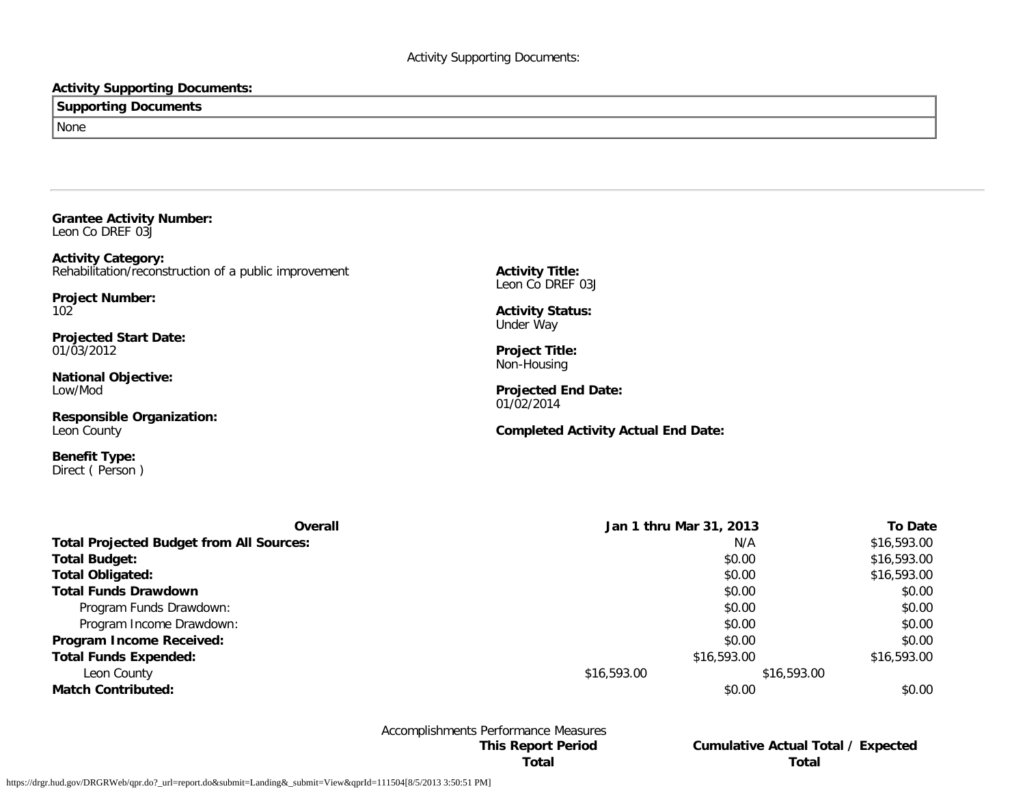### **Activity Supporting Documents:**

# **Supporting Documents** None

**Grantee Activity Number:** Leon Co DREF 03J

**Activity Category:** Rehabilitation/reconstruction of a public improvement

**Project Number:** 102

**Projected Start Date:** 01/03/2012

**National Objective:** Low/Mod

**Responsible Organization:** Leon County

**Benefit Type:** Direct ( Person )

**Activity Title:** Leon Co DREF 03J

**Activity Status:** Under Way

**Project Title:** Non-Housing

**Projected End Date:** 01/02/2014

**Completed Activity Actual End Date:**

| Overall                                         | Jan 1 thru Mar 31, 2013 |             | <b>To Date</b> |
|-------------------------------------------------|-------------------------|-------------|----------------|
| <b>Total Projected Budget from All Sources:</b> |                         | N/A         | \$16,593.00    |
| <b>Total Budget:</b>                            |                         | \$0.00      | \$16,593.00    |
| <b>Total Obligated:</b>                         |                         | \$0.00      | \$16,593.00    |
| <b>Total Funds Drawdown</b>                     |                         | \$0.00      | \$0.00         |
| Program Funds Drawdown:                         |                         | \$0.00      | \$0.00         |
| Program Income Drawdown:                        |                         | \$0.00      | \$0.00         |
| <b>Program Income Received:</b>                 |                         | \$0.00      | \$0.00         |
| <b>Total Funds Expended:</b>                    | \$16,593.00             |             | \$16,593.00    |
| Leon County                                     | \$16,593.00             | \$16,593.00 |                |
| <b>Match Contributed:</b>                       |                         | \$0.00      | \$0.00         |

Accomplishments Performance Measures

**This Report Period Cumulative Actual Total / Expected Total Total**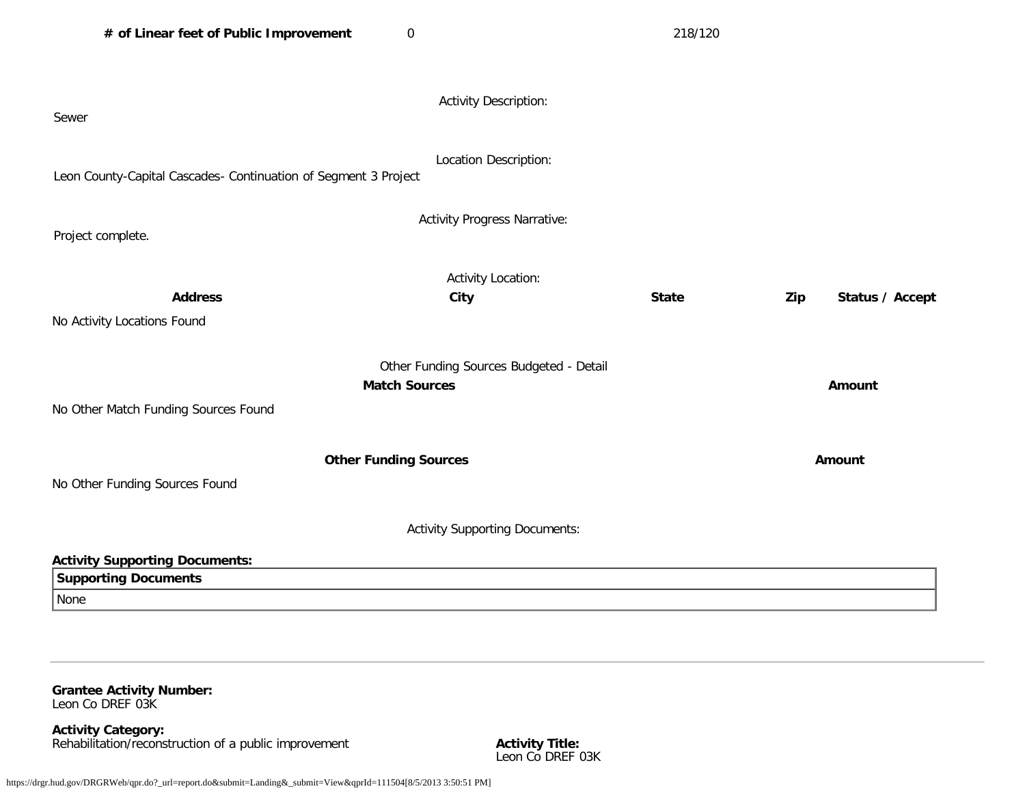| # of Linear feet of Public Improvement                               | $\mathbf 0$                                                     | 218/120      |                        |
|----------------------------------------------------------------------|-----------------------------------------------------------------|--------------|------------------------|
| Sewer                                                                | <b>Activity Description:</b>                                    |              |                        |
| Leon County-Capital Cascades- Continuation of Segment 3 Project      | Location Description:                                           |              |                        |
| Project complete.                                                    | <b>Activity Progress Narrative:</b>                             |              |                        |
| <b>Address</b><br>No Activity Locations Found                        | <b>Activity Location:</b><br><b>City</b>                        | <b>State</b> | Zip<br>Status / Accept |
| No Other Match Funding Sources Found                                 | Other Funding Sources Budgeted - Detail<br><b>Match Sources</b> |              | Amount                 |
| No Other Funding Sources Found                                       | <b>Other Funding Sources</b>                                    |              | Amount                 |
|                                                                      | <b>Activity Supporting Documents:</b>                           |              |                        |
| <b>Activity Supporting Documents:</b><br><b>Supporting Documents</b> |                                                                 |              |                        |
| None                                                                 |                                                                 |              |                        |

**Grantee Activity Number:** Leon Co DREF 03K

**Activity Category:** Rehabilitation/reconstruction of a public improvement **Activity Title: Activity Title:** 

Activity Title:<br>Leon Co DREF 03K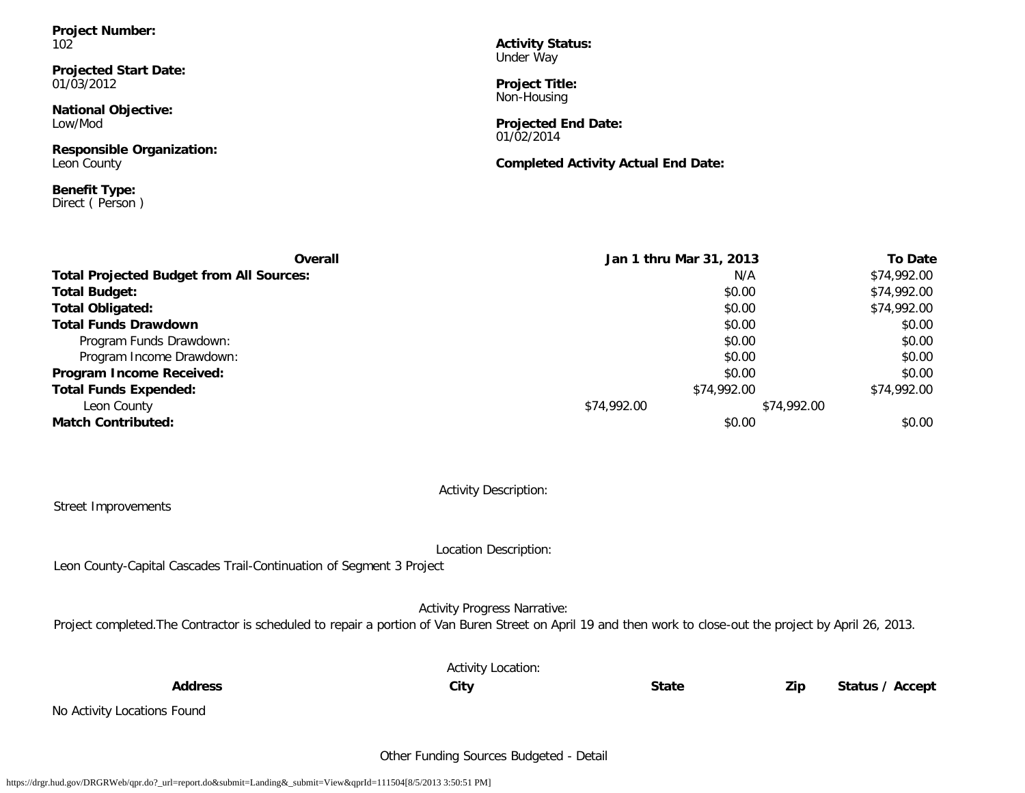**Project Number:** 102

**Projected Start Date:** 01/03/2012

**National Objective:** Low/Mod

**Responsible Organization:** Leon County

**Benefit Type:** Direct ( Person ) **Activity Status:** Under Way

**Project Title:** Non-Housing

**Projected End Date:** 01/02/2014

**Completed Activity Actual End Date:**

| Overall                                         | Jan 1 thru Mar 31, 2013 |             | <b>To Date</b> |
|-------------------------------------------------|-------------------------|-------------|----------------|
| <b>Total Projected Budget from All Sources:</b> |                         | N/A         | \$74,992.00    |
| <b>Total Budget:</b>                            |                         | \$0.00      | \$74,992.00    |
| <b>Total Obligated:</b>                         |                         | \$0.00      | \$74,992.00    |
| <b>Total Funds Drawdown</b>                     |                         | \$0.00      | \$0.00         |
| Program Funds Drawdown:                         |                         | \$0.00      | \$0.00         |
| Program Income Drawdown:                        |                         | \$0.00      | \$0.00         |
| Program Income Received:                        |                         | \$0.00      | \$0.00         |
| <b>Total Funds Expended:</b>                    | \$74,992.00             |             | \$74,992.00    |
| Leon County                                     | \$74,992.00             | \$74,992.00 |                |
| <b>Match Contributed:</b>                       |                         | \$0.00      | \$0.00         |

Activity Description:

#### Street Improvements

Location Description:

Leon County-Capital Cascades Trail-Continuation of Segment 3 Project

Activity Progress Narrative:

Project completed. The Contractor is scheduled to repair a portion of Van Buren Street on April 19 and then work to close-out the project by April 26, 2013.

|                             | <b>Activity Location:</b> |              |     |                 |
|-----------------------------|---------------------------|--------------|-----|-----------------|
| <b>Address</b>              | City                      | <b>State</b> | Zip | Status / Accept |
| No Activity Locations Found |                           |              |     |                 |
|                             |                           |              |     |                 |

Other Funding Sources Budgeted - Detail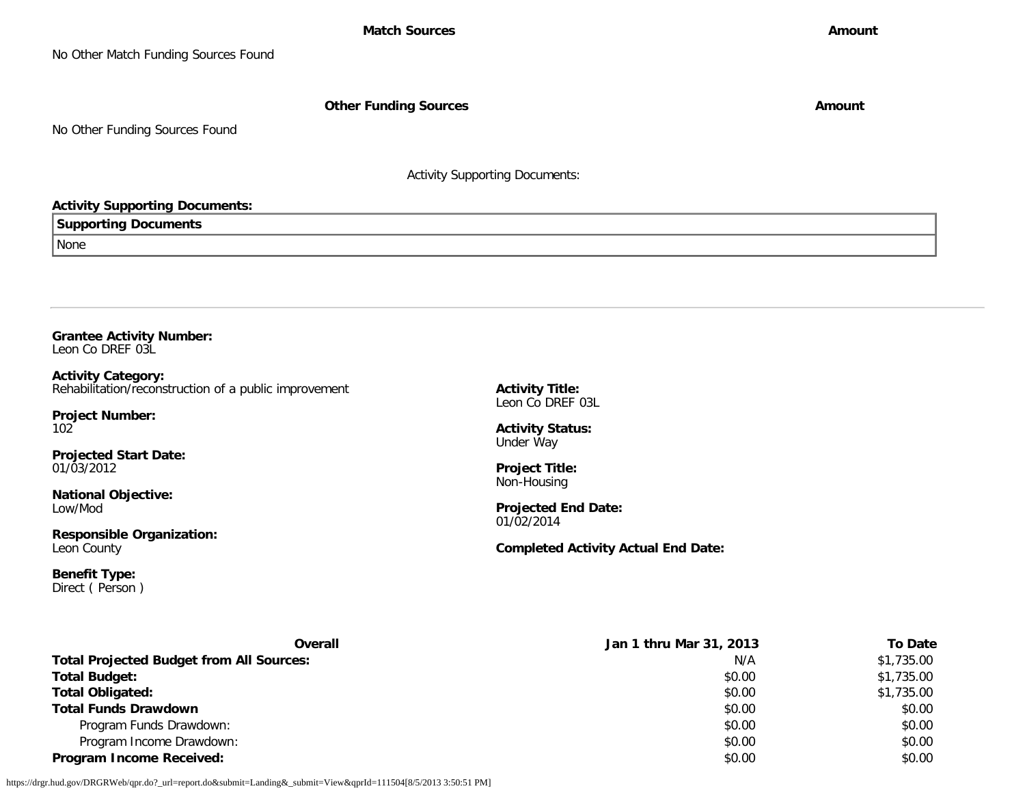**Other Funding Sources Amount Amount Amount** 

No Other Funding Sources Found

Activity Supporting Documents:

### **Activity Supporting Documents:**

**Supporting Documents**

None

**Grantee Activity Number:** Leon Co DREF 03L

**Activity Category:** Rehabilitation/reconstruction of a public improvement

**Project Number:** 102

**Projected Start Date:** 01/03/2012

**National Objective:** Low/Mod

**Responsible Organization:** Leon County

**Benefit Type:** Direct ( Person ) **Activity Title:** Leon Co DREF 03L

**Activity Status:** Under Way

**Project Title:** Non-Housing

**Projected End Date:** 01/02/2014

**Completed Activity Actual End Date:**

| <b>Overall</b>                                  | Jan 1 thru Mar 31, 2013 | To Date    |
|-------------------------------------------------|-------------------------|------------|
| <b>Total Projected Budget from All Sources:</b> | N/A                     | \$1,735.00 |
| <b>Total Budget:</b>                            | \$0.00                  | \$1,735.00 |
| <b>Total Obligated:</b>                         | \$0.00                  | \$1,735.00 |
| <b>Total Funds Drawdown</b>                     | \$0.00                  | \$0.00     |
| Program Funds Drawdown:                         | \$0.00                  | \$0.00     |
| Program Income Drawdown:                        | \$0.00                  | \$0.00     |
| <b>Program Income Received:</b>                 | \$0.00                  | \$0.00     |

https://drgr.hud.gov/DRGRWeb/qpr.do?\_url=report.do&submit=Landing&\_submit=View&qprId=111504[8/5/2013 3:50:51 PM]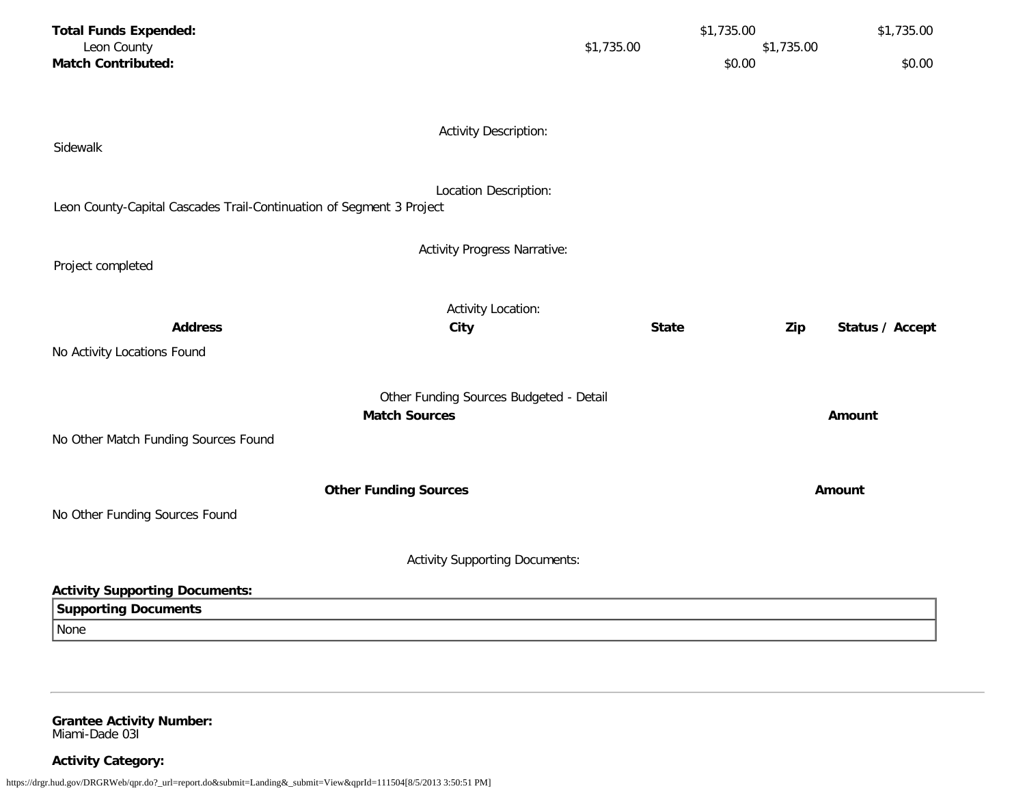| <b>Total Funds Expended:</b>                                         |                                         |              | \$1,735.00 | \$1,735.00      |
|----------------------------------------------------------------------|-----------------------------------------|--------------|------------|-----------------|
| Leon County                                                          | \$1,735.00                              |              | \$1,735.00 |                 |
| <b>Match Contributed:</b>                                            |                                         |              | \$0.00     | \$0.00          |
|                                                                      |                                         |              |            |                 |
|                                                                      |                                         |              |            |                 |
|                                                                      | <b>Activity Description:</b>            |              |            |                 |
| Sidewalk                                                             |                                         |              |            |                 |
|                                                                      |                                         |              |            |                 |
|                                                                      | Location Description:                   |              |            |                 |
| Leon County-Capital Cascades Trail-Continuation of Segment 3 Project |                                         |              |            |                 |
|                                                                      |                                         |              |            |                 |
| Project completed                                                    | <b>Activity Progress Narrative:</b>     |              |            |                 |
|                                                                      |                                         |              |            |                 |
|                                                                      | <b>Activity Location:</b>               |              |            |                 |
| <b>Address</b>                                                       | City                                    | <b>State</b> | Zip        | Status / Accept |
| No Activity Locations Found                                          |                                         |              |            |                 |
|                                                                      |                                         |              |            |                 |
|                                                                      | Other Funding Sources Budgeted - Detail |              |            |                 |
| <b>Match Sources</b>                                                 |                                         |              |            | Amount          |
|                                                                      |                                         |              |            |                 |
| No Other Match Funding Sources Found                                 |                                         |              |            |                 |
|                                                                      |                                         |              |            |                 |
| <b>Other Funding Sources</b>                                         |                                         |              |            | Amount          |
| No Other Funding Sources Found                                       |                                         |              |            |                 |
|                                                                      |                                         |              |            |                 |
|                                                                      | <b>Activity Supporting Documents:</b>   |              |            |                 |
|                                                                      |                                         |              |            |                 |
| <b>Activity Supporting Documents:</b>                                |                                         |              |            |                 |
| <b>Supporting Documents</b>                                          |                                         |              |            |                 |
| None                                                                 |                                         |              |            |                 |

**Grantee Activity Number:** Miami-Dade 03I

**Activity Category:**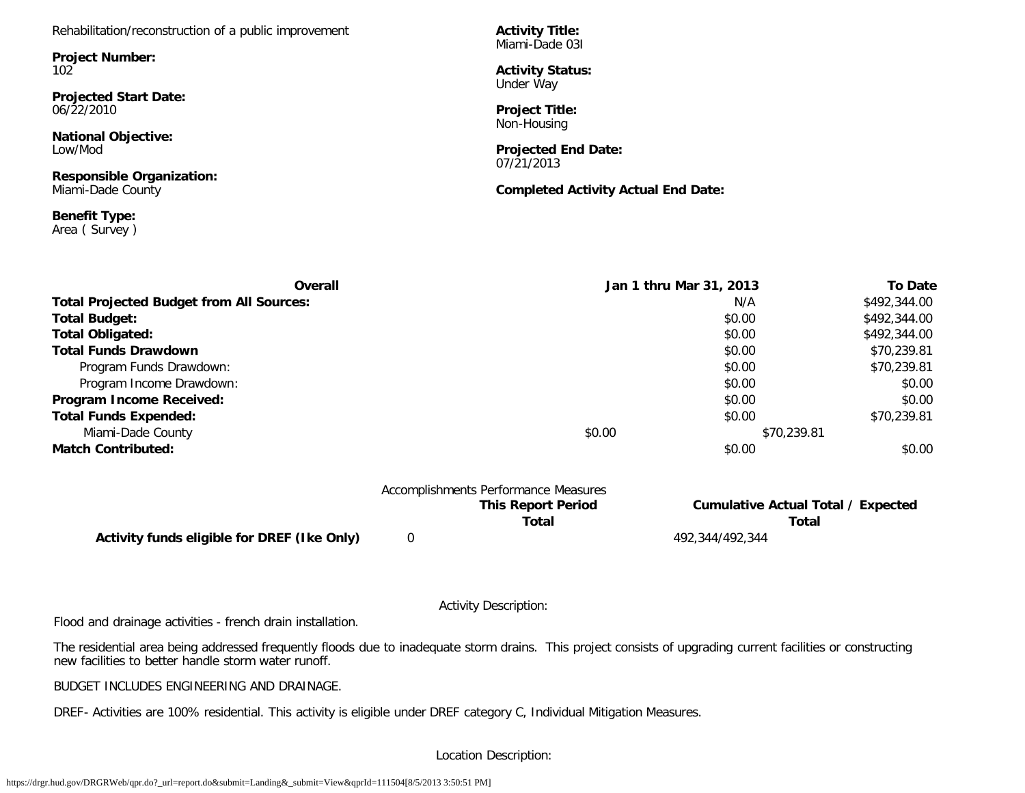Rehabilitation/reconstruction of a public improvement

**Project Number:** 102

**Projected Start Date:** 06/22/2010

**National Objective:** Low/Mod

**Responsible Organization:** Miami-Dade County

**Benefit Type:** Area ( Survey ) **Activity Title:** Miami-Dade 03I

**Activity Status:** Under Way

**Project Title:** Non-Housing

**Projected End Date:** 07/21/2013

**Completed Activity Actual End Date:**

| Overall                                         |        | Jan 1 thru Mar 31, 2013 | <b>To Date</b> |
|-------------------------------------------------|--------|-------------------------|----------------|
| <b>Total Projected Budget from All Sources:</b> |        | N/A                     | \$492,344.00   |
| <b>Total Budget:</b>                            |        | \$0.00                  | \$492,344.00   |
| <b>Total Obligated:</b>                         |        | \$0.00                  | \$492,344.00   |
| <b>Total Funds Drawdown</b>                     |        | \$0.00                  | \$70,239.81    |
| Program Funds Drawdown:                         |        | \$0.00                  | \$70,239.81    |
| Program Income Drawdown:                        |        | \$0.00                  | \$0.00         |
| Program Income Received:                        |        | \$0.00                  | \$0.00         |
| <b>Total Funds Expended:</b>                    |        | \$0.00                  | \$70,239.81    |
| Miami-Dade County                               | \$0.00 | \$70,239.81             |                |
| <b>Match Contributed:</b>                       |        | \$0.00                  | \$0.00         |

|                                             | Accomplishments Performance Measures |                                           |
|---------------------------------------------|--------------------------------------|-------------------------------------------|
|                                             | <b>This Report Period</b>            | <b>Cumulative Actual Total / Expected</b> |
|                                             | Total                                | Total                                     |
| Activity funds eligible for DREF (Ike Only) |                                      | 492.344/492.344                           |

Activity Description:

Flood and drainage activities - french drain installation.

The residential area being addressed frequently floods due to inadequate storm drains. This project consists of upgrading current facilities or constructing new facilities to better handle storm water runoff.

BUDGET INCLUDES ENGINEERING AND DRAINAGE.

DREF- Activities are 100% residential. This activity is eligible under DREF category C, Individual Mitigation Measures.

Location Description: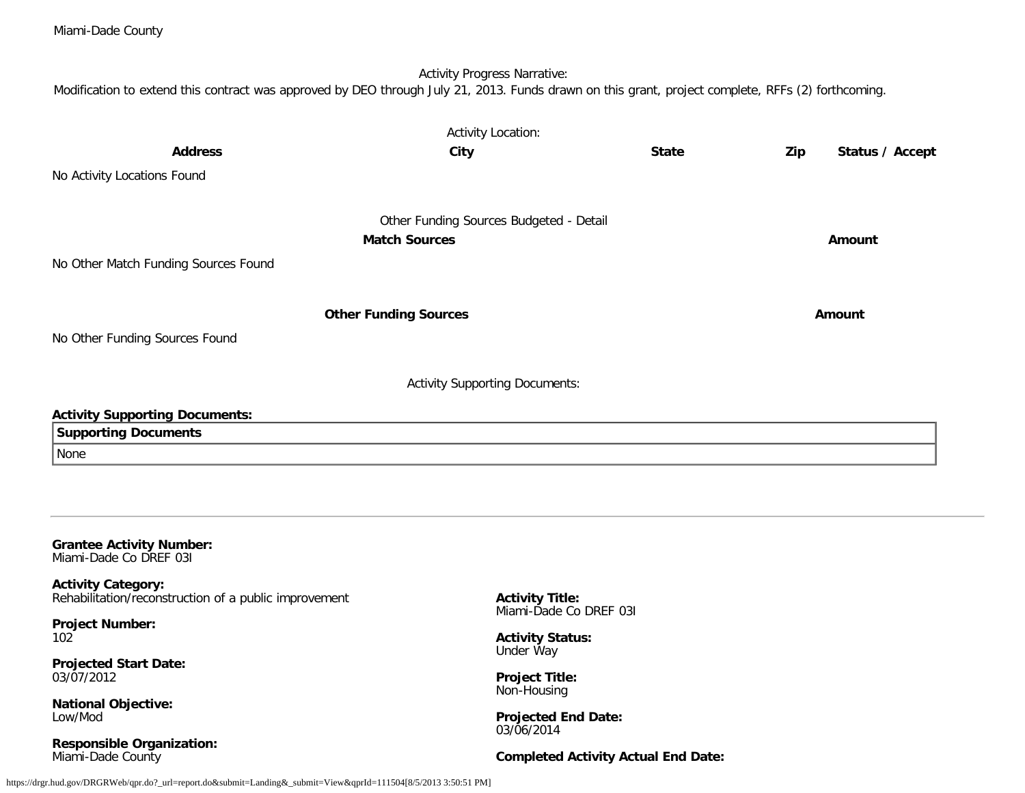| <b>Address</b><br>No Activity Locations Found                                      | <b>Activity Location:</b><br>City                               | <b>State</b> | Zip<br>Status / Accept |
|------------------------------------------------------------------------------------|-----------------------------------------------------------------|--------------|------------------------|
| No Other Match Funding Sources Found                                               | Other Funding Sources Budgeted - Detail<br><b>Match Sources</b> |              | Amount                 |
| No Other Funding Sources Found                                                     | <b>Other Funding Sources</b>                                    |              | <b>Amount</b>          |
| <b>Activity Supporting Documents:</b>                                              | <b>Activity Supporting Documents:</b>                           |              |                        |
| <b>Supporting Documents</b>                                                        |                                                                 |              |                        |
| None                                                                               |                                                                 |              |                        |
|                                                                                    |                                                                 |              |                        |
| <b>Grantee Activity Number:</b><br>Miami-Dade Co DREF 031                          |                                                                 |              |                        |
| <b>Activity Category:</b><br>Rehabilitation/reconstruction of a public improvement | <b>Activity Title:</b><br>Miami-Dade Co DREF 031                |              |                        |
| <b>Project Number:</b><br>102                                                      | <b>Activity Status:</b><br>Under Way                            |              |                        |
| <b>Projected Start Date:</b><br>03/07/2012                                         | <b>Project Title:</b><br>Non-Housing                            |              |                        |
| <b>National Objective:</b><br>Low/Mod                                              | <b>Projected End Date:</b><br>03/06/2014                        |              |                        |
| <b>Responsible Organization:</b>                                                   |                                                                 |              |                        |

https://drgr.hud.gov/DRGRWeb/qpr.do?\_url=report.do&submit=Landing&\_submit=View&qprId=111504[8/5/2013 3:50:51 PM]

Miami-Dade County

Miami-Dade County

**Completed Activity Actual End Date:**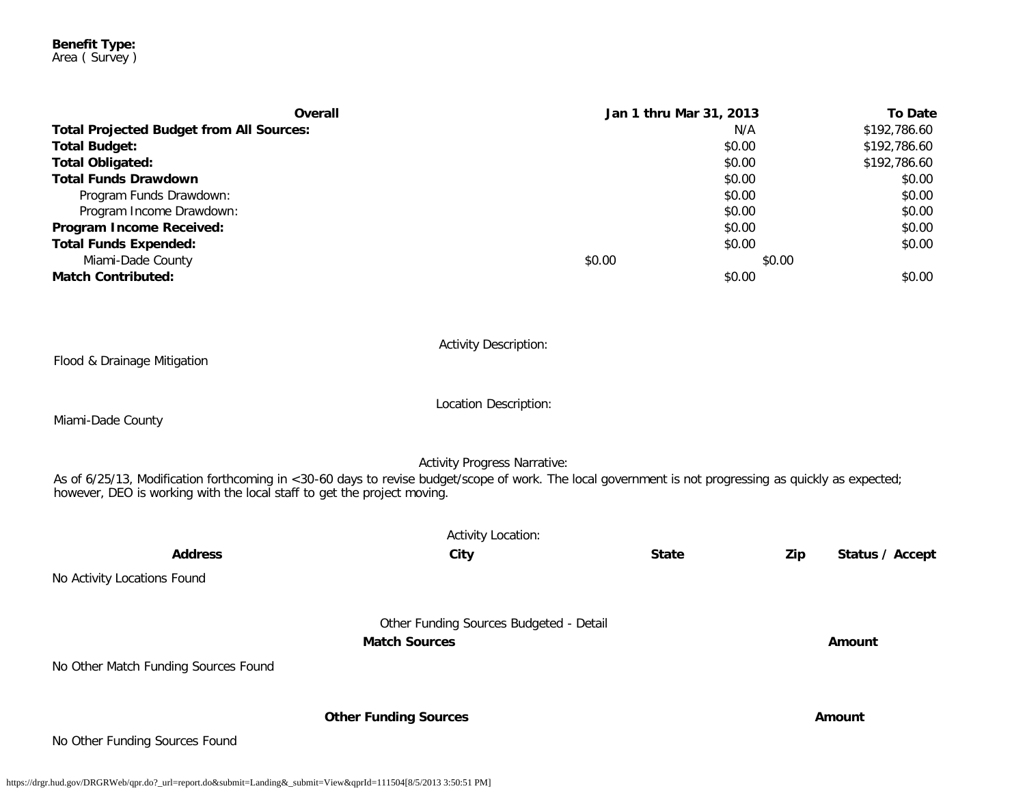#### **Benefit Type:** Area ( Survey )

| Overall                                         |        | Jan 1 thru Mar 31, 2013 | <b>To Date</b> |
|-------------------------------------------------|--------|-------------------------|----------------|
| <b>Total Projected Budget from All Sources:</b> |        | N/A                     | \$192,786.60   |
| <b>Total Budget:</b>                            |        | \$0.00                  | \$192,786.60   |
| <b>Total Obligated:</b>                         |        | \$0.00                  | \$192,786.60   |
| <b>Total Funds Drawdown</b>                     |        | \$0.00                  | \$0.00         |
| Program Funds Drawdown:                         |        | \$0.00                  | \$0.00         |
| Program Income Drawdown:                        |        | \$0.00                  | \$0.00         |
| Program Income Received:                        |        | \$0.00                  | \$0.00         |
| <b>Total Funds Expended:</b>                    |        | \$0.00                  | \$0.00         |
| Miami-Dade County                               | \$0.00 | \$0.00                  |                |
| <b>Match Contributed:</b>                       |        | \$0.00                  | \$0.00         |
|                                                 |        |                         |                |
|                                                 |        |                         |                |

Flood & Drainage Mitigation

Activity Description:

Miami-Dade County

Activity Progress Narrative:

Location Description:

As of 6/25/13, Modification forthcoming in <30-60 days to revise budget/scope of work. The local government is not progressing as quickly as expected; however, DEO is working with the local staff to get the project moving.

|                                      | <b>Activity Location:</b>                                       |              |                        |
|--------------------------------------|-----------------------------------------------------------------|--------------|------------------------|
| <b>Address</b>                       | City                                                            | <b>State</b> | Zip<br>Status / Accept |
| No Activity Locations Found          |                                                                 |              |                        |
| No Other Match Funding Sources Found | Other Funding Sources Budgeted - Detail<br><b>Match Sources</b> |              | Amount                 |
| No Other Funding Sources Found       | <b>Other Funding Sources</b>                                    |              | Amount                 |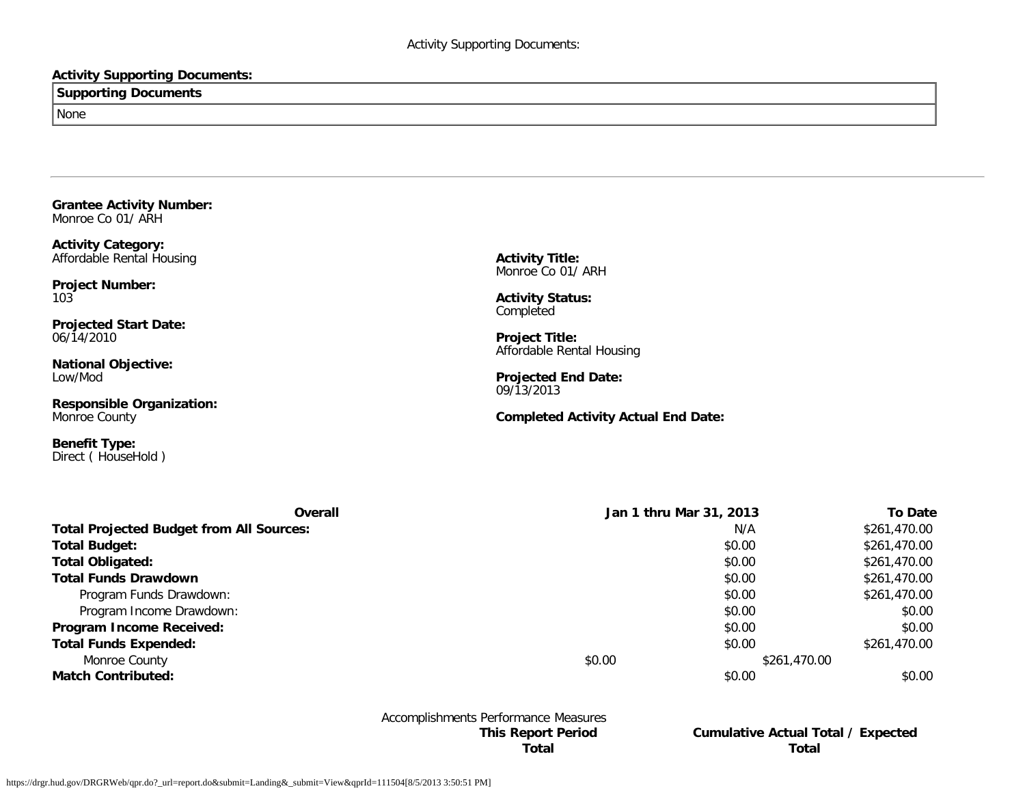## **Activity Supporting Documents:**

**Supporting Documents**

None

**Grantee Activity Number:** Monroe Co 01/ ARH

**Activity Category:** Affordable Rental Housing

**Project Number:** 103

**Projected Start Date:** 06/14/2010

**National Objective:** Low/Mod

**Responsible Organization:** Monroe County

**Benefit Type:** Direct ( HouseHold ) **Activity Title:** Monroe Co 01/ ARH

**Activity Status:** Completed

**Project Title:** Affordable Rental Housing

**Projected End Date:** 09/13/2013

**Completed Activity Actual End Date:**

| Overall                                         | Jan 1 thru Mar 31, 2013 |              | <b>To Date</b> |
|-------------------------------------------------|-------------------------|--------------|----------------|
| <b>Total Projected Budget from All Sources:</b> |                         | N/A          | \$261,470.00   |
| <b>Total Budget:</b>                            |                         | \$0.00       | \$261,470.00   |
| <b>Total Obligated:</b>                         |                         | \$0.00       | \$261,470.00   |
| <b>Total Funds Drawdown</b>                     |                         | \$0.00       | \$261,470.00   |
| Program Funds Drawdown:                         |                         | \$0.00       | \$261,470.00   |
| Program Income Drawdown:                        |                         | \$0.00       | \$0.00         |
| Program Income Received:                        |                         | \$0.00       | \$0.00         |
| <b>Total Funds Expended:</b>                    |                         | \$0.00       | \$261,470.00   |
| Monroe County                                   | \$0.00                  | \$261,470.00 |                |
| <b>Match Contributed:</b>                       |                         | \$0.00       | \$0.00         |

Accomplishments Performance Measures

**This Report Period Cumulative Actual Total / Expected Total Total**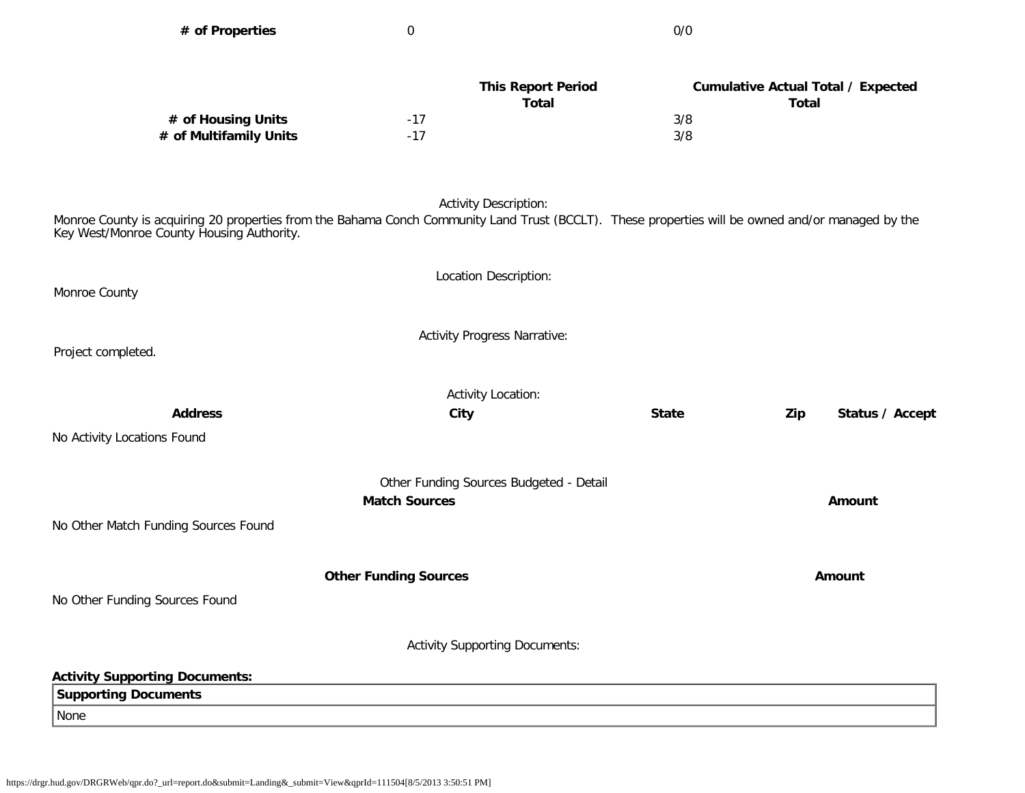| # of Properties                                                                                                                                                                                | 0                                         | 0/0          |                                                           |
|------------------------------------------------------------------------------------------------------------------------------------------------------------------------------------------------|-------------------------------------------|--------------|-----------------------------------------------------------|
|                                                                                                                                                                                                |                                           |              |                                                           |
|                                                                                                                                                                                                | <b>This Report Period</b><br><b>Total</b> |              | <b>Cumulative Actual Total / Expected</b><br><b>Total</b> |
| # of Housing Units                                                                                                                                                                             | $-17$                                     | 3/8          |                                                           |
| # of Multifamily Units                                                                                                                                                                         | $-17$                                     | 3/8          |                                                           |
|                                                                                                                                                                                                | <b>Activity Description:</b>              |              |                                                           |
| Monroe County is acquiring 20 properties from the Bahama Conch Community Land Trust (BCCLT). These properties will be owned and/or managed by the<br>Key West/Monroe County Housing Authority. |                                           |              |                                                           |
|                                                                                                                                                                                                | Location Description:                     |              |                                                           |
| Monroe County                                                                                                                                                                                  |                                           |              |                                                           |
|                                                                                                                                                                                                |                                           |              |                                                           |
|                                                                                                                                                                                                | <b>Activity Progress Narrative:</b>       |              |                                                           |
| Project completed.                                                                                                                                                                             |                                           |              |                                                           |
|                                                                                                                                                                                                | <b>Activity Location:</b>                 |              |                                                           |
| <b>Address</b>                                                                                                                                                                                 | City                                      | <b>State</b> | Zip<br>Status / Accept                                    |
| No Activity Locations Found                                                                                                                                                                    |                                           |              |                                                           |
|                                                                                                                                                                                                |                                           |              |                                                           |
|                                                                                                                                                                                                | Other Funding Sources Budgeted - Detail   |              |                                                           |
|                                                                                                                                                                                                | <b>Match Sources</b>                      |              | Amount                                                    |
| No Other Match Funding Sources Found                                                                                                                                                           |                                           |              |                                                           |
|                                                                                                                                                                                                |                                           |              |                                                           |
|                                                                                                                                                                                                | <b>Other Funding Sources</b>              |              | Amount                                                    |
| No Other Funding Sources Found                                                                                                                                                                 |                                           |              |                                                           |
|                                                                                                                                                                                                |                                           |              |                                                           |
|                                                                                                                                                                                                | <b>Activity Supporting Documents:</b>     |              |                                                           |
| <b>Activity Supporting Documents:</b>                                                                                                                                                          |                                           |              |                                                           |
| <b>Supporting Documents</b>                                                                                                                                                                    |                                           |              |                                                           |
| None                                                                                                                                                                                           |                                           |              |                                                           |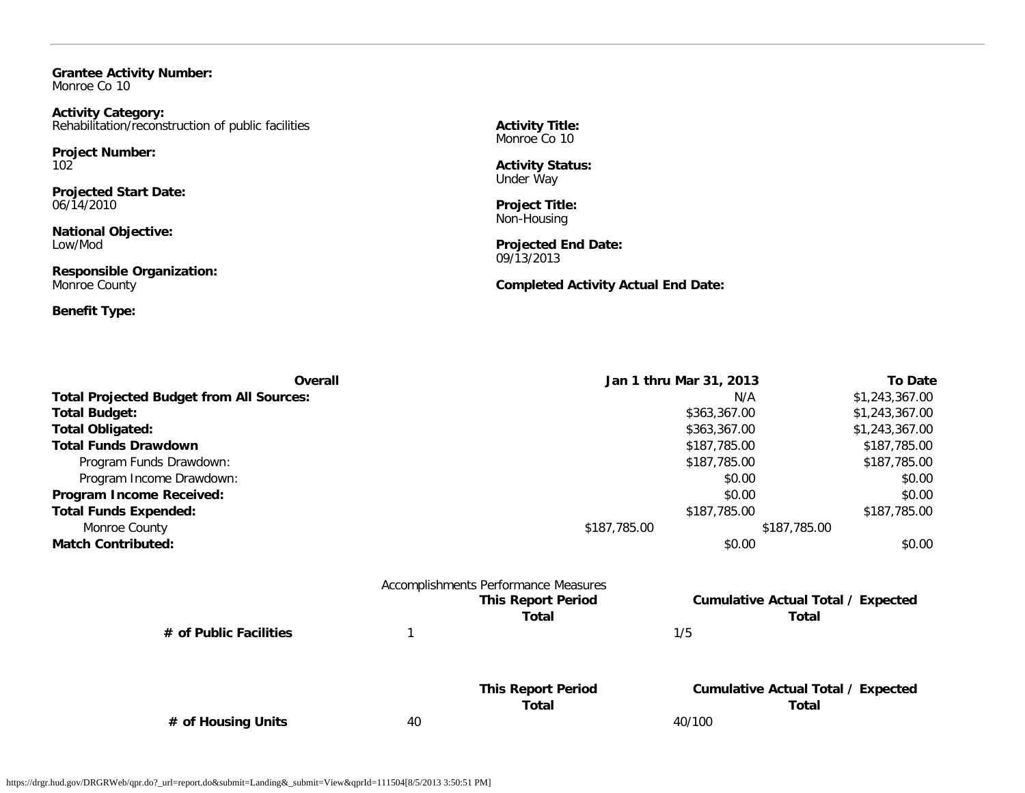**Grantee Activity Number:** Monroe Co 10

**Activity Category:** Rehabilitation/reconstruction of public facilities

**Project Number:** 102

**Projected Start Date:** 06/14/2010

**National Objective:** Low/Mod

**Responsible Organization:** Monroe County

**Benefit Type:**

**Activity Title:** Monroe Co 10

**Activity Status:** Under Way

**Project Title:** Non-Housing

**Projected End Date:** 09/13/2013

**Completed Activity Actual End Date:**

|                                                 | Jan 1 thru Mar 31, 2013<br>Overall |                                      |                                           | <b>To Date</b> |
|-------------------------------------------------|------------------------------------|--------------------------------------|-------------------------------------------|----------------|
| <b>Total Projected Budget from All Sources:</b> |                                    |                                      | N/A                                       | \$1,243,367.00 |
| Total Budget:                                   |                                    |                                      | \$363,367.00                              | \$1,243,367.00 |
| Total Obligated:                                |                                    |                                      | \$363,367.00                              | \$1,243,367.00 |
| <b>Total Funds Drawdown</b>                     |                                    |                                      | \$187,785.00                              | \$187,785.00   |
| Program Funds Drawdown:                         |                                    |                                      | \$187,785.00                              | \$187,785.00   |
| Program Income Drawdown:                        |                                    |                                      | \$0.00                                    | \$0.00         |
| Program Income Received:                        |                                    |                                      | \$0.00                                    | \$0.00         |
| <b>Total Funds Expended:</b>                    |                                    |                                      | \$187,785.00                              | \$187,785.00   |
| Monroe County                                   |                                    | \$187,785.00                         | \$187,785.00                              |                |
| <b>Match Contributed:</b>                       |                                    |                                      | \$0.00                                    | \$0.00         |
|                                                 |                                    | Accomplishments Performance Measures |                                           |                |
|                                                 |                                    | <b>This Report Period</b>            | <b>Cumulative Actual Total / Expected</b> |                |
|                                                 |                                    | Total                                | Total                                     |                |
| # of Public Facilities                          |                                    |                                      | 1/5                                       |                |
|                                                 |                                    | <b>This Report Period</b>            | <b>Cumulative Actual Total / Expected</b> |                |
|                                                 |                                    | Total                                | Total                                     |                |
| # of Housing Units                              | 40                                 |                                      | 40/100                                    |                |
|                                                 |                                    |                                      |                                           |                |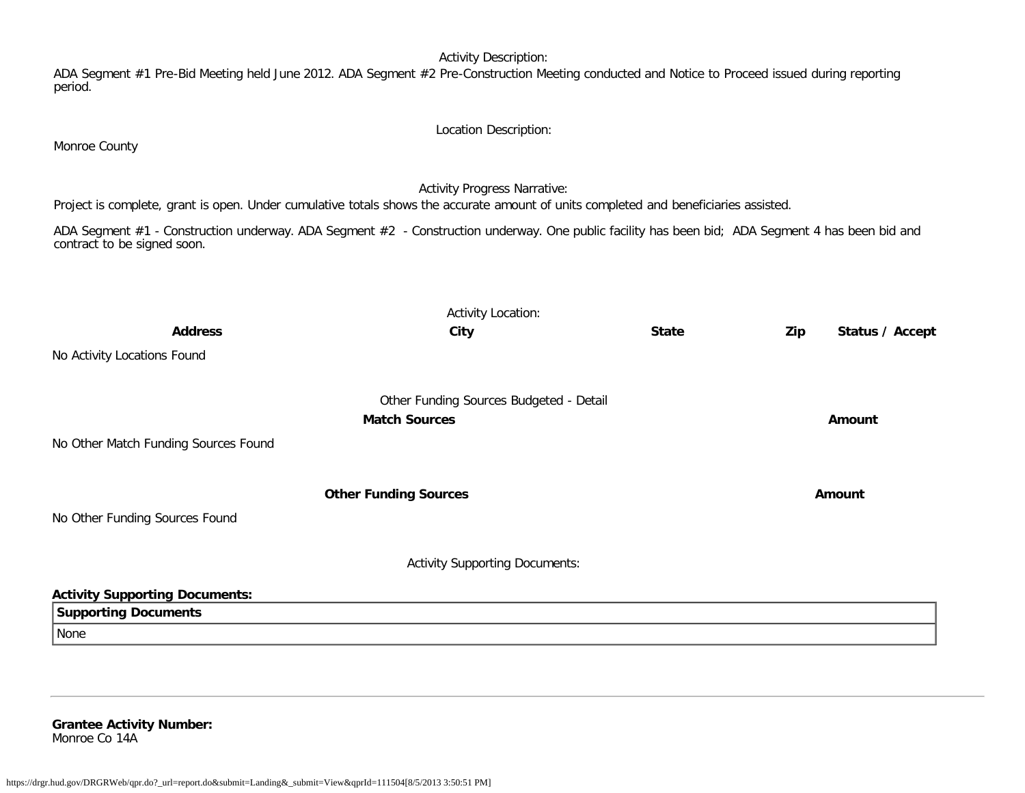Activity Description:

ADA Segment #1 Pre-Bid Meeting held June 2012. ADA Segment #2 Pre-Construction Meeting conducted and Notice to Proceed issued during reporting period.

ADA Segment #1 - Construction underway. ADA Segment #2 - Construction underway. One public facility has been bid; ADA Segment 4 has been bid and contract to be signed soon. Activity Location: **Address City State Zip Status / Accept** No Activity Locations Found Other Funding Sources Budgeted - Detail **Match Sources Amount** No Other Match Funding Sources Found **Other Funding Sources Amount Amount Amount** No Other Funding Sources Found Activity Supporting Documents:

**Activity Supporting Documents: Supporting Documents** None

**Grantee Activity Number:** Monroe Co 14A

Monroe County

Location Description:

Activity Progress Narrative:

Project is complete, grant is open. Under cumulative totals shows the accurate amount of units completed and beneficiaries assisted.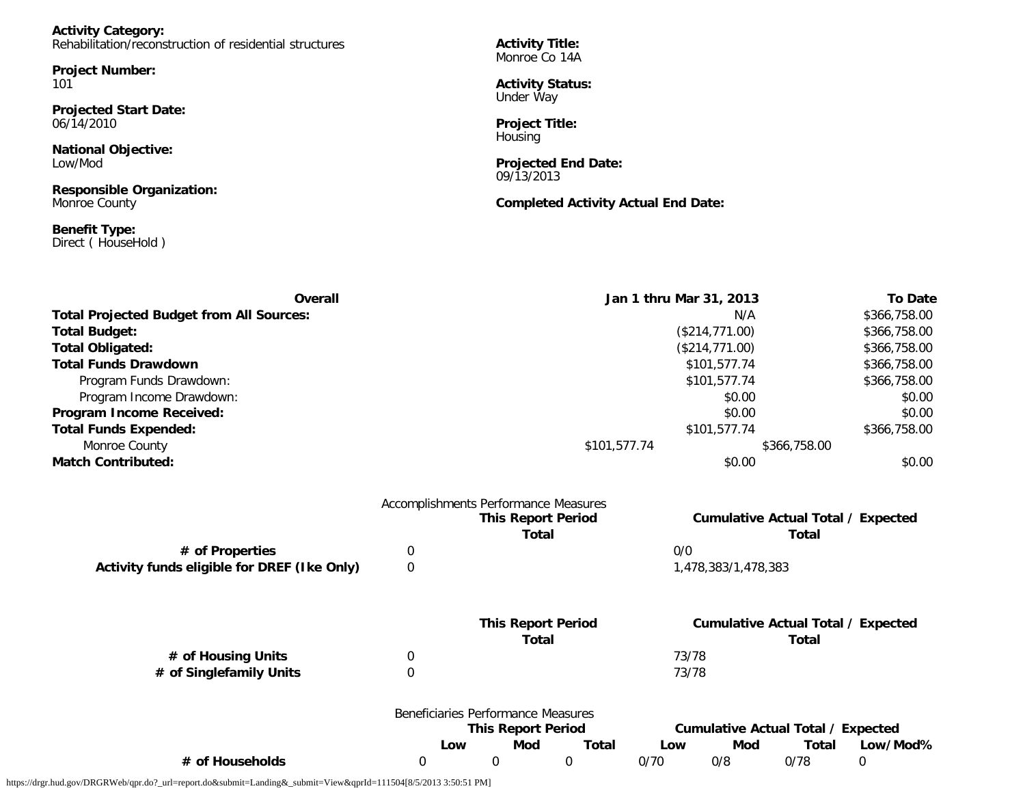| <b>Activity Category:</b>                               |  |
|---------------------------------------------------------|--|
| Rehabilitation/reconstruction of residential structures |  |

**Project Number:** 101

**Projected Start Date:** 06/14/2010

**National Objective:** Low/Mod

**Responsible Organization:** Monroe County

**Benefit Type:** Direct ( HouseHold )

**Activity Title:** Monroe Co 14A

**Activity Status:** Under Way

**Project Title:** Housing

**Projected End Date:** 09/13/2013

**Completed Activity Actual End Date:**

| Overall                                         |                  | Jan 1 thru Mar 31, 2013              |                     | <b>To Date</b>                            |
|-------------------------------------------------|------------------|--------------------------------------|---------------------|-------------------------------------------|
| <b>Total Projected Budget from All Sources:</b> |                  |                                      | \$366,758.00        |                                           |
| <b>Total Budget:</b>                            |                  | (\$214,771.00)                       |                     | \$366,758.00                              |
| <b>Total Obligated:</b>                         |                  |                                      | (\$214,771.00)      | \$366,758.00                              |
| <b>Total Funds Drawdown</b>                     |                  |                                      |                     | \$366,758.00                              |
| Program Funds Drawdown:                         |                  |                                      | \$101,577.74        | \$366,758.00                              |
| Program Income Drawdown:                        |                  |                                      | \$0.00              | \$0.00                                    |
| Program Income Received:                        |                  |                                      | \$0.00              | \$0.00                                    |
| <b>Total Funds Expended:</b>                    |                  |                                      | \$101,577.74        | \$366,758.00                              |
| Monroe County                                   |                  | \$101,577.74<br>\$366,758.00         |                     |                                           |
| <b>Match Contributed:</b>                       |                  |                                      | \$0.00              | \$0.00                                    |
|                                                 |                  | Accomplishments Performance Measures |                     |                                           |
|                                                 |                  | <b>This Report Period</b>            |                     | <b>Cumulative Actual Total / Expected</b> |
|                                                 |                  | <b>Total</b>                         |                     | <b>Total</b>                              |
| # of Properties                                 | 0                |                                      | 0/0                 |                                           |
| Activity funds eligible for DREF (Ike Only)     | 0                |                                      | 1,478,383/1,478,383 |                                           |
|                                                 |                  |                                      |                     |                                           |
|                                                 |                  | <b>This Report Period</b>            |                     | <b>Cumulative Actual Total / Expected</b> |
|                                                 |                  | <b>Total</b>                         |                     | <b>Total</b>                              |
| # of Housing Units                              | 0                |                                      | 73/78               |                                           |
| # of Singlefamily Units                         | $\boldsymbol{0}$ |                                      | 73/78               |                                           |
|                                                 |                  | Banaficiarios Dorformanco Moneuros   |                     |                                           |

|                 | Beneficiaries Performance Measures |     |       |                                    |     |       |          |
|-----------------|------------------------------------|-----|-------|------------------------------------|-----|-------|----------|
|                 | <b>This Report Period</b>          |     |       | Cumulative Actual Total / Expected |     |       |          |
|                 | LOW                                | Mod | Total | Low                                | Mod | Total | Low/Mod% |
| # of Households |                                    |     |       | 0/70                               | 0/8 | 0/78  |          |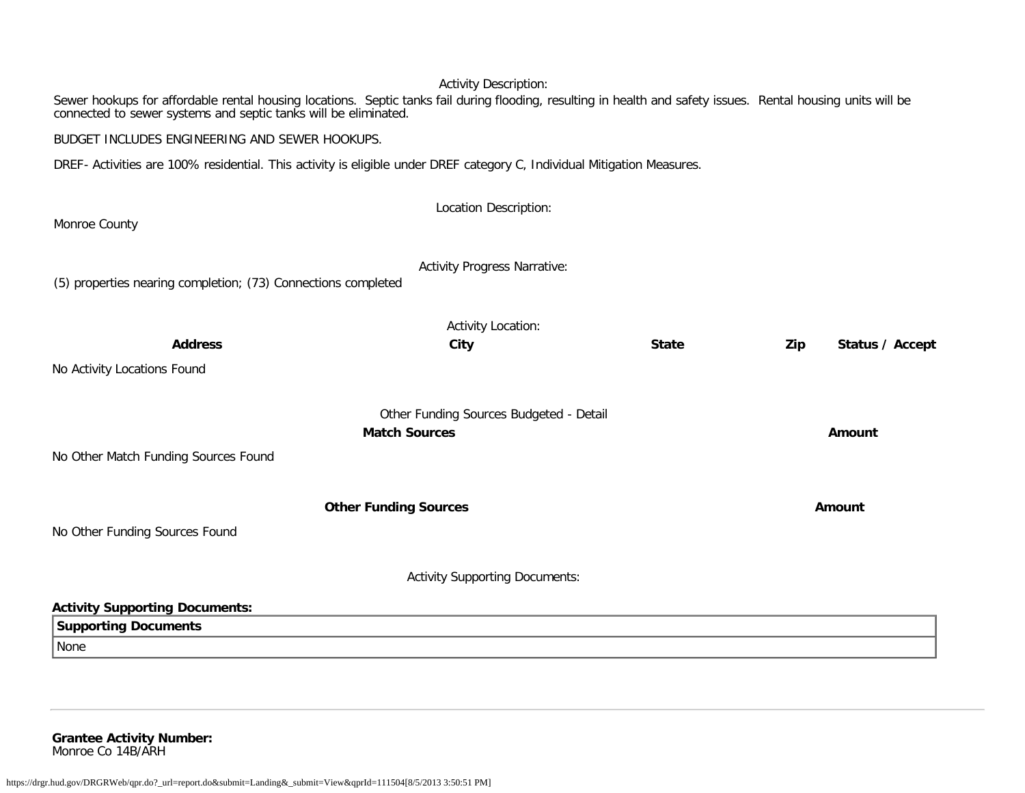### Activity Description:

Sewer hookups for affordable rental housing locations. Septic tanks fail during flooding, resulting in health and safety issues. Rental housing units will be connected to sewer systems and septic tanks will be eliminated.

BUDGET INCLUDES ENGINEERING AND SEWER HOOKUPS.

DREF- Activities are 100% residential. This activity is eligible under DREF category C, Individual Mitigation Measures.

| Monroe County                                                 | Location Description:                   |              |                        |  |  |
|---------------------------------------------------------------|-----------------------------------------|--------------|------------------------|--|--|
|                                                               |                                         |              |                        |  |  |
| (5) properties nearing completion; (73) Connections completed | <b>Activity Progress Narrative:</b>     |              |                        |  |  |
|                                                               | Activity Location:                      |              |                        |  |  |
| <b>Address</b>                                                | City                                    | <b>State</b> | Status / Accept<br>Zip |  |  |
| No Activity Locations Found                                   |                                         |              |                        |  |  |
| <b>Match Sources</b>                                          | Other Funding Sources Budgeted - Detail | Amount       |                        |  |  |
| No Other Match Funding Sources Found                          |                                         |              |                        |  |  |
|                                                               | <b>Other Funding Sources</b>            |              | Amount                 |  |  |
| No Other Funding Sources Found                                |                                         |              |                        |  |  |
| <b>Activity Supporting Documents:</b>                         |                                         |              |                        |  |  |
| <b>Activity Supporting Documents:</b>                         |                                         |              |                        |  |  |
| <b>Supporting Documents</b>                                   |                                         |              |                        |  |  |
| None                                                          |                                         |              |                        |  |  |
|                                                               |                                         |              |                        |  |  |

**Grantee Activity Number:** Monroe Co 14B/ARH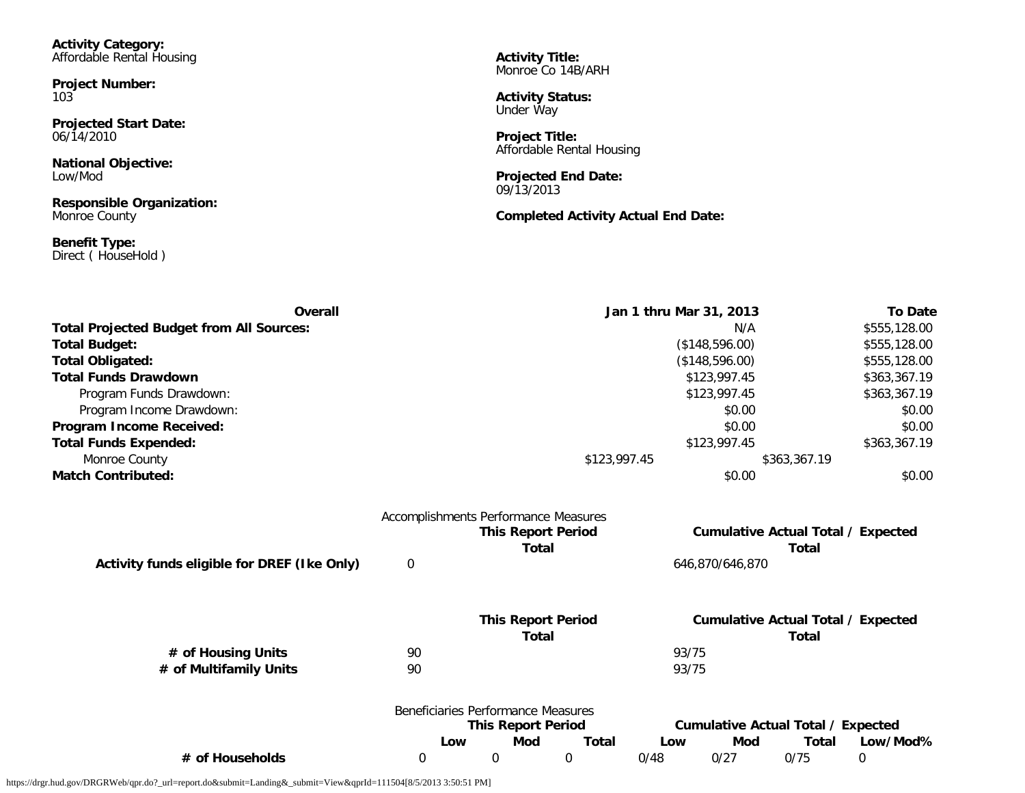**Activity Category:** Affordable Rental Housing

**Project Number:** 103

**Projected Start Date:** 06/14/2010

**National Objective:** Low/Mod

**Responsible Organization:** Monroe County

**Benefit Type:** Direct ( HouseHold ) **Activity Title:** Monroe Co 14B/ARH

**Activity Status:** Under Way

**Project Title:** Affordable Rental Housing

**Projected End Date:** 09/13/2013

**Completed Activity Actual End Date:**

| <b>Overall</b>                                                                                                   |                  |                                                                                   |                             | <b>To Date</b><br>Jan 1 thru Mar 31, 2013 |                                           |                      |                                           |
|------------------------------------------------------------------------------------------------------------------|------------------|-----------------------------------------------------------------------------------|-----------------------------|-------------------------------------------|-------------------------------------------|----------------------|-------------------------------------------|
| <b>Total Projected Budget from All Sources:</b>                                                                  |                  |                                                                                   |                             | N/A                                       |                                           |                      | \$555,128.00                              |
| <b>Total Budget:</b>                                                                                             |                  | (\$148,596.00)                                                                    |                             |                                           |                                           | \$555,128.00         |                                           |
| <b>Total Obligated:</b>                                                                                          |                  |                                                                                   | (\$148,596.00)              |                                           |                                           |                      | \$555,128.00                              |
| <b>Total Funds Drawdown</b>                                                                                      |                  |                                                                                   |                             |                                           | \$123,997.45                              |                      | \$363,367.19<br>\$363,367.19              |
| Program Funds Drawdown:                                                                                          |                  |                                                                                   |                             |                                           | \$123,997.45                              |                      |                                           |
| Program Income Drawdown:<br>Program Income Received:<br><b>Total Funds Expended:</b><br>Monroe County            |                  |                                                                                   |                             |                                           | \$0.00                                    |                      | \$0.00                                    |
|                                                                                                                  |                  |                                                                                   |                             |                                           | \$0.00                                    |                      | \$0.00                                    |
|                                                                                                                  |                  | \$123,997.45                                                                      |                             |                                           |                                           | \$363,367.19         |                                           |
|                                                                                                                  |                  |                                                                                   | \$123,997.45                |                                           |                                           | \$363,367.19         |                                           |
| <b>Match Contributed:</b>                                                                                        |                  |                                                                                   |                             |                                           | \$0.00                                    |                      | \$0.00                                    |
|                                                                                                                  |                  | Accomplishments Performance Measures<br><b>This Report Period</b><br><b>Total</b> |                             |                                           |                                           | <b>Total</b>         | <b>Cumulative Actual Total / Expected</b> |
| Activity funds eligible for DREF (Ike Only)                                                                      | $\boldsymbol{0}$ |                                                                                   |                             |                                           | 646,870/646,870                           |                      |                                           |
|                                                                                                                  |                  | <b>This Report Period</b>                                                         |                             |                                           |                                           |                      | <b>Cumulative Actual Total / Expected</b> |
|                                                                                                                  |                  | <b>Total</b>                                                                      |                             |                                           |                                           | <b>Total</b>         |                                           |
| # of Housing Units                                                                                               | 90               |                                                                                   |                             | 93/75                                     |                                           |                      |                                           |
| # of Multifamily Units                                                                                           | 90               |                                                                                   |                             | 93/75                                     |                                           |                      |                                           |
|                                                                                                                  |                  | Beneficiaries Performance Measures                                                |                             |                                           |                                           |                      |                                           |
|                                                                                                                  |                  | <b>This Report Period</b>                                                         |                             |                                           | <b>Cumulative Actual Total / Expected</b> |                      |                                           |
| # of Households                                                                                                  | $\boldsymbol{0}$ | <b>Mod</b><br>Low<br>0                                                            | <b>Total</b><br>$\mathbf 0$ | Low<br>0/48                               | Mod<br>0/27                               | <b>Total</b><br>0/75 | Low/Mod%<br>0                             |
| https://drgr.hud.gov/DRGRWeb/qpr.do?_url=report.do&submit=Landing&_submit=View&qprId=111504[8/5/2013 3:50:51 PM] |                  |                                                                                   |                             |                                           |                                           |                      |                                           |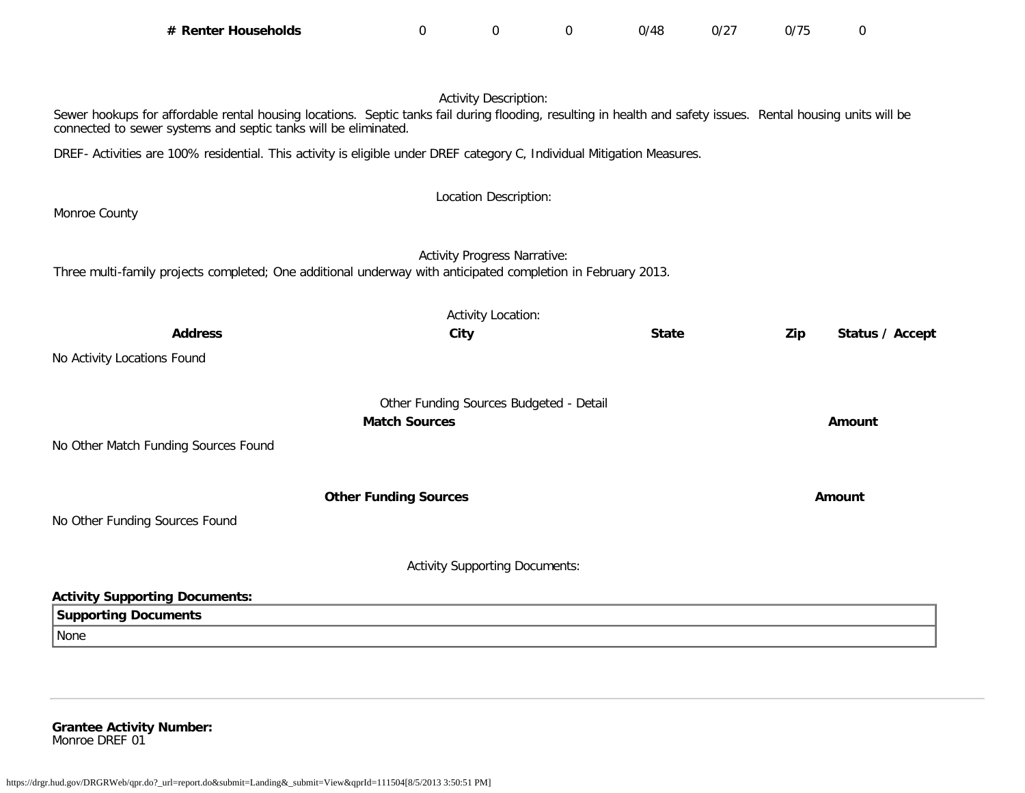| # Renter Households                                                                                                                                                                                                              | 0                            | 0                                       | $\mathbf 0$ | 0/48         | 0/27 | 0/75 | $\mathbf 0$     |
|----------------------------------------------------------------------------------------------------------------------------------------------------------------------------------------------------------------------------------|------------------------------|-----------------------------------------|-------------|--------------|------|------|-----------------|
|                                                                                                                                                                                                                                  |                              |                                         |             |              |      |      |                 |
|                                                                                                                                                                                                                                  |                              | <b>Activity Description:</b>            |             |              |      |      |                 |
| Sewer hookups for affordable rental housing locations. Septic tanks fail during flooding, resulting in health and safety issues. Rental housing units will be<br>connected to sewer systems and septic tanks will be eliminated. |                              |                                         |             |              |      |      |                 |
| DREF- Activities are 100% residential. This activity is eligible under DREF category C, Individual Mitigation Measures.                                                                                                          |                              |                                         |             |              |      |      |                 |
|                                                                                                                                                                                                                                  |                              |                                         |             |              |      |      |                 |
| Monroe County                                                                                                                                                                                                                    |                              | Location Description:                   |             |              |      |      |                 |
|                                                                                                                                                                                                                                  |                              |                                         |             |              |      |      |                 |
|                                                                                                                                                                                                                                  |                              | <b>Activity Progress Narrative:</b>     |             |              |      |      |                 |
| Three multi-family projects completed; One additional underway with anticipated completion in February 2013.                                                                                                                     |                              |                                         |             |              |      |      |                 |
|                                                                                                                                                                                                                                  |                              | <b>Activity Location:</b>               |             |              |      |      |                 |
| <b>Address</b>                                                                                                                                                                                                                   |                              | City                                    |             | <b>State</b> |      | Zip  | Status / Accept |
| No Activity Locations Found                                                                                                                                                                                                      |                              |                                         |             |              |      |      |                 |
|                                                                                                                                                                                                                                  |                              |                                         |             |              |      |      |                 |
|                                                                                                                                                                                                                                  | <b>Match Sources</b>         | Other Funding Sources Budgeted - Detail |             |              |      |      | Amount          |
| No Other Match Funding Sources Found                                                                                                                                                                                             |                              |                                         |             |              |      |      |                 |
|                                                                                                                                                                                                                                  |                              |                                         |             |              |      |      |                 |
|                                                                                                                                                                                                                                  | <b>Other Funding Sources</b> |                                         |             |              |      |      | <b>Amount</b>   |
| No Other Funding Sources Found                                                                                                                                                                                                   |                              |                                         |             |              |      |      |                 |
|                                                                                                                                                                                                                                  |                              |                                         |             |              |      |      |                 |
|                                                                                                                                                                                                                                  |                              | <b>Activity Supporting Documents:</b>   |             |              |      |      |                 |
| <b>Activity Supporting Documents:</b>                                                                                                                                                                                            |                              |                                         |             |              |      |      |                 |
| <b>Supporting Documents</b>                                                                                                                                                                                                      |                              |                                         |             |              |      |      |                 |
| None                                                                                                                                                                                                                             |                              |                                         |             |              |      |      |                 |
|                                                                                                                                                                                                                                  |                              |                                         |             |              |      |      |                 |

**Grantee Activity Number:** Monroe DREF 01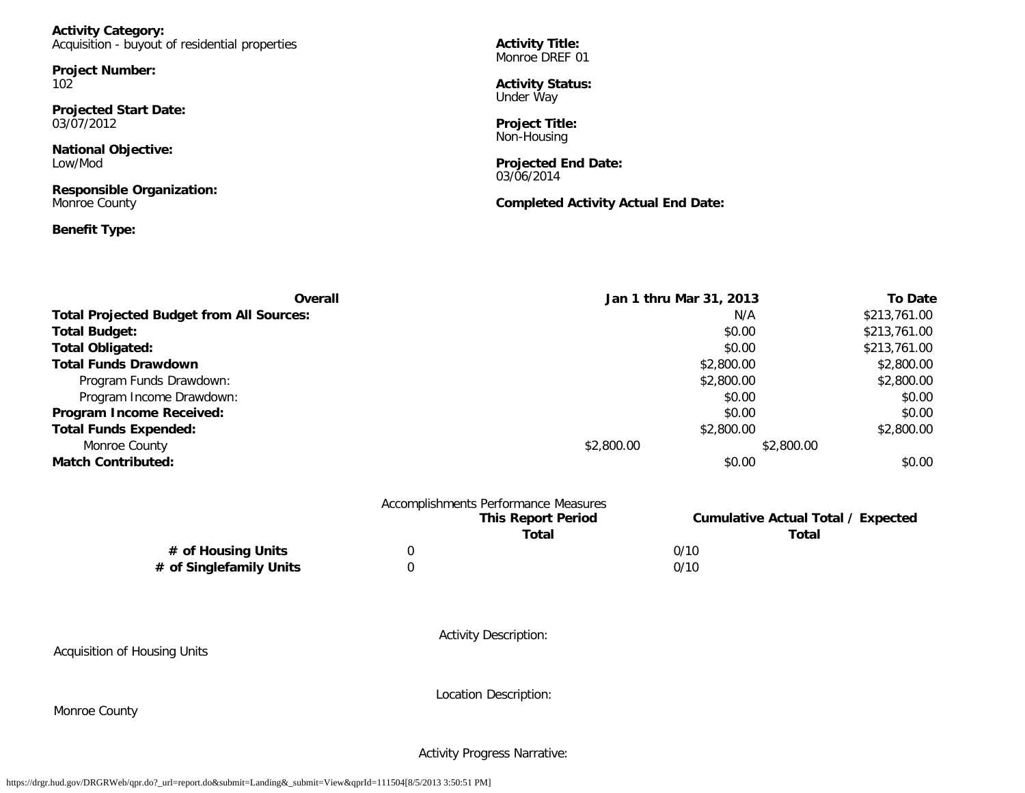**Activity Category:** Acquisition - buyout of residential properties

**Project Number:** 102

**Projected Start Date:** 03/07/2012

**National Objective:** Low/Mod

**Responsible Organization:** Monroe County

### **Benefit Type:**

**Activity Title:** Monroe DREF 01

**Activity Status:** Under Way

**Project Title:** Non-Housing

**Projected End Date:** 03/06/2014

**Completed Activity Actual End Date:**

| Overall                                         | Jan 1 thru Mar 31, 2013 | <b>To Date</b> |
|-------------------------------------------------|-------------------------|----------------|
| <b>Total Projected Budget from All Sources:</b> | N/A                     | \$213,761.00   |
| <b>Total Budget:</b>                            | \$0.00                  | \$213,761.00   |
| <b>Total Obligated:</b>                         | \$0.00                  | \$213,761.00   |
| <b>Total Funds Drawdown</b>                     | \$2,800.00              | \$2,800.00     |
| Program Funds Drawdown:                         | \$2,800.00              | \$2,800.00     |
| Program Income Drawdown:                        | \$0.00                  | \$0.00         |
| Program Income Received:                        | \$0.00                  | \$0.00         |
| <b>Total Funds Expended:</b>                    | \$2,800.00              | \$2,800.00     |
| Monroe County                                   | \$2,800.00              | \$2,800.00     |
| <b>Match Contributed:</b>                       | \$0.00                  | \$0.00         |

|                         |   | Accomplishments Performance Measures<br><b>This Report Period</b><br><b>Total</b> | <b>Cumulative Actual Total / Expected</b><br><b>Total</b> |
|-------------------------|---|-----------------------------------------------------------------------------------|-----------------------------------------------------------|
| # of Housing Units      | 0 |                                                                                   | 0/10                                                      |
| # of Singlefamily Units |   |                                                                                   | 0/10                                                      |

Acquisition of Housing Units

Activity Description:

Location Description:

Monroe County

Activity Progress Narrative: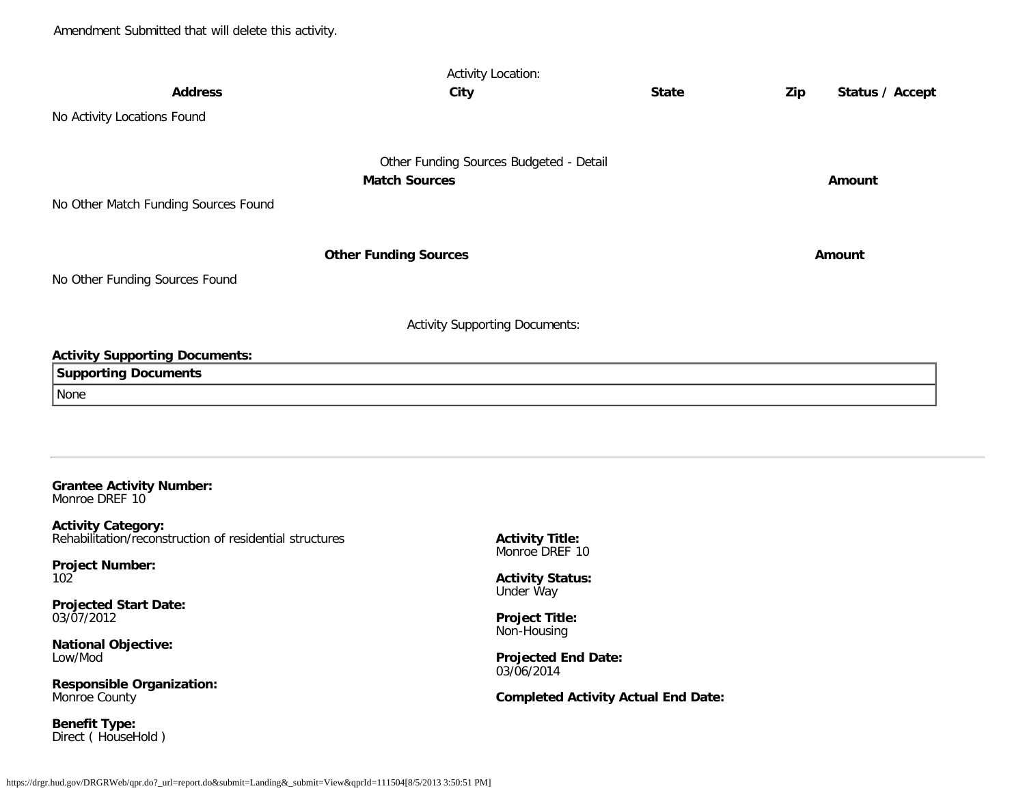| <b>Activity Location:</b>                                                            |                                         |              |     |                 |  |  |
|--------------------------------------------------------------------------------------|-----------------------------------------|--------------|-----|-----------------|--|--|
| <b>Address</b>                                                                       | City                                    | <b>State</b> | Zip | Status / Accept |  |  |
| No Activity Locations Found                                                          |                                         |              |     |                 |  |  |
|                                                                                      |                                         |              |     |                 |  |  |
|                                                                                      | Other Funding Sources Budgeted - Detail |              |     |                 |  |  |
|                                                                                      | <b>Match Sources</b>                    |              |     | Amount          |  |  |
| No Other Match Funding Sources Found                                                 |                                         |              |     |                 |  |  |
|                                                                                      |                                         |              |     |                 |  |  |
|                                                                                      | <b>Other Funding Sources</b>            |              |     | Amount          |  |  |
| No Other Funding Sources Found                                                       |                                         |              |     |                 |  |  |
|                                                                                      |                                         |              |     |                 |  |  |
|                                                                                      | <b>Activity Supporting Documents:</b>   |              |     |                 |  |  |
| <b>Activity Supporting Documents:</b>                                                |                                         |              |     |                 |  |  |
| <b>Supporting Documents</b>                                                          |                                         |              |     |                 |  |  |
| None                                                                                 |                                         |              |     |                 |  |  |
|                                                                                      |                                         |              |     |                 |  |  |
|                                                                                      |                                         |              |     |                 |  |  |
|                                                                                      |                                         |              |     |                 |  |  |
| <b>Grantee Activity Number:</b><br>Monroe DREF 10                                    |                                         |              |     |                 |  |  |
| <b>Activity Category:</b><br>$\sim$ $\sim$ $\sim$ $\sim$ $\sim$ $\sim$ $\sim$ $\sim$ |                                         |              |     |                 |  |  |

Rehabilitation/reconstruction of residential structures

**Project Number:** 102

**Projected Start Date:** 03/07/2012

**National Objective:** Low/Mod

**Responsible Organization:** Monroe County

**Benefit Type:** Direct ( HouseHold ) **Activity Title:** Monroe DREF 10

**Activity Status:** Under Way

**Project Title:** Non-Housing

**Projected End Date:** 03/06/2014

**Completed Activity Actual End Date:**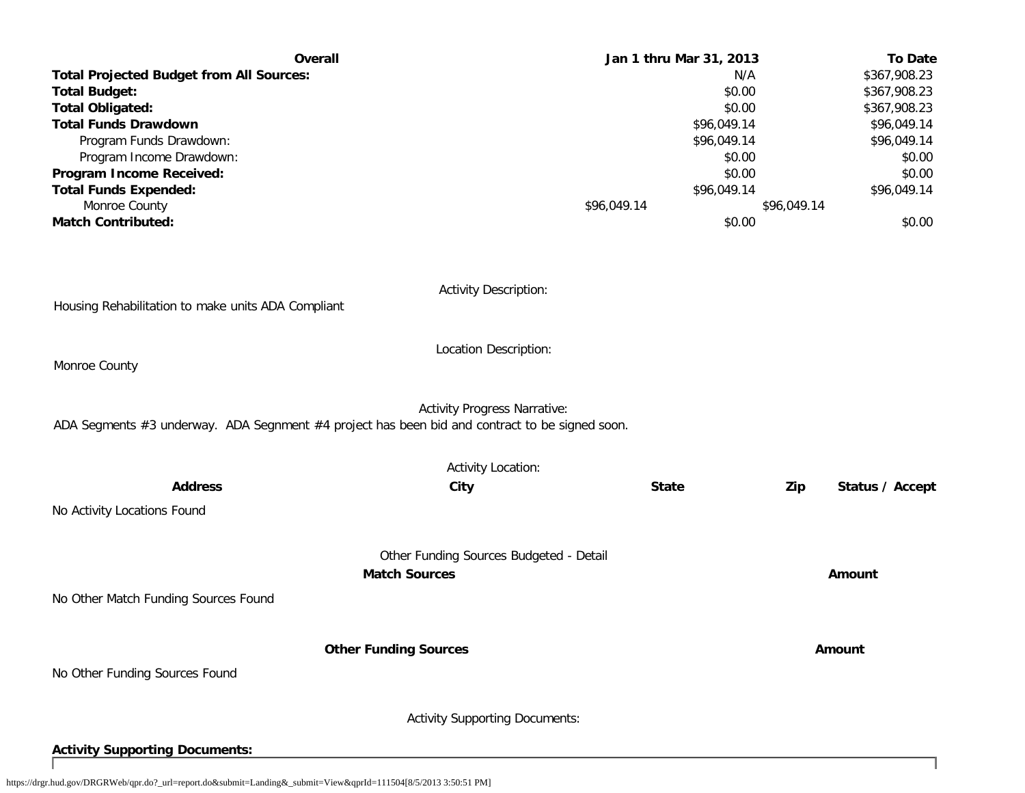| <b>Overall</b>                                                                                 | Jan 1 thru Mar 31, 2013                 |             | <b>To Date</b>         |
|------------------------------------------------------------------------------------------------|-----------------------------------------|-------------|------------------------|
| <b>Total Projected Budget from All Sources:</b>                                                |                                         | N/A         | \$367,908.23           |
| <b>Total Budget:</b>                                                                           |                                         | \$0.00      | \$367,908.23           |
| <b>Total Obligated:</b>                                                                        |                                         | \$0.00      | \$367,908.23           |
| <b>Total Funds Drawdown</b>                                                                    |                                         | \$96,049.14 | \$96,049.14            |
| Program Funds Drawdown:                                                                        |                                         | \$96,049.14 | \$96,049.14            |
| Program Income Drawdown:                                                                       |                                         | \$0.00      | \$0.00                 |
| Program Income Received:                                                                       |                                         | \$0.00      | \$0.00                 |
| <b>Total Funds Expended:</b>                                                                   |                                         | \$96,049.14 | \$96,049.14            |
| Monroe County                                                                                  | \$96,049.14                             |             | \$96,049.14            |
| <b>Match Contributed:</b>                                                                      |                                         | \$0.00      | \$0.00                 |
| Housing Rehabilitation to make units ADA Compliant                                             | <b>Activity Description:</b>            |             |                        |
|                                                                                                | Location Description:                   |             |                        |
| Monroe County                                                                                  |                                         |             |                        |
| ADA Segments #3 underway. ADA Segnment #4 project has been bid and contract to be signed soon. | <b>Activity Progress Narrative:</b>     |             |                        |
|                                                                                                | <b>Activity Location:</b>               |             |                        |
| <b>Address</b><br>City                                                                         | <b>State</b>                            |             | Zip<br>Status / Accept |
| No Activity Locations Found                                                                    |                                         |             |                        |
|                                                                                                | Other Funding Sources Budgeted - Detail |             |                        |
| <b>Match Sources</b>                                                                           |                                         |             | Amount                 |
| No Other Match Funding Sources Found                                                           |                                         |             |                        |
| <b>Other Funding Sources</b>                                                                   |                                         |             | Amount                 |
| No Other Funding Sources Found                                                                 |                                         |             |                        |
|                                                                                                | <b>Activity Supporting Documents:</b>   |             |                        |

**Activity Supporting Documents:**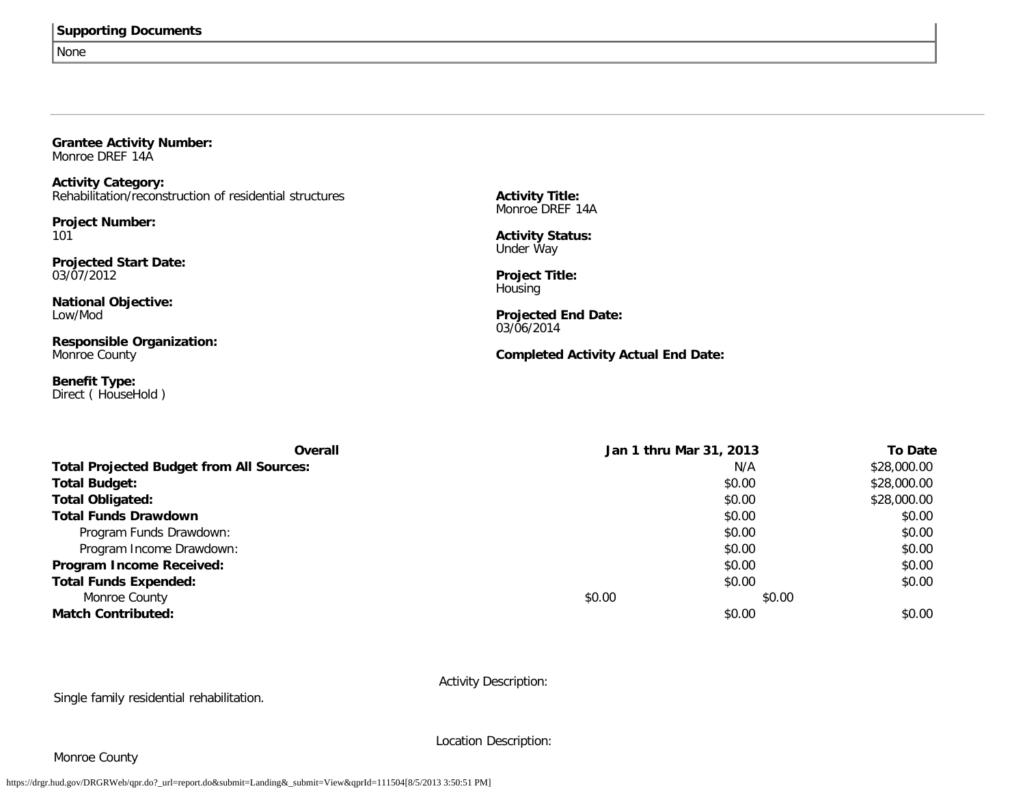None

| <b>Grantee Activity Number:</b><br>Monroe DREF 14A      |                                            |  |
|---------------------------------------------------------|--------------------------------------------|--|
| <b>Activity Category:</b>                               |                                            |  |
| Rehabilitation/reconstruction of residential structures | <b>Activity Title:</b><br>Monroe DREF 14A  |  |
| <b>Project Number:</b>                                  |                                            |  |
| 101                                                     | <b>Activity Status:</b><br>Under Way       |  |
| <b>Projected Start Date:</b>                            |                                            |  |
| 03/07/2012                                              | <b>Project Title:</b><br>Housing           |  |
| <b>National Objective:</b>                              |                                            |  |
| Low/Mod                                                 | <b>Projected End Date:</b><br>03/06/2014   |  |
| <b>Responsible Organization:</b>                        |                                            |  |
| Monroe County                                           | <b>Completed Activity Actual End Date:</b> |  |
| <b>Benefit Type:</b><br>Direct (HouseHold)              |                                            |  |

| Overall                                         | Jan 1 thru Mar 31, 2013 |        | <b>To Date</b> |
|-------------------------------------------------|-------------------------|--------|----------------|
| <b>Total Projected Budget from All Sources:</b> |                         | N/A    | \$28,000.00    |
| <b>Total Budget:</b>                            |                         | \$0.00 | \$28,000.00    |
| <b>Total Obligated:</b>                         |                         | \$0.00 | \$28,000.00    |
| <b>Total Funds Drawdown</b>                     |                         | \$0.00 | \$0.00         |
| Program Funds Drawdown:                         |                         | \$0.00 | \$0.00         |
| Program Income Drawdown:                        |                         | \$0.00 | \$0.00         |
| Program Income Received:                        |                         | \$0.00 | \$0.00         |
| <b>Total Funds Expended:</b>                    |                         | \$0.00 | \$0.00         |
| Monroe County                                   | \$0.00                  | \$0.00 |                |
| <b>Match Contributed:</b>                       |                         | \$0.00 | \$0.00         |

Activity Description:

Single family residential rehabilitation.

Location Description:

### Monroe County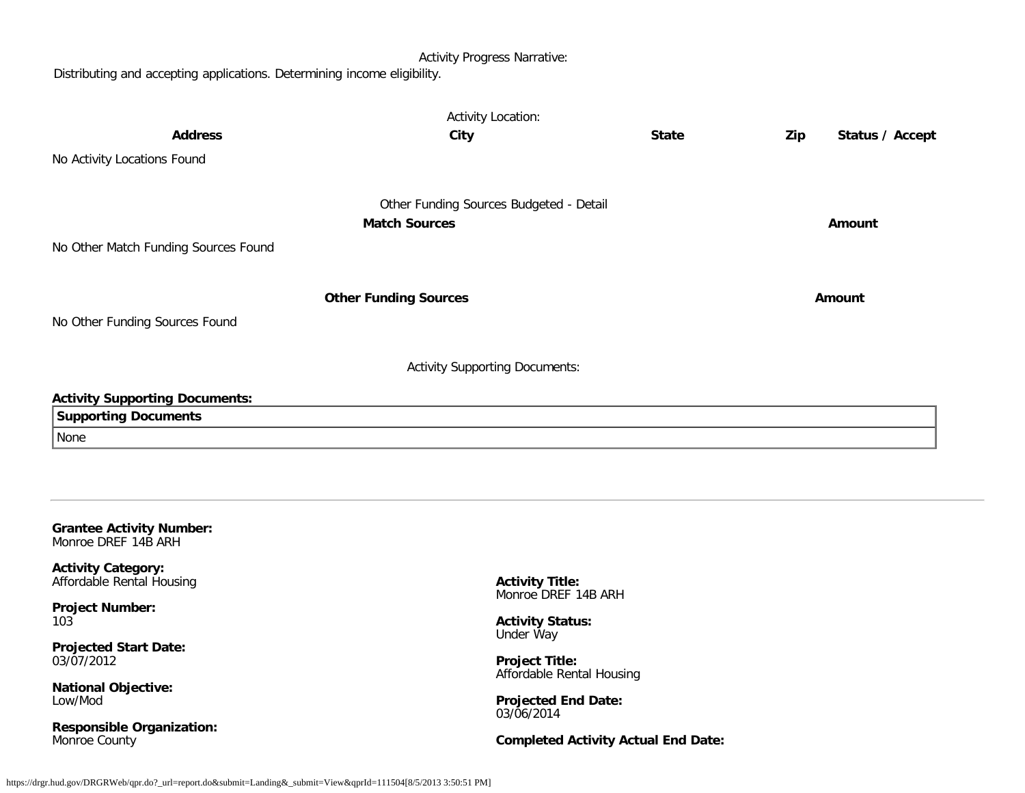Activity Progress Narrative:

Distributing and accepting applications. Determining income eligibility.

|                                                        | <b>Activity Location:</b>                          |                                            |     |                 |
|--------------------------------------------------------|----------------------------------------------------|--------------------------------------------|-----|-----------------|
| <b>Address</b>                                         | City                                               | <b>State</b>                               | Zip | Status / Accept |
| No Activity Locations Found                            |                                                    |                                            |     |                 |
|                                                        |                                                    |                                            |     |                 |
|                                                        | Other Funding Sources Budgeted - Detail            |                                            |     |                 |
|                                                        | <b>Match Sources</b>                               |                                            |     | Amount          |
| No Other Match Funding Sources Found                   |                                                    |                                            |     |                 |
|                                                        |                                                    |                                            |     |                 |
|                                                        | <b>Other Funding Sources</b>                       |                                            |     | Amount          |
|                                                        |                                                    |                                            |     |                 |
| No Other Funding Sources Found                         |                                                    |                                            |     |                 |
|                                                        |                                                    |                                            |     |                 |
|                                                        | <b>Activity Supporting Documents:</b>              |                                            |     |                 |
| <b>Activity Supporting Documents:</b>                  |                                                    |                                            |     |                 |
| <b>Supporting Documents</b>                            |                                                    |                                            |     |                 |
| None                                                   |                                                    |                                            |     |                 |
|                                                        |                                                    |                                            |     |                 |
|                                                        |                                                    |                                            |     |                 |
|                                                        |                                                    |                                            |     |                 |
| <b>Grantee Activity Number:</b><br>Monroe DREF 14B ARH |                                                    |                                            |     |                 |
| <b>Activity Category:</b>                              |                                                    |                                            |     |                 |
| Affordable Rental Housing                              | <b>Activity Title:</b><br>Monroe DREF 14B ARH      |                                            |     |                 |
| <b>Project Number:</b>                                 |                                                    |                                            |     |                 |
| 103                                                    | <b>Activity Status:</b><br>Under Way               |                                            |     |                 |
| <b>Projected Start Date:</b>                           |                                                    |                                            |     |                 |
| 03/07/2012                                             | <b>Project Title:</b><br>Affordable Rental Housing |                                            |     |                 |
| <b>National Objective:</b><br>Low/Mod                  |                                                    |                                            |     |                 |
|                                                        | <b>Projected End Date:</b><br>03/06/2014           |                                            |     |                 |
| <b>Responsible Organization:</b><br>Monroe County      |                                                    | <b>Completed Activity Actual End Date:</b> |     |                 |
|                                                        |                                                    |                                            |     |                 |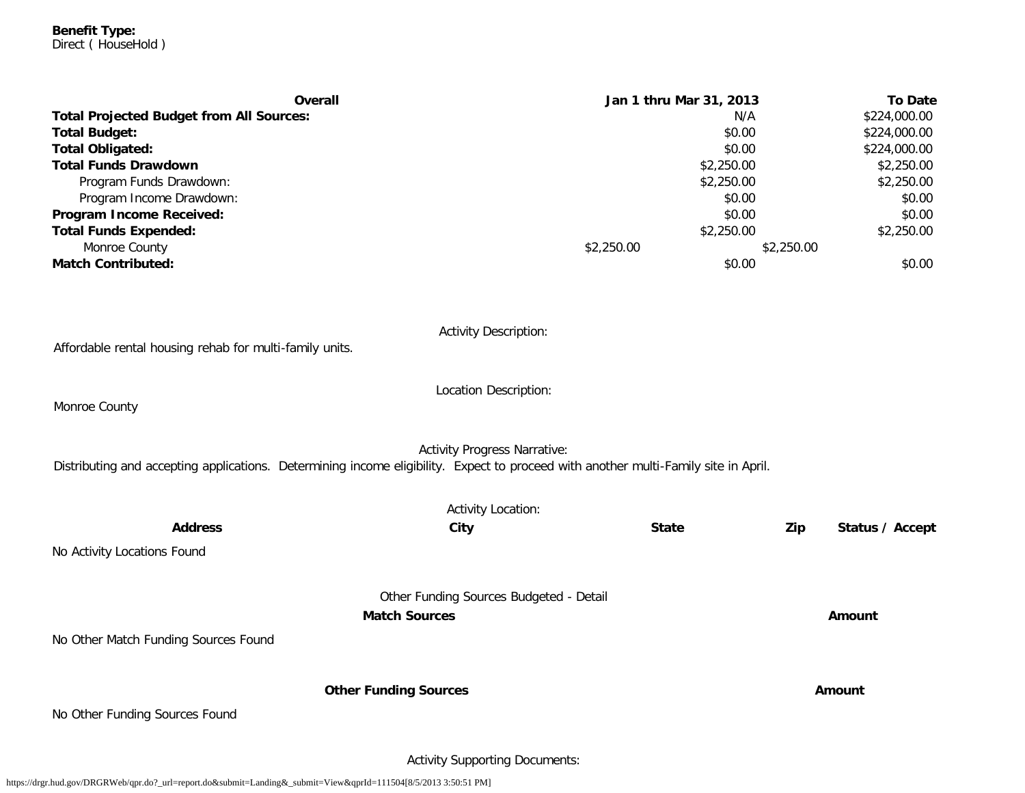**Benefit Type:** Direct ( HouseHold )

| <b>Overall</b>                                  | Jan 1 thru Mar 31, 2013 |            | <b>To Date</b> |
|-------------------------------------------------|-------------------------|------------|----------------|
| <b>Total Projected Budget from All Sources:</b> |                         | N/A        | \$224,000.00   |
| <b>Total Budget:</b>                            |                         | \$0.00     | \$224,000.00   |
| <b>Total Obligated:</b>                         |                         | \$0.00     | \$224,000.00   |
| <b>Total Funds Drawdown</b>                     |                         | \$2,250.00 | \$2,250.00     |
| Program Funds Drawdown:                         |                         | \$2,250.00 | \$2,250.00     |
| Program Income Drawdown:                        |                         | \$0.00     | \$0.00         |
| Program Income Received:                        |                         | \$0.00     | \$0.00         |
| <b>Total Funds Expended:</b>                    |                         | \$2,250.00 | \$2,250.00     |
| Monroe County                                   | \$2,250.00              | \$2,250.00 |                |
| <b>Match Contributed:</b>                       |                         | \$0.00     | \$0.00         |
|                                                 |                         |            |                |

| Affordable rental housing rehab for multi-family units.                                                                             | <b>Activity Description:</b>                                    |              |     |                 |
|-------------------------------------------------------------------------------------------------------------------------------------|-----------------------------------------------------------------|--------------|-----|-----------------|
| Monroe County                                                                                                                       | Location Description:                                           |              |     |                 |
| Distributing and accepting applications. Determining income eligibility. Expect to proceed with another multi-Family site in April. | <b>Activity Progress Narrative:</b>                             |              |     |                 |
|                                                                                                                                     | <b>Activity Location:</b>                                       |              |     |                 |
| <b>Address</b>                                                                                                                      | City                                                            | <b>State</b> | Zip | Status / Accept |
| No Activity Locations Found                                                                                                         |                                                                 |              |     |                 |
|                                                                                                                                     | Other Funding Sources Budgeted - Detail<br><b>Match Sources</b> |              |     | Amount          |
| No Other Match Funding Sources Found                                                                                                |                                                                 |              |     |                 |
|                                                                                                                                     | <b>Other Funding Sources</b>                                    |              |     | Amount          |
| No Other Funding Sources Found                                                                                                      |                                                                 |              |     |                 |

Activity Supporting Documents: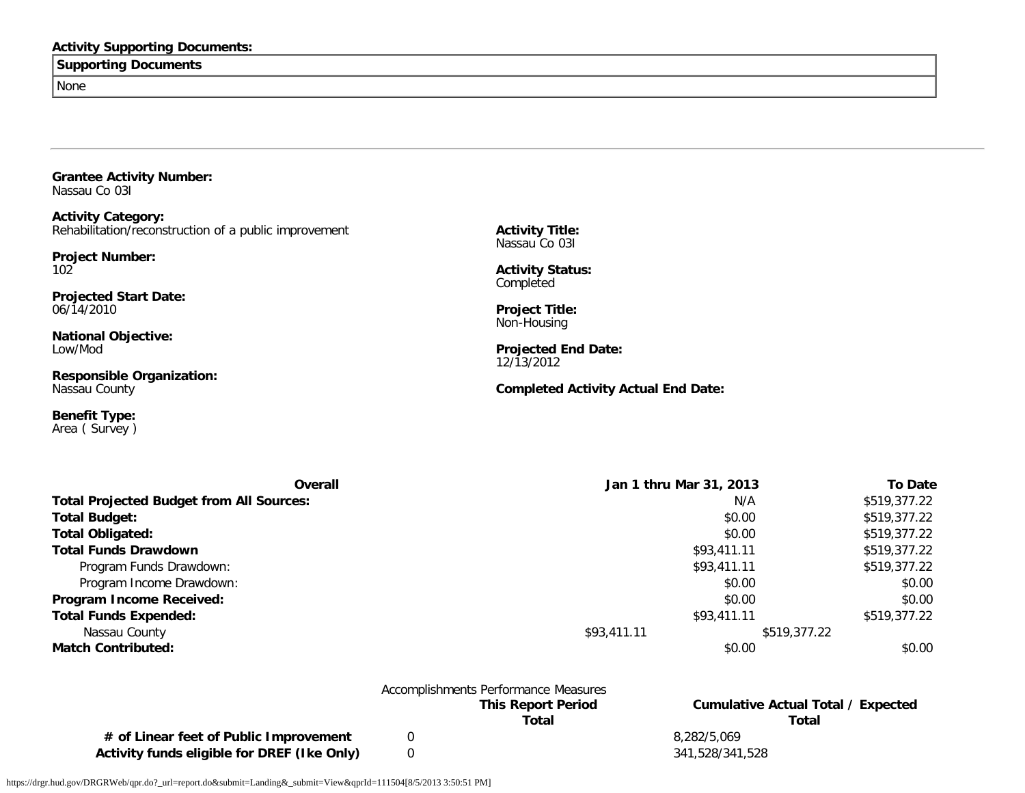### **Activity Supporting Documents:**

### **Supporting Documents**

None

**Grantee Activity Number:** Nassau Co 03I

**Activity Category:** Rehabilitation/reconstruction of a public improvement

**Project Number:** 102

**Projected Start Date:** 06/14/2010

**National Objective:** Low/Mod

**Responsible Organization:** Nassau County

**Benefit Type:** Area ( Survey ) **Activity Title:** Nassau Co 03I

**Activity Status: Completed** 

**Project Title:** Non-Housing

**Projected End Date:** 12/13/2012

**Completed Activity Actual End Date:**

| <b>Overall</b>                                  | Jan 1 thru Mar 31, 2013 |              | <b>To Date</b> |
|-------------------------------------------------|-------------------------|--------------|----------------|
| <b>Total Projected Budget from All Sources:</b> |                         | N/A          | \$519,377.22   |
| <b>Total Budget:</b>                            |                         | \$0.00       | \$519,377.22   |
| <b>Total Obligated:</b>                         |                         | \$0.00       | \$519,377.22   |
| <b>Total Funds Drawdown</b>                     |                         | \$93,411.11  | \$519,377.22   |
| Program Funds Drawdown:                         |                         | \$93,411.11  | \$519,377.22   |
| Program Income Drawdown:                        |                         | \$0.00       | \$0.00         |
| Program Income Received:                        |                         | \$0.00       | \$0.00         |
| <b>Total Funds Expended:</b>                    |                         | \$93,411.11  | \$519,377.22   |
| Nassau County                                   | \$93,411.11             | \$519,377.22 |                |
| <b>Match Contributed:</b>                       |                         | \$0.00       | \$0.00         |
|                                                 |                         |              |                |

|                                             | Accomplishments Performance Measures |                                    |
|---------------------------------------------|--------------------------------------|------------------------------------|
|                                             | <b>This Report Period</b>            | Cumulative Actual Total / Expected |
|                                             | Total                                | Total                              |
| # of Linear feet of Public Improvement      |                                      | 8.282/5.069                        |
| Activity funds eligible for DREF (Ike Only) |                                      | 341.528/341.528                    |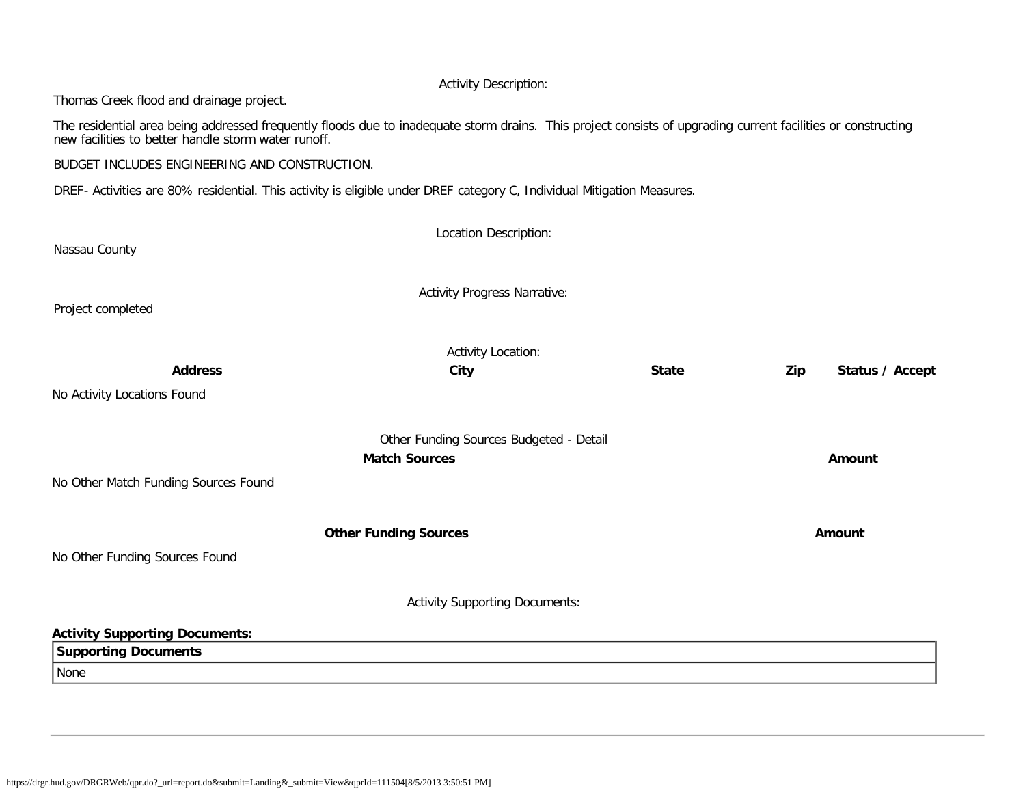### Activity Description:

Thomas Creek flood and drainage project.

The residential area being addressed frequently floods due to inadequate storm drains. This project consists of upgrading current facilities or constructing new facilities to better handle storm water runoff.

BUDGET INCLUDES ENGINEERING AND CONSTRUCTION.

DREF- Activities are 80% residential. This activity is eligible under DREF category C, Individual Mitigation Measures.

| Nassau County                                                                | Location Description:                                           |              |                        |
|------------------------------------------------------------------------------|-----------------------------------------------------------------|--------------|------------------------|
| Project completed                                                            | <b>Activity Progress Narrative:</b>                             |              |                        |
| <b>Address</b><br>No Activity Locations Found                                | <b>Activity Location:</b><br>City                               | <b>State</b> | Zip<br>Status / Accept |
| No Other Match Funding Sources Found                                         | Other Funding Sources Budgeted - Detail<br><b>Match Sources</b> |              | Amount                 |
| No Other Funding Sources Found                                               | <b>Other Funding Sources</b>                                    |              | <b>Amount</b>          |
|                                                                              | <b>Activity Supporting Documents:</b>                           |              |                        |
| <b>Activity Supporting Documents:</b><br><b>Supporting Documents</b><br>None |                                                                 |              |                        |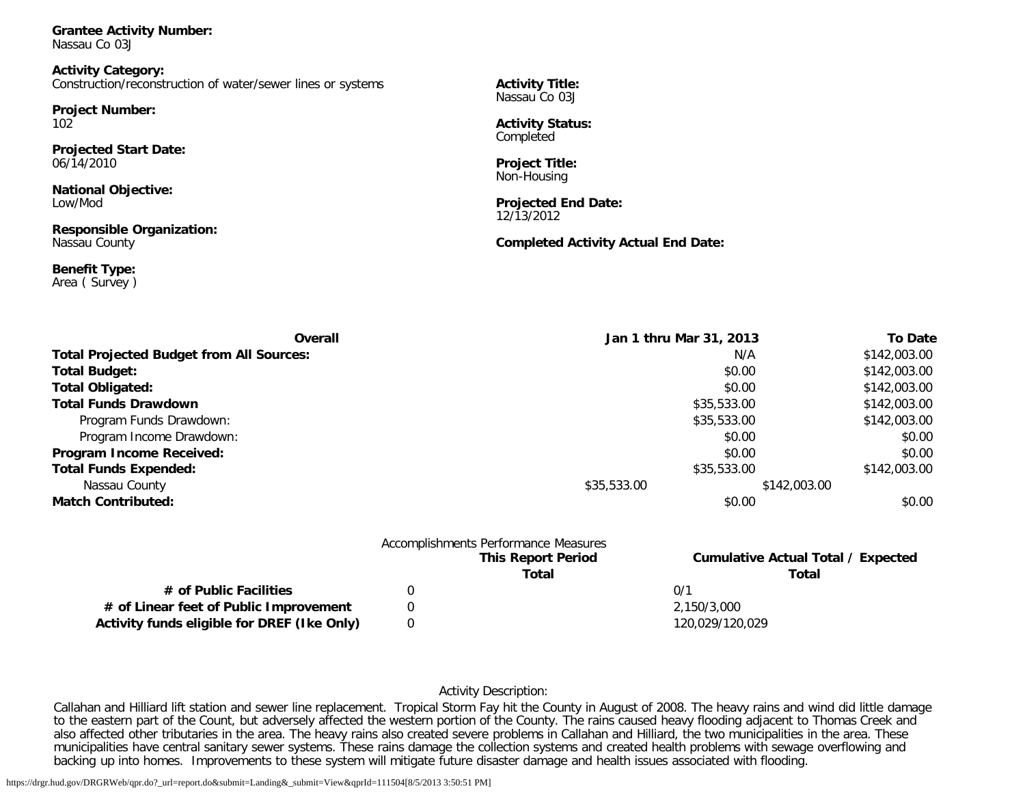**Grantee Activity Number:** Nassau Co 03J

**Activity Category:** Construction/reconstruction of water/sewer lines or systems

**Project Number:** 102

**Projected Start Date:** 06/14/2010

**National Objective:** Low/Mod

**Responsible Organization:** Nassau County

**Benefit Type:** Area ( Survey ) **Activity Title:** Nassau Co 03J

**Activity Status:** Completed

**Project Title:** Non-Housing

**Projected End Date:** 12/13/2012

#### **Completed Activity Actual End Date:**

| Overall                                         | Jan 1 thru Mar 31, 2013 |              | <b>To Date</b> |
|-------------------------------------------------|-------------------------|--------------|----------------|
| <b>Total Projected Budget from All Sources:</b> |                         | N/A          | \$142,003.00   |
| <b>Total Budget:</b>                            |                         | \$0.00       | \$142,003.00   |
| <b>Total Obligated:</b>                         |                         | \$0.00       | \$142,003.00   |
| <b>Total Funds Drawdown</b>                     |                         | \$35,533.00  | \$142,003.00   |
| Program Funds Drawdown:                         |                         | \$35,533.00  | \$142,003.00   |
| Program Income Drawdown:                        |                         | \$0.00       | \$0.00         |
| Program Income Received:                        |                         | \$0.00       | \$0.00         |
| <b>Total Funds Expended:</b>                    |                         | \$35,533.00  | \$142,003.00   |
| Nassau County                                   | \$35,533.00             | \$142,003.00 |                |
| <b>Match Contributed:</b>                       |                         | \$0.00       | \$0.00         |
|                                                 |                         |              |                |

|                                             | <b>This Report Period</b><br>Total | <b>Cumulative Actual Total / Expected</b><br>Total |
|---------------------------------------------|------------------------------------|----------------------------------------------------|
| # of Public Facilities                      |                                    | 0/1                                                |
| # of Linear feet of Public Improvement      |                                    | 2.150/3.000                                        |
| Activity funds eligible for DREF (Ike Only) |                                    | 120.029/120.029                                    |

### Activity Description:

Callahan and Hilliard lift station and sewer line replacement. Tropical Storm Fay hit the County in August of 2008. The heavy rains and wind did little damage to the eastern part of the Count, but adversely affected the western portion of the County. The rains caused heavy flooding adjacent to Thomas Creek and also affected other tributaries in the area. The heavy rains also created severe problems in Callahan and Hilliard, the two municipalities in the area. These municipalities have central sanitary sewer systems. These rains damage the collection systems and created health problems with sewage overflowing and backing up into homes. Improvements to these system will mitigate future disaster damage and health issues associated with flooding.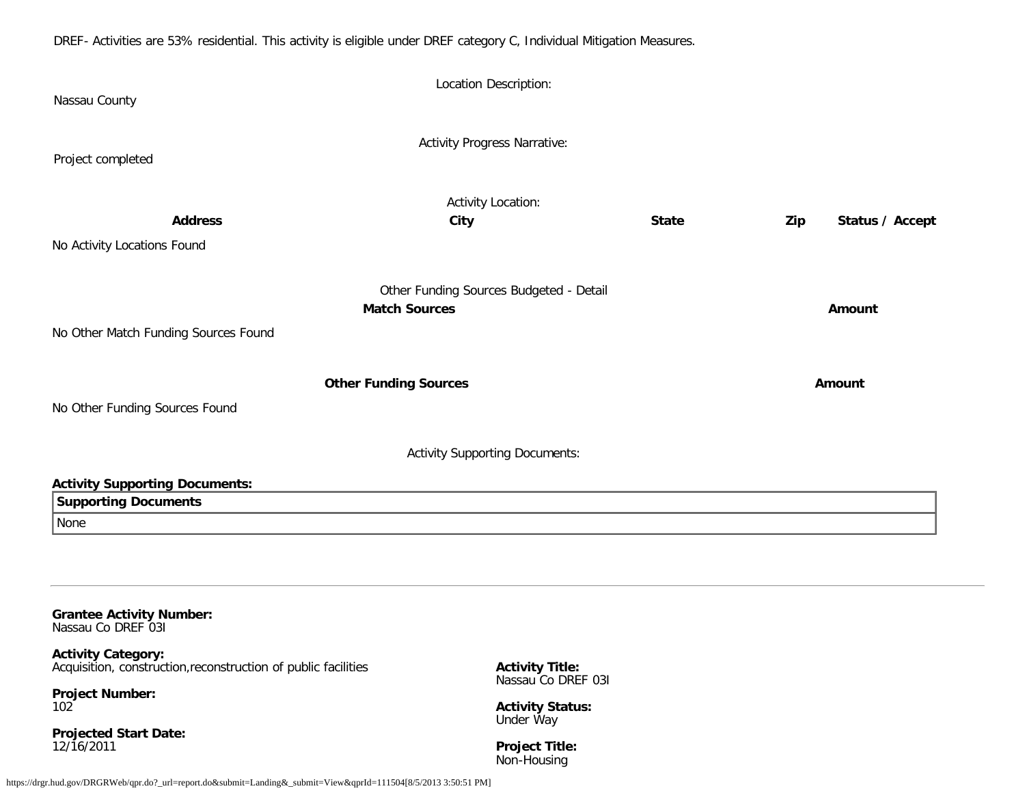DREF- Activities are 53% residential. This activity is eligible under DREF category C, Individual Mitigation Measures.

| Nassau County                         | Location Description:                   |              |                        |
|---------------------------------------|-----------------------------------------|--------------|------------------------|
| Project completed                     | <b>Activity Progress Narrative:</b>     |              |                        |
|                                       | <b>Activity Location:</b>               |              |                        |
| <b>Address</b>                        | City                                    | <b>State</b> | Status / Accept<br>Zip |
| No Activity Locations Found           |                                         |              |                        |
|                                       | Other Funding Sources Budgeted - Detail |              |                        |
|                                       | <b>Match Sources</b>                    |              | Amount                 |
| No Other Match Funding Sources Found  |                                         |              |                        |
|                                       |                                         |              |                        |
|                                       | <b>Other Funding Sources</b>            |              | Amount                 |
| No Other Funding Sources Found        |                                         |              |                        |
|                                       | <b>Activity Supporting Documents:</b>   |              |                        |
| <b>Activity Supporting Documents:</b> |                                         |              |                        |
| <b>Supporting Documents</b>           |                                         |              |                        |
| None                                  |                                         |              |                        |
|                                       |                                         |              |                        |
|                                       |                                         |              |                        |
| Cropbon Antivity Number               |                                         |              |                        |

**Grantee Activity Number:** Nassau Co DREF 03I

**Activity Category:** Acquisition, construction,reconstruction of public facilities

**Project Number:** 102

**Projected Start Date:** 12/16/2011

**Activity Title:** Nassau Co DREF 03I

**Activity Status:** Under Way

**Project Title:** Non-Housing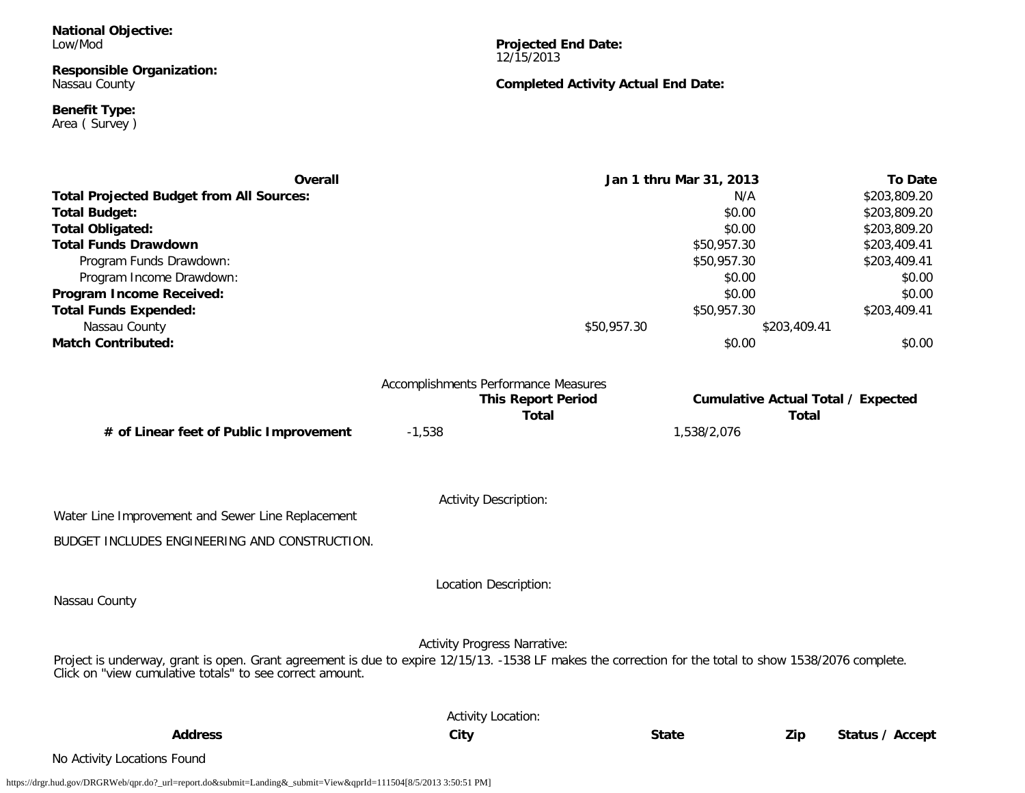**National Objective:** Low/Mod

#### **Responsible Organization:** Nassau County

**Benefit Type:**

Area ( Survey )

**Projected End Date:** 12/15/2013

### **Completed Activity Actual End Date:**

| <b>Overall</b>                                                                                                                                         |                                      |                           | Jan 1 thru Mar 31, 2013 | <b>To Date</b>                            |
|--------------------------------------------------------------------------------------------------------------------------------------------------------|--------------------------------------|---------------------------|-------------------------|-------------------------------------------|
| <b>Total Projected Budget from All Sources:</b>                                                                                                        |                                      |                           | N/A                     | \$203,809.20                              |
| <b>Total Budget:</b>                                                                                                                                   |                                      |                           | \$0.00                  | \$203,809.20                              |
| <b>Total Obligated:</b>                                                                                                                                |                                      |                           | \$0.00                  | \$203,809.20                              |
| <b>Total Funds Drawdown</b>                                                                                                                            |                                      |                           | \$50,957.30             | \$203,409.41                              |
| Program Funds Drawdown:                                                                                                                                |                                      |                           | \$50,957.30             | \$203,409.41                              |
| Program Income Drawdown:                                                                                                                               |                                      |                           | \$0.00                  | \$0.00                                    |
| Program Income Received:                                                                                                                               |                                      |                           | \$0.00                  | \$0.00                                    |
| <b>Total Funds Expended:</b>                                                                                                                           |                                      |                           | \$50,957.30             | \$203,409.41                              |
| Nassau County                                                                                                                                          |                                      | \$50,957.30               |                         | \$203,409.41                              |
| <b>Match Contributed:</b>                                                                                                                              |                                      |                           | \$0.00                  | \$0.00                                    |
|                                                                                                                                                        | Accomplishments Performance Measures |                           |                         |                                           |
|                                                                                                                                                        |                                      | <b>This Report Period</b> |                         | <b>Cumulative Actual Total / Expected</b> |
|                                                                                                                                                        |                                      | <b>Total</b>              |                         | <b>Total</b>                              |
| # of Linear feet of Public Improvement                                                                                                                 | $-1,538$                             |                           | 1,538/2,076             |                                           |
|                                                                                                                                                        |                                      |                           |                         |                                           |
|                                                                                                                                                        | <b>Activity Description:</b>         |                           |                         |                                           |
| Water Line Improvement and Sewer Line Replacement                                                                                                      |                                      |                           |                         |                                           |
| BUDGET INCLUDES ENGINEERING AND CONSTRUCTION.                                                                                                          |                                      |                           |                         |                                           |
|                                                                                                                                                        |                                      |                           |                         |                                           |
|                                                                                                                                                        | Location Description:                |                           |                         |                                           |
| Nassau County                                                                                                                                          |                                      |                           |                         |                                           |
|                                                                                                                                                        | <b>Activity Progress Narrative:</b>  |                           |                         |                                           |
| Project is underway, grant is open. Grant agreement is due to expire 12/15/13. -1538 LF makes the correction for the total to show 1538/2076 complete. |                                      |                           |                         |                                           |
| Click on "view cumulative totals" to see correct amount.                                                                                               |                                      |                           |                         |                                           |
|                                                                                                                                                        | <b>Activity Location:</b>            |                           |                         |                                           |
| <b>Address</b>                                                                                                                                         | City                                 | <b>State</b>              |                         | Zip<br>Status / Accept                    |
| No Activity Locations Found                                                                                                                            |                                      |                           |                         |                                           |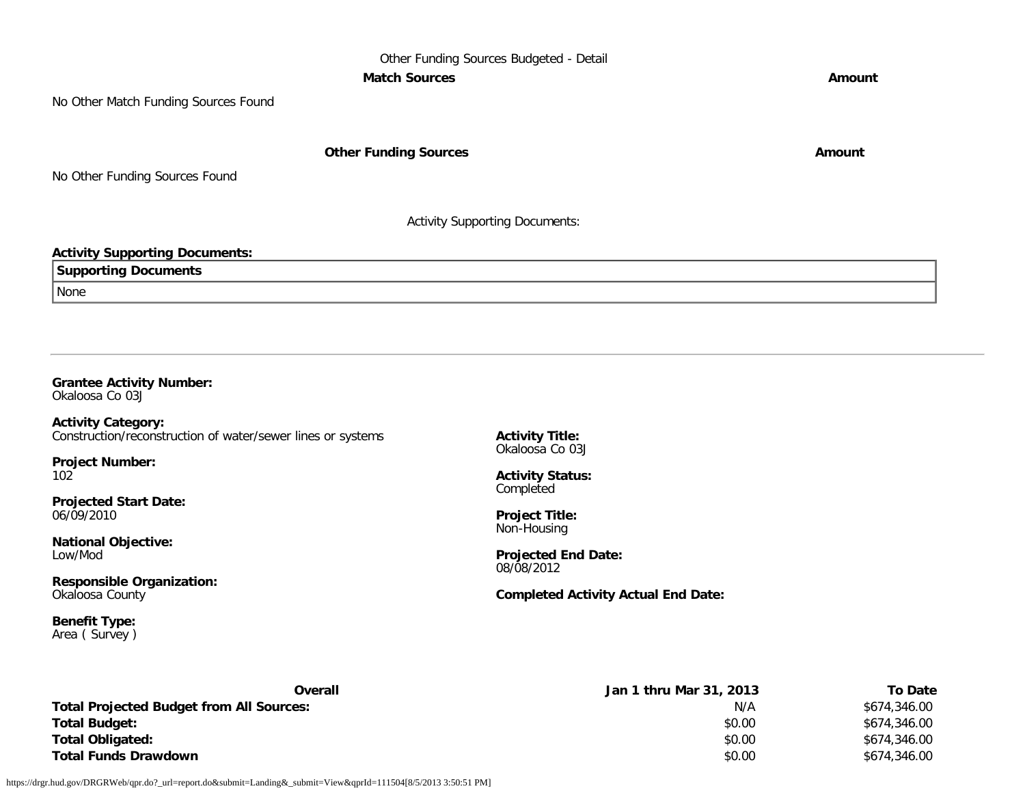### Other Funding Sources Budgeted - Detail **Match Sources Amount**

No Other Match Funding Sources Found

**Other Funding Sources Amount Amount Amount** 

No Other Funding Sources Found

Activity Supporting Documents:

### **Activity Supporting Documents:**

| Supportina<br><b>Documents</b> |  |
|--------------------------------|--|
| None                           |  |

### **Grantee Activity Number:**

Okaloosa Co 03J

**Activity Category:** Construction/reconstruction of water/sewer lines or systems

**Project Number:** 102

**Projected Start Date:** 06/09/2010

**National Objective:** Low/Mod

**Responsible Organization:** Okaloosa County

**Benefit Type:** Area ( Survey ) **Activity Title:** Okaloosa Co 03J

**Activity Status:** Completed

**Project Title:** Non-Housing

**Projected End Date:** 08/08/2012

**Completed Activity Actual End Date:**

| Overall                                         | Jan 1 thru Mar 31, 2013 | <b>To Date</b> |
|-------------------------------------------------|-------------------------|----------------|
| <b>Total Projected Budget from All Sources:</b> | N/A                     | \$674,346.00   |
| <b>Total Budget:</b>                            | \$0.00                  | \$674,346.00   |
| <b>Total Obligated:</b>                         | \$0.00                  | \$674,346.00   |
| <b>Total Funds Drawdown</b>                     | \$0.00                  | \$674,346.00   |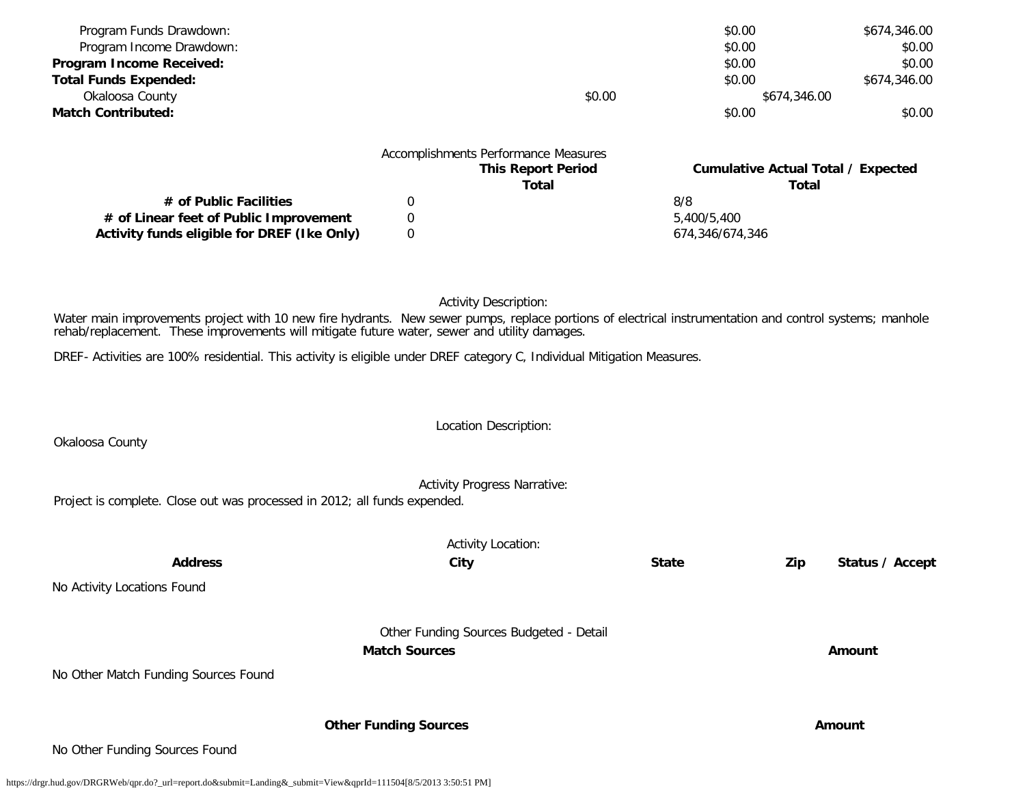| Program Funds Drawdown:                                                                                                                                                                                                                                 |                              |                                         | \$0.00           |              | \$674,346.00                              |
|---------------------------------------------------------------------------------------------------------------------------------------------------------------------------------------------------------------------------------------------------------|------------------------------|-----------------------------------------|------------------|--------------|-------------------------------------------|
| Program Income Drawdown:                                                                                                                                                                                                                                |                              |                                         | \$0.00           |              | \$0.00                                    |
| Program Income Received:<br><b>Total Funds Expended:</b>                                                                                                                                                                                                |                              |                                         | \$0.00<br>\$0.00 |              | \$0.00<br>\$674,346.00                    |
| Okaloosa County                                                                                                                                                                                                                                         |                              | \$0.00                                  |                  | \$674,346.00 |                                           |
| <b>Match Contributed:</b>                                                                                                                                                                                                                               |                              |                                         | \$0.00           |              | \$0.00                                    |
|                                                                                                                                                                                                                                                         |                              |                                         |                  |              |                                           |
|                                                                                                                                                                                                                                                         |                              | Accomplishments Performance Measures    |                  |              |                                           |
|                                                                                                                                                                                                                                                         |                              | <b>This Report Period</b>               |                  |              | <b>Cumulative Actual Total / Expected</b> |
|                                                                                                                                                                                                                                                         |                              | <b>Total</b>                            |                  | <b>Total</b> |                                           |
| # of Public Facilities                                                                                                                                                                                                                                  | 0                            |                                         | 8/8              |              |                                           |
| # of Linear feet of Public Improvement                                                                                                                                                                                                                  | 0                            |                                         | 5,400/5,400      |              |                                           |
| Activity funds eligible for DREF (Ike Only)                                                                                                                                                                                                             | 0                            |                                         | 674,346/674,346  |              |                                           |
|                                                                                                                                                                                                                                                         |                              |                                         |                  |              |                                           |
|                                                                                                                                                                                                                                                         |                              | <b>Activity Description:</b>            |                  |              |                                           |
| Water main improvements project with 10 new fire hydrants. New sewer pumps, replace portions of electrical instrumentation and control systems; manhole<br>rehab/replacement. These improvements will mitigate future water, sewer and utility damages. |                              |                                         |                  |              |                                           |
| DREF- Activities are 100% residential. This activity is eligible under DREF category C, Individual Mitigation Measures.                                                                                                                                 |                              |                                         |                  |              |                                           |
|                                                                                                                                                                                                                                                         |                              |                                         |                  |              |                                           |
|                                                                                                                                                                                                                                                         |                              |                                         |                  |              |                                           |
| Okaloosa County                                                                                                                                                                                                                                         |                              | Location Description:                   |                  |              |                                           |
|                                                                                                                                                                                                                                                         |                              |                                         |                  |              |                                           |
| Project is complete. Close out was processed in 2012; all funds expended.                                                                                                                                                                               |                              | <b>Activity Progress Narrative:</b>     |                  |              |                                           |
|                                                                                                                                                                                                                                                         |                              |                                         |                  |              |                                           |
|                                                                                                                                                                                                                                                         |                              | <b>Activity Location:</b>               |                  |              |                                           |
| <b>Address</b>                                                                                                                                                                                                                                          | City                         |                                         | <b>State</b>     | Zip          | Status / Accept                           |
| No Activity Locations Found                                                                                                                                                                                                                             |                              |                                         |                  |              |                                           |
|                                                                                                                                                                                                                                                         |                              |                                         |                  |              |                                           |
|                                                                                                                                                                                                                                                         |                              | Other Funding Sources Budgeted - Detail |                  |              |                                           |
|                                                                                                                                                                                                                                                         | <b>Match Sources</b>         |                                         |                  |              | Amount                                    |
| No Other Match Funding Sources Found                                                                                                                                                                                                                    |                              |                                         |                  |              |                                           |
|                                                                                                                                                                                                                                                         |                              |                                         |                  |              |                                           |
|                                                                                                                                                                                                                                                         |                              |                                         |                  |              |                                           |
|                                                                                                                                                                                                                                                         | <b>Other Funding Sources</b> |                                         |                  |              | Amount                                    |

No Other Funding Sources Found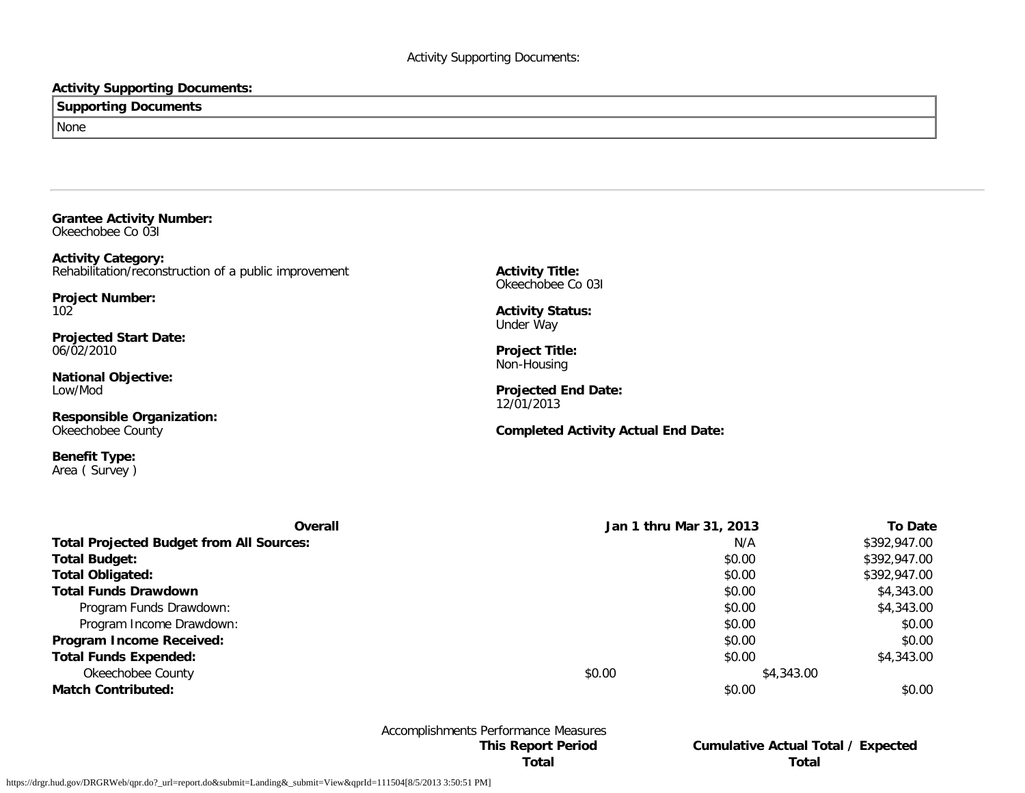### **Activity Supporting Documents:**

### **Supporting Documents** None

**Grantee Activity Number:** Okeechobee Co 03I

**Activity Category:** Rehabilitation/reconstruction of a public improvement

**Project Number:** 102

**Projected Start Date:** 06/02/2010

**National Objective:** Low/Mod

**Responsible Organization:** Okeechobee County

**Benefit Type:** Area ( Survey ) **Activity Title:** Okeechobee Co 03I

**Activity Status:** Under Way

**Project Title:** Non-Housing

**Projected End Date:** 12/01/2013

**Completed Activity Actual End Date:**

| Overall                                         | Jan 1 thru Mar 31, 2013 |            | <b>To Date</b> |
|-------------------------------------------------|-------------------------|------------|----------------|
| <b>Total Projected Budget from All Sources:</b> |                         | N/A        | \$392,947.00   |
| <b>Total Budget:</b>                            |                         | \$0.00     | \$392,947.00   |
| <b>Total Obligated:</b>                         |                         | \$0.00     | \$392,947.00   |
| <b>Total Funds Drawdown</b>                     |                         | \$0.00     | \$4,343.00     |
| Program Funds Drawdown:                         |                         | \$0.00     | \$4,343.00     |
| Program Income Drawdown:                        |                         | \$0.00     | \$0.00         |
| Program Income Received:                        |                         | \$0.00     | \$0.00         |
| <b>Total Funds Expended:</b>                    |                         | \$0.00     | \$4,343.00     |
| Okeechobee County                               | \$0.00                  | \$4,343.00 |                |
| <b>Match Contributed:</b>                       |                         | \$0.00     | \$0.00         |

Accomplishments Performance Measures

**This Report Period Cumulative Actual Total / Expected Total Total**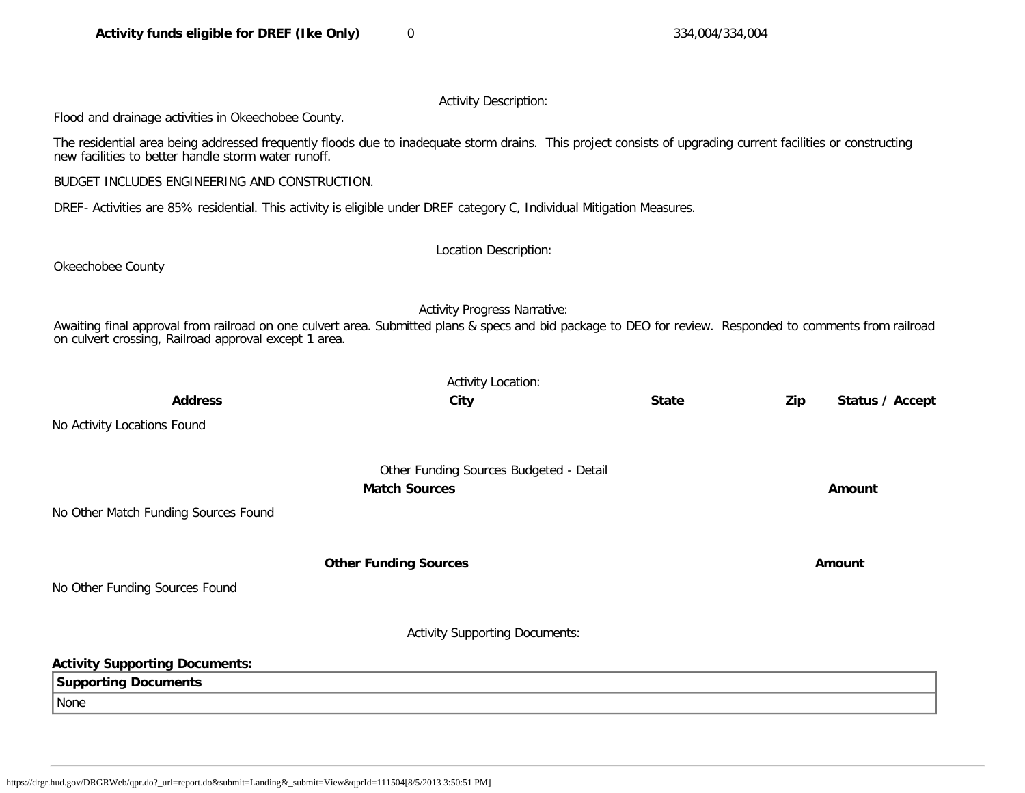Activity Description:

Flood and drainage activities in Okeechobee County.

The residential area being addressed frequently floods due to inadequate storm drains. This project consists of upgrading current facilities or constructing new facilities to better handle storm water runoff.

BUDGET INCLUDES ENGINEERING AND CONSTRUCTION.

DREF- Activities are 85% residential. This activity is eligible under DREF category C, Individual Mitigation Measures.

Okeechobee County

Location Description:

Activity Progress Narrative:

Awaiting final approval from railroad on one culvert area. Submitted plans & specs and bid package to DEO for review. Responded to comments from railroad on culvert crossing, Railroad approval except 1 area.

|                                       | <b>Activity Location:</b>               |              |     |                 |
|---------------------------------------|-----------------------------------------|--------------|-----|-----------------|
| <b>Address</b>                        | City                                    | <b>State</b> | Zip | Status / Accept |
| No Activity Locations Found           |                                         |              |     |                 |
|                                       | Other Funding Sources Budgeted - Detail |              |     |                 |
|                                       | <b>Match Sources</b>                    |              |     | Amount          |
| No Other Match Funding Sources Found  |                                         |              |     |                 |
|                                       | <b>Other Funding Sources</b>            |              |     | Amount          |
| No Other Funding Sources Found        |                                         |              |     |                 |
|                                       | <b>Activity Supporting Documents:</b>   |              |     |                 |
| <b>Activity Supporting Documents:</b> |                                         |              |     |                 |
| <b>Supporting Documents</b>           |                                         |              |     |                 |
| None                                  |                                         |              |     |                 |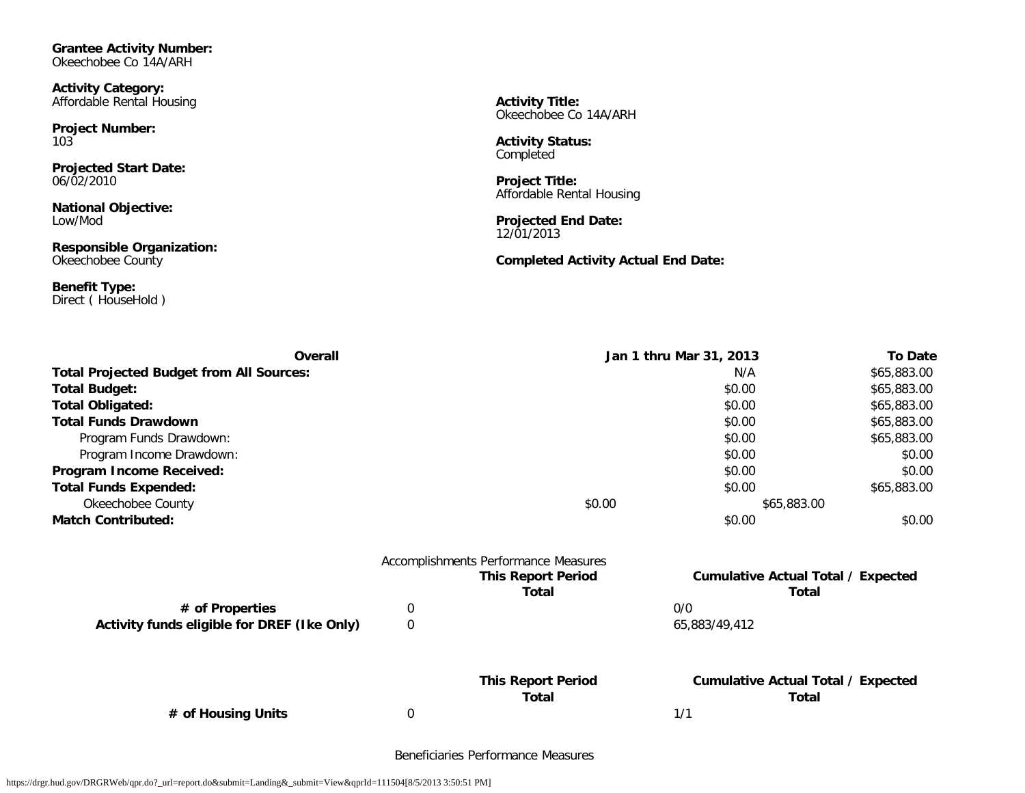**Grantee Activity Number:** Okeechobee Co 14A/ARH

**Activity Category:** Affordable Rental Housing

**Project Number:** 103

**Projected Start Date:** 06/02/2010

**National Objective:** Low/Mod

**Responsible Organization:** Okeechobee County

**Benefit Type:** Direct ( HouseHold ) **Activity Title:** Okeechobee Co 14A/ARH

**Activity Status:** Completed

**Project Title:** Affordable Rental Housing

**Projected End Date:** 12/01/2013

**Completed Activity Actual End Date:**

| Overall                                         |                  | Jan 1 thru Mar 31, 2013              |                                           |             |
|-------------------------------------------------|------------------|--------------------------------------|-------------------------------------------|-------------|
| <b>Total Projected Budget from All Sources:</b> |                  | N/A                                  | \$65,883.00                               |             |
| <b>Total Budget:</b>                            |                  |                                      | \$0.00                                    | \$65,883.00 |
| <b>Total Obligated:</b>                         |                  |                                      | \$0.00                                    | \$65,883.00 |
| <b>Total Funds Drawdown</b>                     |                  |                                      | \$0.00                                    | \$65,883.00 |
| Program Funds Drawdown:                         |                  |                                      | \$0.00                                    | \$65,883.00 |
| Program Income Drawdown:                        |                  |                                      | \$0.00                                    | \$0.00      |
| Program Income Received:                        |                  |                                      | \$0.00                                    | \$0.00      |
| <b>Total Funds Expended:</b>                    |                  |                                      | \$0.00                                    | \$65,883.00 |
| Okeechobee County                               |                  | \$0.00                               | \$65,883.00                               |             |
| <b>Match Contributed:</b>                       |                  |                                      | \$0.00                                    | \$0.00      |
|                                                 |                  | Accomplishments Performance Measures |                                           |             |
|                                                 |                  | <b>This Report Period</b>            | <b>Cumulative Actual Total / Expected</b> |             |
|                                                 |                  | <b>Total</b>                         | Total                                     |             |
| # of Properties                                 | 0                |                                      | 0/0                                       |             |
| Activity funds eligible for DREF (Ike Only)     | $\boldsymbol{0}$ |                                      | 65,883/49,412                             |             |
|                                                 |                  | <b>This Report Period</b>            | <b>Cumulative Actual Total / Expected</b> |             |
|                                                 |                  | <b>Total</b>                         | Total                                     |             |
| # of Housing Units                              | 0                |                                      | 1/1                                       |             |

Beneficiaries Performance Measures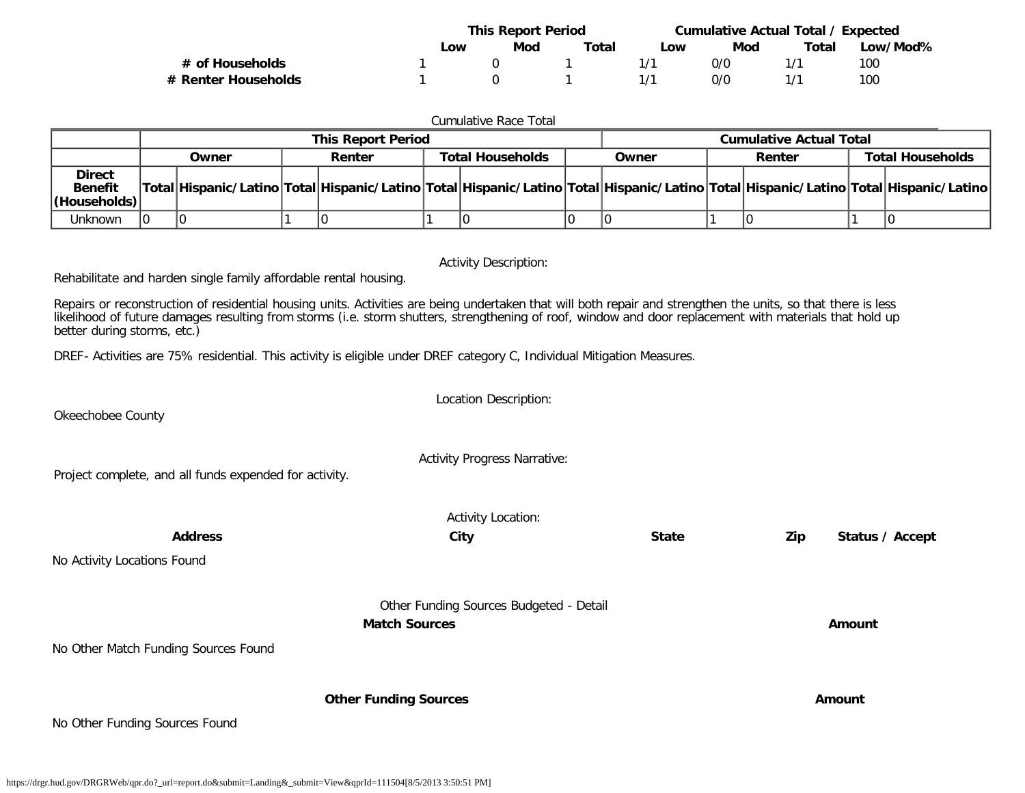|                     | <b>This Report Period</b> |     |       | Cumulative Actual Total / Expected |     |       |          |
|---------------------|---------------------------|-----|-------|------------------------------------|-----|-------|----------|
|                     | Low                       | Mod | Total | LOW                                | Mod | Total | Low/Mod% |
| # of Households     |                           |     |       | 171                                | 0/0 |       | 100      |
| # Renter Households |                           |     |       |                                    | 0/0 |       | 100      |

| <b>Cumulative Race Total</b>                                                                                                                                                                                                                                                                                                                            |  |       |  |                           |  |                         |  |       |                                |                                                                                                                                     |
|---------------------------------------------------------------------------------------------------------------------------------------------------------------------------------------------------------------------------------------------------------------------------------------------------------------------------------------------------------|--|-------|--|---------------------------|--|-------------------------|--|-------|--------------------------------|-------------------------------------------------------------------------------------------------------------------------------------|
|                                                                                                                                                                                                                                                                                                                                                         |  |       |  | <b>This Report Period</b> |  |                         |  |       | <b>Cumulative Actual Total</b> |                                                                                                                                     |
|                                                                                                                                                                                                                                                                                                                                                         |  | Owner |  | Renter                    |  | <b>Total Households</b> |  | Owner | Renter                         | <b>Total Households</b>                                                                                                             |
| <b>Direct</b><br><b>Benefit</b><br>(Households)                                                                                                                                                                                                                                                                                                         |  |       |  |                           |  |                         |  |       |                                | Total Hispanic/Latino Total Hispanic/Latino Total Hispanic/Latino Total Hispanic/Latino Total Hispanic/Latino Total Hispanic/Latino |
| <b>Unknown</b>                                                                                                                                                                                                                                                                                                                                          |  |       |  |                           |  |                         |  |       |                                |                                                                                                                                     |
| <b>Activity Description:</b>                                                                                                                                                                                                                                                                                                                            |  |       |  |                           |  |                         |  |       |                                |                                                                                                                                     |
| Rehabilitate and harden single family affordable rental housing.                                                                                                                                                                                                                                                                                        |  |       |  |                           |  |                         |  |       |                                |                                                                                                                                     |
| Repairs or reconstruction of residential housing units. Activities are being undertaken that will both repair and strengthen the units, so that there is less<br>likelihood of future damages resulting from storms (i.e. storm shutters, strengthening of roof, window and door replacement with materials that hold up<br>better during storms, etc.) |  |       |  |                           |  |                         |  |       |                                |                                                                                                                                     |

DREF- Activities are 75% residential. This activity is eligible under DREF category C, Individual Mitigation Measures.

|                                                        | <b>Activity Progress Narrative:</b>     |              |     |                 |
|--------------------------------------------------------|-----------------------------------------|--------------|-----|-----------------|
| Project complete, and all funds expended for activity. |                                         |              |     |                 |
|                                                        | <b>Activity Location:</b>               |              |     |                 |
| <b>Address</b>                                         | City                                    | <b>State</b> | Zip | Status / Accept |
| No Activity Locations Found                            |                                         |              |     |                 |
|                                                        | Other Funding Sources Budgeted - Detail |              |     |                 |
|                                                        | <b>Match Sources</b>                    |              |     | Amount          |
| No Other Match Funding Sources Found                   |                                         |              |     |                 |
|                                                        | <b>Other Funding Sources</b>            |              |     | Amount          |
| No Other Funding Sources Found                         |                                         |              |     |                 |
|                                                        |                                         |              |     |                 |

Location Description:

Okeechobee County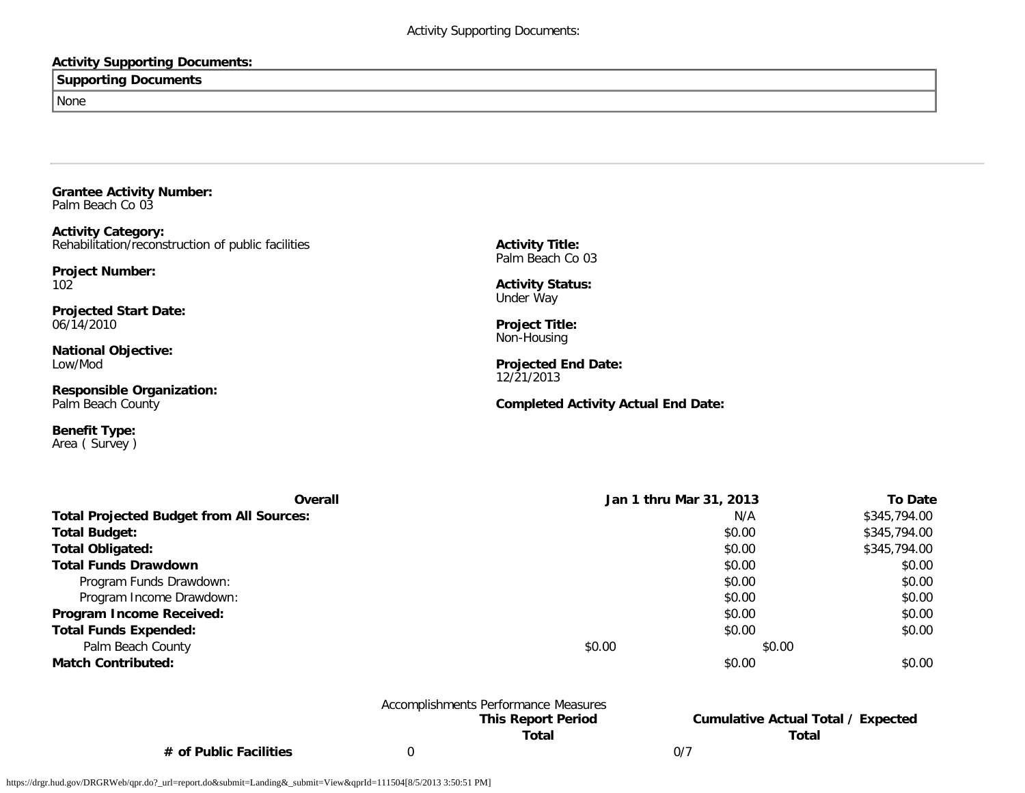### **Activity Supporting Documents:**

### **Supporting Documents**

None

**Grantee Activity Number:** Palm Beach Co 03

**Activity Category:** Rehabilitation/reconstruction of public facilities

**Project Number:** 102

**Projected Start Date:** 06/14/2010

**National Objective:** Low/Mod

**Responsible Organization:** Palm Beach County

**Benefit Type:** Area ( Survey ) **Activity Title:** Palm Beach Co 03

**Activity Status:** Under Way

**Project Title:** Non-Housing

**Projected End Date:** 12/21/2013

**Completed Activity Actual End Date:**

| Overall                                         |        | Jan 1 thru Mar 31, 2013 | <b>To Date</b> |
|-------------------------------------------------|--------|-------------------------|----------------|
| <b>Total Projected Budget from All Sources:</b> |        | N/A                     | \$345,794.00   |
| <b>Total Budget:</b>                            |        | \$0.00                  | \$345,794.00   |
| <b>Total Obligated:</b>                         |        | \$0.00                  | \$345,794.00   |
| <b>Total Funds Drawdown</b>                     |        | \$0.00                  | \$0.00         |
| Program Funds Drawdown:                         |        | \$0.00                  | \$0.00         |
| Program Income Drawdown:                        |        | \$0.00                  | \$0.00         |
| Program Income Received:                        |        | \$0.00                  | \$0.00         |
| <b>Total Funds Expended:</b>                    |        | \$0.00                  | \$0.00         |
| Palm Beach County                               | \$0.00 | \$0.00                  |                |
| <b>Match Contributed:</b>                       |        | \$0.00                  | \$0.00         |

|                          | Accomplishments Performance Measures |     |                                           |
|--------------------------|--------------------------------------|-----|-------------------------------------------|
|                          | <b>This Report Period</b>            |     | <b>Cumulative Actual Total / Expected</b> |
|                          | Total                                |     | Total                                     |
| $#$ of Public Facilities |                                      | 0/7 |                                           |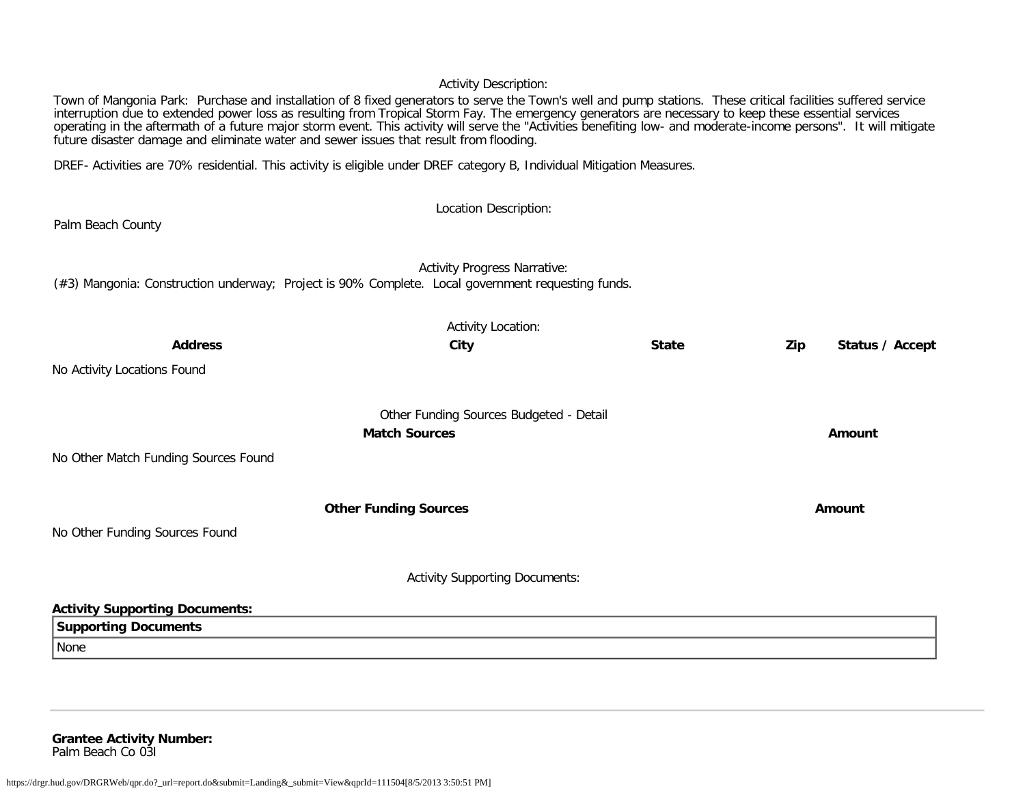### Activity Description:

Town of Mangonia Park: Purchase and installation of 8 fixed generators to serve the Town's well and pump stations. These critical facilities suffered service interruption due to extended power loss as resulting from Tropical Storm Fay. The emergency generators are necessary to keep these essential services operating in the aftermath of a future major storm event. This activity will serve the "Activities benefiting low- and moderate-income persons". It will mitigate future disaster damage and eliminate water and sewer issues that result from flooding.

DREF- Activities are 70% residential. This activity is eligible under DREF category B, Individual Mitigation Measures.

| Palm Beach County                                                                                 | Location Description:                                           |              |     |                 |
|---------------------------------------------------------------------------------------------------|-----------------------------------------------------------------|--------------|-----|-----------------|
| (#3) Mangonia: Construction underway; Project is 90% Complete. Local government requesting funds. | <b>Activity Progress Narrative:</b>                             |              |     |                 |
| <b>Address</b>                                                                                    | Activity Location:<br>City                                      | <b>State</b> | Zip | Status / Accept |
| No Activity Locations Found                                                                       |                                                                 |              |     |                 |
| No Other Match Funding Sources Found                                                              | Other Funding Sources Budgeted - Detail<br><b>Match Sources</b> |              |     | Amount          |
|                                                                                                   | <b>Other Funding Sources</b>                                    |              |     | <b>Amount</b>   |
| No Other Funding Sources Found                                                                    |                                                                 |              |     |                 |
|                                                                                                   | <b>Activity Supporting Documents:</b>                           |              |     |                 |
| <b>Activity Supporting Documents:</b>                                                             |                                                                 |              |     |                 |
| <b>Supporting Documents</b>                                                                       |                                                                 |              |     |                 |
| None                                                                                              |                                                                 |              |     |                 |
|                                                                                                   |                                                                 |              |     |                 |

**Grantee Activity Number:** Palm Beach Co 03I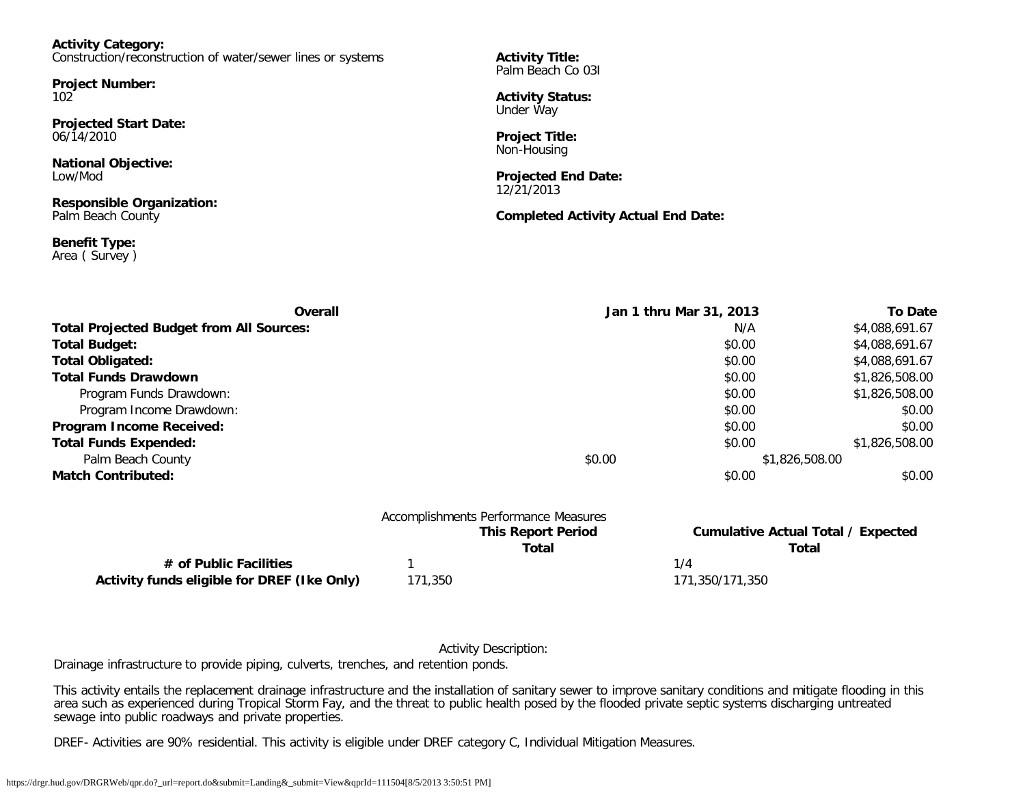**Activity Category:** Construction/reconstruction of water/sewer lines or systems

**Project Number:** 102

**Projected Start Date:** 06/14/2010

**National Objective:** Low/Mod

**Responsible Organization:** Palm Beach County

**Benefit Type:** Area ( Survey )

**Activity Title:** Palm Beach Co 03I

**Activity Status:** Under Way

**Project Title:** Non-Housing

**Projected End Date:** 12/21/2013

**Completed Activity Actual End Date:**

| Overall                                         | Jan 1 thru Mar 31, 2013 |        | <b>To Date</b> |
|-------------------------------------------------|-------------------------|--------|----------------|
| <b>Total Projected Budget from All Sources:</b> |                         | N/A    | \$4,088,691.67 |
| <b>Total Budget:</b>                            |                         | \$0.00 | \$4,088,691.67 |
| <b>Total Obligated:</b>                         |                         | \$0.00 | \$4,088,691.67 |
| <b>Total Funds Drawdown</b>                     |                         | \$0.00 | \$1,826,508.00 |
| Program Funds Drawdown:                         |                         | \$0.00 | \$1,826,508.00 |
| Program Income Drawdown:                        |                         | \$0.00 | \$0.00         |
| Program Income Received:                        |                         | \$0.00 | \$0.00         |
| <b>Total Funds Expended:</b>                    |                         | \$0.00 | \$1,826,508.00 |
| Palm Beach County                               | \$0.00                  |        | \$1,826,508.00 |
| <b>Match Contributed:</b>                       |                         | \$0.00 | \$0.00         |
|                                                 |                         |        |                |
|                                                 |                         |        |                |

|                                             |         | Accomplishments Performance Measures |                                           |
|---------------------------------------------|---------|--------------------------------------|-------------------------------------------|
|                                             |         | <b>This Report Period</b>            | <b>Cumulative Actual Total / Expected</b> |
|                                             |         | Total                                | Total                                     |
| # of Public Facilities                      |         |                                      | 1/4                                       |
| Activity funds eligible for DREF (Ike Only) | 171,350 |                                      | 171.350/171.350                           |

Activity Description:

Drainage infrastructure to provide piping, culverts, trenches, and retention ponds.

This activity entails the replacement drainage infrastructure and the installation of sanitary sewer to improve sanitary conditions and mitigate flooding in this area such as experienced during Tropical Storm Fay, and the threat to public health posed by the flooded private septic systems discharging untreated sewage into public roadways and private properties.

DREF- Activities are 90% residential. This activity is eligible under DREF category C, Individual Mitigation Measures.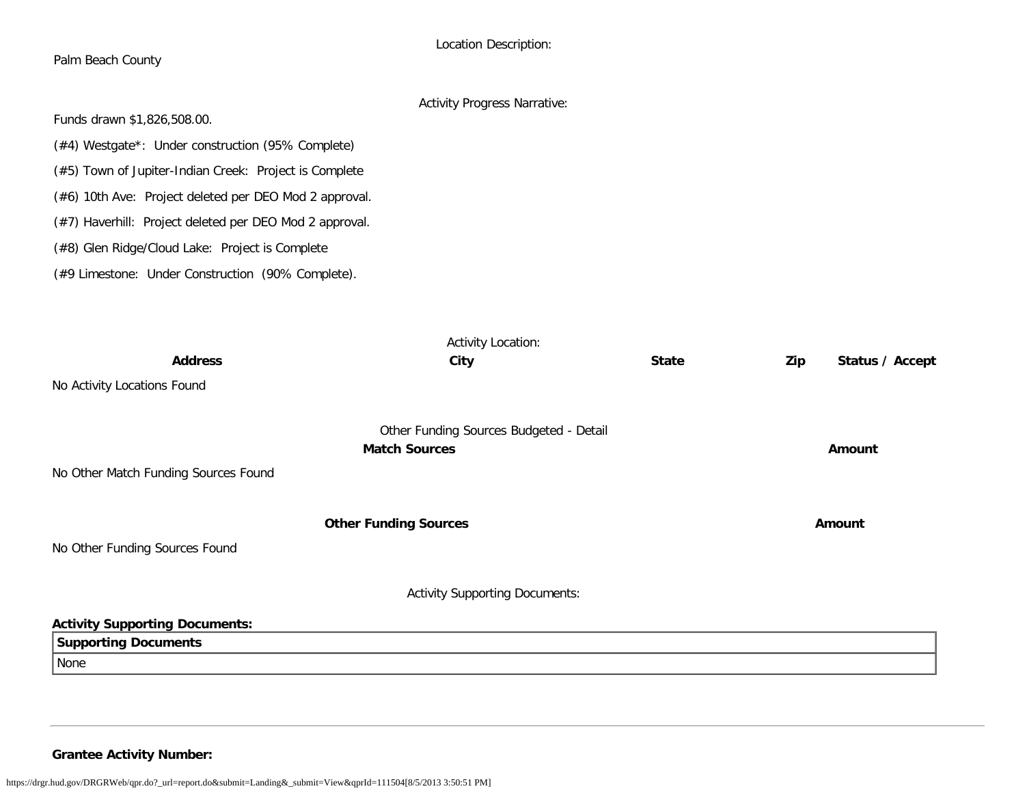|                                                         | Location Description:               |              |     |                 |
|---------------------------------------------------------|-------------------------------------|--------------|-----|-----------------|
| Palm Beach County                                       |                                     |              |     |                 |
|                                                         | <b>Activity Progress Narrative:</b> |              |     |                 |
| Funds drawn \$1,826,508.00.                             |                                     |              |     |                 |
| (#4) Westgate*: Under construction (95% Complete)       |                                     |              |     |                 |
| (#5) Town of Jupiter-Indian Creek: Project is Complete  |                                     |              |     |                 |
| (#6) 10th Ave: Project deleted per DEO Mod 2 approval.  |                                     |              |     |                 |
| (#7) Haverhill: Project deleted per DEO Mod 2 approval. |                                     |              |     |                 |
| (#8) Glen Ridge/Cloud Lake: Project is Complete         |                                     |              |     |                 |
| (#9 Limestone: Under Construction (90% Complete).       |                                     |              |     |                 |
|                                                         |                                     |              |     |                 |
|                                                         |                                     |              |     |                 |
|                                                         | <b>Activity Location:</b>           |              |     |                 |
| <b>Address</b>                                          | City                                | <b>State</b> | Zip | Status / Accept |
| No Activity Locations Found                             |                                     |              |     |                 |
|                                                         |                                     |              |     |                 |

| No Activity Locations Found           |                                                                 |               |
|---------------------------------------|-----------------------------------------------------------------|---------------|
| No Other Match Funding Sources Found  | Other Funding Sources Budgeted - Detail<br><b>Match Sources</b> | <b>Amount</b> |
| No Other Funding Sources Found        | <b>Other Funding Sources</b>                                    | Amount        |
|                                       | <b>Activity Supporting Documents:</b>                           |               |
| <b>Activity Supporting Documents:</b> |                                                                 |               |
| <b>Supporting Documents</b>           |                                                                 |               |
| None                                  |                                                                 |               |

**Grantee Activity Number:**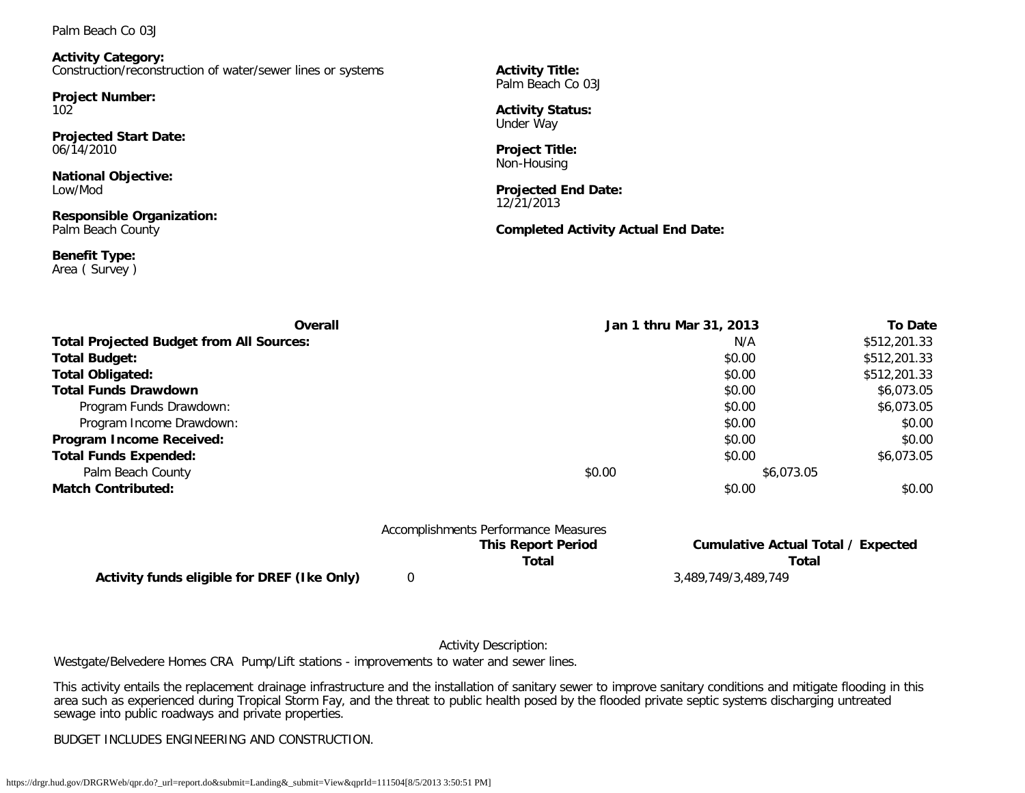Palm Beach Co 03J

**Activity Category:** Construction/reconstruction of water/sewer lines or systems

**Project Number:** 102

**Projected Start Date:** 06/14/2010

**National Objective:** Low/Mod

**Responsible Organization:** Palm Beach County

**Benefit Type:** Area ( Survey ) **Activity Title:** Palm Beach Co 03J

**Activity Status:** Under Way

**Project Title:** Non-Housing

**Projected End Date:** 12/21/2013

**Completed Activity Actual End Date:**

| Overall                                         | Jan 1 thru Mar 31, 2013              |            | <b>To Date</b> |
|-------------------------------------------------|--------------------------------------|------------|----------------|
| <b>Total Projected Budget from All Sources:</b> |                                      | N/A        | \$512,201.33   |
| <b>Total Budget:</b>                            |                                      | \$0.00     | \$512,201.33   |
| <b>Total Obligated:</b>                         |                                      | \$0.00     | \$512,201.33   |
| <b>Total Funds Drawdown</b>                     |                                      | \$0.00     | \$6,073.05     |
| Program Funds Drawdown:                         |                                      | \$0.00     | \$6,073.05     |
| Program Income Drawdown:                        |                                      | \$0.00     | \$0.00         |
| Program Income Received:                        |                                      | \$0.00     | \$0.00         |
| <b>Total Funds Expended:</b>                    |                                      | \$0.00     | \$6,073.05     |
| Palm Beach County                               | \$0.00                               | \$6,073.05 |                |
| <b>Match Contributed:</b>                       |                                      | \$0.00     | \$0.00         |
|                                                 | Accomplishments Derformance Measures |            |                |

|                                             | Accomplishments Performance Measures |                                    |  |
|---------------------------------------------|--------------------------------------|------------------------------------|--|
|                                             | <b>This Report Period</b>            | Cumulative Actual Total / Expected |  |
|                                             | Total                                | Total                              |  |
| Activity funds eligible for DREF (Ike Only) |                                      | 3,489,749/3,489,749                |  |

### Activity Description:

Westgate/Belvedere Homes CRA Pump/Lift stations - improvements to water and sewer lines.

This activity entails the replacement drainage infrastructure and the installation of sanitary sewer to improve sanitary conditions and mitigate flooding in this area such as experienced during Tropical Storm Fay, and the threat to public health posed by the flooded private septic systems discharging untreated and the threat to public health posed by the flooded private septic syst sewage into public roadways and private properties.

BUDGET INCLUDES ENGINEERING AND CONSTRUCTION.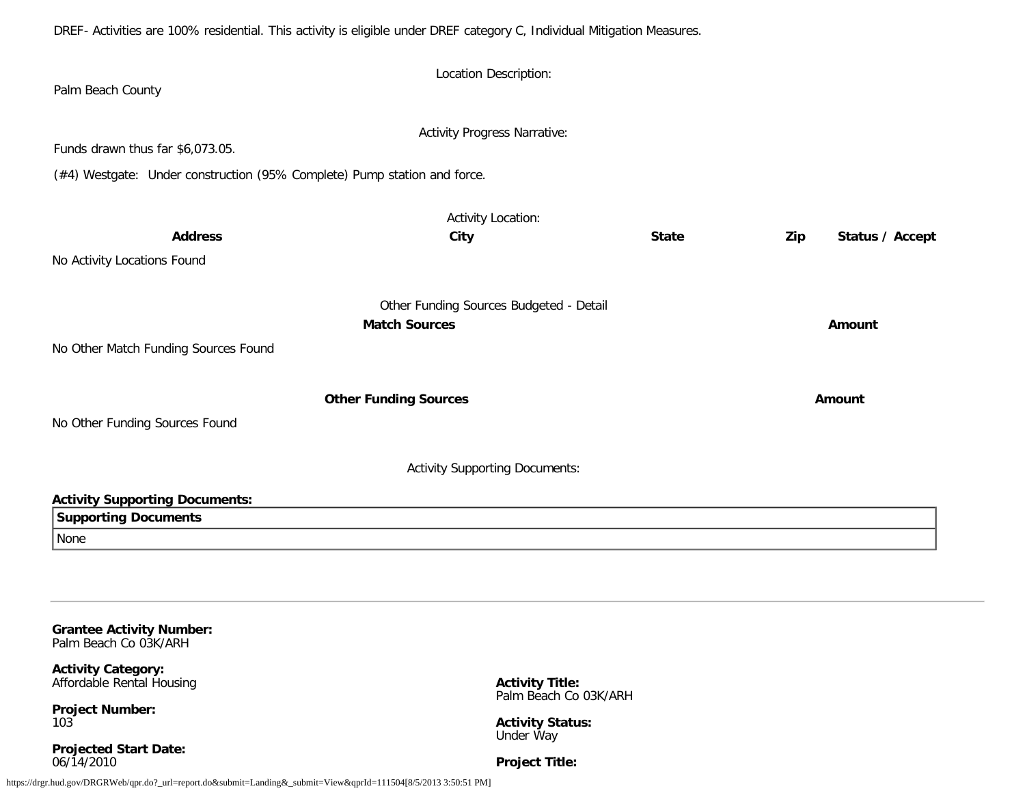DREF- Activities are 100% residential. This activity is eligible under DREF category C, Individual Mitigation Measures.

| Palm Beach County                                                                                            | Location Description:                                           |              |                        |
|--------------------------------------------------------------------------------------------------------------|-----------------------------------------------------------------|--------------|------------------------|
| Funds drawn thus far \$6,073.05.<br>(#4) Westgate: Under construction (95% Complete) Pump station and force. | <b>Activity Progress Narrative:</b>                             |              |                        |
| <b>Address</b><br>No Activity Locations Found                                                                | <b>Activity Location:</b><br>City                               | <b>State</b> | Zip<br>Status / Accept |
| No Other Match Funding Sources Found                                                                         | Other Funding Sources Budgeted - Detail<br><b>Match Sources</b> |              | Amount                 |
| No Other Funding Sources Found                                                                               | <b>Other Funding Sources</b>                                    |              | Amount                 |
|                                                                                                              | <b>Activity Supporting Documents:</b>                           |              |                        |
| <b>Activity Supporting Documents:</b><br><b>Supporting Documents</b><br>None                                 |                                                                 |              |                        |

**Grantee Activity Number:** Palm Beach Co 03K/ARH

**Activity Category:** Affordable Rental Housing

**Project Number:** 103

**Projected Start Date:** 06/14/2010

**Activity Title:** Palm Beach Co 03K/ARH

**Activity Status:** Under Way

**Project Title:**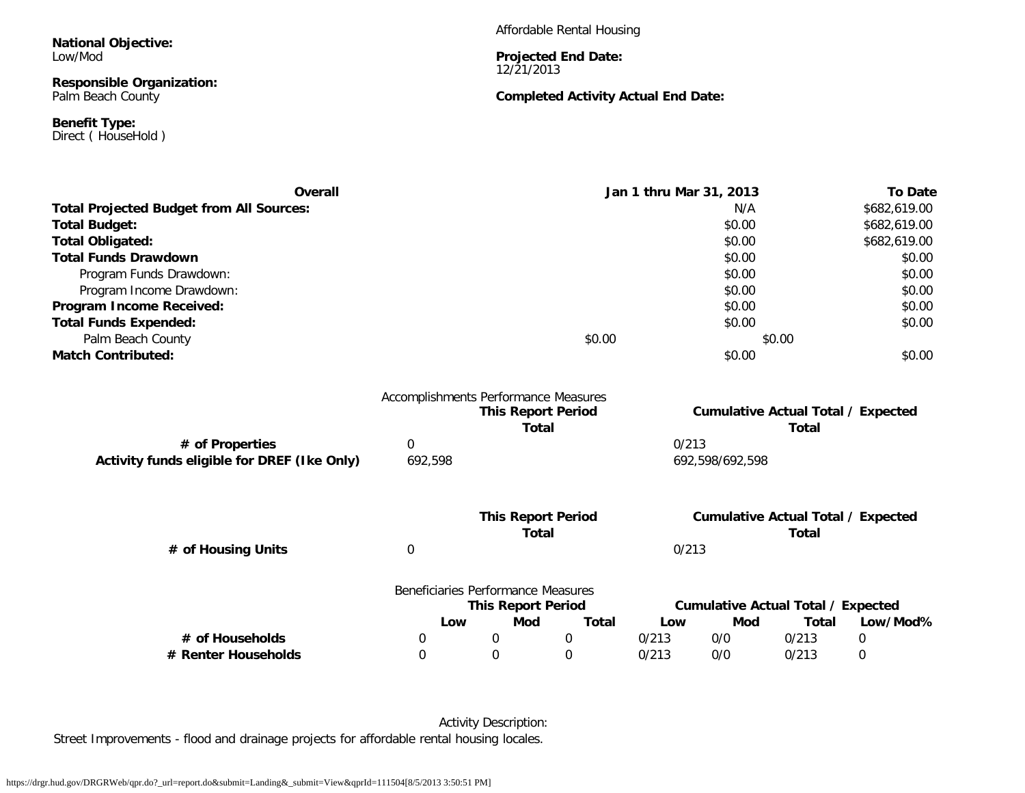**National Objective:** Low/Mod

### **Responsible Organization:** Palm Beach County

**Benefit Type:** Direct (HouseHold) Affordable Rental Housing

#### **Projected End Date:** 12/21/2013

### **Completed Activity Actual End Date:**

| Overall                                         |         |                                      | Jan 1 thru Mar 31, 2013                   | <b>To Date</b> |
|-------------------------------------------------|---------|--------------------------------------|-------------------------------------------|----------------|
| <b>Total Projected Budget from All Sources:</b> |         |                                      | N/A                                       | \$682,619.00   |
| Total Budget:                                   |         |                                      | \$0.00                                    | \$682,619.00   |
| Total Obligated:                                |         |                                      | \$0.00                                    | \$682,619.00   |
| <b>Total Funds Drawdown</b>                     |         |                                      | \$0.00                                    | \$0.00         |
| Program Funds Drawdown:                         |         |                                      | \$0.00                                    | \$0.00         |
| Program Income Drawdown:                        |         |                                      | \$0.00                                    | \$0.00         |
| Program Income Received:                        |         |                                      | \$0.00                                    | \$0.00         |
| <b>Total Funds Expended:</b>                    |         |                                      | \$0.00                                    | \$0.00         |
| Palm Beach County                               |         | \$0.00                               | \$0.00                                    |                |
| <b>Match Contributed:</b>                       |         |                                      | \$0.00                                    | \$0.00         |
|                                                 |         | Accomplishments Performance Measures |                                           |                |
|                                                 |         | <b>This Report Period</b>            | <b>Cumulative Actual Total / Expected</b> |                |
|                                                 |         | Total                                | Total                                     |                |
| # of Properties                                 | 0       |                                      | 0/213                                     |                |
| Activity funds eligible for DREF (Ike Only)     | 692,598 |                                      | 692.598/692.598                           |                |
|                                                 |         |                                      |                                           |                |

|                    | <b>This Report Period</b><br>Total |       | <b>Cumulative Actual Total / Expected</b><br>Total |
|--------------------|------------------------------------|-------|----------------------------------------------------|
| # of Housing Units |                                    | 0/213 |                                                    |
|                    | Beneficiaries Performance Measures |       |                                                    |

|                     |     | <u>DETICINIUM IES TELIULITIAINE MEASULES</u><br><b>This Report Period</b> |       |       |     | Cumulative Actual Total / Expected |          |
|---------------------|-----|---------------------------------------------------------------------------|-------|-------|-----|------------------------------------|----------|
|                     | Low | Mod                                                                       | Total | Low   | Mod | Total                              | Low/Mod% |
| # of Households     |     |                                                                           |       | 0/213 | 0/0 | 0/213                              |          |
| # Renter Households |     |                                                                           |       | 0/213 | 0/0 | 0/213                              |          |

Activity Description: Street Improvements - flood and drainage projects for affordable rental housing locales.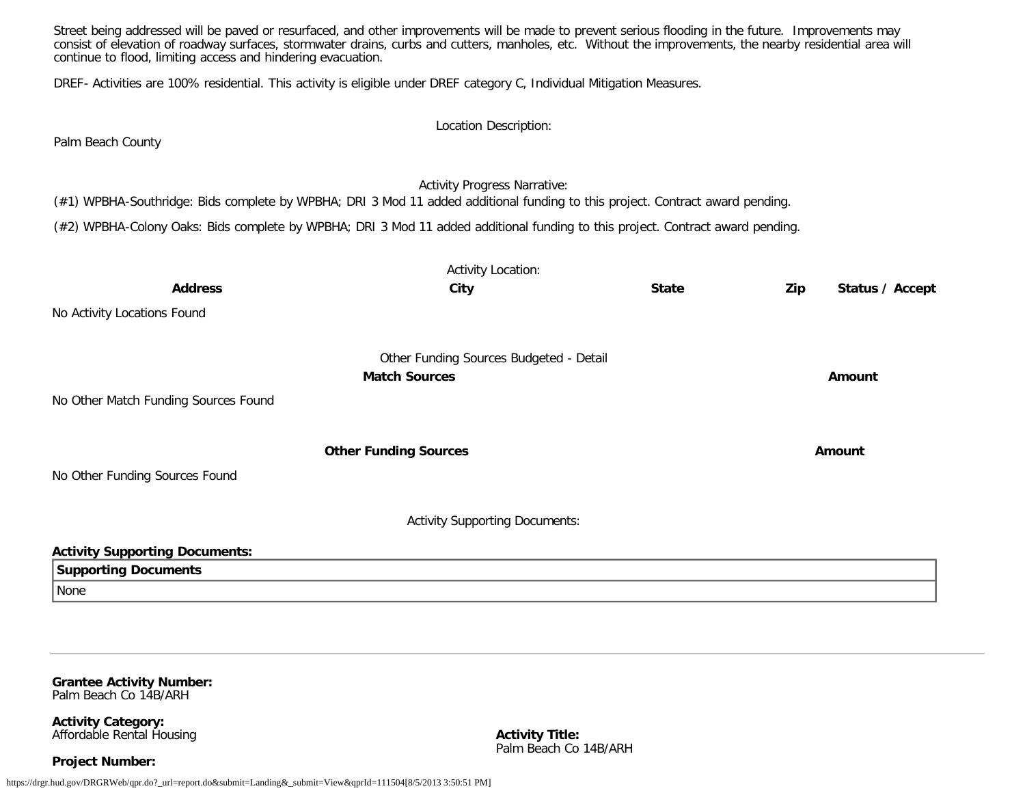Street being addressed will be paved or resurfaced, and other improvements will be made to prevent serious flooding in the future. Improvements may consist of elevation of roadway surfaces, stormwater drains, curbs and cutters, manholes, etc. Without the improvements, the nearby residential area will continue to flood, limiting access and hindering evacuation. DREF- Activities are 100% residential. This activity is eligible under DREF category C, Individual Mitigation Measures. Location Description: Palm Beach County Activity Progress Narrative: (#1) WPBHA-Southridge: Bids complete by WPBHA; DRI 3 Mod 11 added additional funding to this project. Contract award pending. (#2) WPBHA-Colony Oaks: Bids complete by WPBHA; DRI 3 Mod 11 added additional funding to this project. Contract award pending. Activity Location: **Address City State Zip Status / Accept** No Activity Locations Found Other Funding Sources Budgeted - Detail **Match Sources Amount** No Other Match Funding Sources Found **Other Funding Sources Amount Amount Amount** No Other Funding Sources Found Activity Supporting Documents: **Activity Supporting Documents: Supporting Documents** None

**Grantee Activity Number:** Palm Beach Co 14B/ARH

**Activity Category:** Affordable Rental Housing

**Project Number:**

**Activity Title:** Palm Beach Co 14B/ARH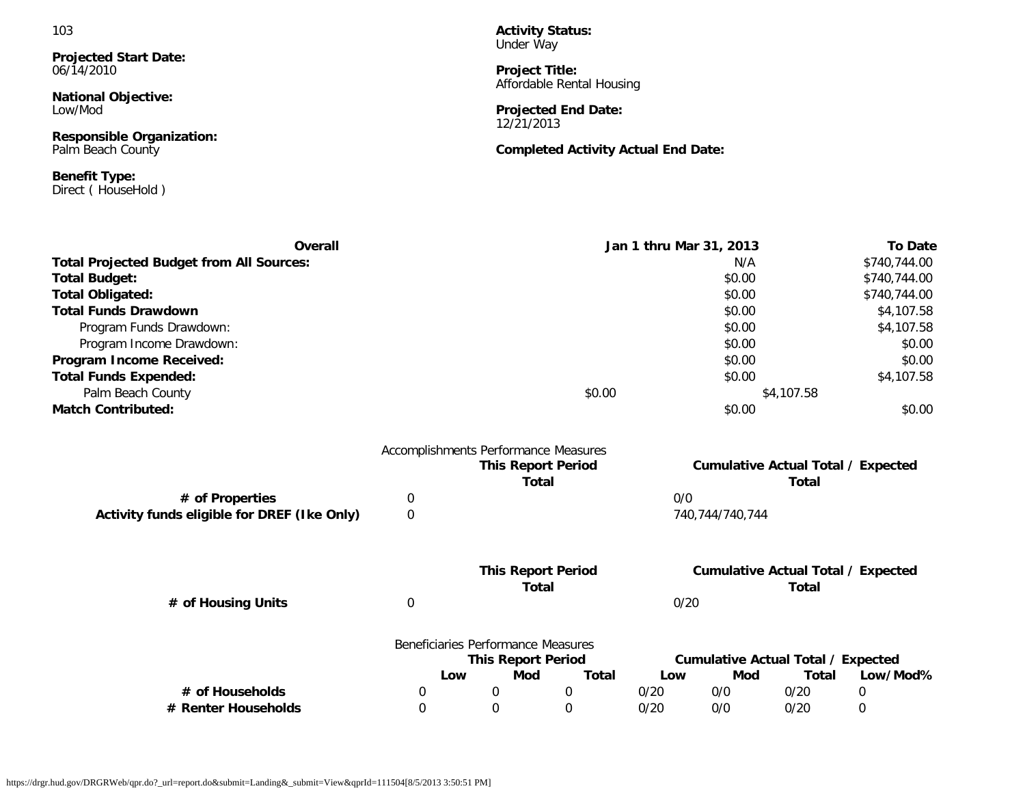### 103

**Projected Start Date:** 06/14/2010

**National Objective:** Low/Mod

**Responsible Organization:** Palm Beach County

**Benefit Type:** Direct ( HouseHold )

**Activity Status:** Under Way

**Project Title:** Affordable Rental Housing

**Projected End Date:** 12/21/2013

**Completed Activity Actual End Date:**

| <b>Overall</b>                                  |                                      |                                    | Jan 1 thru Mar 31, 2013                   |              |      | <b>To Date</b>                            |                            |              |
|-------------------------------------------------|--------------------------------------|------------------------------------|-------------------------------------------|--------------|------|-------------------------------------------|----------------------------|--------------|
| <b>Total Projected Budget from All Sources:</b> |                                      |                                    |                                           |              |      | N/A                                       |                            | \$740,744.00 |
| <b>Total Budget:</b>                            |                                      |                                    |                                           |              |      | \$0.00                                    |                            | \$740,744.00 |
| <b>Total Obligated:</b>                         |                                      |                                    | \$0.00                                    |              |      |                                           | \$740,744.00<br>\$4,107.58 |              |
| <b>Total Funds Drawdown</b>                     |                                      |                                    | \$0.00                                    |              |      |                                           |                            |              |
| Program Funds Drawdown:                         |                                      |                                    |                                           |              |      | \$0.00                                    |                            | \$4,107.58   |
| Program Income Drawdown:                        |                                      |                                    |                                           |              |      | \$0.00                                    |                            | \$0.00       |
| Program Income Received:                        |                                      |                                    |                                           |              |      | \$0.00                                    |                            | \$0.00       |
| <b>Total Funds Expended:</b>                    |                                      |                                    |                                           |              |      | \$0.00                                    |                            | \$4,107.58   |
| Palm Beach County                               |                                      |                                    | \$0.00                                    |              |      | \$4,107.58                                |                            |              |
| <b>Match Contributed:</b>                       |                                      |                                    |                                           |              |      | \$0.00                                    |                            | \$0.00       |
|                                                 | Accomplishments Performance Measures |                                    |                                           |              |      |                                           |                            |              |
|                                                 |                                      |                                    | <b>This Report Period</b>                 |              |      | <b>Cumulative Actual Total / Expected</b> |                            |              |
|                                                 |                                      |                                    | <b>Total</b>                              |              |      |                                           | <b>Total</b>               |              |
| # of Properties                                 | 0                                    |                                    |                                           |              | 0/0  |                                           |                            |              |
| Activity funds eligible for DREF (Ike Only)     | $\boldsymbol{0}$                     |                                    |                                           |              |      | 740,744/740,744                           |                            |              |
|                                                 |                                      |                                    |                                           |              |      |                                           |                            |              |
|                                                 |                                      |                                    | <b>This Report Period</b><br><b>Total</b> |              |      | <b>Cumulative Actual Total / Expected</b> | <b>Total</b>               |              |
| # of Housing Units                              | 0                                    |                                    |                                           |              | 0/20 |                                           |                            |              |
|                                                 |                                      | Beneficiaries Performance Measures |                                           |              |      |                                           |                            |              |
|                                                 |                                      |                                    | <b>This Report Period</b>                 |              |      | <b>Cumulative Actual Total / Expected</b> |                            |              |
|                                                 |                                      | Low                                | Mod                                       | <b>Total</b> | Low  | Mod                                       | Total                      | Low/Mod%     |
| # of Households                                 | 0                                    | 0                                  |                                           | 0            | 0/20 | 0/0                                       | 0/20                       | 0            |
| # Renter Households                             | 0                                    | $\mathbf 0$                        |                                           | $\mathbf 0$  | 0/20 | 0/0                                       | 0/20                       | 0            |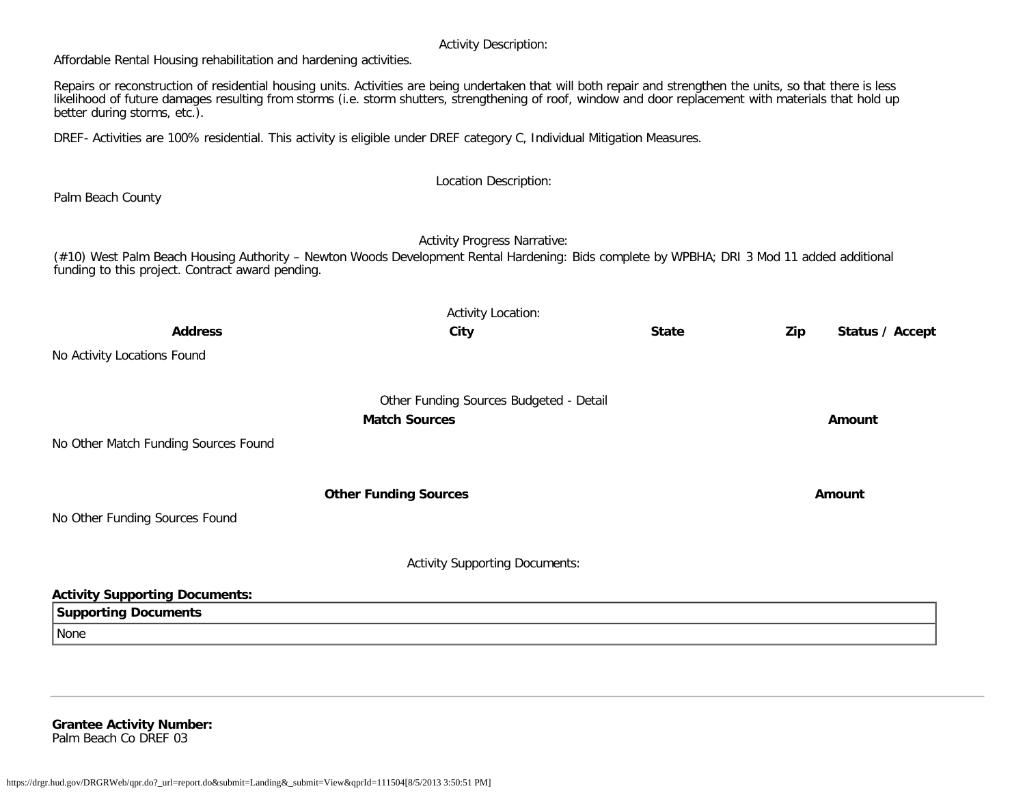### Activity Description:

Affordable Rental Housing rehabilitation and hardening activities.

Repairs or reconstruction of residential housing units. Activities are being undertaken that will both repair and strengthen the units, so that there is less likelihood of future damages resulting from storms (i.e. storm shutters, strengthening of roof, window and door replacement with materials that hold up better during storms, etc.).

DREF- Activities are 100% residential. This activity is eligible under DREF category C, Individual Mitigation Measures.

Location Description: Palm Beach County Activity Progress Narrative: (#10) West Palm Beach Housing Authority – Newton Woods Development Rental Hardening: Bids complete by WPBHA; DRI 3 Mod 11 added additional funding to this project. Contract award pending. Activity Location: **Address City State Zip Status / Accept** No Activity Locations Found Other Funding Sources Budgeted - Detail **Match Sources Amount** No Other Match Funding Sources Found **Other Funding Sources and Sources and Sources and Sources and Sources and Source Amount** No Other Funding Sources Found Activity Supporting Documents: **Activity Supporting Documents: Supporting Documents** None

**Grantee Activity Number:** Palm Beach Co DREF 03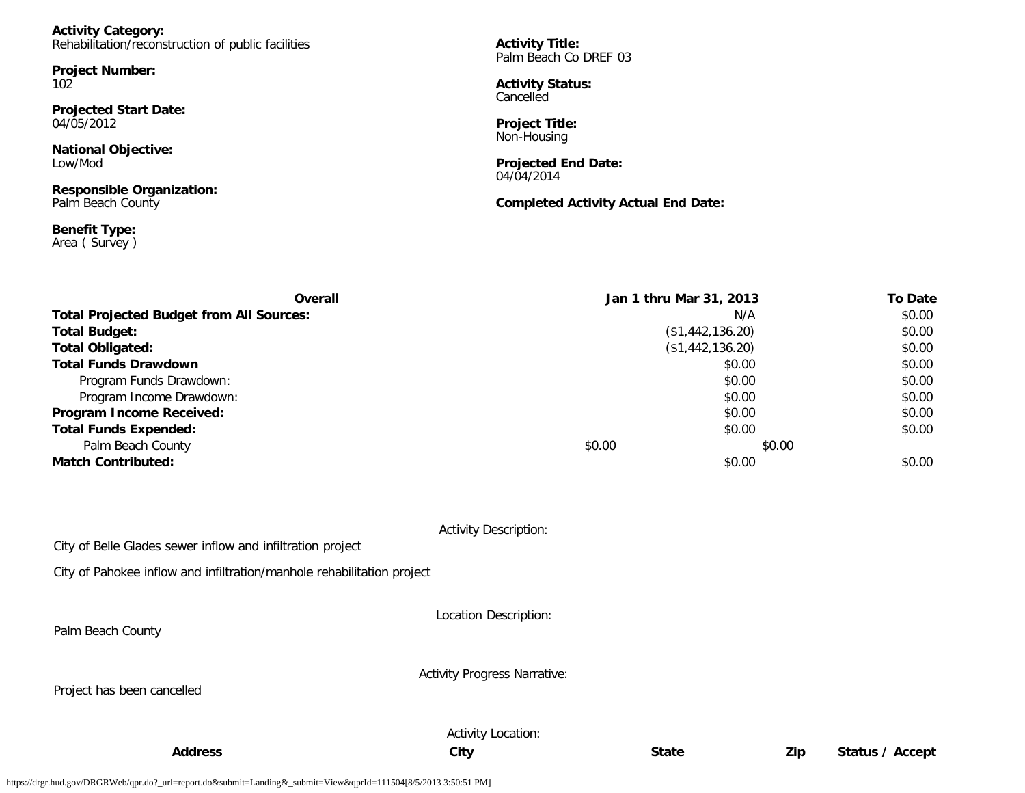| <b>Activity Category:</b>                          |                                                 |  |
|----------------------------------------------------|-------------------------------------------------|--|
| Rehabilitation/reconstruction of public facilities | <b>Activity Title:</b><br>Palm Beach Co DREF 03 |  |
| <b>Project Number:</b>                             |                                                 |  |
| 10 <sub>2</sub>                                    | <b>Activity Status:</b><br>Cancelled            |  |
| <b>Projected Start Date:</b>                       |                                                 |  |
| 04/05/2012                                         | <b>Project Title:</b><br>Non-Housing            |  |
| <b>National Objective:</b>                         |                                                 |  |
| Low/Mod                                            | <b>Projected End Date:</b><br>04/04/2014        |  |

**Responsible Organization:** Palm Beach County

**Benefit Type:** Area ( Survey ) **Completed Activity Actual End Date:**

| Overall                                         |                  | Jan 1 thru Mar 31, 2013 |        | <b>To Date</b> |
|-------------------------------------------------|------------------|-------------------------|--------|----------------|
| <b>Total Projected Budget from All Sources:</b> |                  | N/A                     |        | \$0.00         |
| <b>Total Budget:</b>                            | (\$1,442,136.20) |                         |        | \$0.00         |
| <b>Total Obligated:</b>                         | (\$1,442,136.20) |                         |        | \$0.00         |
| <b>Total Funds Drawdown</b>                     |                  | \$0.00                  |        | \$0.00         |
| Program Funds Drawdown:                         |                  | \$0.00                  |        | \$0.00         |
| Program Income Drawdown:                        |                  | \$0.00                  |        | \$0.00         |
| Program Income Received:                        |                  | \$0.00                  |        | \$0.00         |
| <b>Total Funds Expended:</b>                    |                  | \$0.00                  |        | \$0.00         |
| Palm Beach County                               | \$0.00           |                         | \$0.00 |                |
| <b>Match Contributed:</b>                       |                  | \$0.00                  |        | \$0.00         |

|  | <b>Activity Description:</b> |
|--|------------------------------|
|  |                              |

City of Belle Glades sewer inflow and infiltration project

City of Pahokee inflow and infiltration/manhole rehabilitation project

Location Description:

Palm Beach County

Activity Progress Narrative:

Project has been cancelled

Activity Location:

**Address City State Zip Status / Accept**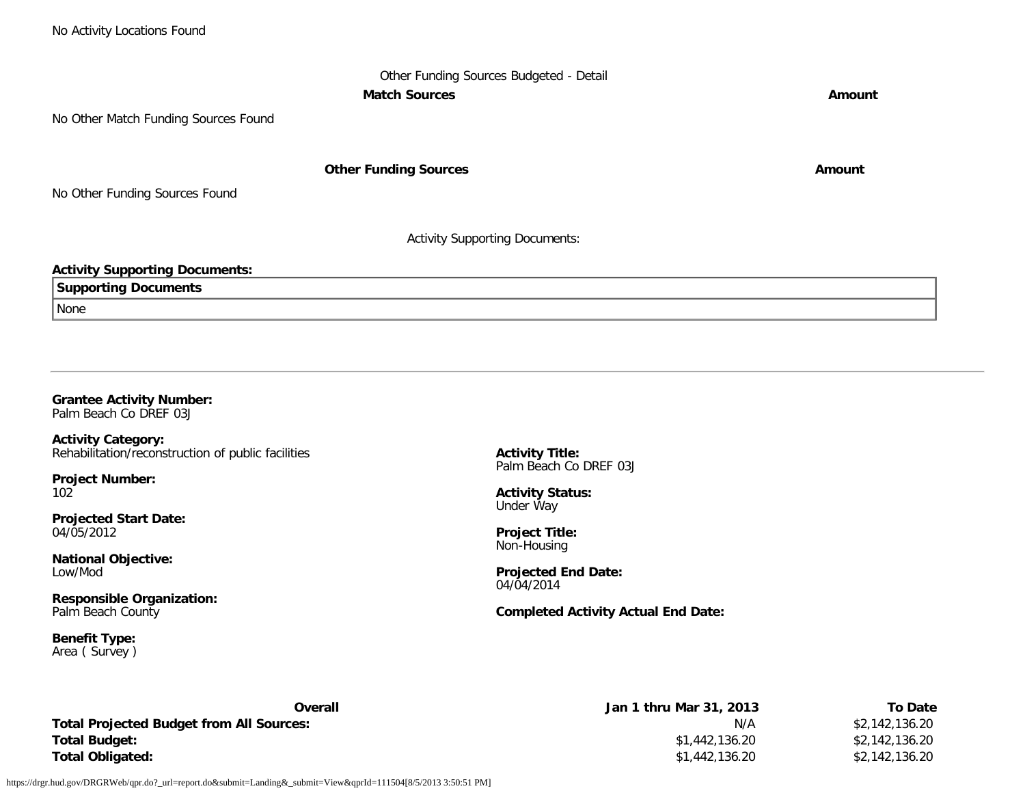# Other Funding Sources Budgeted - Detail **Match Sources Amount**

No Other Match Funding Sources Found

**Other Funding Sources Amount Amount Amount** 

No Other Funding Sources Found

Activity Supporting Documents:

### **Activity Supporting Documents:**

**Supporting Documents**

None

## **Grantee Activity Number:**

Palm Beach Co DREF 03J

**Activity Category:** Rehabilitation/reconstruction of public facilities

**Project Number:** 102

**Projected Start Date:** 04/05/2012

**National Objective:** Low/Mod

**Responsible Organization:** Palm Beach County

**Benefit Type:** Area ( Survey ) **Activity Title:** Palm Beach Co DREF 03J

**Activity Status:** Under Way

**Project Title:** Non-Housing

**Projected End Date:** 04/04/2014

**Completed Activity Actual End Date:**

| Overall                                  | Jan 1 thru Mar 31, 2013 | To Date        |
|------------------------------------------|-------------------------|----------------|
| Total Projected Budget from All Sources: | N/A                     | \$2,142,136.20 |
| Total Budget:                            | \$1,442,136.20          | \$2,142,136.20 |
| Total Obligated:                         | \$1,442,136.20          | \$2,142,136.20 |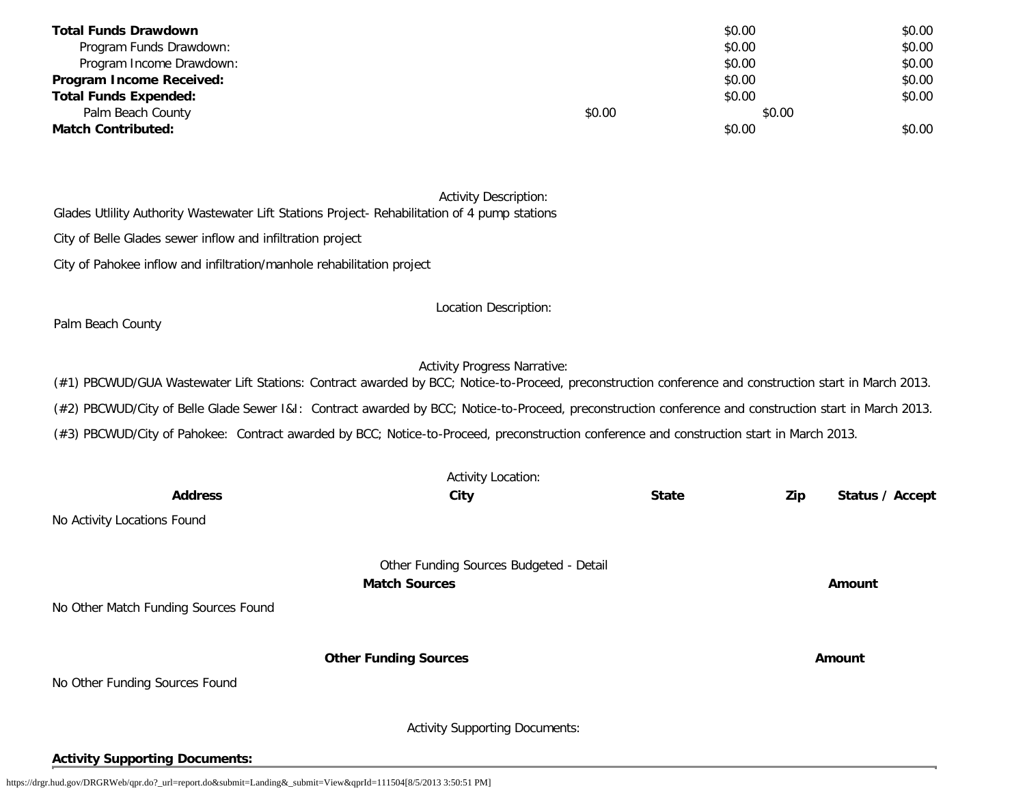| <b>Total Funds Drawdown</b>  |        | \$0.00 | \$0.00 |
|------------------------------|--------|--------|--------|
| Program Funds Drawdown:      |        | \$0.00 | \$0.00 |
| Program Income Drawdown:     |        | \$0.00 | \$0.00 |
| Program Income Received:     |        | \$0.00 | \$0.00 |
| <b>Total Funds Expended:</b> |        | \$0.00 | \$0.00 |
| Palm Beach County            | \$0.00 | \$0.00 |        |
| <b>Match Contributed:</b>    |        | \$0.00 | \$0.00 |

#### Activity Description:

Glades Utlility Authority Wastewater Lift Stations Project- Rehabilitation of 4 pump stations

City of Belle Glades sewer inflow and infiltration project

City of Pahokee inflow and infiltration/manhole rehabilitation project

Location Description:

Palm Beach County

## Activity Progress Narrative:

(#1) PBCWUD/GUA Wastewater Lift Stations: Contract awarded by BCC; Notice-to-Proceed, preconstruction conference and construction start in March 2013.

(#2) PBCWUD/City of Belle Glade Sewer I&I: Contract awarded by BCC; Notice-to-Proceed, preconstruction conference and construction start in March 2013.

(#3) PBCWUD/City of Pahokee: Contract awarded by BCC; Notice-to-Proceed, preconstruction conference and construction start in March 2013.

|                                       | <b>Activity Location:</b>               |              |                        |
|---------------------------------------|-----------------------------------------|--------------|------------------------|
| <b>Address</b>                        | City                                    | <b>State</b> | Zip<br>Status / Accept |
| No Activity Locations Found           |                                         |              |                        |
|                                       | Other Funding Sources Budgeted - Detail |              |                        |
|                                       | <b>Match Sources</b>                    |              | Amount                 |
| No Other Match Funding Sources Found  |                                         |              |                        |
|                                       |                                         |              |                        |
|                                       | <b>Other Funding Sources</b>            |              | Amount                 |
| No Other Funding Sources Found        |                                         |              |                        |
|                                       |                                         |              |                        |
|                                       | <b>Activity Supporting Documents:</b>   |              |                        |
| <b>Activity Supporting Documents:</b> |                                         |              |                        |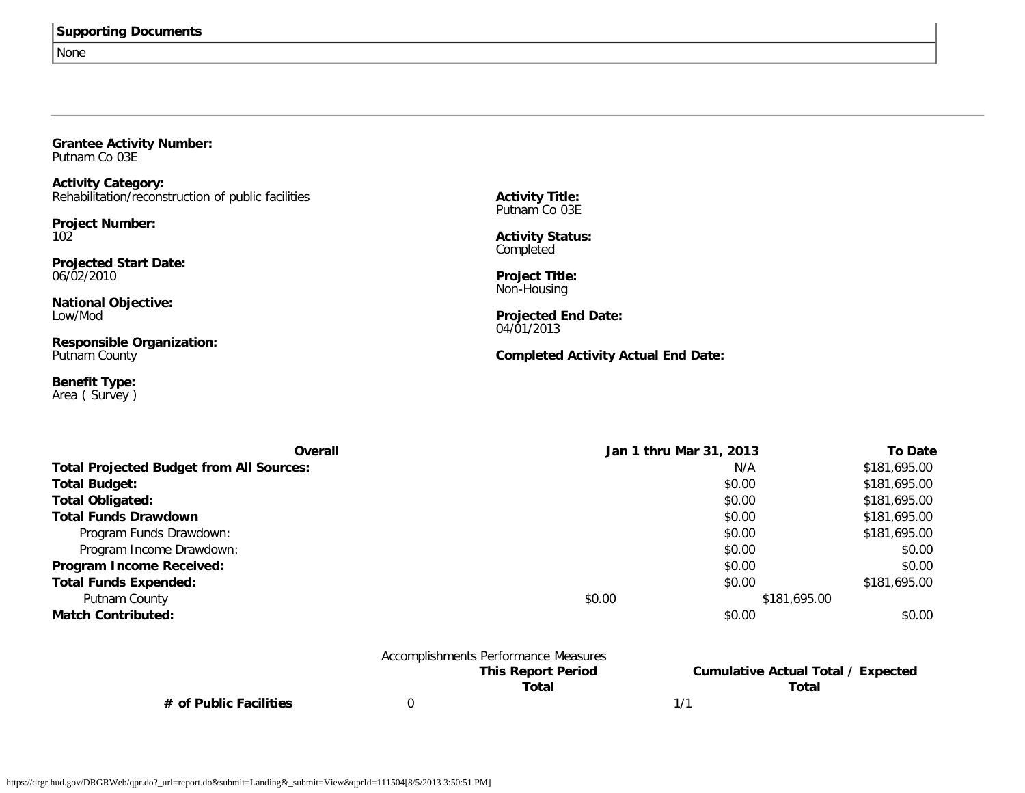|  | <b>Supporting Documents</b> |
|--|-----------------------------|
|  |                             |

None

| <b>Grantee Activity Number:</b><br>Putnam Co 03E                                                                                                                                                                                                             |                                                                                                                                                                                                                   |                |
|--------------------------------------------------------------------------------------------------------------------------------------------------------------------------------------------------------------------------------------------------------------|-------------------------------------------------------------------------------------------------------------------------------------------------------------------------------------------------------------------|----------------|
| <b>Activity Category:</b><br>Rehabilitation/reconstruction of public facilities<br><b>Project Number:</b><br>102<br><b>Projected Start Date:</b><br>06/02/2010<br><b>National Objective:</b><br>Low/Mod<br><b>Responsible Organization:</b><br>Putnam County | <b>Activity Title:</b><br>Putnam Co 03E<br><b>Activity Status:</b><br>Completed<br><b>Project Title:</b><br>Non-Housing<br><b>Projected End Date:</b><br>04/01/2013<br><b>Completed Activity Actual End Date:</b> |                |
| <b>Benefit Type:</b><br>Area (Survey)                                                                                                                                                                                                                        |                                                                                                                                                                                                                   |                |
| Overall                                                                                                                                                                                                                                                      | Jan 1 thru Mar 31, 2013                                                                                                                                                                                           | <b>To Date</b> |
| <b>Total Projected Budget from All Sources:</b>                                                                                                                                                                                                              | N/A                                                                                                                                                                                                               | \$181,695.00   |
| <b>Total Budget:</b>                                                                                                                                                                                                                                         | \$0.00                                                                                                                                                                                                            | \$181,695.00   |
| <b>Total Obligated:</b>                                                                                                                                                                                                                                      | \$0.00                                                                                                                                                                                                            | \$181,695.00   |
| <b>Total Funds Drawdown</b>                                                                                                                                                                                                                                  | \$0.00                                                                                                                                                                                                            | \$181,695.00   |
| Program Funds Drawdown:                                                                                                                                                                                                                                      | \$0.00                                                                                                                                                                                                            | \$181,695.00   |
| Program Income Drawdown:                                                                                                                                                                                                                                     | \$0.00                                                                                                                                                                                                            | \$0.00         |
| Program Income Received:                                                                                                                                                                                                                                     | \$0.00                                                                                                                                                                                                            | \$0.00         |
| <b>Total Funds Expended:</b>                                                                                                                                                                                                                                 | \$0.00                                                                                                                                                                                                            | \$181,695.00   |
| Putnam County                                                                                                                                                                                                                                                | \$0.00                                                                                                                                                                                                            | \$181,695.00   |
| <b>Match Contributed:</b>                                                                                                                                                                                                                                    | \$0.00                                                                                                                                                                                                            | \$0.00         |

|                        | Accomplishments Performance Measures |                                    |  |
|------------------------|--------------------------------------|------------------------------------|--|
|                        | <b>This Report Period</b>            | Cumulative Actual Total / Expected |  |
|                        | Total                                | Total                              |  |
| # of Public Facilities |                                      |                                    |  |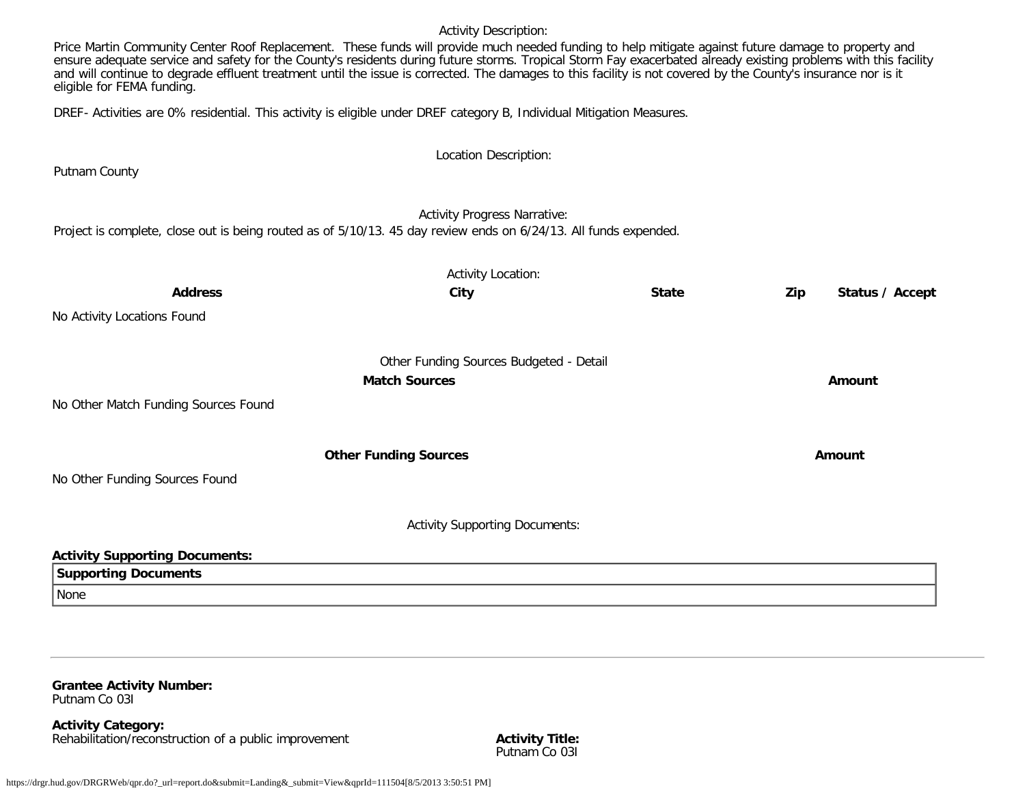#### Activity Description:

Price Martin Community Center Roof Replacement. These funds will provide much needed funding to help mitigate against future damage to property and ensure adequate service and safety for the County's residents during future storms. Tropical Storm Fay exacerbated already existing problems with this facility and will continue to degrade effluent treatment until the issue is corrected. The damages to this facility is not covered by the County's insurance nor is it eligible for FEMA funding.

DREF- Activities are 0% residential. This activity is eligible under DREF category B, Individual Mitigation Measures.

|                                                                                                                  | Location Description:                   |              |        |                 |
|------------------------------------------------------------------------------------------------------------------|-----------------------------------------|--------------|--------|-----------------|
| Putnam County                                                                                                    |                                         |              |        |                 |
|                                                                                                                  | <b>Activity Progress Narrative:</b>     |              |        |                 |
| Project is complete, close out is being routed as of 5/10/13. 45 day review ends on 6/24/13. All funds expended. |                                         |              |        |                 |
|                                                                                                                  | <b>Activity Location:</b>               |              |        |                 |
| <b>Address</b>                                                                                                   | City                                    | <b>State</b> | Zip    | Status / Accept |
| No Activity Locations Found                                                                                      |                                         |              |        |                 |
|                                                                                                                  | Other Funding Sources Budgeted - Detail |              |        |                 |
|                                                                                                                  | <b>Match Sources</b>                    |              | Amount |                 |
| No Other Match Funding Sources Found                                                                             |                                         |              |        |                 |
|                                                                                                                  | <b>Other Funding Sources</b>            |              | Amount |                 |
| No Other Funding Sources Found                                                                                   |                                         |              |        |                 |
|                                                                                                                  |                                         |              |        |                 |
|                                                                                                                  | <b>Activity Supporting Documents:</b>   |              |        |                 |
| <b>Activity Supporting Documents:</b>                                                                            |                                         |              |        |                 |
| <b>Supporting Documents</b>                                                                                      |                                         |              |        |                 |
| None                                                                                                             |                                         |              |        |                 |

#### **Grantee Activity Number:** Putnam Co 03I

**Activity Category:** Rehabilitation/reconstruction of a public improvement **Activity Title:**

Putnam Co 03I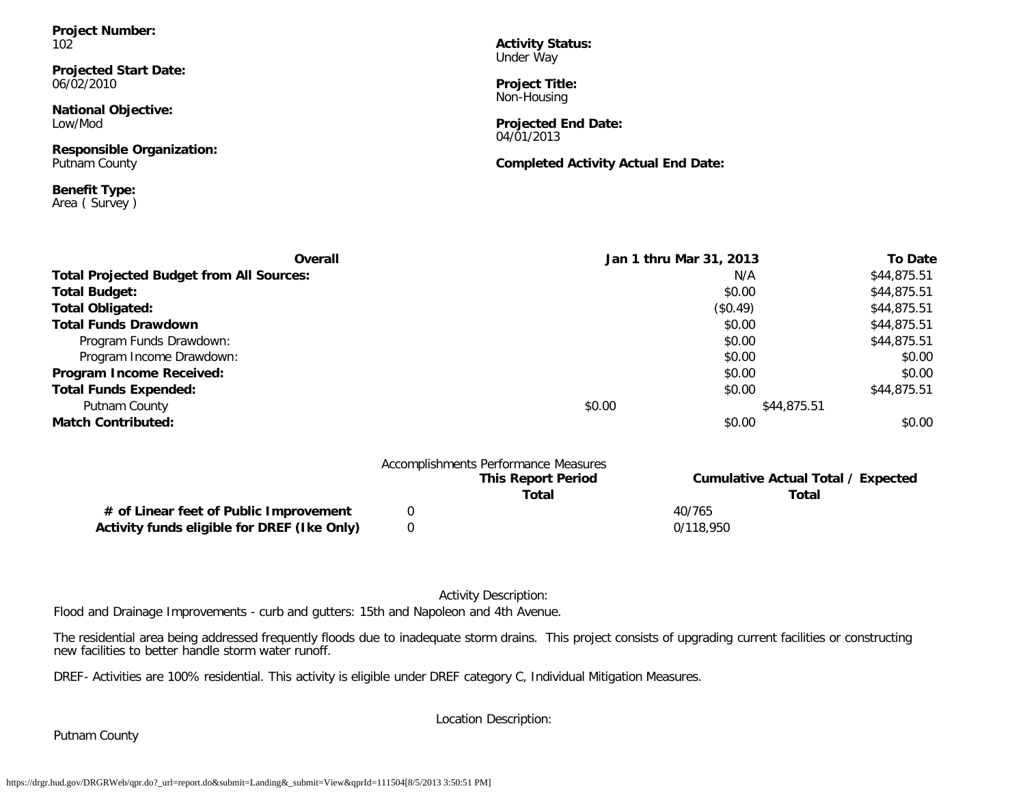**Project Number:** 102

**Projected Start Date:** 06/02/2010

**National Objective:** Low/Mod

**Responsible Organization:** Putnam County

**Benefit Type:** Area ( Survey ) **Activity Status:** Under Way

**Project Title:** Non-Housing

**Projected End Date:** 04/01/2013

**Completed Activity Actual End Date:**

| Overall                                         | Jan 1 thru Mar 31, 2013 | <b>To Date</b> |
|-------------------------------------------------|-------------------------|----------------|
| <b>Total Projected Budget from All Sources:</b> | N/A                     | \$44,875.51    |
| <b>Total Budget:</b>                            | \$0.00                  | \$44,875.51    |
| <b>Total Obligated:</b>                         | (\$0.49)                | \$44,875.51    |
| <b>Total Funds Drawdown</b>                     | \$0.00                  | \$44,875.51    |
| Program Funds Drawdown:                         | \$0.00                  | \$44,875.51    |
| Program Income Drawdown:                        | \$0.00                  | \$0.00         |
| Program Income Received:                        | \$0.00                  | \$0.00         |
| <b>Total Funds Expended:</b>                    | \$0.00                  | \$44,875.51    |
| Putnam County                                   | \$0.00<br>\$44,875.51   |                |
| <b>Match Contributed:</b>                       | \$0.00                  | \$0.00         |

|                                             | Accomplishments Performance Measures |                                           |  |
|---------------------------------------------|--------------------------------------|-------------------------------------------|--|
|                                             | <b>This Report Period</b>            | <b>Cumulative Actual Total / Expected</b> |  |
|                                             | Total                                | Total                                     |  |
| # of Linear feet of Public Improvement      |                                      | 40/765                                    |  |
| Activity funds eligible for DREF (Ike Only) |                                      | 0/118.950                                 |  |

#### Activity Description:

Flood and Drainage Improvements - curb and gutters: 15th and Napoleon and 4th Avenue.

The residential area being addressed frequently floods due to inadequate storm drains. This project consists of upgrading current facilities or constructing new facilities to better handle storm water runoff.

DREF- Activities are 100% residential. This activity is eligible under DREF category C, Individual Mitigation Measures.

Location Description:

Putnam County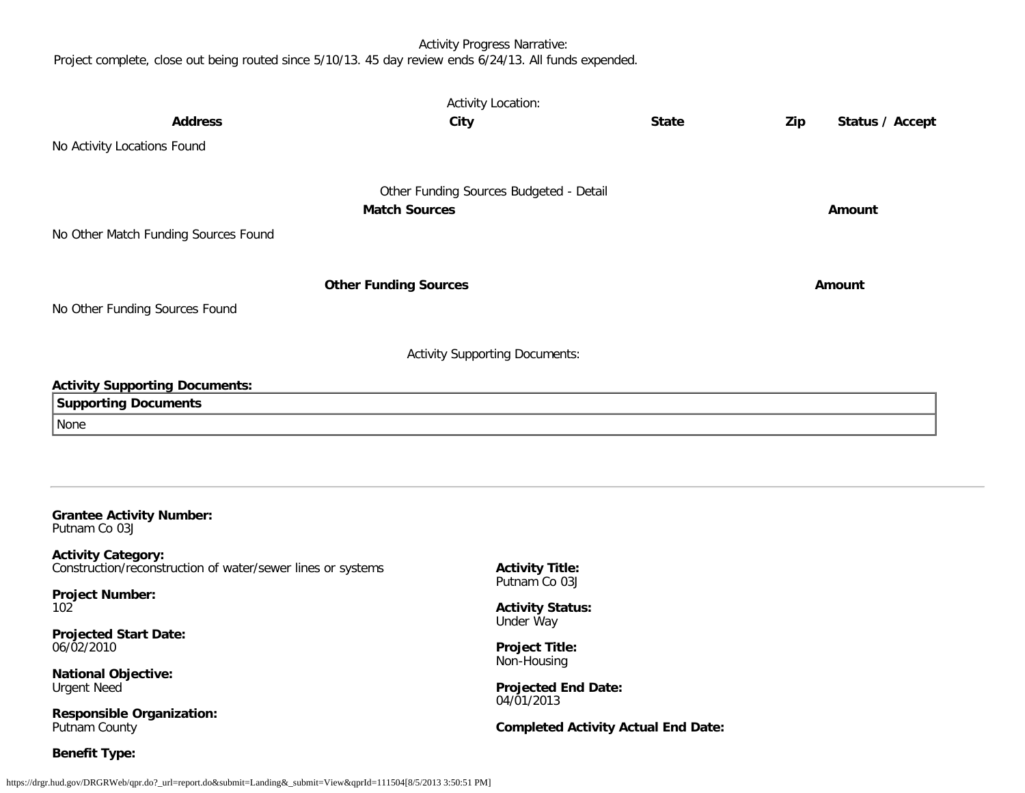## Activity Progress Narrative:

Project complete, close out being routed since 5/10/13. 45 day review ends 6/24/13. All funds expended.

|                                                             | <b>Activity Location:</b>                |                                            |     |                 |
|-------------------------------------------------------------|------------------------------------------|--------------------------------------------|-----|-----------------|
| <b>Address</b>                                              | City                                     | <b>State</b>                               | Zip | Status / Accept |
| No Activity Locations Found                                 |                                          |                                            |     |                 |
|                                                             |                                          |                                            |     |                 |
|                                                             | Other Funding Sources Budgeted - Detail  |                                            |     |                 |
|                                                             | <b>Match Sources</b>                     |                                            |     | Amount          |
| No Other Match Funding Sources Found                        |                                          |                                            |     |                 |
|                                                             |                                          |                                            |     |                 |
|                                                             | <b>Other Funding Sources</b>             |                                            |     | <b>Amount</b>   |
|                                                             |                                          |                                            |     |                 |
| No Other Funding Sources Found                              |                                          |                                            |     |                 |
|                                                             |                                          |                                            |     |                 |
|                                                             | <b>Activity Supporting Documents:</b>    |                                            |     |                 |
| <b>Activity Supporting Documents:</b>                       |                                          |                                            |     |                 |
| <b>Supporting Documents</b>                                 |                                          |                                            |     |                 |
| None                                                        |                                          |                                            |     |                 |
|                                                             |                                          |                                            |     |                 |
|                                                             |                                          |                                            |     |                 |
|                                                             |                                          |                                            |     |                 |
| <b>Grantee Activity Number:</b><br>Putnam Co 03J            |                                          |                                            |     |                 |
| <b>Activity Category:</b>                                   |                                          |                                            |     |                 |
| Construction/reconstruction of water/sewer lines or systems | <b>Activity Title:</b><br>Putnam Co 03J  |                                            |     |                 |
| <b>Project Number:</b><br>102                               | <b>Activity Status:</b>                  |                                            |     |                 |
| <b>Projected Start Date:</b>                                | Under Way                                |                                            |     |                 |
| 06/02/2010                                                  | <b>Project Title:</b>                    |                                            |     |                 |
| <b>National Objective:</b>                                  | Non-Housing                              |                                            |     |                 |
| <b>Urgent Need</b>                                          | <b>Projected End Date:</b><br>04/01/2013 |                                            |     |                 |
| <b>Responsible Organization:</b>                            |                                          |                                            |     |                 |
| Putnam County                                               |                                          | <b>Completed Activity Actual End Date:</b> |     |                 |
| <b>Benefit Type:</b>                                        |                                          |                                            |     |                 |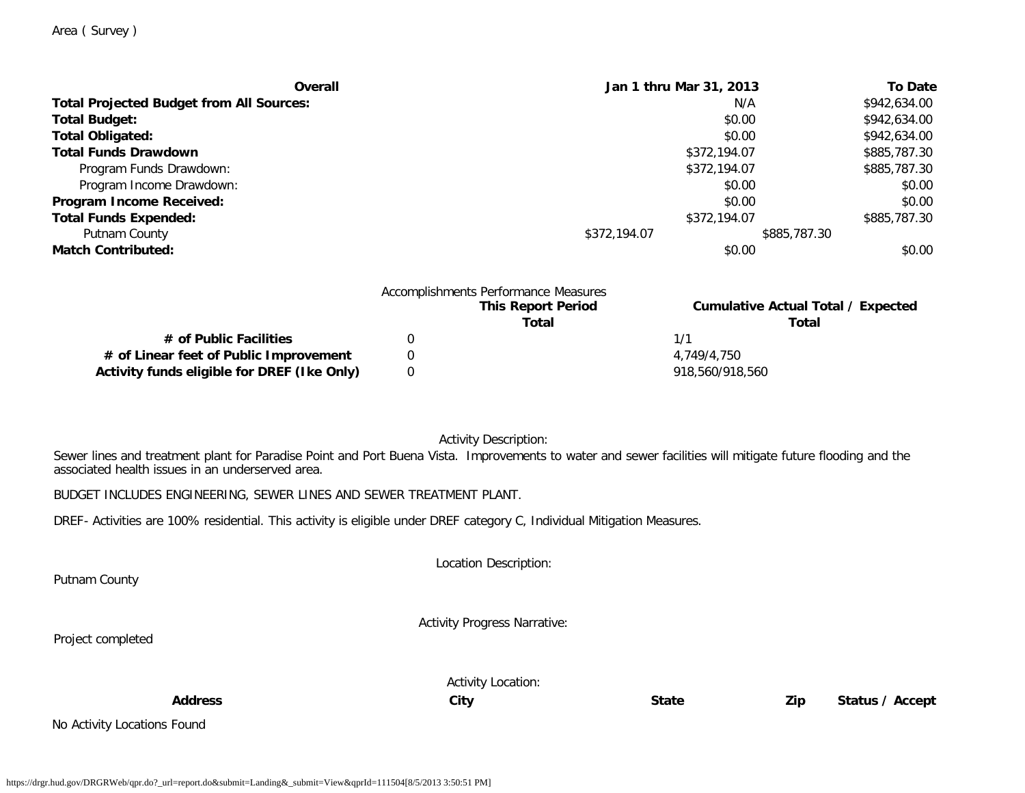Putnam County

Project completed

|  | Area (Survey) |  |
|--|---------------|--|
|--|---------------|--|

| Overall                                         | Jan 1 thru Mar 31, 2013      | <b>To Date</b> |
|-------------------------------------------------|------------------------------|----------------|
| <b>Total Projected Budget from All Sources:</b> | N/A                          | \$942,634.00   |
| <b>Total Budget:</b>                            | \$0.00                       | \$942,634.00   |
| <b>Total Obligated:</b>                         | \$0.00                       | \$942,634.00   |
| <b>Total Funds Drawdown</b>                     | \$372,194.07                 | \$885,787.30   |
| Program Funds Drawdown:                         | \$372,194.07                 | \$885,787.30   |
| Program Income Drawdown:                        | \$0.00                       | \$0.00         |
| Program Income Received:                        | \$0.00                       | \$0.00         |
| <b>Total Funds Expended:</b>                    | \$372,194.07                 | \$885,787.30   |
| Putnam County                                   | \$372,194.07<br>\$885,787.30 |                |
| <b>Match Contributed:</b>                       | \$0.00                       | \$0.00         |
| Accomplishments Performance Measures            |                              |                |

| <b>This Report Period</b> | <b>Cumulative Actual Total / Expected</b> |
|---------------------------|-------------------------------------------|
| Total                     | Total                                     |
|                           | 171                                       |
|                           | 4.749/4.750                               |
|                           | 918.560/918.560                           |
|                           |                                           |

Activity Description:

Sewer lines and treatment plant for Paradise Point and Port Buena Vista. Improvements to water and sewer facilities will mitigate future flooding and the associated health issues in an underserved area.

BUDGET INCLUDES ENGINEERING, SEWER LINES AND SEWER TREATMENT PLANT.

DREF- Activities are 100% residential. This activity is eligible under DREF category C, Individual Mitigation Measures.

Location Description:

Activity Progress Narrative:

Activity Location:

**Address City State Zip Status / Accept**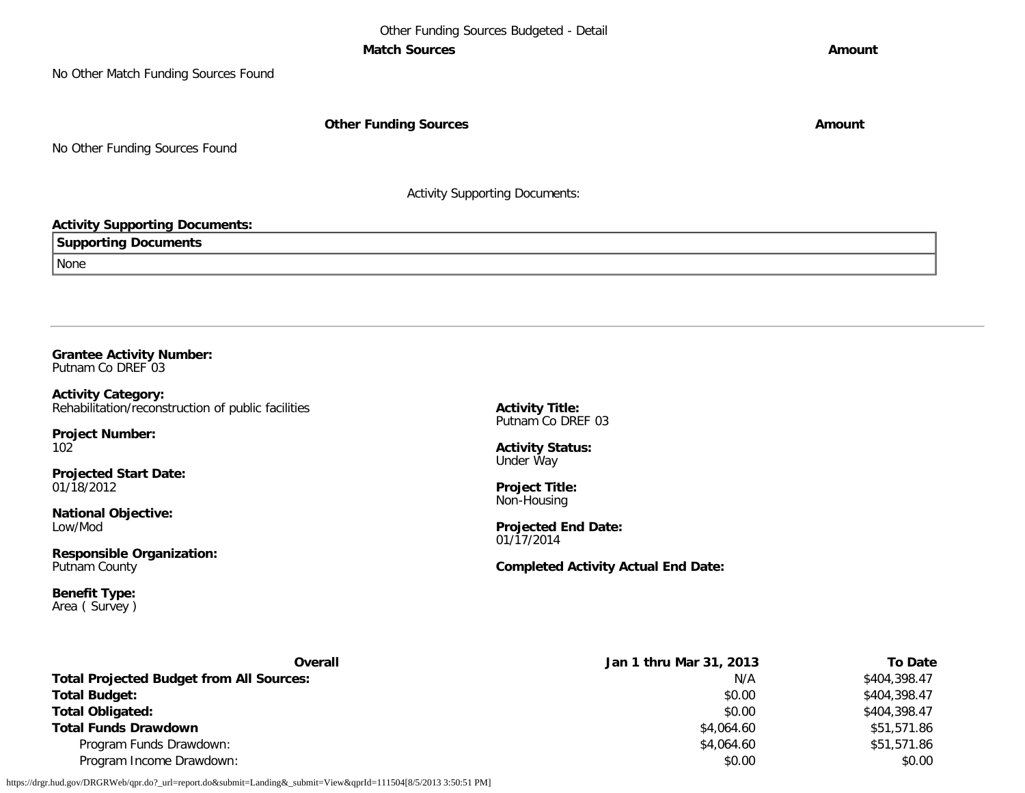#### **Match Sources Amount**

No Other Match Funding Sources Found

**Other Funding Sources Amount Amount Amount** 

No Other Funding Sources Found

Activity Supporting Documents:

## **Activity Supporting Documents:**

| <b>Supporting Documents</b> |  |
|-----------------------------|--|
| None                        |  |

**Grantee Activity Number:** Putnam Co DREF 03

**Activity Category:** Rehabilitation/reconstruction of public facilities

**Project Number:** 102

**Projected Start Date:** 01/18/2012

**National Objective:** Low/Mod

**Responsible Organization:** Putnam County

**Benefit Type:** Area ( Survey ) **Activity Title:** Putnam Co DREF 03

**Activity Status:** Under Way

**Project Title:** Non-Housing

**Projected End Date:** 01/17/2014

**Completed Activity Actual End Date:**

| Overall                                         | Jan 1 thru Mar 31, 2013 | <b>To Date</b> |
|-------------------------------------------------|-------------------------|----------------|
| <b>Total Projected Budget from All Sources:</b> | N/A                     | \$404,398.47   |
| <b>Total Budget:</b>                            | \$0.00                  | \$404,398.47   |
| <b>Total Obligated:</b>                         | \$0.00                  | \$404,398.47   |
| <b>Total Funds Drawdown</b>                     | \$4,064.60              | \$51,571.86    |
| Program Funds Drawdown:                         | \$4,064.60              | \$51,571.86    |
| Program Income Drawdown:                        | \$0.00                  | \$0.00         |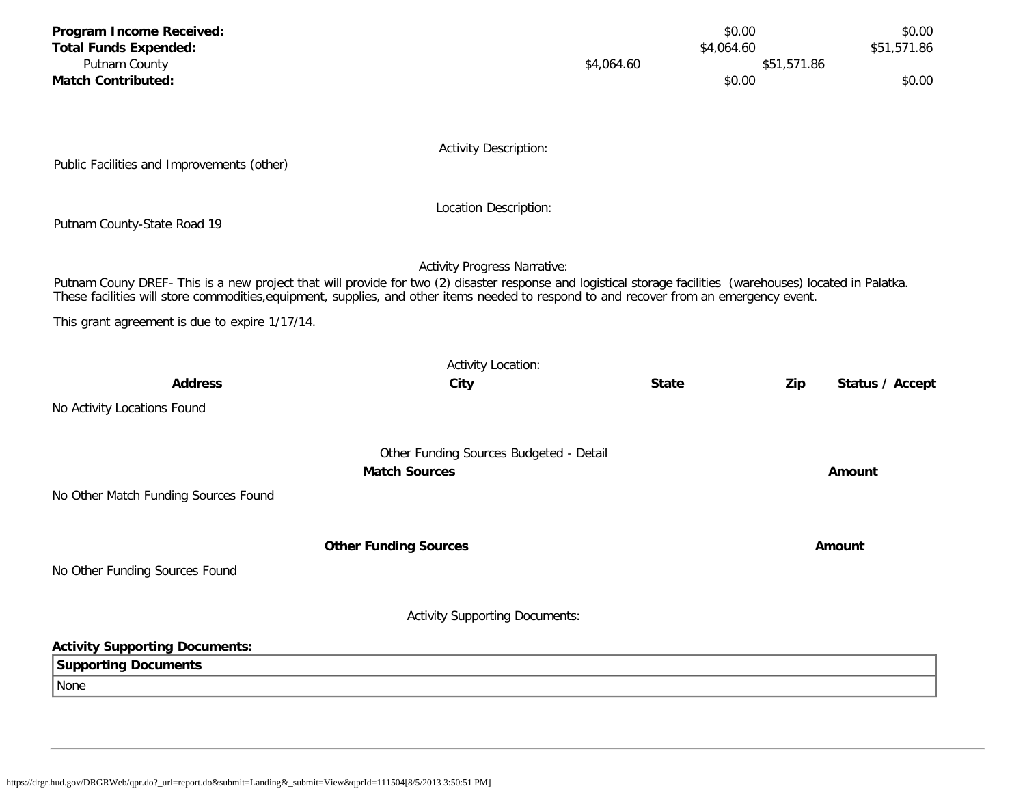| Program Income Received:<br><b>Total Funds Expended:</b><br>Putnam County                                                                                                                                                                                                                              |                                         | \$4,064.60   | \$0.00<br>\$4,064.60 | \$51,571.86 | \$0.00<br>\$51,571.86 |
|--------------------------------------------------------------------------------------------------------------------------------------------------------------------------------------------------------------------------------------------------------------------------------------------------------|-----------------------------------------|--------------|----------------------|-------------|-----------------------|
| <b>Match Contributed:</b>                                                                                                                                                                                                                                                                              |                                         |              | \$0.00               |             | \$0.00                |
|                                                                                                                                                                                                                                                                                                        |                                         |              |                      |             |                       |
|                                                                                                                                                                                                                                                                                                        | <b>Activity Description:</b>            |              |                      |             |                       |
| Public Facilities and Improvements (other)                                                                                                                                                                                                                                                             |                                         |              |                      |             |                       |
|                                                                                                                                                                                                                                                                                                        | Location Description:                   |              |                      |             |                       |
| Putnam County-State Road 19                                                                                                                                                                                                                                                                            |                                         |              |                      |             |                       |
|                                                                                                                                                                                                                                                                                                        | <b>Activity Progress Narrative:</b>     |              |                      |             |                       |
| Putnam Couny DREF- This is a new project that will provide for two (2) disaster response and logistical storage facilities (warehouses) located in Palatka.<br>These facilities will store commodities, equipment, supplies, and other items needed to respond to and recover from an emergency event. |                                         |              |                      |             |                       |
| This grant agreement is due to expire 1/17/14.                                                                                                                                                                                                                                                         |                                         |              |                      |             |                       |
|                                                                                                                                                                                                                                                                                                        | <b>Activity Location:</b>               |              |                      |             |                       |
| <b>Address</b>                                                                                                                                                                                                                                                                                         | City                                    | <b>State</b> |                      | Zip         | Status / Accept       |
| No Activity Locations Found                                                                                                                                                                                                                                                                            |                                         |              |                      |             |                       |
|                                                                                                                                                                                                                                                                                                        |                                         |              |                      |             |                       |
| <b>Match Sources</b>                                                                                                                                                                                                                                                                                   | Other Funding Sources Budgeted - Detail |              |                      |             | Amount                |
| No Other Match Funding Sources Found                                                                                                                                                                                                                                                                   |                                         |              |                      |             |                       |
|                                                                                                                                                                                                                                                                                                        |                                         |              |                      |             |                       |
| <b>Other Funding Sources</b>                                                                                                                                                                                                                                                                           |                                         |              |                      |             | Amount                |
| No Other Funding Sources Found                                                                                                                                                                                                                                                                         |                                         |              |                      |             |                       |
|                                                                                                                                                                                                                                                                                                        |                                         |              |                      |             |                       |
|                                                                                                                                                                                                                                                                                                        | <b>Activity Supporting Documents:</b>   |              |                      |             |                       |
| <b>Activity Supporting Documents:</b>                                                                                                                                                                                                                                                                  |                                         |              |                      |             |                       |
| <b>Supporting Documents</b><br>None                                                                                                                                                                                                                                                                    |                                         |              |                      |             |                       |
|                                                                                                                                                                                                                                                                                                        |                                         |              |                      |             |                       |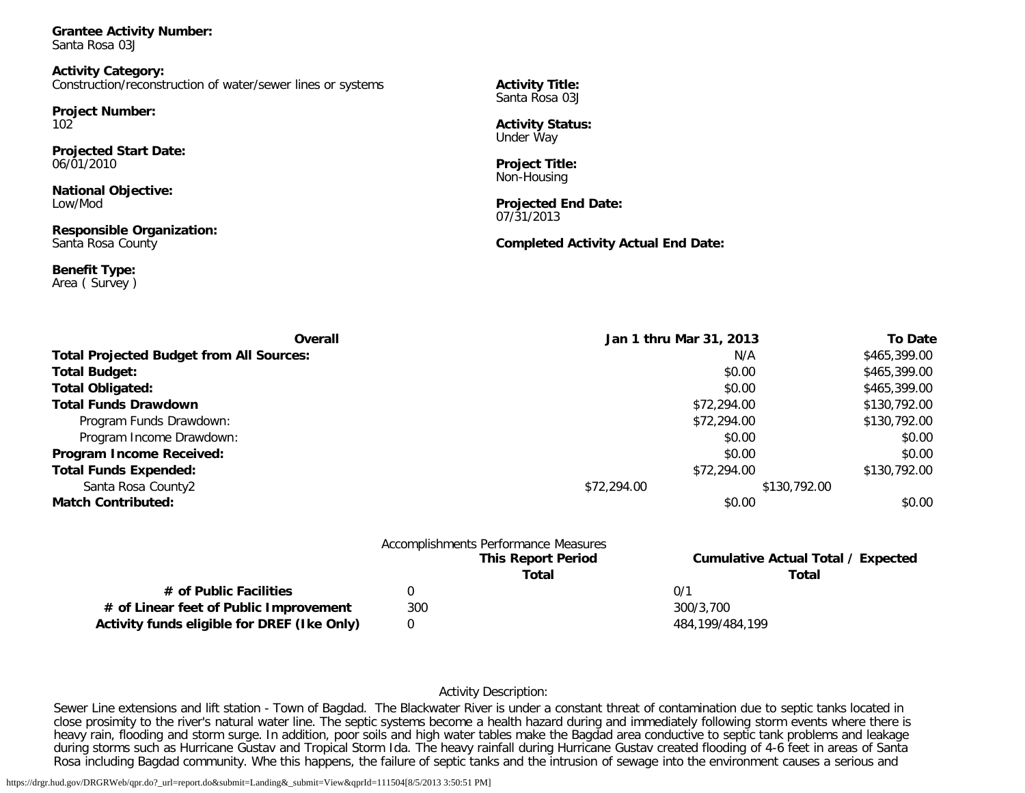**Grantee Activity Number:** Santa Rosa 03J

**Activity Category:** Construction/reconstruction of water/sewer lines or systems

**Project Number:** 102

**Projected Start Date:** 06/01/2010

**National Objective:** Low/Mod

**Responsible Organization:** Santa Rosa County

**Benefit Type:** Area ( Survey ) **Activity Title:** Santa Rosa 03J

**Activity Status:** Under Way

**Project Title:** Non-Housing

**Projected End Date:** 07/31/2013

#### **Completed Activity Actual End Date:**

| Overall                                         | Jan 1 thru Mar 31, 2013 |              | <b>To Date</b> |
|-------------------------------------------------|-------------------------|--------------|----------------|
| <b>Total Projected Budget from All Sources:</b> |                         | N/A          | \$465,399.00   |
| <b>Total Budget:</b>                            |                         | \$0.00       | \$465,399.00   |
| <b>Total Obligated:</b>                         |                         | \$0.00       | \$465,399.00   |
| <b>Total Funds Drawdown</b>                     |                         | \$72,294.00  | \$130,792.00   |
| Program Funds Drawdown:                         |                         | \$72,294.00  | \$130,792.00   |
| Program Income Drawdown:                        |                         | \$0.00       | \$0.00         |
| Program Income Received:                        |                         | \$0.00       | \$0.00         |
| <b>Total Funds Expended:</b>                    |                         | \$72,294.00  | \$130,792.00   |
| Santa Rosa County2                              | \$72,294.00             | \$130,792.00 |                |
| <b>Match Contributed:</b>                       |                         | \$0.00       | \$0.00         |
|                                                 |                         |              |                |

|                                             | Accomplishments Performance Measures |                                           |
|---------------------------------------------|--------------------------------------|-------------------------------------------|
|                                             | <b>This Report Period</b>            | <b>Cumulative Actual Total / Expected</b> |
|                                             | Total                                | Total                                     |
| # of Public Facilities                      |                                      | 0/1                                       |
| # of Linear feet of Public Improvement      | 300                                  | 300/3.700                                 |
| Activity funds eligible for DREF (Ike Only) |                                      | 484.199/484.199                           |

## Activity Description:

Sewer Line extensions and lift station - Town of Bagdad. The Blackwater River is under a constant threat of contamination due to septic tanks located in close prosimity to the river's natural water line. The septic systems become a health hazard during and immediately following storm events where there is heavy rain, flooding and storm surge. In addition, poor soils and high water tables make the Bagdad area conductive to septic tank problems and leakage during storms such as Hurricane Gustav and Tropical Storm Ida. The heavy rainfall during Hurricane Gustav created flooding of 4-6 feet in areas of Santa Rosa including Bagdad community. Whe this happens, the failure of septic tanks and the intrusion of sewage into the environment causes a serious and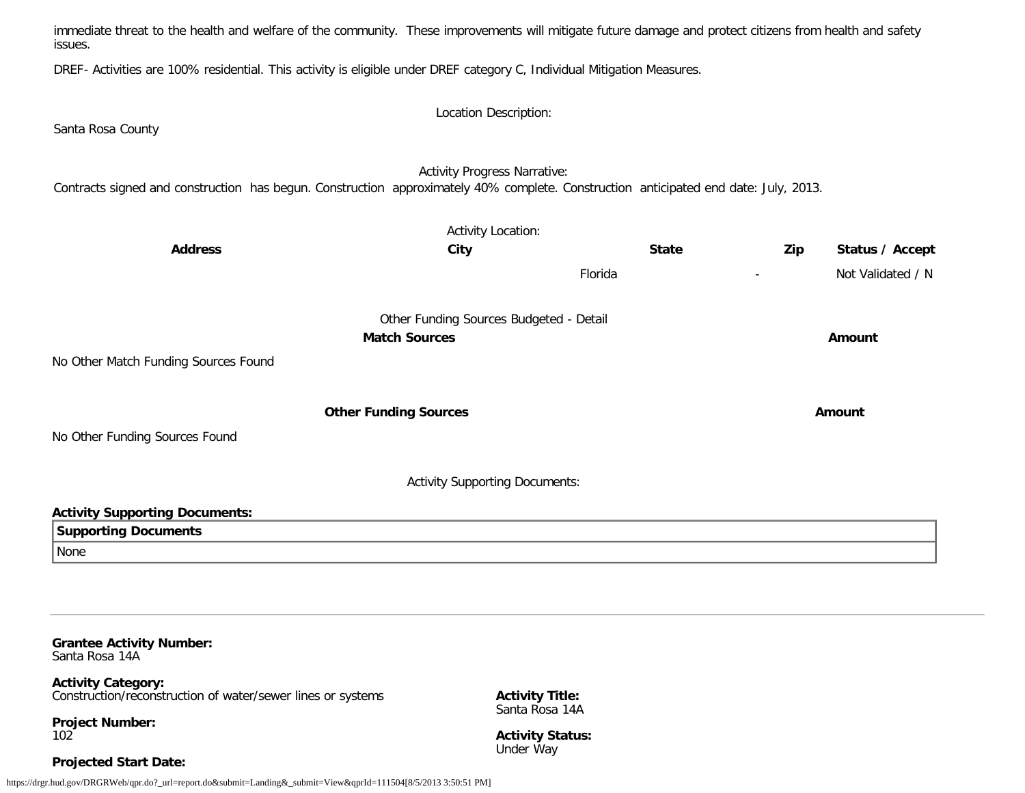immediate threat to the health and welfare of the community. These improvements will mitigate future damage and protect citizens from health and safety issues.

DREF- Activities are 100% residential. This activity is eligible under DREF category C, Individual Mitigation Measures.

Location Description: Santa Rosa County Activity Progress Narrative: Contracts signed and construction has begun. Construction approximately 40% complete. Construction anticipated end date: July, 2013. Activity Location: **Address City State Zip Status / Accept** Florida - Not Validated / N Other Funding Sources Budgeted - Detail **Match Sources Amount** No Other Match Funding Sources Found **Other Funding Sources Amount Amount Amount** No Other Funding Sources Found Activity Supporting Documents: **Activity Supporting Documents: Supporting Documents** None

**Grantee Activity Number:** Santa Rosa 14A

**Activity Category:** Construction/reconstruction of water/sewer lines or systems

**Project Number:** 102

**Projected Start Date:**

Santa Rosa 14A **Activity Status:**

Under Way

**Activity Title:**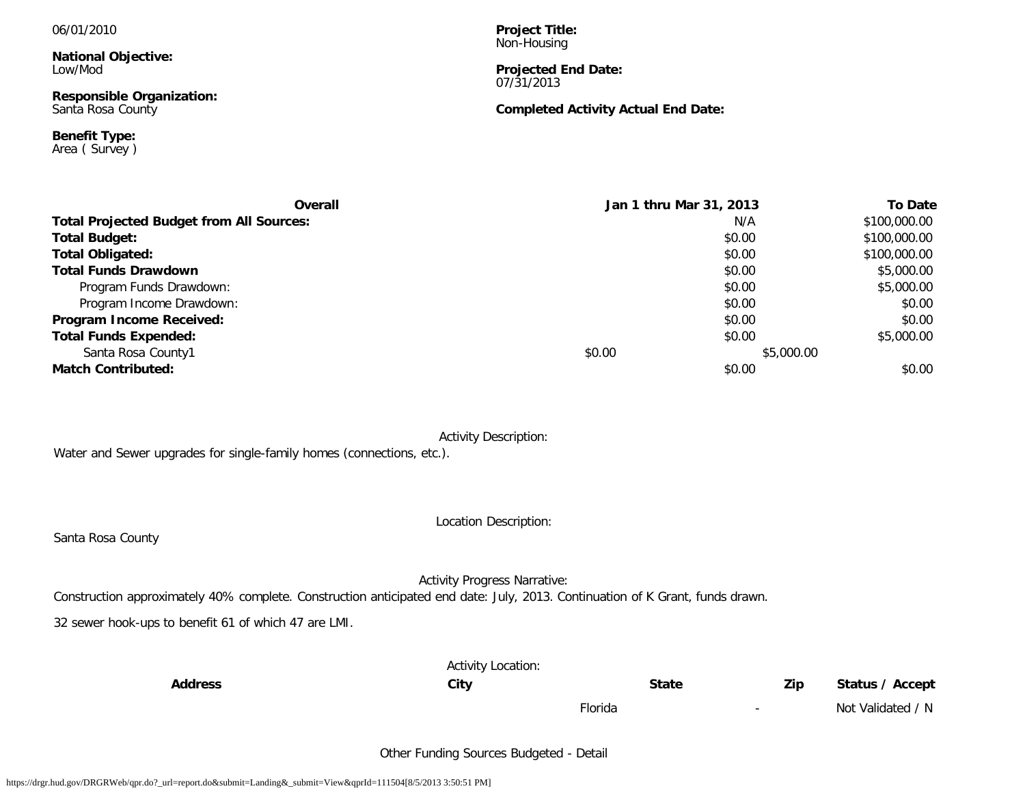#### 06/01/2010

**National Objective:** Low/Mod

**Responsible Organization:** Santa Rosa County

**Benefit Type:** Area ( Survey ) **Project Title:** Non-Housing

#### **Projected End Date:** 07/31/2013

## **Completed Activity Actual End Date:**

| Overall                                         | Jan 1 thru Mar 31, 2013 |            | <b>To Date</b> |
|-------------------------------------------------|-------------------------|------------|----------------|
| <b>Total Projected Budget from All Sources:</b> |                         | N/A        | \$100,000.00   |
| <b>Total Budget:</b>                            |                         | \$0.00     | \$100,000.00   |
| <b>Total Obligated:</b>                         |                         | \$0.00     | \$100,000.00   |
| <b>Total Funds Drawdown</b>                     |                         | \$0.00     | \$5,000.00     |
| Program Funds Drawdown:                         |                         | \$0.00     | \$5,000.00     |
| Program Income Drawdown:                        |                         | \$0.00     | \$0.00         |
| Program Income Received:                        |                         | \$0.00     | \$0.00         |
| <b>Total Funds Expended:</b>                    |                         | \$0.00     | \$5,000.00     |
| Santa Rosa County1                              | \$0.00                  | \$5,000.00 |                |
| <b>Match Contributed:</b>                       |                         | \$0.00     | \$0.00         |

Activity Description:

Water and Sewer upgrades for single-family homes (connections, etc.).

Location Description:

Santa Rosa County

Activity Progress Narrative:

Construction approximately 40% complete. Construction anticipated end date: July, 2013. Continuation of K Grant, funds drawn.

32 sewer hook-ups to benefit 61 of which 47 are LMI.

|                | <b>Activity Location:</b> |              |                          |                   |
|----------------|---------------------------|--------------|--------------------------|-------------------|
| <b>Address</b> | City                      | <b>State</b> | Zip                      | Status / Accept   |
|                |                           | Florida      | $\overline{\phantom{a}}$ | Not Validated / N |

Other Funding Sources Budgeted - Detail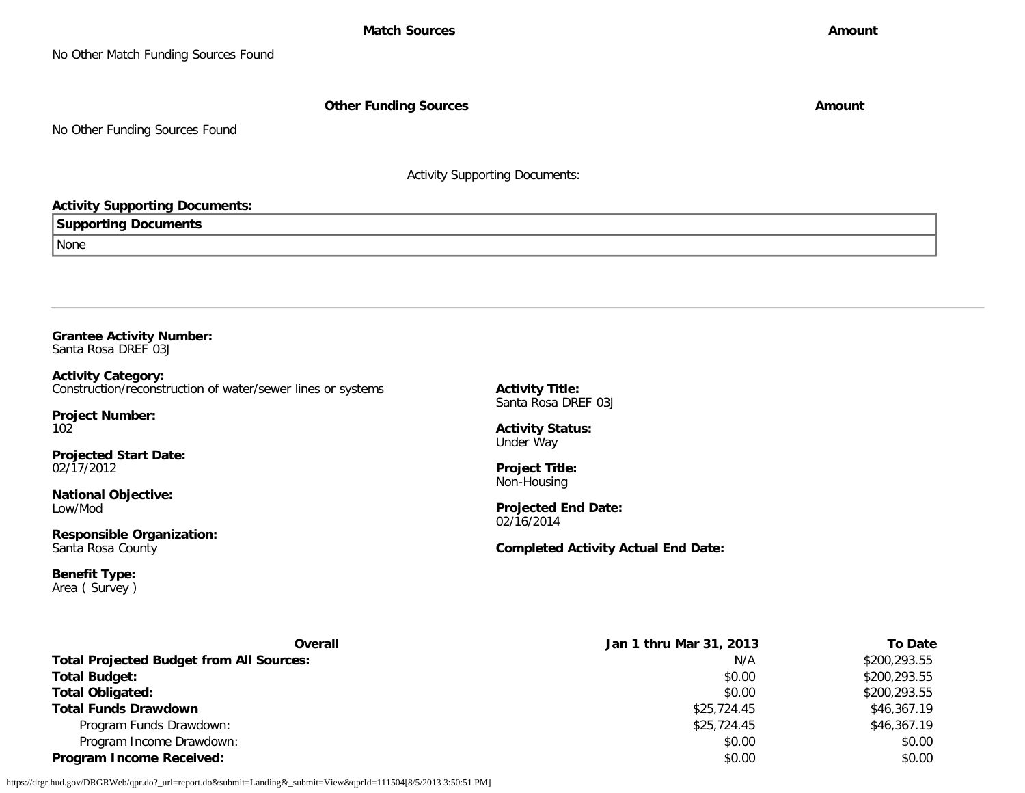**Other Funding Sources Amount Amount Amount** 

No Other Funding Sources Found

Activity Supporting Documents:

## **Activity Supporting Documents:**

**Supporting Documents**

None

**Grantee Activity Number:** Santa Rosa DREF 03J

**Activity Category:** Construction/reconstruction of water/sewer lines or systems

**Project Number:** 102

**Projected Start Date:** 02/17/2012

**National Objective:** Low/Mod

**Responsible Organization:** Santa Rosa County

**Benefit Type:** Area ( Survey ) **Activity Title:** Santa Rosa DREF 03J

**Activity Status:** Under Way

**Project Title:** Non-Housing

**Projected End Date:** 02/16/2014

**Completed Activity Actual End Date:**

| Overall                                         | Jan 1 thru Mar 31, 2013 | <b>To Date</b> |
|-------------------------------------------------|-------------------------|----------------|
| <b>Total Projected Budget from All Sources:</b> | N/A                     | \$200,293.55   |
| <b>Total Budget:</b>                            | \$0.00                  | \$200,293.55   |
| <b>Total Obligated:</b>                         | \$0.00                  | \$200,293.55   |
| <b>Total Funds Drawdown</b>                     | \$25,724.45             | \$46,367.19    |
| Program Funds Drawdown:                         | \$25,724.45             | \$46,367.19    |
| Program Income Drawdown:                        | \$0.00                  | \$0.00         |
| <b>Program Income Received:</b>                 | \$0.00                  | \$0.00         |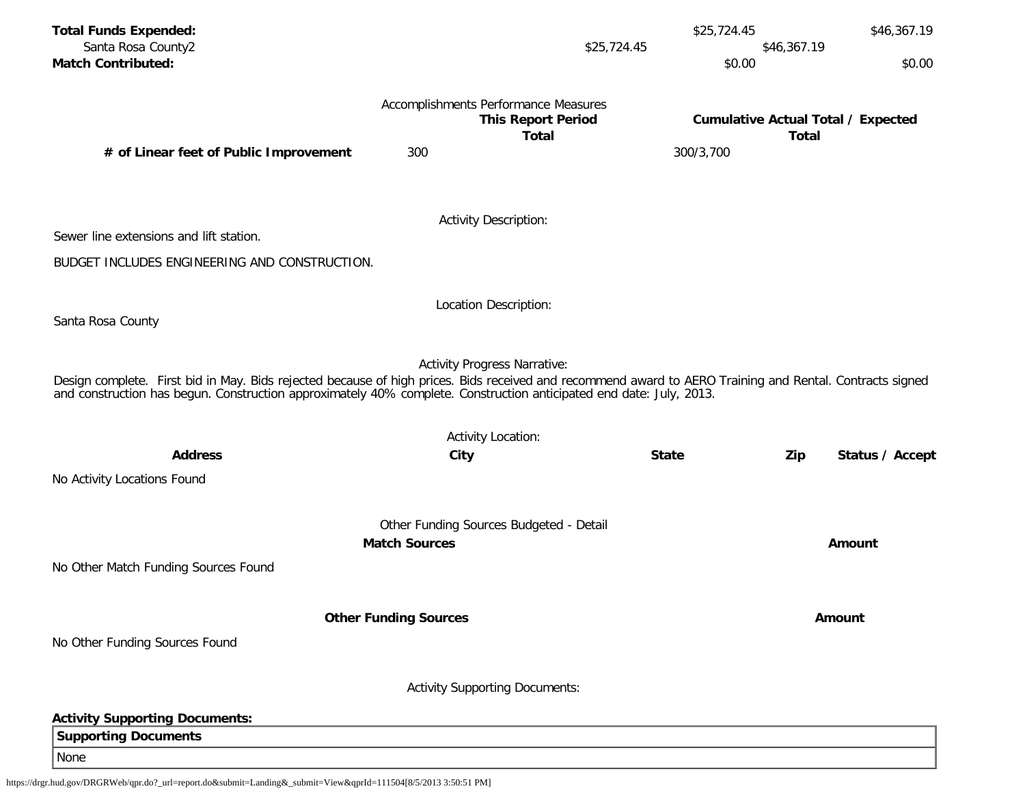| <b>Total Funds Expended:</b>                                                                                                                                                                                                                                                    |                              |                                           | \$25,724.45  | \$46,367.19                                               |
|---------------------------------------------------------------------------------------------------------------------------------------------------------------------------------------------------------------------------------------------------------------------------------|------------------------------|-------------------------------------------|--------------|-----------------------------------------------------------|
| Santa Rosa County2<br><b>Match Contributed:</b>                                                                                                                                                                                                                                 |                              | \$25,724.45                               | \$0.00       | \$46,367.19<br>\$0.00                                     |
|                                                                                                                                                                                                                                                                                 |                              |                                           |              |                                                           |
|                                                                                                                                                                                                                                                                                 |                              | Accomplishments Performance Measures      |              |                                                           |
|                                                                                                                                                                                                                                                                                 |                              | <b>This Report Period</b><br><b>Total</b> |              | <b>Cumulative Actual Total / Expected</b><br><b>Total</b> |
| # of Linear feet of Public Improvement                                                                                                                                                                                                                                          | 300                          |                                           | 300/3,700    |                                                           |
|                                                                                                                                                                                                                                                                                 |                              |                                           |              |                                                           |
|                                                                                                                                                                                                                                                                                 |                              | <b>Activity Description:</b>              |              |                                                           |
| Sewer line extensions and lift station.                                                                                                                                                                                                                                         |                              |                                           |              |                                                           |
| BUDGET INCLUDES ENGINEERING AND CONSTRUCTION.                                                                                                                                                                                                                                   |                              |                                           |              |                                                           |
|                                                                                                                                                                                                                                                                                 |                              |                                           |              |                                                           |
| Santa Rosa County                                                                                                                                                                                                                                                               |                              | Location Description:                     |              |                                                           |
|                                                                                                                                                                                                                                                                                 |                              |                                           |              |                                                           |
|                                                                                                                                                                                                                                                                                 |                              | <b>Activity Progress Narrative:</b>       |              |                                                           |
| Design complete. First bid in May. Bids rejected because of high prices. Bids received and recommend award to AERO Training and Rental. Contracts signed<br>and construction has begun. Construction approximately 40% complete. Construction anticipated end date: July, 2013. |                              |                                           |              |                                                           |
|                                                                                                                                                                                                                                                                                 |                              |                                           |              |                                                           |
|                                                                                                                                                                                                                                                                                 |                              | <b>Activity Location:</b>                 |              |                                                           |
| <b>Address</b>                                                                                                                                                                                                                                                                  | City                         |                                           | <b>State</b> | Status / Accept<br>Zip                                    |
| No Activity Locations Found                                                                                                                                                                                                                                                     |                              |                                           |              |                                                           |
|                                                                                                                                                                                                                                                                                 |                              | Other Funding Sources Budgeted - Detail   |              |                                                           |
|                                                                                                                                                                                                                                                                                 | <b>Match Sources</b>         |                                           |              | Amount                                                    |
| No Other Match Funding Sources Found                                                                                                                                                                                                                                            |                              |                                           |              |                                                           |
|                                                                                                                                                                                                                                                                                 |                              |                                           |              |                                                           |
|                                                                                                                                                                                                                                                                                 | <b>Other Funding Sources</b> |                                           |              | Amount                                                    |
| No Other Funding Sources Found                                                                                                                                                                                                                                                  |                              |                                           |              |                                                           |
|                                                                                                                                                                                                                                                                                 |                              |                                           |              |                                                           |
|                                                                                                                                                                                                                                                                                 |                              | <b>Activity Supporting Documents:</b>     |              |                                                           |
| <b>Activity Supporting Documents:</b>                                                                                                                                                                                                                                           |                              |                                           |              |                                                           |
| <b>Supporting Documents</b>                                                                                                                                                                                                                                                     |                              |                                           |              |                                                           |
| None                                                                                                                                                                                                                                                                            |                              |                                           |              |                                                           |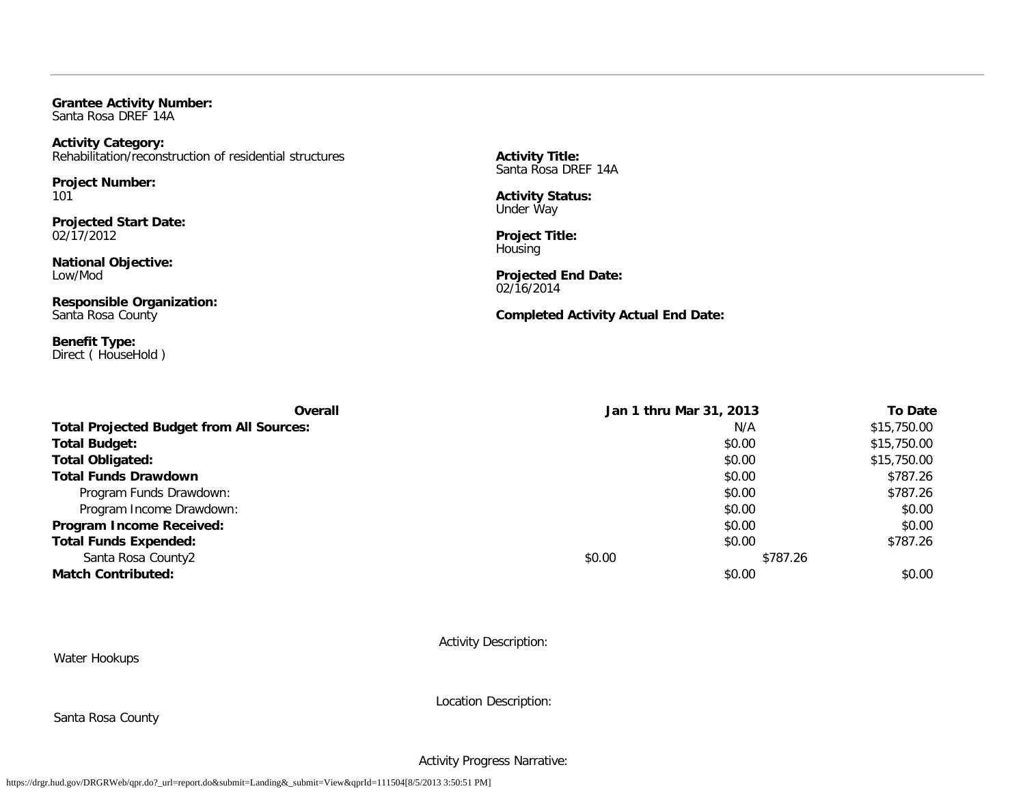**Grantee Activity Number:** Santa Rosa DREF 14A

**Activity Category:** Rehabilitation/reconstruction of residential structures

**Project Number:** 101

**Projected Start Date:** 02/17/2012

**National Objective:** Low/Mod

**Responsible Organization:** Santa Rosa County

**Benefit Type:** Direct (HouseHold) **Activity Title:** Santa Rosa DREF 14A

**Activity Status:** Under Way

**Project Title:** Housing

**Projected End Date:** 02/16/2014

**Completed Activity Actual End Date:**

| Overall                                         |        | Jan 1 thru Mar 31, 2013 | <b>To Date</b> |
|-------------------------------------------------|--------|-------------------------|----------------|
| <b>Total Projected Budget from All Sources:</b> |        | N/A                     | \$15,750.00    |
| <b>Total Budget:</b>                            |        | \$0.00                  | \$15,750.00    |
| <b>Total Obligated:</b>                         |        | \$0.00                  | \$15,750.00    |
| <b>Total Funds Drawdown</b>                     |        | \$0.00                  | \$787.26       |
| Program Funds Drawdown:                         |        | \$0.00                  | \$787.26       |
| Program Income Drawdown:                        |        | \$0.00                  | \$0.00         |
| Program Income Received:                        |        | \$0.00                  | \$0.00         |
| <b>Total Funds Expended:</b>                    |        | \$0.00                  | \$787.26       |
| Santa Rosa County2                              | \$0.00 | \$787.26                |                |
| <b>Match Contributed:</b>                       |        | \$0.00                  | \$0.00         |

Water Hookups

Activity Description:

Location Description:

Santa Rosa County

Activity Progress Narrative: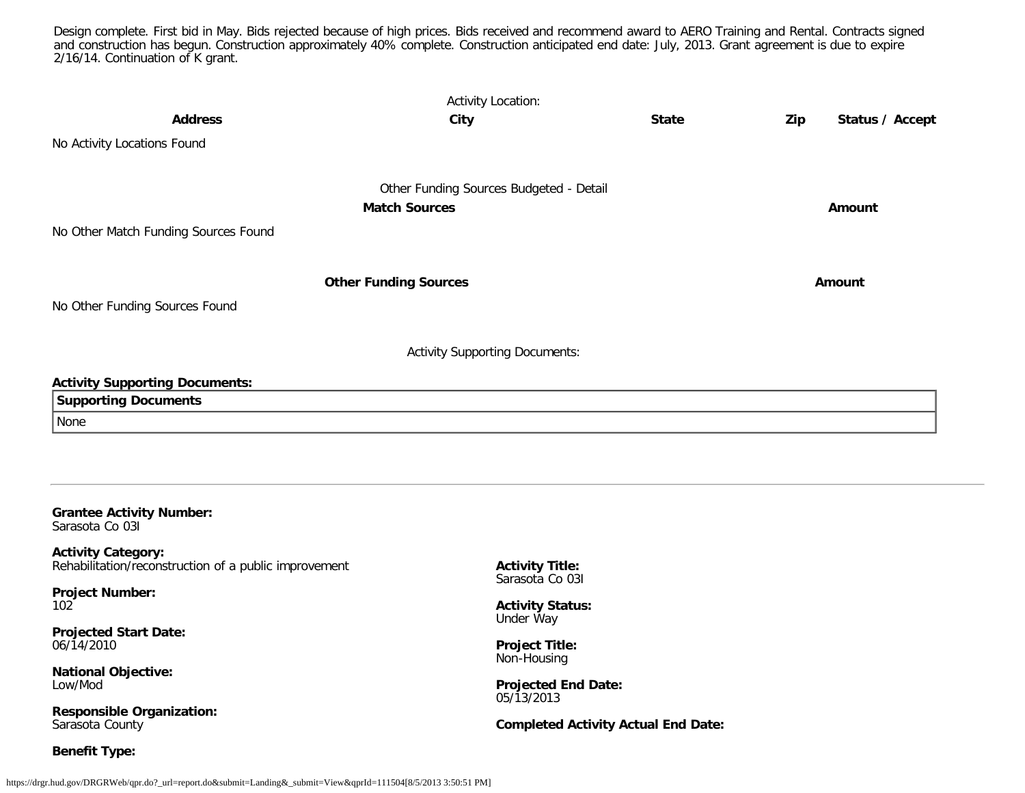Design complete. First bid in May. Bids rejected because of high prices. Bids received and recommend award to AERO Training and Rental. Contracts signed and construction has begun. Construction approximately 40% complete. Construction anticipated end date: July, 2013. Grant agreement is due to expire 2/16/14. Continuation of K grant.

| <b>Address</b>                                                                                                                                                                                            | <b>Activity Location:</b><br>City                                                             | <b>State</b> | Zip<br>Status / Accept |
|-----------------------------------------------------------------------------------------------------------------------------------------------------------------------------------------------------------|-----------------------------------------------------------------------------------------------|--------------|------------------------|
| No Activity Locations Found                                                                                                                                                                               |                                                                                               |              |                        |
| No Other Match Funding Sources Found                                                                                                                                                                      | Other Funding Sources Budgeted - Detail<br><b>Match Sources</b>                               |              | Amount                 |
|                                                                                                                                                                                                           | <b>Other Funding Sources</b>                                                                  |              | Amount                 |
| No Other Funding Sources Found                                                                                                                                                                            |                                                                                               |              |                        |
| <b>Activity Supporting Documents:</b><br><b>Supporting Documents</b><br>None                                                                                                                              | <b>Activity Supporting Documents:</b>                                                         |              |                        |
| <b>Grantee Activity Number:</b><br>Sarasota Co 031<br><b>Activity Category:</b><br>Rehabilitation/reconstruction of a public improvement<br><b>Project Number:</b><br>102<br><b>Projected Start Date:</b> | <b>Activity Title:</b><br>Sarasota Co 031<br><b>Activity Status:</b><br>Under Way<br>- - ---- |              |                        |

06/14/2010

**National Objective:** Low/Mod

**Responsible Organization:** Sarasota County

**Benefit Type:**

**Project Title:** Non-Housing

**Projected End Date:** 05/13/2013

**Completed Activity Actual End Date:**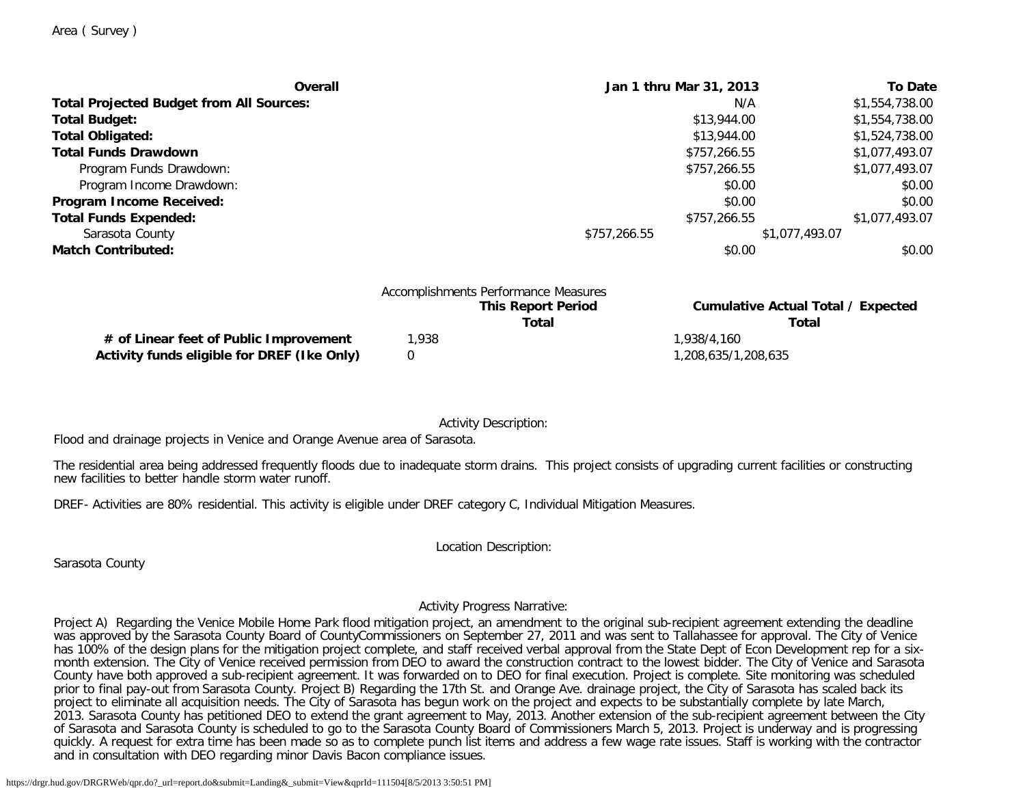| Overall                                         | Jan 1 thru Mar 31, 2013 | <b>To Date</b> |
|-------------------------------------------------|-------------------------|----------------|
| <b>Total Projected Budget from All Sources:</b> | N/A                     | \$1,554,738.00 |
| <b>Total Budget:</b>                            | \$13,944.00             | \$1,554,738.00 |
| <b>Total Obligated:</b>                         | \$13,944.00             | \$1,524,738.00 |
| <b>Total Funds Drawdown</b>                     | \$757,266.55            | \$1,077,493.07 |
| Program Funds Drawdown:                         | \$757,266.55            | \$1,077,493.07 |
| Program Income Drawdown:                        | \$0.00                  | \$0.00         |
| Program Income Received:                        | \$0.00                  | \$0.00         |
| <b>Total Funds Expended:</b>                    | \$757,266.55            | \$1,077,493.07 |
| Sarasota County                                 | \$757,266.55            | \$1,077,493.07 |
| <b>Match Contributed:</b>                       | \$0.00                  | \$0.00         |
|                                                 |                         |                |
| Accomplishments Derformance Messures            |                         |                |

|                                             | Accomplishments Performance Measures |                                           |
|---------------------------------------------|--------------------------------------|-------------------------------------------|
|                                             | <b>This Report Period</b>            | <b>Cumulative Actual Total / Expected</b> |
|                                             | Total                                | Total                                     |
| # of Linear feet of Public Improvement      | .938                                 | 1.938/4.160                               |
| Activity funds eligible for DREF (Ike Only) |                                      | 1,208,635/1,208,635                       |

Activity Description:

Flood and drainage projects in Venice and Orange Avenue area of Sarasota.

The residential area being addressed frequently floods due to inadequate storm drains. This project consists of upgrading current facilities or constructing new facilities to better handle storm water runoff.

DREF- Activities are 80% residential. This activity is eligible under DREF category C, Individual Mitigation Measures.

Location Description:

Sarasota County

Activity Progress Narrative:

Project A) Regarding the Venice Mobile Home Park flood mitigation project, an amendment to the original sub-recipient agreement extending the deadline was approved by the Sarasota County Board of CountyCommissioners on September 27, 2011 and was sent to Tallahassee for approval. The City of Venice has 100% of the design plans for the mitigation project complete, and staff received verbal approval from the State Dept of Econ Development rep for a sixmonth extension. The City of Venice received permission from DEO to award the construction contract to the lowest bidder. The City of Venice and Sarasota County have both approved a sub-recipient agreement. It was forwarded on to DEO for final execution. Project is complete. Site monitoring was scheduled prior to final pay-out from Sarasota County. Project B) Regarding the 17th St. and Orange Ave. drainage project, the City of Sarasota has scaled back its project to eliminate all acquisition needs. The City of Sarasota has begun work on the project and expects to be substantially complete by late March, 2013. Sarasota County has petitioned DEO to extend the grant agreement to May, 2013. Another extension of the sub-recipient agreement between the City of Sarasota and Sarasota County is scheduled to go to the Sarasota County Board of Commissioners March 5, 2013. Project is underway and is progressing quickly. A request for extra time has been made so as to complete punch list items and address a few wage rate issues. Staff is working with the contractor and in consultation with DEO regarding minor Davis Bacon compliance issues.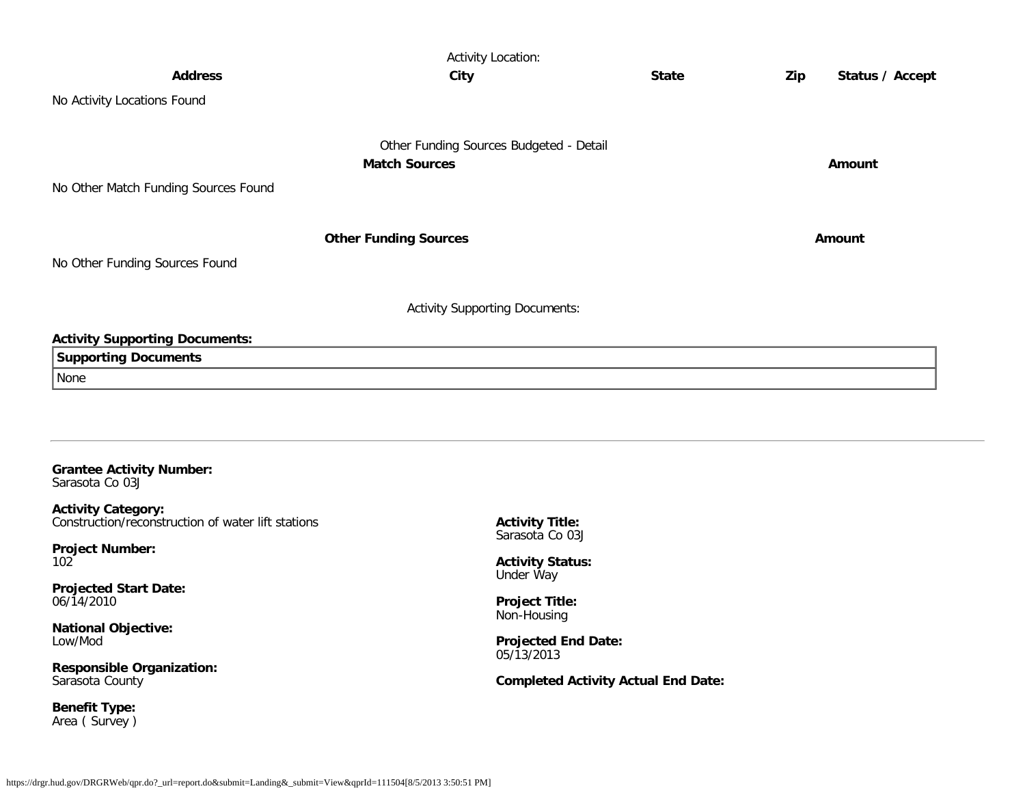|                                                    | <b>Activity Location:</b>               |              |     |                 |
|----------------------------------------------------|-----------------------------------------|--------------|-----|-----------------|
| <b>Address</b>                                     | City                                    | <b>State</b> | Zip | Status / Accept |
| No Activity Locations Found                        |                                         |              |     |                 |
|                                                    |                                         |              |     |                 |
|                                                    | Other Funding Sources Budgeted - Detail |              |     |                 |
|                                                    | <b>Match Sources</b>                    |              |     | <b>Amount</b>   |
| No Other Match Funding Sources Found               |                                         |              |     |                 |
|                                                    |                                         |              |     |                 |
|                                                    | <b>Other Funding Sources</b>            |              |     | Amount          |
| No Other Funding Sources Found                     |                                         |              |     |                 |
|                                                    |                                         |              |     |                 |
|                                                    | <b>Activity Supporting Documents:</b>   |              |     |                 |
|                                                    |                                         |              |     |                 |
| <b>Activity Supporting Documents:</b>              |                                         |              |     |                 |
| <b>Supporting Documents</b>                        |                                         |              |     |                 |
| None                                               |                                         |              |     |                 |
|                                                    |                                         |              |     |                 |
|                                                    |                                         |              |     |                 |
|                                                    |                                         |              |     |                 |
| <b>Grantee Activity Number:</b><br>Sarasota Co 03J |                                         |              |     |                 |

**Activity Category:** Construction/reconstruction of water lift stations

**Project Number:** 102

**Projected Start Date:** 06/14/2010

**National Objective:** Low/Mod

**Responsible Organization:** Sarasota County

**Benefit Type:** Area ( Survey ) **Activity Title:** Sarasota Co 03J

**Activity Status:** Under Way

**Project Title:** Non-Housing

**Projected End Date:** 05/13/2013

**Completed Activity Actual End Date:**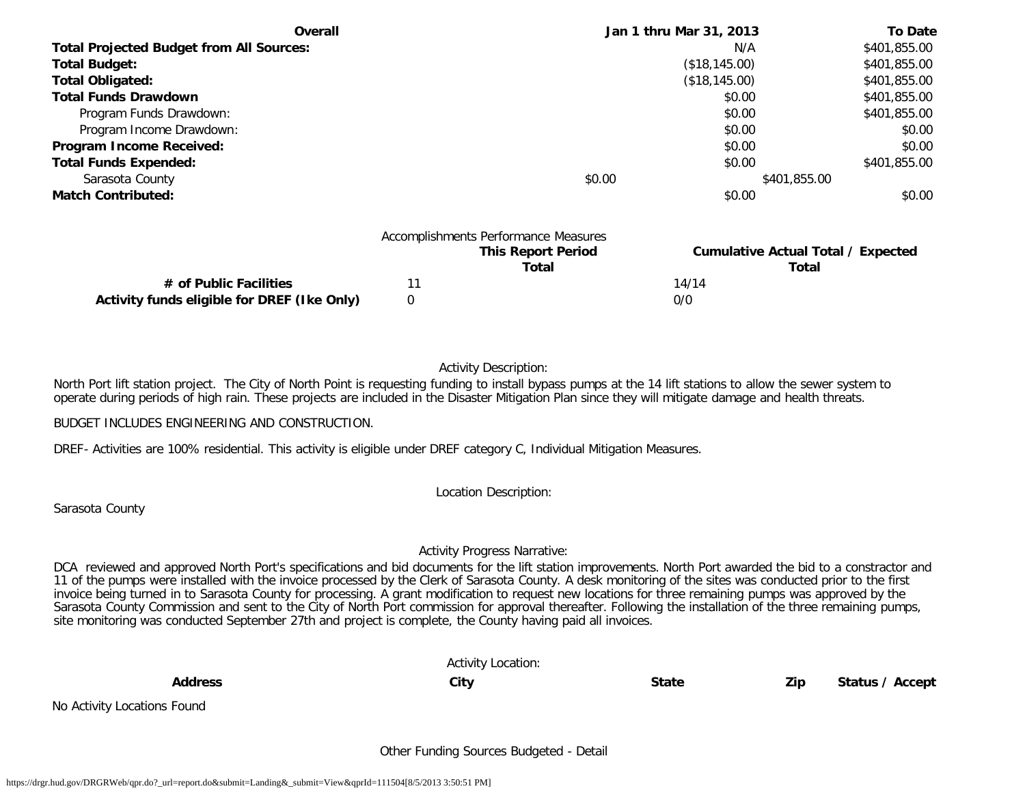| <b>Overall</b>                                  | Jan 1 thru Mar 31, 2013 | <b>To Date</b> |
|-------------------------------------------------|-------------------------|----------------|
| <b>Total Projected Budget from All Sources:</b> | N/A                     | \$401,855.00   |
| <b>Total Budget:</b>                            | (\$18,145.00)           | \$401,855.00   |
| <b>Total Obligated:</b>                         | (\$18,145.00)           | \$401,855.00   |
| <b>Total Funds Drawdown</b>                     | \$0.00                  | \$401,855.00   |
| Program Funds Drawdown:                         | \$0.00                  | \$401,855.00   |
| Program Income Drawdown:                        | \$0.00                  | \$0.00         |
| Program Income Received:                        | \$0.00                  | \$0.00         |
| <b>Total Funds Expended:</b>                    | \$0.00                  | \$401,855.00   |
| Sarasota County                                 | \$0.00                  | \$401,855.00   |
| <b>Match Contributed:</b>                       | \$0.00                  | \$0.00         |

|                                             | Accomplishments Performance Measures |       |                                    |
|---------------------------------------------|--------------------------------------|-------|------------------------------------|
|                                             | <b>This Report Period</b>            |       | Cumulative Actual Total / Expected |
|                                             | Total                                |       | Total                              |
| # of Public Facilities                      |                                      | 14/14 |                                    |
| Activity funds eligible for DREF (Ike Only) |                                      | 0/0   |                                    |

## Activity Description:

North Port lift station project. The City of North Point is requesting funding to install bypass pumps at the 14 lift stations to allow the sewer system to operate during periods of high rain. These projects are included in the Disaster Mitigation Plan since they will mitigate damage and health threats.

BUDGET INCLUDES ENGINEERING AND CONSTRUCTION.

DREF- Activities are 100% residential. This activity is eligible under DREF category C, Individual Mitigation Measures.

Location Description:

Sarasota County

#### Activity Progress Narrative:

DCA reviewed and approved North Port's specifications and bid documents for the lift station improvements. North Port awarded the bid to a constractor and 11 of the pumps were installed with the invoice processed by the Clerk of Sarasota County. A desk monitoring of the sites was conducted prior to the first invoice being turned in to Sarasota County for processing. A grant modification to request new locations for three remaining pumps was approved by the Sarasota County Commission and sent to the City of North Port commission for approval thereafter. Following the installation of the three remaining pumps, site monitoring was conducted September 27th and project is complete, the County having paid all invoices.

|                             | <b>Activity Location:</b> |              |     |                 |
|-----------------------------|---------------------------|--------------|-----|-----------------|
| <b>Address</b>              | City                      | <b>State</b> | Zip | Status / Accept |
| No Activity Locations Found |                           |              |     |                 |

Other Funding Sources Budgeted - Detail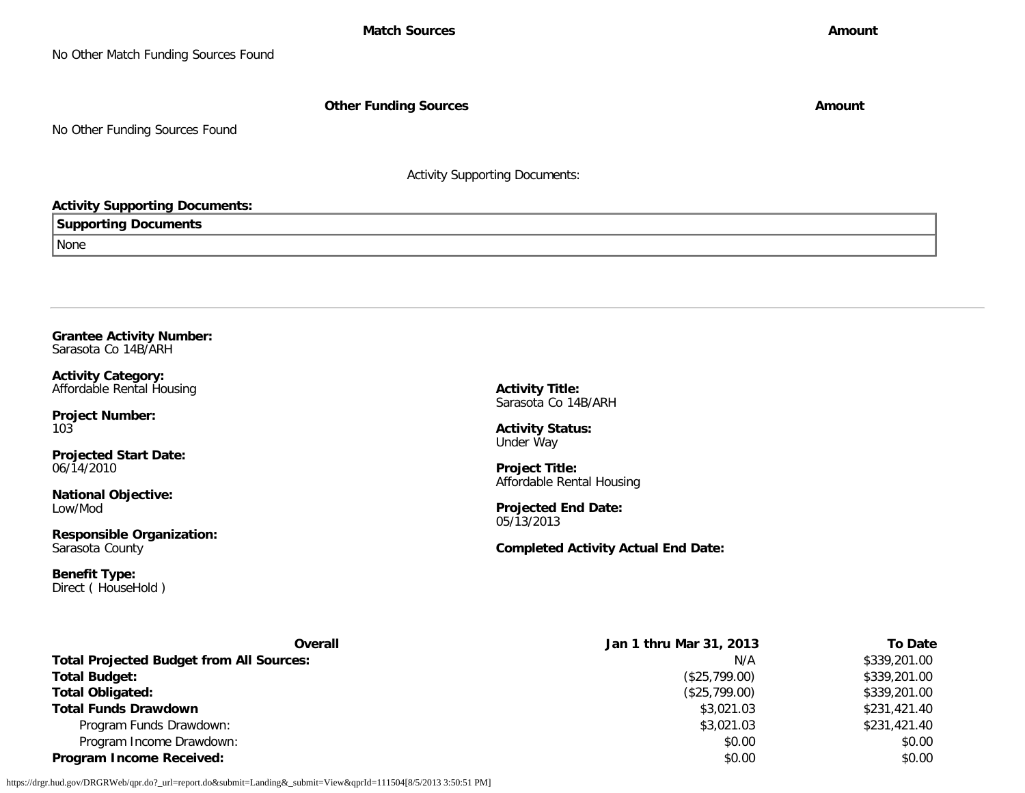**Other Funding Sources Amount Amount Amount** 

No Other Funding Sources Found

Activity Supporting Documents:

## **Activity Supporting Documents:**

**Supporting Documents**

None

**Grantee Activity Number:** Sarasota Co 14B/ARH

**Activity Category:** Affordable Rental Housing

**Project Number:** 103

**Projected Start Date:** 06/14/2010

**National Objective:** Low/Mod

**Responsible Organization:** Sarasota County

**Benefit Type:** Direct ( HouseHold ) **Activity Title:** Sarasota Co 14B/ARH

**Activity Status:** Under Way

**Project Title:** Affordable Rental Housing

**Projected End Date:** 05/13/2013

**Completed Activity Actual End Date:**

| Overall                                         | Jan 1 thru Mar 31, 2013 | <b>To Date</b> |
|-------------------------------------------------|-------------------------|----------------|
| <b>Total Projected Budget from All Sources:</b> | N/A                     | \$339,201.00   |
| <b>Total Budget:</b>                            | (\$25,799.00)           | \$339,201.00   |
| <b>Total Obligated:</b>                         | (\$25,799.00)           | \$339,201.00   |
| <b>Total Funds Drawdown</b>                     | \$3,021.03              | \$231,421.40   |
| Program Funds Drawdown:                         | \$3,021.03              | \$231,421.40   |
| Program Income Drawdown:                        | \$0.00                  | \$0.00         |
| <b>Program Income Received:</b>                 | \$0.00                  | \$0.00         |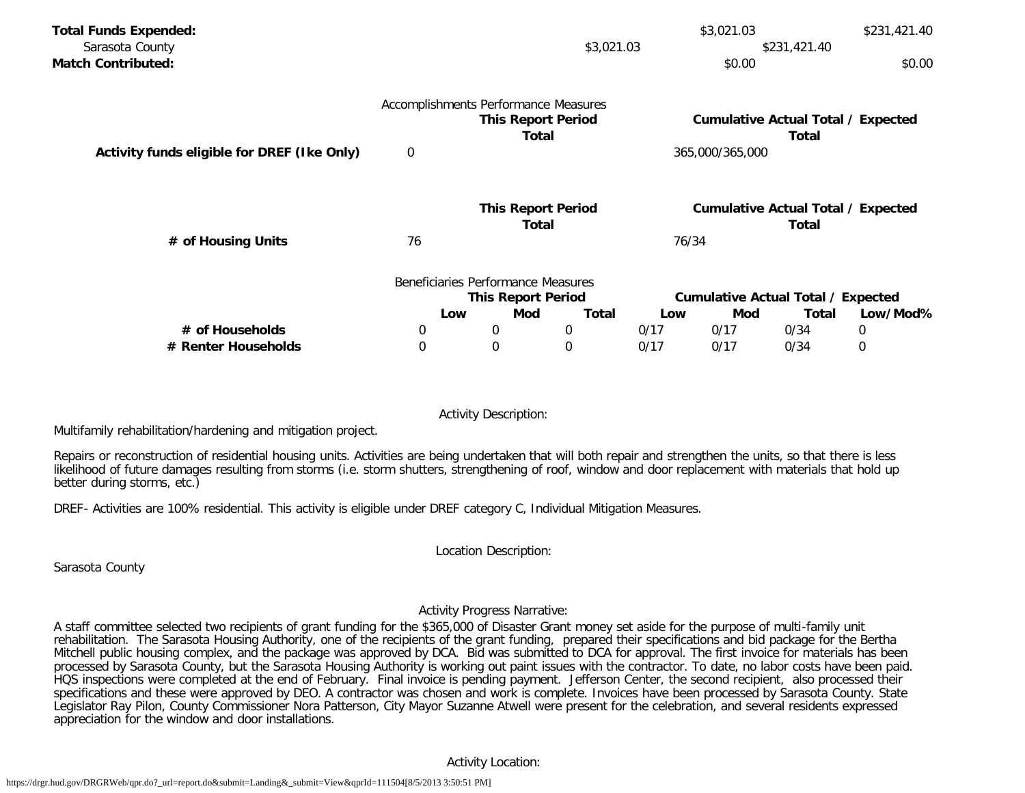| <b>Total Funds Expended:</b>                |                                      |                                    |       |       | \$3,021.03      |                                             | \$231,421.40 |
|---------------------------------------------|--------------------------------------|------------------------------------|-------|-------|-----------------|---------------------------------------------|--------------|
| Sarasota County                             |                                      | \$3,021.03<br>\$231,421.40         |       |       |                 |                                             |              |
| <b>Match Contributed:</b>                   |                                      |                                    |       |       | \$0.00          |                                             | \$0.00       |
|                                             | Accomplishments Performance Measures |                                    |       |       |                 |                                             |              |
|                                             |                                      | <b>This Report Period</b><br>Total |       |       |                 | Cumulative Actual Total / Expected<br>Total |              |
| Activity funds eligible for DREF (Ike Only) | 0                                    |                                    |       |       | 365,000/365,000 |                                             |              |
|                                             |                                      | <b>This Report Period</b>          |       |       |                 | <b>Cumulative Actual Total / Expected</b>   |              |
|                                             |                                      | Total                              |       |       |                 | Total                                       |              |
| # of Housing Units                          | 76                                   |                                    |       | 76/34 |                 |                                             |              |
|                                             |                                      | Beneficiaries Performance Measures |       |       |                 |                                             |              |
|                                             |                                      | <b>This Report Period</b>          |       |       |                 | <b>Cumulative Actual Total / Expected</b>   |              |
|                                             | Low                                  | Mod                                | Total | Low   | Mod             | Total                                       | Low/Mod%     |
| # of Households                             | 0                                    | 0                                  | 0     | 0/17  | 0/17            | 0/34                                        | $\mathbf 0$  |
| # Renter Households                         | 0                                    | $\mathbf 0$                        | 0     | 0/17  | 0/17            | 0/34                                        | 0            |

Activity Description:

Multifamily rehabilitation/hardening and mitigation project.

Repairs or reconstruction of residential housing units. Activities are being undertaken that will both repair and strengthen the units, so that there is less likelihood of future damages resulting from storms (i.e. storm shutters, strengthening of roof, window and door replacement with materials that hold up better during storms, etc.)

DREF- Activities are 100% residential. This activity is eligible under DREF category C, Individual Mitigation Measures.

Location Description:

Sarasota County

## Activity Progress Narrative:

A staff committee selected two recipients of grant funding for the \$365,000 of Disaster Grant money set aside for the purpose of multi-family unit rehabilitation. The Sarasota Housing Authority, one of the recipients of the grant funding, prepared their specifications and bid package for the Bertha Mitchell public housing complex, and the package was approved by DCA. Bid was submitted to DCA for approval. The first invoice for materials has been processed by Sarasota County, but the Sarasota Housing Authority is working out paint issues with the contractor. To date, no labor costs have been paid. HQS inspections were completed at the end of February. Final invoice is pending payment. Jefferson Center, the second recipient, also processed their specifications and these were approved by DEO. A contractor was chosen and work is complete. Invoices have been processed by Sarasota County. State Legislator Ray Pilon, County Commissioner Nora Patterson, City Mayor Suzanne Atwell were present for the celebration, and several residents expressed appreciation for the window and door installations.

## Activity Location: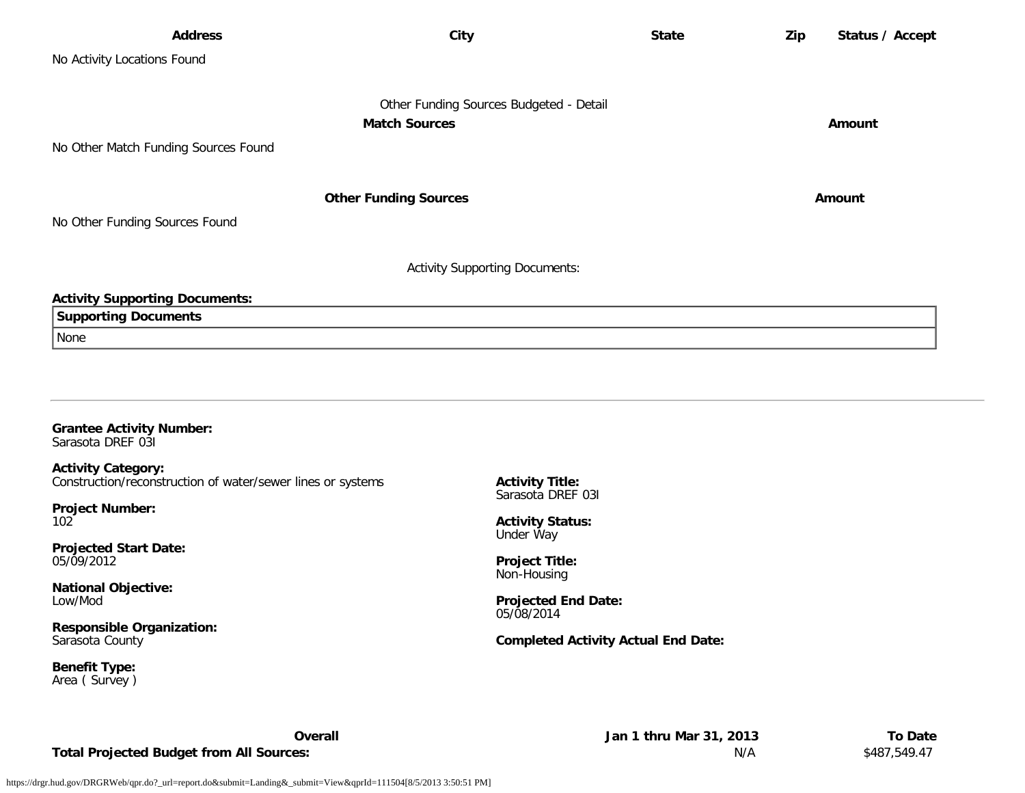| <b>Address</b>                                       | City                                                            | <b>State</b> | Zip | Status / Accept |
|------------------------------------------------------|-----------------------------------------------------------------|--------------|-----|-----------------|
| No Activity Locations Found                          |                                                                 |              |     |                 |
| No Other Match Funding Sources Found                 | Other Funding Sources Budgeted - Detail<br><b>Match Sources</b> |              |     | Amount          |
| No Other Funding Sources Found                       | <b>Other Funding Sources</b>                                    |              |     | Amount          |
|                                                      | <b>Activity Supporting Documents:</b>                           |              |     |                 |
| <b>Activity Supporting Documents:</b>                |                                                                 |              |     |                 |
| <b>Supporting Documents</b>                          |                                                                 |              |     |                 |
| None                                                 |                                                                 |              |     |                 |
|                                                      |                                                                 |              |     |                 |
| <b>Grantee Activity Number:</b><br>Sarasota DREF 031 |                                                                 |              |     |                 |

**Activity Category:** Construction/reconstruction of water/sewer lines or systems

**Project Number:** 102

**Projected Start Date:** 05/09/2012

**National Objective:** Low/Mod

**Responsible Organization:** Sarasota County

**Benefit Type:** Area ( Survey ) **Activity Title:** Sarasota DREF 03I

**Activity Status:** Under Way

**Project Title:** Non-Housing

**Projected End Date:** 05/08/2014

## **Completed Activity Actual End Date:**

Total Projected Budget from All Sources: **Now are absoluted by the Superior Section** S487,549.47

**Overall Jan 1 thru Mar 31, 2013 To Date**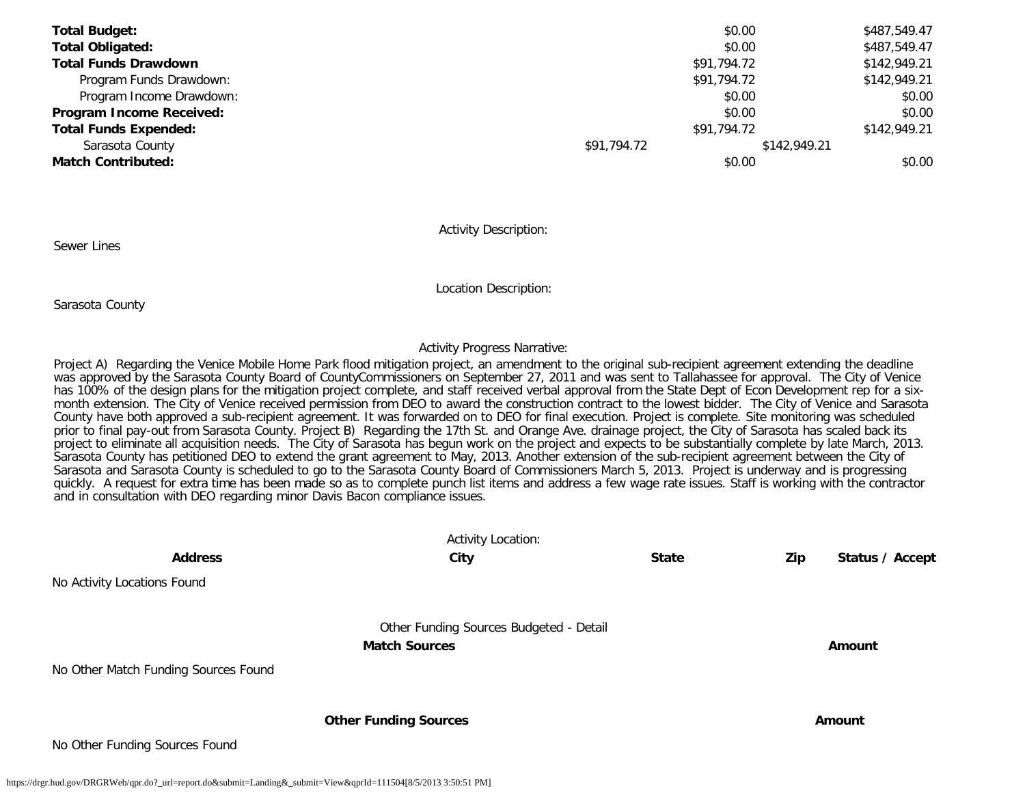| <b>Total Budget:</b>         |             | \$0.00      | \$487,549.47 |
|------------------------------|-------------|-------------|--------------|
| <b>Total Obligated:</b>      |             | \$0.00      | \$487,549.47 |
| <b>Total Funds Drawdown</b>  |             | \$91,794.72 | \$142,949.21 |
| Program Funds Drawdown:      |             | \$91,794.72 | \$142,949.21 |
| Program Income Drawdown:     |             | \$0.00      | \$0.00       |
| Program Income Received:     |             | \$0.00      | \$0.00       |
| <b>Total Funds Expended:</b> |             | \$91,794.72 | \$142,949.21 |
| Sarasota County              | \$91,794.72 |             | \$142,949.21 |
| <b>Match Contributed:</b>    |             | \$0.00      | \$0.00       |

Activity Description:

Sewer Lines

Location Description:

Sarasota County

#### Activity Progress Narrative:

Project A) Regarding the Venice Mobile Home Park flood mitigation project, an amendment to the original sub-recipient agreement extending the deadline was approved by the Sarasota County Board of CountyCommissioners on September 27, 2011 and was sent to Tallahassee for approval. The City of Venice has 100% of the design plans for the mitigation project complete, and staff received verbal approval from the State Dept of Econ Development rep for a sixmonth extension. The City of Venice received permission from DEO to award the construction contract to the lowest bidder. The City of Venice and Sarasota County have both approved a sub-recipient agreement. It was forwarded on to DEO for final execution. Project is complete. Site monitoring was scheduled prior to final pay-out from Sarasota County. Project B) Regarding the 17th St. and Orange Ave. drainage project, the City of Sarasota has scaled back its project to eliminate all acquisition needs. The City of Sarasota has begun work on the project and expects to be substantially complete by late March, 2013. Sarasota County has petitioned DEO to extend the grant agreement to May, 2013. Another extension of the sub-recipient agreement between the City of Sarasota and Sarasota County is scheduled to go to the Sarasota County Board of Commissioners March 5, 2013. Project is underway and is progressing quickly. A request for extra time has been made so as to complete punch list items and address a few wage rate issues. Staff is working with the contractor and in consultation with DEO regarding minor Davis Bacon compliance issues.

|                                      | <b>Activity Location:</b>                                       |              |                        |
|--------------------------------------|-----------------------------------------------------------------|--------------|------------------------|
| <b>Address</b>                       | City                                                            | <b>State</b> | Zip<br>Status / Accept |
| No Activity Locations Found          |                                                                 |              |                        |
|                                      | Other Funding Sources Budgeted - Detail<br><b>Match Sources</b> |              | Amount                 |
| No Other Match Funding Sources Found |                                                                 |              |                        |
|                                      | <b>Other Funding Sources</b>                                    |              | Amount                 |
| No Other Funding Sources Found       |                                                                 |              |                        |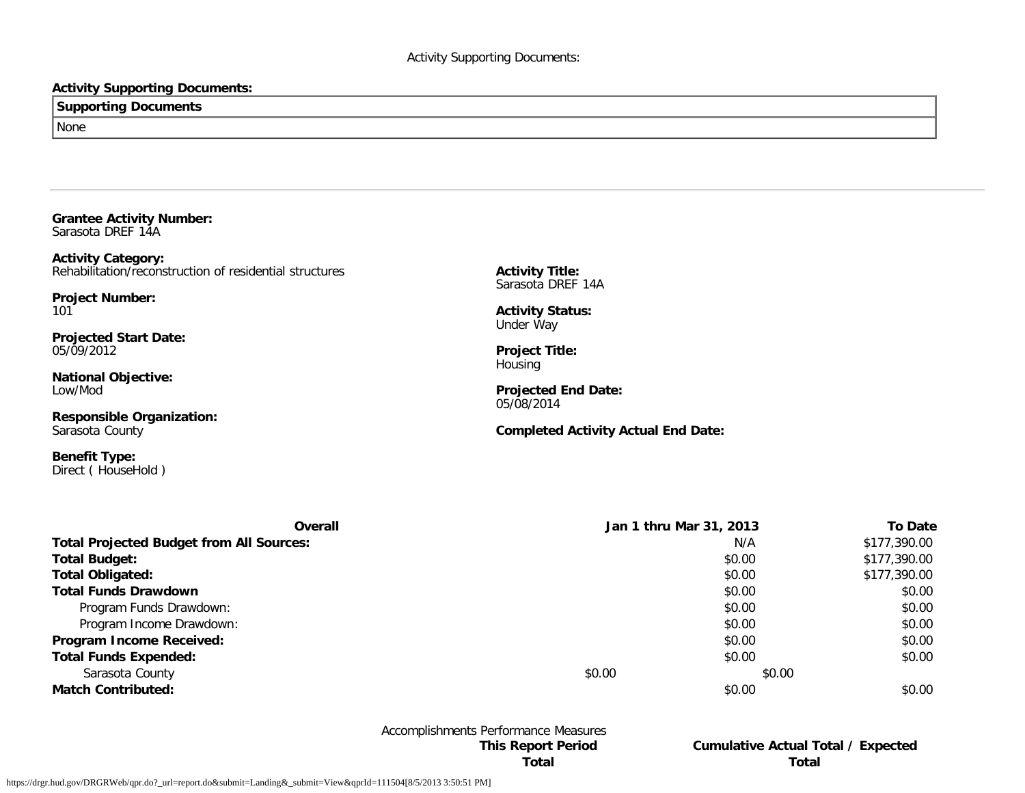## **Activity Supporting Documents:**

# **Supporting Documents** None

**Grantee Activity Number:** Sarasota DREF 14A

**Activity Category:** Rehabilitation/reconstruction of residential structures

**Project Number:** 101

**Projected Start Date:** 05/09/2012

**National Objective:** Low/Mod

**Responsible Organization:** Sarasota County

**Benefit Type:** Direct ( HouseHold ) **Activity Title:** Sarasota DREF 14A

**Activity Status:** Under Way

**Project Title:** Housing

**Projected End Date:** 05/08/2014

**Completed Activity Actual End Date:**

| Overall                                         |        | Jan 1 thru Mar 31, 2013 | <b>To Date</b> |
|-------------------------------------------------|--------|-------------------------|----------------|
| <b>Total Projected Budget from All Sources:</b> |        | N/A                     | \$177,390.00   |
| <b>Total Budget:</b>                            |        | \$0.00                  | \$177,390.00   |
| <b>Total Obligated:</b>                         |        | \$0.00                  | \$177,390.00   |
| <b>Total Funds Drawdown</b>                     |        | \$0.00                  | \$0.00         |
| Program Funds Drawdown:                         |        | \$0.00                  | \$0.00         |
| Program Income Drawdown:                        |        | \$0.00                  | \$0.00         |
| Program Income Received:                        |        | \$0.00                  | \$0.00         |
| <b>Total Funds Expended:</b>                    |        | \$0.00                  | \$0.00         |
| Sarasota County                                 | \$0.00 | \$0.00                  |                |
| <b>Match Contributed:</b>                       |        | \$0.00                  | \$0.00         |

# Accomplishments Performance Measures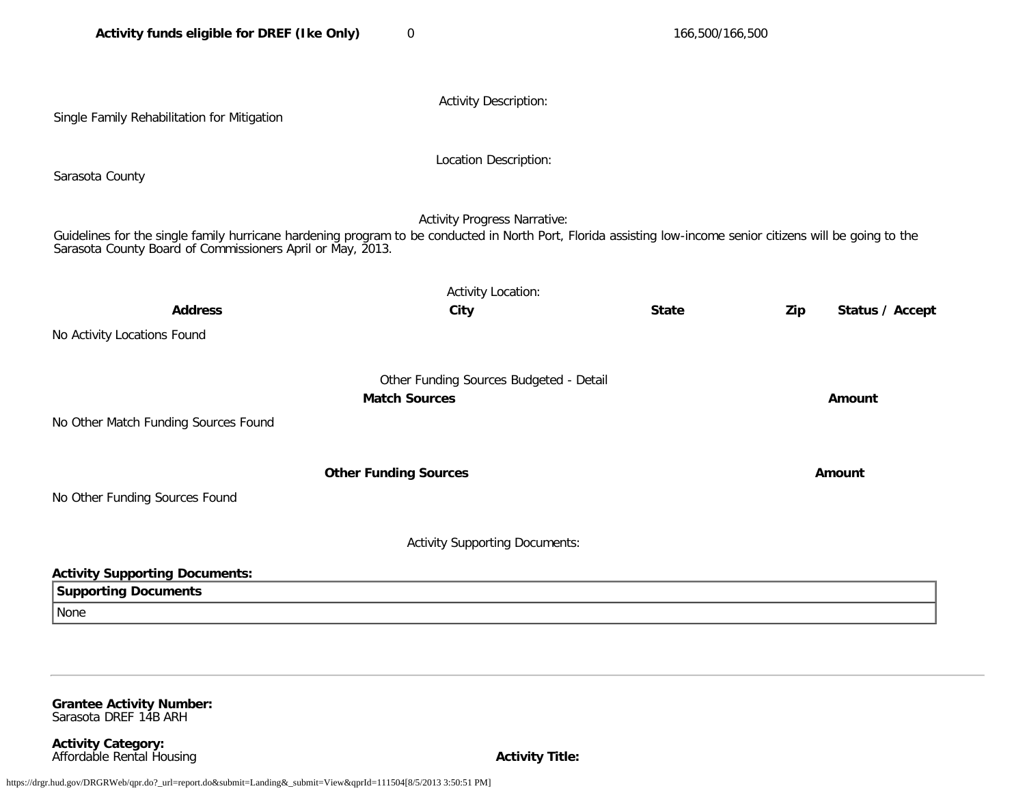| Single Family Rehabilitation for Mitigation                                                                                                                                                                                                                        | <b>Activity Description:</b>            |              |                        |  |  |
|--------------------------------------------------------------------------------------------------------------------------------------------------------------------------------------------------------------------------------------------------------------------|-----------------------------------------|--------------|------------------------|--|--|
| Sarasota County                                                                                                                                                                                                                                                    | Location Description:                   |              |                        |  |  |
| <b>Activity Progress Narrative:</b><br>Guidelines for the single family hurricane hardening program to be conducted in North Port, Florida assisting low-income senior citizens will be going to the<br>Sarasota County Board of Commissioners April or May, 2013. |                                         |              |                        |  |  |
|                                                                                                                                                                                                                                                                    | <b>Activity Location:</b>               |              |                        |  |  |
| <b>Address</b>                                                                                                                                                                                                                                                     | City                                    | <b>State</b> | Zip<br>Status / Accept |  |  |
| No Activity Locations Found                                                                                                                                                                                                                                        |                                         |              |                        |  |  |
|                                                                                                                                                                                                                                                                    | Other Funding Sources Budgeted - Detail |              |                        |  |  |
|                                                                                                                                                                                                                                                                    | <b>Match Sources</b>                    |              | Amount                 |  |  |
| No Other Match Funding Sources Found                                                                                                                                                                                                                               |                                         |              |                        |  |  |
|                                                                                                                                                                                                                                                                    | <b>Other Funding Sources</b>            |              | Amount                 |  |  |
| No Other Funding Sources Found                                                                                                                                                                                                                                     |                                         |              |                        |  |  |
|                                                                                                                                                                                                                                                                    | <b>Activity Supporting Documents:</b>   |              |                        |  |  |
| <b>Activity Supporting Documents:</b>                                                                                                                                                                                                                              |                                         |              |                        |  |  |
| <b>Supporting Documents</b>                                                                                                                                                                                                                                        |                                         |              |                        |  |  |
| None                                                                                                                                                                                                                                                               |                                         |              |                        |  |  |

**Grantee Activity Number:** Sarasota DREF 14B ARH

**Activity Category:** Affordable Rental Housing **Activity Title:** Affordable Rental Housing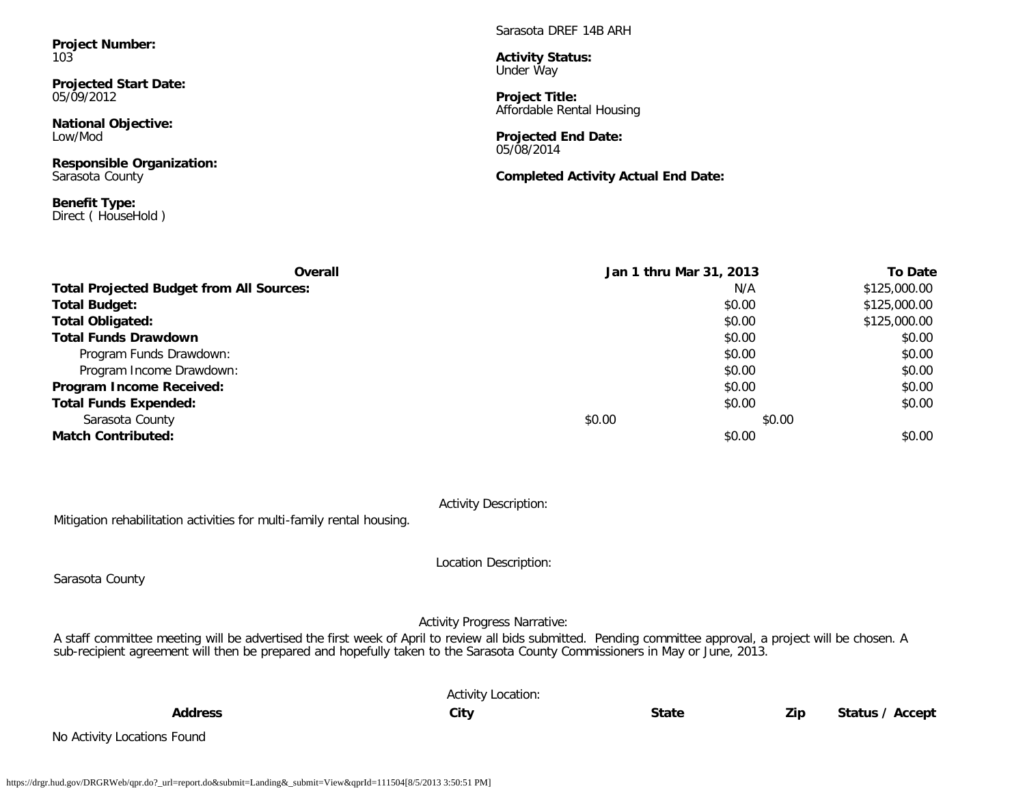**Project Number:** 103

**Projected Start Date:** 05/09/2012

**National Objective:** Low/Mod

**Responsible Organization:** Sarasota County

**Benefit Type:** Direct ( HouseHold ) Sarasota DREF 14B ARH

**Activity Status:** Under Way

**Project Title:** Affordable Rental Housing

**Projected End Date:** 05/08/2014

**Completed Activity Actual End Date:**

| Overall                                         | Jan 1 thru Mar 31, 2013 |        | <b>To Date</b> |
|-------------------------------------------------|-------------------------|--------|----------------|
| <b>Total Projected Budget from All Sources:</b> |                         | N/A    | \$125,000.00   |
| <b>Total Budget:</b>                            |                         | \$0.00 | \$125,000.00   |
| <b>Total Obligated:</b>                         |                         | \$0.00 | \$125,000.00   |
| <b>Total Funds Drawdown</b>                     |                         | \$0.00 | \$0.00         |
| Program Funds Drawdown:                         |                         | \$0.00 | \$0.00         |
| Program Income Drawdown:                        |                         | \$0.00 | \$0.00         |
| Program Income Received:                        |                         | \$0.00 | \$0.00         |
| <b>Total Funds Expended:</b>                    |                         | \$0.00 | \$0.00         |
| Sarasota County                                 | \$0.00                  | \$0.00 |                |
| <b>Match Contributed:</b>                       |                         | \$0.00 | \$0.00         |

Activity Description:

Mitigation rehabilitation activities for multi-family rental housing.

Sarasota County

Location Description:

Activity Progress Narrative:

A staff committee meeting will be advertised the first week of April to review all bids submitted. Pending committee approval, a project will be chosen. A sub-recipient agreement will then be prepared and hopefully taken to the Sarasota County Commissioners in May or June, 2013.

|                             | <b>Activity Location:</b> |       |     |                 |
|-----------------------------|---------------------------|-------|-----|-----------------|
| <b>Address</b>              | City                      | State | Zip | Status / Accept |
| No Activity Locations Found |                           |       |     |                 |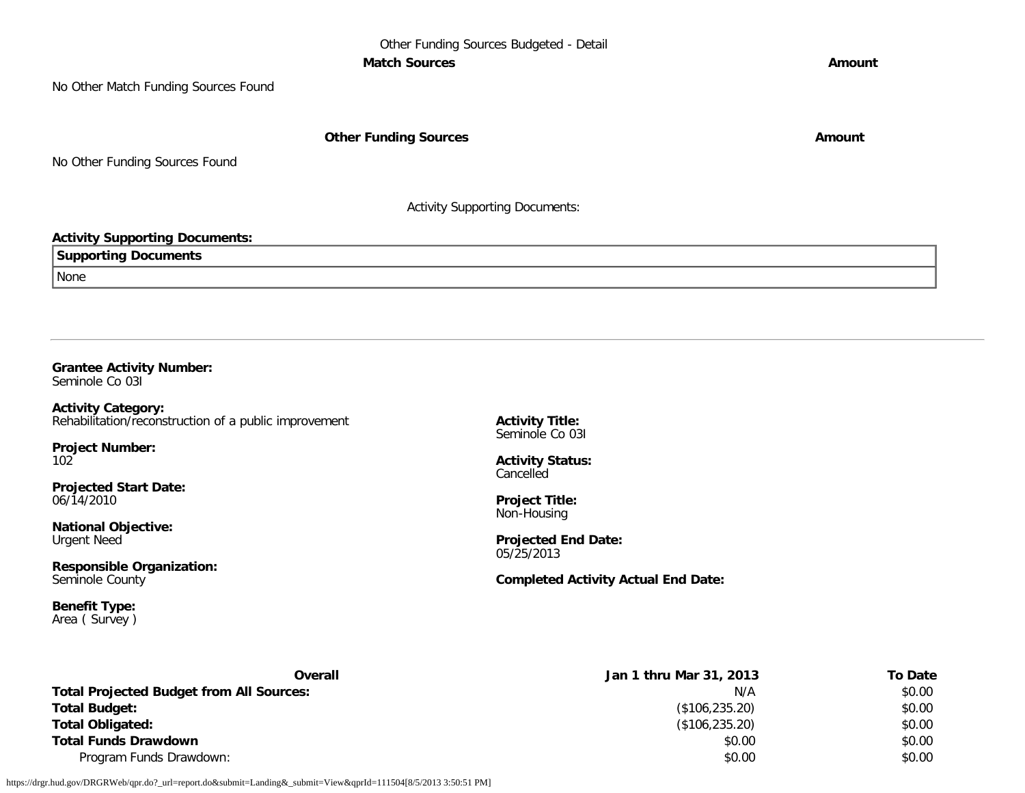No Other Match Funding Sources Found

**Other Funding Sources Amount Amount Amount** 

No Other Funding Sources Found

Activity Supporting Documents:

#### **Activity Supporting Documents:**

**Supporting Documents**

None

**Grantee Activity Number:** Seminole Co 03I

**Activity Category:** Rehabilitation/reconstruction of a public improvement

**Project Number:** 102

**Projected Start Date:** 06/14/2010

**National Objective:** Urgent Need

**Responsible Organization:** Seminole County

**Benefit Type:** Area ( Survey ) **Activity Title:** Seminole Co 03I

**Activity Status: Cancelled** 

**Project Title:** Non-Housing

**Projected End Date:** 05/25/2013

**Completed Activity Actual End Date:**

| Overall                                         | Jan 1 thru Mar 31, 2013 | To Date |
|-------------------------------------------------|-------------------------|---------|
| <b>Total Projected Budget from All Sources:</b> | N/A                     | \$0.00  |
| <b>Total Budget:</b>                            | (\$106, 235.20)         | \$0.00  |
| <b>Total Obligated:</b>                         | (\$106, 235.20)         | \$0.00  |
| <b>Total Funds Drawdown</b>                     | \$0.00                  | \$0.00  |
| Program Funds Drawdown:                         | \$0.00                  | \$0.00  |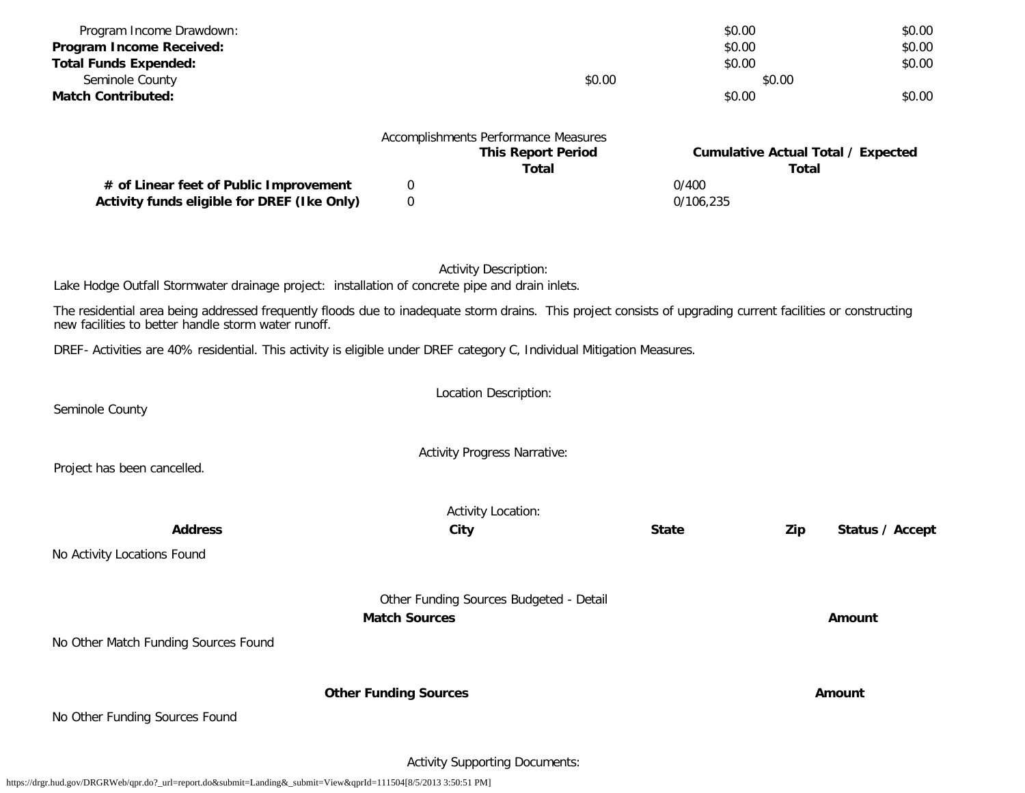| Program Income Drawdown:                                                                                                                                                                                            |                              |                                         | \$0.00       |              | \$0.00                                    |
|---------------------------------------------------------------------------------------------------------------------------------------------------------------------------------------------------------------------|------------------------------|-----------------------------------------|--------------|--------------|-------------------------------------------|
| Program Income Received:                                                                                                                                                                                            |                              |                                         | \$0.00       |              | \$0.00                                    |
| <b>Total Funds Expended:</b>                                                                                                                                                                                        |                              |                                         | \$0.00       |              | \$0.00                                    |
| Seminole County                                                                                                                                                                                                     |                              | \$0.00                                  |              | \$0.00       |                                           |
| <b>Match Contributed:</b>                                                                                                                                                                                           |                              |                                         | \$0.00       |              | \$0.00                                    |
|                                                                                                                                                                                                                     |                              |                                         |              |              |                                           |
|                                                                                                                                                                                                                     |                              | Accomplishments Performance Measures    |              |              |                                           |
|                                                                                                                                                                                                                     |                              | <b>This Report Period</b>               |              |              | <b>Cumulative Actual Total / Expected</b> |
| # of Linear feet of Public Improvement                                                                                                                                                                              | 0                            | <b>Total</b>                            | 0/400        | <b>Total</b> |                                           |
| Activity funds eligible for DREF (Ike Only)                                                                                                                                                                         | $\mathbf 0$                  |                                         | 0/106,235    |              |                                           |
|                                                                                                                                                                                                                     |                              |                                         |              |              |                                           |
|                                                                                                                                                                                                                     |                              |                                         |              |              |                                           |
|                                                                                                                                                                                                                     |                              |                                         |              |              |                                           |
|                                                                                                                                                                                                                     |                              | <b>Activity Description:</b>            |              |              |                                           |
| Lake Hodge Outfall Stormwater drainage project: installation of concrete pipe and drain inlets.                                                                                                                     |                              |                                         |              |              |                                           |
| The residential area being addressed frequently floods due to inadequate storm drains. This project consists of upgrading current facilities or constructing<br>new facilities to better handle storm water runoff. |                              |                                         |              |              |                                           |
| DREF- Activities are 40% residential. This activity is eligible under DREF category C, Individual Mitigation Measures.                                                                                              |                              |                                         |              |              |                                           |
|                                                                                                                                                                                                                     |                              |                                         |              |              |                                           |
|                                                                                                                                                                                                                     |                              | Location Description:                   |              |              |                                           |
| Seminole County                                                                                                                                                                                                     |                              |                                         |              |              |                                           |
|                                                                                                                                                                                                                     |                              |                                         |              |              |                                           |
|                                                                                                                                                                                                                     |                              | <b>Activity Progress Narrative:</b>     |              |              |                                           |
| Project has been cancelled.                                                                                                                                                                                         |                              |                                         |              |              |                                           |
|                                                                                                                                                                                                                     |                              |                                         |              |              |                                           |
|                                                                                                                                                                                                                     |                              | <b>Activity Location:</b>               |              |              |                                           |
| <b>Address</b>                                                                                                                                                                                                      |                              | City                                    | <b>State</b> | Zip          | Status / Accept                           |
| No Activity Locations Found                                                                                                                                                                                         |                              |                                         |              |              |                                           |
|                                                                                                                                                                                                                     |                              |                                         |              |              |                                           |
|                                                                                                                                                                                                                     |                              | Other Funding Sources Budgeted - Detail |              |              |                                           |
|                                                                                                                                                                                                                     | <b>Match Sources</b>         |                                         |              |              | <b>Amount</b>                             |
|                                                                                                                                                                                                                     |                              |                                         |              |              |                                           |
| No Other Match Funding Sources Found                                                                                                                                                                                |                              |                                         |              |              |                                           |
|                                                                                                                                                                                                                     |                              |                                         |              |              |                                           |
|                                                                                                                                                                                                                     | <b>Other Funding Sources</b> |                                         |              |              | Amount                                    |
| No Other Funding Sources Found                                                                                                                                                                                      |                              |                                         |              |              |                                           |
|                                                                                                                                                                                                                     |                              |                                         |              |              |                                           |
|                                                                                                                                                                                                                     |                              |                                         |              |              |                                           |

Activity Supporting Documents: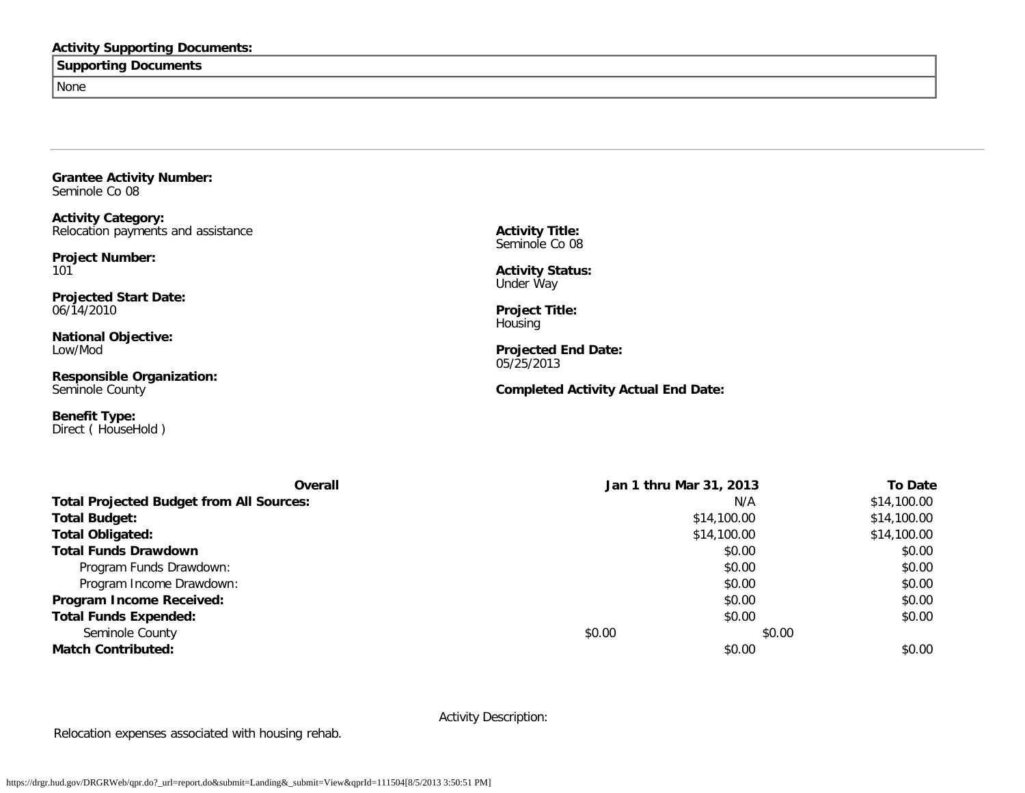## **Activity Supporting Documents:**

## **Supporting Documents**

None

**Grantee Activity Number:** Seminole Co 08

**Activity Category:** Relocation payments and assistance

**Project Number:** 101

**Projected Start Date:** 06/14/2010

**National Objective:** Low/Mod

**Responsible Organization:** Seminole County

**Benefit Type:** Direct ( HouseHold ) **Activity Title:** Seminole Co 08

**Activity Status:** Under Way

**Project Title: Housing** 

**Projected End Date:** 05/25/2013

**Completed Activity Actual End Date:**

| Overall                                         | Jan 1 thru Mar 31, 2013 | <b>To Date</b> |
|-------------------------------------------------|-------------------------|----------------|
| <b>Total Projected Budget from All Sources:</b> | N/A                     | \$14,100.00    |
| <b>Total Budget:</b>                            | \$14,100.00             | \$14,100.00    |
| Total Obligated:                                | \$14,100.00             | \$14,100.00    |
| <b>Total Funds Drawdown</b>                     | \$0.00                  | \$0.00         |
| Program Funds Drawdown:                         | \$0.00                  | \$0.00         |
| Program Income Drawdown:                        | \$0.00                  | \$0.00         |
| Program Income Received:                        | \$0.00                  | \$0.00         |
| <b>Total Funds Expended:</b>                    | \$0.00                  | \$0.00         |
| Seminole County                                 | \$0.00<br>\$0.00        |                |
| <b>Match Contributed:</b>                       | \$0.00                  | \$0.00         |

Activity Description:

Relocation expenses associated with housing rehab.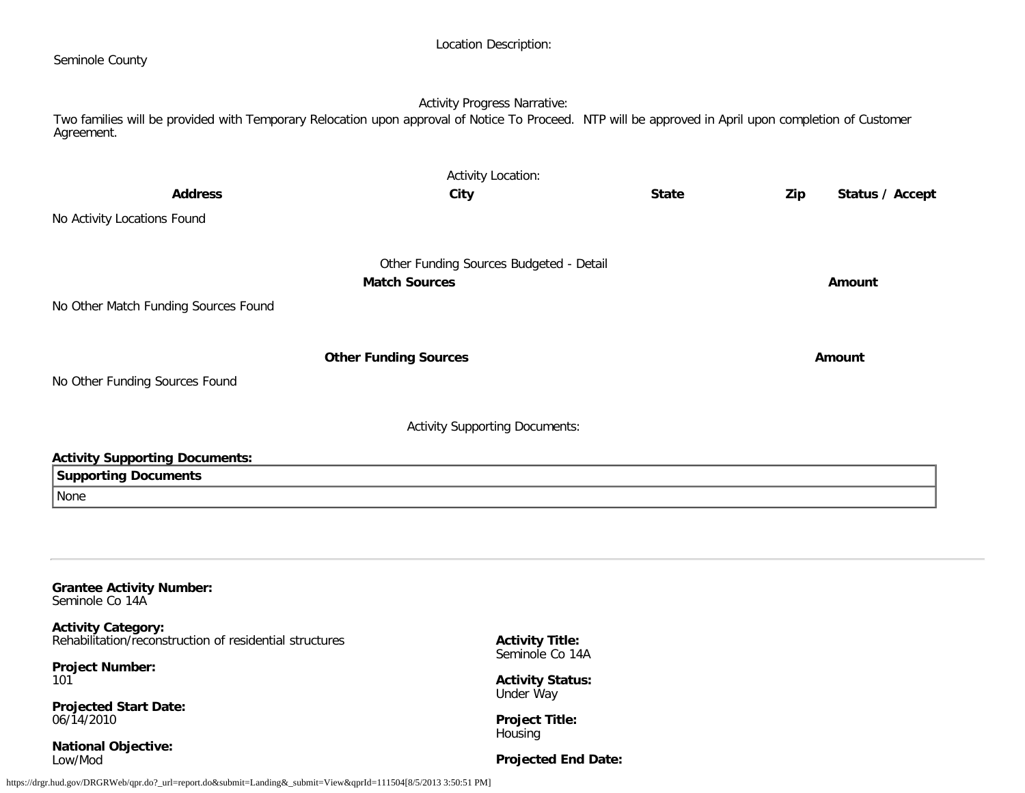| Seminole County                                                                                                                                                     | Location Description:                                           |              |                        |
|---------------------------------------------------------------------------------------------------------------------------------------------------------------------|-----------------------------------------------------------------|--------------|------------------------|
| Two families will be provided with Temporary Relocation upon approval of Notice To Proceed. NTP will be approved in April upon completion of Customer<br>Agreement. | <b>Activity Progress Narrative:</b>                             |              |                        |
|                                                                                                                                                                     | <b>Activity Location:</b>                                       |              |                        |
| <b>Address</b>                                                                                                                                                      | City                                                            | <b>State</b> | Status / Accept<br>Zip |
| No Activity Locations Found                                                                                                                                         |                                                                 |              |                        |
|                                                                                                                                                                     |                                                                 |              |                        |
|                                                                                                                                                                     | Other Funding Sources Budgeted - Detail<br><b>Match Sources</b> |              | Amount                 |
| No Other Match Funding Sources Found                                                                                                                                |                                                                 |              |                        |
|                                                                                                                                                                     | <b>Other Funding Sources</b>                                    |              | Amount                 |
| No Other Funding Sources Found                                                                                                                                      |                                                                 |              |                        |
|                                                                                                                                                                     | <b>Activity Supporting Documents:</b>                           |              |                        |
| <b>Activity Supporting Documents:</b>                                                                                                                               |                                                                 |              |                        |
| <b>Supporting Documents</b>                                                                                                                                         |                                                                 |              |                        |
| None                                                                                                                                                                |                                                                 |              |                        |
|                                                                                                                                                                     |                                                                 |              |                        |

**Grantee Activity Number:** Seminole Co 14A

**Activity Category:** Rehabilitation/reconstruction of residential structures

**Project Number:** 101

**Projected Start Date:** 06/14/2010

**National Objective:** Low/Mod

**Activity Title:** Seminole Co 14A

**Activity Status:** Under Way

**Project Title:** Housing

**Projected End Date:**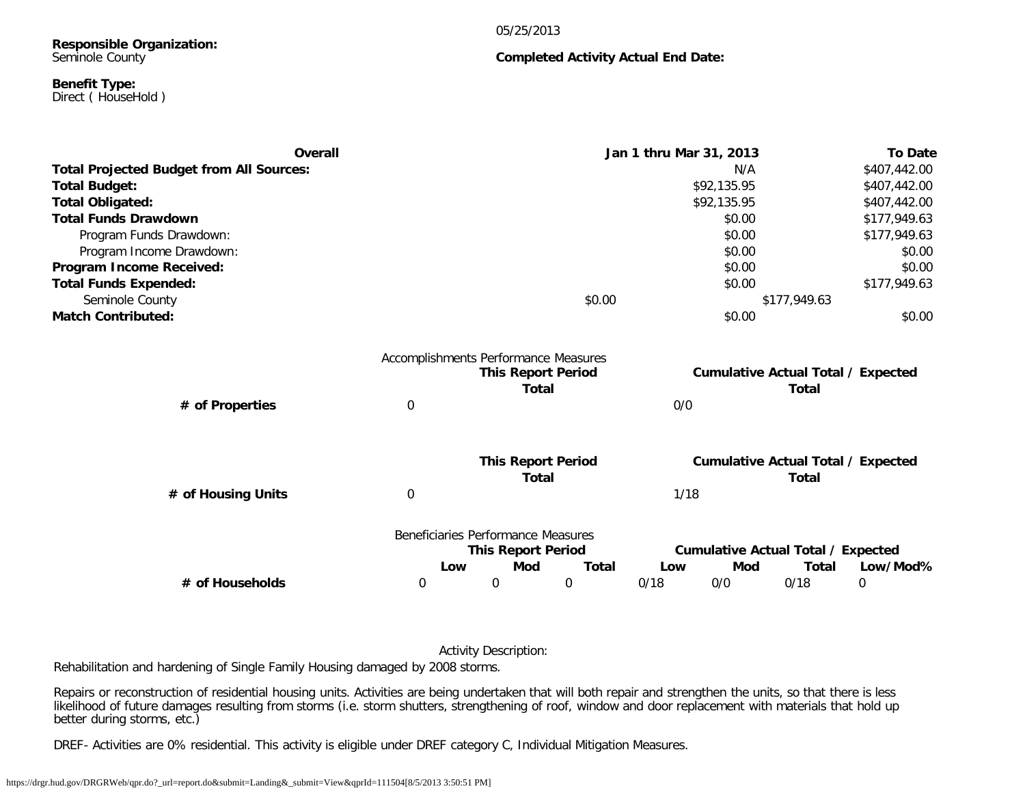#### 05/25/2013

**Completed Activity Actual End Date:**

#### **Responsible Organization:** Seminole County

#### **Benefit Type:** Direct ( HouseHold )

| Overall                                         |   |                                                                                   |              | Jan 1 thru Mar 31, 2013 |             |                                                           | <b>To Date</b> |
|-------------------------------------------------|---|-----------------------------------------------------------------------------------|--------------|-------------------------|-------------|-----------------------------------------------------------|----------------|
| <b>Total Projected Budget from All Sources:</b> |   |                                                                                   |              |                         | N/A         |                                                           | \$407,442.00   |
| <b>Total Budget:</b>                            |   |                                                                                   |              |                         | \$92,135.95 |                                                           | \$407,442.00   |
| <b>Total Obligated:</b>                         |   |                                                                                   |              |                         | \$92,135.95 |                                                           | \$407,442.00   |
| <b>Total Funds Drawdown</b>                     |   |                                                                                   |              |                         | \$0.00      |                                                           | \$177,949.63   |
| Program Funds Drawdown:                         |   |                                                                                   |              |                         | \$0.00      |                                                           | \$177,949.63   |
| Program Income Drawdown:                        |   |                                                                                   |              |                         | \$0.00      |                                                           | \$0.00         |
| Program Income Received:                        |   |                                                                                   |              |                         | \$0.00      |                                                           | \$0.00         |
| <b>Total Funds Expended:</b>                    |   |                                                                                   |              |                         | \$0.00      |                                                           | \$177,949.63   |
| Seminole County                                 |   |                                                                                   | \$0.00       |                         |             | \$177,949.63                                              |                |
| <b>Match Contributed:</b>                       |   |                                                                                   |              |                         | \$0.00      |                                                           | \$0.00         |
|                                                 |   | Accomplishments Performance Measures<br><b>This Report Period</b><br><b>Total</b> |              |                         |             | <b>Cumulative Actual Total / Expected</b><br><b>Total</b> |                |
| # of Properties                                 | 0 |                                                                                   |              | 0/0                     |             |                                                           |                |
|                                                 |   | <b>This Report Period</b>                                                         |              |                         |             | <b>Cumulative Actual Total / Expected</b>                 |                |
| # of Housing Units                              | 0 | <b>Total</b>                                                                      |              | 1/18                    |             | Total                                                     |                |
|                                                 |   | Beneficiaries Performance Measures                                                |              |                         |             |                                                           |                |
|                                                 |   | <b>This Report Period</b><br>Mod<br>Low                                           | <b>Total</b> | Low                     | Mod         | <b>Cumulative Actual Total / Expected</b><br><b>Total</b> | Low/Mod%       |
| # of Households                                 | 0 | $\boldsymbol{0}$                                                                  | 0            | 0/18                    | 0/0         | 0/18                                                      | $\mathbf 0$    |
|                                                 |   |                                                                                   |              |                         |             |                                                           |                |

Activity Description:

Rehabilitation and hardening of Single Family Housing damaged by 2008 storms.

Repairs or reconstruction of residential housing units. Activities are being undertaken that will both repair and strengthen the units, so that there is less likelihood of future damages resulting from storms (i.e. storm shutters, strengthening of roof, window and door replacement with materials that hold up better during storms, etc.)

DREF- Activities are 0% residential. This activity is eligible under DREF category C, Individual Mitigation Measures.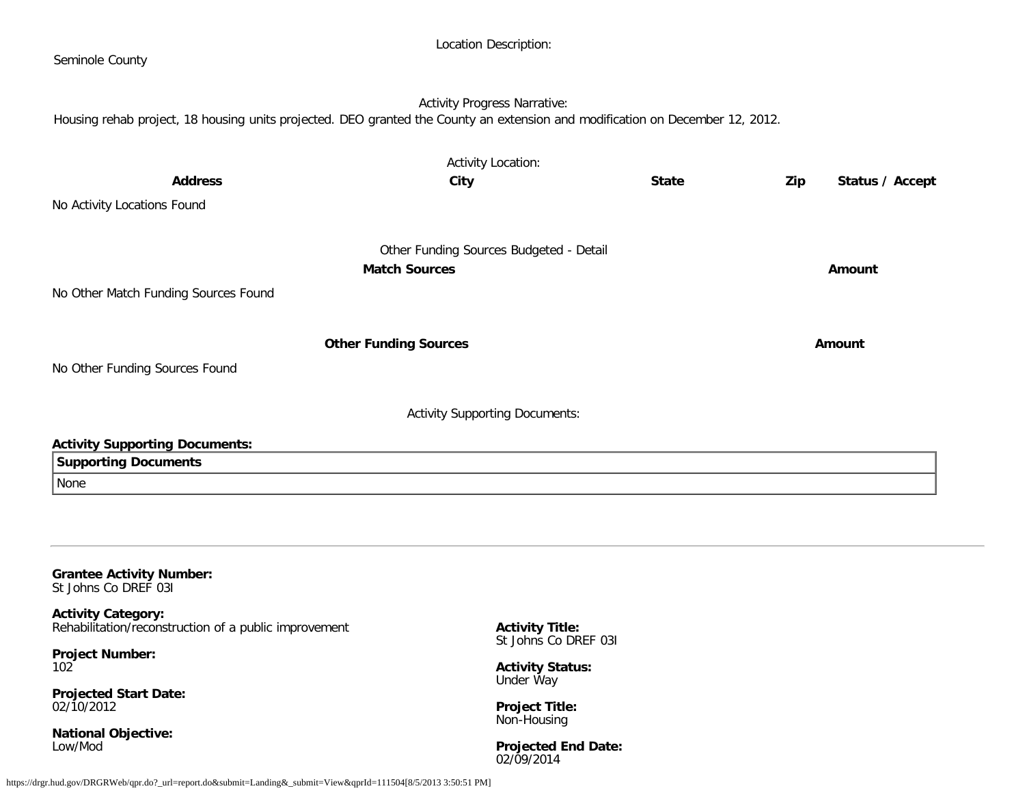| Seminole County                                                                                                               |                                         |              |                        |
|-------------------------------------------------------------------------------------------------------------------------------|-----------------------------------------|--------------|------------------------|
| Housing rehab project, 18 housing units projected. DEO granted the County an extension and modification on December 12, 2012. | <b>Activity Progress Narrative:</b>     |              |                        |
| <b>Address</b>                                                                                                                | <b>Activity Location:</b>               | <b>State</b> |                        |
| No Activity Locations Found                                                                                                   | City                                    |              | Zip<br>Status / Accept |
|                                                                                                                               | Other Funding Sources Budgeted - Detail |              |                        |
| No Other Match Funding Sources Found                                                                                          | <b>Match Sources</b>                    |              | Amount                 |
|                                                                                                                               | <b>Other Funding Sources</b>            |              | Amount                 |
| No Other Funding Sources Found                                                                                                |                                         |              |                        |
|                                                                                                                               | <b>Activity Supporting Documents:</b>   |              |                        |
| <b>Activity Supporting Documents:</b><br><b>Supporting Documents</b>                                                          |                                         |              |                        |
| None                                                                                                                          |                                         |              |                        |
|                                                                                                                               |                                         |              |                        |
| <b>Grantee Activity Number:</b><br>St Johns Co DREF 031                                                                       |                                         |              |                        |
| <b>Activity Category:</b>                                                                                                     |                                         |              |                        |

Location Description:

Rehabilitation/reconstruction of a public improvement

**Project Number:** 102

**Projected Start Date:** 02/10/2012

**National Objective:** Low/Mod

**Activity Title:** St Johns Co DREF 03I

**Activity Status:** Under Way

**Project Title:** Non-Housing

**Projected End Date:** 02/09/2014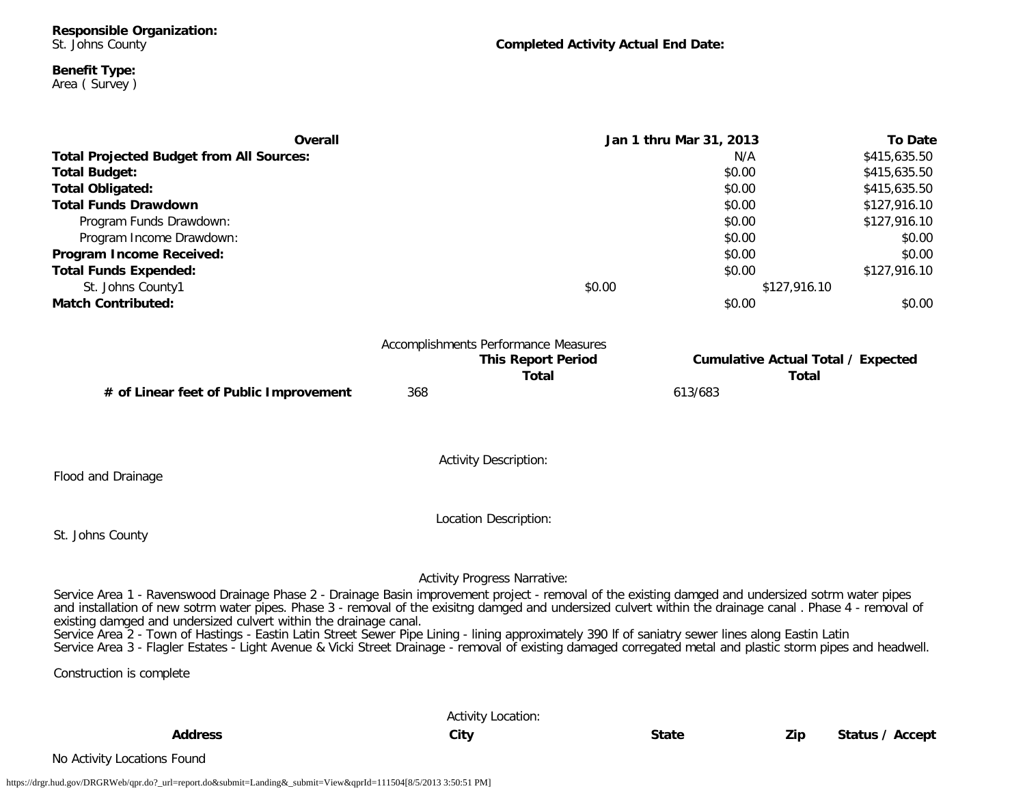**Responsible Organization:** St. Johns County

**Completed Activity Actual End Date:**

**Total Total**

#### **Benefit Type:** Area ( Survey )

**Overall Jan 1 thru Mar 31, 2013 To Date Total Projected Budget from All Sources:** N/A \$415,635.50 **Total Budget:** \$0.00 \$415,635.50 **Total Obligated:**  $$415,635.50$ **Total Funds Drawdown** \$0.00 \$127,916.10 Program Funds Drawdown: \$127,916.10 Program Income Drawdown: \$0.00 \$0.00 \$0.00 \$0.00 \$0.00 \$0.00 \$0.00 \$0.00 \$0.00 \$1.00 \$1.00 \$1.00 \$1.00 \$1.00 \$1.00 \$1.00 \$1.00 \$1.00 \$1.00 \$1.00 \$1.00 \$1.00 \$1.00 \$1.00 \$1.00 \$1.00 \$1.00 \$1.00 \$1.00 \$1.00 \$1.00 \$1.00 \$1.00 **Program Income Received:**  $$0.00$   $$0.00$ **Total Funds Expended:** \$127,916.10 St. Johns County1  $$0.00$   $$127,916.10$ **Match Contributed:**  $$0.00$   $$0.00$ Accomplishments Performance Measures **This Report Period Cumulative Actual Total / Expected**

**# of Linear feet of Public Improvement** 368 613/683

Flood and Drainage

Location Description:

Activity Description:

St. Johns County

Activity Progress Narrative:

Service Area 1 - Ravenswood Drainage Phase 2 - Drainage Basin improvement project - removal of the existing damged and undersized sotrm water pipes and installation of new sotrm water pipes. Phase 3 - removal of the exisitng damged and undersized culvert within the drainage canal . Phase 4 - removal of existing damged and undersized culvert within the drainage canal.

Service Area 2 - Town of Hastings - Eastin Latin Street Sewer Pipe Lining - lining approximately 390 lf of saniatry sewer lines along Eastin Latin Service Area 3 - Flagler Estates - Light Avenue & Vicki Street Drainage - removal of existing damaged corregated metal and plastic storm pipes and headwell.

Construction is complete

|                             | <b>Activity Location:</b> |              |     |                 |
|-----------------------------|---------------------------|--------------|-----|-----------------|
| <b>Address</b>              | City                      | <b>State</b> | Zip | Status / Accept |
| No Activity Locations Found |                           |              |     |                 |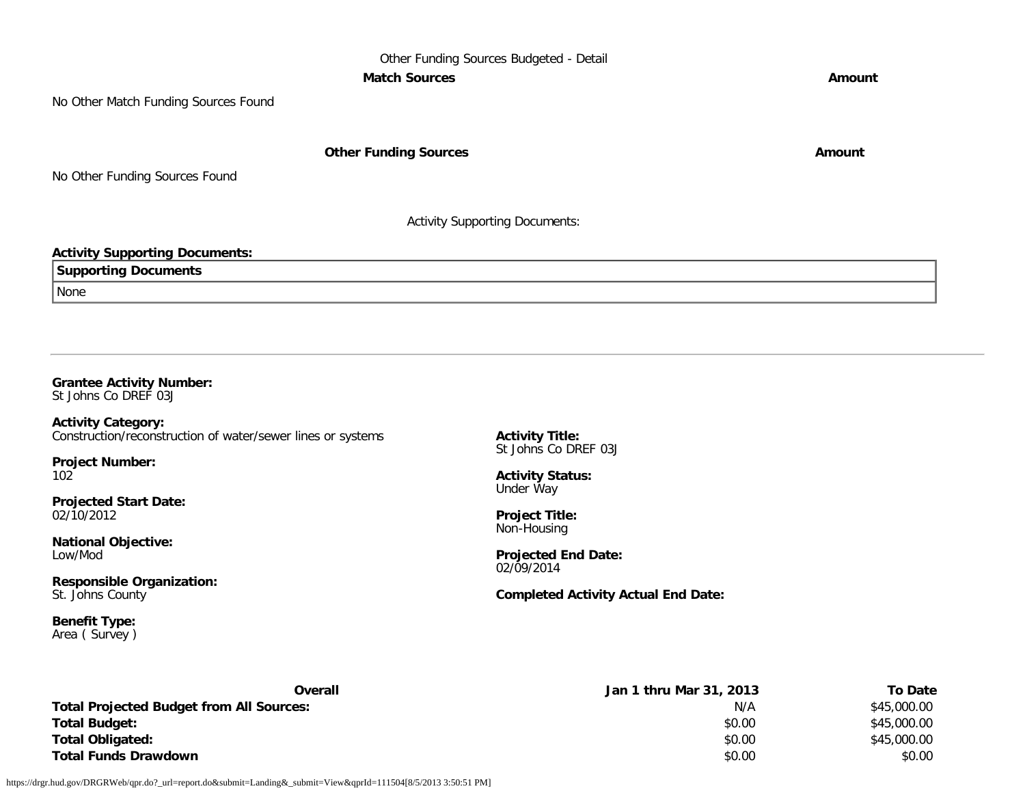## Other Funding Sources Budgeted - Detail **Match Sources Amount**

No Other Match Funding Sources Found

**Other Funding Sources Amount** 

No Other Funding Sources Found

Activity Supporting Documents:

## **Activity Supporting Documents:**

| Suppor<br>Documents<br>une<br>. |  |
|---------------------------------|--|
| None                            |  |

## **Grantee Activity Number:**

St Johns Co DREF 03J

**Activity Category:** Construction/reconstruction of water/sewer lines or systems

**Project Number:** 102

**Projected Start Date:** 02/10/2012

**National Objective:** Low/Mod

**Responsible Organization:** St. Johns County

**Benefit Type:** Area ( Survey ) **Activity Title:** St Johns Co DREF 03J

**Activity Status:** Under Way

**Project Title:** Non-Housing

**Projected End Date:** 02/09/2014

**Completed Activity Actual End Date:**

| Overall                                         | Jan 1 thru Mar 31, 2013 | To Date     |
|-------------------------------------------------|-------------------------|-------------|
| <b>Total Projected Budget from All Sources:</b> | N/A                     | \$45,000.00 |
| <b>Total Budget:</b>                            | \$0.00                  | \$45,000.00 |
| <b>Total Obligated:</b>                         | \$0.00                  | \$45,000.00 |
| <b>Total Funds Drawdown</b>                     | \$0.00                  | \$0.00      |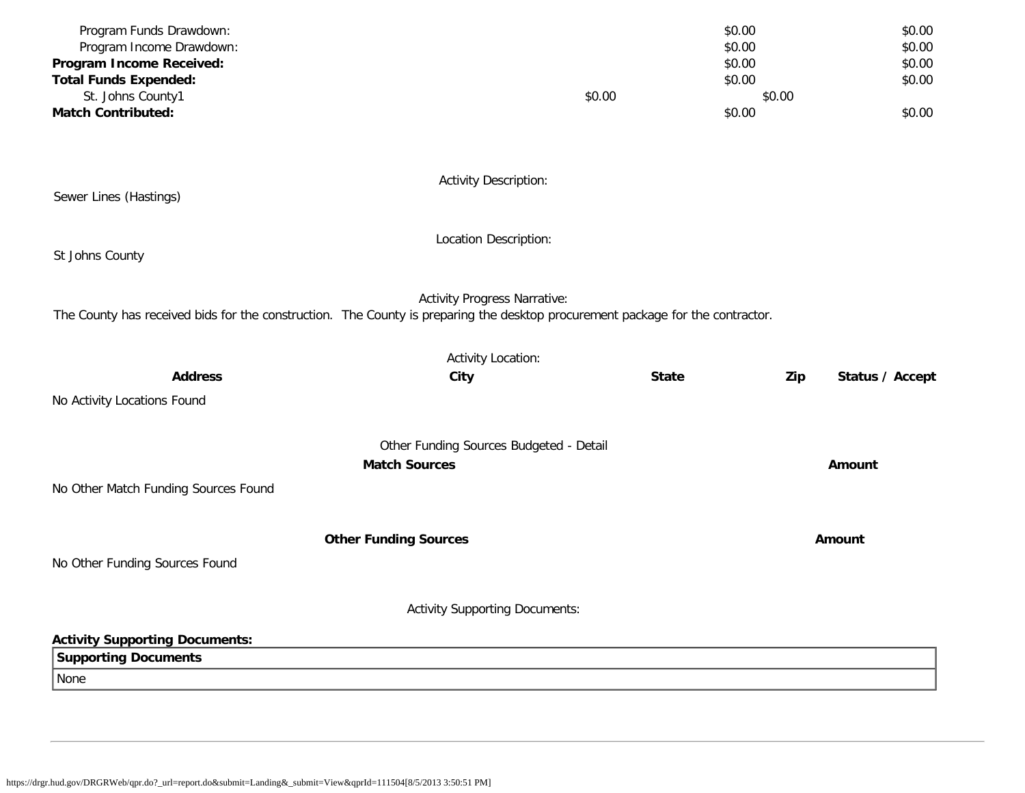| Program Funds Drawdown:                                                                                                        |                                         | \$0.00       |                        | \$0.00           |
|--------------------------------------------------------------------------------------------------------------------------------|-----------------------------------------|--------------|------------------------|------------------|
| Program Income Drawdown:                                                                                                       |                                         | \$0.00       |                        | \$0.00           |
| Program Income Received:<br><b>Total Funds Expended:</b>                                                                       |                                         |              | \$0.00<br>\$0.00       | \$0.00<br>\$0.00 |
| St. Johns County1                                                                                                              | \$0.00                                  |              | \$0.00                 |                  |
| <b>Match Contributed:</b>                                                                                                      |                                         | \$0.00       |                        | \$0.00           |
|                                                                                                                                |                                         |              |                        |                  |
| Sewer Lines (Hastings)                                                                                                         | <b>Activity Description:</b>            |              |                        |                  |
| St Johns County                                                                                                                | Location Description:                   |              |                        |                  |
| The County has received bids for the construction. The County is preparing the desktop procurement package for the contractor. | <b>Activity Progress Narrative:</b>     |              |                        |                  |
|                                                                                                                                | <b>Activity Location:</b>               |              |                        |                  |
| <b>Address</b>                                                                                                                 | City                                    | <b>State</b> | Zip<br>Status / Accept |                  |
| No Activity Locations Found                                                                                                    |                                         |              |                        |                  |
|                                                                                                                                | Other Funding Sources Budgeted - Detail |              |                        |                  |
|                                                                                                                                | <b>Match Sources</b>                    |              | Amount                 |                  |
| No Other Match Funding Sources Found                                                                                           |                                         |              |                        |                  |
|                                                                                                                                | <b>Other Funding Sources</b>            |              | Amount                 |                  |
| No Other Funding Sources Found                                                                                                 |                                         |              |                        |                  |
|                                                                                                                                | <b>Activity Supporting Documents:</b>   |              |                        |                  |
| <b>Activity Supporting Documents:</b>                                                                                          |                                         |              |                        |                  |
| <b>Supporting Documents</b>                                                                                                    |                                         |              |                        |                  |
| None                                                                                                                           |                                         |              |                        |                  |
|                                                                                                                                |                                         |              |                        |                  |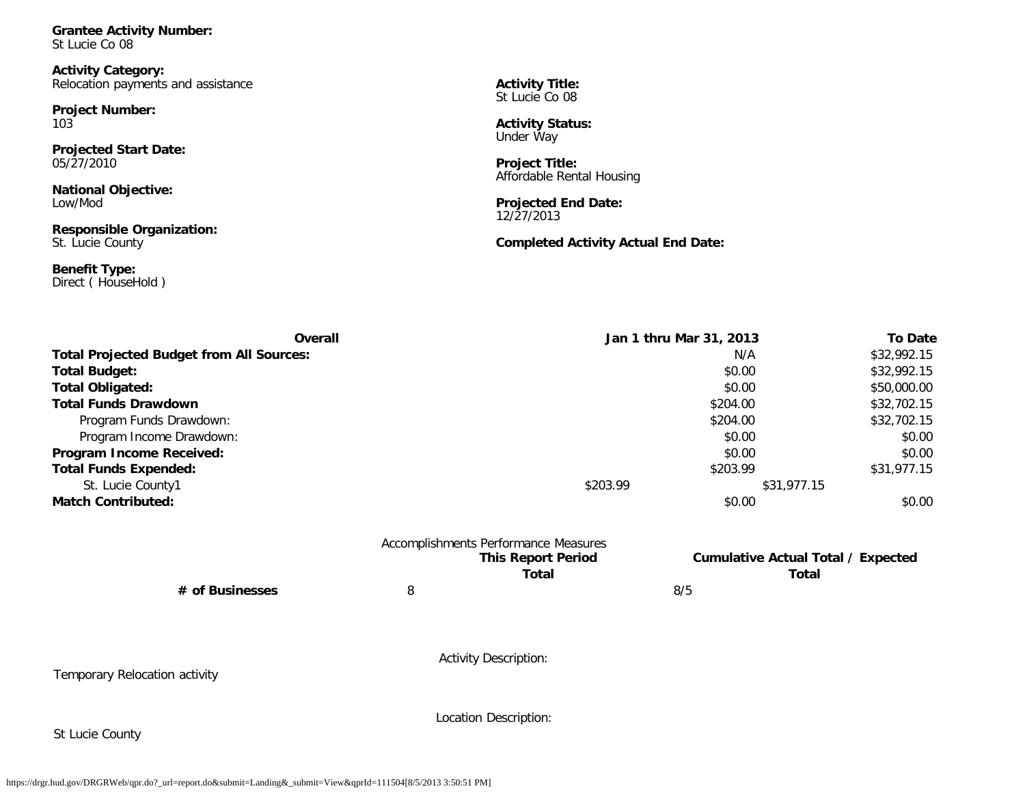**Grantee Activity Number:** St Lucie Co 08

**Activity Category:** Relocation payments and assistance

**Project Number:** 103

**Projected Start Date:** 05/27/2010

**National Objective:** Low/Mod

**Responsible Organization:** St. Lucie County

**Benefit Type:** Direct ( HouseHold ) **Activity Title:** St Lucie Co 08

**Activity Status:** Under Way

**Project Title:** Affordable Rental Housing

**Projected End Date:** 12/27/2013

**Completed Activity Actual End Date:**

| Overall<br><b>Total Projected Budget from All Sources:</b> |          |                                           | Jan 1 thru Mar 31, 2013                            |                                      |
|------------------------------------------------------------|----------|-------------------------------------------|----------------------------------------------------|--------------------------------------|
|                                                            |          |                                           | N/A                                                |                                      |
| <b>Total Budget:</b>                                       |          |                                           | \$0.00                                             | \$32,992.15                          |
| <b>Total Obligated:</b>                                    |          |                                           | \$0.00                                             | \$50,000.00                          |
| <b>Total Funds Drawdown</b>                                | \$204.00 |                                           |                                                    | \$32,702.15<br>\$32,702.15<br>\$0.00 |
| Program Funds Drawdown:                                    |          | \$204.00<br>\$0.00                        |                                                    |                                      |
| Program Income Drawdown:                                   |          |                                           |                                                    |                                      |
| Program Income Received:                                   |          |                                           | \$0.00                                             | \$0.00                               |
| <b>Total Funds Expended:</b>                               |          |                                           | \$203.99                                           | \$31,977.15                          |
| St. Lucie County1                                          |          | \$203.99                                  | \$31,977.15                                        |                                      |
| <b>Match Contributed:</b>                                  |          |                                           | \$0.00                                             | \$0.00                               |
|                                                            |          | Accomplishments Performance Measures      |                                                    |                                      |
|                                                            |          | <b>This Report Period</b><br><b>Total</b> | <b>Cumulative Actual Total / Expected</b><br>Total |                                      |
| # of Businesses                                            | 8        |                                           | 8/5                                                |                                      |
|                                                            |          |                                           |                                                    |                                      |
|                                                            |          |                                           |                                                    |                                      |
| Temporary Relocation activity                              |          | <b>Activity Description:</b>              |                                                    |                                      |
|                                                            |          |                                           |                                                    |                                      |
|                                                            |          | Location Description:                     |                                                    |                                      |
| St Lucie County                                            |          |                                           |                                                    |                                      |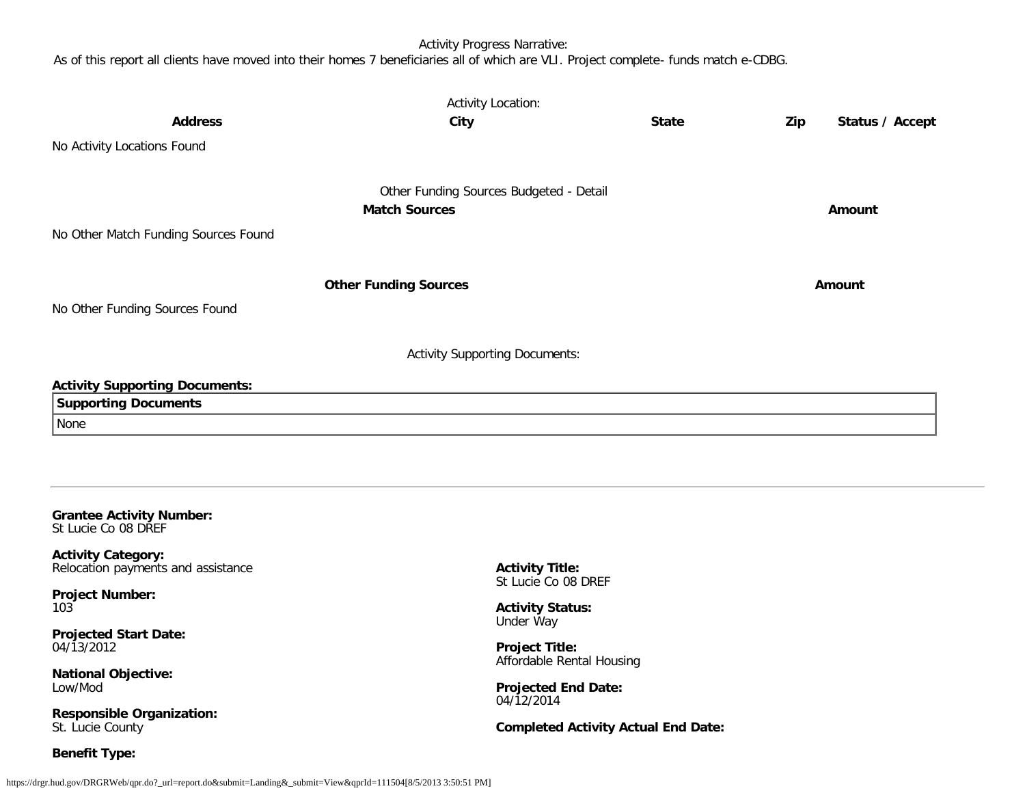Activity Progress Narrative:

As of this report all clients have moved into their homes 7 beneficiaries all of which are VLI. Project complete- funds match e-CDBG.

| <b>Activity Location:</b><br><b>Address</b><br><b>State</b><br>Zip<br>City<br>Status / Accept |                                                                 |                                            |  |               |  |  |
|-----------------------------------------------------------------------------------------------|-----------------------------------------------------------------|--------------------------------------------|--|---------------|--|--|
| No Activity Locations Found                                                                   |                                                                 |                                            |  |               |  |  |
| No Other Match Funding Sources Found                                                          | Other Funding Sources Budgeted - Detail<br><b>Match Sources</b> |                                            |  | Amount        |  |  |
| No Other Funding Sources Found                                                                | <b>Other Funding Sources</b>                                    |                                            |  | <b>Amount</b> |  |  |
| <b>Activity Supporting Documents:</b>                                                         |                                                                 |                                            |  |               |  |  |
| <b>Activity Supporting Documents:</b><br><b>Supporting Documents</b><br>None                  |                                                                 |                                            |  |               |  |  |
| <b>Grantee Activity Number:</b><br>St Lucie Co 08 DREF                                        |                                                                 |                                            |  |               |  |  |
| <b>Activity Category:</b><br>Relocation payments and assistance                               | <b>Activity Title:</b><br>St Lucie Co 08 DREF                   |                                            |  |               |  |  |
| <b>Project Number:</b><br>103                                                                 | <b>Activity Status:</b><br>Under Way                            |                                            |  |               |  |  |
| <b>Projected Start Date:</b><br>04/13/2012                                                    | <b>Project Title:</b><br>Affordable Rental Housing              |                                            |  |               |  |  |
| <b>National Objective:</b><br>Low/Mod                                                         | <b>Projected End Date:</b><br>04/12/2014                        |                                            |  |               |  |  |
| <b>Responsible Organization:</b><br>St. Lucie County                                          |                                                                 | <b>Completed Activity Actual End Date:</b> |  |               |  |  |

St. Lucie County

**Benefit Type:**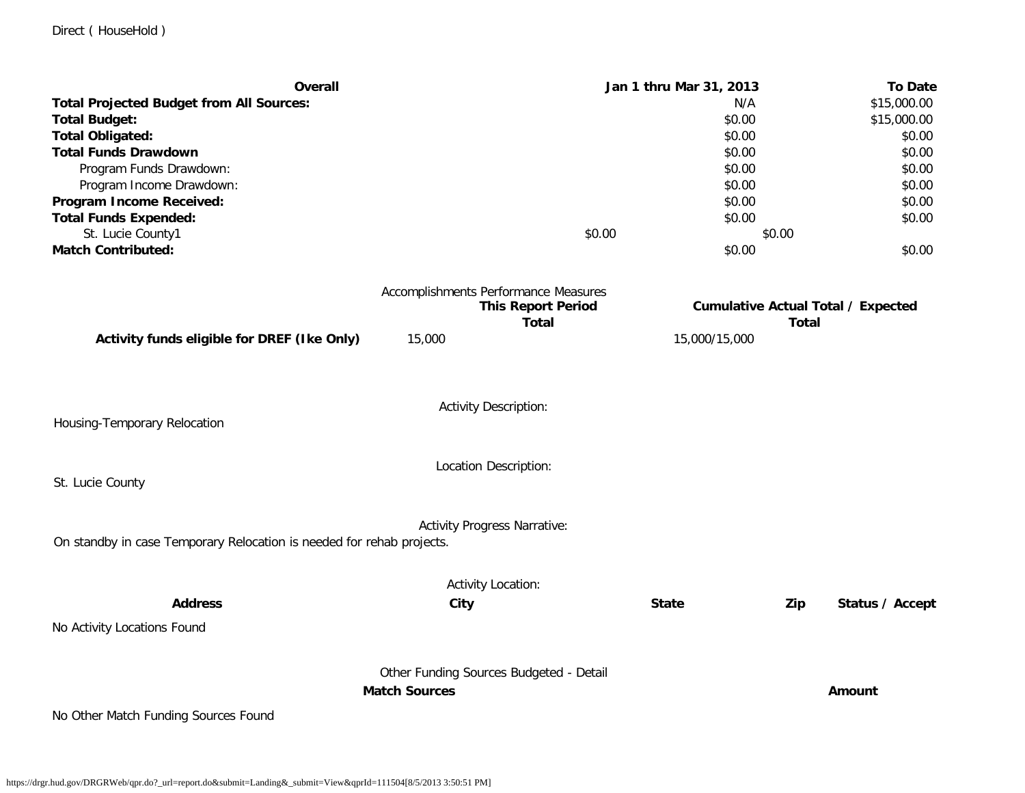| <b>Overall</b>                                                        |                                                                 |                                           | Jan 1 thru Mar 31, 2013 |              | <b>To Date</b>                            |
|-----------------------------------------------------------------------|-----------------------------------------------------------------|-------------------------------------------|-------------------------|--------------|-------------------------------------------|
| <b>Total Projected Budget from All Sources:</b>                       |                                                                 |                                           | N/A                     |              | \$15,000.00                               |
| <b>Total Budget:</b>                                                  |                                                                 |                                           | \$0.00                  |              | \$15,000.00                               |
| <b>Total Obligated:</b>                                               |                                                                 |                                           | \$0.00                  |              | \$0.00                                    |
| <b>Total Funds Drawdown</b>                                           |                                                                 |                                           | \$0.00                  |              | \$0.00                                    |
| Program Funds Drawdown:                                               |                                                                 |                                           | \$0.00                  |              | \$0.00                                    |
| Program Income Drawdown:                                              |                                                                 |                                           | \$0.00                  |              | \$0.00                                    |
| Program Income Received:                                              |                                                                 |                                           | \$0.00                  |              | \$0.00                                    |
| <b>Total Funds Expended:</b>                                          |                                                                 |                                           | \$0.00                  |              | \$0.00                                    |
| St. Lucie County1                                                     |                                                                 | \$0.00                                    |                         | \$0.00       |                                           |
| <b>Match Contributed:</b>                                             |                                                                 |                                           | \$0.00                  |              | \$0.00                                    |
|                                                                       | Accomplishments Performance Measures                            |                                           |                         |              |                                           |
|                                                                       |                                                                 | <b>This Report Period</b><br><b>Total</b> |                         |              | <b>Cumulative Actual Total / Expected</b> |
| Activity funds eligible for DREF (Ike Only)                           | 15,000                                                          |                                           | 15,000/15,000           | <b>Total</b> |                                           |
|                                                                       |                                                                 |                                           |                         |              |                                           |
| Housing-Temporary Relocation                                          | Activity Description:                                           |                                           |                         |              |                                           |
|                                                                       |                                                                 |                                           |                         |              |                                           |
|                                                                       | Location Description:                                           |                                           |                         |              |                                           |
| St. Lucie County                                                      |                                                                 |                                           |                         |              |                                           |
|                                                                       | <b>Activity Progress Narrative:</b>                             |                                           |                         |              |                                           |
| On standby in case Temporary Relocation is needed for rehab projects. |                                                                 |                                           |                         |              |                                           |
|                                                                       | <b>Activity Location:</b>                                       |                                           |                         |              |                                           |
| <b>Address</b>                                                        | City                                                            |                                           | <b>State</b>            | Zip          | Status / Accept                           |
| No Activity Locations Found                                           |                                                                 |                                           |                         |              |                                           |
|                                                                       |                                                                 |                                           |                         |              |                                           |
|                                                                       | Other Funding Sources Budgeted - Detail<br><b>Match Sources</b> |                                           |                         |              |                                           |
| No Other Match Funding Sources Found                                  |                                                                 |                                           |                         |              | Amount                                    |
|                                                                       |                                                                 |                                           |                         |              |                                           |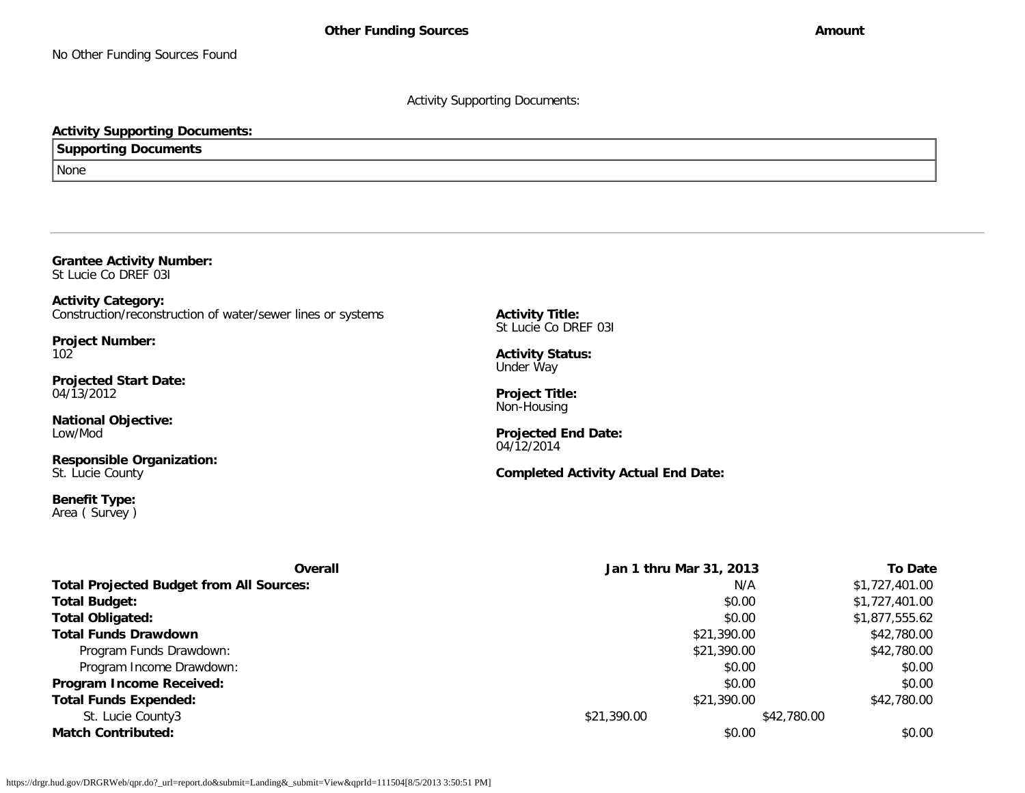Activity Supporting Documents:

### **Activity Supporting Documents:**

**Supporting Documents**

None

**Grantee Activity Number:** St Lucie Co DREF 03I

**Activity Category:** Construction/reconstruction of water/sewer lines or systems

**Project Number:** 102

**Projected Start Date:** 04/13/2012

**National Objective:** Low/Mod

**Responsible Organization:** St. Lucie County

**Benefit Type:** Area ( Survey ) **Activity Title:** St Lucie Co DREF 03I

**Activity Status:** Under Way

**Project Title:** Non-Housing

**Projected End Date:** 04/12/2014

**Completed Activity Actual End Date:**

| <b>Overall</b>                                  | Jan 1 thru Mar 31, 2013 |             | To Date        |
|-------------------------------------------------|-------------------------|-------------|----------------|
| <b>Total Projected Budget from All Sources:</b> |                         | N/A         | \$1,727,401.00 |
| <b>Total Budget:</b>                            |                         | \$0.00      | \$1,727,401.00 |
| Total Obligated:                                |                         | \$0.00      | \$1,877,555.62 |
| <b>Total Funds Drawdown</b>                     |                         | \$21,390.00 | \$42,780.00    |
| Program Funds Drawdown:                         |                         | \$21,390.00 | \$42,780.00    |
| Program Income Drawdown:                        |                         | \$0.00      | \$0.00         |
| Program Income Received:                        |                         | \$0.00      | \$0.00         |
| <b>Total Funds Expended:</b>                    |                         | \$21,390.00 | \$42,780.00    |
| St. Lucie County3                               | \$21,390.00             | \$42,780.00 |                |
| <b>Match Contributed:</b>                       |                         | \$0.00      | \$0.00         |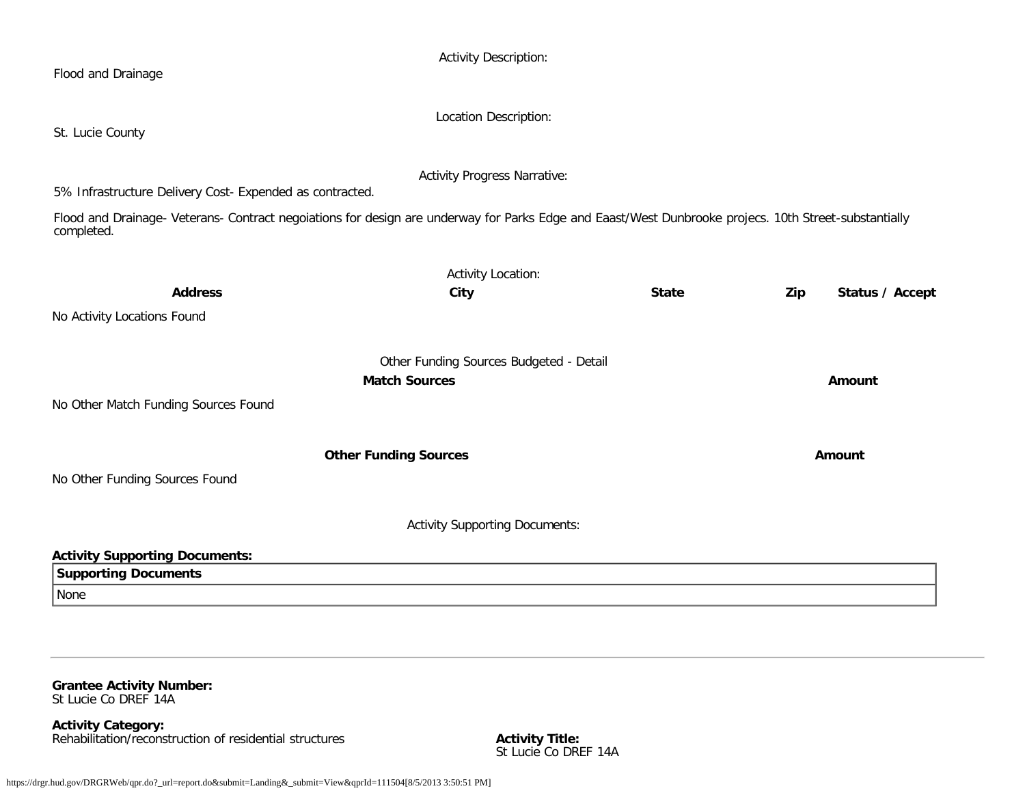| Flood and Drainage                                                                                                                                                                                                              | <b>Activity Description:</b>            |              |                        |
|---------------------------------------------------------------------------------------------------------------------------------------------------------------------------------------------------------------------------------|-----------------------------------------|--------------|------------------------|
| St. Lucie County                                                                                                                                                                                                                | Location Description:                   |              |                        |
|                                                                                                                                                                                                                                 | <b>Activity Progress Narrative:</b>     |              |                        |
| 5% Infrastructure Delivery Cost- Expended as contracted.<br>Flood and Drainage- Veterans- Contract negoiations for design are underway for Parks Edge and Eaast/West Dunbrooke projecs. 10th Street-substantially<br>completed. |                                         |              |                        |
|                                                                                                                                                                                                                                 | <b>Activity Location:</b>               |              |                        |
| <b>Address</b>                                                                                                                                                                                                                  | City                                    | <b>State</b> | Status / Accept<br>Zip |
| No Activity Locations Found                                                                                                                                                                                                     |                                         |              |                        |
|                                                                                                                                                                                                                                 | Other Funding Sources Budgeted - Detail |              |                        |
|                                                                                                                                                                                                                                 | <b>Match Sources</b>                    |              | Amount                 |
| No Other Match Funding Sources Found                                                                                                                                                                                            |                                         |              |                        |
|                                                                                                                                                                                                                                 | <b>Other Funding Sources</b>            |              | Amount                 |
| No Other Funding Sources Found                                                                                                                                                                                                  |                                         |              |                        |
|                                                                                                                                                                                                                                 | <b>Activity Supporting Documents:</b>   |              |                        |
| <b>Activity Supporting Documents:</b>                                                                                                                                                                                           |                                         |              |                        |
| <b>Supporting Documents</b>                                                                                                                                                                                                     |                                         |              |                        |
| None                                                                                                                                                                                                                            |                                         |              |                        |

**Grantee Activity Number:** St Lucie Co DREF 14A

**Activity Category:** Rehabilitation/reconstruction of residential structures **Activity Title:**

Activity Title:<br>St Lucie Co DREF 14A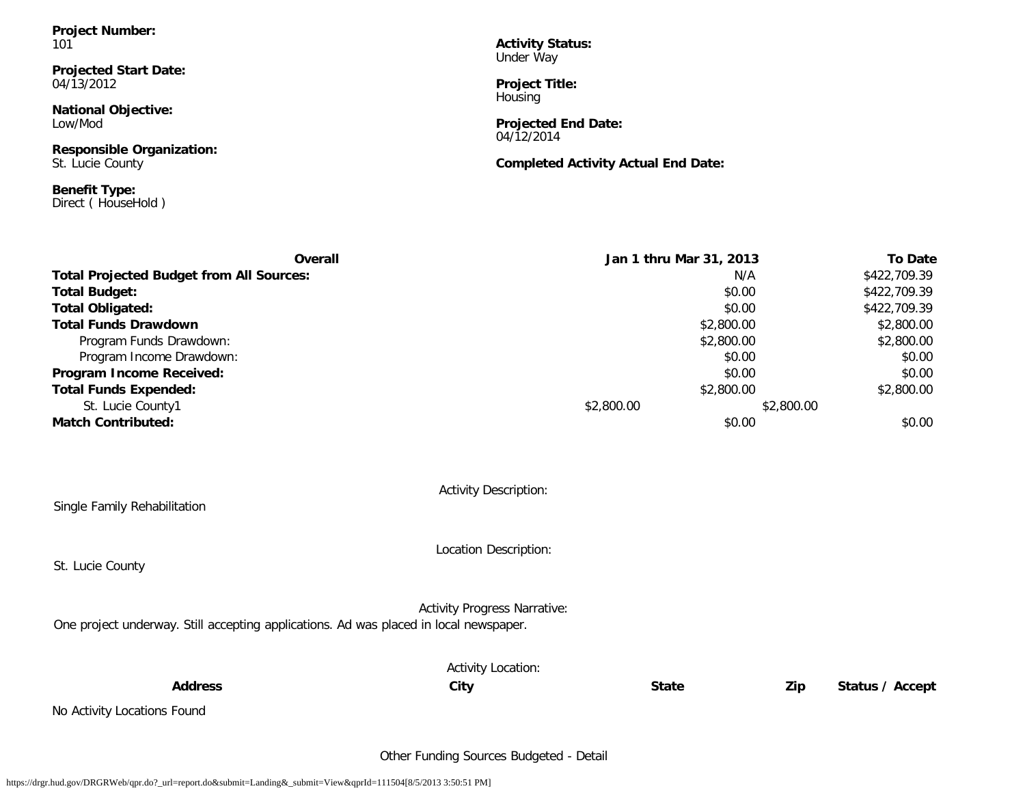**Project Number:** 101

**Projected Start Date:** 04/13/2012

**National Objective:** Low/Mod

**Responsible Organization:** St. Lucie County

**Benefit Type:** Direct ( HouseHold ) **Activity Status:** Under Way

**Project Title:** Housing

**Projected End Date:** 04/12/2014

**Completed Activity Actual End Date:**

| <b>Overall</b>                                  | Jan 1 thru Mar 31, 2013 |            | <b>To Date</b> |        |
|-------------------------------------------------|-------------------------|------------|----------------|--------|
| <b>Total Projected Budget from All Sources:</b> |                         | N/A        | \$422,709.39   |        |
| <b>Total Budget:</b>                            |                         | \$0.00     | \$422,709.39   |        |
| <b>Total Obligated:</b>                         |                         | \$0.00     | \$422,709.39   |        |
| <b>Total Funds Drawdown</b>                     | \$2,800.00              |            | \$2,800.00     |        |
| Program Funds Drawdown:                         |                         | \$2,800.00 | \$2,800.00     |        |
| Program Income Drawdown:                        |                         | \$0.00     |                | \$0.00 |
| Program Income Received:                        |                         | \$0.00     |                | \$0.00 |
| <b>Total Funds Expended:</b>                    |                         | \$2,800.00 | \$2,800.00     |        |
| St. Lucie County1                               | \$2,800.00              |            | \$2,800.00     |        |
| <b>Match Contributed:</b>                       |                         | \$0.00     |                | \$0.00 |
|                                                 |                         |            |                |        |
|                                                 |                         |            |                |        |

Activity Description:

Single Family Rehabilitation

St. Lucie County

Location Description:

Activity Progress Narrative:

One project underway. Still accepting applications. Ad was placed in local newspaper.

|                             | <b>Activity Location:</b> |              |     |                 |
|-----------------------------|---------------------------|--------------|-----|-----------------|
| <b>Address</b>              | City                      | <b>State</b> | Zip | Status / Accept |
| No Activity Locations Found |                           |              |     |                 |

Other Funding Sources Budgeted - Detail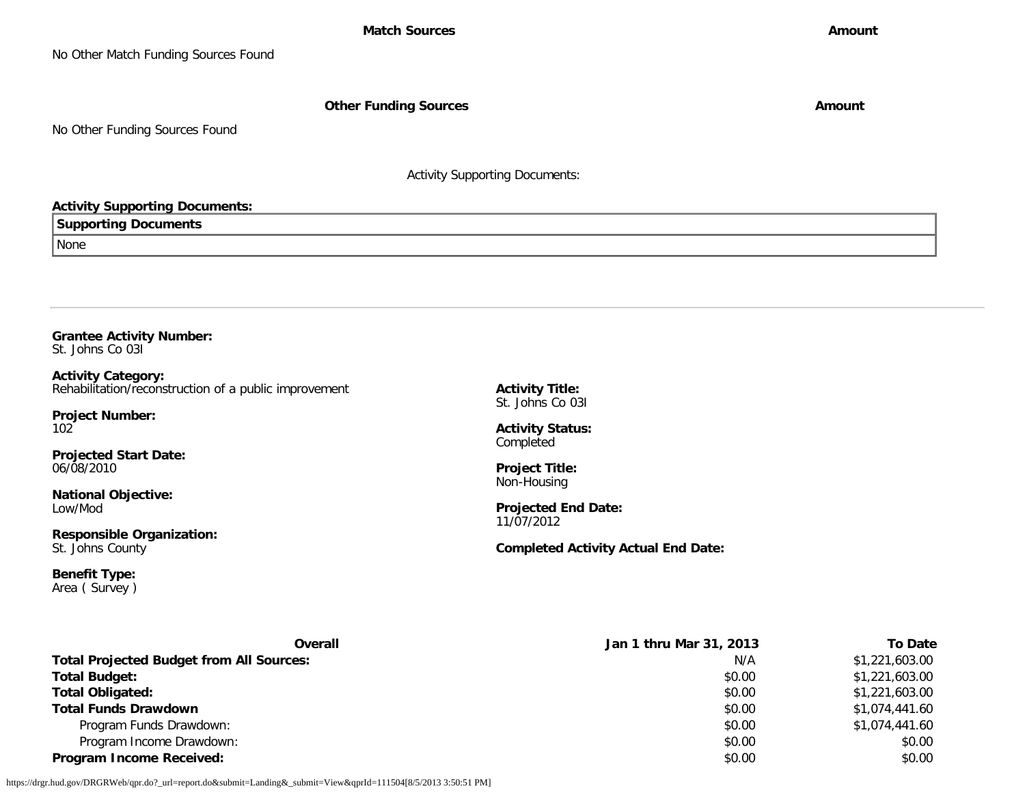**Other Funding Sources Amount Amount Amount** 

No Other Funding Sources Found

Activity Supporting Documents:

### **Activity Supporting Documents:**

**Supporting Documents**

None

**Grantee Activity Number:** St. Johns Co 03I

**Activity Category:** Rehabilitation/reconstruction of a public improvement

**Project Number:** 102

**Projected Start Date:** 06/08/2010

**National Objective:** Low/Mod

**Responsible Organization:** St. Johns County

**Benefit Type:** Area ( Survey ) **Activity Title:** St. Johns Co 03I

**Activity Status:** Completed

**Project Title:** Non-Housing

**Projected End Date:** 11/07/2012

**Completed Activity Actual End Date:**

| Overall                                         | Jan 1 thru Mar 31, 2013 | To Date        |
|-------------------------------------------------|-------------------------|----------------|
| <b>Total Projected Budget from All Sources:</b> | N/A                     | \$1,221,603.00 |
| <b>Total Budget:</b>                            | \$0.00                  | \$1,221,603.00 |
| <b>Total Obligated:</b>                         | \$0.00                  | \$1,221,603.00 |
| <b>Total Funds Drawdown</b>                     | \$0.00                  | \$1,074,441.60 |
| Program Funds Drawdown:                         | \$0.00                  | \$1,074,441.60 |
| Program Income Drawdown:                        | \$0.00                  | \$0.00         |
| <b>Program Income Received:</b>                 | \$0.00                  | \$0.00         |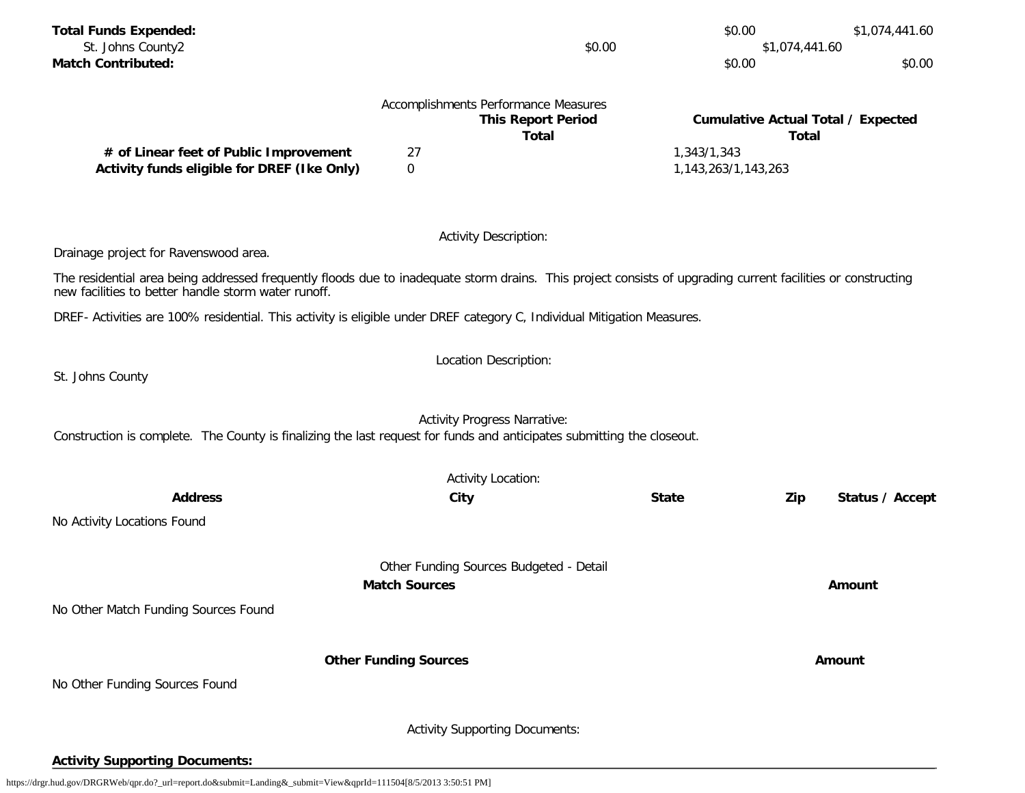| <b>Total Funds Expended:</b><br>St. Johns County2<br><b>Match Contributed:</b>                                                                                                                                      |                              | \$0.00                                                                            | \$0.00<br>\$0.00                       | \$1,074,441.60<br>\$1,074,441.60<br>\$0.00                |
|---------------------------------------------------------------------------------------------------------------------------------------------------------------------------------------------------------------------|------------------------------|-----------------------------------------------------------------------------------|----------------------------------------|-----------------------------------------------------------|
|                                                                                                                                                                                                                     |                              | Accomplishments Performance Measures<br><b>This Report Period</b><br><b>Total</b> |                                        | <b>Cumulative Actual Total / Expected</b><br><b>Total</b> |
| # of Linear feet of Public Improvement<br>Activity funds eligible for DREF (Ike Only)                                                                                                                               | 27<br>$\mathbf 0$            |                                                                                   | 1,343/1,343<br>1, 143, 263/1, 143, 263 |                                                           |
|                                                                                                                                                                                                                     |                              | <b>Activity Description:</b>                                                      |                                        |                                                           |
| Drainage project for Ravenswood area.                                                                                                                                                                               |                              |                                                                                   |                                        |                                                           |
| The residential area being addressed frequently floods due to inadequate storm drains. This project consists of upgrading current facilities or constructing<br>new facilities to better handle storm water runoff. |                              |                                                                                   |                                        |                                                           |
| DREF- Activities are 100% residential. This activity is eligible under DREF category C, Individual Mitigation Measures.                                                                                             |                              |                                                                                   |                                        |                                                           |
|                                                                                                                                                                                                                     |                              | Location Description:                                                             |                                        |                                                           |
| St. Johns County                                                                                                                                                                                                    |                              |                                                                                   |                                        |                                                           |
| Construction is complete. The County is finalizing the last request for funds and anticipates submitting the closeout.                                                                                              |                              | <b>Activity Progress Narrative:</b>                                               |                                        |                                                           |
|                                                                                                                                                                                                                     |                              | <b>Activity Location:</b>                                                         |                                        |                                                           |
| <b>Address</b>                                                                                                                                                                                                      |                              | City                                                                              | <b>State</b>                           | Zip<br>Status / Accept                                    |
| No Activity Locations Found                                                                                                                                                                                         |                              |                                                                                   |                                        |                                                           |
|                                                                                                                                                                                                                     |                              | Other Funding Sources Budgeted - Detail                                           |                                        |                                                           |
|                                                                                                                                                                                                                     | <b>Match Sources</b>         |                                                                                   |                                        | <b>Amount</b>                                             |
| No Other Match Funding Sources Found                                                                                                                                                                                |                              |                                                                                   |                                        |                                                           |
|                                                                                                                                                                                                                     |                              |                                                                                   |                                        |                                                           |
| No Other Funding Sources Found                                                                                                                                                                                      | <b>Other Funding Sources</b> |                                                                                   |                                        | Amount                                                    |
|                                                                                                                                                                                                                     |                              |                                                                                   |                                        |                                                           |
|                                                                                                                                                                                                                     |                              | <b>Activity Supporting Documents:</b>                                             |                                        |                                                           |
| <b>Activity Supporting Documents:</b>                                                                                                                                                                               |                              |                                                                                   |                                        |                                                           |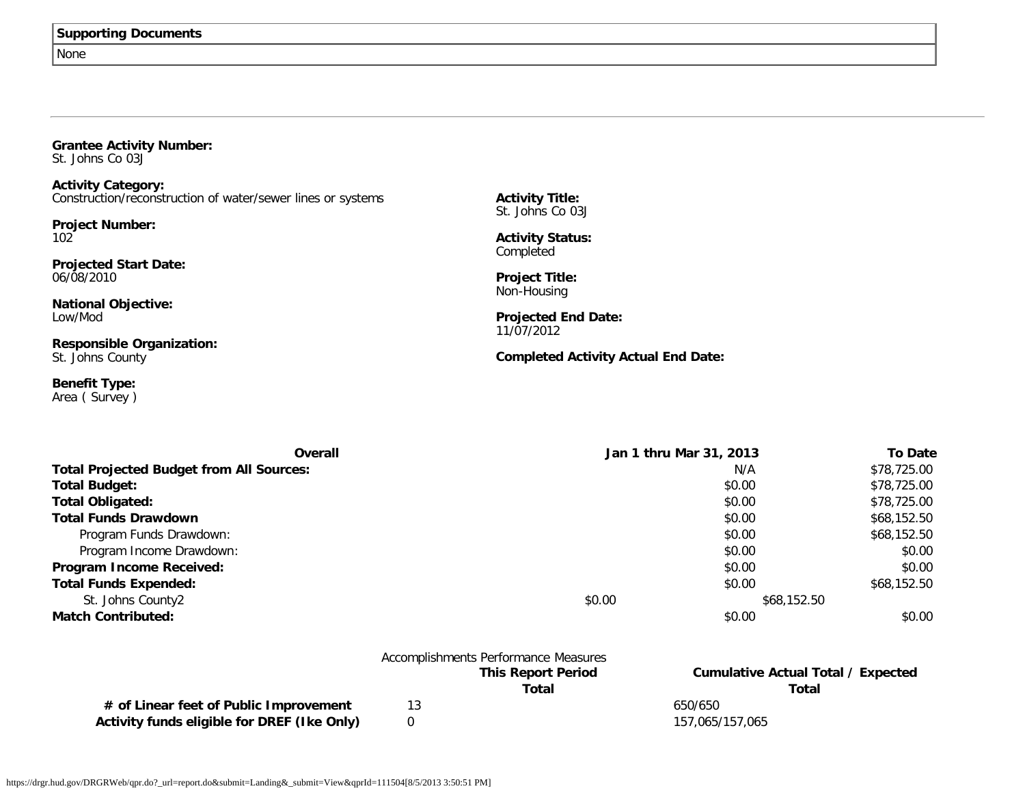None

**Grantee Activity Number:** St. Johns Co 03J

**Activity Category:** Construction/reconstruction of water/sewer lines or systems

**Project Number:** 102

**Projected Start Date:** 06/08/2010

**National Objective:** Low/Mod

**Responsible Organization:** St. Johns County

**Benefit Type:** Area ( Survey ) **Activity Title:** St. Johns Co 03J

**Activity Status:** Completed

**Project Title:** Non-Housing

**Projected End Date:** 11/07/2012

**Completed Activity Actual End Date:**

| Overall                                         | Jan 1 thru Mar 31, 2013 |             | <b>To Date</b> |
|-------------------------------------------------|-------------------------|-------------|----------------|
| <b>Total Projected Budget from All Sources:</b> |                         | N/A         | \$78,725.00    |
| <b>Total Budget:</b>                            |                         | \$0.00      | \$78,725.00    |
| <b>Total Obligated:</b>                         |                         | \$0.00      | \$78,725.00    |
| <b>Total Funds Drawdown</b>                     |                         | \$0.00      | \$68,152.50    |
| Program Funds Drawdown:                         |                         | \$0.00      | \$68,152.50    |
| Program Income Drawdown:                        |                         | \$0.00      | \$0.00         |
| Program Income Received:                        |                         | \$0.00      | \$0.00         |
| <b>Total Funds Expended:</b>                    |                         | \$0.00      | \$68,152.50    |
| St. Johns County2                               | \$0.00                  | \$68,152.50 |                |
| <b>Match Contributed:</b>                       |                         | \$0.00      | \$0.00         |

|                                             |    | Accomplishments Performance Measures |                                           |
|---------------------------------------------|----|--------------------------------------|-------------------------------------------|
|                                             |    | <b>This Report Period</b>            | <b>Cumulative Actual Total / Expected</b> |
|                                             |    | Total                                | Total                                     |
| # of Linear feet of Public Improvement      | 13 |                                      | 650/650                                   |
| Activity funds eligible for DREF (Ike Only) |    |                                      | 157,065/157,065                           |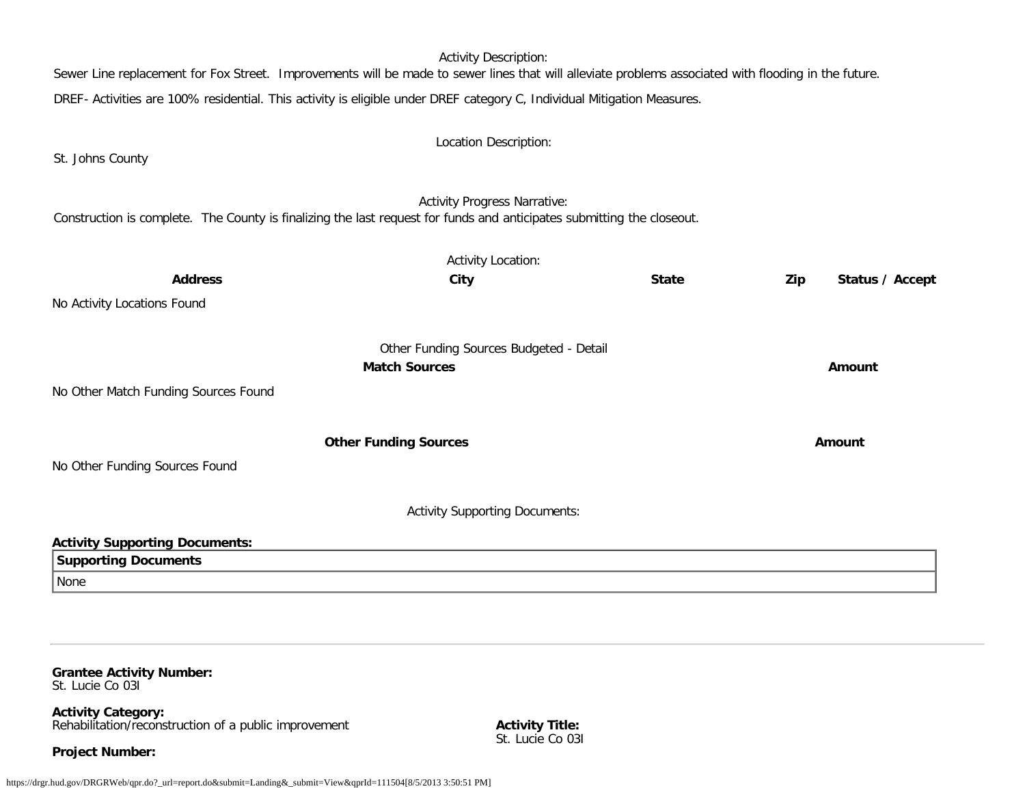Activity Description: Sewer Line replacement for Fox Street. Improvements will be made to sewer lines that will alleviate problems associated with flooding in the future. DREF- Activities are 100% residential. This activity is eligible under DREF category C, Individual Mitigation Measures. Location Description: St. Johns County Activity Progress Narrative: Construction is complete. The County is finalizing the last request for funds and anticipates submitting the closeout. Activity Location: **Address City State Zip Status / Accept** No Activity Locations Found Other Funding Sources Budgeted - Detail **Match Sources Amount** No Other Match Funding Sources Found **Other Funding Sources Amount Amount Amount** No Other Funding Sources Found Activity Supporting Documents: **Activity Supporting Documents: Supporting Documents** None

#### **Grantee Activity Number:** St. Lucie Co 03I

**Activity Category:** Rehabilitation/reconstruction of a public improvement

**Project Number:**

**Activity Title:** St. Lucie Co 031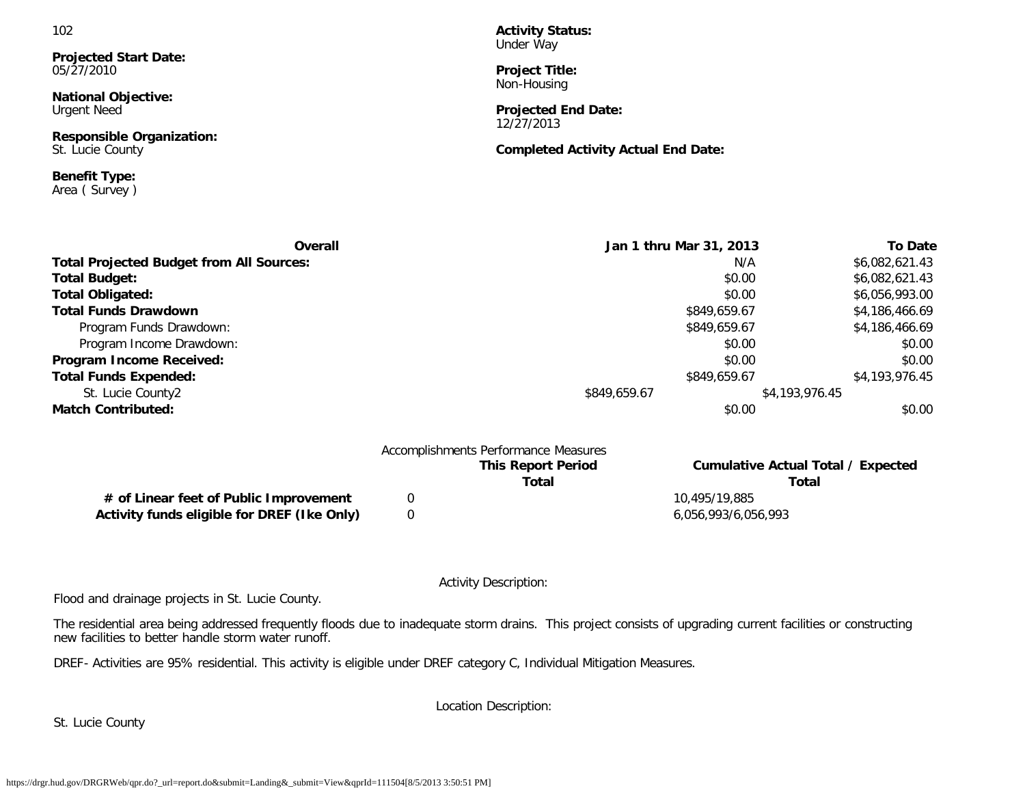**Projected Start Date:** 05/27/2010

**National Objective:** Urgent Need

**Responsible Organization:** St. Lucie County

**Benefit Type:** Area ( Survey ) **Activity Status:** Under Way

**Project Title:** Non-Housing

**Projected End Date:** 12/27/2013

**Completed Activity Actual End Date:**

| Overall                                         | Jan 1 thru Mar 31, 2013 | <b>To Date</b> |
|-------------------------------------------------|-------------------------|----------------|
| <b>Total Projected Budget from All Sources:</b> | N/A                     | \$6,082,621.43 |
| <b>Total Budget:</b>                            | \$0.00                  | \$6,082,621.43 |
| <b>Total Obligated:</b>                         | \$0.00                  | \$6,056,993.00 |
| <b>Total Funds Drawdown</b>                     | \$849,659.67            | \$4,186,466.69 |
| Program Funds Drawdown:                         | \$849,659.67            | \$4,186,466.69 |
| Program Income Drawdown:                        | \$0.00                  | \$0.00         |
| Program Income Received:                        | \$0.00                  | \$0.00         |
| <b>Total Funds Expended:</b>                    | \$849,659.67            | \$4,193,976.45 |
| St. Lucie County2                               | \$849,659.67            | \$4,193,976.45 |
| <b>Match Contributed:</b>                       | \$0.00                  | \$0.00         |
| Accomplishments Performance Measures            |                         |                |

| <b>This Report Period</b><br>Total | Cumulative Actual Total / Expected<br>Total |
|------------------------------------|---------------------------------------------|
|                                    | 10,495/19,885                               |
|                                    | 6,056,993/6,056,993                         |
|                                    |                                             |

Activity Description:

Flood and drainage projects in St. Lucie County.

The residential area being addressed frequently floods due to inadequate storm drains. This project consists of upgrading current facilities or constructing new facilities to better handle storm water runoff.

DREF- Activities are 95% residential. This activity is eligible under DREF category C, Individual Mitigation Measures.

Location Description:

St. Lucie County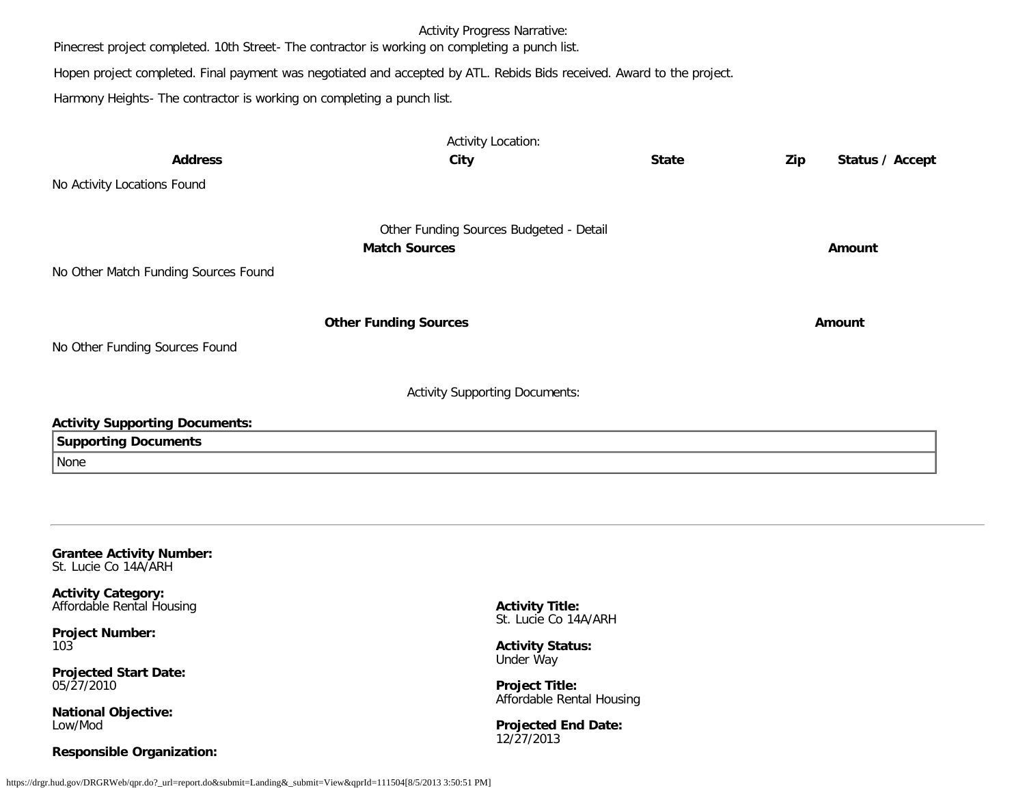Activity Progress Narrative:

Pinecrest project completed. 10th Street- The contractor is working on completing a punch list.

Hopen project completed. Final payment was negotiated and accepted by ATL. Rebids Bids received. Award to the project.

Harmony Heights- The contractor is working on completing a punch list.

|                                       | <b>Activity Location:</b>               |              |     |                 |
|---------------------------------------|-----------------------------------------|--------------|-----|-----------------|
| <b>Address</b>                        | City                                    | <b>State</b> | Zip | Status / Accept |
| No Activity Locations Found           |                                         |              |     |                 |
|                                       | Other Funding Sources Budgeted - Detail |              |     |                 |
|                                       | <b>Match Sources</b>                    |              |     | Amount          |
| No Other Match Funding Sources Found  |                                         |              |     |                 |
|                                       | <b>Other Funding Sources</b>            |              |     | Amount          |
| No Other Funding Sources Found        |                                         |              |     |                 |
|                                       | <b>Activity Supporting Documents:</b>   |              |     |                 |
| <b>Activity Supporting Documents:</b> |                                         |              |     |                 |
| <b>Supporting Documents</b>           |                                         |              |     |                 |
| None                                  |                                         |              |     |                 |
|                                       |                                         |              |     |                 |
|                                       |                                         |              |     |                 |
|                                       |                                         |              |     |                 |
|                                       |                                         |              |     |                 |

**Grantee Activity Number:** St. Lucie Co 14A/ARH

**Activity Category:** Affordable Rental Housing

**Project Number:** 103

**Projected Start Date:** 05/27/2010

**National Objective:** Low/Mod

### **Responsible Organization:**

**Activity Title:** St. Lucie Co 14A/ARH

**Activity Status:** Under Way

**Project Title:** Affordable Rental Housing

**Projected End Date:** 12/27/2013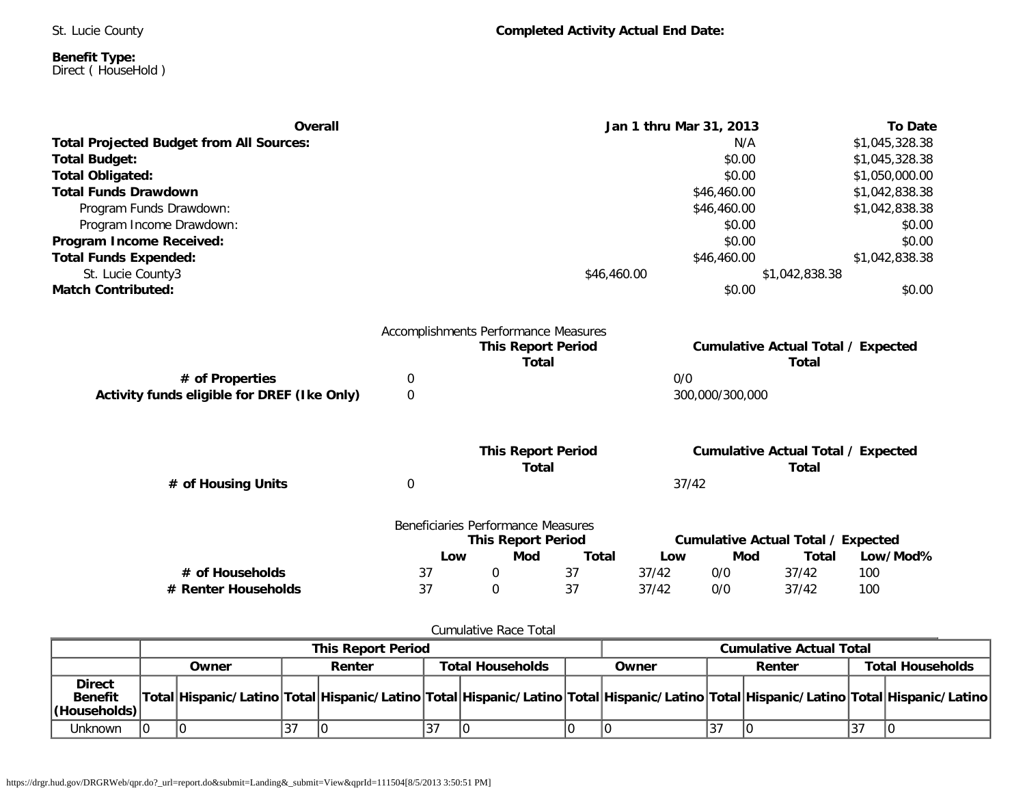St. Lucie County

### **Benefit Type:** Direct ( HouseHold )

| <b>Overall</b>                                  |                                      |                                    | Jan 1 thru Mar 31, 2013 |       |                 |                                           | <b>To Date</b> |  |
|-------------------------------------------------|--------------------------------------|------------------------------------|-------------------------|-------|-----------------|-------------------------------------------|----------------|--|
| <b>Total Projected Budget from All Sources:</b> |                                      |                                    |                         |       | N/A             |                                           | \$1,045,328.38 |  |
| <b>Total Budget:</b>                            |                                      |                                    |                         |       | \$0.00          |                                           | \$1,045,328.38 |  |
| <b>Total Obligated:</b>                         |                                      |                                    |                         |       | \$0.00          |                                           | \$1,050,000.00 |  |
| <b>Total Funds Drawdown</b>                     |                                      |                                    |                         |       | \$46,460.00     |                                           | \$1,042,838.38 |  |
| Program Funds Drawdown:                         |                                      |                                    |                         |       | \$46,460.00     |                                           | \$1,042,838.38 |  |
| Program Income Drawdown:                        |                                      |                                    |                         |       | \$0.00          |                                           | \$0.00         |  |
| Program Income Received:                        |                                      |                                    |                         |       | \$0.00          |                                           | \$0.00         |  |
| <b>Total Funds Expended:</b>                    |                                      |                                    |                         |       | \$46,460.00     |                                           | \$1,042,838.38 |  |
| St. Lucie County3                               |                                      |                                    | \$46,460.00             |       |                 | \$1,042,838.38                            |                |  |
| <b>Match Contributed:</b>                       |                                      |                                    |                         |       | \$0.00          |                                           | \$0.00         |  |
|                                                 | Accomplishments Performance Measures |                                    |                         |       |                 |                                           |                |  |
|                                                 |                                      | <b>This Report Period</b>          |                         |       |                 | <b>Cumulative Actual Total / Expected</b> |                |  |
|                                                 |                                      | <b>Total</b>                       |                         |       |                 | Total                                     |                |  |
| # of Properties                                 | 0                                    |                                    |                         | 0/0   |                 |                                           |                |  |
| Activity funds eligible for DREF (Ike Only)     | $\mathbf 0$                          |                                    |                         |       | 300,000/300,000 |                                           |                |  |
|                                                 |                                      |                                    |                         |       |                 |                                           |                |  |
|                                                 |                                      | <b>This Report Period</b>          |                         |       |                 | <b>Cumulative Actual Total / Expected</b> |                |  |
|                                                 |                                      | <b>Total</b>                       |                         |       |                 | Total                                     |                |  |
| # of Housing Units                              | $\mathbf 0$                          |                                    |                         | 37/42 |                 |                                           |                |  |
|                                                 |                                      | Beneficiaries Performance Measures |                         |       |                 |                                           |                |  |
|                                                 |                                      | <b>This Report Period</b>          |                         |       |                 | <b>Cumulative Actual Total / Expected</b> |                |  |
|                                                 | Low                                  | Mod                                | <b>Total</b>            | Low   | Mod             | Total                                     | Low/Mod%       |  |
|                                                 |                                      |                                    |                         |       |                 |                                           | 100            |  |
| # of Households                                 | 37                                   | 0                                  | 37                      | 37/42 | 0/0             | 37/42                                     |                |  |

### Cumulative Race Total

|                                                  | <b>This Report Period</b> |       |   |        | <b>Cumulative Actual Total</b> |  |                                                                                                                                     |  |        |    |                         |
|--------------------------------------------------|---------------------------|-------|---|--------|--------------------------------|--|-------------------------------------------------------------------------------------------------------------------------------------|--|--------|----|-------------------------|
|                                                  |                           | Owner |   | Renter | <b>Total Households</b>        |  | Owner                                                                                                                               |  | Renter |    | <b>Total Households</b> |
| <b>Direct</b><br><b>Benefit</b><br> (Households) |                           |       |   |        |                                |  | Total Hispanic/Latino Total Hispanic/Latino Total Hispanic/Latino Total Hispanic/Latino Total Hispanic/Latino Total Hispanic/Latino |  |        |    |                         |
| Unknown                                          |                           |       | ັ |        |                                |  |                                                                                                                                     |  |        | 37 |                         |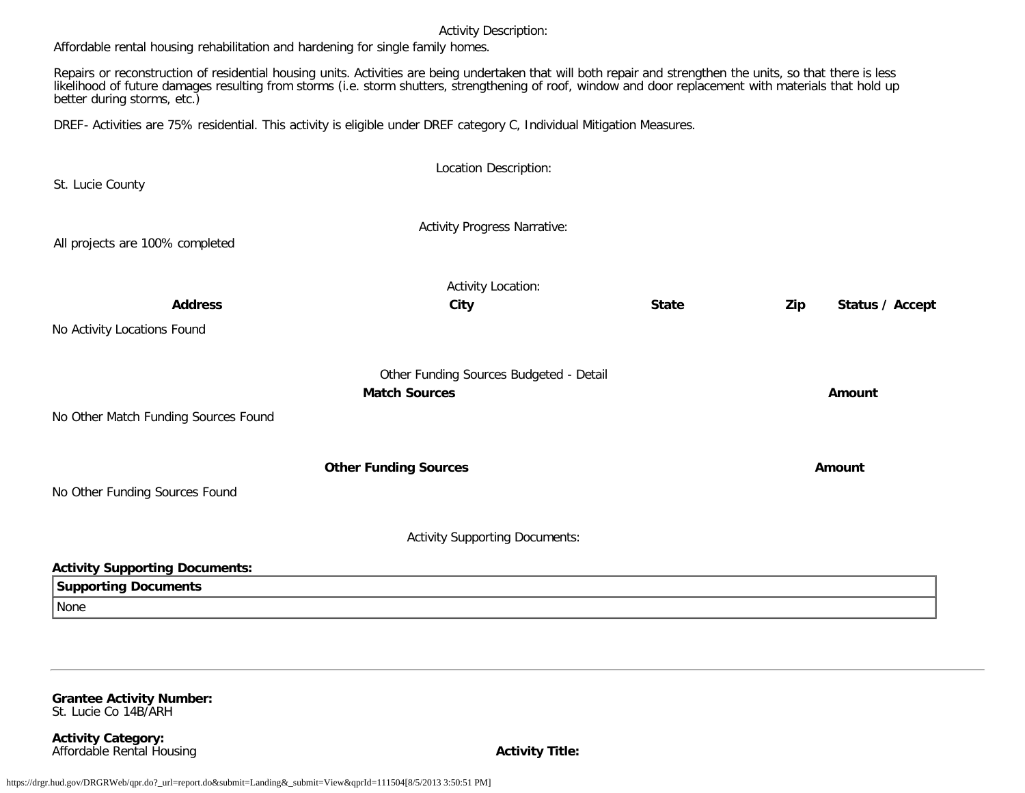Affordable rental housing rehabilitation and hardening for single family homes.

Repairs or reconstruction of residential housing units. Activities are being undertaken that will both repair and strengthen the units, so that there is less likelihood of future damages resulting from storms (i.e. storm shutters, strengthening of roof, window and door replacement with materials that hold up better during storms, etc.)

DREF- Activities are 75% residential. This activity is eligible under DREF category C, Individual Mitigation Measures.

| St. Lucie County                      | Location Description:                   |              |                        |
|---------------------------------------|-----------------------------------------|--------------|------------------------|
|                                       |                                         |              |                        |
| All projects are 100% completed       | <b>Activity Progress Narrative:</b>     |              |                        |
|                                       | Activity Location:                      |              |                        |
| <b>Address</b>                        | City                                    | <b>State</b> | Zip<br>Status / Accept |
| No Activity Locations Found           |                                         |              |                        |
|                                       | Other Funding Sources Budgeted - Detail |              |                        |
|                                       | <b>Match Sources</b>                    |              | Amount                 |
| No Other Match Funding Sources Found  |                                         |              |                        |
|                                       | <b>Other Funding Sources</b>            |              | Amount                 |
| No Other Funding Sources Found        |                                         |              |                        |
|                                       | <b>Activity Supporting Documents:</b>   |              |                        |
| <b>Activity Supporting Documents:</b> |                                         |              |                        |
| <b>Supporting Documents</b>           |                                         |              |                        |
| None                                  |                                         |              |                        |

**Grantee Activity Number:** St. Lucie Co 14B/ARH

**Activity Category:** Affordable Rental Housing **Activity Title:**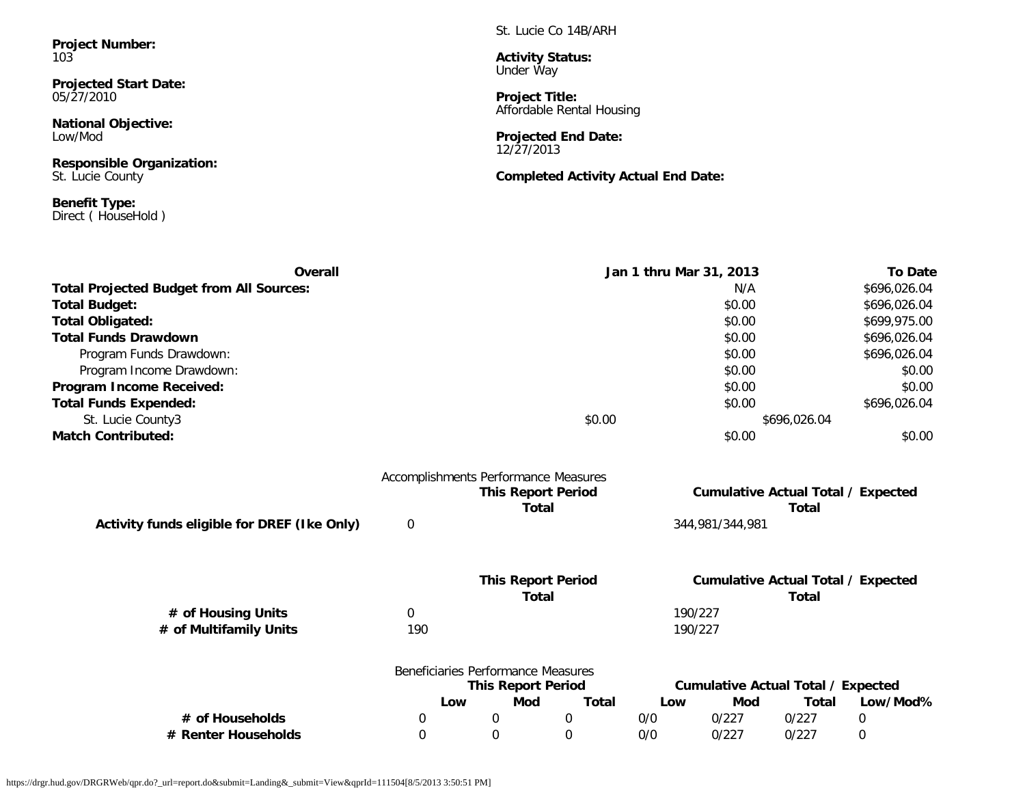**Project Number:** 103

**Projected Start Date:** 05/27/2010

**National Objective:** Low/Mod

**Responsible Organization:** St. Lucie County

**Benefit Type:** Direct ( HouseHold ) St. Lucie Co 14B/ARH

**Activity Status:** Under Way

**Project Title:** Affordable Rental Housing

**Projected End Date:** 12/27/2013

**Completed Activity Actual End Date:**

| Overall                                         |                  |                                                                   | Jan 1 thru Mar 31, 2013 |     |                 |                                                           | <b>To Date</b> |  |
|-------------------------------------------------|------------------|-------------------------------------------------------------------|-------------------------|-----|-----------------|-----------------------------------------------------------|----------------|--|
| <b>Total Projected Budget from All Sources:</b> |                  |                                                                   |                         |     | N/A             |                                                           | \$696,026.04   |  |
| <b>Total Budget:</b>                            |                  |                                                                   |                         |     | \$0.00          |                                                           | \$696,026.04   |  |
| <b>Total Obligated:</b>                         |                  |                                                                   |                         |     | \$0.00          |                                                           | \$699,975.00   |  |
| <b>Total Funds Drawdown</b>                     |                  |                                                                   |                         |     | \$0.00          |                                                           | \$696,026.04   |  |
| Program Funds Drawdown:                         |                  |                                                                   |                         |     | \$0.00          |                                                           | \$696,026.04   |  |
| Program Income Drawdown:                        |                  |                                                                   |                         |     | \$0.00          |                                                           | \$0.00         |  |
| Program Income Received:                        |                  |                                                                   |                         |     | \$0.00          |                                                           | \$0.00         |  |
| <b>Total Funds Expended:</b>                    |                  |                                                                   |                         |     | \$0.00          |                                                           | \$696,026.04   |  |
| St. Lucie County3                               |                  |                                                                   | \$0.00                  |     |                 | \$696,026.04                                              |                |  |
| <b>Match Contributed:</b>                       |                  |                                                                   |                         |     | \$0.00          |                                                           | \$0.00         |  |
|                                                 |                  | Accomplishments Performance Measures<br><b>This Report Period</b> |                         |     |                 | <b>Cumulative Actual Total / Expected</b>                 |                |  |
|                                                 |                  |                                                                   | <b>Total</b>            |     |                 | <b>Total</b>                                              |                |  |
| Activity funds eligible for DREF (Ike Only)     | $\mathbf 0$      |                                                                   |                         |     | 344,981/344,981 |                                                           |                |  |
|                                                 |                  | <b>This Report Period</b>                                         |                         |     |                 |                                                           |                |  |
|                                                 |                  |                                                                   | Total                   |     |                 | <b>Cumulative Actual Total / Expected</b><br><b>Total</b> |                |  |
| # of Housing Units                              | $\boldsymbol{0}$ |                                                                   |                         |     | 190/227         |                                                           |                |  |
| # of Multifamily Units                          | 190              |                                                                   |                         |     | 190/227         |                                                           |                |  |
|                                                 |                  | Beneficiaries Performance Measures                                |                         |     |                 |                                                           |                |  |
|                                                 |                  | <b>This Report Period</b>                                         |                         |     |                 | <b>Cumulative Actual Total / Expected</b>                 |                |  |
|                                                 |                  | Mod<br>Low                                                        | <b>Total</b>            | Low | Mod             | <b>Total</b>                                              | Low/Mod%       |  |
| # of Households                                 | 0                | $\boldsymbol{0}$                                                  | 0                       | 0/0 | 0/227           | 0/227                                                     | $\mathbf 0$    |  |
| # Renter Households                             | $\Omega$         | 0                                                                 | $\Omega$                | 0/0 | 0/227           | 0/227                                                     | $\mathbf 0$    |  |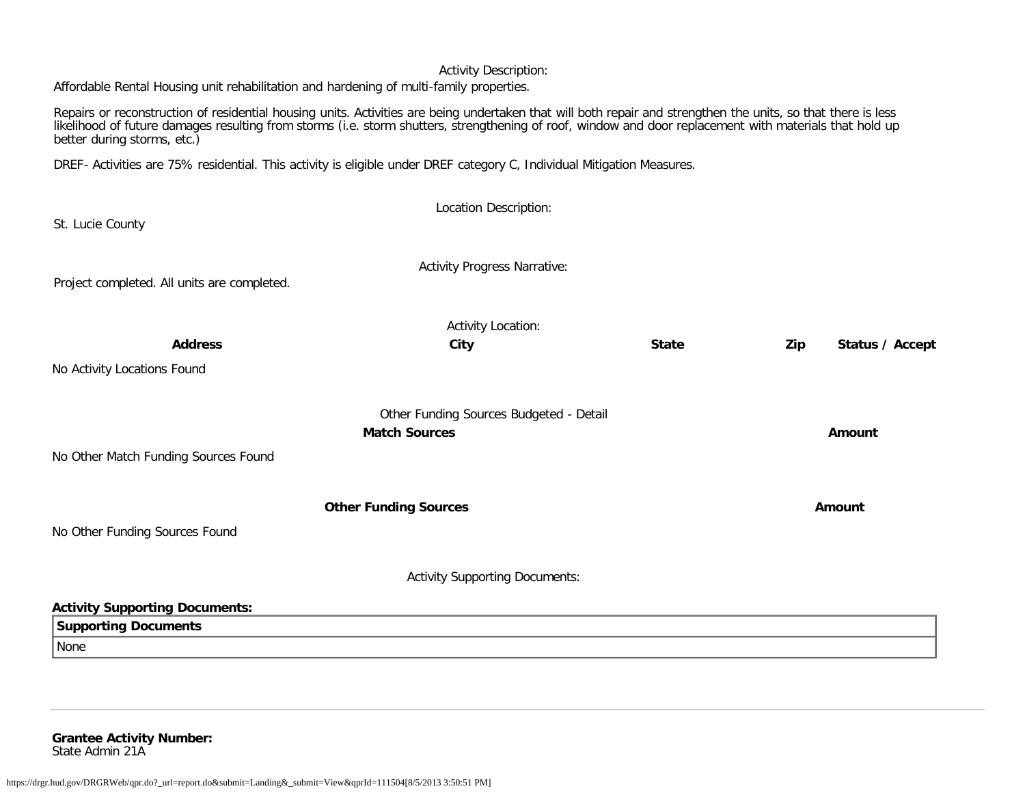Affordable Rental Housing unit rehabilitation and hardening of multi-family properties.

Repairs or reconstruction of residential housing units. Activities are being undertaken that will both repair and strengthen the units, so that there is less likelihood of future damages resulting from storms (i.e. storm shutters, strengthening of roof, window and door replacement with materials that hold up better during storms, etc.)

DREF- Activities are 75% residential. This activity is eligible under DREF category C, Individual Mitigation Measures.

|                                             | Location Description:                   |              |                        |
|---------------------------------------------|-----------------------------------------|--------------|------------------------|
| St. Lucie County                            |                                         |              |                        |
| Project completed. All units are completed. | <b>Activity Progress Narrative:</b>     |              |                        |
|                                             | Activity Location:                      |              |                        |
| <b>Address</b>                              | City                                    | <b>State</b> | Status / Accept<br>Zip |
| No Activity Locations Found                 |                                         |              |                        |
|                                             | Other Funding Sources Budgeted - Detail |              |                        |
|                                             | <b>Match Sources</b>                    |              | Amount                 |
| No Other Match Funding Sources Found        |                                         |              |                        |
|                                             | <b>Other Funding Sources</b>            |              | Amount                 |
| No Other Funding Sources Found              |                                         |              |                        |
|                                             | <b>Activity Supporting Documents:</b>   |              |                        |
| <b>Activity Supporting Documents:</b>       |                                         |              |                        |
| <b>Supporting Documents</b>                 |                                         |              |                        |
| None                                        |                                         |              |                        |
|                                             |                                         |              |                        |

**Grantee Activity Number:** State Admin 21A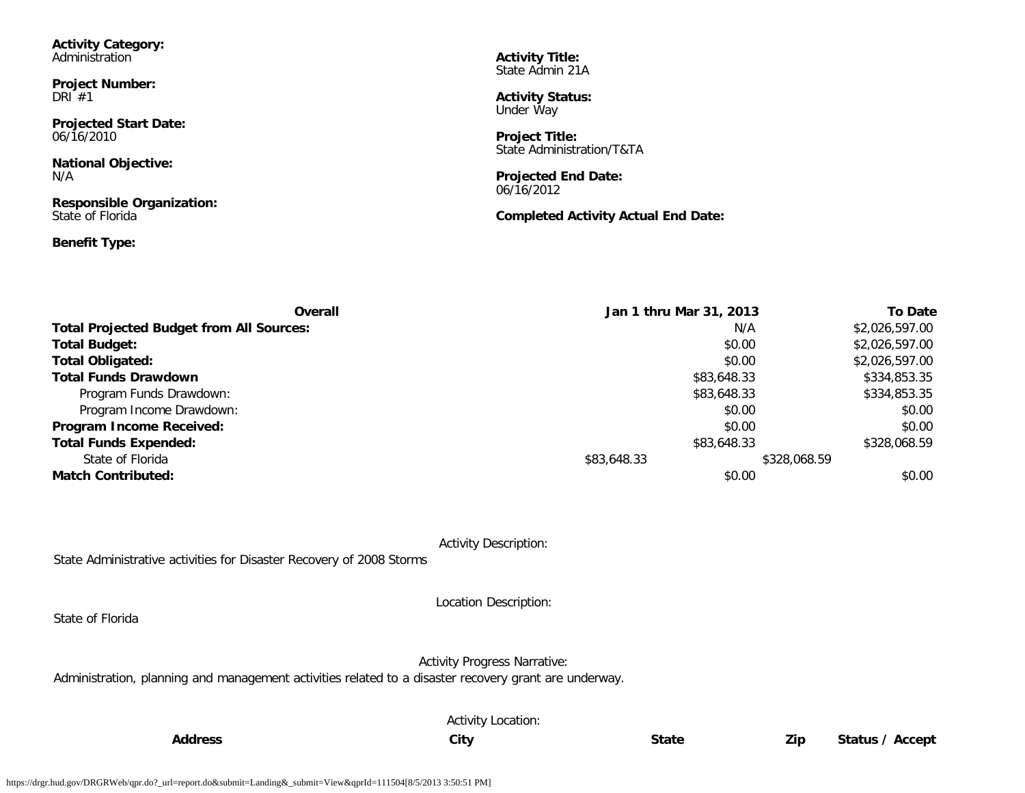| <b>Activity Category:</b><br>Administration<br><b>Project Number:</b><br>DRI $#1$                                                       | <b>Activity Title:</b><br>State Admin 21A<br><b>Activity Status:</b><br>Under Way                                                            |
|-----------------------------------------------------------------------------------------------------------------------------------------|----------------------------------------------------------------------------------------------------------------------------------------------|
| <b>Projected Start Date:</b><br>06/16/2010<br><b>National Objective:</b><br>N/A<br><b>Responsible Organization:</b><br>State of Florida | <b>Project Title:</b><br>State Administration/T&TA<br><b>Projected End Date:</b><br>06/16/2012<br><b>Completed Activity Actual End Date:</b> |
| <b>Benefit Type:</b>                                                                                                                    |                                                                                                                                              |

| <b>Overall</b>                                  | Jan 1 thru Mar 31, 2013 |             | <b>To Date</b> |
|-------------------------------------------------|-------------------------|-------------|----------------|
| <b>Total Projected Budget from All Sources:</b> |                         | N/A         | \$2,026,597.00 |
| <b>Total Budget:</b>                            |                         | \$0.00      | \$2,026,597.00 |
| <b>Total Obligated:</b>                         |                         | \$0.00      | \$2,026,597.00 |
| <b>Total Funds Drawdown</b>                     |                         | \$83,648.33 | \$334,853.35   |
| Program Funds Drawdown:                         |                         | \$83,648.33 | \$334,853.35   |
| Program Income Drawdown:                        |                         | \$0.00      | \$0.00         |
| Program Income Received:                        |                         | \$0.00      | \$0.00         |
| <b>Total Funds Expended:</b>                    |                         | \$83,648.33 | \$328,068.59   |
| State of Florida                                | \$83,648.33             |             | \$328,068.59   |
| <b>Match Contributed:</b>                       |                         | \$0.00      | \$0.00         |

State Administrative activities for Disaster Recovery of 2008 Storms

State of Florida

Location Description:

Activity Progress Narrative:

Administration, planning and management activities related to a disaster recovery grant are underway.

Activity Location: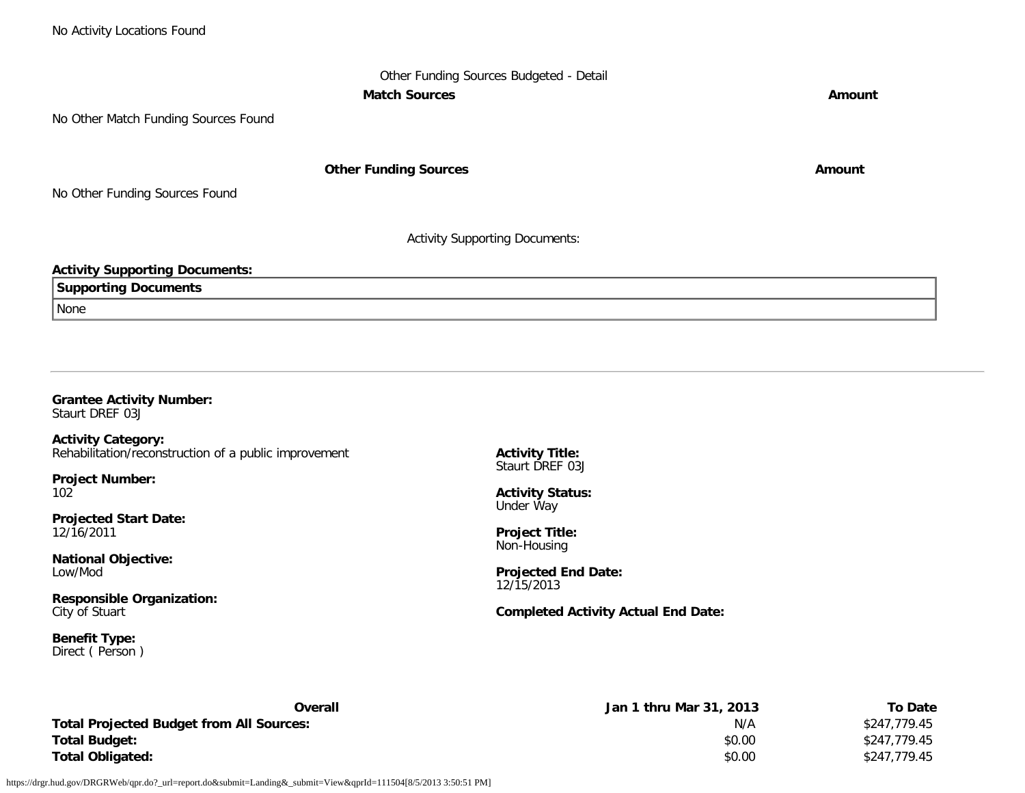## Other Funding Sources Budgeted - Detail **Match Sources Amount**

No Other Match Funding Sources Found

**Other Funding Sources Amount** 

No Other Funding Sources Found

Activity Supporting Documents:

### **Activity Supporting Documents:**

**Supporting Documents**

None

### **Grantee Activity Number:** Staurt DREF 03J

**Activity Category:** Rehabilitation/reconstruction of a public improvement

**Project Number:** 102

**Projected Start Date:** 12/16/2011

**National Objective:** Low/Mod

**Responsible Organization:** City of Stuart

**Benefit Type:** Direct ( Person ) **Activity Title:** Staurt DREF 03J

**Activity Status:** Under Way

**Project Title:** Non-Housing

**Projected End Date:** 12/15/2013

**Completed Activity Actual End Date:**

| Overall                                         | Jan 1 thru Mar 31, 2013 | <b>To Date</b> |
|-------------------------------------------------|-------------------------|----------------|
| <b>Total Projected Budget from All Sources:</b> | N/A                     | \$247.779.45   |
| <b>Total Budget:</b>                            | \$0.00                  | \$247,779.45   |
| <b>Total Obligated:</b>                         | \$0.00                  | \$247,779.45   |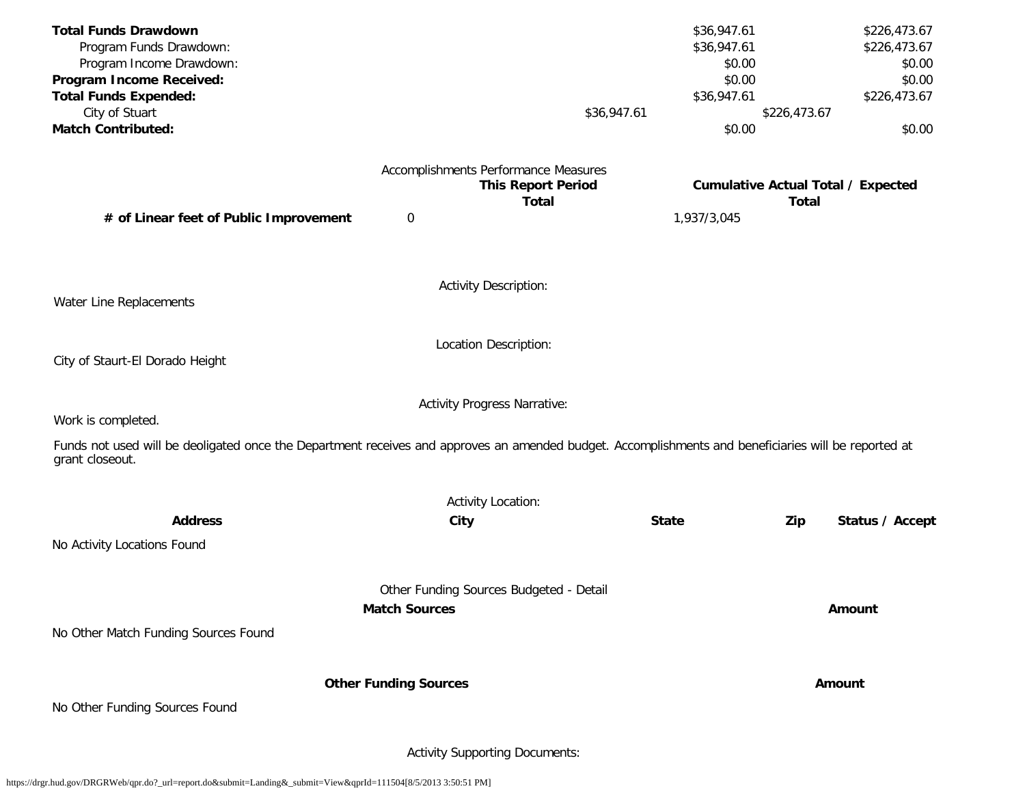| <b>Total Funds Drawdown</b><br>Program Funds Drawdown:                                                                                                                  |                              |                                         | \$36,947.61<br>\$36,947.61 |              | \$226,473.67<br>\$226,473.67              |
|-------------------------------------------------------------------------------------------------------------------------------------------------------------------------|------------------------------|-----------------------------------------|----------------------------|--------------|-------------------------------------------|
| Program Income Drawdown:                                                                                                                                                |                              |                                         | \$0.00                     |              | \$0.00                                    |
| Program Income Received:                                                                                                                                                |                              |                                         | \$0.00                     |              | \$0.00                                    |
| <b>Total Funds Expended:</b>                                                                                                                                            |                              |                                         | \$36,947.61                |              | \$226,473.67                              |
| City of Stuart                                                                                                                                                          |                              | \$36,947.61                             |                            | \$226,473.67 |                                           |
| <b>Match Contributed:</b>                                                                                                                                               |                              |                                         | \$0.00                     |              | \$0.00                                    |
|                                                                                                                                                                         |                              | Accomplishments Performance Measures    |                            |              |                                           |
|                                                                                                                                                                         |                              | <b>This Report Period</b>               |                            |              | <b>Cumulative Actual Total / Expected</b> |
|                                                                                                                                                                         |                              | <b>Total</b>                            |                            | <b>Total</b> |                                           |
| # of Linear feet of Public Improvement                                                                                                                                  | $\boldsymbol{0}$             |                                         | 1,937/3,045                |              |                                           |
|                                                                                                                                                                         |                              | <b>Activity Description:</b>            |                            |              |                                           |
| Water Line Replacements                                                                                                                                                 |                              |                                         |                            |              |                                           |
|                                                                                                                                                                         |                              | Location Description:                   |                            |              |                                           |
| City of Staurt-El Dorado Height                                                                                                                                         |                              |                                         |                            |              |                                           |
| Work is completed.                                                                                                                                                      |                              | <b>Activity Progress Narrative:</b>     |                            |              |                                           |
|                                                                                                                                                                         |                              |                                         |                            |              |                                           |
| Funds not used will be deoligated once the Department receives and approves an amended budget. Accomplishments and beneficiaries will be reported at<br>grant closeout. |                              |                                         |                            |              |                                           |
|                                                                                                                                                                         |                              | <b>Activity Location:</b>               |                            |              |                                           |
| <b>Address</b>                                                                                                                                                          | City                         |                                         | <b>State</b>               | Zip          | Status / Accept                           |
| No Activity Locations Found                                                                                                                                             |                              |                                         |                            |              |                                           |
|                                                                                                                                                                         |                              | Other Funding Sources Budgeted - Detail |                            |              |                                           |
|                                                                                                                                                                         | <b>Match Sources</b>         |                                         |                            |              | Amount                                    |
|                                                                                                                                                                         |                              |                                         |                            |              |                                           |
| No Other Match Funding Sources Found                                                                                                                                    |                              |                                         |                            |              |                                           |
|                                                                                                                                                                         | <b>Other Funding Sources</b> |                                         |                            |              | Amount                                    |
| No Other Funding Sources Found                                                                                                                                          |                              |                                         |                            |              |                                           |
|                                                                                                                                                                         |                              | <b>Activity Supporting Documents:</b>   |                            |              |                                           |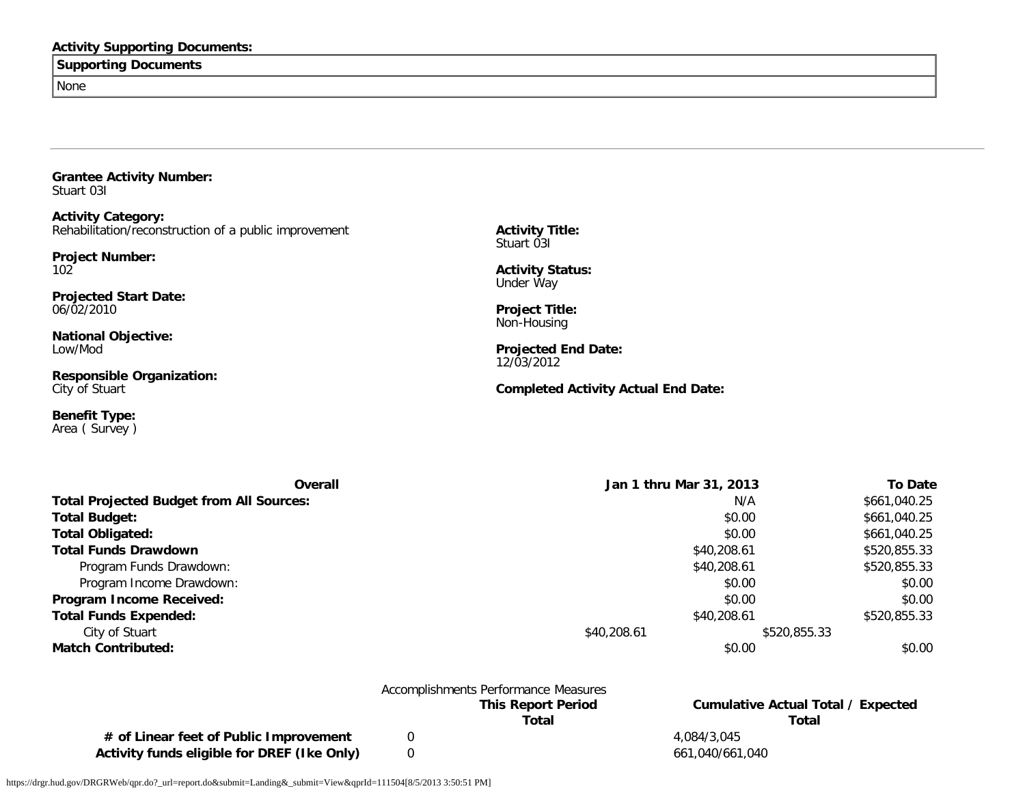### **Activity Supporting Documents:**

### **Supporting Documents**

None

**Grantee Activity Number:** Stuart 03I

**Activity Category:** Rehabilitation/reconstruction of a public improvement

**Project Number:** 102

**Projected Start Date:** 06/02/2010

**National Objective:** Low/Mod

**Responsible Organization:** City of Stuart

**Benefit Type:** Area ( Survey ) **Activity Title:** Stuart 03I

**Activity Status:** Under Way

**Project Title:** Non-Housing

**Projected End Date:** 12/03/2012

**Completed Activity Actual End Date:**

| Overall                                         | Jan 1 thru Mar 31, 2013 |              | <b>To Date</b> |
|-------------------------------------------------|-------------------------|--------------|----------------|
| <b>Total Projected Budget from All Sources:</b> |                         | N/A          | \$661,040.25   |
| <b>Total Budget:</b>                            |                         | \$0.00       | \$661,040.25   |
| <b>Total Obligated:</b>                         |                         | \$0.00       | \$661,040.25   |
| <b>Total Funds Drawdown</b>                     |                         | \$40,208.61  | \$520,855.33   |
| Program Funds Drawdown:                         |                         | \$40,208.61  | \$520,855.33   |
| Program Income Drawdown:                        |                         | \$0.00       | \$0.00         |
| Program Income Received:                        |                         | \$0.00       | \$0.00         |
| <b>Total Funds Expended:</b>                    |                         | \$40,208.61  | \$520,855.33   |
| City of Stuart                                  | \$40,208.61             | \$520,855.33 |                |
| <b>Match Contributed:</b>                       |                         | \$0.00       | \$0.00         |
|                                                 |                         |              |                |
|                                                 |                         |              |                |

|                                             | Accomplishments Performance Measures |                                    |
|---------------------------------------------|--------------------------------------|------------------------------------|
|                                             | <b>This Report Period</b>            | Cumulative Actual Total / Expected |
|                                             | Total                                | Total                              |
| # of Linear feet of Public Improvement      |                                      | 4.084/3.045                        |
| Activity funds eligible for DREF (Ike Only) |                                      | 661,040/661,040                    |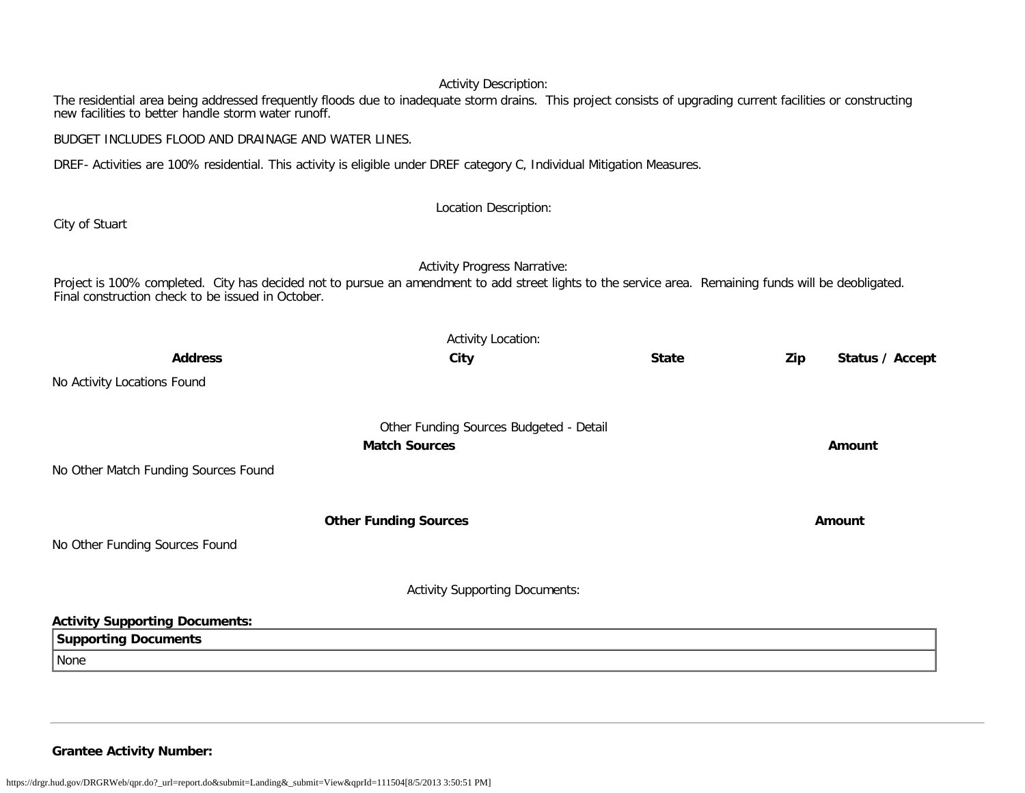The residential area being addressed frequently floods due to inadequate storm drains. This project consists of upgrading current facilities or constructing new facilities to better handle storm water runoff.

BUDGET INCLUDES FLOOD AND DRAINAGE AND WATER LINES.

DREF- Activities are 100% residential. This activity is eligible under DREF category C, Individual Mitigation Measures.

City of Stuart

### Location Description:

Activity Progress Narrative:

Project is 100% completed. City has decided not to pursue an amendment to add street lights to the service area. Remaining funds will be deobligated. Final construction check to be issued in October.

| <b>Address</b>                        | City                                    | <b>State</b> | Zip | Status / Accept |
|---------------------------------------|-----------------------------------------|--------------|-----|-----------------|
| No Activity Locations Found           |                                         |              |     |                 |
|                                       | Other Funding Sources Budgeted - Detail |              |     |                 |
|                                       | <b>Match Sources</b>                    |              |     | Amount          |
| No Other Match Funding Sources Found  |                                         |              |     |                 |
|                                       | <b>Other Funding Sources</b>            |              |     | Amount          |
| No Other Funding Sources Found        |                                         |              |     |                 |
|                                       | <b>Activity Supporting Documents:</b>   |              |     |                 |
| <b>Activity Supporting Documents:</b> |                                         |              |     |                 |
| <b>Supporting Documents</b>           |                                         |              |     |                 |
| None                                  |                                         |              |     |                 |
|                                       |                                         |              |     |                 |

**Grantee Activity Number:**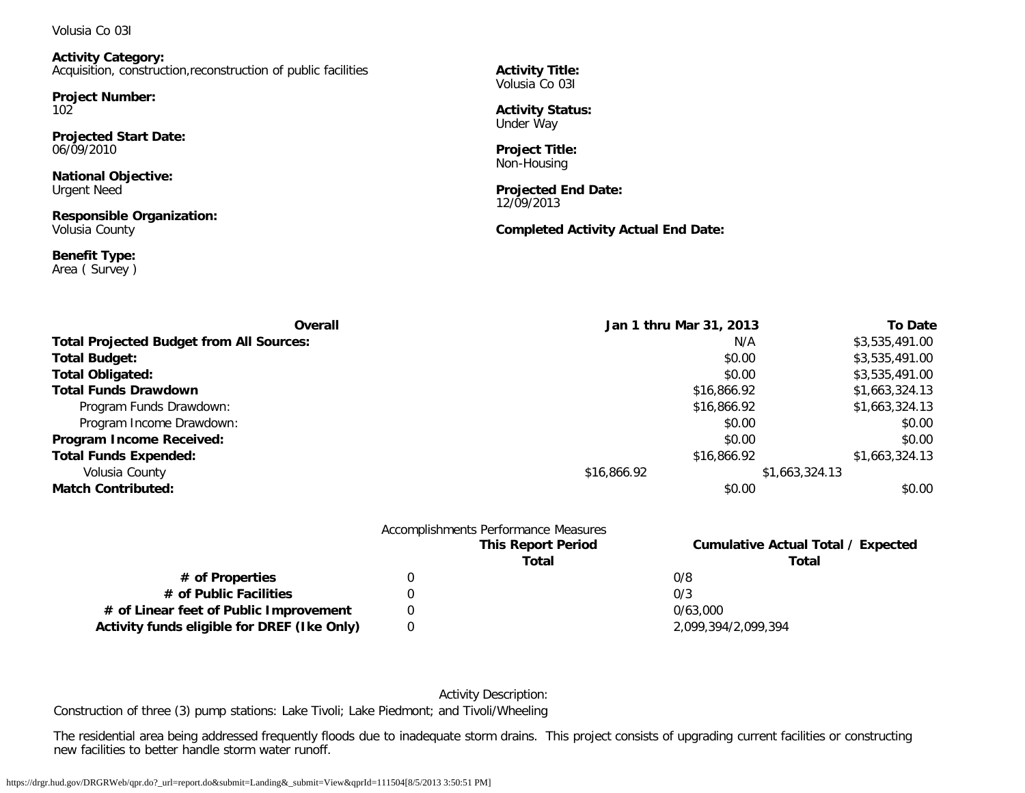Volusia Co 03I

**Activity Category:** Acquisition, construction,reconstruction of public facilities

**Project Number:** 102

**Projected Start Date:** 06/09/2010

**National Objective:** Urgent Need

**Responsible Organization:** Volusia County

**Benefit Type:** Area ( Survey ) **Activity Title:** Volusia Co 03I

**Activity Status:** Under Way

**Project Title:** Non-Housing

**Projected End Date:** 12/09/2013

**Completed Activity Actual End Date:**

| Overall                                         | Jan 1 thru Mar 31, 2013 | <b>To Date</b> |
|-------------------------------------------------|-------------------------|----------------|
| <b>Total Projected Budget from All Sources:</b> | N/A                     | \$3,535,491.00 |
| <b>Total Budget:</b>                            | \$0.00                  | \$3,535,491.00 |
| <b>Total Obligated:</b>                         | \$0.00                  | \$3,535,491.00 |
| <b>Total Funds Drawdown</b>                     | \$16,866.92             | \$1,663,324.13 |
| Program Funds Drawdown:                         | \$16,866.92             | \$1,663,324.13 |
| Program Income Drawdown:                        | \$0.00                  | \$0.00         |
| Program Income Received:                        | \$0.00                  | \$0.00         |
| <b>Total Funds Expended:</b>                    | \$16,866.92             | \$1,663,324.13 |
| Volusia County                                  | \$16,866.92             | \$1,663,324.13 |
| <b>Match Contributed:</b>                       | \$0.00                  | \$0.00         |

|                                             | Accomplishments Performance Measures |                                           |  |
|---------------------------------------------|--------------------------------------|-------------------------------------------|--|
|                                             | <b>This Report Period</b>            | <b>Cumulative Actual Total / Expected</b> |  |
|                                             | Total                                | Total                                     |  |
| # of Properties                             |                                      | 0/8                                       |  |
| # of Public Facilities                      |                                      | 0/3                                       |  |
| # of Linear feet of Public Improvement      |                                      | 0/63.000                                  |  |
| Activity funds eligible for DREF (Ike Only) |                                      | 2,099,394/2,099,394                       |  |

Activity Description:

Construction of three (3) pump stations: Lake Tivoli; Lake Piedmont; and Tivoli/Wheeling

The residential area being addressed frequently floods due to inadequate storm drains. This project consists of upgrading current facilities or constructing new facilities to better handle storm water runoff.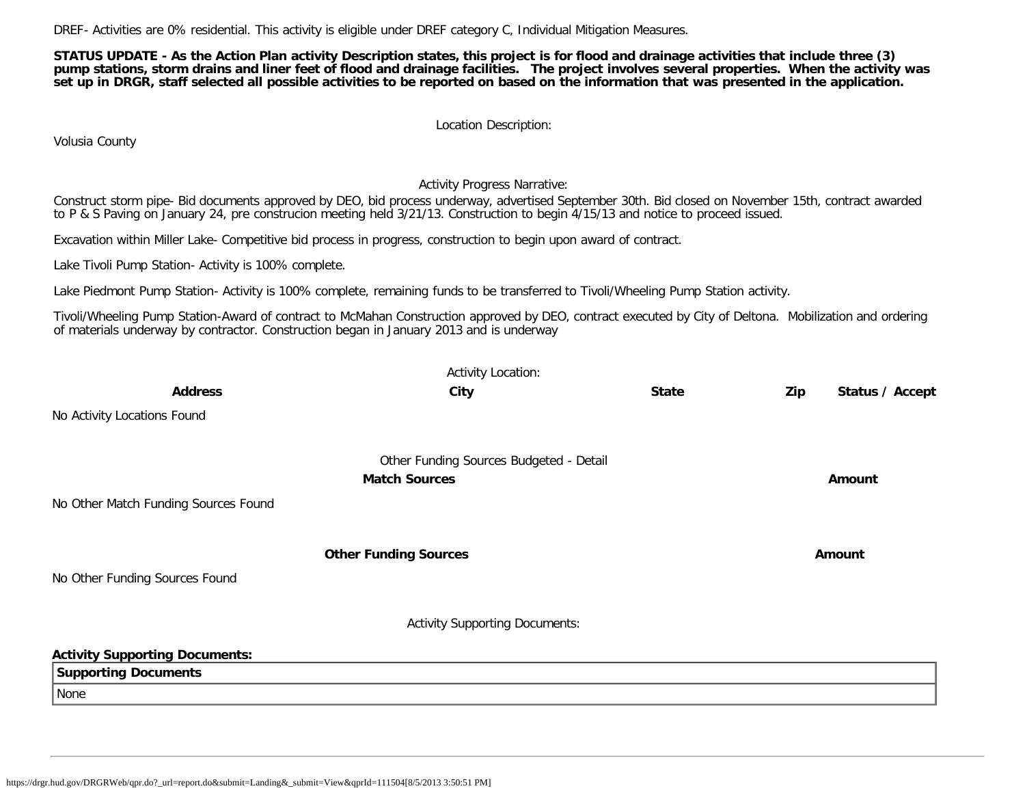DREF- Activities are 0% residential. This activity is eligible under DREF category C, Individual Mitigation Measures.

**STATUS UPDATE - As the Action Plan activity Description states, this project is for flood and drainage activities that include three (3) pump stations, storm drains and liner feet of flood and drainage facilities. The project involves several properties. When the activity was set up in DRGR, staff selected all possible activities to be reported on based on the information that was presented in the application.**

Location Description:

Volusia County

Activity Progress Narrative:

Construct storm pipe- Bid documents approved by DEO, bid process underway, advertised September 30th. Bid closed on November 15th, contract awarded to P & S Paving on January 24, pre construcion meeting held 3/21/13. Construction to begin 4/15/13 and notice to proceed issued.

Excavation within Miller Lake- Competitive bid process in progress, construction to begin upon award of contract.

Lake Tivoli Pump Station- Activity is 100% complete.

Lake Piedmont Pump Station- Activity is 100% complete, remaining funds to be transferred to Tivoli/Wheeling Pump Station activity.

Tivoli/Wheeling Pump Station-Award of contract to McMahan Construction approved by DEO, contract executed by City of Deltona. Mobilization and ordering of materials underway by contractor. Construction began in January 2013 and is underway

|                                       | <b>Activity Location:</b>               |              |     |                 |
|---------------------------------------|-----------------------------------------|--------------|-----|-----------------|
| <b>Address</b>                        | City                                    | <b>State</b> | Zip | Status / Accept |
| No Activity Locations Found           |                                         |              |     |                 |
|                                       | Other Funding Sources Budgeted - Detail |              |     |                 |
|                                       | <b>Match Sources</b>                    |              |     | Amount          |
| No Other Match Funding Sources Found  |                                         |              |     |                 |
|                                       | <b>Other Funding Sources</b>            |              |     | Amount          |
| No Other Funding Sources Found        |                                         |              |     |                 |
|                                       | <b>Activity Supporting Documents:</b>   |              |     |                 |
| <b>Activity Supporting Documents:</b> |                                         |              |     |                 |
| <b>Supporting Documents</b>           |                                         |              |     |                 |
| None                                  |                                         |              |     |                 |
|                                       |                                         |              |     |                 |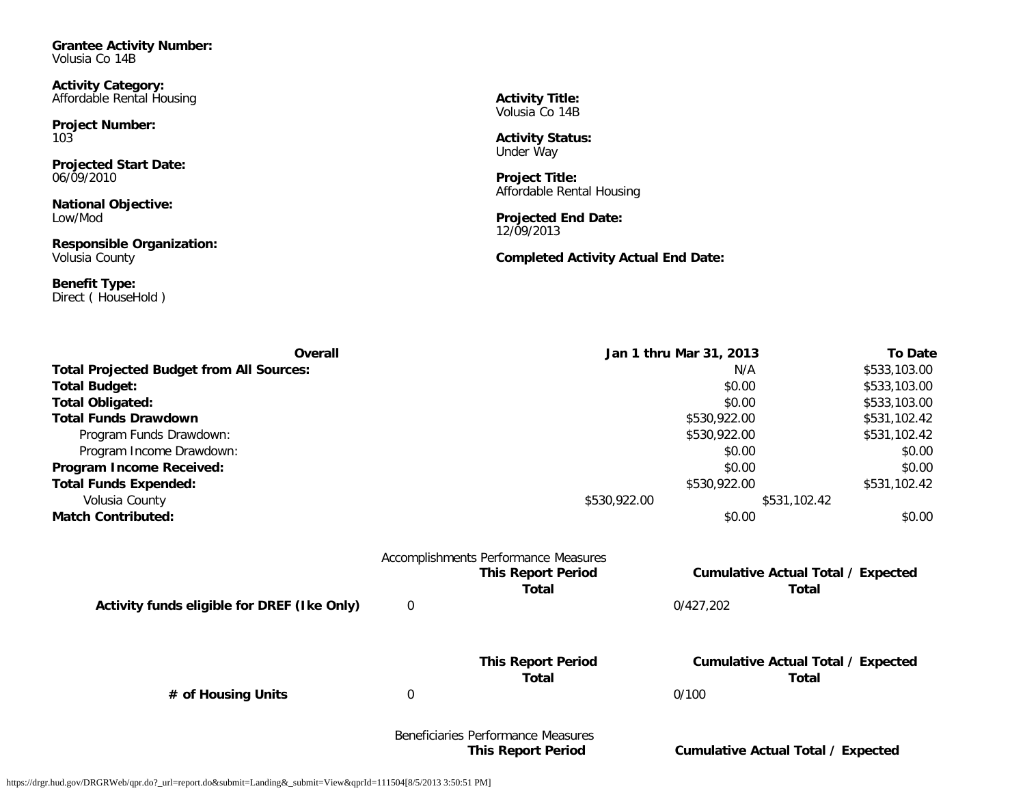**Grantee Activity Number:** Volusia Co 14B

**Activity Category:** Affordable Rental Housing

**Project Number:** 103

**Projected Start Date:** 06/09/2010

**National Objective:** Low/Mod

**Responsible Organization:** Volusia County

**Benefit Type:** Direct ( HouseHold ) **Activity Title:** Volusia Co 14B

**Activity Status:** Under Way

**Project Title:** Affordable Rental Housing

**Projected End Date:** 12/09/2013

**Completed Activity Actual End Date:**

| Overall                                         |                  |                                      | Jan 1 thru Mar 31, 2013 |                                           |
|-------------------------------------------------|------------------|--------------------------------------|-------------------------|-------------------------------------------|
| <b>Total Projected Budget from All Sources:</b> |                  |                                      | N/A                     | \$533,103.00                              |
| <b>Total Budget:</b>                            |                  |                                      | \$0.00                  | \$533,103.00                              |
| <b>Total Obligated:</b>                         |                  |                                      | \$0.00                  | \$533,103.00                              |
| <b>Total Funds Drawdown</b>                     |                  |                                      | \$530,922.00            | \$531,102.42                              |
| Program Funds Drawdown:                         |                  |                                      | \$530,922.00            | \$531,102.42                              |
| Program Income Drawdown:                        |                  |                                      | \$0.00                  | \$0.00                                    |
| Program Income Received:                        |                  |                                      | \$0.00                  | \$0.00                                    |
| <b>Total Funds Expended:</b>                    |                  |                                      | \$530,922.00            | \$531,102.42                              |
| Volusia County                                  |                  | \$530,922.00                         |                         | \$531,102.42                              |
| <b>Match Contributed:</b>                       |                  |                                      | \$0.00                  | \$0.00                                    |
|                                                 |                  | Accomplishments Performance Measures |                         |                                           |
|                                                 |                  | <b>This Report Period</b>            |                         | <b>Cumulative Actual Total / Expected</b> |
|                                                 |                  | Total                                |                         | <b>Total</b>                              |
| Activity funds eligible for DREF (Ike Only)     | $\mathbf 0$      |                                      | 0/427,202               |                                           |
|                                                 |                  | <b>This Report Period</b>            |                         | <b>Cumulative Actual Total / Expected</b> |
|                                                 |                  | Total                                |                         | <b>Total</b>                              |
| # of Housing Units                              | $\boldsymbol{0}$ |                                      | 0/100                   |                                           |
|                                                 |                  | Beneficiaries Performance Measures   |                         |                                           |
|                                                 |                  | <b>This Report Period</b>            |                         | Cumulative Actual Total / Expected        |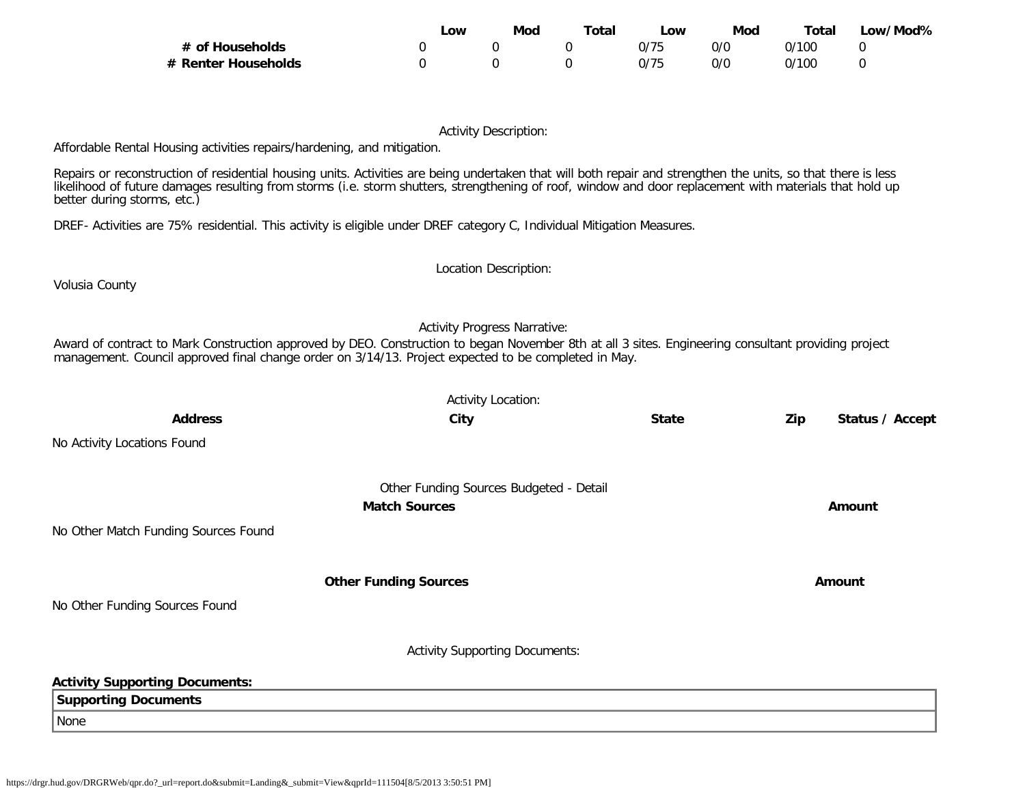|                     | _OW | Mod | Total | _OW  | Mod | Total | Low/Mod% |
|---------------------|-----|-----|-------|------|-----|-------|----------|
| # of Households     |     |     |       | 0/75 | 0/0 | 0/100 |          |
| # Renter Households |     |     |       | 0/75 | 0/C | 0/100 |          |

Affordable Rental Housing activities repairs/hardening, and mitigation.

Repairs or reconstruction of residential housing units. Activities are being undertaken that will both repair and strengthen the units, so that there is less likelihood of future damages resulting from storms (i.e. storm shutters, strengthening of roof, window and door replacement with materials that hold up better during storms, etc.)

DREF- Activities are 75% residential. This activity is eligible under DREF category C, Individual Mitigation Measures.

Activity Location: **Address City State Zip Status / Accept** No Activity Locations Found Other Funding Sources Budgeted - Detail **Match Sources Amount** No Other Match Funding Sources Found **Other Funding Sources Amount Amount Amount** No Other Funding Sources Found Activity Supporting Documents: **Activity Supporting Documents: Supporting Documents**

https://drgr.hud.gov/DRGRWeb/qpr.do?\_url=report.do&submit=Landing&\_submit=View&qprId=111504[8/5/2013 3:50:51 PM]

Volusia County

None

Location Description:

Activity Progress Narrative:

Award of contract to Mark Construction approved by DEO. Construction to began November 8th at all 3 sites. Engineering consultant providing project

management. Council approved final change order on 3/14/13. Project expected to be completed in May.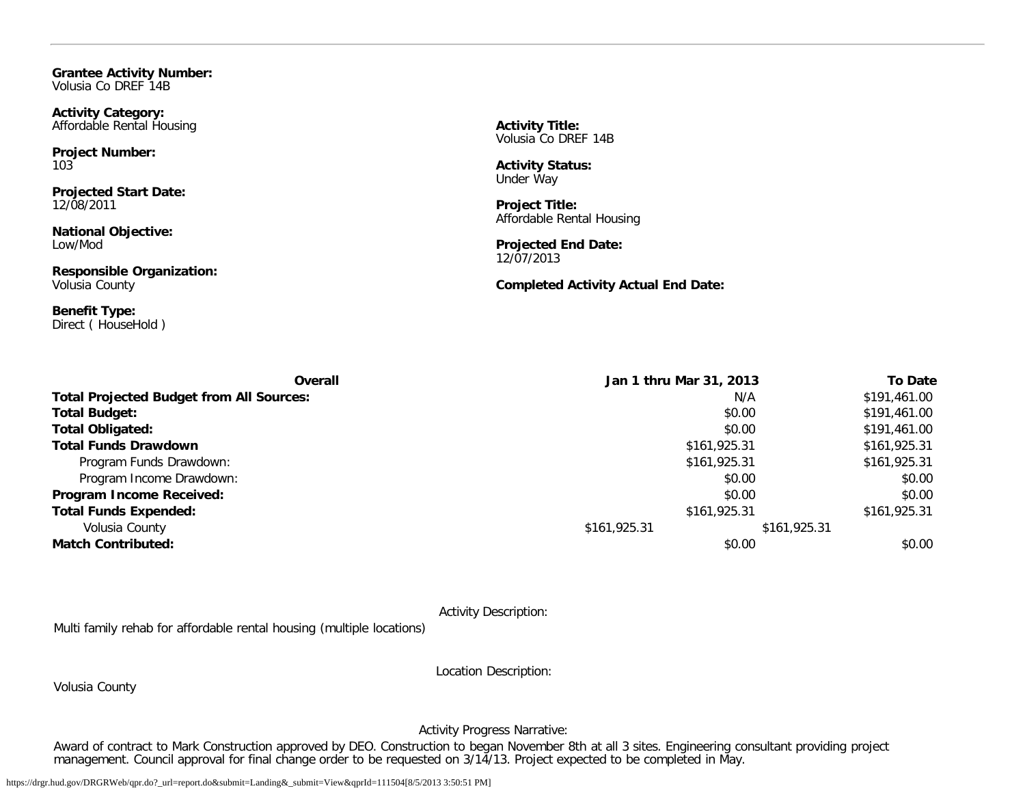**Grantee Activity Number:** Volusia Co DREF 14B

**Activity Category:** Affordable Rental Housing

**Project Number:** 103

**Projected Start Date:** 12/08/2011

**National Objective:** Low/Mod

**Responsible Organization:** Volusia County

**Benefit Type:** Direct ( HouseHold ) **Activity Title:** Volusia Co DREF 14B

**Activity Status:** Under Way

**Project Title:** Affordable Rental Housing

**Projected End Date:** 12/07/2013

**Completed Activity Actual End Date:**

| <b>Overall</b>                                  | Jan 1 thru Mar 31, 2013      |              | <b>To Date</b> |
|-------------------------------------------------|------------------------------|--------------|----------------|
| <b>Total Projected Budget from All Sources:</b> |                              | N/A          | \$191,461.00   |
| <b>Total Budget:</b>                            |                              | \$0.00       | \$191,461.00   |
| <b>Total Obligated:</b>                         |                              | \$0.00       | \$191,461.00   |
| <b>Total Funds Drawdown</b>                     | \$161,925.31<br>\$161,925.31 |              |                |
| Program Funds Drawdown:                         | \$161,925.31<br>\$161,925.31 |              |                |
| Program Income Drawdown:                        | \$0.00                       |              |                |
| Program Income Received:                        |                              | \$0.00       | \$0.00         |
| <b>Total Funds Expended:</b>                    |                              | \$161,925.31 | \$161,925.31   |
| Volusia County                                  | \$161,925.31                 | \$161,925.31 |                |
| <b>Match Contributed:</b>                       |                              | \$0.00       | \$0.00         |

Activity Description:

Multi family rehab for affordable rental housing (multiple locations)

Volusia County

Location Description:

Activity Progress Narrative:

Award of contract to Mark Construction approved by DEO. Construction to began November 8th at all 3 sites. Engineering consultant providing project management. Council approval for final change order to be requested on 3/14/13. Project expected to be completed in May.